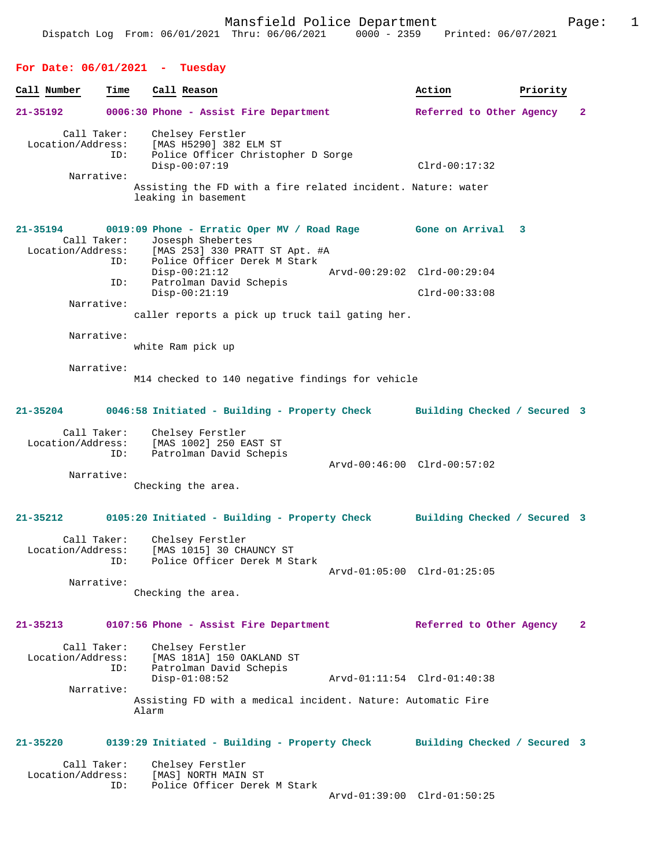| Call Number                                    | Time       | Call Reason |                                                                                                                                                                                                                           |                             | Action                                                                         | Priority |                |
|------------------------------------------------|------------|-------------|---------------------------------------------------------------------------------------------------------------------------------------------------------------------------------------------------------------------------|-----------------------------|--------------------------------------------------------------------------------|----------|----------------|
| 21-35192                                       |            |             | 0006:30 Phone - Assist Fire Department                                                                                                                                                                                    |                             | Referred to Other Agency                                                       |          | 2              |
| Call Taker:<br>Location/Address:<br>Narrative: | ID:        |             | Chelsey Ferstler<br>[MAS H5290] 382 ELM ST<br>Police Officer Christopher D Sorge<br>$Disp-00:07:19$<br>Assisting the FD with a fire related incident. Nature: water<br>leaking in basement                                |                             | $Clrd-00:17:32$                                                                |          |                |
| 21-35194<br>Call Taker:<br>Narrative:          | ID:<br>ID: |             | Josesph Shebertes<br>Location/Address: [MAS 253] 330 PRATT ST Apt. #A<br>Police Officer Derek M Stark<br>$Disp-00:21:12$<br>Patrolman David Schepis<br>$Disp-00:21:19$<br>caller reports a pick up truck tail gating her. | Arvd-00:29:02 Clrd-00:29:04 | 0019:09 Phone - Erratic Oper MV / Road Rage Gone on Arrival<br>$Clrd-00:33:08$ | 3        |                |
| Narrative:                                     |            |             |                                                                                                                                                                                                                           |                             |                                                                                |          |                |
|                                                |            |             | white Ram pick up                                                                                                                                                                                                         |                             |                                                                                |          |                |
| Narrative:                                     |            |             | M14 checked to 140 negative findings for vehicle                                                                                                                                                                          |                             |                                                                                |          |                |
| 21-35204                                       |            |             | 0046:58 Initiated - Building - Property Check                                                                                                                                                                             |                             | Building Checked / Secured 3                                                   |          |                |
| Call Taker:<br>Location/Address:<br>Narrative: | ID:        |             | Chelsey Ferstler<br>[MAS 1002] 250 EAST ST<br>Patrolman David Schepis<br>Checking the area.                                                                                                                               | Arvd-00:46:00 Clrd-00:57:02 |                                                                                |          |                |
| 21-35212                                       |            |             |                                                                                                                                                                                                                           |                             | 0105:20 Initiated - Building - Property Check Building Checked / Secured 3     |          |                |
| Call Taker:<br>Location/Address:<br>Narrative: | ID:        |             | Chelsey Ferstler<br>[MAS 1015] 30 CHAUNCY ST<br>Police Officer Derek M Stark<br>Checking the area.                                                                                                                        | Arvd-01:05:00 Clrd-01:25:05 |                                                                                |          |                |
| 21-35213                                       |            |             | 0107:56 Phone - Assist Fire Department                                                                                                                                                                                    |                             | Referred to Other Agency                                                       |          | $\overline{2}$ |
| Call Taker:<br>Location/Address:<br>Narrative: | ID:        | Alarm       | Chelsey Ferstler<br>[MAS 181A] 150 OAKLAND ST<br>Patrolman David Schepis<br>$Disp-01:08:52$<br>Assisting FD with a medical incident. Nature: Automatic Fire                                                               | Arvd-01:11:54 Clrd-01:40:38 |                                                                                |          |                |
| 21-35220                                       |            |             | 0139:29 Initiated - Building - Property Check                                                                                                                                                                             |                             | Building Checked / Secured 3                                                   |          |                |
| Call Taker:<br>Location/Address:               | ID:        |             | Chelsey Ferstler<br>[MAS] NORTH MAIN ST<br>Police Officer Derek M Stark                                                                                                                                                   |                             | Arvd-01:39:00 Clrd-01:50:25                                                    |          |                |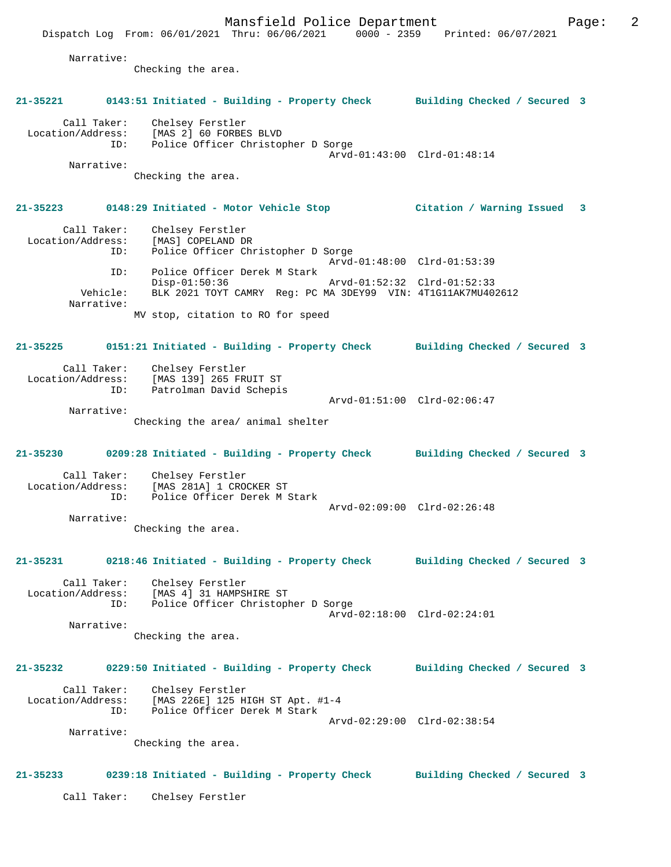Mansfield Police Department Fage: 2 Dispatch Log From: 06/01/2021 Thru: 06/06/2021 0000 - 2359 Printed: 06/07/2021 Narrative: Checking the area. **21-35221 0143:51 Initiated - Building - Property Check Building Checked / Secured 3** Call Taker: Chelsey Ferstler Location/Address: [MAS 2] 60 FORBES BLVD ID: Police Officer Christopher D Sorge Arvd-01:43:00 Clrd-01:48:14 Narrative: Checking the area. **21-35223 0148:29 Initiated - Motor Vehicle Stop Citation / Warning Issued 3** Call Taker: Chelsey Ferstler<br>ion/Address: [MAS] COPELAND DR Location/Address:<br>ID: Police Officer Christopher D Sorge Arvd-01:48:00 Clrd-01:53:39 ID: Police Officer Derek M Stark Disp-01:50:36 Arvd-01:52:32 Clrd-01:52:33 Vehicle: BLK 2021 TOYT CAMRY Reg: PC MA 3DEY99 VIN: 4T1G11AK7MU402612 Narrative: MV stop, citation to RO for speed **21-35225 0151:21 Initiated - Building - Property Check Building Checked / Secured 3** Call Taker: Chelsey Ferstler Location/Address: [MAS 139] 265 FRUIT ST ID: Patrolman David Schepis Arvd-01:51:00 Clrd-02:06:47 Narrative: Checking the area/ animal shelter **21-35230 0209:28 Initiated - Building - Property Check Building Checked / Secured 3** Call Taker: Chelsey Ferstler Location/Address: [MAS 281A] 1 CROCKER ST<br>ID: Police Officer Derek M 3 Police Officer Derek M Stark Arvd-02:09:00 Clrd-02:26:48 Narrative: Checking the area. **21-35231 0218:46 Initiated - Building - Property Check Building Checked / Secured 3** Call Taker: Chelsey Ferstler Location/Address: [MAS 4] 31 HAMPSHIRE ST ID: Police Officer Christopher D Sorge Arvd-02:18:00 Clrd-02:24:01 Narrative: Checking the area. **21-35232 0229:50 Initiated - Building - Property Check Building Checked / Secured 3** Call Taker: Chelsey Ferstler Location/Address: [MAS 226E] 125 HIGH ST Apt. #1-4<br>TD: Police Officer Derek M Stark Police Officer Derek M Stark Arvd-02:29:00 Clrd-02:38:54 Narrative: Checking the area.

**21-35233 0239:18 Initiated - Building - Property Check Building Checked / Secured 3**

Call Taker: Chelsey Ferstler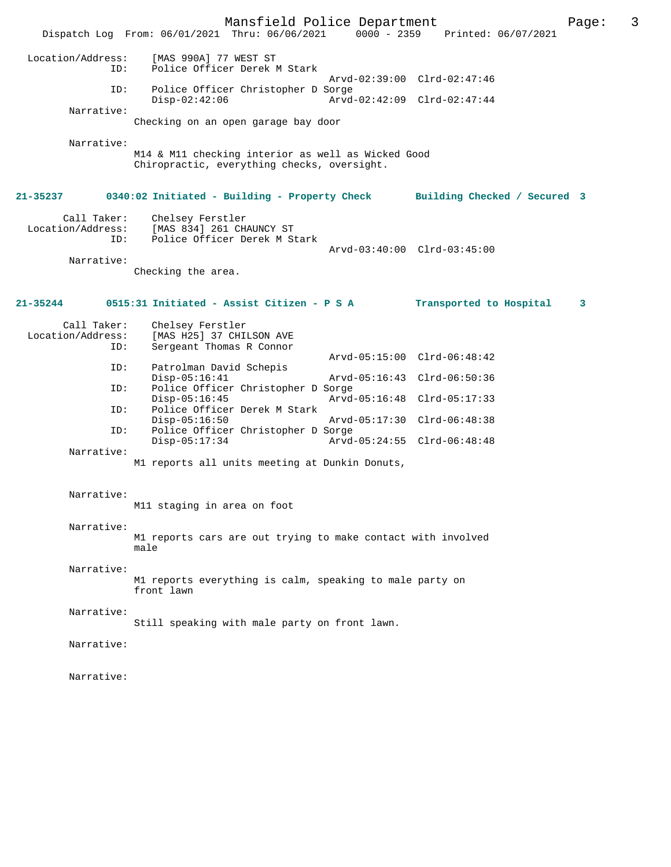Mansfield Police Department Page: 3 Dispatch Log From: 06/01/2021 Thru: 06/06/2021 Location/Address: [MAS 990A] 77 WEST ST ID: Police Officer Derek M Stark Arvd-02:39:00 Clrd-02:47:46<br>TD: Police Officer Christopher D Sorge Police Officer Christopher D Sorge<br>Disp-02:42:06 Arvd Disp-02:42:06 Arvd-02:42:09 Clrd-02:47:44 Narrative: Checking on an open garage bay door Narrative: M14 & M11 checking interior as well as Wicked Good Chiropractic, everything checks, oversight. **21-35237 0340:02 Initiated - Building - Property Check Building Checked / Secured 3** Call Taker: Chelsey Ferstler<br>Location/Address: [MAS 834] 261 CH. [MAS 834] 261 CHAUNCY ST ID: Police Officer Derek M Stark Arvd-03:40:00 Clrd-03:45:00 Narrative: Checking the area. **21-35244 0515:31 Initiated - Assist Citizen - P S A Transported to Hospital 3** Call Taker: Chelsey Ferstler<br>Location/Address: [MAS H25] 37 CHI ess: [MAS H25] 37 CHILSON AVE<br>ID: Sergeant Thomas R Connor Sergeant Thomas R Connor Arvd-05:15:00 Clrd-06:48:42 ID: Patrolman David Schepis<br>Disp-05:16:41 Disp-05:16:41 Arvd-05:16:43 Clrd-06:50:36<br>TD: Police Officer Christopher D Sorge Police Officer Christopher D Sorge<br>Disp-05:16:45 Arvd Disp-05:16:45 Arvd-05:16:48 Clrd-05:17:33<br>ID: Police Officer Derek M Stark Police Officer Derek M Stark Disp-05:16:50 Arvd-05:17:30 Clrd-06:48:38<br>ID: Police Officer Christopher D Sorge Police Officer Christopher D Sorge Disp-05:17:34 Arvd-05:24:55 Clrd-06:48:48 Narrative: M1 reports all units meeting at Dunkin Donuts, Narrative: M11 staging in area on foot Narrative: M1 reports cars are out trying to make contact with involved male Narrative: M1 reports everything is calm, speaking to male party on front lawn Narrative: Still speaking with male party on front lawn. Narrative: Narrative: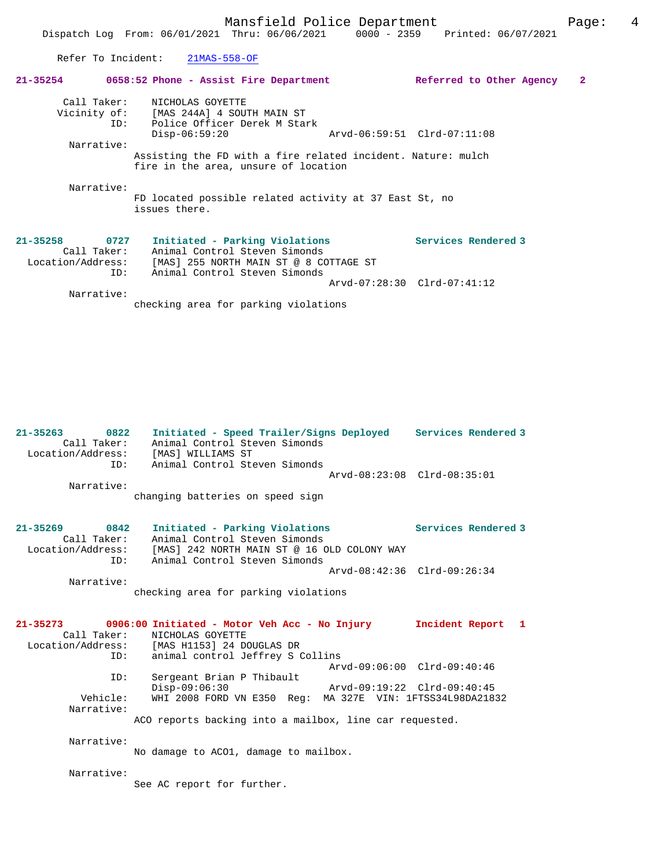Refer To Incident: 21MAS-558-OF

| $21 - 35254$                                                    | 0658:52 Phone - Assist Fire Department                                                                                                     | Referred to Other Agency    | 2 |
|-----------------------------------------------------------------|--------------------------------------------------------------------------------------------------------------------------------------------|-----------------------------|---|
|                                                                 | Call Taker: NICHOLAS GOYETTE<br>Vicinity of: [MAS 244A] 4 SOUTH MAIN ST<br>ID: Police Officer Derek M Stark<br>$Disp-06:59:20$             | Arvd-06:59:51 Clrd-07:11:08 |   |
| Narrative:                                                      |                                                                                                                                            |                             |   |
|                                                                 | Assisting the FD with a fire related incident. Nature: mulch<br>fire in the area, unsure of location                                       |                             |   |
| Narrative:                                                      | FD located possible related activity at 37 East St, no<br>issues there.                                                                    |                             |   |
| $21 - 35258$<br>0727<br>Call Taker:<br>Location/Address:<br>ID: | Initiated - Parking Violations<br>Animal Control Steven Simonds<br>[MAS] 255 NORTH MAIN ST @ 8 COTTAGE ST<br>Animal Control Steven Simonds | Services Rendered 3         |   |
|                                                                 |                                                                                                                                            | Arvd-07:28:30 Clrd-07:41:12 |   |
| Narrative:                                                      |                                                                                                                                            |                             |   |

checking area for parking violations

| $21 - 35263$<br>0822<br>Call Taker:<br>Location/Address:<br>ID: | Initiated - Speed Trailer/Signs Deployed Services Rendered 3<br>Animal Control Steven Simonds<br>[MAS] WILLIAMS ST<br>Animal Control Steven Simonds           |                             |
|-----------------------------------------------------------------|---------------------------------------------------------------------------------------------------------------------------------------------------------------|-----------------------------|
| Narrative:                                                      | Arvd-08:23:08 Clrd-08:35:01                                                                                                                                   |                             |
|                                                                 | changing batteries on speed sign                                                                                                                              |                             |
| 21-35269 0842                                                   | Initiated - Parking Violations                                                                                                                                | Services Rendered 3         |
| Call Taker:<br>Location/Address:<br>ID:                         | Animal Control Steven Simonds<br>[MAS] 242 NORTH MAIN ST @ 16 OLD COLONY WAY<br>Animal Control Steven Simonds                                                 |                             |
|                                                                 |                                                                                                                                                               | Arvd-08:42:36 Clrd-09:26:34 |
| Narrative:                                                      | checking area for parking violations                                                                                                                          |                             |
| Call Taker:<br>ID:                                              | 21-35273 0906:00 Initiated - Motor Veh Acc - No Injury<br>NICHOLAS GOYETTE<br>Location/Address: [MAS H1153] 24 DOUGLAS DR<br>animal control Jeffrey S Collins | Incident Report 1           |
| ID:                                                             | Arvd-09:06:00 Clrd-09:40:46<br>Sergeant Brian P Thibault                                                                                                      |                             |
|                                                                 | $Disp-09:06:30$<br>Arvd-09:19:22 Clrd-09:40:45                                                                                                                |                             |
| Vehicle:<br>Narrative:                                          | WHI 2008 FORD VN E350 Req: MA 327E VIN: 1FTSS34L98DA21832                                                                                                     |                             |
|                                                                 | ACO reports backing into a mailbox, line car requested.                                                                                                       |                             |
| Narrative:                                                      | No damage to ACO1, damage to mailbox.                                                                                                                         |                             |
| Narrative:                                                      |                                                                                                                                                               |                             |

See AC report for further.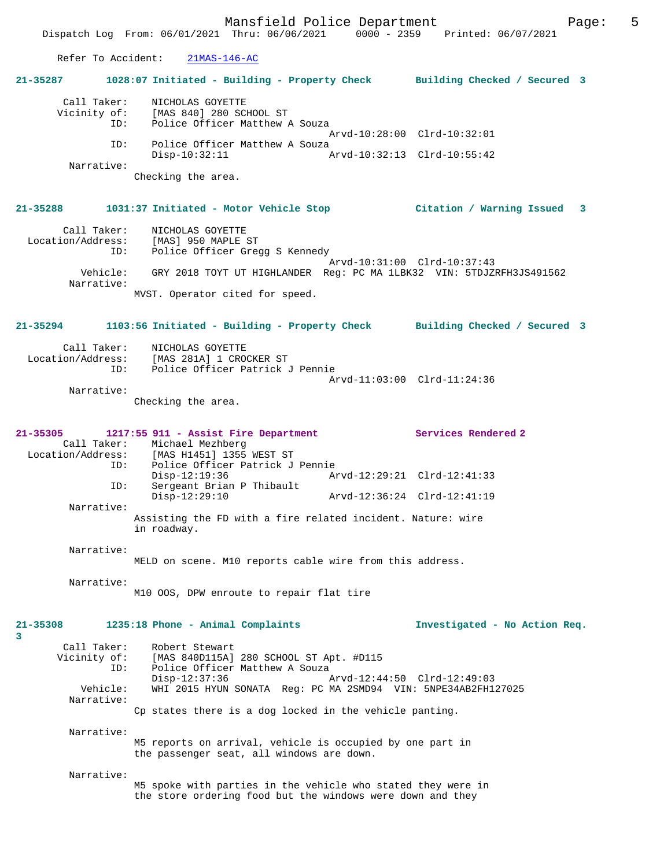Refer To Accident: 21MAS-146-AC

| 21-35287                                | 1028:07 Initiated - Building - Property Check Building Checked / Secured 3                                                                                   |                               |
|-----------------------------------------|--------------------------------------------------------------------------------------------------------------------------------------------------------------|-------------------------------|
| Call Taker:<br>Vicinity of:             | NICHOLAS GOYETTE<br>[MAS 840] 280 SCHOOL ST<br>Police Officer Matthew A Souza<br>ID:                                                                         |                               |
|                                         | Police Officer Matthew A Souza<br>ID:                                                                                                                        | Arvd-10:28:00 Clrd-10:32:01   |
| Narrative:                              | $Disp-10:32:11$                                                                                                                                              | Arvd-10:32:13 Clrd-10:55:42   |
|                                         | Checking the area.                                                                                                                                           |                               |
| $21 - 35288$                            | 1031:37 Initiated - Motor Vehicle Stop (Citation / Warning Issued 3                                                                                          |                               |
| Call Taker:<br>Location/Address:<br>ID: | NICHOLAS GOYETTE<br>[MAS] 950 MAPLE ST<br>Police Officer Gregg S Kennedy                                                                                     |                               |
| Vehicle:                                | GRY 2018 TOYT UT HIGHLANDER Req: PC MA 1LBK32 VIN: 5TDJZRFH3JS491562                                                                                         | Arvd-10:31:00 Clrd-10:37:43   |
| Narrative:                              | MVST. Operator cited for speed.                                                                                                                              |                               |
| 21-35294                                | 1103:56 Initiated - Building - Property Check Building Checked / Secured 3                                                                                   |                               |
| Call Taker:<br>Location/Address:<br>ID: | NICHOLAS GOYETTE<br>[MAS 281A] 1 CROCKER ST<br>Police Officer Patrick J Pennie                                                                               |                               |
| Narrative:                              |                                                                                                                                                              | Arvd-11:03:00 Clrd-11:24:36   |
|                                         | Checking the area.                                                                                                                                           |                               |
| $21 - 35305$                            | 1217:55 911 - Assist Fire Department<br>Call Taker: Michael Mezhberg<br>Location/Address: [MAS H1451] 1355 WEST ST<br>Police Officer Patrick J Pennie<br>ID: | Services Rendered 2           |
| ID:                                     | $Disp-12:19:36$<br>Sergeant Brian P Thibault                                                                                                                 | Arvd-12:29:21 Clrd-12:41:33   |
| Narrative:                              | $Disp-12:29:10$                                                                                                                                              | Arvd-12:36:24 Clrd-12:41:19   |
|                                         | Assisting the FD with a fire related incident. Nature: wire<br>in roadway.                                                                                   |                               |
| Narrative:                              | MELD on scene. M10 reports cable wire from this address.                                                                                                     |                               |
| Narrative:                              | M10 OOS, DPW enroute to repair flat tire                                                                                                                     |                               |
| $21 - 35308$<br>3                       | 1235:18 Phone - Animal Complaints                                                                                                                            | Investigated - No Action Req. |
| Call Taker:<br>Vicinity of:<br>ID:      | Robert Stewart<br>[MAS 840D115A] 280 SCHOOL ST Apt. #D115<br>Police Officer Matthew A Souza<br>$Disp-12:37:36$                                               | Arvd-12:44:50 Clrd-12:49:03   |
| Vehicle:<br>Narrative:                  | WHI 2015 HYUN SONATA Req: PC MA 2SMD94 VIN: 5NPE34AB2FH127025                                                                                                |                               |
|                                         | Cp states there is a dog locked in the vehicle panting.                                                                                                      |                               |
| Narrative:                              | M5 reports on arrival, vehicle is occupied by one part in<br>the passenger seat, all windows are down.                                                       |                               |
| Narrative:                              | M5 spoke with parties in the vehicle who stated they were in<br>the store ordering food but the windows were down and they                                   |                               |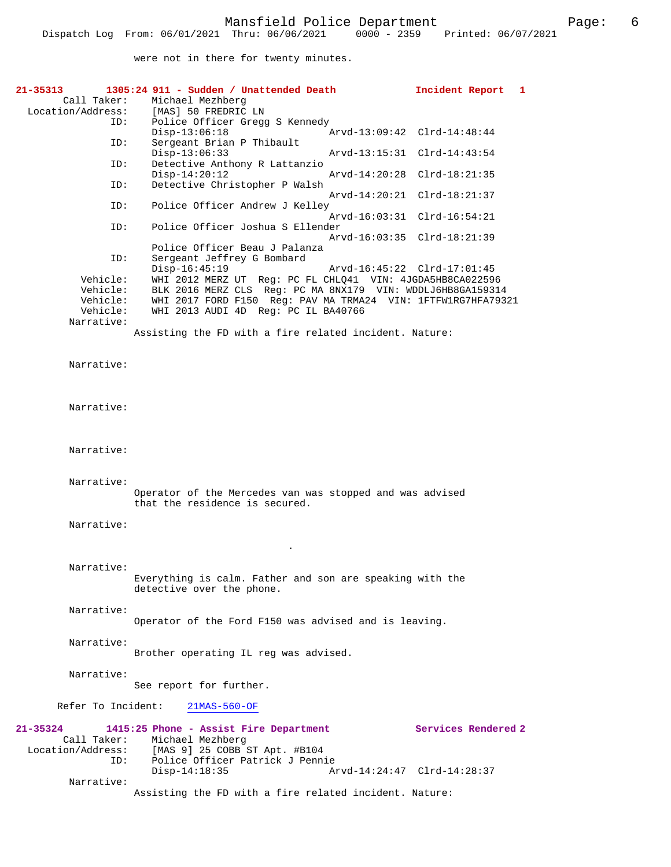were not in there for twenty minutes.

| 21-35313<br>Call Taker:<br>Location/Address:               | 1305:24 911 - Sudden / Unattended Death<br>Michael Mezhberg<br>[MAS] 50 FREDRIC LN                                                                                                                                                              | Incident Report<br>$\mathbf{1}$ |
|------------------------------------------------------------|-------------------------------------------------------------------------------------------------------------------------------------------------------------------------------------------------------------------------------------------------|---------------------------------|
| ID:                                                        | Police Officer Gregg S Kennedy<br>$Disp-13:06:18$                                                                                                                                                                                               | Arvd-13:09:42 Clrd-14:48:44     |
| ID:                                                        | Sergeant Brian P Thibault<br>$Disp-13:06:33$                                                                                                                                                                                                    | Arvd-13:15:31 Clrd-14:43:54     |
| ID:<br>ID:                                                 | Detective Anthony R Lattanzio<br>$Disp-14:20:12$<br>Arvd-14:20:28<br>Detective Christopher P Walsh                                                                                                                                              | Clrd-18:21:35                   |
| ID:                                                        | Police Officer Andrew J Kelley                                                                                                                                                                                                                  | Arvd-14:20:21 Clrd-18:21:37     |
| ID:                                                        | Arvd-16:03:31<br>Police Officer Joshua S Ellender                                                                                                                                                                                               | $Clrd-16:54:21$                 |
| ID:                                                        | Police Officer Beau J Palanza<br>Sergeant Jeffrey G Bombard                                                                                                                                                                                     | Arvd-16:03:35 Clrd-18:21:39     |
| Vehicle:<br>Vehicle:<br>Vehicle:<br>Vehicle:<br>Narrative: | Disp-16:45:19<br>WHI 2012 MERZ UT Reg: PC FL CHLQ41 VIN: 4JGDA5HB8CA022596<br>BLK 2016 MERZ CLS Reg: PC MA 8NX179 VIN: WDDLJ6HB8GA159314<br>WHI 2017 FORD F150 Req: PAV MA TRMA24 VIN: 1FTFW1RG7HFA79321<br>WHI 2013 AUDI 4D Req: PC IL BA40766 | Arvd-16:45:22 Clrd-17:01:45     |
|                                                            | Assisting the FD with a fire related incident. Nature:                                                                                                                                                                                          |                                 |
| Narrative:                                                 |                                                                                                                                                                                                                                                 |                                 |
| Narrative:                                                 |                                                                                                                                                                                                                                                 |                                 |
| Narrative:                                                 |                                                                                                                                                                                                                                                 |                                 |
| Narrative:                                                 | Operator of the Mercedes van was stopped and was advised<br>that the residence is secured.                                                                                                                                                      |                                 |
| Narrative:                                                 |                                                                                                                                                                                                                                                 |                                 |
| Narrative:                                                 | Everything is calm. Father and son are speaking with the<br>detective over the phone.                                                                                                                                                           |                                 |
| Narrative:                                                 | Operator of the Ford F150 was advised and is leaving.                                                                                                                                                                                           |                                 |
| Narrative:                                                 | Brother operating IL reg was advised.                                                                                                                                                                                                           |                                 |
| Narrative:                                                 | See report for further.                                                                                                                                                                                                                         |                                 |
| Refer To Incident:                                         | $21MAS-560-OF$                                                                                                                                                                                                                                  |                                 |
| 21-35324<br>Call Taker:<br>Location/Address:<br>ID:        | 1415:25 Phone - Assist Fire Department<br>Michael Mezhberg<br>[MAS 9] 25 COBB ST Apt. #B104<br>Police Officer Patrick J Pennie<br>$Disp-14:18:35$<br>Arvd-14:24:47 Clrd-14:28:37                                                                | Services Rendered 2             |
| Narrative:                                                 | Assisting the FD with a fire related incident. Nature:                                                                                                                                                                                          |                                 |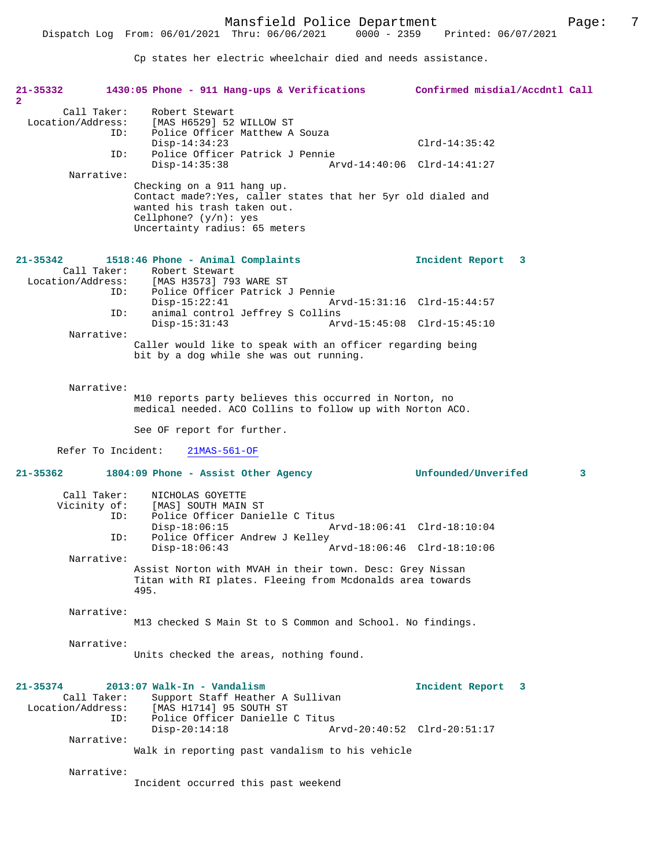Cp states her electric wheelchair died and needs assistance.

| 21-35332<br>$\mathbf{2}^{\circ}$                        | 1430:05 Phone - 911 Hang-ups & Verifications Confirmed misdial/Accdntl Call                                                   |                             |   |
|---------------------------------------------------------|-------------------------------------------------------------------------------------------------------------------------------|-----------------------------|---|
| Call Taker:<br>Location/Address:<br>ID:                 | Robert Stewart<br>[MAS H6529] 52 WILLOW ST<br>Police Officer Matthew A Souza                                                  |                             |   |
|                                                         | $Disp-14:34:23$                                                                                                               | $Clrd-14:35:42$             |   |
| ID:                                                     | Police Officer Patrick J Pennie<br>$Disp-14:35:38$                                                                            | Arvd-14:40:06 Clrd-14:41:27 |   |
| Narrative:                                              | Checking on a 911 hang up.                                                                                                    |                             |   |
|                                                         | Contact made?: Yes, caller states that her 5yr old dialed and<br>wanted his trash taken out.                                  |                             |   |
|                                                         | Cellphone? $(y/n)$ : yes<br>Uncertainty radius: 65 meters                                                                     |                             |   |
| $21 - 35342$                                            | 1518:46 Phone - Animal Complaints                                                                                             | Incident Report 3           |   |
| Location/Address:                                       | Call Taker: Robert Stewart<br>[MAS H3573] 793 WARE ST<br>ID:<br>Police Officer Patrick J Pennie                               |                             |   |
| ID:                                                     | $Disp-15:22:41$<br>animal control Jeffrey S Collins                                                                           | Arvd-15:31:16 Clrd-15:44:57 |   |
| Narrative:                                              | $Disp-15:31:43$                                                                                                               | Arvd-15:45:08 Clrd-15:45:10 |   |
|                                                         | Caller would like to speak with an officer regarding being<br>bit by a dog while she was out running.                         |                             |   |
| Narrative:                                              | M10 reports party believes this occurred in Norton, no                                                                        |                             |   |
|                                                         | medical needed. ACO Collins to follow up with Norton ACO.                                                                     |                             |   |
|                                                         | See OF report for further.                                                                                                    |                             |   |
|                                                         |                                                                                                                               |                             |   |
| Refer To Incident:                                      | $21MAS-561-OF$                                                                                                                |                             |   |
| $21 - 35362$                                            | 1804:09 Phone - Assist Other Agency                                                                                           | Unfounded/Unverifed         | 3 |
| Call Taker:<br>Vicinity of:                             | NICHOLAS GOYETTE<br>[MAS] SOUTH MAIN ST                                                                                       |                             |   |
| ID:<br>ID:                                              | Police Officer Danielle C Titus<br>$Disp-18:06:15$<br>Police Officer Andrew J Kelley                                          | Arvd-18:06:41 Clrd-18:10:04 |   |
| Narrative:                                              | $Disp-18:06:43$                                                                                                               | Arvd-18:06:46 Clrd-18:10:06 |   |
|                                                         | Assist Norton with MVAH in their town. Desc: Grey Nissan<br>Titan with RI plates. Fleeing from Mcdonalds area towards<br>495. |                             |   |
| Narrative:                                              | M13 checked S Main St to S Common and School. No findings.                                                                    |                             |   |
| Narrative:                                              | Units checked the areas, nothing found.                                                                                       |                             |   |
| $21 - 35374$<br>Call Taker:<br>Location/Address:<br>ID: | 2013:07 Walk-In - Vandalism<br>Support Staff Heather A Sullivan<br>[MAS H1714] 95 SOUTH ST<br>Police Officer Danielle C Titus | Incident Report 3           |   |
| Narrative:                                              | $Disp-20:14:18$                                                                                                               | Arvd-20:40:52 Clrd-20:51:17 |   |
| Narrative:                                              | Walk in reporting past vandalism to his vehicle                                                                               |                             |   |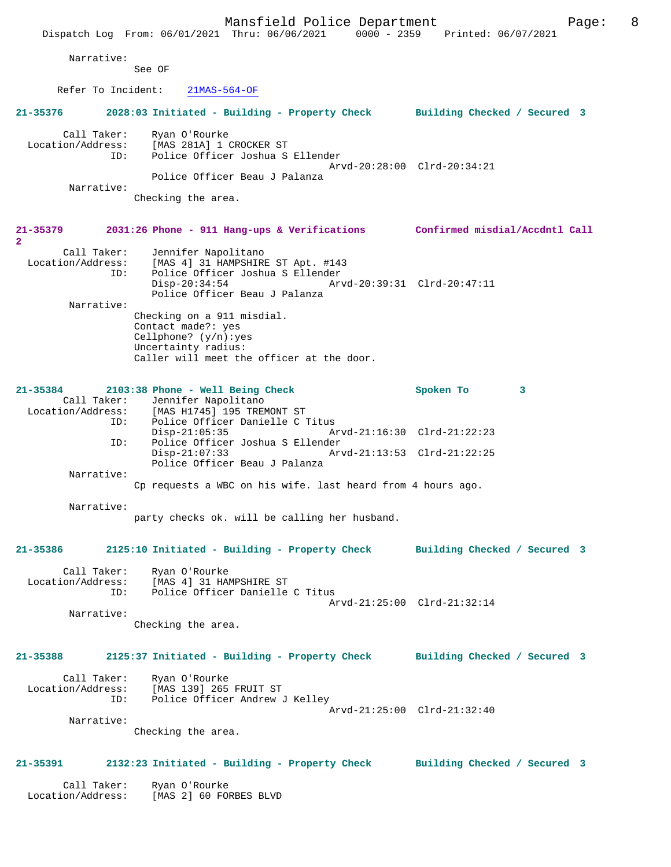|                                          | Mansfield Police Department<br>Dispatch Log From: 06/01/2021 Thru: 06/06/2021 0000 - 2359 Printed: 06/07/2021                        | 8<br>Page:                                                 |
|------------------------------------------|--------------------------------------------------------------------------------------------------------------------------------------|------------------------------------------------------------|
| Narrative:                               | See OF                                                                                                                               |                                                            |
|                                          |                                                                                                                                      |                                                            |
| Refer To Incident:                       | $21MAS-564-OF$                                                                                                                       |                                                            |
| 21-35376                                 | 2028:03 Initiated - Building - Property Check Building Checked / Secured 3                                                           |                                                            |
| Call Taker:<br>Location/Address:<br>ID:  | Ryan O'Rourke<br>[MAS 281A] 1 CROCKER ST<br>Police Officer Joshua S Ellender                                                         | Arvd-20:28:00 Clrd-20:34:21                                |
|                                          | Police Officer Beau J Palanza                                                                                                        |                                                            |
| Narrative:                               | Checking the area.                                                                                                                   |                                                            |
| 21-35379<br>$\mathbf{2}$                 | 2031:26 Phone - 911 Hang-ups & Verifications Confirmed misdial/Accdntl Call                                                          |                                                            |
| Call Taker:<br>ID:                       | Jennifer Napolitano<br>Location/Address: [MAS 4] 31 HAMPSHIRE ST Apt. #143<br>Police Officer Joshua S Ellender<br>$Disp-20:34:54$    | Arvd-20:39:31 Clrd-20:47:11                                |
| Narrative:                               | Police Officer Beau J Palanza<br>Checking on a 911 misdial.<br>Contact made?: yes<br>Cellphone? $(y/n):yes$                          |                                                            |
|                                          | Uncertainty radius:<br>Caller will meet the officer at the door.                                                                     |                                                            |
| $21 - 35384$<br>Location/Address:<br>ID: | 2103:38 Phone - Well Being Check<br>Call Taker: Jennifer Napolitano<br>[MAS H1745] 195 TREMONT ST<br>Police Officer Danielle C Titus | Spoken To<br>3                                             |
| ID:                                      | $Disp-21:05:35$<br>Police Officer Joshua S Ellender<br>$Disp-21:07:33$<br>Police Officer Beau J Palanza                              | Arvd-21:16:30 Clrd-21:22:23<br>Arvd-21:13:53 Clrd-21:22:25 |
| Narrative:                               |                                                                                                                                      |                                                            |
|                                          | Cp requests a WBC on his wife. last heard from 4 hours ago.                                                                          |                                                            |
| Narrative:                               | party checks ok. will be calling her husband.                                                                                        |                                                            |
| $21 - 35386$                             | 2125:10 Initiated - Building - Property Check                                                                                        | Building Checked / Secured 3                               |
| Call Taker:<br>Location/Address:<br>ID:  | Ryan O'Rourke<br>[MAS 4] 31 HAMPSHIRE ST<br>Police Officer Danielle C Titus                                                          |                                                            |
| Narrative:                               | Checking the area.                                                                                                                   | Arvd-21:25:00 Clrd-21:32:14                                |
| 21-35388                                 | 2125:37 Initiated - Building - Property Check Building Checked / Secured 3                                                           |                                                            |
| Call Taker:<br>ID:                       | Ryan O'Rourke<br>Location/Address: [MAS 139] 265 FRUIT ST<br>Police Officer Andrew J Kelley                                          | Arvd-21:25:00 Clrd-21:32:40                                |
| Narrative:                               | Checking the area.                                                                                                                   |                                                            |
|                                          |                                                                                                                                      |                                                            |
| 21-35391                                 | 2132:23 Initiated - Building - Property Check Building Checked / Secured 3                                                           |                                                            |
| Call Taker:<br>Location/Address:         | Ryan O'Rourke<br>[MAS 2] 60 FORBES BLVD                                                                                              |                                                            |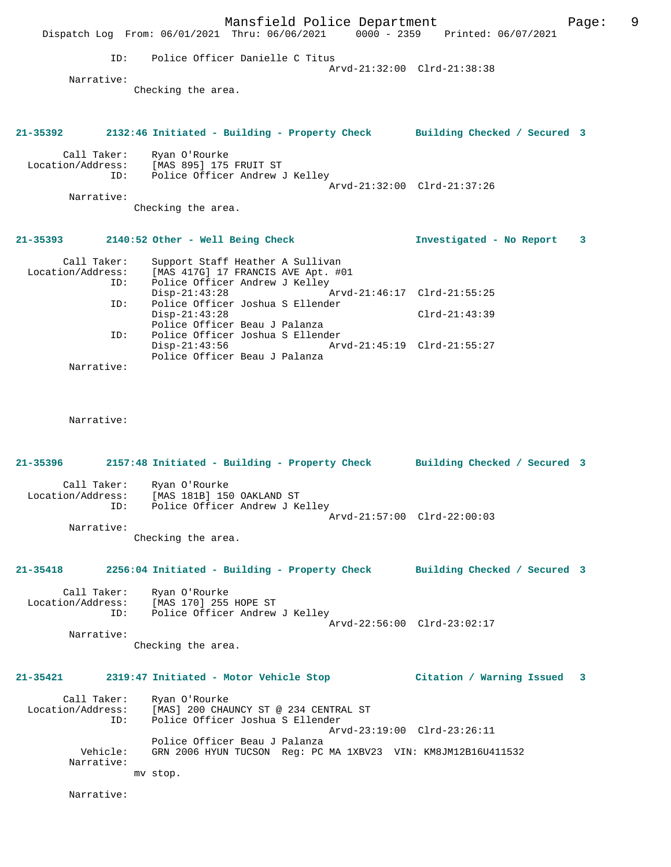|                                                                                           |     | Dispatch Log From: 06/01/2021 Thru: 06/06/2021 0000 - 2359 Printed: 06/07/2021                             | Mansfield Police Department |                             |                          | Page: | 9 |
|-------------------------------------------------------------------------------------------|-----|------------------------------------------------------------------------------------------------------------|-----------------------------|-----------------------------|--------------------------|-------|---|
|                                                                                           |     | ID: Police Officer Danielle C Titus                                                                        |                             | Arvd-21:32:00 Clrd-21:38:38 |                          |       |   |
| Narrative:                                                                                |     |                                                                                                            |                             |                             |                          |       |   |
|                                                                                           |     | Checking the area.                                                                                         |                             |                             |                          |       |   |
| 21-35392                                                                                  |     | 2132:46 Initiated - Building - Property Check Building Checked / Secured 3                                 |                             |                             |                          |       |   |
| Call Taker:                                                                               |     | Ryan O'Rourke<br>Location/Address: [MAS 895] 175 FRUIT ST<br>ID: Police Officer Andrew J Kelley            |                             | Arvd-21:32:00 Clrd-21:37:26 |                          |       |   |
| Narrative:                                                                                |     |                                                                                                            |                             |                             |                          |       |   |
|                                                                                           |     | Checking the area.                                                                                         |                             |                             |                          |       |   |
| 21-35393                                                                                  |     | 2140:52 Other - Well Being Check                                                                           |                             |                             | Investigated - No Report | 3     |   |
| Call Taker:<br>Location/Address:                                                          | ID: | Support Staff Heather A Sullivan<br>[MAS 417G] 17 FRANCIS AVE Apt. #01<br>Police Officer Andrew J Kelley   |                             |                             |                          |       |   |
|                                                                                           |     | $Disp-21:43:28$                                                                                            |                             |                             |                          |       |   |
|                                                                                           | ID: | Police Officer Joshua S Ellender<br>$Disp-21:43:28$<br>Police Officer Beau J Palanza                       |                             |                             | $Clrd-21:43:39$          |       |   |
|                                                                                           | ID: | Police Officer Joshua S Ellender<br>$Disp-21:43:56$<br>Police Officer Beau J Palanza                       |                             |                             |                          |       |   |
| Narrative:                                                                                |     |                                                                                                            |                             |                             |                          |       |   |
| Narrative:                                                                                |     |                                                                                                            |                             |                             |                          |       |   |
| $21 - 35396$                                                                              |     | 2157:48 Initiated - Building - Property Check Building Checked / Secured 3                                 |                             |                             |                          |       |   |
| Call Taker:<br>Location/Address:                                                          |     | Ryan O'Rourke<br>[MAS 181B] 150 OAKLAND ST<br>ID: Police Officer Andrew J Kelley                           |                             |                             |                          |       |   |
|                                                                                           |     |                                                                                                            |                             | Arvd-21:57:00 Clrd-22:00:03 |                          |       |   |
| Narrative:                                                                                |     | Checking the area.                                                                                         |                             |                             |                          |       |   |
| 21-35418 2256:04 Initiated - Building - Property Check Building Checked / Secured 3       |     |                                                                                                            |                             |                             |                          |       |   |
|                                                                                           |     | Call Taker: Ryan O'Rourke<br>Location/Address: [MAS 170] 255 HOPE ST<br>ID: Police Officer Andrew J Kelley |                             | Arvd-22:56:00 Clrd-23:02:17 |                          |       |   |
| Narrative:                                                                                |     |                                                                                                            |                             |                             |                          |       |   |
|                                                                                           |     | Checking the area.                                                                                         |                             |                             |                          |       |   |
| 21-35421 2319:47 Initiated - Motor Vehicle Stop               Citation / Warning Issued 3 |     |                                                                                                            |                             |                             |                          |       |   |
| Location/Address:                                                                         | ID: | Call Taker: Ryan O'Rourke<br>[MAS] 200 CHAUNCY ST @ 234 CENTRAL ST<br>Police Officer Joshua S Ellender     |                             | Arvd-23:19:00 Clrd-23:26:11 |                          |       |   |
| Vehicle:<br>Narrative:                                                                    |     | Police Officer Beau J Palanza<br>GRN 2006 HYUN TUCSON Reg: PC MA 1XBV23 VIN: KM8JM12B16U411532<br>mv stop. |                             |                             |                          |       |   |
| Narrative:                                                                                |     |                                                                                                            |                             |                             |                          |       |   |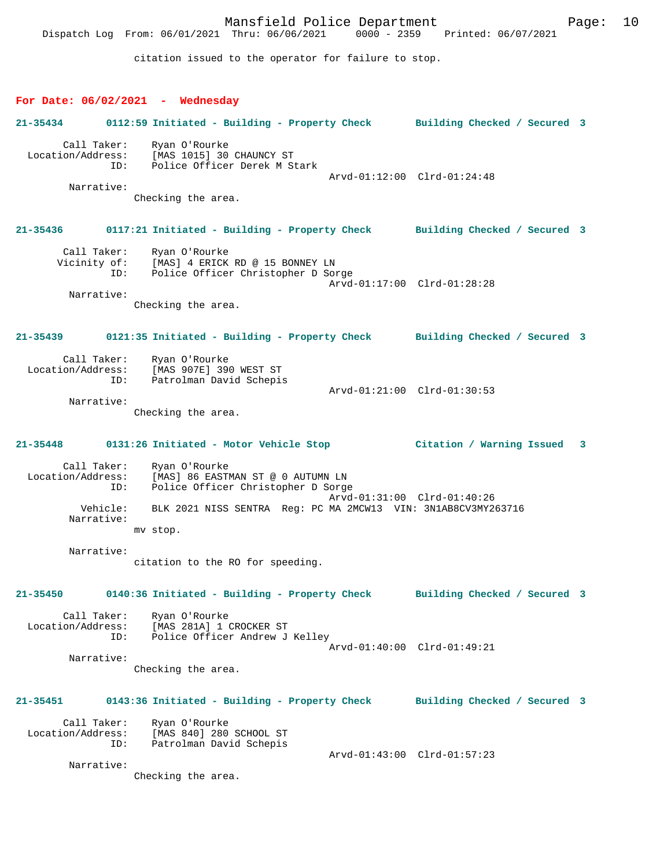Mansfield Police Department Form Page: 10 Dispatch Log From: 06/01/2021 Thru: 06/06/2021 0000 - 2359 Printed: 06/07/2021 citation issued to the operator for failure to stop. **For Date: 06/02/2021 - Wednesday 21-35434 0112:59 Initiated - Building - Property Check Building Checked / Secured 3** Call Taker: Ryan O'Rourke Location/Address: [MAS 1015] 30 CHAUNCY ST ID: Police Officer Derek M Stark Arvd-01:12:00 Clrd-01:24:48 Narrative: Checking the area. **21-35436 0117:21 Initiated - Building - Property Check Building Checked / Secured 3** Call Taker: Ryan O'Rourke Vicinity of: [MAS] 4 ERICK RD @ 15 BONNEY LN ID: Police Officer Christopher D Sorge Arvd-01:17:00 Clrd-01:28:28 Narrative: Checking the area. **21-35439 0121:35 Initiated - Building - Property Check Building Checked / Secured 3** Call Taker: Ryan O'Rourke Location/Address: [MAS 907E] 390 WEST ST ID: Patrolman David Schepis Arvd-01:21:00 Clrd-01:30:53 Narrative: Checking the area. **21-35448 0131:26 Initiated - Motor Vehicle Stop Citation / Warning Issued 3** Call Taker: Ryan O'Rourke Location/Address: [MAS] 86 EASTMAN ST @ 0 AUTUMN LN ID: Police Officer Christopher D Sorge Arvd-01:31:00 Clrd-01:40:26<br>Vehicle: BLK 2021 NISS SENTRA Reg: PC MA 2MCW13 VIN: 3N1AB8CV3MY26 BLK 2021 NISS SENTRA Reg: PC MA 2MCW13 VIN: 3N1AB8CV3MY263716 Narrative: mv stop. Narrative: citation to the RO for speeding. **21-35450 0140:36 Initiated - Building - Property Check Building Checked / Secured 3** Call Taker: Ryan O'Rourke Location/Address: [MAS 281A] 1 CROCKER ST Police Officer Andrew J Kelley Arvd-01:40:00 Clrd-01:49:21 Narrative: Checking the area. **21-35451 0143:36 Initiated - Building - Property Check Building Checked / Secured 3** Call Taker: Ryan O'Rourke Location/Address: [MAS 840] 280 SCHOOL ST ID: Patrolman David Schepis Arvd-01:43:00 Clrd-01:57:23 Narrative: Checking the area.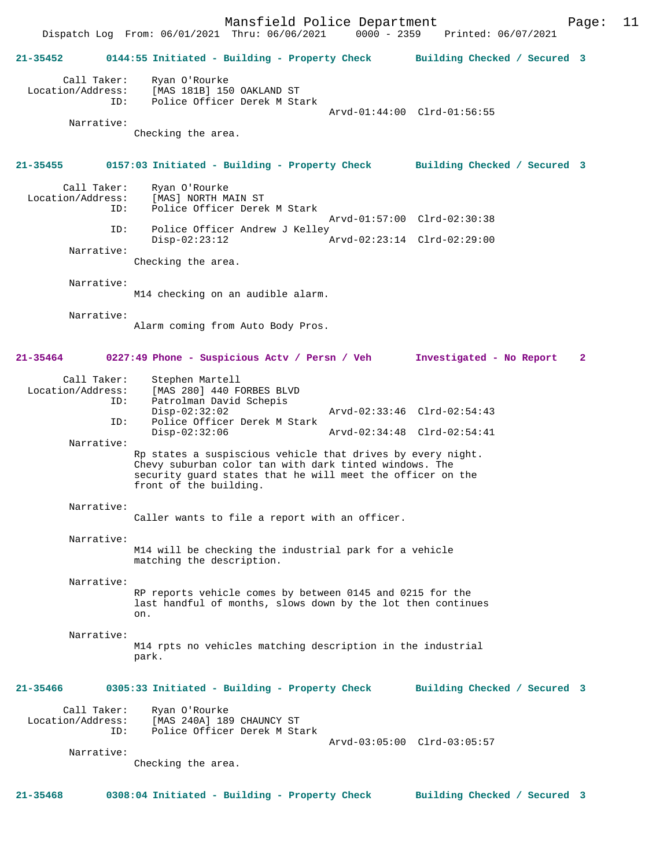Mansfield Police Department Page: 11 Dispatch Log From: 06/01/2021 Thru: 06/06/2021 **21-35452 0144:55 Initiated - Building - Property Check Building Checked / Secured 3** Call Taker: Ryan O'Rourke Location/Address: [MAS 181B] 150 OAKLAND ST ID: Police Officer Derek M Stark Arvd-01:44:00 Clrd-01:56:55 Narrative: Checking the area. **21-35455 0157:03 Initiated - Building - Property Check Building Checked / Secured 3** Call Taker: Ryan O'Rourke<br>Location/Address: [MAS] NORTH M ess: [MAS] NORTH MAIN ST<br>ID: Police Officer Derel Police Officer Derek M Stark Arvd-01:57:00 Clrd-02:30:38 ID: Police Officer Andrew J Kelley<br>Disp-02:23:12  $\sigma$ Arvd-02:23:14 Clrd-02:29:00 Narrative: Checking the area. Narrative: M14 checking on an audible alarm. Narrative: Alarm coming from Auto Body Pros. **21-35464 0227:49 Phone - Suspicious Actv / Persn / Veh Investigated - No Report 2** Call Taker: Stephen Martell<br>Location/Address: [MAS 280] 440 F [MAS 280] 440 FORBES BLVD ID: Patrolman David Schepis<br>Disp-02:32:02 Disp-02:32:02 Arvd-02:33:46 Clrd-02:54:43<br>TD: Police Officer Derek M Stark Police Officer Derek M Stark<br>Disp-02:32:06 Disp-02:32:06 Arvd-02:34:48 Clrd-02:54:41 Narrative: Rp states a suspiscious vehicle that drives by every night. Chevy suburban color tan with dark tinted windows. The security guard states that he will meet the officer on the front of the building. Narrative: Caller wants to file a report with an officer. Narrative: M14 will be checking the industrial park for a vehicle matching the description. Narrative: RP reports vehicle comes by between 0145 and 0215 for the last handful of months, slows down by the lot then continues on. Narrative: M14 rpts no vehicles matching description in the industrial park. **21-35466 0305:33 Initiated - Building - Property Check Building Checked / Secured 3** Call Taker: Ryan O'Rourke<br>Location/Address: [MAS 240A] 18 ess: [MAS 240A] 189 CHAUNCY ST<br>ID: Police Officer Derek M St. Police Officer Derek M Stark Arvd-03:05:00 Clrd-03:05:57 Narrative: Checking the area.

**21-35468 0308:04 Initiated - Building - Property Check Building Checked / Secured 3**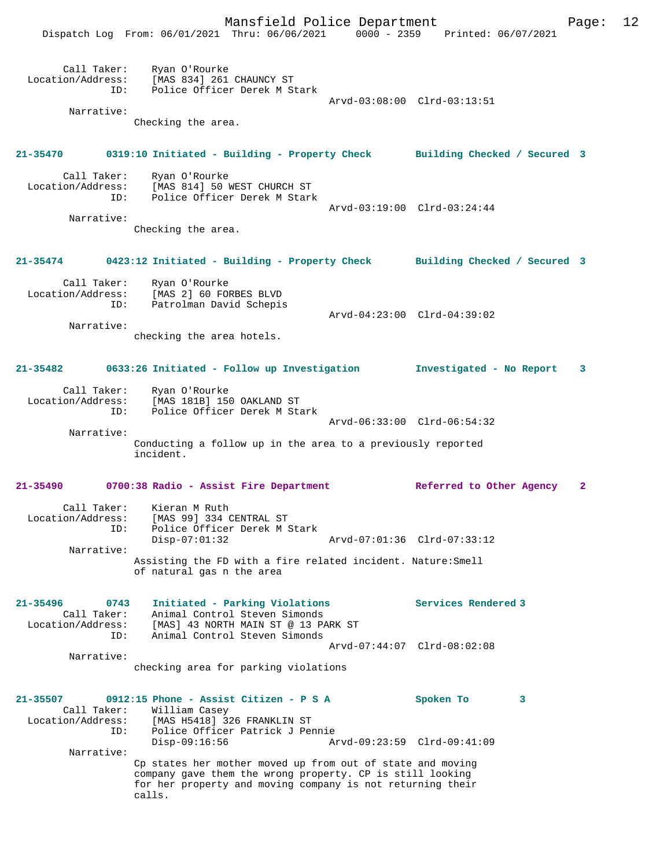Mansfield Police Department Page: 12

|                                                     | FRIDITION I OITCO DOPUL CHIONO<br>Dispatch Log From: 06/01/2021 Thru: 06/06/2021 0000 - 2359 Printed: 06/07/2021                                                                                |                             |                             | $-0.9$       |
|-----------------------------------------------------|-------------------------------------------------------------------------------------------------------------------------------------------------------------------------------------------------|-----------------------------|-----------------------------|--------------|
| Narrative:                                          | Call Taker: Ryan O'Rourke<br>Location/Address: [MAS 834] 261 CHAUNCY ST<br>ID: Police Officer Derek M Stark                                                                                     |                             | Arvd-03:08:00 Clrd-03:13:51 |              |
|                                                     | Checking the area.                                                                                                                                                                              |                             |                             |              |
|                                                     | 21-35470 0319:10 Initiated - Building - Property Check Building Checked / Secured 3                                                                                                             |                             |                             |              |
|                                                     | Call Taker: Ryan O'Rourke<br>Location/Address: [MAS 814] 50 WEST CHURCH ST<br>ID: Police Officer Derek M Stark                                                                                  | Arvd-03:19:00 Clrd-03:24:44 |                             |              |
| Narrative:                                          | Checking the area.                                                                                                                                                                              |                             |                             |              |
|                                                     | 21-35474 		 0423:12 Initiated - Building - Property Check 		 Building Checked / Secured 3                                                                                                       |                             |                             |              |
|                                                     | Call Taker: Ryan O'Rourke<br>Location/Address: [MAS 2] 60 FORBES BLVD<br>ID: Patrolman David Schepis                                                                                            |                             |                             |              |
| Narrative:                                          | checking the area hotels.                                                                                                                                                                       | Arvd-04:23:00 Clrd-04:39:02 |                             |              |
|                                                     | 21-35482 0633:26 Initiated - Follow up Investigation 11 Investigated - No Report                                                                                                                |                             |                             | 3            |
|                                                     | Call Taker: Ryan O'Rourke<br>Location/Address: [MAS 181B] 150 OAKLAND ST<br>ID: Police Officer Derek M Stark                                                                                    |                             |                             |              |
| Narrative:                                          | Conducting a follow up in the area to a previously reported<br>incident.                                                                                                                        | Arvd-06:33:00 Clrd-06:54:32 |                             |              |
|                                                     | 21-35490 0700:38 Radio - Assist Fire Department                                                                                                                                                 |                             | Referred to Other Agency    | $\mathbf{2}$ |
| Location/Address:<br>ID:                            | Call Taker: Kieran M Ruth<br>[MAS 99] 334 CENTRAL ST<br>Police Officer Derek M Stark<br>$Disp-07:01:32$                                                                                         |                             | Arvd-07:01:36 Clrd-07:33:12 |              |
| Narrative:                                          | Assisting the FD with a fire related incident. Nature: Smell<br>of natural gas n the area                                                                                                       |                             |                             |              |
| 21-35496<br>0743<br>Call Taker:<br>ID:              | Initiated - Parking Violations<br>Animal Control Steven Simonds<br>Location/Address: [MAS] 43 NORTH MAIN ST @ 13 PARK ST<br>Animal Control Steven Simonds                                       |                             | Services Rendered 3         |              |
| Narrative:                                          | checking area for parking violations                                                                                                                                                            |                             | Arvd-07:44:07 Clrd-08:02:08 |              |
| 21-35507<br>Call Taker:<br>Location/Address:<br>ID: | 0912:15 Phone - Assist Citizen - P S A<br>William Casey<br>[MAS H5418] 326 FRANKLIN ST<br>Police Officer Patrick J Pennie<br>Disp-09:16:56                                                      | Arvd-09:23:59 Clrd-09:41:09 | Spoken To<br>3              |              |
| Narrative:                                          | Cp states her mother moved up from out of state and moving<br>company gave them the wrong property. CP is still looking<br>for her property and moving company is not returning their<br>calls. |                             |                             |              |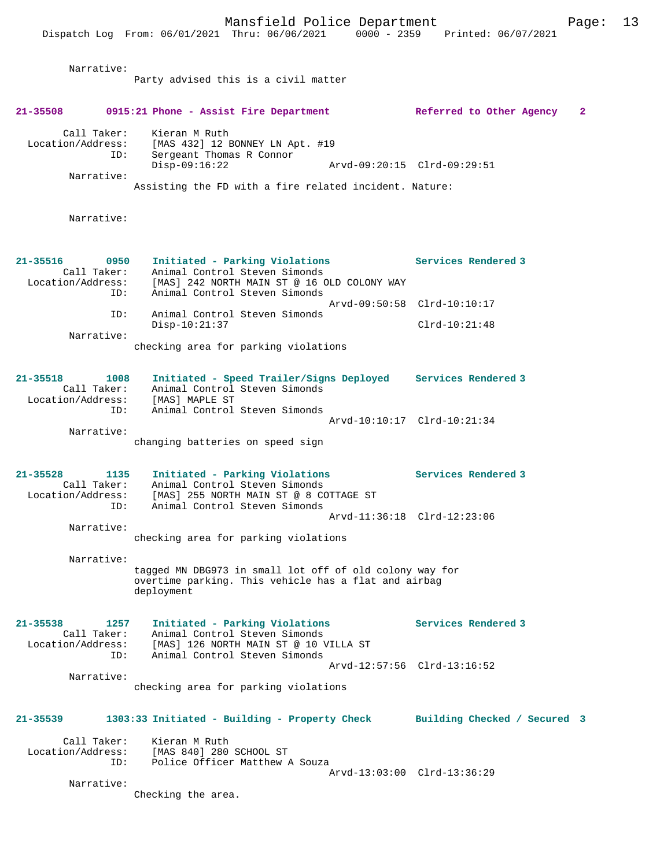| Narrative:               |                                                                              |                             |   |
|--------------------------|------------------------------------------------------------------------------|-----------------------------|---|
|                          | Party advised this is a civil matter                                         |                             |   |
| 21-35508                 | 0915:21 Phone - Assist Fire Department                                       | Referred to Other Agency    | 2 |
| Call Taker:              | Kieran M Ruth                                                                |                             |   |
| Location/Address:        | [MAS 432] 12 BONNEY LN Apt. #19                                              |                             |   |
| ID:                      | Sergeant Thomas R Connor<br>$Disp-09:16:22$                                  | Arvd-09:20:15 Clrd-09:29:51 |   |
| Narrative:               |                                                                              |                             |   |
|                          | Assisting the FD with a fire related incident. Nature:                       |                             |   |
| Narrative:               |                                                                              |                             |   |
|                          |                                                                              |                             |   |
| 21-35516<br>0950         | Initiated - Parking Violations                                               | Services Rendered 3         |   |
| Call Taker:              | Animal Control Steven Simonds                                                |                             |   |
| Location/Address:<br>ID: | [MAS] 242 NORTH MAIN ST @ 16 OLD COLONY WAY<br>Animal Control Steven Simonds |                             |   |
|                          |                                                                              | Arvd-09:50:58 Clrd-10:10:17 |   |
| ID:                      | Animal Control Steven Simonds<br>$Disp-10:21:37$                             | $Clrd-10:21:48$             |   |
| Narrative:               |                                                                              |                             |   |
|                          | checking area for parking violations                                         |                             |   |
| 21-35518<br>1008         | Initiated - Speed Trailer/Signs Deployed Services Rendered 3                 |                             |   |
| Call Taker:              | Animal Control Steven Simonds                                                |                             |   |
| Location/Address:<br>ID: | [MAS] MAPLE ST<br>Animal Control Steven Simonds                              |                             |   |
|                          |                                                                              | Arvd-10:10:17 Clrd-10:21:34 |   |
| Narrative:               |                                                                              |                             |   |
|                          | changing batteries on speed sign                                             |                             |   |
| $21 - 35528$<br>1135     | Initiated - Parking Violations                                               | Services Rendered 3         |   |
| Call Taker:              | Animal Control Steven Simonds                                                |                             |   |
| Location/Address:<br>ID: | [MAS] 255 NORTH MAIN ST @ 8 COTTAGE ST<br>Animal Control Steven Simonds      |                             |   |
|                          |                                                                              | Arvd-11:36:18 Clrd-12:23:06 |   |
| Narrative:               | checking area for parking violations                                         |                             |   |
|                          |                                                                              |                             |   |
| Narrative:               | tagged MN DBG973 in small lot off of old colony way for                      |                             |   |
|                          | overtime parking. This vehicle has a flat and airbag                         |                             |   |
|                          | deployment                                                                   |                             |   |
| $21 - 35538$<br>1257     | Initiated - Parking Violations                                               | Services Rendered 3         |   |
| Call Taker:              | Animal Control Steven Simonds                                                |                             |   |
| Location/Address:<br>ID: | [MAS] 126 NORTH MAIN ST @ 10 VILLA ST<br>Animal Control Steven Simonds       |                             |   |
|                          |                                                                              | Arvd-12:57:56 Clrd-13:16:52 |   |
| Narrative:               | checking area for parking violations                                         |                             |   |
|                          |                                                                              |                             |   |
| 21-35539                 | 1303:33 Initiated - Building - Property Check Building Checked / Secured 3   |                             |   |
| Call Taker:              | Kieran M Ruth                                                                |                             |   |
| Location/Address:<br>ID: | [MAS 840] 280 SCHOOL ST<br>Police Officer Matthew A Souza                    |                             |   |
|                          |                                                                              | Arvd-13:03:00 Clrd-13:36:29 |   |
| Narrative:               | Checking the area.                                                           |                             |   |
|                          |                                                                              |                             |   |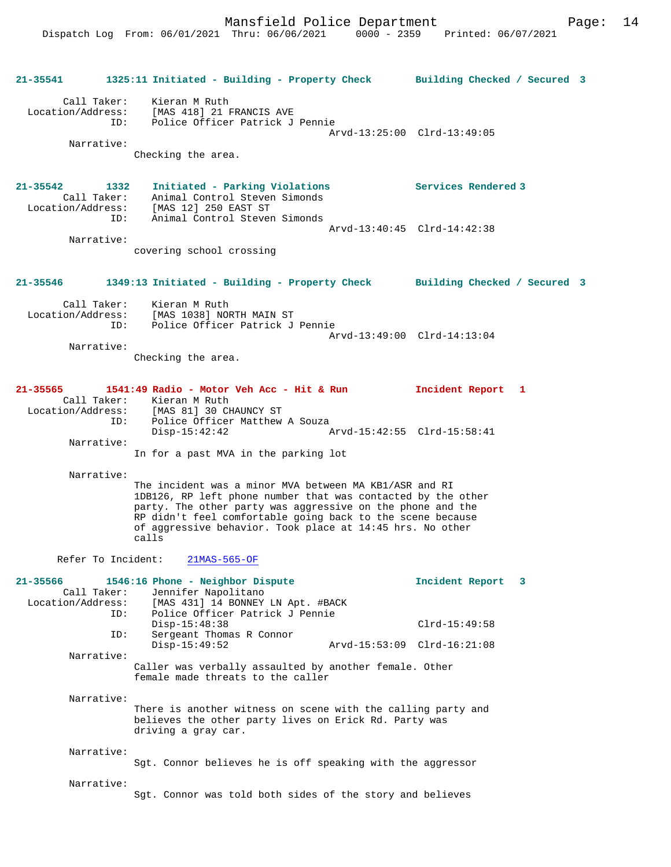| 21-35541                                         | 1325:11 Initiated - Building - Property Check Building Checked / Secured 3                                                                                                                                                                                                                                               |                             |  |
|--------------------------------------------------|--------------------------------------------------------------------------------------------------------------------------------------------------------------------------------------------------------------------------------------------------------------------------------------------------------------------------|-----------------------------|--|
| Call Taker:<br>Location/Address:<br>Narrative:   | Kieran M Ruth<br>[MAS 418] 21 FRANCIS AVE<br>Police Officer Patrick J Pennie<br>ID:                                                                                                                                                                                                                                      | Arvd-13:25:00 Clrd-13:49:05 |  |
|                                                  | Checking the area.                                                                                                                                                                                                                                                                                                       |                             |  |
| $21 - 35542$<br>Call Taker:<br>Location/Address: | 1332<br>Initiated - Parking Violations<br>Animal Control Steven Simonds<br>[MAS 12] 250 EAST ST                                                                                                                                                                                                                          | Services Rendered 3         |  |
| Narrative:                                       | Animal Control Steven Simonds<br>ID:                                                                                                                                                                                                                                                                                     | Arvd-13:40:45 Clrd-14:42:38 |  |
|                                                  | covering school crossing                                                                                                                                                                                                                                                                                                 |                             |  |
| 21-35546                                         | 1349:13 Initiated - Building - Property Check Building Checked / Secured 3                                                                                                                                                                                                                                               |                             |  |
| Call Taker:<br>Location/Address:                 | Kieran M Ruth<br>[MAS 1038] NORTH MAIN ST<br>Police Officer Patrick J Pennie<br>ID:                                                                                                                                                                                                                                      |                             |  |
| Narrative:                                       |                                                                                                                                                                                                                                                                                                                          | Arvd-13:49:00 Clrd-14:13:04 |  |
|                                                  | Checking the area.                                                                                                                                                                                                                                                                                                       |                             |  |
| 21-35565                                         | 1541:49 Radio - Motor Veh Acc - Hit & Run<br>Call Taker: Kieran M Ruth                                                                                                                                                                                                                                                   | Incident Report 1           |  |
|                                                  | Location/Address: [MAS 81] 30 CHAUNCY ST<br>Police Officer Matthew A Souza<br>ID:<br>$Disp-15:42:42$                                                                                                                                                                                                                     | Arvd-15:42:55 Clrd-15:58:41 |  |
| Narrative:                                       | In for a past MVA in the parking lot                                                                                                                                                                                                                                                                                     |                             |  |
| Narrative:                                       |                                                                                                                                                                                                                                                                                                                          |                             |  |
|                                                  | The incident was a minor MVA between MA KB1/ASR and RI<br>1DB126, RP left phone number that was contacted by the other<br>party. The other party was aggressive on the phone and the<br>RP didn't feel comfortable going back to the scene because<br>of aggressive behavior. Took place at 14:45 hrs. No other<br>calls |                             |  |
|                                                  | Refer To Incident: 21MAS-565-OF                                                                                                                                                                                                                                                                                          |                             |  |
| 21-35566<br>Call Taker:<br>Location/Address:     | 1546:16 Phone - Neighbor Dispute<br>Jennifer Napolitano<br>[MAS 431] 14 BONNEY LN Apt. #BACK<br>Police Officer Patrick J Pennie<br>ID:                                                                                                                                                                                   | Incident Report<br>3        |  |
|                                                  | $Disp-15:48:38$<br>Sergeant Thomas R Connor<br>ID:                                                                                                                                                                                                                                                                       | $Clrd-15:49:58$             |  |
| Narrative:                                       | $Disp-15:49:52$                                                                                                                                                                                                                                                                                                          | Arvd-15:53:09 Clrd-16:21:08 |  |
|                                                  | Caller was verbally assaulted by another female. Other<br>female made threats to the caller                                                                                                                                                                                                                              |                             |  |
| Narrative:                                       | There is another witness on scene with the calling party and<br>believes the other party lives on Erick Rd. Party was<br>driving a gray car.                                                                                                                                                                             |                             |  |
| Narrative:                                       | Sgt. Connor believes he is off speaking with the aggressor                                                                                                                                                                                                                                                               |                             |  |
| Narrative:                                       |                                                                                                                                                                                                                                                                                                                          |                             |  |
|                                                  | Sgt. Connor was told both sides of the story and believes                                                                                                                                                                                                                                                                |                             |  |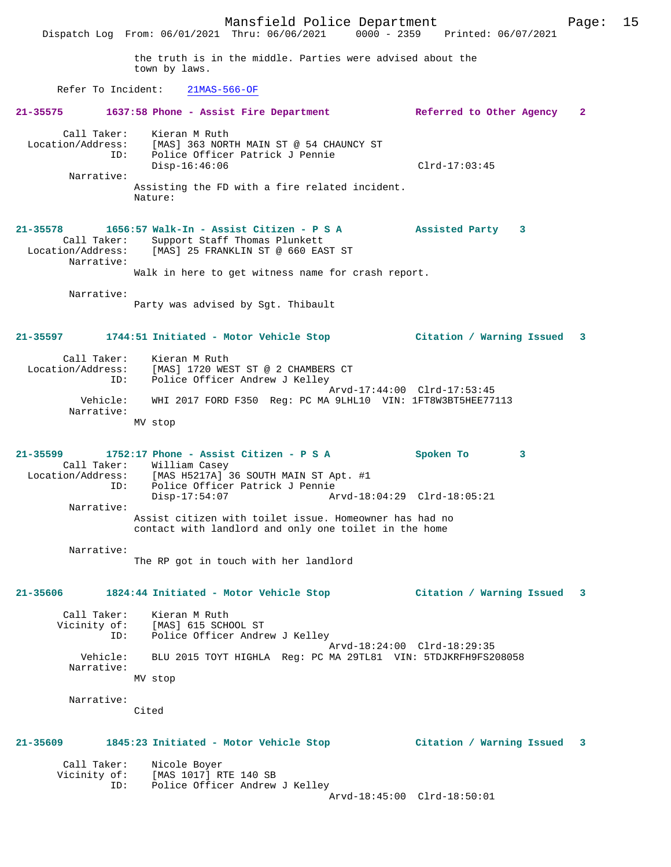Mansfield Police Department Fage: 15 Dispatch Log From: 06/01/2021 Thru: 06/06/2021 0000 - 2359 Printed: 06/07/2021 the truth is in the middle. Parties were advised about the town by laws. Refer To Incident: 21MAS-566-OF **21-35575 1637:58 Phone - Assist Fire Department Referred to Other Agency 2** Call Taker: Kieran M Ruth Location/Address: [MAS] 363 NORTH MAIN ST @ 54 CHAUNCY ST ID: Police Officer Patrick J Pennie Disp-16:46:06 Clrd-17:03:45 Narrative: Assisting the FD with a fire related incident. Nature: **21-35578 1656:57 Walk-In - Assist Citizen - P S A Assisted Party 3**  Call Taker: Support Staff Thomas Plunkett Location/Address: [MAS] 25 FRANKLIN ST @ 660 EAST ST Narrative: Walk in here to get witness name for crash report. Narrative: Party was advised by Sgt. Thibault **21-35597 1744:51 Initiated - Motor Vehicle Stop Citation / Warning Issued 3** Call Taker: Kieran M Ruth Location/Address: [MAS] 1720 WEST ST @ 2 CHAMBERS CT ID: Police Officer Andrew J Kelley Arvd-17:44:00 Clrd-17:53:45 Vehicle: WHI 2017 FORD F350 Reg: PC MA 9LHL10 VIN: 1FT8W3BT5HEE77113 Narrative: MV stop **21-35599 1752:17 Phone - Assist Citizen - P S A Spoken To 3**  Call Taker: William Casey Location/Address: [MAS H5217A] 36 SOUTH MAIN ST Apt. #1 ID: Police Officer Patrick J Pennie Disp-17:54:07 Arvd-18:04:29 Clrd-18:05:21 Narrative: Assist citizen with toilet issue. Homeowner has had no contact with landlord and only one toilet in the home Narrative: The RP got in touch with her landlord **21-35606 1824:44 Initiated - Motor Vehicle Stop Citation / Warning Issued 3** Call Taker: Kieran M Ruth Vicinity of: [MAS] 615 SCHOOL ST ID: Police Officer Andrew J Kelley Arvd-18:24:00 Clrd-18:29:35 Vehicle: BLU 2015 TOYT HIGHLA Reg: PC MA 29TL81 VIN: 5TDJKRFH9FS208058 Narrative: MV stop Narrative: Cited **21-35609 1845:23 Initiated - Motor Vehicle Stop Citation / Warning Issued 3** Call Taker: Nicole Boyer Vicinity of: [MAS 1017] RTE 140 SB ID: Police Officer Andrew J Kelley Arvd-18:45:00 Clrd-18:50:01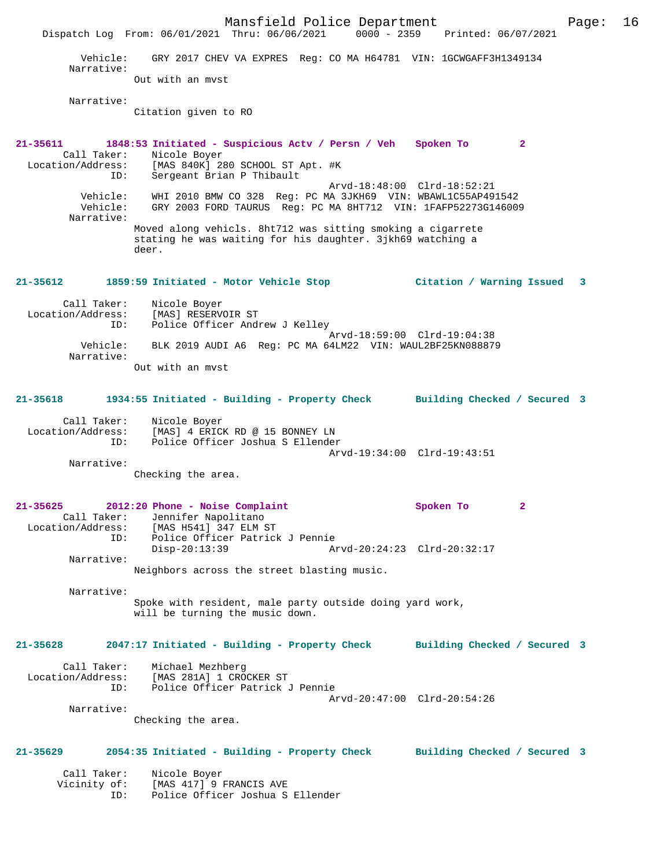Mansfield Police Department Page: 16 Dispatch Log From: 06/01/2021 Thru: 06/06/2021 0000 - 2359 Printed: 06/07/2021 Vehicle: GRY 2017 CHEV VA EXPRES Reg: CO MA H64781 VIN: 1GCWGAFF3H1349134 Narrative: Out with an mvst Narrative: Citation given to RO **21-35611 1848:53 Initiated - Suspicious Actv / Persn / Veh Spoken To 2**  Call Taker: Nicole Boyer Location/Address: [MAS 840K] 280 SCHOOL ST Apt. #K ID: Sergeant Brian P Thibault Arvd-18:48:00 Clrd-18:52:21 Vehicle: WHI 2010 BMW CO 328 Reg: PC MA 3JKH69 VIN: WBAWL1C55AP491542 Vehicle: GRY 2003 FORD TAURUS Reg: PC MA 8HT712 VIN: 1FAFP52273G146009 Narrative: Moved along vehicls. 8ht712 was sitting smoking a cigarrete stating he was waiting for his daughter. 3jkh69 watching a deer. **21-35612 1859:59 Initiated - Motor Vehicle Stop Citation / Warning Issued 3** Call Taker: Nicole Boyer Location/Address: [MAS] RESERVOIR ST ID: Police Officer Andrew J Kelley Arvd-18:59:00 Clrd-19:04:38 Vehicle: BLK 2019 AUDI A6 Reg: PC MA 64LM22 VIN: WAUL2BF25KN088879 Narrative: Out with an mvst **21-35618 1934:55 Initiated - Building - Property Check Building Checked / Secured 3** Call Taker: Nicole Boyer Location/Address: [MAS] 4 ERICK RD @ 15 BONNEY LN ID: Police Officer Joshua S Ellender Arvd-19:34:00 Clrd-19:43:51 Narrative: Checking the area. **21-35625 2012:20 Phone - Noise Complaint Spoken To 2**  Call Taker: Jennifer Napolitano Location/Address: [MAS H541] 347 ELM ST ID: Police Officer Patrick J Pennie Disp-20:13:39 Arvd-20:24:23 Clrd-20:32:17 Narrative: Neighbors across the street blasting music. Narrative: Spoke with resident, male party outside doing yard work, will be turning the music down. **21-35628 2047:17 Initiated - Building - Property Check Building Checked / Secured 3** Call Taker: Michael Mezhberg Location/Address: [MAS 281A] 1 CROCKER ST ID: Police Officer Patrick J Pennie Arvd-20:47:00 Clrd-20:54:26 Narrative: Checking the area. **21-35629 2054:35 Initiated - Building - Property Check Building Checked / Secured 3** Call Taker: Nicole Boyer Vicinity of: [MAS 417] 9 FRANCIS AVE ID: Police Officer Joshua S Ellender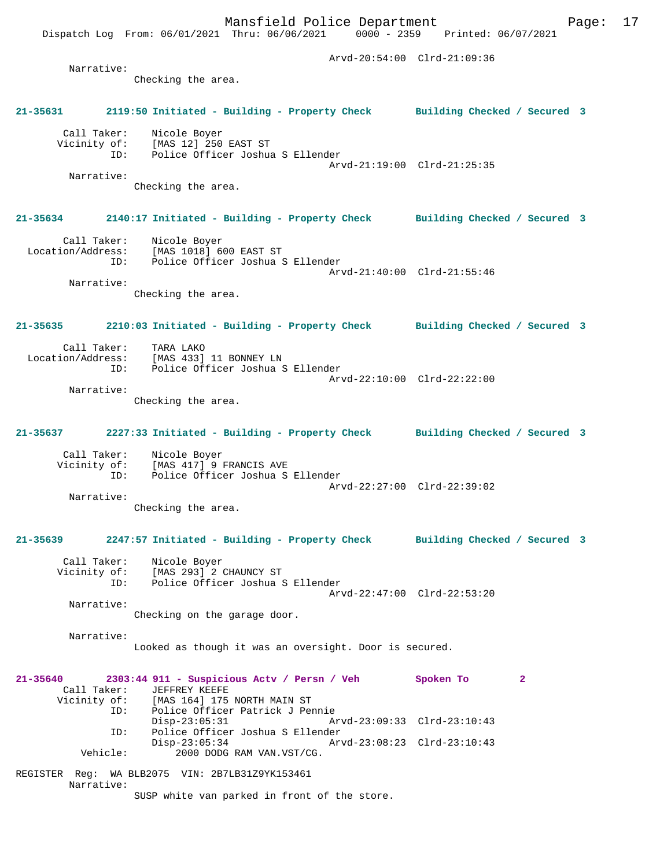Dispatch Log From: 06/01/2021 Thru: 06/06/2021 0000 - 2359 Printed: 06/07/2021 Arvd-20:54:00 Clrd-21:09:36 Narrative: Checking the area. **21-35631 2119:50 Initiated - Building - Property Check Building Checked / Secured 3** Call Taker: Nicole Boyer Vicinity of: [MAS 12] 250 EAST ST ID: Police Officer Joshua S Ellender Arvd-21:19:00 Clrd-21:25:35 Narrative: Checking the area. **21-35634 2140:17 Initiated - Building - Property Check Building Checked / Secured 3** Call Taker: Nicole Boyer Location/Address: [MAS 1018] 600 EAST ST ID: Police Officer Joshua S Ellender Arvd-21:40:00 Clrd-21:55:46 Narrative: Checking the area. **21-35635 2210:03 Initiated - Building - Property Check Building Checked / Secured 3** Call Taker: TARA LAKO<br>Location/Address: [MAS 433] [MAS 433] 11 BONNEY LN ID: Police Officer Joshua S Ellender Arvd-22:10:00 Clrd-22:22:00 Narrative: Checking the area. **21-35637 2227:33 Initiated - Building - Property Check Building Checked / Secured 3** Call Taker: Nicole Boyer Vicinity of: [MAS 417] 9 FRANCIS AVE ID: Police Officer Joshua S Ellender Arvd-22:27:00 Clrd-22:39:02 Narrative: Checking the area. **21-35639 2247:57 Initiated - Building - Property Check Building Checked / Secured 3** Call Taker: Nicole Boyer<br>Vicinity of: [MAS 293] 2 Vicinity of: [MAS 293] 2 CHAUNCY ST ID: Police Officer Joshua S Ellender Arvd-22:47:00 Clrd-22:53:20 Narrative: Checking on the garage door. Narrative: Looked as though it was an oversight. Door is secured. **21-35640 2303:44 911 - Suspicious Actv / Persn / Veh Spoken To 2**  Call Taker: JEFFREY KEEFE<br>Vicinity of: [MAS 164] 175 of: [MAS 164] 175 NORTH MAIN ST<br>ID: Police Officer Patrick J Pe Police Officer Patrick J Pennie<br>Disp-23:05:31 A Disp-23:05:31 Arvd-23:09:33 Clrd-23:10:43 ID: Police Officer Joshua S Ellender Disp-23:05:34 Arvd-23:08:23 Clrd-23:10:43 Vehicle: 2000 DODG RAM VAN.VST/CG.

Mansfield Police Department Fage: 17

REGISTER Reg: WA BLB2075 VIN: 2B7LB31Z9YK153461 Narrative: SUSP white van parked in front of the store.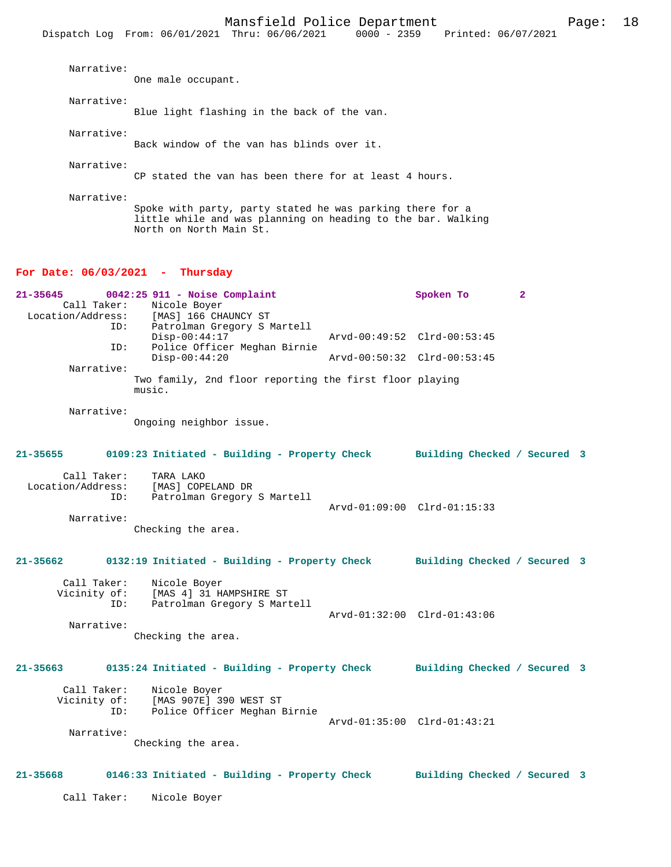| $NGLLAL+VE$ | One male occupant.                                                                                                                                   |
|-------------|------------------------------------------------------------------------------------------------------------------------------------------------------|
| Narrative:  | Blue light flashing in the back of the van.                                                                                                          |
| Narrative:  | Back window of the yan has blinds over it.                                                                                                           |
| Narrative:  | CP stated the van has been there for at least 4 hours.                                                                                               |
| Narrative:  | Spoke with party, party stated he was parking there for a<br>little while and was planning on heading to the bar. Walking<br>North on North Main St. |

### **For Date: 06/03/2021 - Thursday**

| 21-35645          |     | $0042:25$ 911 - Noise Complaint                                   |                             | Spoken To |  |
|-------------------|-----|-------------------------------------------------------------------|-----------------------------|-----------|--|
| Call Taker:       |     | Nicole Boyer                                                      |                             |           |  |
| Location/Address: |     | [MAS] 166 CHAUNCY ST                                              |                             |           |  |
|                   | ID: | Patrolman Gregory S Martell                                       |                             |           |  |
|                   |     | $Disp-00:44:17$                                                   | Arvd-00:49:52 Clrd-00:53:45 |           |  |
|                   | ID: | Police Officer Meghan Birnie                                      |                             |           |  |
|                   |     | $Disp-00:44:20$                                                   | Arvd-00:50:32 Clrd-00:53:45 |           |  |
| Narrative:        |     |                                                                   |                             |           |  |
|                   |     | Two family, 2nd floor reporting the first floor playing<br>music. |                             |           |  |

Narrative:

Narrative:

Ongoing neighbor issue.

### **21-35655 0109:23 Initiated - Building - Property Check Building Checked / Secured 3**

| Call Taker:       | TARA LAKO                   |
|-------------------|-----------------------------|
| Location/Address: | [MAS] COPELAND DR           |
| TD:               | Patrolman Gregory S Martell |

 Arvd-01:09:00 Clrd-01:15:33 Narrative: Checking the area.

**21-35662 0132:19 Initiated - Building - Property Check Building Checked / Secured 3**

 Call Taker: Nicole Boyer Vicinity of: [MAS 4] 31 HAMPSHIRE ST ID: Patrolman Gregory S Martell Arvd-01:32:00 Clrd-01:43:06

Checking the area.

# **21-35663 0135:24 Initiated - Building - Property Check Building Checked / Secured 3**

Call Taker: Nicole Boyer<br>Vicinity of: [MAS 907E] 39 of: [MAS 907E] 390 WEST ST<br>ID: Police Officer Meghan B Police Officer Meghan Birnie Arvd-01:35:00 Clrd-01:43:21 Narrative:

Checking the area.

### **21-35668 0146:33 Initiated - Building - Property Check Building Checked / Secured 3**

Call Taker: Nicole Boyer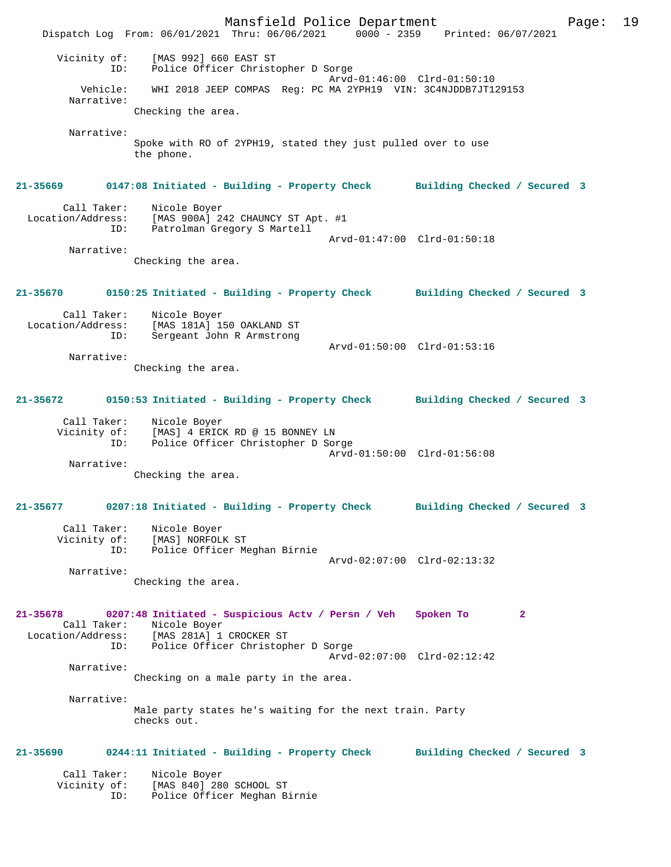Mansfield Police Department Page: 19 Dispatch Log From: 06/01/2021 Thru: 06/06/2021 0000 - 2359 Printed: 06/07/2021 Vicinity of: [MAS 992] 660 EAST ST ID: Police Officer Christopher D Sorge Arvd-01:46:00 Clrd-01:50:10 Vehicle: WHI 2018 JEEP COMPAS Reg: PC MA 2YPH19 VIN: 3C4NJDDB7JT129153 Narrative: Checking the area. Narrative: Spoke with RO of 2YPH19, stated they just pulled over to use the phone. **21-35669 0147:08 Initiated - Building - Property Check Building Checked / Secured 3** Call Taker: Nicole Boyer<br>ion/Address: 1 Location/Address: [MAS 900A] 242 CHAUNCY ST Apt. #1 ID: Patrolman Gregory S Martell Arvd-01:47:00 Clrd-01:50:18 Narrative: Checking the area. **21-35670 0150:25 Initiated - Building - Property Check Building Checked / Secured 3** Call Taker: Nicole Boyer Location/Address: [MAS 181A] 150 OAKLAND ST<br>ID: Sergeant John R Armstrong Sergeant John R Armstrong Arvd-01:50:00 Clrd-01:53:16 Narrative: Checking the area. **21-35672 0150:53 Initiated - Building - Property Check Building Checked / Secured 3** Call Taker: Nicole Boyer Vicinity of: [MAS] 4 ERICK RD @ 15 BONNEY LN ID: Police Officer Christopher D Sorge Arvd-01:50:00 Clrd-01:56:08 Narrative: Checking the area. **21-35677 0207:18 Initiated - Building - Property Check Building Checked / Secured 3** Call Taker: Nicole Boyer Vicinity of: [MAS] NORFOLK ST ID: Police Officer Meghan Birnie Arvd-02:07:00 Clrd-02:13:32 Narrative: Checking the area. **21-35678 0207:48 Initiated - Suspicious Actv / Persn / Veh Spoken To 2**  Call Taker: Nicole Boyer Location/Address: [MAS 281A] 1 CROCKER ST ID: Police Officer Christopher D Sorge Arvd-02:07:00 Clrd-02:12:42 Narrative: Checking on a male party in the area. Narrative: Male party states he's waiting for the next train. Party checks out. **21-35690 0244:11 Initiated - Building - Property Check Building Checked / Secured 3** Call Taker: Nicole Boyer Vicinity of: [MAS 840] 280 SCHOOL ST ID: Police Officer Meghan Birnie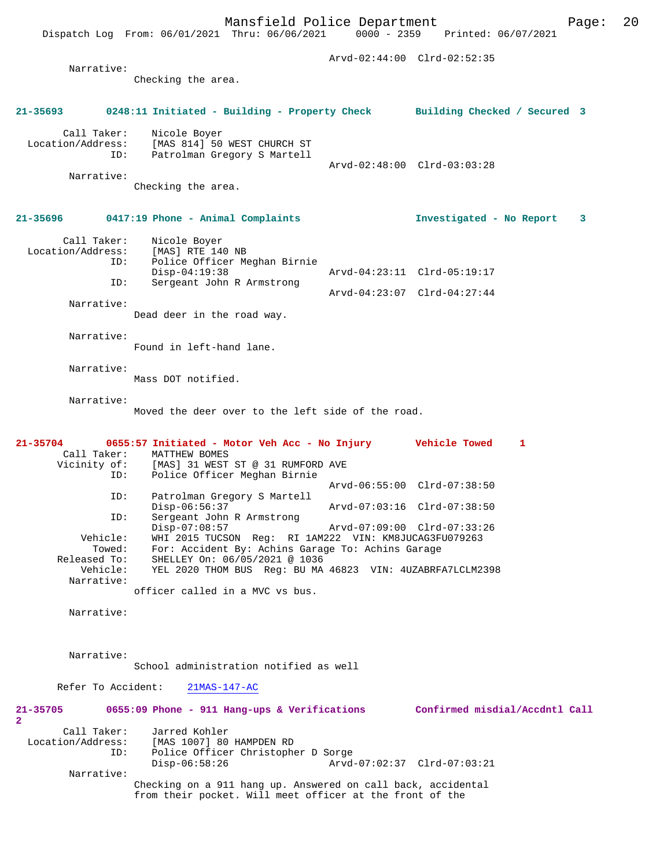Mansfield Police Department Form Page: 20 Dispatch Log From: 06/01/2021 Thru: 06/06/2021 0000 - 2359 Printed: 06/07/2021 Arvd-02:44:00 Clrd-02:52:35 Narrative: Checking the area. **21-35693 0248:11 Initiated - Building - Property Check Building Checked / Secured 3** Call Taker: Nicole Boyer<br>Location/Address: [MAS 814] 50 Location/Address: [MAS 814] 50 WEST CHURCH ST ID: Patrolman Gregory S Martell Arvd-02:48:00 Clrd-03:03:28 Narrative: Checking the area.

**21-35696 0417:19 Phone - Animal Complaints Investigated - No Report 3**

 Call Taker: Nicole Boyer Location/Address: [MAS] RTE 140 NB ID: Police Officer Meghan Birnie Disp-04:19:38 Arvd-04:23:11 Clrd-05:19:17 ID: Sergeant John R Armstrong Arvd-04:23:07 Clrd-04:27:44 Narrative:

Dead deer in the road way.

Narrative:

Found in left-hand lane.

 Narrative: Mass DOT notified.

Narrative:

Moved the deer over to the left side of the road.

| $21 - 35704$ | 0655:57 Initiated - Motor Veh Acc - No Injury             | <b>Vehicle Towed</b>        |  |
|--------------|-----------------------------------------------------------|-----------------------------|--|
| Call Taker:  | MATTHEW BOMES                                             |                             |  |
|              | Vicinity of: [MAS] 31 WEST ST @ 31 RUMFORD AVE            |                             |  |
| ID:          | Police Officer Meghan Birnie                              |                             |  |
|              |                                                           | Arvd-06:55:00 Clrd-07:38:50 |  |
| ID:          | Patrolman Gregory S Martell                               |                             |  |
|              | $Disp-06:56:37$                                           | Arvd-07:03:16 Clrd-07:38:50 |  |
| ID:          | Sergeant John R Armstrong                                 |                             |  |
|              | $Disp-07:08:57$                                           | Arvd-07:09:00 Clrd-07:33:26 |  |
| Vehicle:     | WHI 2015 TUCSON Req: RI 1AM222 VIN: KM8JUCAG3FU079263     |                             |  |
| Towed:       | For: Accident By: Achins Garage To: Achins Garage         |                             |  |
| Released To: | SHELLEY On: 06/05/2021 @ 1036                             |                             |  |
| Vehicle:     | YEL 2020 THOM BUS Req: BU MA 46823 VIN: 4UZABRFA7LCLM2398 |                             |  |
| Narrative:   |                                                           |                             |  |
|              | officer called in a MVC vs bus.                           |                             |  |

Narrative:

Narrative:

School administration notified as well

Refer To Accident: 21MAS-147-AC

| 21-35705<br>$\mathbf{2}$ | 0655:09 Phone - 911 Hang-ups & Verifications                 |                             | Confirmed misdial/Accdntl Call |  |
|--------------------------|--------------------------------------------------------------|-----------------------------|--------------------------------|--|
| Call Taker:              | Jarred Kohler                                                |                             |                                |  |
| Location/Address:        | [MAS 1007] 80 HAMPDEN RD                                     |                             |                                |  |
| ID:                      | Police Officer Christopher D Sorge                           |                             |                                |  |
|                          | Disp-06:58:26                                                | Arvd-07:02:37 Clrd-07:03:21 |                                |  |
| Narrative:               |                                                              |                             |                                |  |
|                          | Checking on a 911 hang up. Answered on call back, accidental |                             |                                |  |
|                          | from their pocket. Will meet officer at the front of the     |                             |                                |  |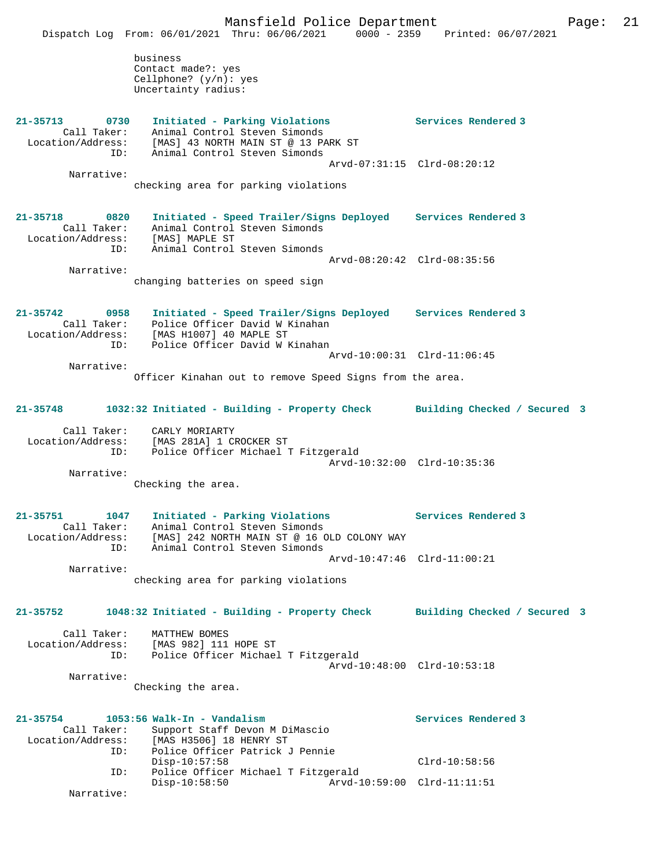**21-35713 0730 Initiated - Parking Violations Services Rendered 3** 

business Contact made?: yes Cellphone? (y/n): yes Uncertainty radius:

 Call Taker: Animal Control Steven Simonds Location/Address: [MAS] 43 NORTH MAIN ST @ 13 PARK ST ID: Animal Control Steven Simonds Arvd-07:31:15 Clrd-08:20:12 Narrative: checking area for parking violations **21-35718 0820 Initiated - Speed Trailer/Signs Deployed Services Rendered 3**  Call Taker: Animal Control Steven Simonds Location/Address: [MAS] MAPLE ST ID: Animal Control Steven Simonds Arvd-08:20:42 Clrd-08:35:56 Narrative: changing batteries on speed sign **21-35742 0958 Initiated - Speed Trailer/Signs Deployed Services Rendered 3**  Call Taker: Police Officer David W Kinahan Location/Address: [MAS H1007] 40 MAPLE ST ID: Police Officer David W Kinahan Arvd-10:00:31 Clrd-11:06:45 Narrative: Officer Kinahan out to remove Speed Signs from the area. **21-35748 1032:32 Initiated - Building - Property Check Building Checked / Secured 3** Call Taker: CARLY MORIARTY Location/Address: [MAS 281A] 1 CROCKER ST ID: Police Officer Michael T Fitzgerald Arvd-10:32:00 Clrd-10:35:36 Narrative: Checking the area. **21-35751 1047 Initiated - Parking Violations Services Rendered 3**  Call Taker: Animal Control Steven Simonds Location/Address: [MAS] 242 NORTH MAIN ST @ 16 OLD COLONY WAY ID: Animal Control Steven Simonds Arvd-10:47:46 Clrd-11:00:21 Narrative: checking area for parking violations **21-35752 1048:32 Initiated - Building - Property Check Building Checked / Secured 3** Call Taker: MATTHEW BOMES Location/Address: [MAS 982] 111 HOPE ST ID: Police Officer Michael T Fitzgerald Arvd-10:48:00 Clrd-10:53:18 Narrative: Checking the area. **21-35754 1053:56 Walk-In - Vandalism Services Rendered 3**  Call Taker: Support Staff Devon M DiMascio<br>Location/Address: [MAS H3506] 18 HENRY ST ess: [MAS H3506] 18 HENRY ST<br>ID: Police Officer Patrick J Police Officer Patrick J Pennie Disp-10:57:58 Clrd-10:58:56<br>TD: Police Officer Michael T Fitzgerald Police Officer Michael T Fitzgerald<br>Disp-10:58:50 Arvd-10 Disp-10:58:50 Arvd-10:59:00 Clrd-11:11:51 Narrative: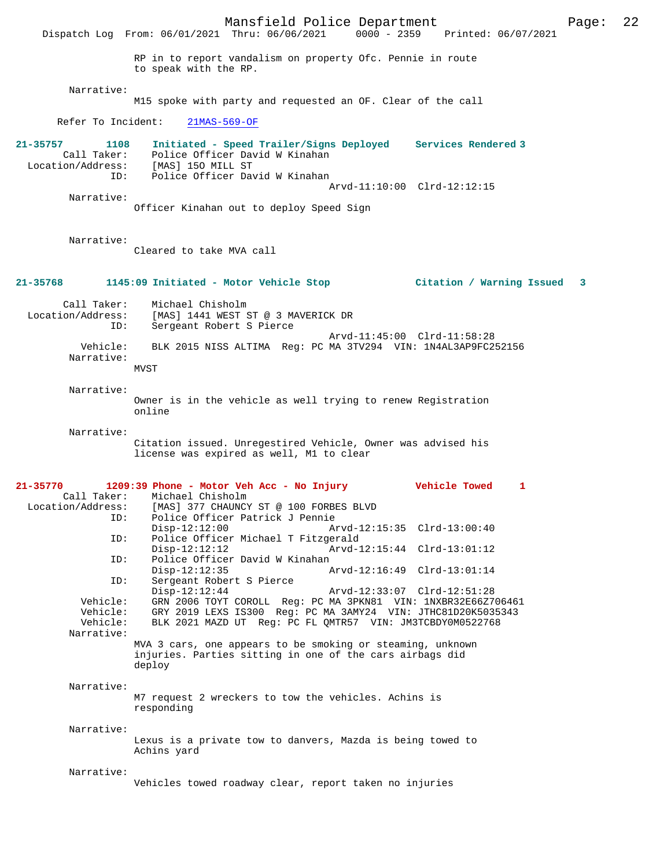Mansfield Police Department Page: 22 Dispatch Log From: 06/01/2021 Thru: 06/06/2021 RP in to report vandalism on property Ofc. Pennie in route to speak with the RP. Narrative: M15 spoke with party and requested an OF. Clear of the call Refer To Incident: 21MAS-569-OF **21-35757 1108 Initiated - Speed Trailer/Signs Deployed Services Rendered 3**  Call Taker: Police Officer David W Kinahan Call Taker. Police Officer Day<br>Location/Address: [MAS] 150 MILL ST ID: Police Officer David W Kinahan Arvd-11:10:00 Clrd-12:12:15 Narrative: Officer Kinahan out to deploy Speed Sign Narrative: Cleared to take MVA call **21-35768 1145:09 Initiated - Motor Vehicle Stop Citation / Warning Issued 3** Call Taker: Michael Chisholm<br>Location/Address: [MAS] 1441 WEST 9 [MAS] 1441 WEST ST @ 3 MAVERICK DR ID: Sergeant Robert S Pierce Arvd-11:45:00 Clrd-11:58:28 Vehicle: BLK 2015 NISS ALTIMA Reg: PC MA 3TV294 VIN: 1N4AL3AP9FC252156 Narrative: **MVST**  Narrative: Owner is in the vehicle as well trying to renew Registration online Narrative: Citation issued. Unregestired Vehicle, Owner was advised his license was expired as well, M1 to clear **21-35770 1209:39 Phone - Motor Veh Acc - No Injury Vehicle Towed 1**  Call Taker: Michael Chisholm Location/Address: [MAS] 377 CHAUNCY ST @ 100 FORBES BLVD Police Officer Patrick J Pennie<br>Disp-12:12:00 Ar Disp-12:12:00 Arvd-12:15:35 Clrd-13:00:40 ID: Police Officer Michael T Fitzgerald Disp-12:12:12 Arvd-12:15:44 Clrd-13:01:12 ID: Police Officer David W Kinahan<br>Disp-12:12:35 Disp-12:12:35 Arvd-12:16:49 Clrd-13:01:14 ID: Sergeant Robert S Pierce Disp-12:12:44 Arvd-12:33:07 Clrd-12:51:28<br>Vehicle: GRN 2006 TOYT COROLL Reg: PC MA 3PKN81 VIN: 1NXBR32E66Z7 Vehicle: GRN 2006 TOYT COROLL Reg: PC MA 3PKN81 VIN: 1NXBR32E66Z706461<br>Vehicle: GRY 2019 LEXS IS300 Reg: PC MA 3AMY24 VIN: JTHC81D20K5035343 Vehicle: GRY 2019 LEXS IS300 Reg: PC MA 3AMY24 VIN: JTHC81D20K5035343<br>Vehicle: BLK 2021 MAZD UT Reg: PC FL OMTR57 VIN: JM3TCBDY0M0522768 BLK 2021 MAZD UT Reg: PC FL QMTR57 VIN: JM3TCBDY0M0522768 Narrative: MVA 3 cars, one appears to be smoking or steaming, unknown injuries. Parties sitting in one of the cars airbags did deploy Narrative: M7 request 2 wreckers to tow the vehicles. Achins is responding Narrative: Lexus is a private tow to danvers, Mazda is being towed to Achins yard Narrative: Vehicles towed roadway clear, report taken no injuries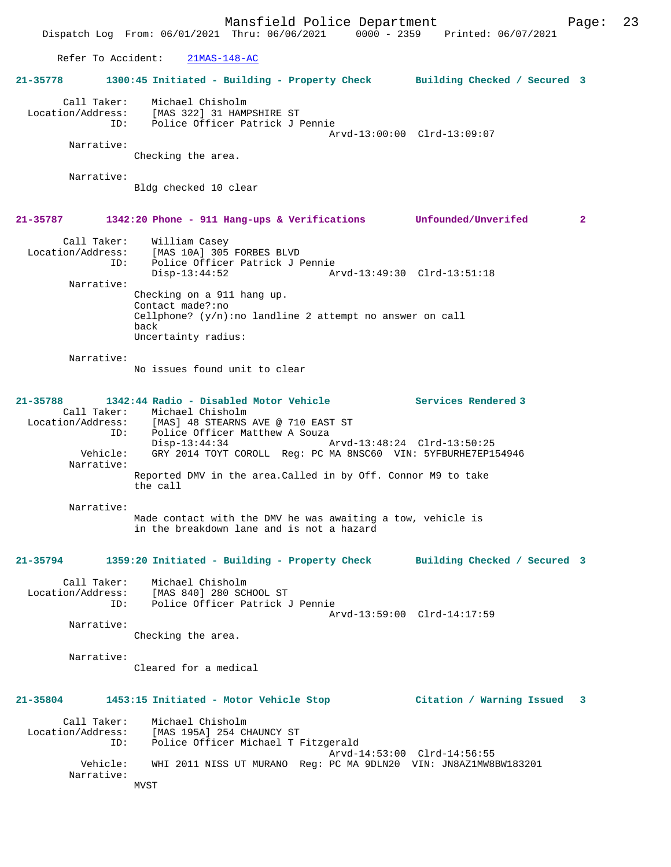Refer To Accident: 21MAS-148-AC

**21-35778 1300:45 Initiated - Building - Property Check Building Checked / Secured 3** Call Taker: Michael Chisholm Location/Address: [MAS 322] 31 HAMPSHIRE ST ID: Police Officer Patrick J Pennie Arvd-13:00:00 Clrd-13:09:07 Narrative: Checking the area. Narrative: Bldg checked 10 clear **21-35787 1342:20 Phone - 911 Hang-ups & Verifications Unfounded/Unverifed 2** Call Taker: William Casey Location/Address: [MAS 10A] 305 FORBES BLVD ID: Police Officer Patrick J Pennie Disp-13:44:52 Arvd-13:49:30 Clrd-13:51:18 Narrative: Checking on a 911 hang up. Contact made?:no Cellphone? (y/n):no landline 2 attempt no answer on call back Uncertainty radius: Narrative: No issues found unit to clear **21-35788 1342:44 Radio - Disabled Motor Vehicle Services Rendered 3**  Call Taker: Michael Chisholm<br>Location/Address: [MAS] 48 STEARNS Location/Address: [MAS] 48 STEARNS AVE @ 710 EAST ST ID: Police Officer Matthew A Souza Disp-13:44:34 Arvd-13:48:24 Clrd-13:50:25 Vehicle: GRY 2014 TOYT COROLL Reg: PC MA 8NSC60 VIN: 5YFBURHE7EP154946 Narrative: Reported DMV in the area.Called in by Off. Connor M9 to take the call Narrative: Made contact with the DMV he was awaiting a tow, vehicle is in the breakdown lane and is not a hazard **21-35794 1359:20 Initiated - Building - Property Check Building Checked / Secured 3** Call Taker: Michael Chisholm Location/Address: [MAS 840] 280 SCHOOL ST ID: Police Officer Patrick J Pennie Arvd-13:59:00 Clrd-14:17:59 Narrative: Checking the area. Narrative: Cleared for a medical **21-35804 1453:15 Initiated - Motor Vehicle Stop Citation / Warning Issued 3** Call Taker: Michael Chisholm Location/Address: [MAS 195A] 254 CHAUNCY ST ID: Police Officer Michael T Fitzgerald Arvd-14:53:00 Clrd-14:56:55 Vehicle: WHI 2011 NISS UT MURANO Reg: PC MA 9DLN20 VIN: JN8AZ1MW8BW183201 Narrative: MVST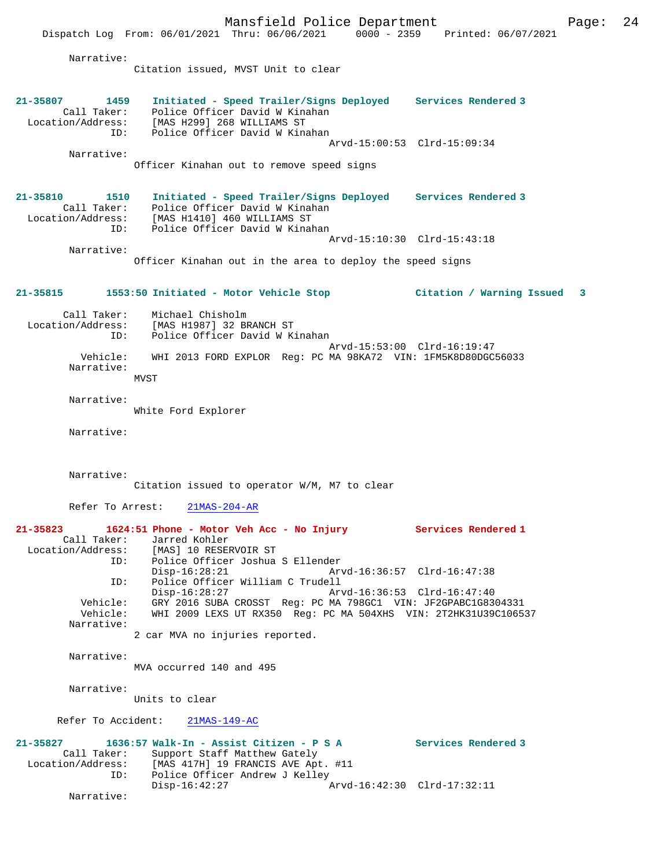Mansfield Police Department Page: 24 Dispatch Log From: 06/01/2021 Thru: 06/06/2021 0000 - 2359 Printed: 06/07/2021 Narrative: Citation issued, MVST Unit to clear **21-35807 1459 Initiated - Speed Trailer/Signs Deployed Services Rendered 3**  Call Taker: Police Officer David W Kinahan Location/Address: [MAS H299] 268 WILLIAMS ST ID: Police Officer David W Kinahan Arvd-15:00:53 Clrd-15:09:34 Narrative: Officer Kinahan out to remove speed signs **21-35810 1510 Initiated - Speed Trailer/Signs Deployed Services Rendered 3**  Call Taker: Police Officer David W Kinahan Location/Address: [MAS H1410] 460 WILLIAMS ST ID: Police Officer David W Kinahan Arvd-15:10:30 Clrd-15:43:18 Narrative: Officer Kinahan out in the area to deploy the speed signs **21-35815 1553:50 Initiated - Motor Vehicle Stop Citation / Warning Issued 3** Call Taker: Michael Chisholm Location/Address: [MAS H1987] 32 BRANCH ST Police Officer David W Kinahan Arvd-15:53:00 Clrd-16:19:47 Vehicle: WHI 2013 FORD EXPLOR Reg: PC MA 98KA72 VIN: 1FM5K8D80DGC56033 Narrative: MVST Narrative: White Ford Explorer Narrative: Narrative: Citation issued to operator W/M, M7 to clear Refer To Arrest: 21MAS-204-AR **21-35823 1624:51 Phone - Motor Veh Acc - No Injury Services Rendered 1**  Call Taker: Jarred Kohler<br>Location/Address: [MAS] 10 RESE Location/Address: [MAS] 10 RESERVOIR ST ID: Police Officer Joshua S Ellender Disp-16:28:21 Arvd-16:36:57 Clrd-16:47:38 ID: Police Officer William C Trudell Disp-16:28:27 Arvd-16:36:53 Clrd-16:47:40 Vehicle: GRY 2016 SUBA CROSST Reg: PC MA 798GC1 VIN: JF2GPABC1G8304331 WHI 2009 LEXS UT RX350 Reg: PC MA 504XHS VIN: 2T2HK31U39C106537 Narrative: 2 car MVA no injuries reported. Narrative: MVA occurred 140 and 495 Narrative: Units to clear Refer To Accident: 21MAS-149-AC **21-35827 1636:57 Walk-In - Assist Citizen - P S A Services Rendered 3**  Call Taker: Support Staff Matthew Gately Location/Address: [MAS 417H] 19 FRANCIS AVE Apt. #11<br>ID: Police Officer Andrew J Kelley<br>Disp-16:42:27 Arvd Police Officer Andrew J Kelley Disp-16:42:27 Arvd-16:42:30 Clrd-17:32:11

Narrative: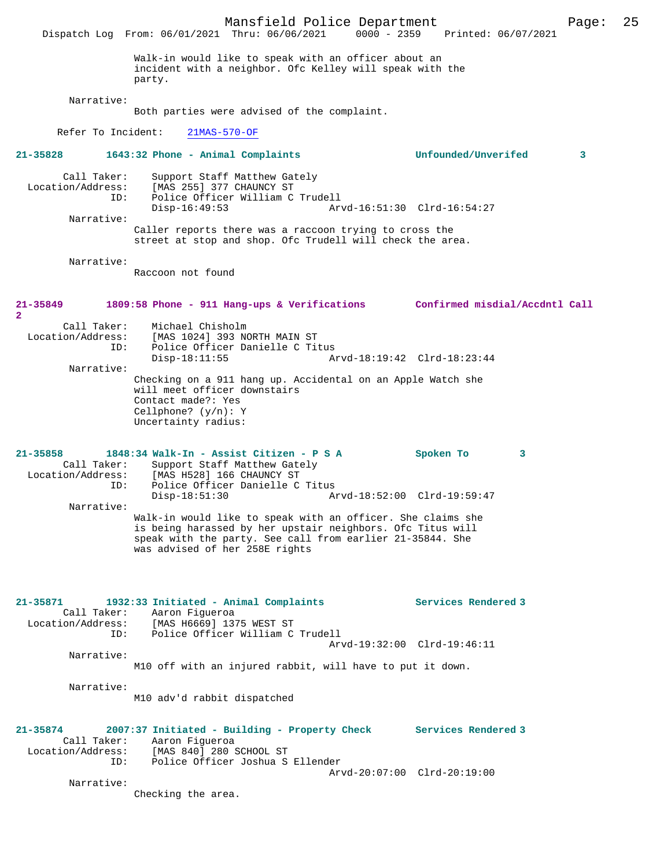Mansfield Police Department Page: 25 Dispatch Log From: 06/01/2021 Thru: 06/06/2021 0000 - 2359 Printed: 06/07/2021 Walk-in would like to speak with an officer about an incident with a neighbor. Ofc Kelley will speak with the party. Narrative: Both parties were advised of the complaint. Refer To Incident: 21MAS-570-OF **21-35828 1643:32 Phone - Animal Complaints Unfounded/Unverifed 3** Call Taker: Support Staff Matthew Gately Location/Address: [MAS 255] 377 CHAUNCY ST ID: Police Officer William C Trudell Disp-16:49:53 Arvd-16:51:30 Clrd-16:54:27 Narrative: Caller reports there was a raccoon trying to cross the street at stop and shop. Ofc Trudell will check the area. Narrative: Raccoon not found **21-35849 1809:58 Phone - 911 Hang-ups & Verifications Confirmed misdial/Accdntl Call 2**  Call Taker: Michael Chisholm<br>Location/Address: [MAS 1024] 393 N ess: [MAS 1024] 393 NORTH MAIN ST<br>ID: Police Officer Danielle C Tit Police Officer Danielle C Titus<br>Disp-18:11:55 A Arvd-18:19:42 Clrd-18:23:44 Narrative: Checking on a 911 hang up. Accidental on an Apple Watch she will meet officer downstairs Contact made?: Yes Cellphone? (y/n): Y Uncertainty radius: **21-35858 1848:34 Walk-In - Assist Citizen - P S A Spoken To 3**  Call Taker: Support Staff Matthew Gately<br>Location/Address: [MAS H528] 166 CHAUNCY ST Location: [MAS H528] 166 CHAUNCY ST<br>ID: Police Officer Danielle C ID: Police Officer Danielle C Titus Disp-18:51:30 Arvd-18:52:00 Clrd-19:59:47 Narrative: Walk-in would like to speak with an officer. She claims she is being harassed by her upstair neighbors. Ofc Titus will speak with the party. See call from earlier 21-35844. She was advised of her 258E rights **21-35871 1932:33 Initiated - Animal Complaints Services Rendered 3**  Call Taker: Aaron Figueroa Location/Address: [MAS H6669] 1375 WEST ST ID: Police Officer William C Trudell Arvd-19:32:00 Clrd-19:46:11 Narrative: M10 off with an injured rabbit, will have to put it down. Narrative: M10 adv'd rabbit dispatched **21-35874 2007:37 Initiated - Building - Property Check Services Rendered 3**  Call Taker: Aaron Figueroa<br>Location/Address: [MAS 840] 280 9 [MAS 840] 280 SCHOOL ST ID: Police Officer Joshua S Ellender Arvd-20:07:00 Clrd-20:19:00 Narrative: Checking the area.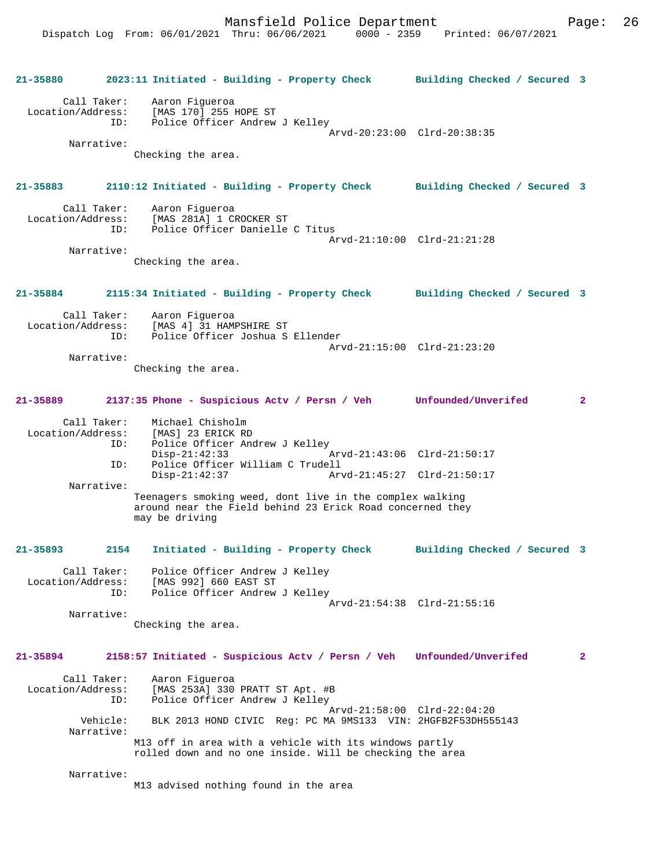| 21-35880                         |                        | 2023:11 Initiated - Building - Property Check                                                                                           | Building Checked / Secured 3 |                |
|----------------------------------|------------------------|-----------------------------------------------------------------------------------------------------------------------------------------|------------------------------|----------------|
| Call Taker:<br>Location/Address: | ID:                    | Aaron Fiqueroa<br>[MAS 170] 255 HOPE ST<br>Police Officer Andrew J Kellev                                                               | Arvd-20:23:00 Clrd-20:38:35  |                |
|                                  | Narrative:             | Checking the area.                                                                                                                      |                              |                |
| 21-35883                         |                        | 2110:12 Initiated - Building - Property Check Building Checked / Secured 3                                                              |                              |                |
| Call Taker:<br>Location/Address: | ID:                    | Aaron Fiqueroa<br>[MAS 281A] 1 CROCKER ST<br>Police Officer Danielle C Titus                                                            | Arvd-21:10:00 Clrd-21:21:28  |                |
|                                  | Narrative:             | Checking the area.                                                                                                                      |                              |                |
| 21-35884                         |                        | 2115:34 Initiated - Building - Property Check                                                                                           | Building Checked / Secured 3 |                |
| Call Taker:                      | ID:                    | Aaron Fiqueroa<br>Location/Address: [MAS 4] 31 HAMPSHIRE ST<br>Police Officer Joshua S Ellender                                         | Arvd-21:15:00 Clrd-21:23:20  |                |
|                                  | Narrative:             | Checking the area.                                                                                                                      |                              |                |
| 21-35889                         |                        | 2137:35 Phone - Suspicious Actv / Persn / Veh Unfounded/Unverifed                                                                       |                              | $\overline{2}$ |
| Call Taker:                      | ID:                    | Michael Chisholm<br>Location/Address: [MAS] 23 ERICK RD<br>Police Officer Andrew J Kelley                                               |                              |                |
|                                  | ID:                    | $Disp-21:42:33$<br>Arvd-21:43:06 Clrd-21:50:17<br>Police Officer William C Trudell<br>$Disp-21:42:37$<br>Arvd-21:45:27 Clrd-21:50:17    |                              |                |
|                                  | Narrative:             | Teenagers smoking weed, dont live in the complex walking<br>around near the Field behind 23 Erick Road concerned they<br>may be driving |                              |                |
| $21 - 35893$                     | 2154                   | Initiated - Building - Property Check                                                                                                   | Building Checked / Secured 3 |                |
| Call Taker:<br>Location/Address: |                        | Police Officer Andrew J Kelley<br>[MAS 992] 660 EAST ST                                                                                 |                              |                |
|                                  | ID:<br>Narrative:      | Police Officer Andrew J Kelley                                                                                                          | Arvd-21:54:38 Clrd-21:55:16  |                |
|                                  |                        | Checking the area.                                                                                                                      |                              |                |
| $21 - 35894$                     |                        | 2158:57 Initiated - Suspicious Actv / Persn / Veh Unfounded/Unverifed                                                                   |                              | $\overline{2}$ |
| Call Taker:<br>Location/Address: | ID:                    | Aaron Fiqueroa<br>[MAS 253A] 330 PRATT ST Apt. #B<br>Police Officer Andrew J Kelley                                                     |                              |                |
|                                  | Vehicle:<br>Narrative: | BLK 2013 HOND CIVIC Req: PC MA 9MS133 VIN: 2HGFB2F53DH555143                                                                            | Arvd-21:58:00 Clrd-22:04:20  |                |
|                                  |                        | M13 off in area with a vehicle with its windows partly<br>rolled down and no one inside. Will be checking the area                      |                              |                |
|                                  | Narrative:             | M13 advised nothing found in the area                                                                                                   |                              |                |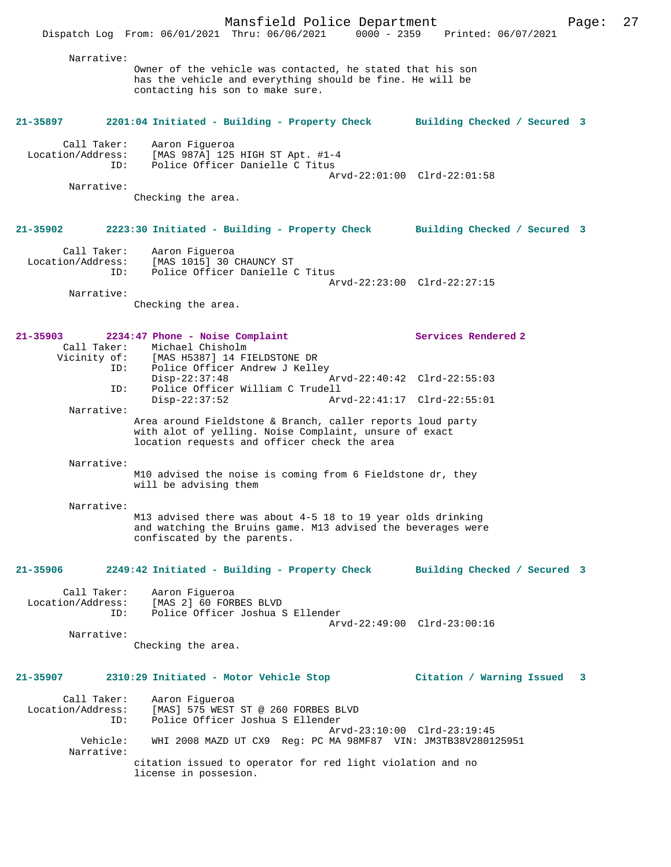Mansfield Police Department Page: 27 Dispatch Log From: 06/01/2021 Thru: 06/06/2021 0000 - 2359 Printed: 06/07/2021 Narrative: Owner of the vehicle was contacted, he stated that his son has the vehicle and everything should be fine. He will be contacting his son to make sure. **21-35897 2201:04 Initiated - Building - Property Check Building Checked / Secured 3** Call Taker: Aaron Figueroa Location/Address: [MAS 987A] 125 HIGH ST Apt. #1-4 ID: Police Officer Danielle C Titus Arvd-22:01:00 Clrd-22:01:58 Narrative: Checking the area. **21-35902 2223:30 Initiated - Building - Property Check Building Checked / Secured 3** Call Taker: Aaron Figueroa Location/Address: [MAS 1015] 30 CHAUNCY ST ID: Police Officer Danielle C Titus Arvd-22:23:00 Clrd-22:27:15 Narrative: Checking the area. **21-35903 2234:47 Phone - Noise Complaint Services Rendered 2**  Call Taker: Michael Chisholm Vicinity of: [MAS H5387] 14 FIELDSTONE DR<br>ID: Police Officer Andrew J Kelle Police Officer Andrew J Kelley<br>Disp-22:37:48  $Arvd-22:40:42$  Clrd-22:55:03 ID: Police Officer William C Trudell Disp-22:37:52 Arvd-22:41:17 Clrd-22:55:01 Narrative: Area around Fieldstone & Branch, caller reports loud party with alot of yelling. Noise Complaint, unsure of exact location requests and officer check the area Narrative: M10 advised the noise is coming from 6 Fieldstone dr, they will be advising them Narrative: M13 advised there was about 4-5 18 to 19 year olds drinking and watching the Bruins game. M13 advised the beverages were confiscated by the parents. **21-35906 2249:42 Initiated - Building - Property Check Building Checked / Secured 3** Call Taker: Aaron Figueroa Location/Address: [MAS 2] 60 FORBES BLVD<br>ID: Police Officer Joshua 2 Police Officer Joshua S Ellender Arvd-22:49:00 Clrd-23:00:16 Narrative: Checking the area. **21-35907 2310:29 Initiated - Motor Vehicle Stop Citation / Warning Issued 3** Call Taker: Aaron Figueroa Location/Address: [MAS] 575 WEST ST @ 260 FORBES BLVD ID: Police Officer Joshua S Ellender Arvd-23:10:00 Clrd-23:19:45<br>Vehicle: WHI 2008 MAZD UT CX9 Reg: PC MA 98MF87 VIN: JM3TB38V2801 Vehicle: WHI 2008 MAZD UT CX9 Reg: PC MA 98MF87 VIN: JM3TB38V280125951 Narrative: citation issued to operator for red light violation and no

license in possesion.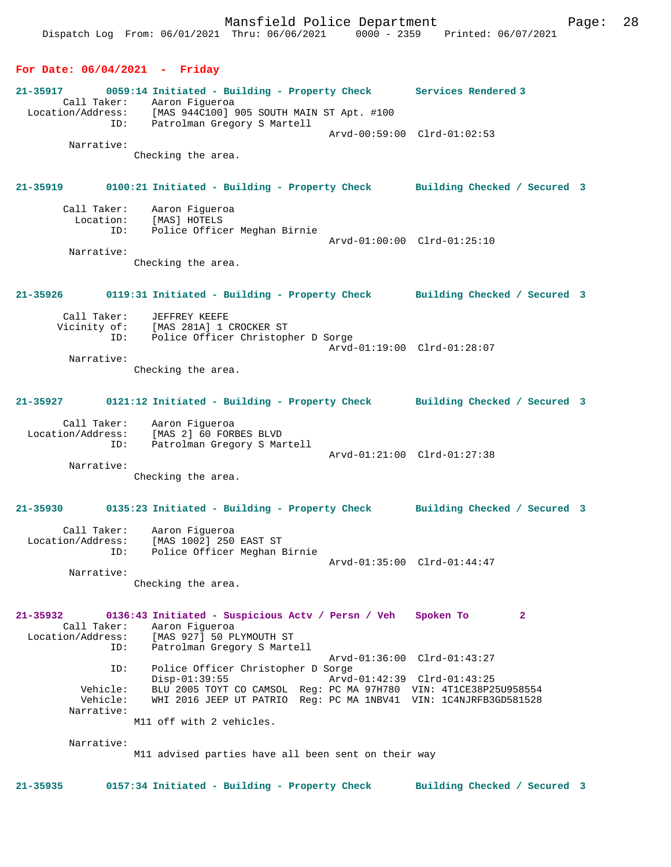## **For Date: 06/04/2021 - Friday**

**21-35917 0059:14 Initiated - Building - Property Check Services Rendered 3**  Call Taker: Aaron Figueroa Location/Address: [MAS 944C100] 905 SOUTH MAIN ST Apt. #100 ID: Patrolman Gregory S Martell Arvd-00:59:00 Clrd-01:02:53 Narrative: Checking the area. **21-35919 0100:21 Initiated - Building - Property Check Building Checked / Secured 3** Call Taker: Aaron Figueroa<br>Location: [MAS] HOTELS ion: [MAS] HOTELS<br>ID: [MAS] HOTELS<br>ID: Police Office Police Officer Meghan Birnie Arvd-01:00:00 Clrd-01:25:10 Narrative: Checking the area. **21-35926 0119:31 Initiated - Building - Property Check Building Checked / Secured 3** Call Taker: JEFFREY KEEFE Vicinity of: [MAS 281A] 1 CROCKER ST ID: Police Officer Christopher D Sorge Arvd-01:19:00 Clrd-01:28:07 Narrative: Checking the area. **21-35927 0121:12 Initiated - Building - Property Check Building Checked / Secured 3** Call Taker: Aaron Figueroa Location/Address: [MAS 2] 60 FORBES BLVD ID: Patrolman Gregory S Martell Arvd-01:21:00 Clrd-01:27:38 Narrative: Checking the area. **21-35930 0135:23 Initiated - Building - Property Check Building Checked / Secured 3** Call Taker: Aaron Figueroa Location/Address: [MAS 1002] 250 EAST ST ID: Police Officer Meghan Birnie Arvd-01:35:00 Clrd-01:44:47 Narrative: Checking the area. **21-35932 0136:43 Initiated - Suspicious Actv / Persn / Veh Spoken To 2**  Call Taker: Aaron Figueroa<br>Location/Address: [MAS 927] 50 P. ess: [MAS 927] 50 PLYMOUTH ST<br>ID: Patrolman Gregory S Marte Patrolman Gregory S Martell Arvd-01:36:00 Clrd-01:43:27<br>TD: Police Officer Christopher D Sorge Police Officer Christopher D Sorge<br>Disp-01:39:55 Arvd- Disp-01:39:55 Arvd-01:42:39 Clrd-01:43:25 Vehicle: BLU 2005 TOYT CO CAMSOL Reg: PC MA 97H780 VIN: 4T1CE38P25U958554 Vehicle: WHI 2016 JEEP UT PATRIO Reg: PC MA 1NBV41 VIN: 1C4NJRFB3GD581528 Narrative: M11 off with 2 vehicles. Narrative: M11 advised parties have all been sent on their way **21-35935 0157:34 Initiated - Building - Property Check Building Checked / Secured 3**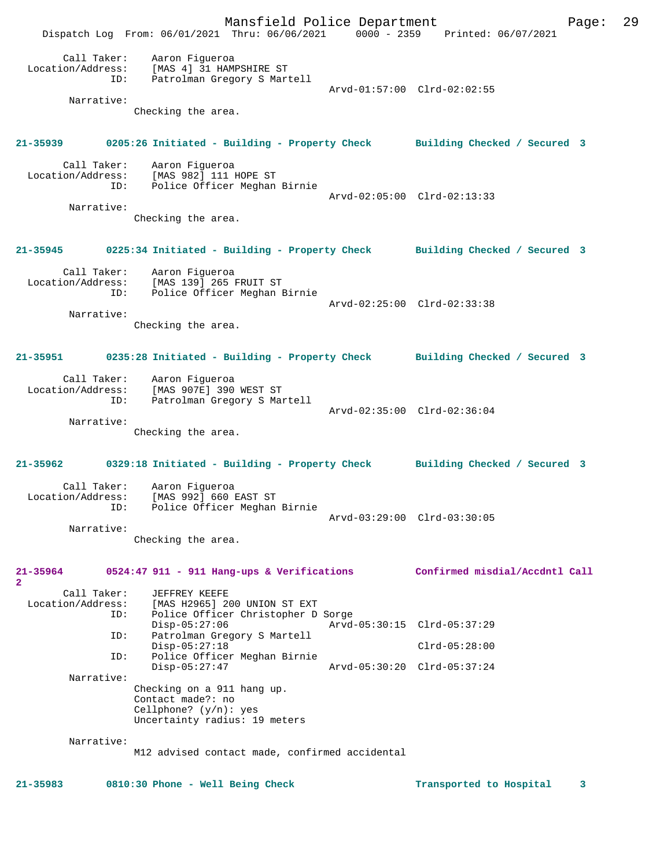Mansfield Police Department Page: 29 Dispatch Log From: 06/01/2021 Thru: 06/06/2021 0000 - 2359 Printed: 06/07/2021 Call Taker: Aaron Figueroa Location/Address: [MAS 4] 31 HAMPSHIRE ST ID: Patrolman Gregory S Martell Arvd-01:57:00 Clrd-02:02:55 Narrative: Checking the area. **21-35939 0205:26 Initiated - Building - Property Check Building Checked / Secured 3** Call Taker: Aaron Figueroa Location/Address: [MAS 982] 111 HOPE ST ID: Police Officer Meghan Birnie Arvd-02:05:00 Clrd-02:13:33 Narrative: Checking the area. **21-35945 0225:34 Initiated - Building - Property Check Building Checked / Secured 3** Call Taker: Aaron Figueroa Location/Address: [MAS 139] 265 FRUIT ST ID: Police Officer Meghan Birnie Arvd-02:25:00 Clrd-02:33:38 Narrative: Checking the area. **21-35951 0235:28 Initiated - Building - Property Check Building Checked / Secured 3** Call Taker: Aaron Figueroa Location/Address: [MAS 907E] 390 WEST ST ID: Patrolman Gregory S Martell Arvd-02:35:00 Clrd-02:36:04 Narrative: Checking the area. **21-35962 0329:18 Initiated - Building - Property Check Building Checked / Secured 3** Call Taker: Aaron Figueroa<br>Location/Address: [MAS 992] 660 B [MAS 992] 660 EAST ST ID: Police Officer Meghan Birnie Arvd-03:29:00 Clrd-03:30:05 Narrative: Checking the area. **21-35964 0524:47 911 - 911 Hang-ups & Verifications Confirmed misdial/Accdntl Call 2**  Call Taker: JEFFREY KEEFE Location/Address: [MAS H2965] 200 UNION ST EXT ID: Police Officer Christopher D Sorge Disp-05:27:06 <br>
Disp-05:27:06 <br>
Di Patrolman Gregory S Martell<br>
Displays and the Batrolman Gregory S Martell<br>
Displays and the Batrolman Gregory S Martell Patrolman Gregory S Martell Disp-05:27:18 Clrd-05:28:00<br>ID: Police Officer Meghan Birnie Police Officer Meghan Birnie<br>Disp-05:27:47 Disp-05:27:47 Arvd-05:30:20 Clrd-05:37:24 Narrative: Checking on a 911 hang up. Contact made?: no Cellphone? (y/n): yes Uncertainty radius: 19 meters Narrative: M12 advised contact made, confirmed accidental **21-35983 0810:30 Phone - Well Being Check Transported to Hospital 3**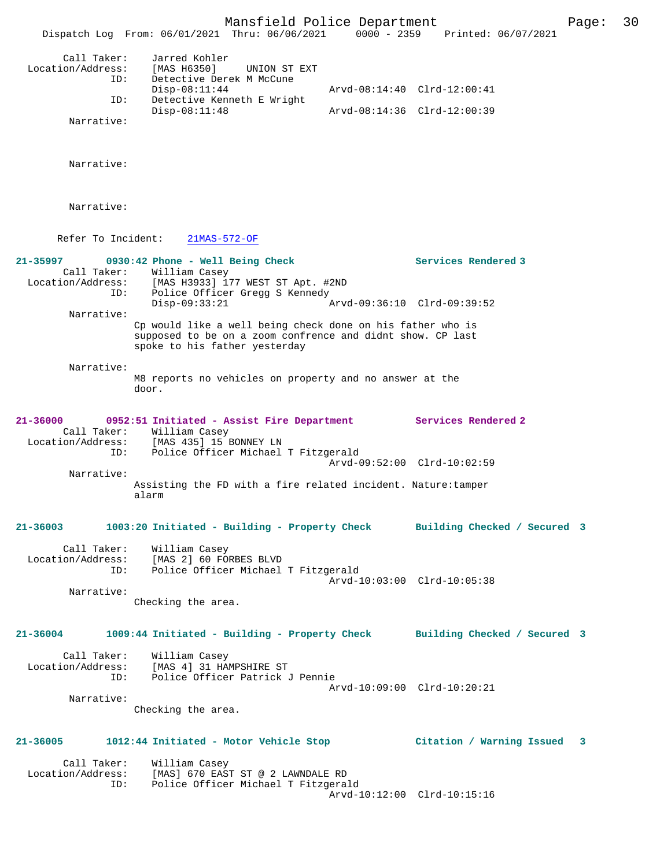Mansfield Police Department Page: 30 Dispatch Log From: 06/01/2021 Thru: 06/06/2021 0000 - 2359 Printed: 06/07/2021 Call Taker: Jarred Kohler Location/Address: [MAS H6350] UNION ST EXT ID: Detective Derek M McCune<br>Disp-08:11:44 Disp-08:11:44 Arvd-08:14:40 Clrd-12:00:41 ID: Detective Kenneth E Wright Disp-08:11:48 Arvd-08:14:36 Clrd-12:00:39 Narrative: Narrative: Narrative: Refer To Incident: 21MAS-572-OF 21-35997 0930:42 Phone - Well Being Check Services Rendered 3 Call Taker: William Casey Location/Address: [MAS H3933] 177 WEST ST Apt. #2ND ID: Police Officer Gregg S Kennedy<br>Disp-09:33:21 A Disp-09:33:21 Arvd-09:36:10 Clrd-09:39:52 Narrative: Cp would like a well being check done on his father who is supposed to be on a zoom confrence and didnt show. CP last spoke to his father yesterday Narrative: M8 reports no vehicles on property and no answer at the door. **21-36000 0952:51 Initiated - Assist Fire Department Services Rendered 2**  Call Taker: William Casey<br>Location/Address: [MAS 435] 15 1 [MAS 435] 15 BONNEY LN ID: Police Officer Michael T Fitzgerald Arvd-09:52:00 Clrd-10:02:59 Narrative: Assisting the FD with a fire related incident. Nature:tamper alarm **21-36003 1003:20 Initiated - Building - Property Check Building Checked / Secured 3** Call Taker: William Casey Location/Address: [MAS 2] 60 FORBES BLVD ID: Police Officer Michael T Fitzgerald Arvd-10:03:00 Clrd-10:05:38 Narrative: Checking the area. **21-36004 1009:44 Initiated - Building - Property Check Building Checked / Secured 3** Call Taker: William Casey Location/Address: [MAS 4] 31 HAMPSHIRE ST Police Officer Patrick J Pennie Arvd-10:09:00 Clrd-10:20:21 Narrative: Checking the area. **21-36005 1012:44 Initiated - Motor Vehicle Stop Citation / Warning Issued 3** Call Taker: William Casey Location/Address: [MAS] 670 EAST ST @ 2 LAWNDALE RD ID: Police Officer Michael T Fitzgerald Arvd-10:12:00 Clrd-10:15:16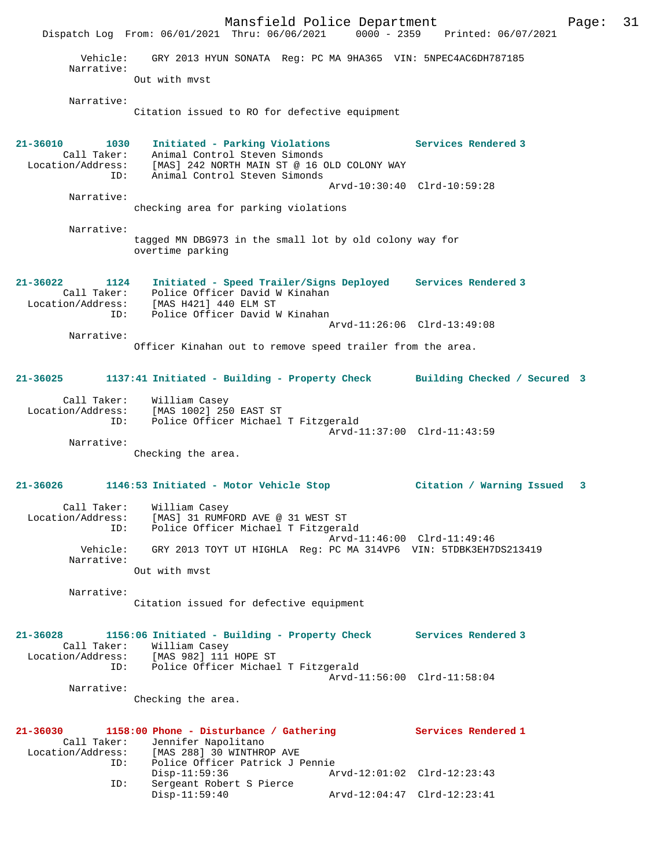Mansfield Police Department Fage: 31 Dispatch Log From: 06/01/2021 Thru: 06/06/2021 0000 - 2359 Printed: 06/07/2021 Vehicle: GRY 2013 HYUN SONATA Reg: PC MA 9HA365 VIN: 5NPEC4AC6DH787185 Narrative: Out with mvst Narrative: Citation issued to RO for defective equipment **21-36010 1030 Initiated - Parking Violations Services Rendered 3**  Call Taker: Animal Control Steven Simonds Location/Address: [MAS] 242 NORTH MAIN ST @ 16 OLD COLONY WAY ID: Animal Control Steven Simonds Arvd-10:30:40 Clrd-10:59:28 Narrative: checking area for parking violations Narrative: tagged MN DBG973 in the small lot by old colony way for overtime parking **21-36022 1124 Initiated - Speed Trailer/Signs Deployed Services Rendered 3**  Call Taker: Police Officer David W Kinahan Location/Address: [MAS H421] 440 ELM ST ID: Police Officer David W Kinahan Arvd-11:26:06 Clrd-13:49:08 Narrative: Officer Kinahan out to remove speed trailer from the area. **21-36025 1137:41 Initiated - Building - Property Check Building Checked / Secured 3** Call Taker: William Casey Location/Address: [MAS 1002] 250 EAST ST ID: Police Officer Michael T Fitzgerald Arvd-11:37:00 Clrd-11:43:59 Narrative: Checking the area. **21-36026 1146:53 Initiated - Motor Vehicle Stop Citation / Warning Issued 3** Call Taker: William Casey Location/Address: [MAS] 31 RUMFORD AVE @ 31 WEST ST ID: Police Officer Michael T Fitzgerald Arvd-11:46:00 Clrd-11:49:46 Vehicle: GRY 2013 TOYT UT HIGHLA Reg: PC MA 314VP6 VIN: 5TDBK3EH7DS213419 Narrative: Out with mvst Narrative: Citation issued for defective equipment **21-36028 1156:06 Initiated - Building - Property Check Services Rendered 3**  Call Taker: William Casey Location/Address: [MAS 982] 111 HOPE ST ID: Police Officer Michael T Fitzgerald Arvd-11:56:00 Clrd-11:58:04 Narrative: Checking the area. **21-36030 1158:00 Phone - Disturbance / Gathering Services Rendered 1**  Call Taker: Jennifer Napolitano<br>Location/Address: [MAS 288] 30 WINTHRO ess: [MAS 288] 30 WINTHROP AVE<br>TD: Police Officer Patrick J P Police Officer Patrick J Pennie Disp-11:59:36 Arvd-12:01:02 Clrd-12:23:43 ID: Sergeant Robert S Pierce Disp-11:59:40 Arvd-12:04:47 Clrd-12:23:41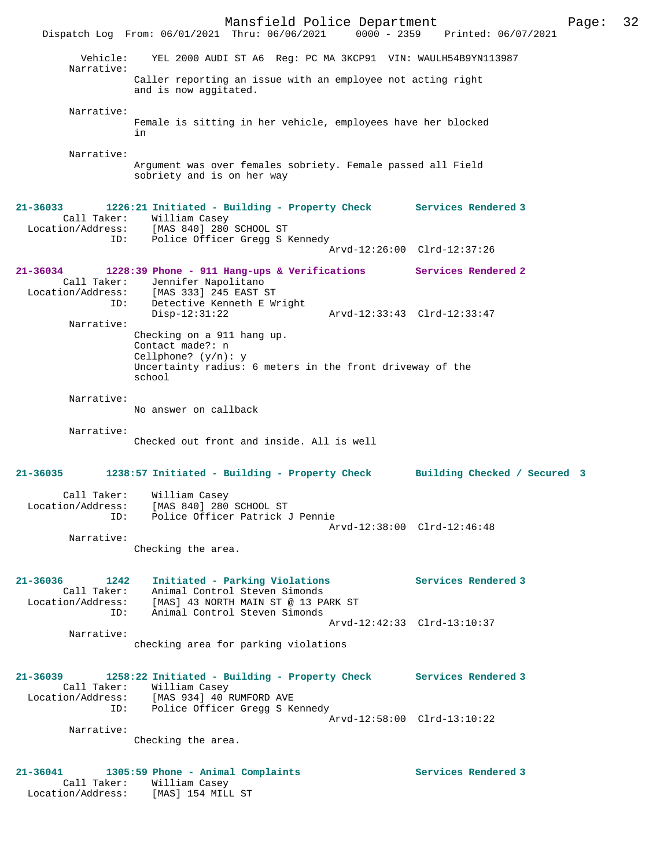Mansfield Police Department Form Page: 32 Dispatch Log From: 06/01/2021 Thru: 06/06/2021 0000 - 2359 Printed: 06/07/2021 Vehicle: YEL 2000 AUDI ST A6 Reg: PC MA 3KCP91 VIN: WAULH54B9YN113987 Narrative: Caller reporting an issue with an employee not acting right and is now aggitated. Narrative: Female is sitting in her vehicle, employees have her blocked in Narrative: Argument was over females sobriety. Female passed all Field sobriety and is on her way **21-36033 1226:21 Initiated - Building - Property Check Services Rendered 3**  Call Taker: William Casey Location/Address: [MAS 840] 280 SCHOOL ST ID: Police Officer Gregg S Kennedy Arvd-12:26:00 Clrd-12:37:26 **21-36034 1228:39 Phone - 911 Hang-ups & Verifications Services Rendered 2**  Call Taker: Jennifer Napolitano Location/Address: [MAS 333] 245 EAST ST ID: Detective Kenneth E Wright Disp-12:31:22 Arvd-12:33:43 Clrd-12:33:47 Narrative: Checking on a 911 hang up. Contact made?: n Cellphone? (y/n): y Uncertainty radius: 6 meters in the front driveway of the school Narrative: No answer on callback Narrative: Checked out front and inside. All is well **21-36035 1238:57 Initiated - Building - Property Check Building Checked / Secured 3** Call Taker: William Casey Location/Address: [MAS 840] 280 SCHOOL ST ID: Police Officer Patrick J Pennie Arvd-12:38:00 Clrd-12:46:48 Narrative: Checking the area. **21-36036 1242 Initiated - Parking Violations Services Rendered 3**  Call Taker: Animal Control Steven Simonds Location/Address: [MAS] 43 NORTH MAIN ST @ 13 PARK ST ID: Animal Control Steven Simonds Arvd-12:42:33 Clrd-13:10:37 Narrative: checking area for parking violations **21-36039 1258:22 Initiated - Building - Property Check Services Rendered 3**  Call Taker: William Casey Location/Address: [MAS 934] 40 RUMFORD AVE ID: Police Officer Gregg S Kennedy Arvd-12:58:00 Clrd-13:10:22 Narrative: Checking the area. **21-36041 1305:59 Phone - Animal Complaints Services Rendered 3**  Call Taker: William Casey Location/Address: [MAS] 154 MILL ST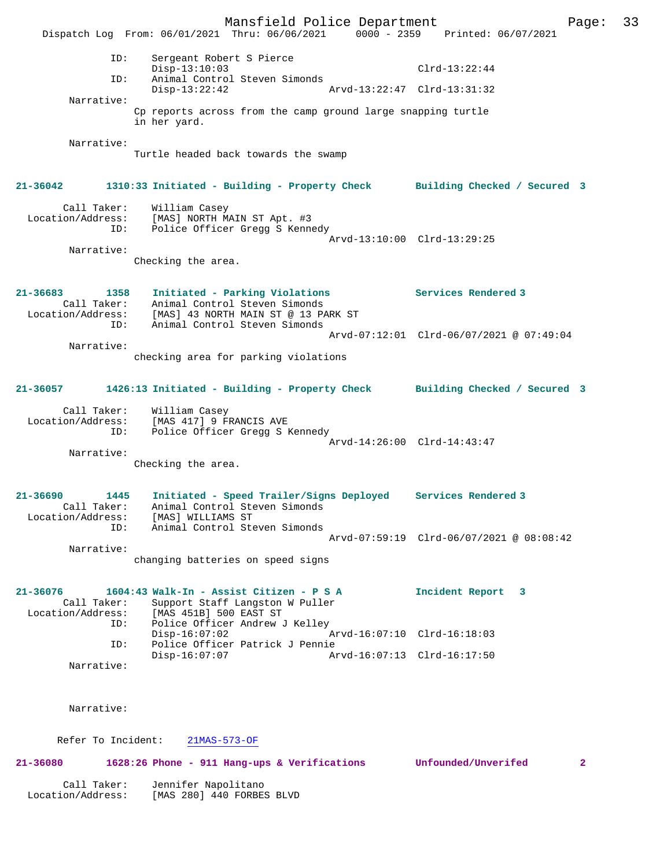Mansfield Police Department Page: 33 Dispatch Log From: 06/01/2021 Thru: 06/06/2021 0000 - 2359 Printed: 06/07/2021 ID: Sergeant Robert S Pierce Disp-13:10:03 <br>D: Animal Control Steven Simonds Clrd-13:22:44 Animal Control Steven Simonds<br>Disp-13:22:42 Arv Disp-13:22:42 Arvd-13:22:47 Clrd-13:31:32 Narrative: Cp reports across from the camp ground large snapping turtle in her yard. Narrative: Turtle headed back towards the swamp **21-36042 1310:33 Initiated - Building - Property Check Building Checked / Secured 3** Call Taker: William Casey Location/Address: [MAS] NORTH MAIN ST Apt. #3 ID: Police Officer Gregg S Kennedy Arvd-13:10:00 Clrd-13:29:25 Narrative: Checking the area. **21-36683 1358 Initiated - Parking Violations Services Rendered 3**  Call Taker: Animal Control Steven Simonds Location/Address: [MAS] 43 NORTH MAIN ST @ 13 PARK ST ID: Animal Control Steven Simonds Arvd-07:12:01 Clrd-06/07/2021 @ 07:49:04 Narrative: checking area for parking violations **21-36057 1426:13 Initiated - Building - Property Check Building Checked / Secured 3** Call Taker: William Casey Location/Address: [MAS 417] 9 FRANCIS AVE ID: Police Officer Gregg S Kennedy Arvd-14:26:00 Clrd-14:43:47 Narrative: Checking the area. **21-36690 1445 Initiated - Speed Trailer/Signs Deployed Services Rendered 3**  Call Taker: Animal Control Steven Simonds Location/Address: [MAS] WILLIAMS ST ID: Animal Control Steven Simonds Arvd-07:59:19 Clrd-06/07/2021 @ 08:08:42 Narrative: changing batteries on speed signs **21-36076 1604:43 Walk-In - Assist Citizen - P S A Incident Report 3**  Call Taker: Support Staff Langston W Puller<br>Location/Address: [MAS 451B] 500 EAST ST Location/Address: [MAS 451B] 500 EAST ST ID: Police Officer Andrew J Kelley  $\bar{P}_{\text{Arvd-16}:07:10}$  Clrd-16:18:03 ID: Police Officer Patrick J Pennie Disp-16:07:07 Arvd-16:07:13 Clrd-16:17:50 Narrative: Narrative: Refer To Incident: 21MAS-573-OF **21-36080 1628:26 Phone - 911 Hang-ups & Verifications Unfounded/Unverifed 2** Call Taker: Jennifer Napolitano Location/Address: [MAS 280] 440 FORBES BLVD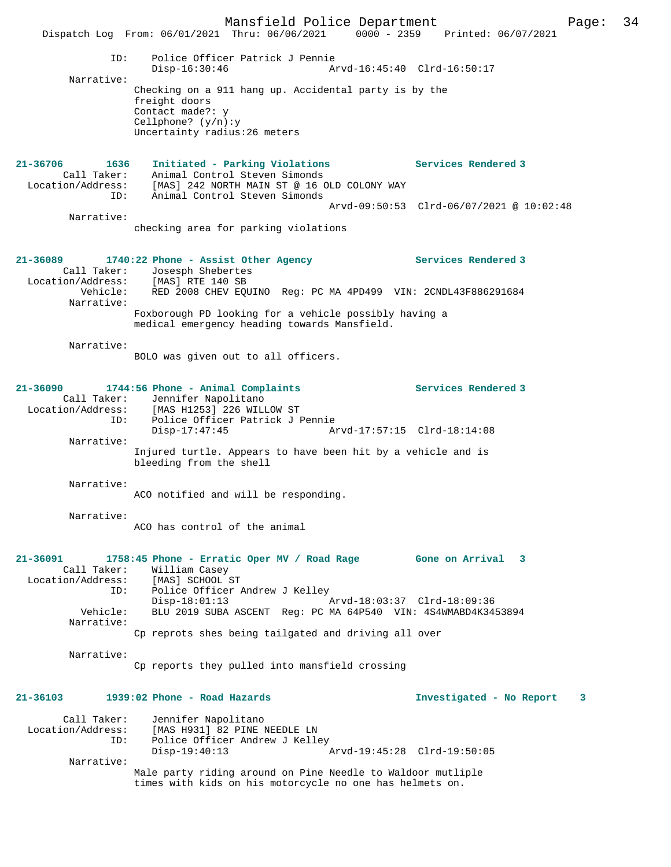Mansfield Police Department Page: 34 Dispatch Log From: 06/01/2021 Thru: 06/06/2021 0000 - 2359 Printed: 06/07/2021 ID: Police Officer Patrick J Pennie Disp-16:30:46 Arvd-16:45:40 Clrd-16:50:17 Narrative: Checking on a 911 hang up. Accidental party is by the freight doors Contact made?: y Cellphone? (y/n):y Uncertainty radius:26 meters **21-36706 1636 Initiated - Parking Violations Services Rendered 3**  Call Taker: Animal Control Steven Simonds Location/Address: [MAS] 242 NORTH MAIN ST @ 16 OLD COLONY WAY ID: Animal Control Steven Simonds Arvd-09:50:53 Clrd-06/07/2021 @ 10:02:48 Narrative: checking area for parking violations **21-36089 1740:22 Phone - Assist Other Agency Services Rendered 3**  Call Taker: Josesph Shebertes Location/Address: [MAS] RTE 140 SB Vehicle: RED 2008 CHEV EQUINO Reg: PC MA 4PD499 VIN: 2CNDL43F886291684 Narrative: Foxborough PD looking for a vehicle possibly having a medical emergency heading towards Mansfield. Narrative: BOLO was given out to all officers. **21-36090 1744:56 Phone - Animal Complaints Services Rendered 3**  Call Taker: Jennifer Napolitano<br>Location/Address: [MAS H1253] 226 WILD ess: [MAS H1253] 226 WILLOW ST<br>ID: Police Officer Patrick J I ID: Police Officer Patrick J Pennie Disp-17:47:45 Arvd-17:57:15 Clrd-18:14:08 Narrative: Injured turtle. Appears to have been hit by a vehicle and is bleeding from the shell Narrative: ACO notified and will be responding. Narrative: ACO has control of the animal **21-36091 1758:45 Phone - Erratic Oper MV / Road Rage Gone on Arrival 3**  Call Taker: William Casey<br>ion/Address: [MAS] SCHOOL ST Location/Address: ID: Police Officer Andrew J Kelley<br>Disp-18:01:13 Disp-18:01:13 Arvd-18:03:37 Clrd-18:09:36<br>Vehicle: BLU 2019 SUBA ASCENT Req: PC MA 64P540 VIN: 4S4WMABD4K34 BLU 2019 SUBA ASCENT Reg: PC MA 64P540 VIN: 4S4WMABD4K3453894 Narrative: Cp reprots shes being tailgated and driving all over Narrative: Cp reports they pulled into mansfield crossing **21-36103 1939:02 Phone - Road Hazards Investigated - No Report 3** Call Taker: Jennifer Napolitano Location/Address: [MAS H931] 82 PINE NEEDLE LN Police Officer Andrew J Kelley<br>Disp-19:40:13 Disp-19:40:13 Arvd-19:45:28 Clrd-19:50:05 Narrative: Male party riding around on Pine Needle to Waldoor mutliple times with kids on his motorcycle no one has helmets on.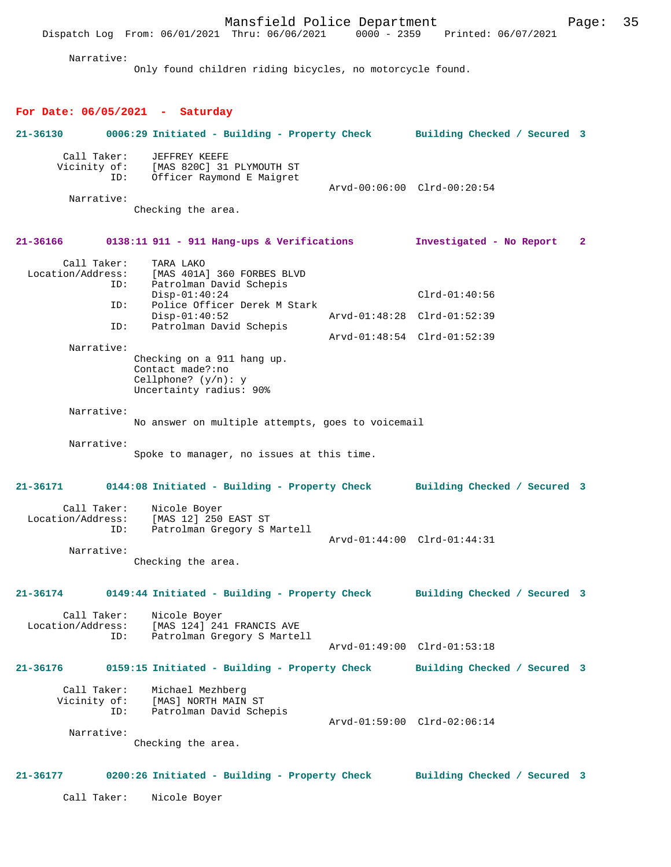Mansfield Police Department Page: 35 Dispatch Log From: 06/01/2021 Thru: 06/06/2021 Narrative: Only found children riding bicycles, no motorcycle found. **For Date: 06/05/2021 - Saturday 21-36130 0006:29 Initiated - Building - Property Check Building Checked / Secured 3** Call Taker: JEFFREY KEEFE<br>Vicinity of: [MAS 820C] 31 of: [MAS 820C] 31 PLYMOUTH ST<br>ID: Officer Raymond E Maigret Officer Raymond E Maigret Arvd-00:06:00 Clrd-00:20:54 Narrative: Checking the area. **21-36166 0138:11 911 - 911 Hang-ups & Verifications Investigated - No Report 2** Call Taker: TARA LAKO Location/Address: [MAS 401A] 360 FORBES BLVD ID: Patrolman David Schepis Disp-01:40:24 Clrd-01:40:56<br>TD: Police Officer Derek M Stark Police Officer Derek M Stark<br>Disp-01:40:52 Disp-01:40:52 Arvd-01:48:28 Clrd-01:52:39 ID: Patrolman David Schepis Arvd-01:48:54 Clrd-01:52:39 Narrative: Checking on a 911 hang up. Contact made?:no Cellphone? (y/n): y Uncertainty radius: 90% Narrative: No answer on multiple attempts, goes to voicemail Narrative: Spoke to manager, no issues at this time. **21-36171 0144:08 Initiated - Building - Property Check Building Checked / Secured 3** Call Taker: Nicole Boyer Location/Address: [MAS 12] 250 EAST ST<br>ID: Patrolman Gregory S 1 Patrolman Gregory S Martell Arvd-01:44:00 Clrd-01:44:31 Narrative: Checking the area. **21-36174 0149:44 Initiated - Building - Property Check Building Checked / Secured 3** Call Taker: Nicole Boyer Location/Address: [MAS 124] 241 FRANCIS AVE<br>ID: Patrolman Gregory S Marte Patrolman Gregory S Martell Arvd-01:49:00 Clrd-01:53:18 **21-36176 0159:15 Initiated - Building - Property Check Building Checked / Secured 3** Call Taker: Michael Mezhberg Vicinity of: [MAS] NORTH MAIN ST<br>TD: Patrolman David Sche Patrolman David Schepis Arvd-01:59:00 Clrd-02:06:14 Narrative: Checking the area. **21-36177 0200:26 Initiated - Building - Property Check Building Checked / Secured 3** Call Taker: Nicole Boyer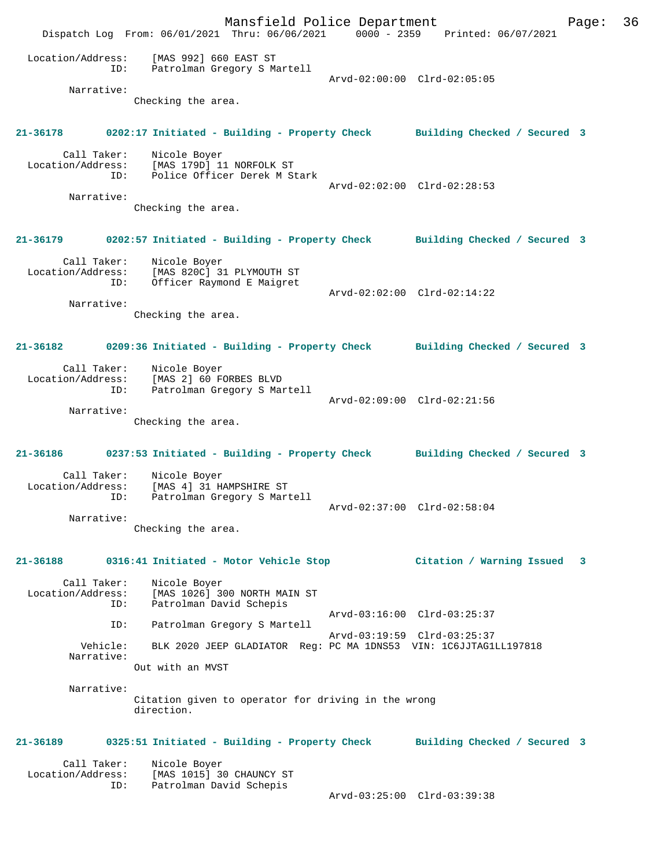Mansfield Police Department Page: 36 Dispatch Log From: 06/01/2021 Thru: 06/06/2021 0000 - 2359 Printed: 06/07/2021 Location/Address: [MAS 992] 660 EAST ST ID: Patrolman Gregory S Martell Arvd-02:00:00 Clrd-02:05:05 Narrative: Checking the area. **21-36178 0202:17 Initiated - Building - Property Check Building Checked / Secured 3** Call Taker: Nicole Boyer Location/Address: [MAS 179D] 11 NORFOLK ST ID: Police Officer Derek M Stark Arvd-02:02:00 Clrd-02:28:53 Narrative: Checking the area. **21-36179 0202:57 Initiated - Building - Property Check Building Checked / Secured 3** Call Taker: Nicole Boyer Location/Address: [MAS 820C] 31 PLYMOUTH ST ID: Officer Raymond E Maigret Arvd-02:02:00 Clrd-02:14:22 Narrative: Checking the area. **21-36182 0209:36 Initiated - Building - Property Check Building Checked / Secured 3** Call Taker: Nicole Boyer Location/Address: [MAS 2] 60 FORBES BLVD ID: Patrolman Gregory S Martell Arvd-02:09:00 Clrd-02:21:56 Narrative: Checking the area. **21-36186 0237:53 Initiated - Building - Property Check Building Checked / Secured 3** Call Taker: Nicole Boyer Location/Address: [MAS 4] 31 HAMPSHIRE ST ID: Patrolman Gregory S Martell Arvd-02:37:00 Clrd-02:58:04 Narrative: Checking the area. **21-36188 0316:41 Initiated - Motor Vehicle Stop Citation / Warning Issued 3** Call Taker: Nicole Boyer Location/Address: [MAS 1026] 300 NORTH MAIN ST ID: Patrolman David Schepis Arvd-03:16:00 Clrd-03:25:37<br>TD: Patrolman Gregory S Martell Patrolman Gregory S Martell Arvd-03:19:59 Clrd-03:25:37 Vehicle: BLK 2020 JEEP GLADIATOR Reg: PC MA 1DNS53 VIN: 1C6JJTAG1LL197818 Narrative: Out with an MVST Narrative: Citation given to operator for driving in the wrong direction. **21-36189 0325:51 Initiated - Building - Property Check Building Checked / Secured 3** Call Taker: Nicole Boyer<br>Location/Address: [MAS 1015] 3 Location/Address: [MAS 1015] 30 CHAUNCY ST ID: Patrolman David Schepis Arvd-03:25:00 Clrd-03:39:38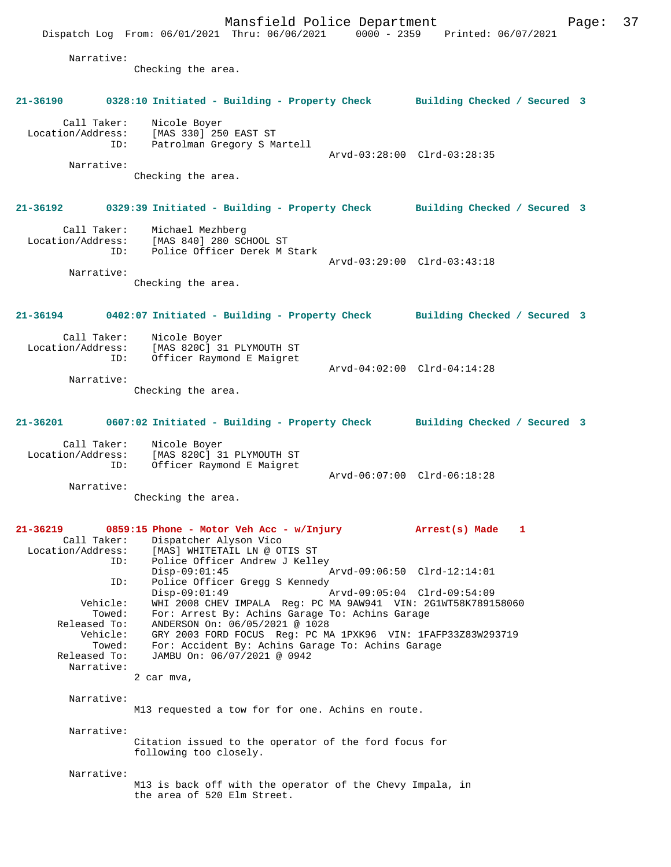Mansfield Police Department Page: 37 Dispatch Log From: 06/01/2021 Thru: 06/06/2021 0000 - 2359 Printed: 06/07/2021 Narrative: Checking the area. **21-36190 0328:10 Initiated - Building - Property Check Building Checked / Secured 3** Call Taker: Nicole Boyer Location/Address: [MAS 330] 250 EAST ST ID: Patrolman Gregory S Martell Arvd-03:28:00 Clrd-03:28:35 Narrative: Checking the area. **21-36192 0329:39 Initiated - Building - Property Check Building Checked / Secured 3** Call Taker: Michael Mezhberg Location/Address: [MAS 840] 280 SCHOOL ST ID: Police Officer Derek M Stark Arvd-03:29:00 Clrd-03:43:18 Narrative: Checking the area. **21-36194 0402:07 Initiated - Building - Property Check Building Checked / Secured 3** Call Taker: Nicole Boyer Location/Address: [MAS 820C] 31 PLYMOUTH ST<br>ID: Officer Raymond E Maigret Officer Raymond E Maigret Arvd-04:02:00 Clrd-04:14:28 Narrative: Checking the area. **21-36201 0607:02 Initiated - Building - Property Check Building Checked / Secured 3** Call Taker: Nicole Boyer Location/Address: [MAS 820C] 31 PLYMOUTH ST ID: Officer Raymond E Maigret Arvd-06:07:00 Clrd-06:18:28 Narrative: Checking the area. **21-36219 0859:15 Phone - Motor Veh Acc - w/Injury Arrest(s) Made 1**  Call Taker: Dispatcher Alyson Vico Location/Address: [MAS] WHITETAIL LN @ OTIS ST ID: Police Officer Andrew J Kelley<br>Disp-09:01:45  $\bar{P}_{\text{Arvd}-09:06:50}$  Clrd-12:14:01 ID: Police Officer Gregg S Kennedy<br>Disp-09:01:49 Disp-09:01:49 Arvd-09:05:04 Clrd-09:54:09 Vehicle: WHI 2008 CHEV IMPALA Reg: PC MA 9AW941 VIN: 2G1WT58K789158060 Towed: For: Arrest By: Achins Garage To: Achins Garage Released To: ANDERSON On: 06/05/2021 @ 1028 Vehicle: GRY 2003 FORD FOCUS Reg: PC MA 1PXK96 VIN: 1FAFP33Z83W293719 Towed: For: Accident By: Achins Garage To: Achins Garage Released To: JAMBU On: 06/07/2021 @ 0942 Narrative: 2 car mva, Narrative: M13 requested a tow for for one. Achins en route. Narrative: Citation issued to the operator of the ford focus for following too closely. Narrative: M13 is back off with the operator of the Chevy Impala, in the area of 520 Elm Street.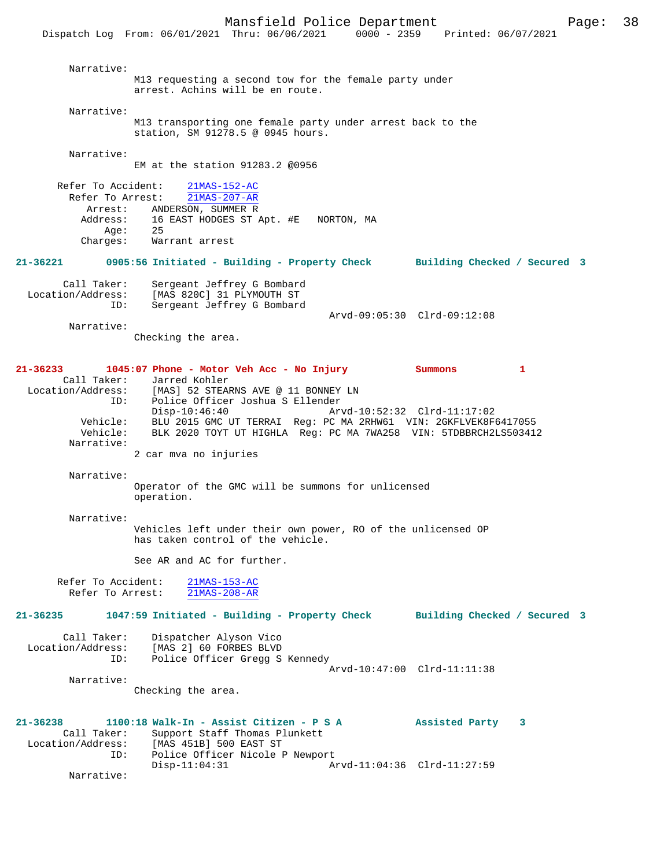Mansfield Police Department Page: 38 Dispatch Log From: 06/01/2021 Thru: 06/06/2021 Narrative: M13 requesting a second tow for the female party under arrest. Achins will be en route. Narrative: M13 transporting one female party under arrest back to the station, SM 91278.5 @ 0945 hours. Narrative: EM at the station 91283.2 @0956 Refer To Accident: 21MAS-152-AC Refer To Arrest: 21MAS-207-AR Arrest: ANDERSON, SUMMER R<br>Address: 16 EAST HODGES ST 16 EAST HODGES ST Apt. #E NORTON, MA Age: 25 Charges: Warrant arrest **21-36221 0905:56 Initiated - Building - Property Check Building Checked / Secured 3** Call Taker: Sergeant Jeffrey G Bombard<br>Location/Address: [MAS 820C] 31 PLYMOUTH ST Location/Address: [MAS 820C] 31 PLYMOUTH ST ID: Sergeant Jeffrey G Bombard Arvd-09:05:30 Clrd-09:12:08 Narrative: Checking the area. **21-36233 1045:07 Phone - Motor Veh Acc - No Injury Summons 1**  Call Taker: Jarred Kohler<br>Location/Address: [MAS] 52 STEAR [MAS] 52 STEARNS AVE @ 11 BONNEY LN ID: Police Officer Joshua S Ellender Disp-10:46:40 Arvd-10:52:32 Clrd-11:17:02 Vehicle: BLU 2015 GMC UT TERRAI Reg: PC MA 2RHW61 VIN: 2GKFLVEK8F6417055 Vehicle: BLK 2020 TOYT UT HIGHLA Reg: PC MA 7WA258 VIN: 5TDBBRCH2LS503412 Narrative: 2 car mva no injuries Narrative: Operator of the GMC will be summons for unlicensed operation. Narrative: Vehicles left under their own power, RO of the unlicensed OP has taken control of the vehicle. See AR and AC for further. Refer To Accident: 21MAS-153-AC<br>Refer To Arrest: 21MAS-208-AR Refer To Arrest: **21-36235 1047:59 Initiated - Building - Property Check Building Checked / Secured 3** Call Taker: Dispatcher Alyson Vico<br>Location/Address: [MAS 2] 60 FORBES BLVD ess: [MAS 2] 60 FORBES BLVD<br>ID: Police Officer Gregg S Police Officer Gregg S Kennedy Arvd-10:47:00 Clrd-11:11:38 Narrative: Checking the area. **21-36238 1100:18 Walk-In - Assist Citizen - P S A Assisted Party 3**  Call Taker: Support Staff Thomas Plunkett<br>Location/Address: [MAS 451B] 500 EAST ST ess: [MAS 451B] 500 EAST ST<br>ID: Police Officer Nicole P Police Officer Nicole P Newport<br>Disp-11:04:31 A Arvd-11:04:36 Clrd-11:27:59 Narrative: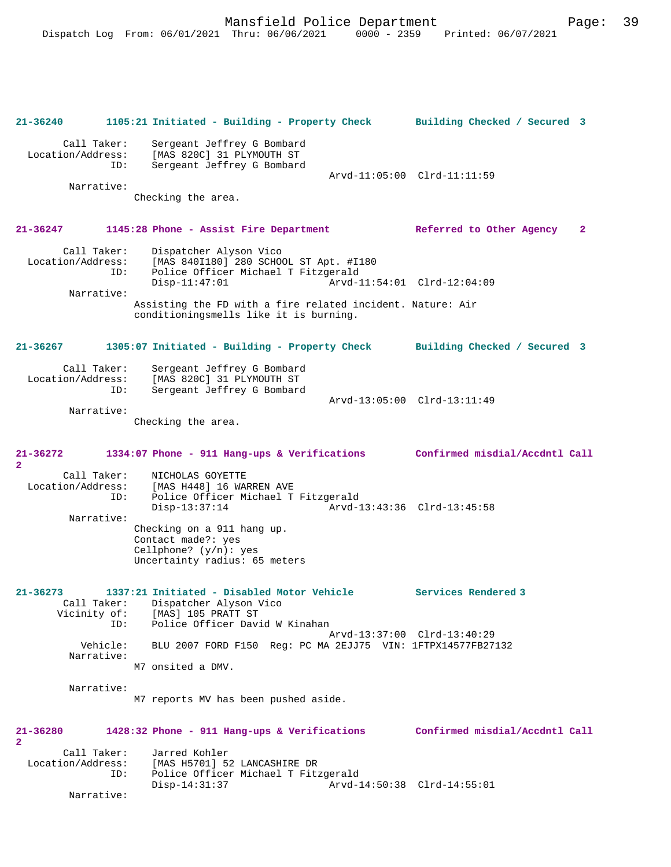Mansfield Police Department Page: 39 Dispatch Log From: 06/01/2021 Thru: 06/06/2021 0000 - 2359 Printed: 06/07/2021 **21-36240 1105:21 Initiated - Building - Property Check Building Checked / Secured 3** Call Taker: Sergeant Jeffrey G Bombard Location/Address: [MAS 820C] 31 PLYMOUTH ST ID: Sergeant Jeffrey G Bombard Arvd-11:05:00 Clrd-11:11:59 Narrative: Checking the area. **21-36247 1145:28 Phone - Assist Fire Department Referred to Other Agency 2** Call Taker: Dispatcher Alyson Vico<br>Location/Address: [MAS 840I180] 280 SCHO [MAS 840I180] 280 SCHOOL ST Apt. #I180 ID: Police Officer Michael T Fitzgerald Disp-11:47:01 Arvd-11:54:01 Clrd-12:04:09 Narrative: Assisting the FD with a fire related incident. Nature: Air conditioningsmells like it is burning. **21-36267 1305:07 Initiated - Building - Property Check Building Checked / Secured 3** Call Taker: Sergeant Jeffrey G Bombard Location/Address: [MAS 820C] 31 PLYMOUTH ST<br>ID: Sergeant Jeffrey G Bombard Sergeant Jeffrey G Bombard Arvd-13:05:00 Clrd-13:11:49 Narrative: Checking the area. **21-36272 1334:07 Phone - 911 Hang-ups & Verifications Confirmed misdial/Accdntl Call 2**  Call Taker: NICHOLAS GOYETTE<br>Location/Address: [MAS H448] 16 WAR ess: [MAS H448] 16 WARREN AVE<br>ID: Police Officer Michael T Police Officer Michael T Fitzgerald<br>Disp-13:37:14 Arvd-1 Disp-13:37:14 Arvd-13:43:36 Clrd-13:45:58 Narrative: Checking on a 911 hang up. Contact made?: yes Cellphone? (y/n): yes Uncertainty radius: 65 meters

**21-36273 1337:21 Initiated - Disabled Motor Vehicle Services Rendered 3**  Call Taker: Dispatcher Alyson Vico<br>Vicinity of: [MAS] 105 PRATT ST of: [MAS] 105 PRATT ST<br>TD: Police Officer Davi Police Officer David W Kinahan Arvd-13:37:00 Clrd-13:40:29<br>Vehicle: BLU 2007 FORD F150 Reg: PC MA 2EJJ75 VIN: 1FTPX14577FB27 BLU 2007 FORD F150 Reg: PC MA 2EJJ75 VIN: 1FTPX14577FB27132 Narrative: M7 onsited a DMV.

Narrative:

M7 reports MV has been pushed aside.

| 21-36280<br>$\mathbf{2}$ |             | 1428:32 Phone - 911 Hang-ups & Verifications | Confirmed misdial/Accdntl Call |  |
|--------------------------|-------------|----------------------------------------------|--------------------------------|--|
|                          | Call Taker: | Jarred Kohler                                |                                |  |
| Location/Address:        |             | [MAS H5701] 52 LANCASHIRE DR                 |                                |  |
|                          | ID:         | Police Officer Michael T Fitzgerald          |                                |  |
|                          |             | $Disp-14:31:37$                              | Arvd-14:50:38 Clrd-14:55:01    |  |
|                          | Narrative:  |                                              |                                |  |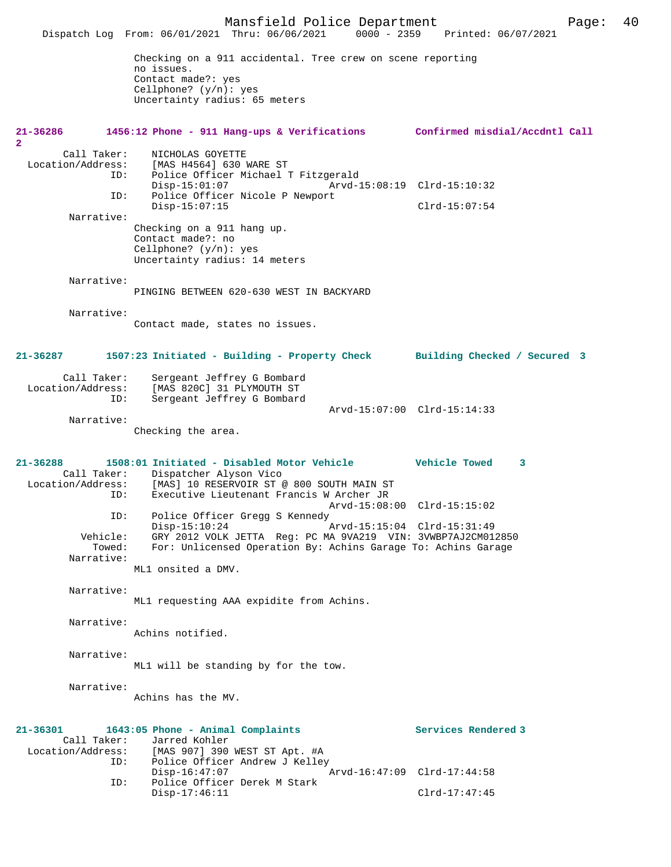Mansfield Police Department Page: 40 Dispatch Log From: 06/01/2021 Thru: 06/06/2021 Checking on a 911 accidental. Tree crew on scene reporting no issues. Contact made?: yes Cellphone? (y/n): yes Uncertainty radius: 65 meters **21-36286 1456:12 Phone - 911 Hang-ups & Verifications Confirmed misdial/Accdntl Call**  $\mathbf{2}$ Call Taker: NICHOLAS GOYETTE<br>Location/Address: [MAS H4564] 630 I ess: [MAS H4564] 630 WARE ST<br>ID: Police Officer Michael 1 Police Officer Michael T Fitzgerald<br>Disp-15:01:07 Arvd-1 Disp-15:01:07 Arvd-15:08:19 Clrd-15:10:32<br>ID: Police Officer Nicole P Newport Police Officer Nicole P Newport Disp-15:07:15 Clrd-15:07:54 Narrative: Checking on a 911 hang up. Contact made?: no Cellphone? (y/n): yes Uncertainty radius: 14 meters Narrative: PINGING BETWEEN 620-630 WEST IN BACKYARD Narrative: Contact made, states no issues. **21-36287 1507:23 Initiated - Building - Property Check Building Checked / Secured 3** Call Taker: Sergeant Jeffrey G Bombard Location/Address: [MAS 820C] 31 PLYMOUTH ST Sergeant Jeffrey G Bombard Arvd-15:07:00 Clrd-15:14:33 Narrative: Checking the area. **21-36288 1508:01 Initiated - Disabled Motor Vehicle Vehicle Towed 3**  Call Taker: Dispatcher Alyson Vico Location/Address: [MAS] 10 RESERVOIR ST @ 800 SOUTH MAIN ST Executive Lieutenant Francis W Archer JR Arvd-15:08:00 Clrd-15:15:02 Police Officer Gregg S Kennedy Disp-15:10:24 Arvd-15:15:04 Clrd-15:31:49 Vehicle: GRY 2012 VOLK JETTA Reg: PC MA 9VA219 VIN: 3VWBP7AJ2CM012850 Towed: For: Unlicensed Operation By: Achins Garage To: Achins Garage Narrative: ML1 onsited a DMV. Narrative: ML1 requesting AAA expidite from Achins. Narrative: Achins notified. Narrative: ML1 will be standing by for the tow. Narrative: Achins has the MV. **21-36301 1643:05 Phone - Animal Complaints Services Rendered 3**  Call Taker: Jarred Kohler<br>Location/Address: [MAS 907] 390 [MAS 907] 390 WEST ST Apt. #A ID: Police Officer Andrew J Kelley<br>Disp-16:47:07 Disp-16:47:07 Arvd-16:47:09 Clrd-17:44:58<br>TD: Police Officer Derek M Stark Police Officer Derek M Stark Disp-17:46:11 Clrd-17:47:45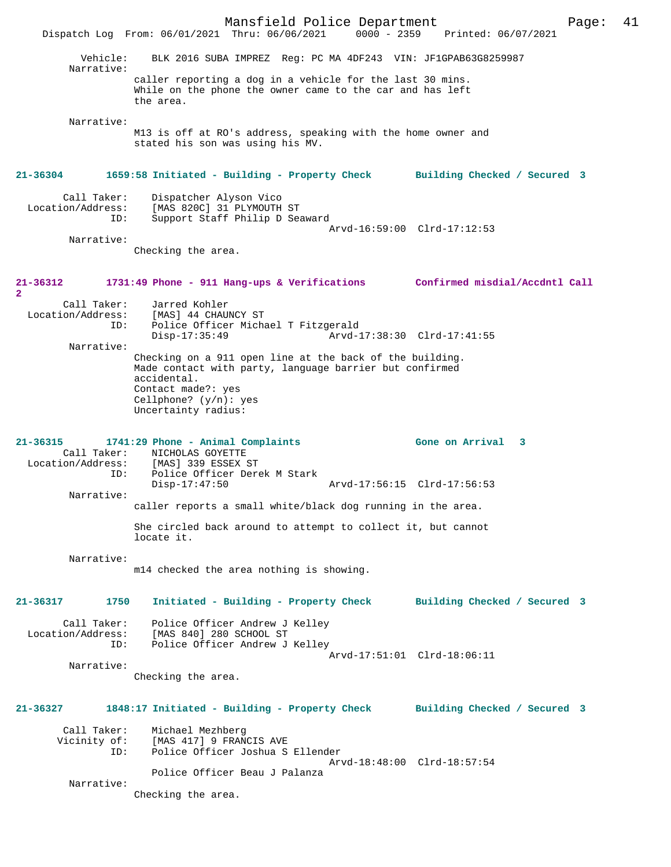Mansfield Police Department Page: 41 Dispatch Log From: 06/01/2021 Thru: 06/06/2021 Vehicle: BLK 2016 SUBA IMPREZ Reg: PC MA 4DF243 VIN: JF1GPAB63G8259987 Narrative: caller reporting a dog in a vehicle for the last 30 mins. While on the phone the owner came to the car and has left the area. Narrative: M13 is off at RO's address, speaking with the home owner and stated his son was using his MV. **21-36304 1659:58 Initiated - Building - Property Check Building Checked / Secured 3** Call Taker: Dispatcher Alyson Vico Location/Address: [MAS 820C] 31 PLYMOUTH ST ID: Support Staff Philip D Seaward Arvd-16:59:00 Clrd-17:12:53 Narrative: Checking the area. **21-36312 1731:49 Phone - 911 Hang-ups & Verifications Confirmed misdial/Accdntl Call 2**  Call Taker: Jarred Kohler Location/Address: [MAS] 44 CHAUNCY ST<br>ID: Police Officer Micha ID: Police Officer Michael T Fitzgerald Arvd-17:38:30 Clrd-17:41:55 Narrative: Checking on a 911 open line at the back of the building. Made contact with party, language barrier but confirmed accidental. Contact made?: yes Cellphone? (y/n): yes Uncertainty radius: **21-36315 1741:29 Phone - Animal Complaints Gone on Arrival 3**  Call Taker: NICHOLAS GOYETTE<br>Location/Address: [MAS] 339 ESSEX 2 ess: [MAS] 339 ESSEX ST<br>ID: Police Officer Dere Police Officer Derek M Stark Disp-17:47:50 Arvd-17:56:15 Clrd-17:56:53 Narrative: caller reports a small white/black dog running in the area. She circled back around to attempt to collect it, but cannot locate it. Narrative: m14 checked the area nothing is showing. **21-36317 1750 Initiated - Building - Property Check Building Checked / Secured 3** Call Taker: Police Officer Andrew J Kelley Location/Address: [MAS 840] 280 SCHOOL ST<br>TD: Police Officer Andrew J Police Officer Andrew J Kelley Arvd-17:51:01 Clrd-18:06:11 Narrative: Checking the area. **21-36327 1848:17 Initiated - Building - Property Check Building Checked / Secured 3** Call Taker: Michael Mezhberg Vicinity of: [MAS 417] 9 FRANCIS AVE<br>ID: Police Officer Joshua S Police Officer Joshua S Ellender Arvd-18:48:00 Clrd-18:57:54 Police Officer Beau J Palanza Narrative: Checking the area.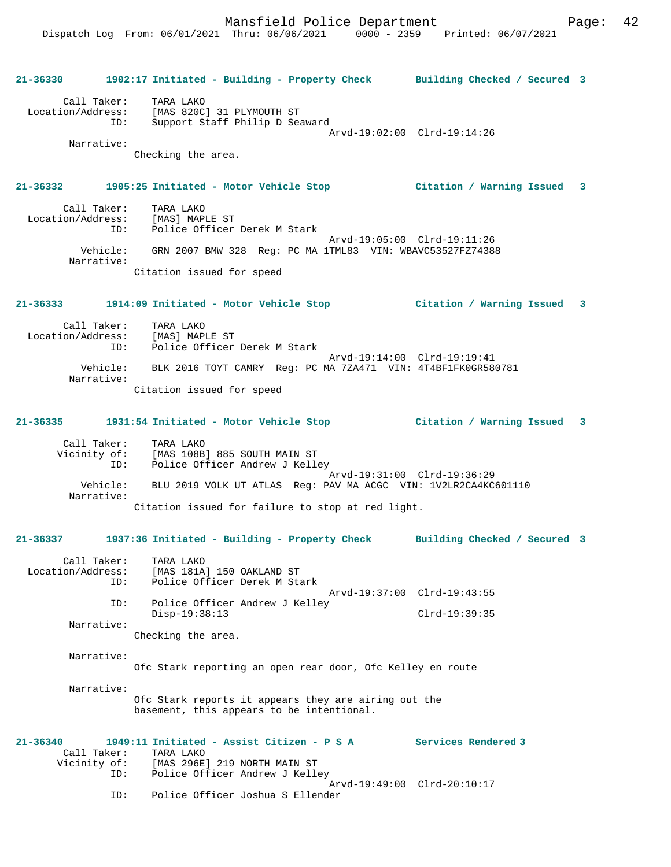## **21-36330 1902:17 Initiated - Building - Property Check Building Checked / Secured 3**

 Call Taker: TARA LAKO Location/Address: [MAS 820C] 31 PLYMOUTH ST ID: Support Staff Philip D Seaward Arvd-19:02:00 Clrd-19:14:26

Narrative:

Checking the area.

### **21-36332 1905:25 Initiated - Motor Vehicle Stop Citation / Warning Issued 3**

 Call Taker: TARA LAKO Location/Address: [MAS] MAPLE ST ID: Police Officer Derek M Stark Arvd-19:05:00 Clrd-19:11:26 Vehicle: GRN 2007 BMW 328 Reg: PC MA 1TML83 VIN: WBAVC53527FZ74388 Narrative: Citation issued for speed

### **21-36333 1914:09 Initiated - Motor Vehicle Stop Citation / Warning Issued 3**

 Call Taker: TARA LAKO Location/Address: [MAS] MAPLE ST Police Officer Derek M Stark Arvd-19:14:00 Clrd-19:19:41 Vehicle: BLK 2016 TOYT CAMRY Reg: PC MA 7ZA471 VIN: 4T4BF1FK0GR580781 Narrative: Citation issued for speed

## **21-36335 1931:54 Initiated - Motor Vehicle Stop Citation / Warning Issued 3**

 Call Taker: TARA LAKO Vicinity of: [MAS 108B] 885 SOUTH MAIN ST ID: Police Officer Andrew J Kelley Arvd-19:31:00 Clrd-19:36:29 Vehicle: BLU 2019 VOLK UT ATLAS Reg: PAV MA ACGC VIN: 1V2LR2CA4KC601110 Narrative: Citation issued for failure to stop at red light.

## **21-36337 1937:36 Initiated - Building - Property Check Building Checked / Secured 3**

 Call Taker: TARA LAKO Location/Address: [MAS 181A] 150 OAKLAND ST ID: Police Officer Derek M Stark Arvd-19:37:00 Clrd-19:43:55 ID: Police Officer Andrew J Kelley Disp-19:38:13 Clrd-19:39:35 Narrative:

Checking the area.

## Narrative:

Ofc Stark reporting an open rear door, Ofc Kelley en route

Narrative:

Ofc Stark reports it appears they are airing out the basement, this appears to be intentional.

#### **21-36340 1949:11 Initiated - Assist Citizen - P S A Services Rendered 3**  Call Taker: TARA LAKO<br>Vicinity of: [MAS 296E] Vicinity of: [MAS 296E] 219 NORTH MAIN ST ID: Police Officer Andrew J Kelley Arvd-19:49:00 Clrd-20:10:17 ID: Police Officer Joshua S Ellender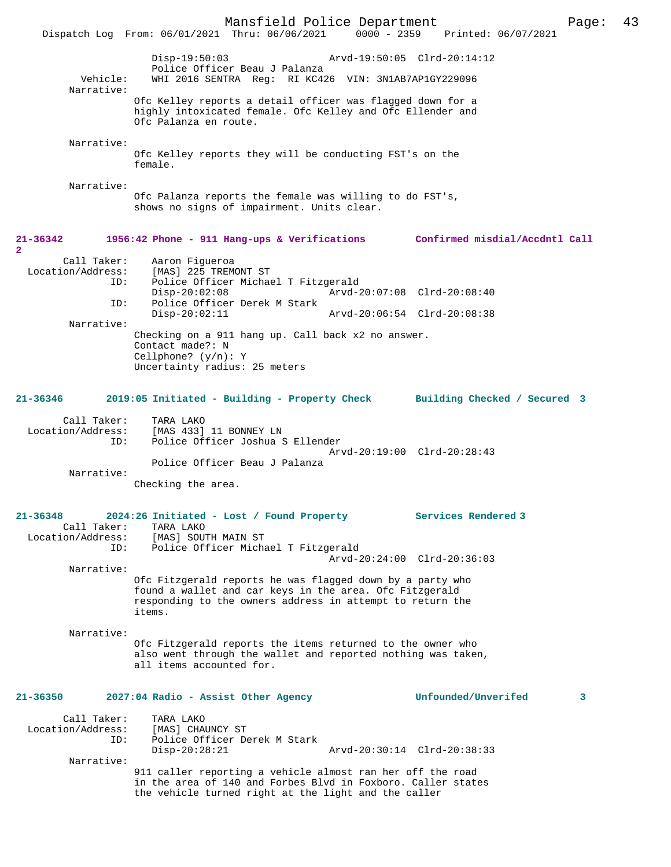Mansfield Police Department Page: 43 Dispatch Log From: 06/01/2021 Thru: 06/06/2021 Disp-19:50:03 Arvd-19:50:05 Clrd-20:14:12 Police Officer Beau J Palanza<br>Vebicle: WHI 2016 SENTRA Req: RI KC42 WHI 2016 SENTRA Reg: RI KC426 VIN: 3N1AB7AP1GY229096 Narrative: Ofc Kelley reports a detail officer was flagged down for a highly intoxicated female. Ofc Kelley and Ofc Ellender and Ofc Palanza en route. Narrative: Ofc Kelley reports they will be conducting FST's on the female. Narrative: Ofc Palanza reports the female was willing to do FST's, shows no signs of impairment. Units clear. **21-36342 1956:42 Phone - 911 Hang-ups & Verifications Confirmed misdial/Accdntl Call** Call Taker: Aaron Figueroa<br>Location/Address: [MAS] 225 TREM [MAS] 225 TREMONT ST ID: Police Officer Michael T Fitzgerald Disp-20:02:08 Arvd-20:07:08 Clrd-20:08:40<br>ID: Police Officer Derek M Stark Police Officer Derek M Stark<br>Disp-20:02:11 Disp-20:02:11 Arvd-20:06:54 Clrd-20:08:38 Narrative: Checking on a 911 hang up. Call back x2 no answer. Contact made?: N Cellphone? (y/n): Y Uncertainty radius: 25 meters **21-36346 2019:05 Initiated - Building - Property Check Building Checked / Secured 3** Call Taker: TARA LAKO Location/Address: [MAS 433] 11 BONNEY LN ID: Police Officer Joshua S Ellender Arvd-20:19:00 Clrd-20:28:43 Police Officer Beau J Palanza Narrative: Checking the area. **21-36348 2024:26 Initiated - Lost / Found Property Services Rendered 3**  Call Taker: TARA LAKO<br>Location/Address: [MAS] SOU Ess: [MAS] SOUTH MAIN ST:<br>ID: Police Officer Mich IMASI SOUIN MAIN SI<br>Police Officer Michael T Fitzgerald Arvd-20:24:00 Clrd-20:36:03 Narrative: Ofc Fitzgerald reports he was flagged down by a party who found a wallet and car keys in the area. Ofc Fitzgerald responding to the owners address in attempt to return the items. Narrative: Ofc Fitzgerald reports the items returned to the owner who also went through the wallet and reported nothing was taken, all items accounted for. **21-36350 2027:04 Radio - Assist Other Agency Unfounded/Unverifed 3** Call Taker: TARA LAKO<br>Location/Address: [MAS] CHA ess: [MAS] CHAUNCY ST<br>ID: Police Officer De Police Officer Derek M Stark<br>Disp-20:28:21 Disp-20:28:21 Arvd-20:30:14 Clrd-20:38:33 Narrative: 911 caller reporting a vehicle almost ran her off the road in the area of 140 and Forbes Blvd in Foxboro. Caller states the vehicle turned right at the light and the caller

**2**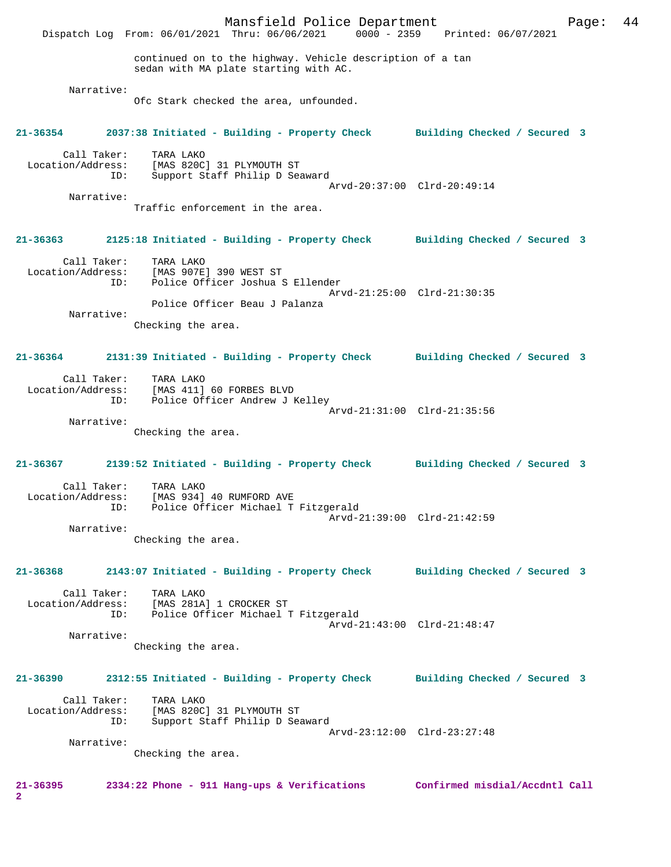Mansfield Police Department Fage: 44 Dispatch Log From: 06/01/2021 Thru: 06/06/2021 0000 - 2359 Printed: 06/07/2021 continued on to the highway. Vehicle description of a tan sedan with MA plate starting with AC. Narrative: Ofc Stark checked the area, unfounded. **21-36354 2037:38 Initiated - Building - Property Check Building Checked / Secured 3** Call Taker: TARA LAKO Location/Address: [MAS 820C] 31 PLYMOUTH ST ID: Support Staff Philip D Seaward Arvd-20:37:00 Clrd-20:49:14 Narrative: Traffic enforcement in the area. **21-36363 2125:18 Initiated - Building - Property Check Building Checked / Secured 3** Call Taker: TARA LAKO Location/Address: [MAS 907E] 390 WEST ST ID: Police Officer Joshua S Ellender Arvd-21:25:00 Clrd-21:30:35 Police Officer Beau J Palanza Narrative: Checking the area. **21-36364 2131:39 Initiated - Building - Property Check Building Checked / Secured 3** Call Taker: TARA LAKO Location/Address: [MAS 411] 60 FORBES BLVD ID: Police Officer Andrew J Kelley Arvd-21:31:00 Clrd-21:35:56 Narrative: Checking the area. **21-36367 2139:52 Initiated - Building - Property Check Building Checked / Secured 3** Call Taker: TARA LAKO<br>Location/Address: [MAS 934] ess: [MAS 934] 40 RUMFORD AVE<br>ID: Police Officer Michael T Indeed State<br>Police Officer Michael T Fitzgerald Arvd-21:39:00 Clrd-21:42:59 Narrative: Checking the area. **21-36368 2143:07 Initiated - Building - Property Check Building Checked / Secured 3** Call Taker: TARA LAKO Location/Address: [MAS 281A] 1 CROCKER ST ID: Police Officer Michael T Fitzgerald Arvd-21:43:00 Clrd-21:48:47 Narrative: Checking the area. **21-36390 2312:55 Initiated - Building - Property Check Building Checked / Secured 3** Call Taker: TARA LAKO Location/Address: [MAS 820C] 31 PLYMOUTH ST ID: Support Staff Philip D Seaward Arvd-23:12:00 Clrd-23:27:48 Narrative: Checking the area. **21-36395 2334:22 Phone - 911 Hang-ups & Verifications Confirmed misdial/Accdntl Call 2**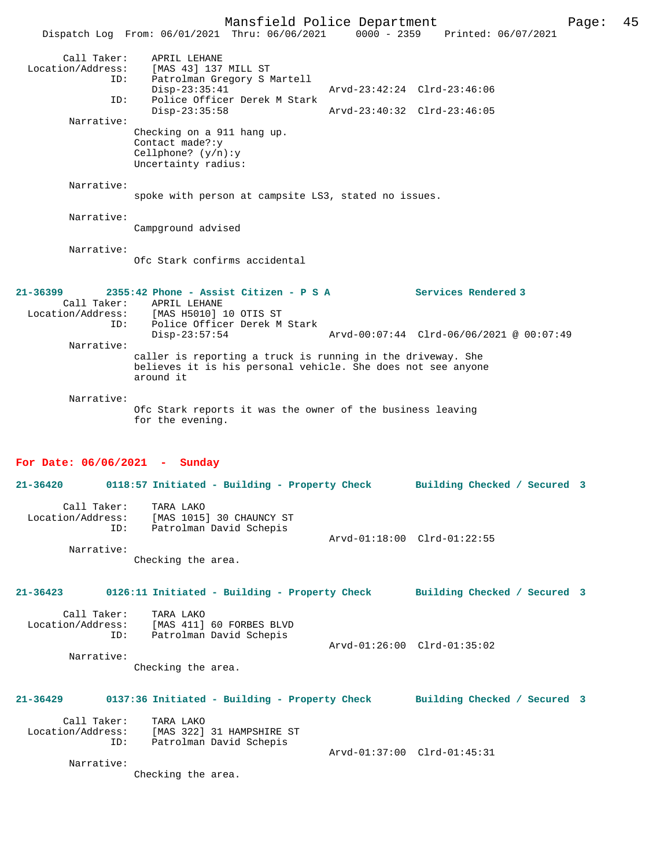Mansfield Police Department Page: 45 Dispatch Log From: 06/01/2021 Thru: 06/06/2021 0000 - 2359 Printed: 06/07/2021 Call Taker: APRIL LEHANE Location/Address: [MAS 43] 137 MILL ST ESS. The 15 157 Hotel of The 151 167 Hotel Charles The Patrol Martell<br>Disp-23:35:41 Disp-23:35:41 Arvd-23:42:24 Clrd-23:46:06 ID: Police Officer Derek M Stark Disp-23:35:58 Arvd-23:40:32 Clrd-23:46:05 Narrative: Checking on a 911 hang up. Contact made?:y Cellphone? (y/n):y Uncertainty radius: Narrative: spoke with person at campsite LS3, stated no issues. Narrative: Campground advised Narrative: Ofc Stark confirms accidental **21-36399 2355:42 Phone - Assist Citizen - P S A Services Rendered 3**  Call Taker: APRIL LEHANE<br>[100 Location/Address: [MAS H5010] [MAS H5010] 10 OTIS ST ID: Police Officer Derek M Stark Disp-23:57:54 Arvd-00:07:44 Clrd-06/06/2021 @ 00:07:49 Narrative: caller is reporting a truck is running in the driveway. She believes it is his personal vehicle. She does not see anyone around it Narrative: Ofc Stark reports it was the owner of the business leaving for the evening. **For Date: 06/06/2021 - Sunday 21-36420 0118:57 Initiated - Building - Property Check Building Checked / Secured 3** Call Taker: TARA LAKO Location/Address: [MAS 1015] 30 CHAUNCY ST Patrolman David Schepis Arvd-01:18:00 Clrd-01:22:55 Narrative: Checking the area. **21-36423 0126:11 Initiated - Building - Property Check Building Checked / Secured 3** Call Taker: TARA LAKO Location/Address: [MAS 411] 60 FORBES BLVD ID: Patrolman David Schepis Arvd-01:26:00 Clrd-01:35:02 Narrative: Checking the area. **21-36429 0137:36 Initiated - Building - Property Check Building Checked / Secured 3** Call Taker: TARA LAKO Location/Address: [MAS 322] 31 HAMPSHIRE ST ID: Patrolman David Schepis Arvd-01:37:00 Clrd-01:45:31 Narrative: Checking the area.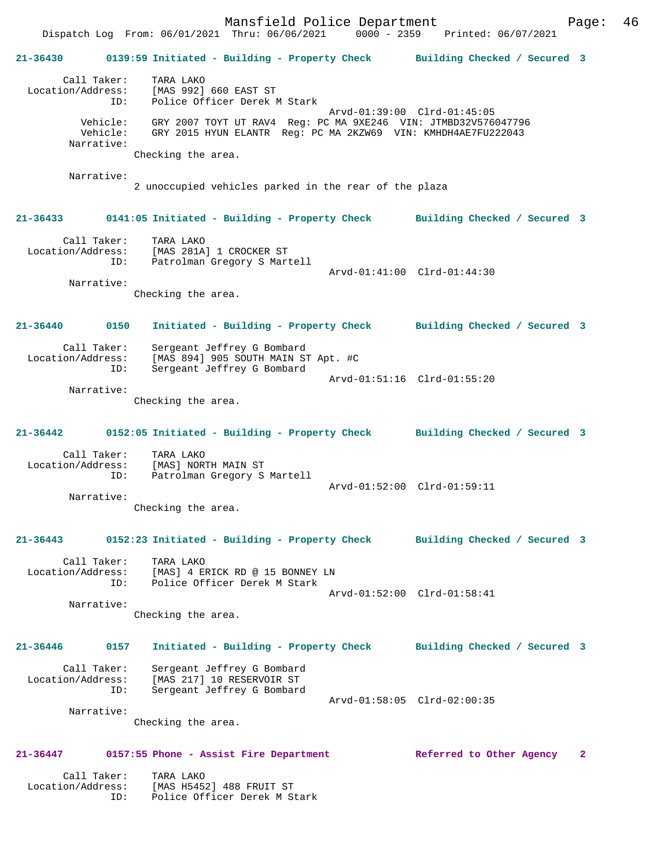Mansfield Police Department Fage: 46 Dispatch Log From: 06/01/2021 Thru: 06/06/2021 0000 - 2359 Printed: 06/07/2021 **21-36430 0139:59 Initiated - Building - Property Check Building Checked / Secured 3** Call Taker: TARA LAKO<br>.on/Address: [MAS 992] 660 EAST ST Location/Address: ID: Police Officer Derek M Stark Arvd-01:39:00 Clrd-01:45:05 Vehicle: GRY 2007 TOYT UT RAV4 Reg: PC MA 9XE246 VIN: JTMBD32V576047796 Vehicle: GRY 2015 HYUN ELANTR Reg: PC MA 2KZW69 VIN: KMHDH4AE7FU222043 Narrative: Checking the area. Narrative: 2 unoccupied vehicles parked in the rear of the plaza **21-36433 0141:05 Initiated - Building - Property Check Building Checked / Secured 3** Call Taker: TARA LAKO Location/Address: [MAS 281A] 1 CROCKER ST ID: Patrolman Gregory S Martell Arvd-01:41:00 Clrd-01:44:30 Narrative: Checking the area. **21-36440 0150 Initiated - Building - Property Check Building Checked / Secured 3** Call Taker: Sergeant Jeffrey G Bombard<br>Location/Address: [MAS 894] 905 SOUTH MAIN ST [MAS 894] 905 SOUTH MAIN ST Apt. #C ID: Sergeant Jeffrey G Bombard Arvd-01:51:16 Clrd-01:55:20 Narrative: Checking the area. **21-36442 0152:05 Initiated - Building - Property Check Building Checked / Secured 3** Call Taker: TARA LAKO Location/Address: [MAS] NORTH MAIN ST ID: Patrolman Gregory S Martell Arvd-01:52:00 Clrd-01:59:11 Narrative: Checking the area. **21-36443 0152:23 Initiated - Building - Property Check Building Checked / Secured 3** Call Taker: TARA LAKO<br>Location/Address: [MAS] 4 E Location/Address: [MAS] 4 ERICK RD @ 15 BONNEY LN ID: Police Officer Derek M Stark Arvd-01:52:00 Clrd-01:58:41 Narrative: Checking the area. **21-36446 0157 Initiated - Building - Property Check Building Checked / Secured 3** Call Taker: Sergeant Jeffrey G Bombard Location/Address: [MAS 217] 10 RESERVOIR ST ID: Sergeant Jeffrey G Bombard Arvd-01:58:05 Clrd-02:00:35 Narrative: Checking the area. **21-36447 0157:55 Phone - Assist Fire Department Referred to Other Agency 2**

Call Taker: TARA LAKO<br>Location/Address: [MAS H5452 ess: [MAS H5452] 488 FRUIT ST<br>ID: Police Officer Derek M St Police Officer Derek M Stark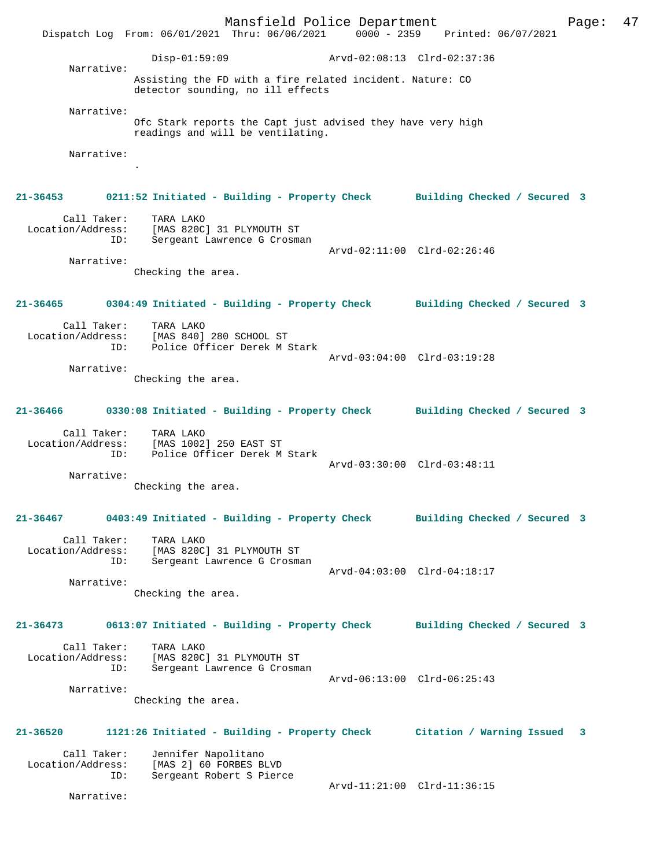Mansfield Police Department Fage: 47 Dispatch Log From: 06/01/2021 Thru: 06/06/2021 0000 - 2359 Printed: 06/07/2021 Disp-01:59:09 Arvd-02:08:13 Clrd-02:37:36 Narrative: Assisting the FD with a fire related incident. Nature: CO detector sounding, no ill effects Narrative: Ofc Stark reports the Capt just advised they have very high readings and will be ventilating. Narrative: . **21-36453 0211:52 Initiated - Building - Property Check Building Checked / Secured 3** Call Taker: TARA LAKO Location/Address: [MAS 820C] 31 PLYMOUTH ST ID: Sergeant Lawrence G Crosman Arvd-02:11:00 Clrd-02:26:46 Narrative: Checking the area. **21-36465 0304:49 Initiated - Building - Property Check Building Checked / Secured 3** Call Taker: TARA LAKO Location/Address: [MAS 840] 280 SCHOOL ST<br>ID: Police Officer Derek M 9 Police Officer Derek M Stark Arvd-03:04:00 Clrd-03:19:28 Narrative: Checking the area. **21-36466 0330:08 Initiated - Building - Property Check Building Checked / Secured 3** Call Taker: TARA LAKO Location/Address: [MAS 1002] 250 EAST ST ID: Police Officer Derek M Stark Arvd-03:30:00 Clrd-03:48:11 Narrative: Checking the area. **21-36467 0403:49 Initiated - Building - Property Check Building Checked / Secured 3** Call Taker: TARA LAKO Location/Address: [MAS 820C] 31 PLYMOUTH ST ID: Sergeant Lawrence G Crosman Arvd-04:03:00 Clrd-04:18:17 Narrative: Checking the area. **21-36473 0613:07 Initiated - Building - Property Check Building Checked / Secured 3** Call Taker: TARA LAKO<br>Location/Address: [MAS 820C [MAS 820C] 31 PLYMOUTH ST ID: Sergeant Lawrence G Crosman Arvd-06:13:00 Clrd-06:25:43 Narrative: Checking the area. **21-36520 1121:26 Initiated - Building - Property Check Citation / Warning Issued 3** Call Taker: Jennifer Napolitano Location/Address: [MAS 2] 60 FORBES BLVD Sergeant Robert S Pierce Arvd-11:21:00 Clrd-11:36:15 Narrative: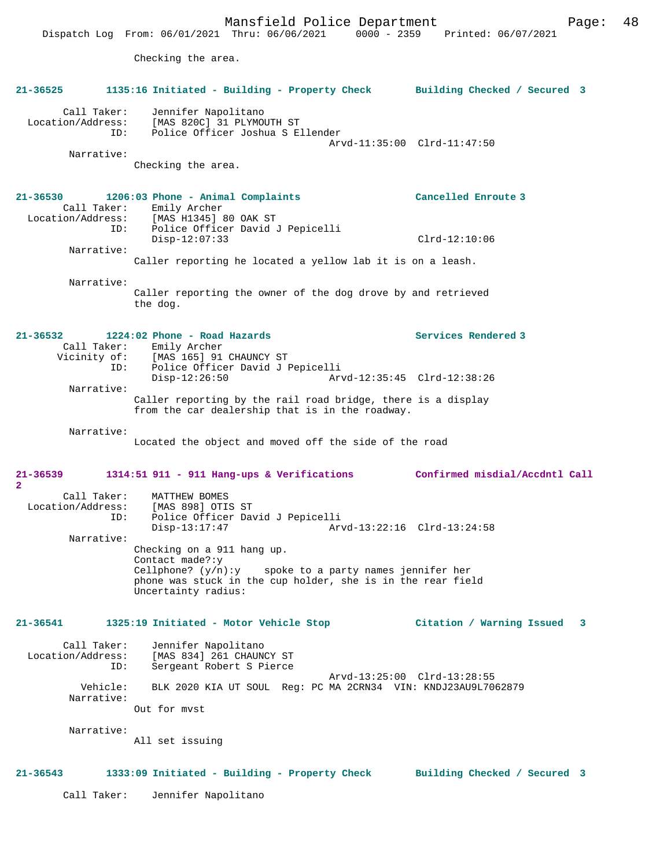Checking the area.

| 21-36525                                              | 1135:16 Initiated - Building - Property Check                                                                                                                                                      | Building Checked / Secured 3   |
|-------------------------------------------------------|----------------------------------------------------------------------------------------------------------------------------------------------------------------------------------------------------|--------------------------------|
| Call Taker:<br>Location/Address:<br>ID:<br>Narrative: | Jennifer Napolitano<br>[MAS 820C] 31 PLYMOUTH ST<br>Police Officer Joshua S Ellender                                                                                                               | Arvd-11:35:00 Clrd-11:47:50    |
|                                                       | Checking the area.                                                                                                                                                                                 |                                |
| 21-36530<br>Call Taker:                               | 1206:03 Phone - Animal Complaints<br>Emily Archer<br>Location/Address: [MAS H1345] 80 OAK ST                                                                                                       | Cancelled Enroute 3            |
| ID:                                                   | Police Officer David J Pepicelli<br>$Disp-12:07:33$                                                                                                                                                | $Clrd-12:10:06$                |
| Narrative:                                            | Caller reporting he located a yellow lab it is on a leash.                                                                                                                                         |                                |
| Narrative:                                            | Caller reporting the owner of the dog drove by and retrieved<br>the dog.                                                                                                                           |                                |
| $21 - 36532$                                          | 1224:02 Phone - Road Hazards<br>Call Taker: Emily Archer<br>Vicinity of: [MAS 165] 91 CHAUNCY ST<br>ID: Police Officer David J Pepicelli                                                           | Services Rendered 3            |
|                                                       | $Disp-12:26:50$                                                                                                                                                                                    | Arvd-12:35:45 Clrd-12:38:26    |
| Narrative:                                            | Caller reporting by the rail road bridge, there is a display<br>from the car dealership that is in the roadway.                                                                                    |                                |
| Narrative:                                            | Located the object and moved off the side of the road                                                                                                                                              |                                |
| 21-36539<br>$\mathbf{2}$                              | 1314:51 911 - 911 Hang-ups & Verifications Confirmed misdial/Accdntl Call                                                                                                                          |                                |
| Call Taker:<br>Location/Address:<br>ID:               | MATTHEW BOMES<br>[MAS 898] OTIS ST<br>Police Officer David J Pepicelli<br>Disp-13:17:47                                                                                                            | Arvd-13:22:16 Clrd-13:24:58    |
| Narrative:                                            | Checking on a 911 hang up.<br>Contact made?: $y$<br>Cellphone? $(y/n):y$ spoke to a party names jennifer her<br>phone was stuck in the cup holder, she is in the rear field<br>Uncertainty radius: |                                |
| 21-36541                                              | 1325:19 Initiated - Motor Vehicle Stop                                                                                                                                                             | Citation / Warning Issued<br>3 |
| Call Taker:<br>Location/Address:<br>ID:               | Jennifer Napolitano<br>[MAS 834] 261 CHAUNCY ST<br>Sergeant Robert S Pierce                                                                                                                        | Arvd-13:25:00 Clrd-13:28:55    |
| Vehicle:<br>Narrative:                                | BLK 2020 KIA UT SOUL Req: PC MA 2CRN34 VIN: KNDJ23AU9L7062879                                                                                                                                      |                                |
|                                                       | Out for myst                                                                                                                                                                                       |                                |
| Narrative:                                            | All set issuing                                                                                                                                                                                    |                                |
| 21-36543                                              | 1333:09 Initiated - Building - Property Check                                                                                                                                                      | Building Checked / Secured 3   |

Call Taker: Jennifer Napolitano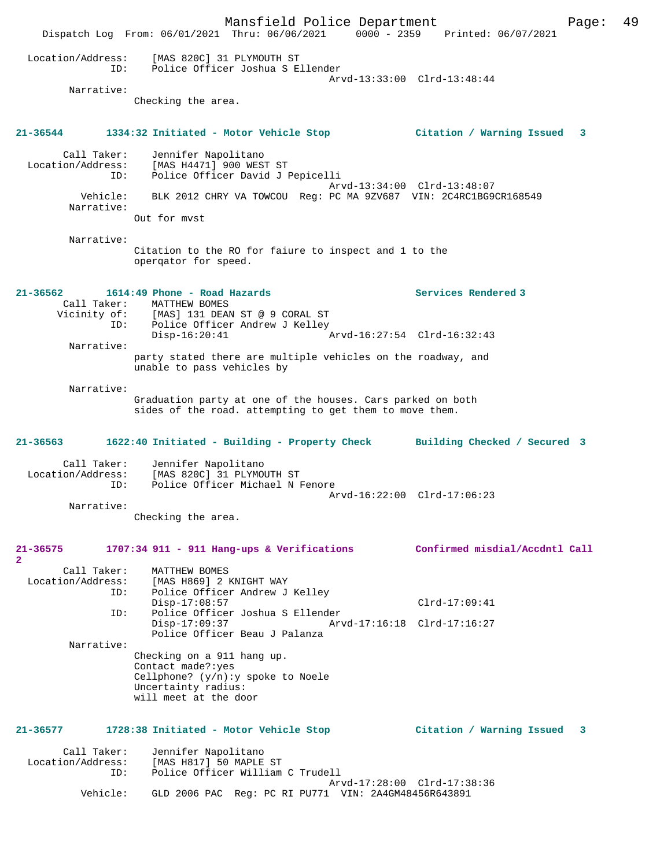Mansfield Police Department Page: 49 Dispatch Log From: 06/01/2021 Thru: 06/06/2021 0000 - 2359 Printed: 06/07/2021 Location/Address: [MAS 820C] 31 PLYMOUTH ST ID: Police Officer Joshua S Ellender Arvd-13:33:00 Clrd-13:48:44 Narrative: Checking the area. **21-36544 1334:32 Initiated - Motor Vehicle Stop Citation / Warning Issued 3** Call Taker: Jennifer Napolitano Location/Address: [MAS H4471] 900 WEST ST ID: Police Officer David J Pepicelli Arvd-13:34:00 Clrd-13:48:07 Vehicle: BLK 2012 CHRY VA TOWCOU Reg: PC MA 9ZV687 VIN: 2C4RC1BG9CR168549 Narrative: Out for mvst Narrative: Citation to the RO for faiure to inspect and 1 to the operqator for speed. **21-36562 1614:49 Phone - Road Hazards Services Rendered 3**  Call Taker: MATTHEW BOMES<br>Vicinity of: [MAS] 131 DEAN [MAS] 131 DEAN ST @ 9 CORAL ST ID: Police Officer Andrew J Kelley<br>Disp-16:20:41 Disp-16:20:41 Arvd-16:27:54 Clrd-16:32:43 Narrative: party stated there are multiple vehicles on the roadway, and unable to pass vehicles by Narrative: Graduation party at one of the houses. Cars parked on both sides of the road. attempting to get them to move them. **21-36563 1622:40 Initiated - Building - Property Check Building Checked / Secured 3** Call Taker: Jennifer Napolitano<br>Location/Address: [MAS 820C] 31 PLYMOU للمبينات المبينات .<br>Ess: [MAS 820C] 31 PLYMOUTH ST<br>ID: Police Officer Michael N B Police Officer Michael N Fenore Arvd-16:22:00 Clrd-17:06:23 Narrative: Checking the area. **21-36575 1707:34 911 - 911 Hang-ups & Verifications Confirmed misdial/Accdntl Call 2**  Call Taker: MATTHEW BOMES Location/Address: [MAS H869] 2 KNIGHT WAY ID: Police Officer Andrew J Kelley Disp-17:08:57 Clrd-17:09:41<br>ID: Police Officer Joshua S Ellender Police Officer Joshua S Ellender Disp-17:09:37 Arvd-17:16:18 Clrd-17:16:27 Police Officer Beau J Palanza Narrative: Checking on a 911 hang up. Contact made?:yes Cellphone? (y/n):y spoke to Noele Uncertainty radius: will meet at the door **21-36577 1728:38 Initiated - Motor Vehicle Stop Citation / Warning Issued 3** Call Taker: Jennifer Napolitano<br>Location/Address: [MAS H817] 50 MAPLE [MAS H817] 50 MAPLE ST ID: Police Officer William C Trudell Arvd-17:28:00 Clrd-17:38:36 Vehicle: GLD 2006 PAC Reg: PC RI PU771 VIN: 2A4GM48456R643891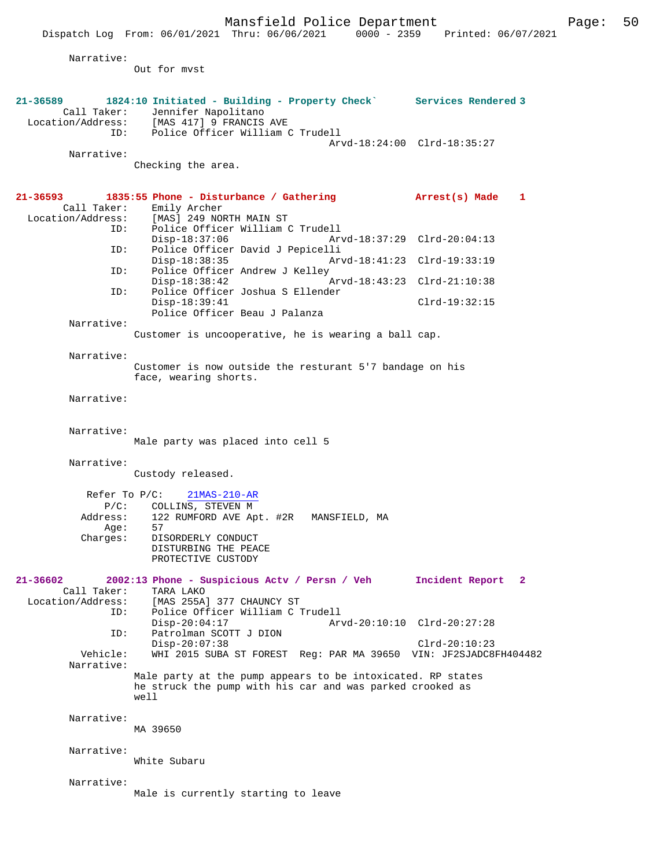Mansfield Police Department Form Page: 50

 Dispatch Log From: 06/01/2021 Thru: 06/06/2021 0000 - 2359 Printed: 06/07/2021 Narrative: Out for mvst **21-36589 1824:10 Initiated - Building - Property Check` Services Rendered 3**  Call Taker: Jennifer Napolitano<br>Location/Address: [MAS 417] 9 FRANCIS ess: [MAS 417] 9 FRANCIS AVE<br>ID: Police Officer William ( Police Officer William C Trudell Arvd-18:24:00 Clrd-18:35:27 Narrative: Checking the area. **21-36593 1835:55 Phone - Disturbance / Gathering Arrest(s) Made 1**  Call Taker: Emily Archer Location/Address: [MAS] 249 NORTH MAIN ST ID: Police Officer William C Trudell Disp-18:37:06 Arvd-18:37:29 Clrd-20:04:13<br>TD: Police Officer David J Pepicelli Police Officer David J Pepicelli<br>Disp-18:38:35 Arv Disp-18:38:35 Arvd-18:41:23 Clrd-19:33:19<br>ID: Police Officer Andrew J Kelley Police Officer Andrew J Kelley<br>Disp-18:38:42 Disp-18:38:42 Arvd-18:43:23 Clrd-21:10:38 ID: Police Officer Joshua S Ellender Disp-18:39:41 Clrd-19:32:15 Police Officer Beau J Palanza Narrative: Customer is uncooperative, he is wearing a ball cap. Narrative: Customer is now outside the resturant 5'7 bandage on his face, wearing shorts. Narrative: Narrative: Male party was placed into cell 5 Narrative: Custody released. Refer To P/C: 21MAS-210-AR P/C: COLLINS, STEVEN M Address: 122 RUMFORD AVE Apt. #2R MANSFIELD, MA Age:<br>:Charges 57<br>DISORDERLY CONDUCT DISTURBING THE PEACE PROTECTIVE CUSTODY **21-36602 2002:13 Phone - Suspicious Actv / Persn / Veh Incident Report 2**  Call Taker: TARA LAKO<br>Location/Address: [MAS 255A] ess: [MAS 255A] 377 CHAUNCY ST<br>ID: Police Officer William C Police Officer William C Trudell Disp-20:04:17 <br>
Disp-20:04:17 <br>
DION Arvd-20:10:10 Clrd-20:27:28 Patrolman SCOTT J DION Disp-20:07:38 <br>Vehicle: WHI 2015 SUBA ST FOREST Req: PAR MA 39650 VIN: JE2SJADC8 WHI 2015 SUBA ST FOREST Reg: PAR MA 39650 VIN: JF2SJADC8FH404482 Narrative: Male party at the pump appears to be intoxicated. RP states he struck the pump with his car and was parked crooked as well Narrative: MA 39650 Narrative: White Subaru Narrative: Male is currently starting to leave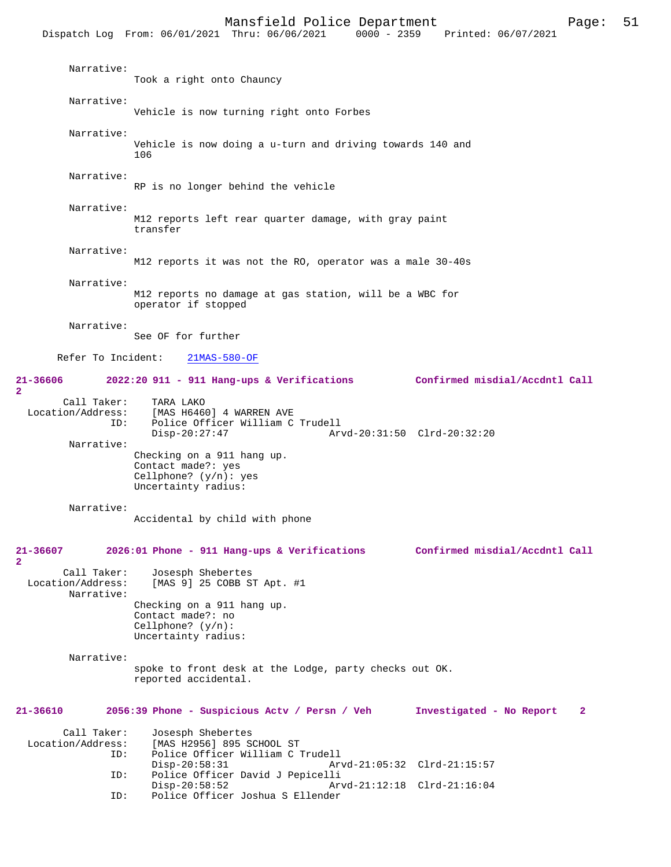|                                                | Dispatch Log From: 06/01/2021 Thru: 06/06/2021<br>$0000 - 2359$                                       | Printed: 06/07/2021                      |
|------------------------------------------------|-------------------------------------------------------------------------------------------------------|------------------------------------------|
| Narrative:                                     | Took a right onto Chauncy                                                                             |                                          |
| Narrative:                                     | Vehicle is now turning right onto Forbes                                                              |                                          |
| Narrative:                                     | Vehicle is now doing a u-turn and driving towards 140 and<br>106                                      |                                          |
| Narrative:                                     | RP is no longer behind the vehicle                                                                    |                                          |
| Narrative:                                     | M12 reports left rear quarter damage, with gray paint<br>transfer                                     |                                          |
| Narrative:                                     | M12 reports it was not the RO, operator was a male 30-40s                                             |                                          |
| Narrative:                                     | M12 reports no damage at gas station, will be a WBC for<br>operator if stopped                        |                                          |
| Narrative:                                     | See OF for further                                                                                    |                                          |
| Refer To Incident:                             | $21MAS-580-OF$                                                                                        |                                          |
| 21-36606<br>$\overline{\mathbf{2}}$            | $2022:20$ 911 - 911 Hang-ups & Verifications                                                          | Confirmed misdial/Accdntl Call           |
| Call Taker:<br>Location/Address:<br>ID:        | TARA LAKO<br>[MAS H6460] 4 WARREN AVE<br>Police Officer William C Trudell<br>$Disp-20:27:47$          | Arvd-20:31:50 Clrd-20:32:20              |
| Narrative:                                     | Checking on a 911 hang up.<br>Contact made?: yes<br>Cellphone? $(y/n)$ : yes<br>Uncertainty radius:   |                                          |
| Narrative:                                     | Accidental by child with phone                                                                        |                                          |
| 21-36607<br>$\overline{a}$                     | 2026:01 Phone - 911 Hang-ups & Verifications                                                          | Confirmed misdial/Accdntl Call           |
| Call Taker:<br>Location/Address:<br>Narrative: | Josesph Shebertes<br>[MAS 9] 25 COBB ST Apt. #1                                                       |                                          |
|                                                | Checking on a 911 hang up.<br>Contact made?: no<br>Cellphone? $(y/n)$ :<br>Uncertainty radius:        |                                          |
| Narrative:                                     | spoke to front desk at the Lodge, party checks out OK.<br>reported accidental.                        |                                          |
| $21 - 36610$                                   | 2056:39 Phone - Suspicious Actv / Persn / Veh                                                         | Investigated - No Report<br>$\mathbf{2}$ |
| Call Taker:<br>Location/Address:<br>ID:        | Josesph Shebertes<br>[MAS H2956] 895 SCHOOL ST<br>Police Officer William C Trudell<br>$Disp-20:58:31$ | Arvd-21:05:32 Clrd-21:15:57              |
| ID:                                            | Police Officer David J Pepicelli<br>$Disp-20:58:52$                                                   | Arvd-21:12:18 Clrd-21:16:04              |
| ID:                                            | Police Officer Joshua S Ellender                                                                      |                                          |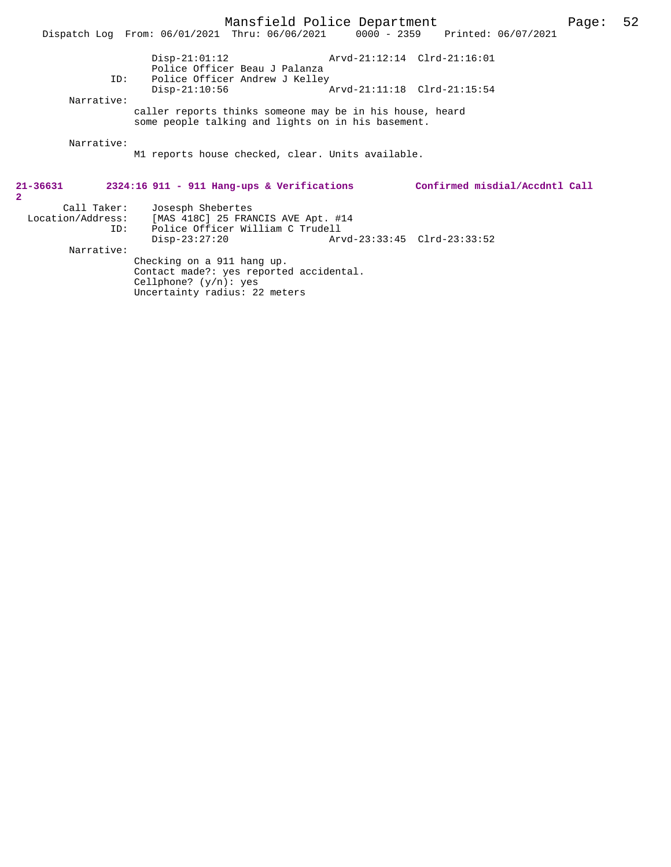Police Officer Andrew J Kelley<br>Disp-21:10:56 Arvd-21:11:18 Clrd-21:15:54 Narrative: caller reports thinks someone may be in his house, heard

some people talking and lights on in his basement.

Narrative:

M1 reports house checked, clear. Units available.

| $21 - 36631$      |             | 2324:16 911 - 911 Hang-ups & Verifications | Confirmed misdial/Accdntl Call |  |
|-------------------|-------------|--------------------------------------------|--------------------------------|--|
| $\overline{2}$    |             |                                            |                                |  |
|                   | Call Taker: | Josesph Shebertes                          |                                |  |
| Location/Address: |             | [MAS 418C] 25 FRANCIS AVE Apt. #14         |                                |  |
|                   | ID:         | Police Officer William C Trudell           |                                |  |
|                   |             | $Disp-23:27:20$                            | Arvd-23:33:45 Clrd-23:33:52    |  |
|                   | Narrative:  |                                            |                                |  |
|                   |             | Checking on a 911 hang up.                 |                                |  |
|                   |             | Contact made?: yes reported accidental.    |                                |  |
|                   |             | Cellphone? $(y/n)$ : yes                   |                                |  |
|                   |             | Uncertainty radius: 22 meters              |                                |  |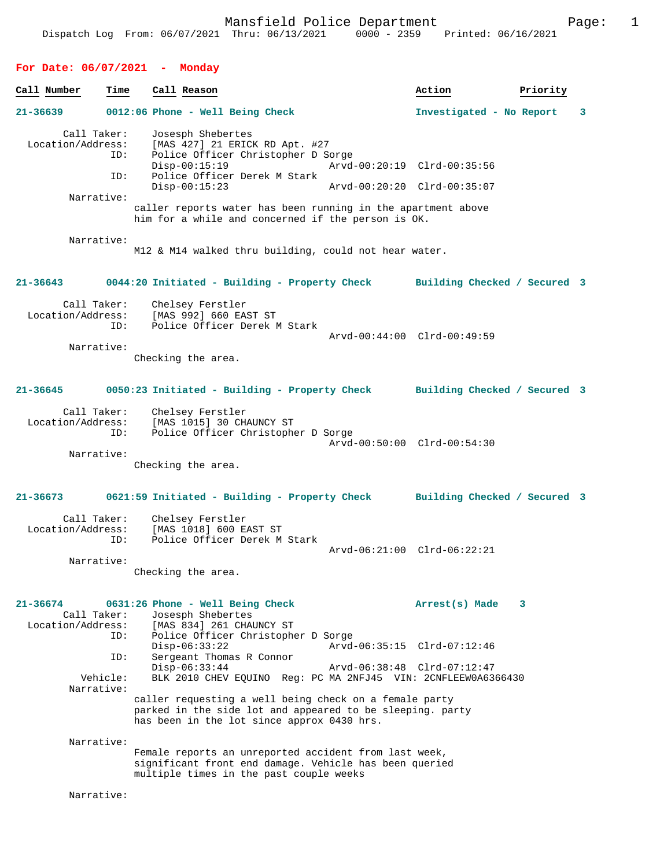| For Date: $06/07/2021$ - Monday                     |                                                                                                                                                                                                |                               |
|-----------------------------------------------------|------------------------------------------------------------------------------------------------------------------------------------------------------------------------------------------------|-------------------------------|
| Call Number<br>Time                                 | Call Reason                                                                                                                                                                                    | Priority<br>Action            |
| 21-36639                                            | 0012:06 Phone - Well Being Check                                                                                                                                                               | Investigated - No Report<br>3 |
| Call Taker:<br>Location/Address:<br>ID:<br>ID:      | Josesph Shebertes<br>[MAS 427] 21 ERICK RD Apt. #27<br>Police Officer Christopher D Sorge<br>$Disp-00:15:19$<br>Police Officer Derek M Stark<br>$Disp-00:15:23$<br>Arvd-00:20:20 Clrd-00:35:07 | Arvd-00:20:19 Clrd-00:35:56   |
| Narrative:                                          | caller reports water has been running in the apartment above                                                                                                                                   |                               |
|                                                     | him for a while and concerned if the person is OK.                                                                                                                                             |                               |
| Narrative:                                          | M12 & M14 walked thru building, could not hear water.                                                                                                                                          |                               |
| $21 - 36643$                                        | 0044:20 Initiated - Building - Property Check Building Checked / Secured 3                                                                                                                     |                               |
| Call Taker:<br>Location/Address:<br>ID:             | Chelsey Ferstler<br>[MAS 992] 660 EAST ST<br>Police Officer Derek M Stark                                                                                                                      | Arvd-00:44:00 Clrd-00:49:59   |
| Narrative:                                          | Checking the area.                                                                                                                                                                             |                               |
| 21-36645                                            | 0050:23 Initiated - Building - Property Check Building Checked / Secured 3                                                                                                                     |                               |
| Call Taker:<br>Location/Address:<br>ID:             | Chelsey Ferstler<br>[MAS 1015] 30 CHAUNCY ST<br>Police Officer Christopher D Sorge                                                                                                             | Arvd-00:50:00 Clrd-00:54:30   |
| Narrative:                                          | Checking the area.                                                                                                                                                                             |                               |
| 21-36673                                            | 0621:59 Initiated - Building - Property Check Building Checked / Secured 3                                                                                                                     |                               |
| Call Taker:<br>Location/Address:<br>ID:             | Chelsey Ferstler<br>[MAS 1018] 600 EAST ST<br>Police Officer Derek M Stark                                                                                                                     | Arvd-06:21:00 Clrd-06:22:21   |
| Narrative:                                          | Checking the area.                                                                                                                                                                             |                               |
| 21-36674<br>Call Taker:<br>Location/Address:<br>ID: | 0631:26 Phone - Well Being Check<br>Josesph Shebertes<br>[MAS 834] 261 CHAUNCY ST<br>Police Officer Christopher D Sorge                                                                        | Arrest(s) Made<br>3           |
| ID:                                                 | $Disp-06:33:22$<br>Sergeant Thomas R Connor                                                                                                                                                    | Arvd-06:35:15 Clrd-07:12:46   |
| Vehicle:                                            | $Disp-06:33:44$<br>BLK 2010 CHEV EQUINO Req: PC MA 2NFJ45 VIN: 2CNFLEEW0A6366430                                                                                                               | Arvd-06:38:48 Clrd-07:12:47   |
| Narrative:                                          | caller requesting a well being check on a female party<br>parked in the side lot and appeared to be sleeping. party<br>has been in the lot since approx 0430 hrs.                              |                               |
| Narrative:                                          | Female reports an unreported accident from last week,<br>significant front end damage. Vehicle has been queried<br>multiple times in the past couple weeks                                     |                               |
| Narrative:                                          |                                                                                                                                                                                                |                               |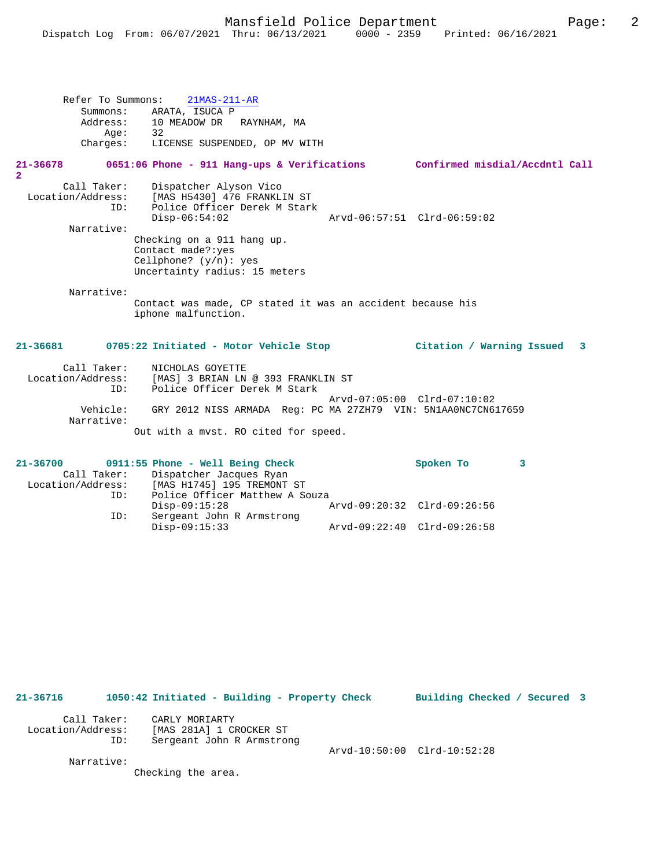Refer To Summons: 21MAS-211-AR Summons: ARATA, ISUCA P<br>Address: 10 MEADOW DR 10 MEADOW DR RAYNHAM, MA Age: 32 Charges: LICENSE SUSPENDED, OP MV WITH

#### **21-36678 0651:06 Phone - 911 Hang-ups & Verifications Confirmed misdial/Accdntl Call**

**2** 

Call Taker: Dispatcher Alyson Vico<br>Location/Address: [MAS H5430] 476 FRANKLI Location/Address: [MAS H5430] 476 FRANKLIN ST ID: Police Officer Derek M Stark Disp-06:54:02 Arvd-06:57:51 Clrd-06:59:02 Narrative: Checking on a 911 hang up. Contact made?:yes Cellphone? (y/n): yes Uncertainty radius: 15 meters

Narrative:

Contact was made, CP stated it was an accident because his iphone malfunction.

#### **21-36681 0705:22 Initiated - Motor Vehicle Stop Citation / Warning Issued 3**

| Call Taker:            | NICHOLAS GOYETTE                                                |
|------------------------|-----------------------------------------------------------------|
| Location/Address:      | [MAS] 3 BRIAN LN @ 393 FRANKLIN ST                              |
| ID:                    | Police Officer Derek M Stark                                    |
|                        | Arvd-07:05:00 Clrd-07:10:02                                     |
| Vehicle:<br>Narrative: | GRY 2012 NISS ARMADA  Req: PC MA 27ZH79  VIN: 5N1AA0NC7CN617659 |
|                        | Out with a myst. RO cited for speed.                            |

| $21 - 36700$      |     | $0911:55$ Phone - Well Being Check  |                             | Spoken To |  |
|-------------------|-----|-------------------------------------|-----------------------------|-----------|--|
|                   |     | Call Taker: Dispatcher Jacques Ryan |                             |           |  |
| Location/Address: |     | [MAS H1745] 195 TREMONT ST          |                             |           |  |
|                   | ID: | Police Officer Matthew A Souza      |                             |           |  |
|                   |     | $Disp-09:15:28$                     | Arvd-09:20:32 Clrd-09:26:56 |           |  |
|                   | ID: | Sergeant John R Armstrong           |                             |           |  |
|                   |     | $Disp-09:15:33$                     | Arvd-09:22:40 Clrd-09:26:58 |           |  |

| $21 - 36716$                     |     | 1050:42 Initiated - Building - Property Check                          | Building Checked / Secured 3 |  |
|----------------------------------|-----|------------------------------------------------------------------------|------------------------------|--|
| Call Taker:<br>Location/Address: | ID: | CARLY MORIARTY<br>[MAS 281A] 1 CROCKER ST<br>Sergeant John R Armstrong |                              |  |
| Narrative:                       |     |                                                                        | Arvd-10:50:00 Clrd-10:52:28  |  |
|                                  |     | Checking the area.                                                     |                              |  |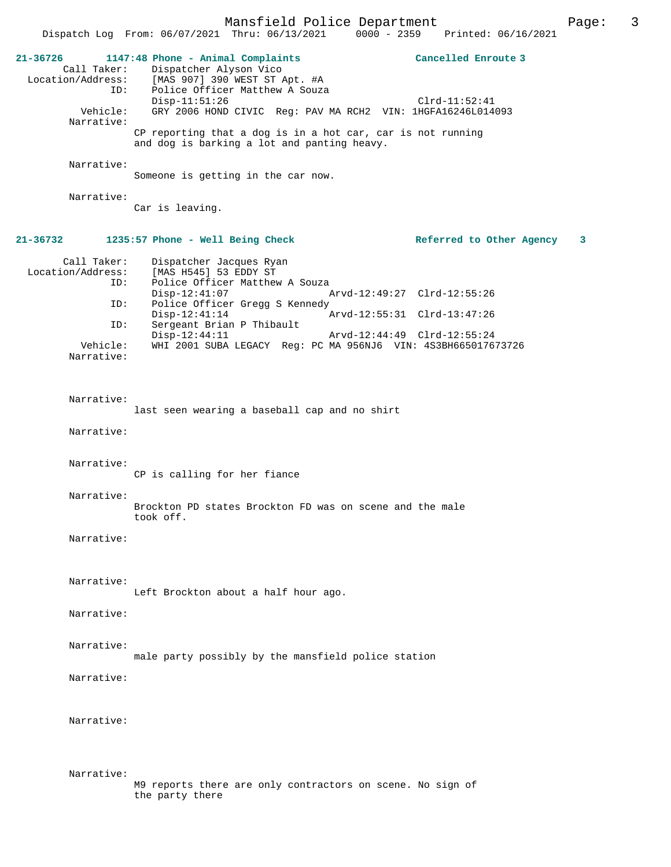|                                                     |                                                                                                                                | Mansfield Police Department |                                 | Page: | 3 |
|-----------------------------------------------------|--------------------------------------------------------------------------------------------------------------------------------|-----------------------------|---------------------------------|-------|---|
|                                                     | Dispatch Log From: 06/07/2021 Thru: 06/13/2021                                                                                 |                             | 0000 - 2359 Printed: 06/16/2021 |       |   |
| 21-36726<br>Call Taker:<br>Location/Address:<br>ID: | 1147:48 Phone - Animal Complaints<br>Dispatcher Alyson Vico<br>[MAS 907] 390 WEST ST Apt. #A<br>Police Officer Matthew A Souza |                             | Cancelled Enroute 3             |       |   |
| Vehicle:<br>Narrative:                              | $Disp-11:51:26$<br>GRY 2006 HOND CIVIC Reg: PAV MA RCH2 VIN: 1HGFA16246L014093                                                 |                             | $Clrd-11:52:41$                 |       |   |
|                                                     | CP reporting that a dog is in a hot car, car is not running<br>and dog is barking a lot and panting heavy.                     |                             |                                 |       |   |
| Narrative:                                          | Someone is getting in the car now.                                                                                             |                             |                                 |       |   |
| Narrative:                                          | Car is leaving.                                                                                                                |                             |                                 |       |   |
| 21-36732                                            | 1235:57 Phone - Well Being Check                                                                                               |                             | Referred to Other Agency        | 3     |   |
| Call Taker:<br>Location/Address:                    | Dispatcher Jacques Ryan<br>[MAS H545] 53 EDDY ST                                                                               |                             |                                 |       |   |
| ID:                                                 | Police Officer Matthew A Souza<br>$Disp-12:41:07$                                                                              |                             | Arvd-12:49:27 Clrd-12:55:26     |       |   |
| ID:                                                 | Police Officer Gregg S Kennedy<br>$Disp-12:41:14$                                                                              | Arvd-12:55:31 Clrd-13:47:26 |                                 |       |   |
| ID:                                                 | Sergeant Brian P Thibault<br>$Disp-12:44:11$                                                                                   | Arvd-12:44:49 Clrd-12:55:24 |                                 |       |   |
| Vehicle:<br>Narrative:                              | WHI 2001 SUBA LEGACY Req: PC MA 956NJ6 VIN: 4S3BH665017673726                                                                  |                             |                                 |       |   |
| Narrative:                                          | last seen wearing a baseball cap and no shirt                                                                                  |                             |                                 |       |   |
| Narrative:                                          |                                                                                                                                |                             |                                 |       |   |
| Narrative:                                          | CP is calling for her fiance                                                                                                   |                             |                                 |       |   |
| Narrative:                                          | Brockton PD states Brockton FD was on scene and the male<br>took off.                                                          |                             |                                 |       |   |
| Narrative:                                          |                                                                                                                                |                             |                                 |       |   |
| Narrative:                                          | Left Brockton about a half hour ago.                                                                                           |                             |                                 |       |   |
| Narrative:                                          |                                                                                                                                |                             |                                 |       |   |
| Narrative:                                          | male party possibly by the mansfield police station                                                                            |                             |                                 |       |   |
| Narrative:                                          |                                                                                                                                |                             |                                 |       |   |
| Narrative:                                          |                                                                                                                                |                             |                                 |       |   |
| Narrative:                                          | M9 reports there are only contractors on scene. No sign of<br>the party there                                                  |                             |                                 |       |   |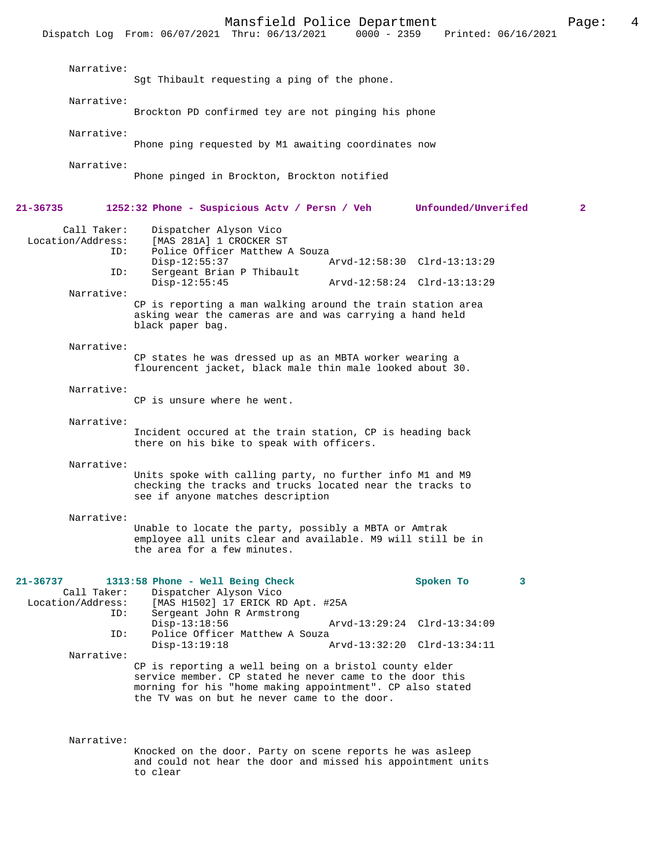|                                                            | Dispatch Log From: 06/07/2021 Thru: 06/13/2021                                                                                                                                                       | $0000 - 2359$ Printed: $06/16/2021$                                          |              |
|------------------------------------------------------------|------------------------------------------------------------------------------------------------------------------------------------------------------------------------------------------------------|------------------------------------------------------------------------------|--------------|
| Narrative:                                                 | Sgt Thibault requesting a ping of the phone.                                                                                                                                                         |                                                                              |              |
| Narrative:                                                 | Brockton PD confirmed tey are not pinging his phone                                                                                                                                                  |                                                                              |              |
| Narrative:                                                 | Phone ping requested by M1 awaiting coordinates now                                                                                                                                                  |                                                                              |              |
| Narrative:                                                 | Phone pinged in Brockton, Brockton notified                                                                                                                                                          |                                                                              |              |
| 21-36735                                                   | 1252:32 Phone - Suspicious Actv / Persn / Veh                                                                                                                                                        | Unfounded/Unverifed                                                          | $\mathbf{2}$ |
| Call Taker:<br>Location/Address:<br>ID:                    | Dispatcher Alyson Vico<br>[MAS 281A] 1 CROCKER ST<br>Police Officer Matthew A Souza<br>$Disp-12:55:37$                                                                                               | Arvd-12:58:30 Clrd-13:13:29                                                  |              |
| ID:                                                        | Sergeant Brian P Thibault<br>$Disp-12:55:45$                                                                                                                                                         | Arvd-12:58:24 Clrd-13:13:29                                                  |              |
| Narrative:                                                 | CP is reporting a man walking around the train station area<br>asking wear the cameras are and was carrying a hand held<br>black paper bag.                                                          |                                                                              |              |
| Narrative:                                                 | CP states he was dressed up as an MBTA worker wearing a<br>flourencent jacket, black male thin male looked about 30.                                                                                 |                                                                              |              |
| Narrative:                                                 | CP is unsure where he went.                                                                                                                                                                          |                                                                              |              |
| Narrative:                                                 | Incident occured at the train station, CP is heading back<br>there on his bike to speak with officers.                                                                                               |                                                                              |              |
| Narrative:                                                 | Units spoke with calling party, no further info M1 and M9<br>checking the tracks and trucks located near the tracks to<br>see if anyone matches description                                          |                                                                              |              |
| Narrative:                                                 | Unable to locate the party, possibly a MBTA or Amtrak<br>employee all units clear and available. M9 will still be in<br>the area for a few minutes.                                                  |                                                                              |              |
| 21-36737<br>Call Taker:<br>Location/Address:<br>ID:<br>ID: | 1313:58 Phone - Well Being Check<br>Dispatcher Alyson Vico<br>[MAS H1502] 17 ERICK RD Apt. #25A<br>Sergeant John R Armstrong<br>$Disp-13:18:56$<br>Police Officer Matthew A Souza<br>$Disp-13:19:18$ | Spoken To<br>3<br>Arvd-13:29:24 Clrd-13:34:09<br>Arvd-13:32:20 Clrd-13:34:11 |              |
| Narrative:                                                 | CP is reporting a well being on a bristol county elder                                                                                                                                               |                                                                              |              |
|                                                            | service member. CP stated he never came to the door this<br>morning for his "home making appointment". CP also stated<br>the TV was on but he never came to the door.                                |                                                                              |              |
| Narrative:                                                 |                                                                                                                                                                                                      |                                                                              |              |

Knocked on the door. Party on scene reports he was asleep and could not hear the door and missed his appointment units to clear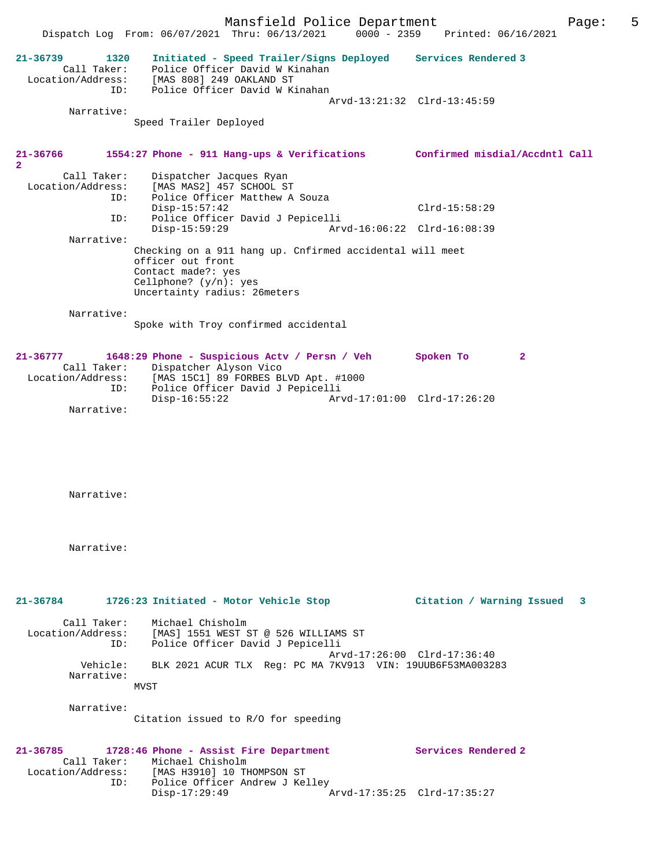| 1320<br>Services Rendered 3<br>$21 - 36739$<br>Initiated - Speed Trailer/Signs Deployed<br>Police Officer David W Kinahan<br>Call Taker:<br>Location/Address: [MAS 808] 249 OAKLAND ST<br>Police Officer David W Kinahan<br>ID:<br>Arvd-13:21:32 Clrd-13:45:59<br>Narrative:<br>Speed Trailer Deployed<br>21-36766<br>1554:27 Phone - 911 Hang-ups & Verifications<br>Confirmed misdial/Accdntl Call<br>$\overline{2}$<br>Call Taker:<br>Dispatcher Jacques Ryan<br>Location/Address: [MAS MAS2] 457 SCHOOL ST<br>Police Officer Matthew A Souza<br>ID:<br>$Disp-15:57:42$<br>$Clrd-15:58:29$<br>Police Officer David J Pepicelli<br>ID:<br>$Disp-15:59:29$<br>Arvd-16:06:22 Clrd-16:08:39<br>Narrative:<br>Checking on a 911 hang up. Cnfirmed accidental will meet<br>officer out front<br>Contact made?: yes<br>Cellphone? $(y/n): ye$ s<br>Uncertainty radius: 26meters<br>Narrative:<br>Spoke with Troy confirmed accidental<br>1648:29 Phone - Suspicious Actv / Persn / Veh<br>$21 - 36777$<br>Spoken To<br>$\mathbf{2}$<br>Call Taker:<br>Dispatcher Alyson Vico<br>Location/Address:<br>[MAS 15C1] 89 FORBES BLVD Apt. #1000<br>Police Officer David J Pepicelli<br>ID:<br>$Disp-16:55:22$<br>Arvd-17:01:00 Clrd-17:26:20<br>Narrative: | 5 | Page: | Printed: 06/16/2021 | $0000 - 2359$ | Mansfield Police Department<br>Dispatch Log From: 06/07/2021 Thru: 06/13/2021 |  |
|--------------------------------------------------------------------------------------------------------------------------------------------------------------------------------------------------------------------------------------------------------------------------------------------------------------------------------------------------------------------------------------------------------------------------------------------------------------------------------------------------------------------------------------------------------------------------------------------------------------------------------------------------------------------------------------------------------------------------------------------------------------------------------------------------------------------------------------------------------------------------------------------------------------------------------------------------------------------------------------------------------------------------------------------------------------------------------------------------------------------------------------------------------------------------------------------------------------------------------------------------|---|-------|---------------------|---------------|-------------------------------------------------------------------------------|--|
|                                                                                                                                                                                                                                                                                                                                                                                                                                                                                                                                                                                                                                                                                                                                                                                                                                                                                                                                                                                                                                                                                                                                                                                                                                                  |   |       |                     |               |                                                                               |  |
|                                                                                                                                                                                                                                                                                                                                                                                                                                                                                                                                                                                                                                                                                                                                                                                                                                                                                                                                                                                                                                                                                                                                                                                                                                                  |   |       |                     |               |                                                                               |  |
|                                                                                                                                                                                                                                                                                                                                                                                                                                                                                                                                                                                                                                                                                                                                                                                                                                                                                                                                                                                                                                                                                                                                                                                                                                                  |   |       |                     |               |                                                                               |  |
|                                                                                                                                                                                                                                                                                                                                                                                                                                                                                                                                                                                                                                                                                                                                                                                                                                                                                                                                                                                                                                                                                                                                                                                                                                                  |   |       |                     |               |                                                                               |  |
|                                                                                                                                                                                                                                                                                                                                                                                                                                                                                                                                                                                                                                                                                                                                                                                                                                                                                                                                                                                                                                                                                                                                                                                                                                                  |   |       |                     |               |                                                                               |  |
|                                                                                                                                                                                                                                                                                                                                                                                                                                                                                                                                                                                                                                                                                                                                                                                                                                                                                                                                                                                                                                                                                                                                                                                                                                                  |   |       |                     |               |                                                                               |  |
|                                                                                                                                                                                                                                                                                                                                                                                                                                                                                                                                                                                                                                                                                                                                                                                                                                                                                                                                                                                                                                                                                                                                                                                                                                                  |   |       |                     |               |                                                                               |  |
|                                                                                                                                                                                                                                                                                                                                                                                                                                                                                                                                                                                                                                                                                                                                                                                                                                                                                                                                                                                                                                                                                                                                                                                                                                                  |   |       |                     |               |                                                                               |  |
|                                                                                                                                                                                                                                                                                                                                                                                                                                                                                                                                                                                                                                                                                                                                                                                                                                                                                                                                                                                                                                                                                                                                                                                                                                                  |   |       |                     |               |                                                                               |  |
|                                                                                                                                                                                                                                                                                                                                                                                                                                                                                                                                                                                                                                                                                                                                                                                                                                                                                                                                                                                                                                                                                                                                                                                                                                                  |   |       |                     |               |                                                                               |  |
| Narrative:                                                                                                                                                                                                                                                                                                                                                                                                                                                                                                                                                                                                                                                                                                                                                                                                                                                                                                                                                                                                                                                                                                                                                                                                                                       |   |       |                     |               |                                                                               |  |
| Narrative:                                                                                                                                                                                                                                                                                                                                                                                                                                                                                                                                                                                                                                                                                                                                                                                                                                                                                                                                                                                                                                                                                                                                                                                                                                       |   |       |                     |               |                                                                               |  |
| 21-36784 1726:23 Initiated - Motor Vehicle Stop<br>Citation / Warning Issued<br>3                                                                                                                                                                                                                                                                                                                                                                                                                                                                                                                                                                                                                                                                                                                                                                                                                                                                                                                                                                                                                                                                                                                                                                |   |       |                     |               |                                                                               |  |
| Call Taker:<br>Michael Chisholm<br>Location/Address: [MAS] 1551 WEST ST @ 526 WILLIAMS ST<br>Police Officer David J Pepicelli<br>ID:<br>Arvd-17:26:00 Clrd-17:36:40                                                                                                                                                                                                                                                                                                                                                                                                                                                                                                                                                                                                                                                                                                                                                                                                                                                                                                                                                                                                                                                                              |   |       |                     |               |                                                                               |  |
| Vehicle:<br>BLK 2021 ACUR TLX Req: PC MA 7KV913 VIN: 19UUB6F53MA003283<br>Narrative:                                                                                                                                                                                                                                                                                                                                                                                                                                                                                                                                                                                                                                                                                                                                                                                                                                                                                                                                                                                                                                                                                                                                                             |   |       |                     |               |                                                                               |  |
| <b>MVST</b>                                                                                                                                                                                                                                                                                                                                                                                                                                                                                                                                                                                                                                                                                                                                                                                                                                                                                                                                                                                                                                                                                                                                                                                                                                      |   |       |                     |               |                                                                               |  |
| Narrative:<br>Citation issued to R/O for speeding                                                                                                                                                                                                                                                                                                                                                                                                                                                                                                                                                                                                                                                                                                                                                                                                                                                                                                                                                                                                                                                                                                                                                                                                |   |       |                     |               |                                                                               |  |
| Services Rendered 2<br>21-36785<br>1728:46 Phone - Assist Fire Department<br>Call Taker:<br>Michael Chisholm<br>Location/Address: [MAS H3910] 10 THOMPSON ST<br>Police Officer Andrew J Kelley<br>ID:<br>$Disp-17:29:49$<br>Arvd-17:35:25 Clrd-17:35:27                                                                                                                                                                                                                                                                                                                                                                                                                                                                                                                                                                                                                                                                                                                                                                                                                                                                                                                                                                                          |   |       |                     |               |                                                                               |  |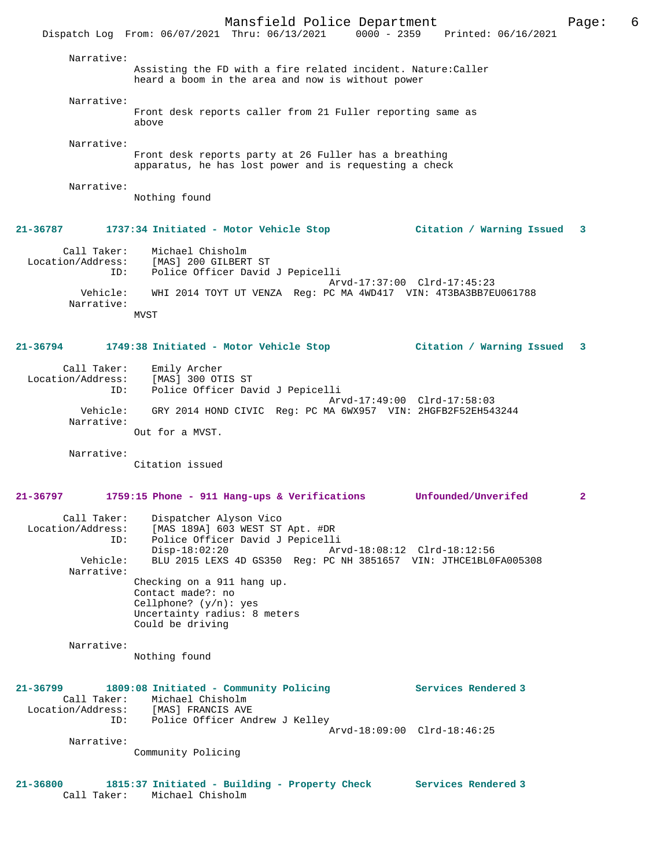Mansfield Police Department Page: 6 Dispatch Log From: 06/07/2021 Thru: 06/13/2021 0000 - 2359 Printed: 06/16/2021 Narrative: Assisting the FD with a fire related incident. Nature:Caller heard a boom in the area and now is without power Narrative: Front desk reports caller from 21 Fuller reporting same as above Narrative: Front desk reports party at 26 Fuller has a breathing apparatus, he has lost power and is requesting a check Narrative: Nothing found **21-36787 1737:34 Initiated - Motor Vehicle Stop Citation / Warning Issued 3** Call Taker: Michael Chisholm Location/Address: [MAS] 200 GILBERT ST ID: Police Officer David J Pepicelli Arvd-17:37:00 Clrd-17:45:23 Vehicle: WHI 2014 TOYT UT VENZA Reg: PC MA 4WD417 VIN: 4T3BA3BB7EU061788 Narrative: MVST **21-36794 1749:38 Initiated - Motor Vehicle Stop Citation / Warning Issued 3** Call Taker: Emily Archer Location/Address: [MAS] 300 OTIS ST ID: Police Officer David J Pepicelli Arvd-17:49:00 Clrd-17:58:03 Vehicle: GRY 2014 HOND CIVIC Reg: PC MA 6WX957 VIN: 2HGFB2F52EH543244 Narrative: Out for a MVST. Narrative: Citation issued **21-36797 1759:15 Phone - 911 Hang-ups & Verifications Unfounded/Unverifed 2** Call Taker: Dispatcher Alyson Vico Location/Address: [MAS 189A] 603 WEST ST Apt. #DR ID: Police Officer David J Pepicelli Disp-18:02:20 Arvd-18:08:12 Clrd-18:12:56<br>Vehicle: BLU 2015 LEXS 4D GS350 Req: PC NH 3851657 VIN: JTHCE1BL01 BLU 2015 LEXS 4D GS350 Reg: PC NH 3851657 VIN: JTHCE1BL0FA005308 Narrative: Checking on a 911 hang up. Contact made?: no Cellphone? (y/n): yes Uncertainty radius: 8 meters Could be driving Narrative: Nothing found **21-36799 1809:08 Initiated - Community Policing Services Rendered 3**  Call Taker: Michael Chisholm Location/Address: [MAS] FRANCIS AVE ID: Police Officer Andrew J Kelley Arvd-18:09:00 Clrd-18:46:25 Narrative: Community Policing **21-36800 1815:37 Initiated - Building - Property Check Services Rendered 3**  Call Taker: Michael Chisholm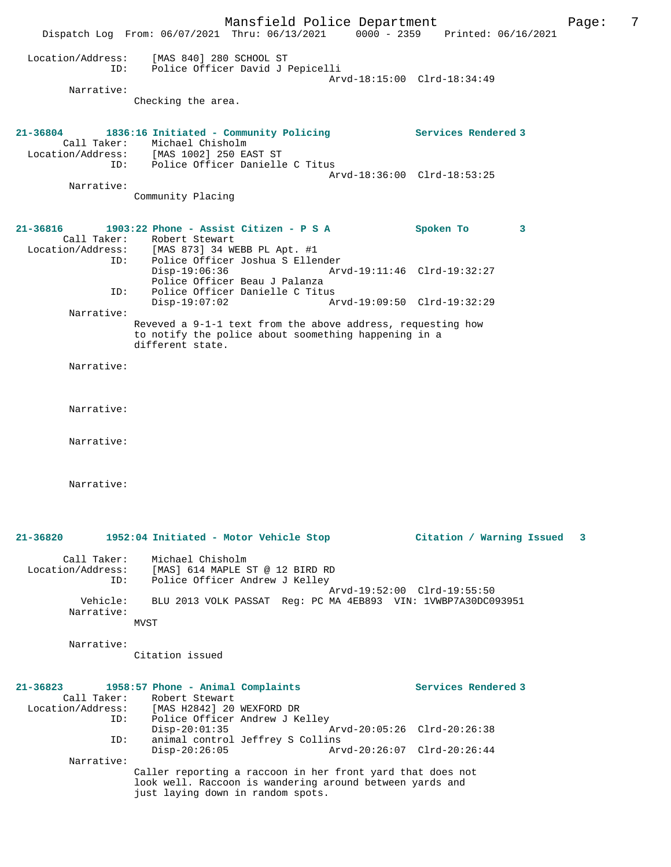|                                         | Mansfield Police Department<br>Dispatch Log From: 06/07/2021 Thru: 06/13/2021 0000 - 2359 Printed: 06/16/2021                                               |                                                            | Page: | 7 |
|-----------------------------------------|-------------------------------------------------------------------------------------------------------------------------------------------------------------|------------------------------------------------------------|-------|---|
| Location/Address:<br>ID:<br>Narrative:  | [MAS 840] 280 SCHOOL ST<br>Police Officer David J Pepicelli<br>Checking the area.                                                                           | Arvd-18:15:00 Clrd-18:34:49                                |       |   |
| 21-36804<br>Call Taker:                 | 1836:16 Initiated - Community Policing<br>Michael Chisholm<br>Location/Address: [MAS 1002] 250 EAST ST                                                      | Services Rendered 3                                        |       |   |
| ID:<br>Narrative:                       | Police Officer Danielle C Titus<br>Community Placing                                                                                                        | Arvd-18:36:00 Clrd-18:53:25                                |       |   |
|                                         |                                                                                                                                                             |                                                            |       |   |
| $21 - 36816$<br>ID:                     | 1903:22 Phone - Assist Citizen - P S A<br>Call Taker: Robert Stewart<br>Location/Address: [MAS 873] 34 WEBB PL Apt. #1<br>Police Officer Joshua S Ellender  | Spoken To<br>3                                             |       |   |
| ID:                                     | $Disp-19:06:36$<br>Police Officer Beau J Palanza<br>Police Officer Danielle C Titus                                                                         | Arvd-19:11:46 Clrd-19:32:27                                |       |   |
|                                         | $Disp-19:07:02$                                                                                                                                             | Arvd-19:09:50 Clrd-19:32:29                                |       |   |
| Narrative:                              | Reveved a 9-1-1 text from the above address, requesting how<br>to notify the police about soomething happening in a<br>different state.                     |                                                            |       |   |
| Narrative:                              |                                                                                                                                                             |                                                            |       |   |
| Narrative:                              |                                                                                                                                                             |                                                            |       |   |
| Narrative:                              |                                                                                                                                                             |                                                            |       |   |
| Narrative:                              |                                                                                                                                                             |                                                            |       |   |
| 21-36820                                | 1952:04 Initiated - Motor Vehicle Stop                                                                                                                      | Citation / Warning Issued                                  | 3     |   |
| Call Taker:<br>Location/Address:<br>ID: | Michael Chisholm<br>[MAS] 614 MAPLE ST @ 12 BIRD RD<br>Police Officer Andrew J Kelley                                                                       |                                                            |       |   |
| Vehicle:<br>Narrative:                  | BLU 2013 VOLK PASSAT Reg: PC MA 4EB893 VIN: 1VWBP7A30DC093951<br>MVST                                                                                       | Arvd-19:52:00 Clrd-19:55:50                                |       |   |
| Narrative:                              | Citation issued                                                                                                                                             |                                                            |       |   |
| 21-36823<br>Call Taker:<br>ID:          | 1958:57 Phone - Animal Complaints<br>Robert Stewart<br>Location/Address: [MAS H2842] 20 WEXFORD DR<br>Police Officer Andrew J Kelley                        | Services Rendered 3                                        |       |   |
| ID:                                     | $Disp-20:01:35$<br>animal control Jeffrey S Collins<br>$Disp-20:26:05$                                                                                      | Arvd-20:05:26 Clrd-20:26:38<br>Arvd-20:26:07 Clrd-20:26:44 |       |   |
| Narrative:                              | Caller reporting a raccoon in her front yard that does not<br>look well. Raccoon is wandering around between yards and<br>just laying down in random spots. |                                                            |       |   |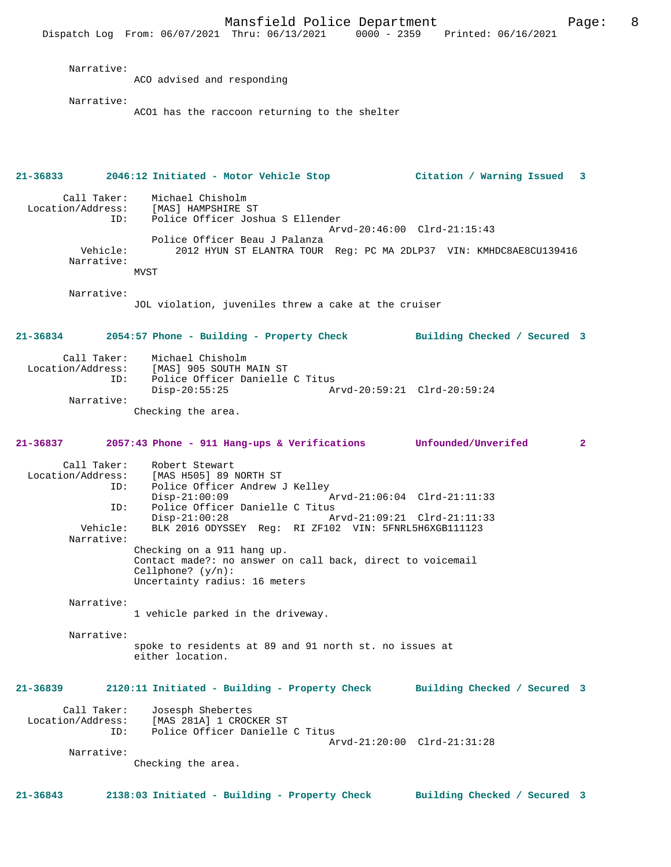Dispatch Log From: 06/07/2021 Thru: 06/13/2021 0000 - 2359 Printed: 06/16/2021 Narrative: ACO advised and responding Narrative: ACO1 has the raccoon returning to the shelter **21-36833 2046:12 Initiated - Motor Vehicle Stop Citation / Warning Issued 3** Call Taker: Michael Chisholm<br>Location/Address: [MAS] HAMPSHIRE 9 ess: [MAS] HAMPSHIRE ST<br>ID: Police Officer Josh Police Officer Joshua S Ellender Arvd-20:46:00 Clrd-21:15:43 Police Officer Beau J Palanza<br>Vehicle: 2012 HYUN ST ELANTRA TOUR 2012 HYUN ST ELANTRA TOUR Reg: PC MA 2DLP37 VIN: KMHDC8AE8CU139416 Narrative: MVST Narrative: JOL violation, juveniles threw a cake at the cruiser **21-36834 2054:57 Phone - Building - Property Check Building Checked / Secured 3** Call Taker: Michael Chisholm Location/Address: [MAS] 905 SOUTH MAIN ST ID: Police Officer Danielle C Titus<br>Disp-20:55:25 Am Disp-20:55:25 Arvd-20:59:21 Clrd-20:59:24 Narrative: Checking the area. **21-36837 2057:43 Phone - 911 Hang-ups & Verifications Unfounded/Unverifed 2** Call Taker: Robert Stewart Location/Address: [MAS H505] 89 NORTH ST Police Officer Andrew J Kelley<br>Disp-21:00:09 Disp-21:00:09 Arvd-21:06:04 Clrd-21:11:33<br>ID: Police Officer Danielle C Titus ID: Police Officer Danielle C Titus Disp-21:00:28 Arvd-21:09:21 Clrd-21:11:33 Vehicle: BLK 2016 ODYSSEY Reg: RI ZF102 VIN: 5FNRL5H6XGB111123 Narrative: Checking on a 911 hang up. Contact made?: no answer on call back, direct to voicemail Cellphone? (y/n): Uncertainty radius: 16 meters Narrative: 1 vehicle parked in the driveway. Narrative: spoke to residents at 89 and 91 north st. no issues at either location. **21-36839 2120:11 Initiated - Building - Property Check Building Checked / Secured 3** Call Taker: Josesph Shebertes<br>Location/Address: [MAS 281A] 1 CROC ess: [MAS 281A] 1 CROCKER ST<br>TD: Police Officer Danielle Police Officer Danielle C Titus Arvd-21:20:00 Clrd-21:31:28 Narrative: Checking the area.

Mansfield Police Department Fage: 8

**21-36843 2138:03 Initiated - Building - Property Check Building Checked / Secured 3**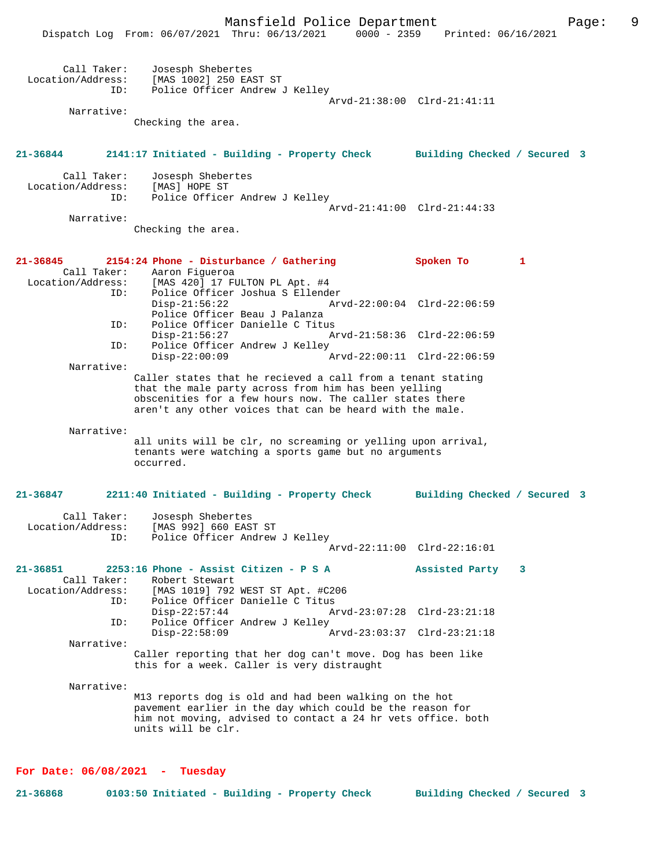|                                                         | Mansfield Police Department<br>Dispatch Log From: 06/07/2021 Thru: 06/13/2021 0000 - 2359 Printed: 06/16/2021                                                                                                                               |                                                            |              | 9<br>Page: |
|---------------------------------------------------------|---------------------------------------------------------------------------------------------------------------------------------------------------------------------------------------------------------------------------------------------|------------------------------------------------------------|--------------|------------|
| Call Taker:<br>Location/Address:<br>ID:<br>Narrative:   | Josesph Shebertes<br>[MAS 1002] 250 EAST ST<br>Police Officer Andrew J Kelley                                                                                                                                                               | Arvd-21:38:00 Clrd-21:41:11                                |              |            |
|                                                         | Checking the area.                                                                                                                                                                                                                          |                                                            |              |            |
| 21-36844                                                | 2141:17 Initiated - Building - Property Check Building Checked / Secured 3                                                                                                                                                                  |                                                            |              |            |
| Call Taker:<br>Location/Address:<br>ID:                 | Josesph Shebertes<br>[MAS] HOPE ST<br>Police Officer Andrew J Kelley                                                                                                                                                                        |                                                            |              |            |
| Narrative:                                              | Checking the area.                                                                                                                                                                                                                          | Arvd-21:41:00 Clrd-21:44:33                                |              |            |
| 21-36845<br>Call Taker:                                 | 2154:24 Phone - Disturbance / Gathering<br>Aaron Figueroa                                                                                                                                                                                   | Spoken To                                                  | $\mathbf{1}$ |            |
| ID:                                                     | Location/Address: [MAS 420] 17 FULTON PL Apt. #4<br>Police Officer Joshua S Ellender<br>$Disp-21:56:22$<br>Police Officer Beau J Palanza                                                                                                    | Arvd-22:00:04 Clrd-22:06:59                                |              |            |
| ID:<br>ID:                                              | Police Officer Danielle C Titus<br>$Disp-21:56:27$<br>Police Officer Andrew J Kelley                                                                                                                                                        | Arvd-21:58:36 Clrd-22:06:59                                |              |            |
| Narrative:                                              | $Disp-22:00:09$                                                                                                                                                                                                                             | Arvd-22:00:11 Clrd-22:06:59                                |              |            |
|                                                         | Caller states that he recieved a call from a tenant stating<br>that the male party across from him has been yelling<br>obscenities for a few hours now. The caller states there<br>aren't any other voices that can be heard with the male. |                                                            |              |            |
| Narrative:                                              | all units will be clr, no screaming or yelling upon arrival,<br>tenants were watching a sports game but no arguments<br>occurred.                                                                                                           |                                                            |              |            |
| 21-36847                                                | 2211:40 Initiated - Building - Property Check                                                                                                                                                                                               | Building Checked / Secured 3                               |              |            |
| Call Taker:<br>Location/Address:<br>ID:                 | Josesph Shebertes<br>[MAS 992] 660 EAST ST<br>Police Officer Andrew J Kelley                                                                                                                                                                | Arvd-22:11:00 Clrd-22:16:01                                |              |            |
| $21 - 36851$<br>Call Taker:<br>Location/Address:<br>ID: | 2253:16 Phone - Assist Citizen - P S A<br>Robert Stewart<br>[MAS 1019] 792 WEST ST Apt. #C206<br>Police Officer Danielle C Titus                                                                                                            | Assisted Party                                             | - 3          |            |
| ID:                                                     | $Disp-22:57:44$<br>Police Officer Andrew J Kelley<br>$Disp-22:58:09$                                                                                                                                                                        | Arvd-23:07:28 Clrd-23:21:18<br>Arvd-23:03:37 Clrd-23:21:18 |              |            |
| Narrative:                                              | Caller reporting that her dog can't move. Dog has been like<br>this for a week. Caller is very distraught                                                                                                                                   |                                                            |              |            |
| Narrative:                                              | M13 reports dog is old and had been walking on the hot<br>pavement earlier in the day which could be the reason for<br>him not moving, advised to contact a 24 hr vets office. both<br>units will be clr.                                   |                                                            |              |            |

# **For Date: 06/08/2021 - Tuesday**

**21-36868 0103:50 Initiated - Building - Property Check Building Checked / Secured 3**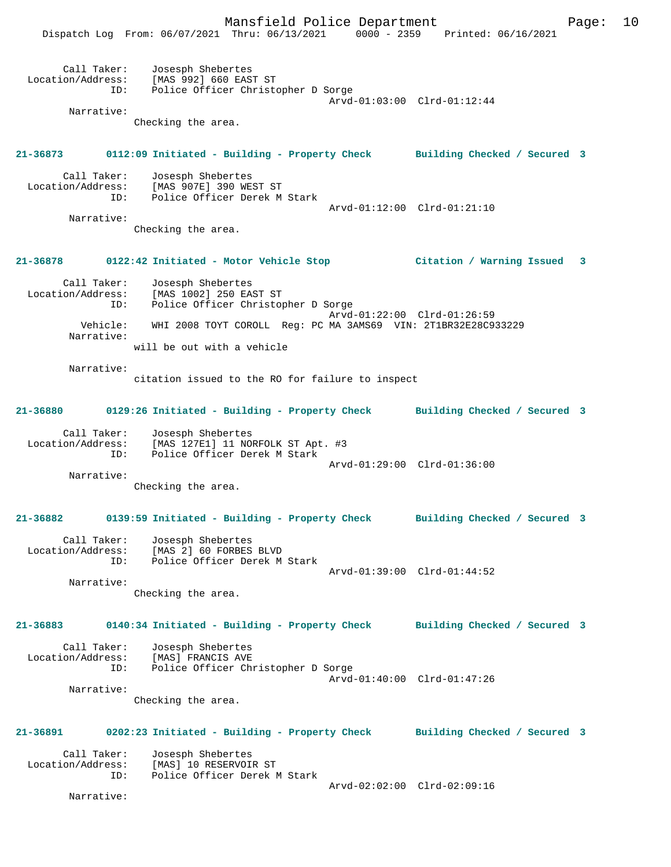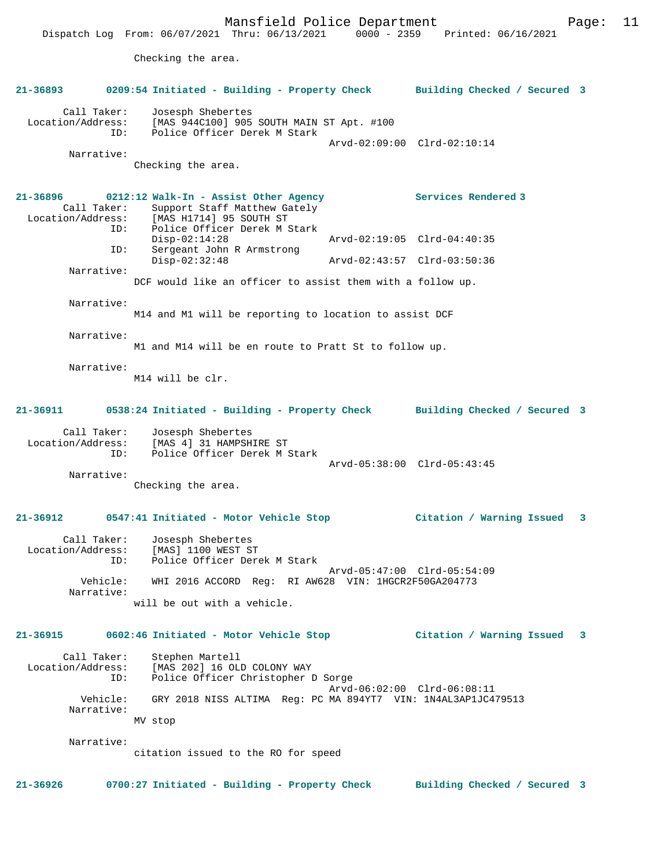Dispatch Log From: 06/07/2021 Thru: 06/13/2021 0000 - 2359 Printed: 06/16/2021

Checking the area.

| 21-36893                         |                    | 0209:54 Initiated - Building - Property Check                                                                                                                 |                     | Building Checked / Secured 3 |  |
|----------------------------------|--------------------|---------------------------------------------------------------------------------------------------------------------------------------------------------------|---------------------|------------------------------|--|
| Call Taker:<br>Location/Address: | ID:                | Josesph Shebertes<br>[MAS 944C100] 905 SOUTH MAIN ST Apt. #100<br>Police Officer Derek M Stark                                                                |                     |                              |  |
| Narrative:                       |                    |                                                                                                                                                               |                     | Arvd-02:09:00 Clrd-02:10:14  |  |
|                                  |                    | Checking the area.                                                                                                                                            |                     |                              |  |
|                                  | Call Taker:<br>ID: | $21-36896$ 0212:12 Walk-In - Assist Other Agency<br>Support Staff Matthew Gately<br>Location/Address: [MAS H1714] 95 SOUTH ST<br>Police Officer Derek M Stark | Services Rendered 3 |                              |  |
|                                  | ID:                | $Disp-02:14:28$<br>Sergeant John R Armstrong                                                                                                                  |                     | Arvd-02:19:05 Clrd-04:40:35  |  |
|                                  |                    | $Disp-02:32:48$                                                                                                                                               |                     | Arvd-02:43:57 Clrd-03:50:36  |  |
| Narrative:                       |                    | DCF would like an officer to assist them with a follow up.                                                                                                    |                     |                              |  |
| Narrative:                       |                    | M14 and M1 will be reporting to location to assist DCF                                                                                                        |                     |                              |  |
| Narrative:                       |                    | M1 and M14 will be en route to Pratt St to follow up.                                                                                                         |                     |                              |  |
| Narrative:                       |                    | M14 will be clr.                                                                                                                                              |                     |                              |  |
| 21-36911                         |                    | 0538:24 Initiated - Building - Property Check Building Checked / Secured 3                                                                                    |                     |                              |  |
| Call Taker:<br>Location/Address: | ID:                | Josesph Shebertes<br>[MAS 4] 31 HAMPSHIRE ST<br>Police Officer Derek M Stark                                                                                  |                     | Arvd-05:38:00 Clrd-05:43:45  |  |
| Narrative:                       |                    | Checking the area.                                                                                                                                            |                     |                              |  |
| $21 - 36912$                     |                    | 0547:41 Initiated - Motor Vehicle Stop                                                                                                                        |                     | Citation / Warning Issued 3  |  |
| Call Taker:<br>Location/Address: | ID:                | Josesph Shebertes<br>[MAS] 1100 WEST ST<br>Police Officer Derek M Stark                                                                                       |                     | Arvd-05:47:00 Clrd-05:54:09  |  |
| Narrative:                       | Vehicle:           | WHI 2016 ACCORD Reg: RI AW628 VIN: 1HGCR2F50GA204773                                                                                                          |                     |                              |  |
|                                  |                    | will be out with a vehicle.                                                                                                                                   |                     |                              |  |
| 21-36915                         |                    | 0602:46 Initiated - Motor Vehicle Stop                                                                                                                        |                     | Citation / Warning Issued 3  |  |
| Call Taker:<br>Location/Address: | ID:                | Stephen Martell<br>[MAS 202] 16 OLD COLONY WAY<br>Police Officer Christopher D Sorge                                                                          |                     | Arvd-06:02:00 Clrd-06:08:11  |  |
| Vehicle:<br>Narrative:           |                    | GRY 2018 NISS ALTIMA Reg: PC MA 894YT7 VIN: 1N4AL3AP1JC479513<br>MV stop                                                                                      |                     |                              |  |
| Narrative:                       |                    |                                                                                                                                                               |                     |                              |  |
|                                  |                    | citation issued to the RO for speed                                                                                                                           |                     |                              |  |
| 21-36926                         |                    | 0700:27 Initiated - Building - Property Check                                                                                                                 |                     | Building Checked / Secured 3 |  |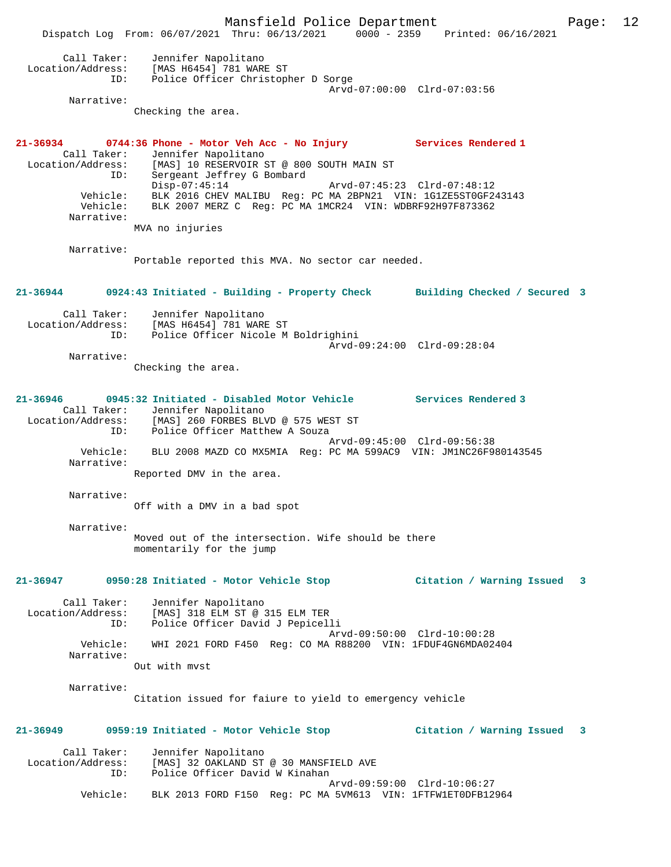Mansfield Police Department Page: 12 Dispatch Log From: 06/07/2021 Thru: 06/13/2021 0000 - 2359 Printed: 06/16/2021 Call Taker: Jennifer Napolitano Location/Address: [MAS H6454] 781 WARE ST ID: Police Officer Christopher D Sorge Arvd-07:00:00 Clrd-07:03:56 Narrative: Checking the area. **21-36934 0744:36 Phone - Motor Veh Acc - No Injury Services Rendered 1**  Call Taker: Jennifer Napolitano<br>Location/Address: [MAS] 10 RESERVOIR 9 [MAS] 10 RESERVOIR ST @ 800 SOUTH MAIN ST ID: Sergeant Jeffrey G Bombard Disp-07:45:14 Arvd-07:45:23 Clrd-07:48:12 Vehicle: BLK 2016 CHEV MALIBU Reg: PC MA 2BPN21 VIN: 1G1ZE5ST0GF243143 Vehicle: BLK 2007 MERZ C Reg: PC MA 1MCR24 VIN: WDBRF92H97F873362 Narrative: MVA no injuries Narrative: Portable reported this MVA. No sector car needed. **21-36944 0924:43 Initiated - Building - Property Check Building Checked / Secured 3** Call Taker: Jennifer Napolitano Location/Address: [MAS H6454] 781 WARE ST<br>TD: Police Officer Nicole M Police Officer Nicole M Boldrighini Arvd-09:24:00 Clrd-09:28:04 Narrative: Checking the area. **21-36946 0945:32 Initiated - Disabled Motor Vehicle Services Rendered 3**  Call Taker: Jennifer Napolitano Location/Address: [MAS] 260 FORBES BLVD @ 575 WEST ST ID: Police Officer Matthew A Souza Arvd-09:45:00 Clrd-09:56:38 Vehicle: BLU 2008 MAZD CO MX5MIA Reg: PC MA 599AC9 VIN: JM1NC26F980143545 Narrative: Reported DMV in the area. Narrative: Off with a DMV in a bad spot Narrative: Moved out of the intersection. Wife should be there momentarily for the jump **21-36947 0950:28 Initiated - Motor Vehicle Stop Citation / Warning Issued 3** Call Taker: Jennifer Napolitano Location/Address: [MAS] 318 ELM ST @ 315 ELM TER ID: Police Officer David J Pepicelli Arvd-09:50:00 Clrd-10:00:28 Vehicle: WHI 2021 FORD F450 Reg: CO MA R88200 VIN: 1FDUF4GN6MDA02404 Narrative: Out with mvst Narrative: Citation issued for faiure to yield to emergency vehicle **21-36949 0959:19 Initiated - Motor Vehicle Stop Citation / Warning Issued 3** Call Taker: Jennifer Napolitano<br>Location/Address: [MAS] 32 OAKLAND ST [MAS] 32 OAKLAND ST @ 30 MANSFIELD AVE ID: Police Officer David W Kinahan Arvd-09:59:00 Clrd-10:06:27 Vehicle: BLK 2013 FORD F150 Reg: PC MA 5VM613 VIN: 1FTFW1ET0DFB12964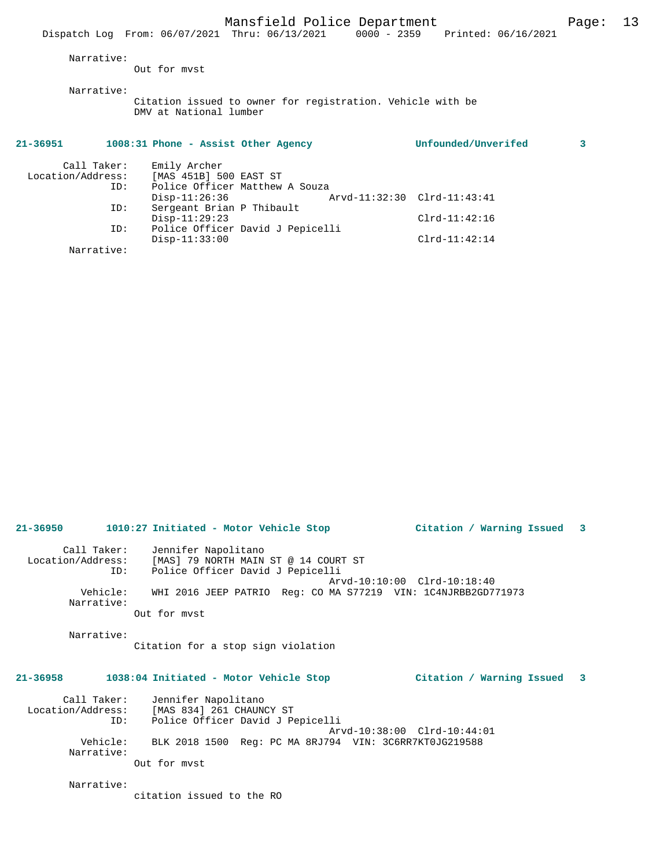|                   | Dispatch Log From: 06/07/2021 Thru: 06/13/2021 |                                                            |                             | 0000 - 2359 Printed: 06/16/2021 |   |
|-------------------|------------------------------------------------|------------------------------------------------------------|-----------------------------|---------------------------------|---|
| Narrative:        |                                                |                                                            |                             |                                 |   |
|                   | Out for myst                                   |                                                            |                             |                                 |   |
| Narrative:        |                                                |                                                            |                             |                                 |   |
|                   | DMV at National lumber                         | Citation issued to owner for registration. Vehicle with be |                             |                                 |   |
| 21-36951          | 1008:31 Phone - Assist Other Agency            |                                                            |                             | Unfounded/Unverifed             | 3 |
|                   | Call Taker: Emily Archer                       |                                                            |                             |                                 |   |
| Location/Address: | [MAS 451B] 500 EAST ST                         |                                                            |                             |                                 |   |
| ID:               |                                                | Police Officer Matthew A Souza                             |                             |                                 |   |
|                   | $Disp-11:26:36$                                |                                                            | Arvd-11:32:30 Clrd-11:43:41 |                                 |   |
| ID:               | Sergeant Brian P Thibault                      |                                                            |                             |                                 |   |
|                   | $Disp-11:29:23$                                |                                                            |                             | $Clrd-11:42:16$                 |   |
| ID:               |                                                | Police Officer David J Pepicelli                           |                             |                                 |   |

Disp-11:33:00 Clrd-11:42:14

| 21-36950                         |     | Citation / Warning Issued 3<br>1010:27 Initiated - Motor Vehicle Stop                                        |
|----------------------------------|-----|--------------------------------------------------------------------------------------------------------------|
| Call Taker:<br>Location/Address: | ID: | Jennifer Napolitano<br>[MAS] 79 NORTH MAIN ST @ 14 COURT ST<br>Police Officer David J Pepicelli              |
| Vehicle:<br>Narrative:           |     | Arvd-10:10:00 Clrd-10:18:40<br>WHI 2016 JEEP PATRIO Req: CO MA S77219 VIN: 1C4NJRBB2GD771973<br>Out for myst |

Narrative:

Narrative:

Citation for a stop sign violation

### **21-36958 1038:04 Initiated - Motor Vehicle Stop Citation / Warning Issued 3**

 Call Taker: Jennifer Napolitano Location/Address: [MAS 834] 261 CHAUNCY ST ID: Police Officer David J Pepicelli Arvd-10:38:00 Clrd-10:44:01 Vehicle: BLK 2018 1500 Reg: PC MA 8RJ794 VIN: 3C6RR7KT0JG219588 Narrative: Out for mvst

Narrative:

citation issued to the RO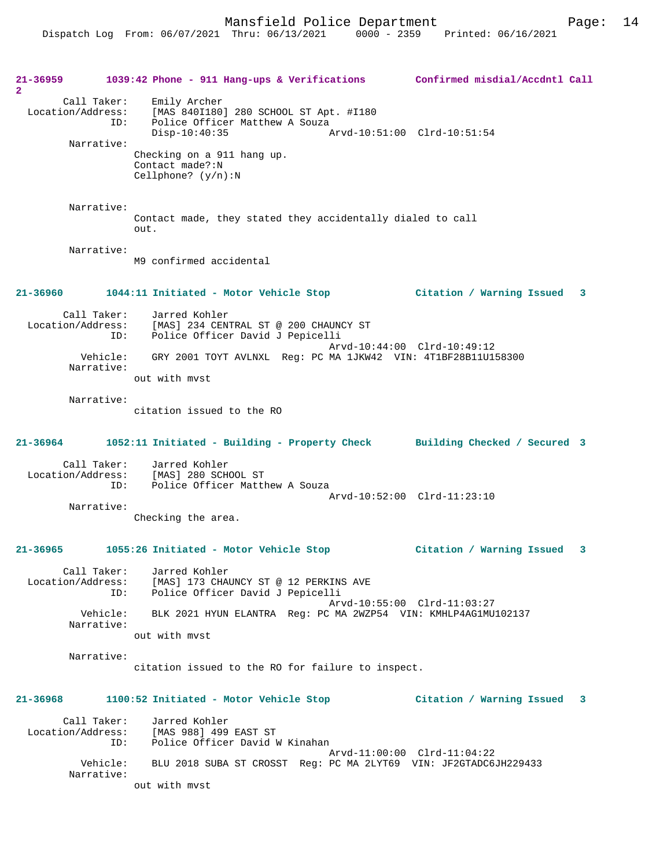Mansfield Police Department Form Page: 14

**21-36959 1039:42 Phone - 911 Hang-ups & Verifications Confirmed misdial/Accdntl Call 2**  Call Taker: Emily Archer Location/Address: [MAS 840I180] 280 SCHOOL ST Apt. #I180 ID: Police Officer Matthew A Souza<br>Disp-10:40:35 Disp-10:40:35 Arvd-10:51:00 Clrd-10:51:54 Narrative: Checking on a 911 hang up. Contact made?:N Cellphone? (y/n):N Narrative: Contact made, they stated they accidentally dialed to call out. Narrative: M9 confirmed accidental **21-36960 1044:11 Initiated - Motor Vehicle Stop Citation / Warning Issued 3** Call Taker: Jarred Kohler Location/Address: [MAS] 234 CENTRAL ST @ 200 CHAUNCY ST Police Officer David J Pepicelli Arvd-10:44:00 Clrd-10:49:12<br>Vehicle: GRY 2001 TOYT AVLNXL Reg: PC MA 1JKW42 VIN: 4T1BF28B11U1! Vehicle: GRY 2001 TOYT AVLNXL Reg: PC MA 1JKW42 VIN: 4T1BF28B11U158300 Narrative: out with mvst Narrative: citation issued to the RO **21-36964 1052:11 Initiated - Building - Property Check Building Checked / Secured 3** Call Taker: Jarred Kohler Location/Address: [MAS] 280 SCHOOL ST<br>TD: Police Officer Matth Police Officer Matthew A Souza Arvd-10:52:00 Clrd-11:23:10 Narrative: Checking the area. **21-36965 1055:26 Initiated - Motor Vehicle Stop Citation / Warning Issued 3** Call Taker: Jarred Kohler Location/Address: [MAS] 173 CHAUNCY ST @ 12 PERKINS AVE ID: Police Officer David J Pepicelli Arvd-10:55:00 Clrd-11:03:27 Vehicle: BLK 2021 HYUN ELANTRA Reg: PC MA 2WZP54 VIN: KMHLP4AG1MU102137 Narrative: out with mvst Narrative: citation issued to the RO for failure to inspect. **21-36968 1100:52 Initiated - Motor Vehicle Stop Citation / Warning Issued 3** Call Taker: Jarred Kohler Location/Address: [MAS 988] 499 EAST ST ID: Police Officer David W Kinahan Arvd-11:00:00 Clrd-11:04:22<br>Vehicle: BLU 2018 SUBA ST CROSST Reg: PC MA 2LYT69 VIN: JE2GTADC6 BLU 2018 SUBA ST CROSST Reg: PC MA 2LYT69 VIN: JF2GTADC6JH229433 Narrative: out with mvst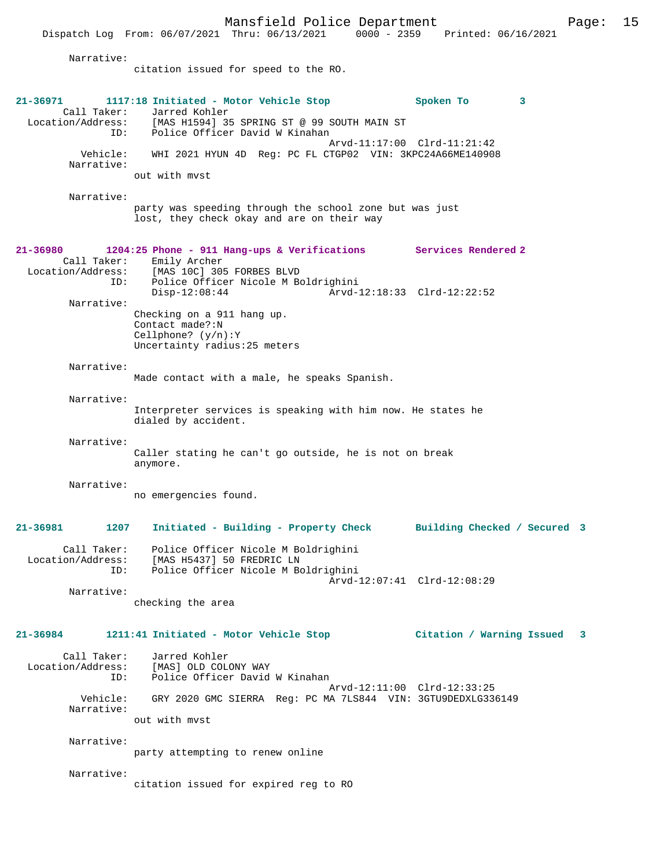Mansfield Police Department Page: 15 Dispatch Log From: 06/07/2021 Thru: 06/13/2021 Narrative: citation issued for speed to the RO. **21-36971 1117:18 Initiated - Motor Vehicle Stop Spoken To 3**  Call Taker: Jarred Kohler<br>Location/Address: [MAS H1594] 35 ess: [MAS H1594] 35 SPRING ST @ 99 SOUTH MAIN ST<br>ID: Police Officer David W Kinahan Police Officer David W Kinahan Arvd-11:17:00 Clrd-11:21:42 Vehicle: WHI 2021 HYUN 4D Reg: PC FL CTGP02 VIN: 3KPC24A66ME140908 Narrative: out with mvst Narrative: party was speeding through the school zone but was just lost, they check okay and are on their way **21-36980 1204:25 Phone - 911 Hang-ups & Verifications Services Rendered 2**  Call Taker: Emily Archer<br>Location/Address: [MAS 10C] 309 [MAS 10C] 305 FORBES BLVD ID: Police Officer Nicole M Boldrighini Disp-12:08:44 Arvd-12:18:33 Clrd-12:22:52 Narrative: Checking on a 911 hang up. Contact made?:N Cellphone? (y/n):Y Uncertainty radius:25 meters Narrative: Made contact with a male, he speaks Spanish. Narrative: Interpreter services is speaking with him now. He states he dialed by accident. Narrative: Caller stating he can't go outside, he is not on break anymore. Narrative: no emergencies found. **21-36981 1207 Initiated - Building - Property Check Building Checked / Secured 3** Call Taker: Police Officer Nicole M Boldrighini Location/Address: [MAS H5437] 50 FREDRIC LN ID: Police Officer Nicole M Boldrighini Arvd-12:07:41 Clrd-12:08:29 Narrative: checking the area **21-36984 1211:41 Initiated - Motor Vehicle Stop Citation / Warning Issued 3** Call Taker: Jarred Kohler Location/Address: [MAS] OLD COLONY WAY Police Officer David W Kinahan Arvd-12:11:00 Clrd-12:33:25 Vehicle: GRY 2020 GMC SIERRA Reg: PC MA 7LS844 VIN: 3GTU9DEDXLG336149 Narrative: out with mvst Narrative: party attempting to renew online Narrative: citation issued for expired reg to RO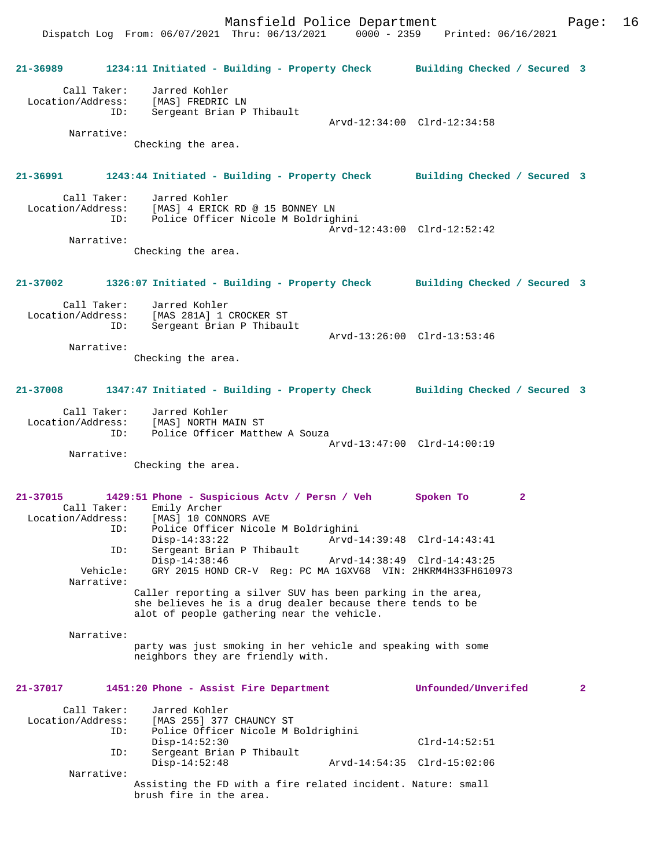Dispatch Log From: 06/07/2021 Thru: 06/13/2021 0000 - 2359 Printed: 06/16/2021

| 21-36989                                | 1234:11 Initiated - Building - Property Check Building Checked / Secured 3                                                                                              |                             |              |
|-----------------------------------------|-------------------------------------------------------------------------------------------------------------------------------------------------------------------------|-----------------------------|--------------|
| Call Taker:<br>ID:                      | Jarred Kohler<br>Location/Address: [MAS] FREDRIC LN<br>Sergeant Brian P Thibault                                                                                        | Arvd-12:34:00 Clrd-12:34:58 |              |
| Narrative:                              | Checking the area.                                                                                                                                                      |                             |              |
|                                         |                                                                                                                                                                         |                             |              |
| 21-36991                                | 1243:44 Initiated - Building - Property Check Building Checked / Secured 3                                                                                              |                             |              |
| Call Taker:                             | Jarred Kohler<br>Location/Address: [MAS] 4 ERICK RD @ 15 BONNEY LN<br>ID: Police Officer Nicole M Boldrighini                                                           | Arvd-12:43:00 Clrd-12:52:42 |              |
| Narrative:                              | Checking the area.                                                                                                                                                      |                             |              |
|                                         |                                                                                                                                                                         |                             |              |
| 21-37002                                | 1326:07 Initiated - Building - Property Check Building Checked / Secured 3                                                                                              |                             |              |
| Call Taker:                             | Jarred Kohler<br>Location/Address: [MAS 281A] 1 CROCKER ST                                                                                                              |                             |              |
| ID:                                     | Sergeant Brian P Thibault                                                                                                                                               | Arvd-13:26:00 Clrd-13:53:46 |              |
| Narrative:                              |                                                                                                                                                                         |                             |              |
|                                         | Checking the area.                                                                                                                                                      |                             |              |
| 21-37008                                | 1347:47 Initiated - Building - Property Check Building Checked / Secured 3                                                                                              |                             |              |
| Call Taker:<br>ID:                      | Jarred Kohler<br>Location/Address: [MAS] NORTH MAIN ST<br>Police Officer Matthew A Souza                                                                                |                             |              |
|                                         |                                                                                                                                                                         | Arvd-13:47:00 Clrd-14:00:19 |              |
| Narrative:                              | Checking the area.                                                                                                                                                      |                             |              |
|                                         |                                                                                                                                                                         |                             |              |
| 21-37015<br>ID:                         | 1429:51 Phone - Suspicious Actv / Persn / Veh<br>Call Taker: Emily Archer<br>Location/Address: [MAS] 10 CONNORS AVE<br>Police Officer Nicole M Boldrighini              | Spoken To<br>2              |              |
|                                         | $Disp-14:33:22$                                                                                                                                                         | Arvd-14:39:48 Clrd-14:43:41 |              |
| ID:                                     | Sergeant Brian P Thibault<br>$Disp-14:38:46$                                                                                                                            | Arvd-14:38:49 Clrd-14:43:25 |              |
| Vehicle:<br>Narrative:                  | GRY 2015 HOND CR-V Reg: PC MA 1GXV68 VIN: 2HKRM4H33FH610973                                                                                                             |                             |              |
|                                         | Caller reporting a silver SUV has been parking in the area,<br>she believes he is a drug dealer because there tends to be<br>alot of people gathering near the vehicle. |                             |              |
| Narrative:                              |                                                                                                                                                                         |                             |              |
|                                         | party was just smoking in her vehicle and speaking with some<br>neighbors they are friendly with.                                                                       |                             |              |
| $21 - 37017$                            | 1451:20 Phone - Assist Fire Department                                                                                                                                  | Unfounded/Unverifed         | $\mathbf{2}$ |
| Call Taker:<br>Location/Address:<br>ID: | Jarred Kohler<br>[MAS 255] 377 CHAUNCY ST<br>Police Officer Nicole M Boldrighini                                                                                        |                             |              |
| ID:                                     | $Disp-14:52:30$<br>Sergeant Brian P Thibault                                                                                                                            | $Clrd-14:52:51$             |              |
| Narrative:                              | $Disp-14:52:48$                                                                                                                                                         | Arvd-14:54:35 Clrd-15:02:06 |              |
|                                         | Assisting the FD with a fire related incident. Nature: small<br>brush fire in the area.                                                                                 |                             |              |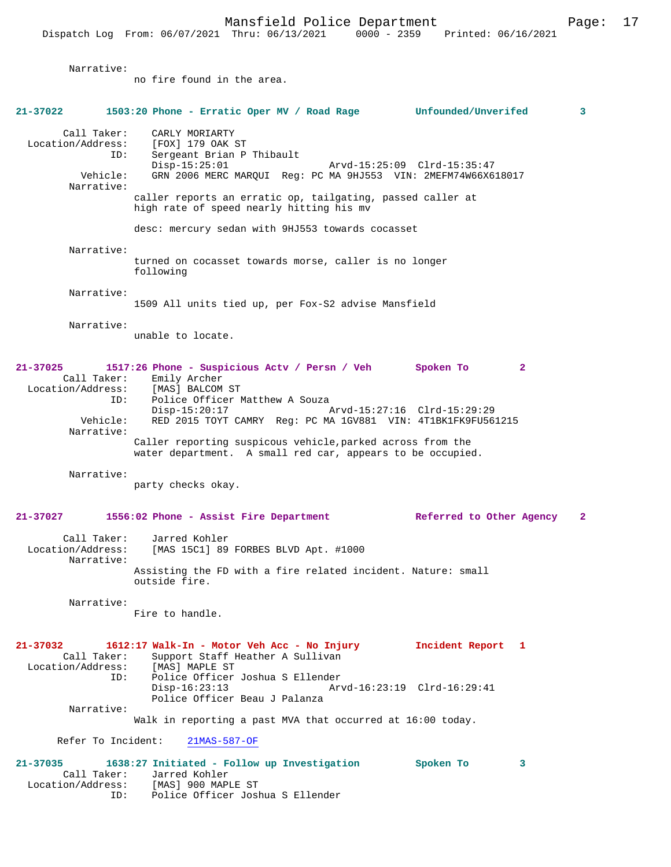Narrative: no fire found in the area. **21-37022 1503:20 Phone - Erratic Oper MV / Road Rage Unfounded/Unverifed 3** Call Taker: CARLY MORIARTY Location/Address: [FOX] 179 OAK ST ID: Sergeant Brian P Thibault Disp-15:25:01 Arvd-15:25:09 Clrd-15:35:47<br>Vehicle: GRN 2006 MERC MARQUI Req: PC MA 9HJ553 VIN: 2MEFM74W66X6 GRN 2006 MERC MARQUI Reg: PC MA 9HJ553 VIN: 2MEFM74W66X618017 Narrative: caller reports an erratic op, tailgating, passed caller at high rate of speed nearly hitting his mv desc: mercury sedan with 9HJ553 towards cocasset Narrative: turned on cocasset towards morse, caller is no longer following Narrative: 1509 All units tied up, per Fox-S2 advise Mansfield Narrative: unable to locate. **21-37025 1517:26 Phone - Suspicious Actv / Persn / Veh Spoken To 2**  Call Taker: Emily Archer<br>.on/Address: [MAS] BALCOM ST Location/Address:<br>ID: Police Officer Matthew A Souza Disp-15:20:17 Arvd-15:27:16 Clrd-15:29:29 Vehicle: RED 2015 TOYT CAMRY Reg: PC MA 1GV881 VIN: 4T1BK1FK9FU561215 Narrative: Caller reporting suspicous vehicle,parked across from the water department. A small red car, appears to be occupied. Narrative: party checks okay. **21-37027 1556:02 Phone - Assist Fire Department Referred to Other Agency 2** Call Taker: Jarred Kohler<br>Location/Address: [MAS 15C1] 89 [MAS 15C1] 89 FORBES BLVD Apt. #1000 Narrative: Assisting the FD with a fire related incident. Nature: small outside fire. Narrative: Fire to handle. **21-37032 1612:17 Walk-In - Motor Veh Acc - No Injury Incident Report 1**  Call Taker: Support Staff Heather A Sullivan<br>.on/Address: [MAS] MAPLE ST Location/Address:<br>TD: Police Officer Joshua S Ellender<br>Disp-16:23:13 Arv Disp-16:23:13 Arvd-16:23:19 Clrd-16:29:41 Police Officer Beau J Palanza Narrative: Walk in reporting a past MVA that occurred at 16:00 today. Refer To Incident: 21MAS-587-OF **21-37035 1638:27 Initiated - Follow up Investigation Spoken To 3**  Call Taker: Jarred Kohler Location/Address: [MAS] 900 MAPLE ST

ID: Police Officer Joshua S Ellender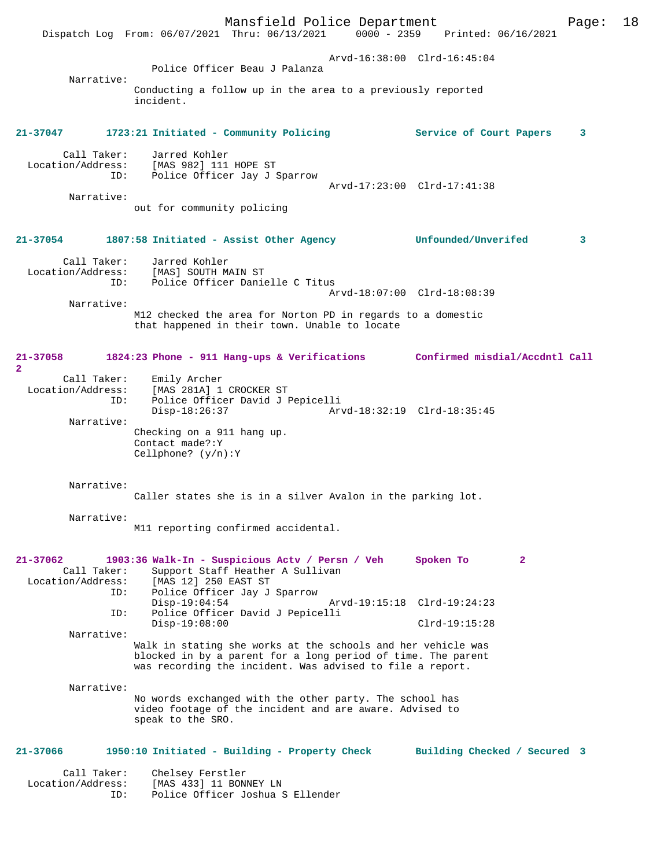Mansfield Police Department Page: 18 Dispatch Log From: 06/07/2021 Thru: 06/13/2021 Arvd-16:38:00 Clrd-16:45:04 Police Officer Beau J Palanza Narrative: Conducting a follow up in the area to a previously reported incident. **21-37047 1723:21 Initiated - Community Policing Service of Court Papers 3** Call Taker: Jarred Kohler<br>Location/Address: [MAS 982] 111 ess: [MAS 982] 111 HOPE ST<br>ID: Police Officer Jay J Police Officer Jay J Sparrow Arvd-17:23:00 Clrd-17:41:38 Narrative: out for community policing **21-37054 1807:58 Initiated - Assist Other Agency Unfounded/Unverifed 3** Call Taker: Jarred Kohler Location/Address: [MAS] SOUTH MAIN ST Police Officer Danielle C Titus Arvd-18:07:00 Clrd-18:08:39 Narrative: M12 checked the area for Norton PD in regards to a domestic that happened in their town. Unable to locate **21-37058 1824:23 Phone - 911 Hang-ups & Verifications Confirmed misdial/Accdntl Call 2**  Call Taker: Emily Archer<br>Location/Address: [MAS 281A] 1 [MAS 281A] 1 CROCKER ST ID: Police Officer David J Pepicelli Disp-18:26:37 Arvd-18:32:19 Clrd-18:35:45 Narrative: Checking on a 911 hang up. Contact made?:Y Cellphone? (y/n):Y Narrative: Caller states she is in a silver Avalon in the parking lot. Narrative: M11 reporting confirmed accidental. **21-37062 1903:36 Walk-In - Suspicious Actv / Persn / Veh Spoken To 2**  Call Taker: Support Staff Heather A Sullivan<br>Location/Address: [MAS 12] 250 EAST ST  $IMAS$  12] 250 EAST ST ID: Police Officer Jay J Sparrow Disp-19:04:54 Arvd-19:15:18 Clrd-19:24:23<br>ID: Police Officer David J Pepicelli Police Officer David J Pepicelli Disp-19:08:00 Clrd-19:15:28 Narrative: Walk in stating she works at the schools and her vehicle was blocked in by a parent for a long period of time. The parent was recording the incident. Was advised to file a report. Narrative: No words exchanged with the other party. The school has video footage of the incident and are aware. Advised to speak to the SRO. **21-37066 1950:10 Initiated - Building - Property Check Building Checked / Secured 3** Call Taker: Chelsey Ferstler<br>Location/Address: [MAS 433] 11 BON [MAS 433] 11 BONNEY LN ID: Police Officer Joshua S Ellender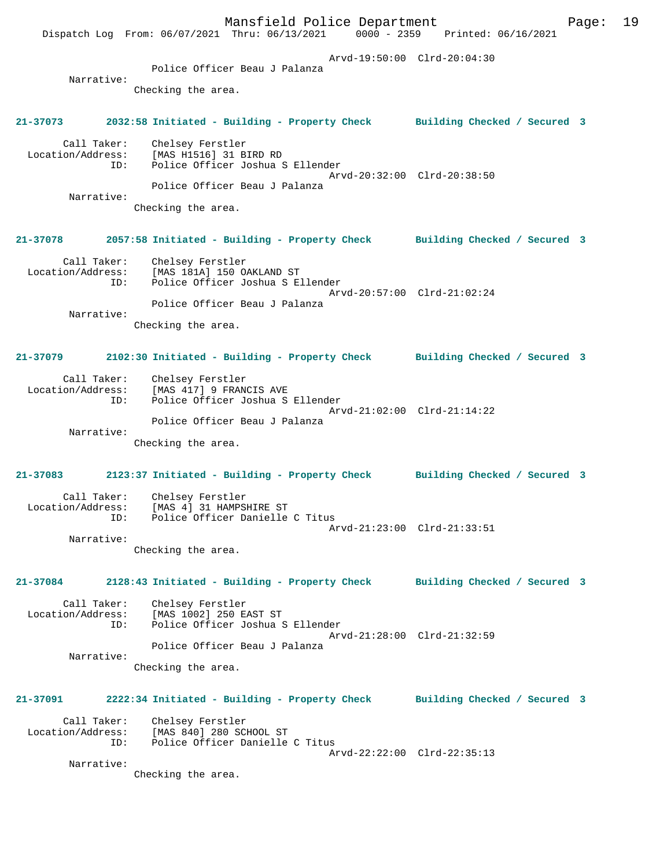Mansfield Police Department Fage: 19 Dispatch Log From: 06/07/2021 Thru: 06/13/2021 0000 - 2359 Printed: 06/16/2021 Arvd-19:50:00 Clrd-20:04:30 Police Officer Beau J Palanza Narrative: Checking the area. **21-37073 2032:58 Initiated - Building - Property Check Building Checked / Secured 3** Call Taker: Chelsey Ferstler Location/Address: [MAS H1516] 31 BIRD RD ID: Police Officer Joshua S Ellender Arvd-20:32:00 Clrd-20:38:50 Police Officer Beau J Palanza Narrative: Checking the area. **21-37078 2057:58 Initiated - Building - Property Check Building Checked / Secured 3** Call Taker: Chelsey Ferstler Location/Address: [MAS 181A] 150 OAKLAND ST ID: Police Officer Joshua S Ellender Arvd-20:57:00 Clrd-21:02:24 Police Officer Beau J Palanza Narrative: Checking the area. **21-37079 2102:30 Initiated - Building - Property Check Building Checked / Secured 3** Call Taker: Chelsey Ferstler Location/Address: [MAS 417] 9 FRANCIS AVE ID: Police Officer Joshua S Ellender Arvd-21:02:00 Clrd-21:14:22 Police Officer Beau J Palanza Narrative: Checking the area. **21-37083 2123:37 Initiated - Building - Property Check Building Checked / Secured 3** Call Taker: Chelsey Ferstler Location/Address: [MAS 4] 31 HAMPSHIRE ST ID: Police Officer Danielle C Titus Arvd-21:23:00 Clrd-21:33:51 Narrative: Checking the area. **21-37084 2128:43 Initiated - Building - Property Check Building Checked / Secured 3** Call Taker: Chelsey Ferstler Location/Address: [MAS 1002] 250 EAST ST Police Officer Joshua S Ellender Arvd-21:28:00 Clrd-21:32:59 Police Officer Beau J Palanza Narrative: Checking the area. **21-37091 2222:34 Initiated - Building - Property Check Building Checked / Secured 3** Call Taker: Chelsey Ferstler Location/Address: [MAS 840] 280 SCHOOL ST ID: Police Officer Danielle C Titus Arvd-22:22:00 Clrd-22:35:13 Narrative: Checking the area.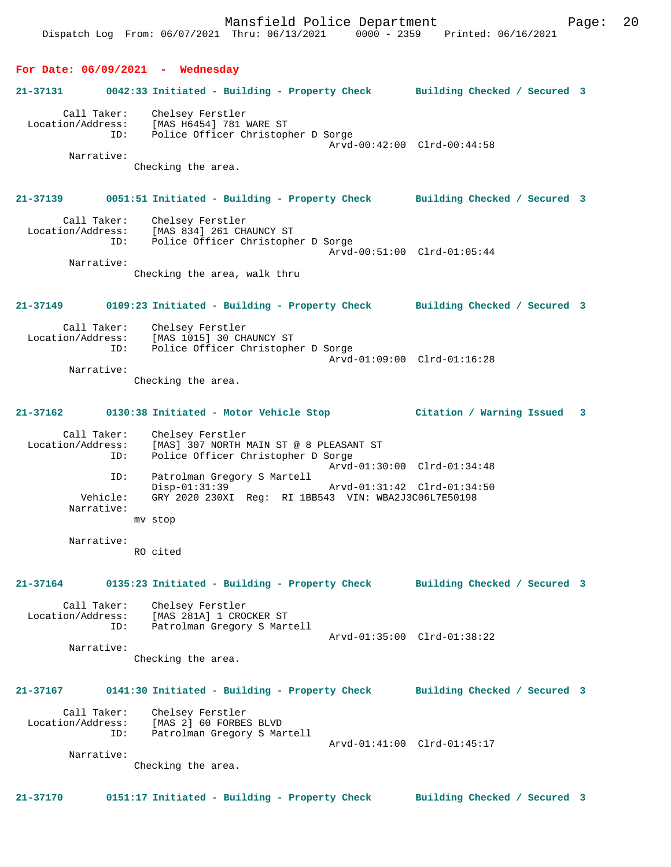**For Date: 06/09/2021 - Wednesday 21-37131 0042:33 Initiated - Building - Property Check Building Checked / Secured 3** Call Taker: Chelsey Ferstler Location/Address: [MAS H6454] 781 WARE ST ID: Police Officer Christopher D Sorge Arvd-00:42:00 Clrd-00:44:58 Narrative: Checking the area. **21-37139 0051:51 Initiated - Building - Property Check Building Checked / Secured 3** Call Taker: Chelsey Ferstler<br>Location/Address: [MAS 834] 261 CHAUNCY ST Location/Address: [MAS 834] 261 CHAUNCY ST ID: Police Officer Christopher D Sorge Arvd-00:51:00 Clrd-01:05:44 Narrative: Checking the area, walk thru **21-37149 0109:23 Initiated - Building - Property Check Building Checked / Secured 3** Call Taker: Chelsey Ferstler Location/Address: [MAS 1015] 30 CHAUNCY ST ID: Police Officer Christopher D Sorge Arvd-01:09:00 Clrd-01:16:28 Narrative: Checking the area. **21-37162 0130:38 Initiated - Motor Vehicle Stop Citation / Warning Issued 3** Call Taker: Chelsey Ferstler<br>Location/Address: [MAS] 307 NORTH M ess: [MAS] 307 NORTH MAIN ST @ 8 PLEASANT ST<br>ID: Police Officer Christopher D Sorge Police Officer Christopher D Sorge Arvd-01:30:00 Clrd-01:34:48 ID: Patrolman Gregory S Martell Disp-01:31:39 Arvd-01:31:42 Clrd-01:34:50<br>Vehicle: GRY 2020 230XI Reg: RI 1BB543 VIN: WBA2J3C06L7E50198 GRY 2020 230XI Reg: RI 1BB543 VIN: WBA2J3C06L7E50198 Narrative: mv stop Narrative: RO cited **21-37164 0135:23 Initiated - Building - Property Check Building Checked / Secured 3** Call Taker: Chelsey Ferstler Location/Address: [MAS 281A] 1 CROCKER ST ID: Patrolman Gregory S Martell Arvd-01:35:00 Clrd-01:38:22 Narrative: Checking the area. **21-37167 0141:30 Initiated - Building - Property Check Building Checked / Secured 3** Call Taker: Chelsey Ferstler Location/Address: [MAS 2] 60 FORBES BLVD ID: Patrolman Gregory S Martell Arvd-01:41:00 Clrd-01:45:17 Narrative: Checking the area. **21-37170 0151:17 Initiated - Building - Property Check Building Checked / Secured 3**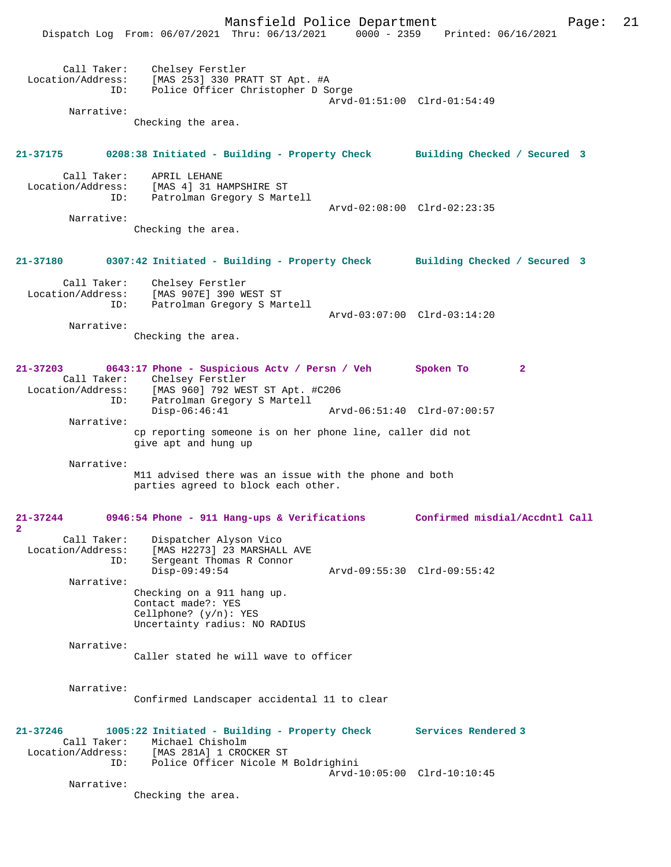Mansfield Police Department Fage: 21

|                                         | Dispatch Log From: 06/07/2021 Thru: 06/13/2021                                                | $0000 - 2359$               | Printed: 06/16/2021            |
|-----------------------------------------|-----------------------------------------------------------------------------------------------|-----------------------------|--------------------------------|
| Call Taker:<br>Location/Address:<br>ID: | Chelsey Ferstler<br>[MAS 253] 330 PRATT ST Apt. #A<br>Police Officer Christopher D Sorge      | Arvd-01:51:00 Clrd-01:54:49 |                                |
| Narrative:                              |                                                                                               |                             |                                |
|                                         | Checking the area.                                                                            |                             |                                |
| 21-37175                                | 0208:38 Initiated - Building - Property Check                                                 |                             | Building Checked / Secured 3   |
| Call Taker:<br>Location/Address:<br>ID: | APRIL LEHANE<br>[MAS 4] 31 HAMPSHIRE ST<br>Patrolman Gregory S Martell                        | Arvd-02:08:00 Clrd-02:23:35 |                                |
| Narrative:                              |                                                                                               |                             |                                |
|                                         | Checking the area.                                                                            |                             |                                |
| 21-37180                                | 0307:42 Initiated - Building - Property Check                                                 |                             | Building Checked / Secured 3   |
| Call Taker:<br>Location/Address:<br>ID: | Chelsey Ferstler<br>[MAS 907E] 390 WEST ST<br>Patrolman Gregory S Martell                     |                             |                                |
|                                         |                                                                                               | Arvd-03:07:00 Clrd-03:14:20 |                                |
| Narrative:                              | Checking the area.                                                                            |                             |                                |
| 21-37203<br>Call Taker:                 | 0643:17 Phone - Suspicious Actv / Persn / Veh<br>Chelsey Ferstler                             |                             | Spoken To<br>$\mathbf{2}$      |
| Location/Address:<br>ID:                | [MAS 960] 792 WEST ST Apt. #C206<br>Patrolman Gregory S Martell<br>$Disp-06:46:41$            | Arvd-06:51:40 Clrd-07:00:57 |                                |
| Narrative:                              |                                                                                               |                             |                                |
|                                         | cp reporting someone is on her phone line, caller did not<br>give apt and hung up             |                             |                                |
| Narrative:                              |                                                                                               |                             |                                |
|                                         | M11 advised there was an issue with the phone and both<br>parties agreed to block each other. |                             |                                |
| $21 - 37244$<br>$\overline{2}$          | 0946:54 Phone - 911 Hang-ups & Verifications                                                  |                             | Confirmed misdial/Accdntl Call |
| Call Taker:<br>Location/Address:<br>ID: | Dispatcher Alyson Vico<br>[MAS H2273] 23 MARSHALL AVE<br>Sergeant Thomas R Connor             |                             |                                |
|                                         | $Disp-09:49:54$                                                                               | Arvd-09:55:30 Clrd-09:55:42 |                                |
| Narrative:                              | Checking on a 911 hang up.<br>Contact made?: YES                                              |                             |                                |
|                                         | Cellphone? $(y/n)$ : YES<br>Uncertainty radius: NO RADIUS                                     |                             |                                |
| Narrative:                              | Caller stated he will wave to officer                                                         |                             |                                |
| Narrative:                              |                                                                                               |                             |                                |
|                                         | Confirmed Landscaper accidental 11 to clear                                                   |                             |                                |
| $21 - 37246$<br>Call Taker:             | 1005:22 Initiated - Building - Property Check<br>Michael Chisholm                             |                             | Services Rendered 3            |
| Location/Address:<br>ID:                | [MAS 281A] 1 CROCKER ST<br>Police Officer Nicole M Boldrighini                                |                             |                                |
| Narrative:                              |                                                                                               | Arvd-10:05:00 Clrd-10:10:45 |                                |
|                                         | Checking the area.                                                                            |                             |                                |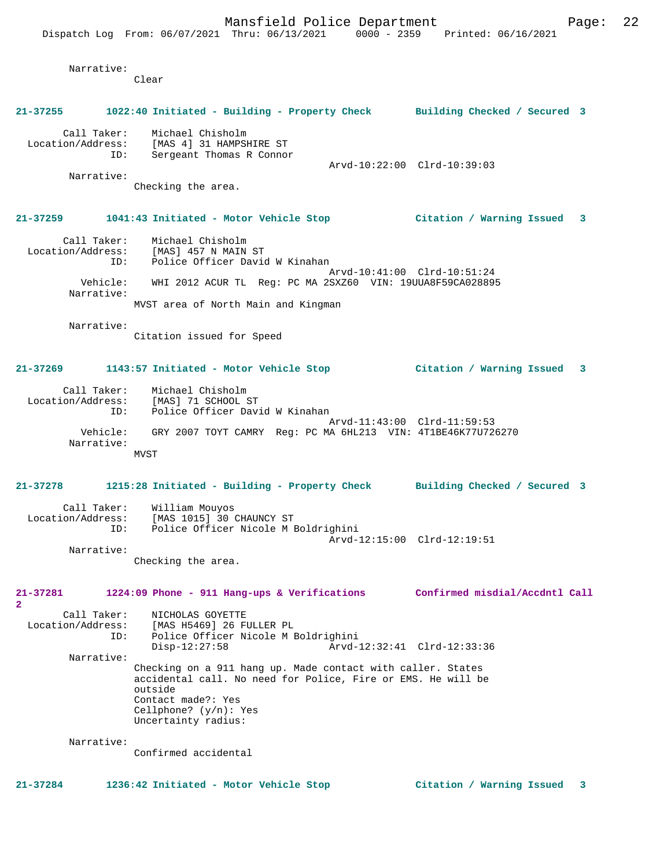|                                  | Mansfield Police Department                                                                                                 |                             |                                | 22<br>Page: |
|----------------------------------|-----------------------------------------------------------------------------------------------------------------------------|-----------------------------|--------------------------------|-------------|
|                                  | Dispatch Log From: 06/07/2021 Thru: 06/13/2021 0000 - 2359 Printed: 06/16/2021                                              |                             |                                |             |
|                                  |                                                                                                                             |                             |                                |             |
| Narrative:                       | Clear                                                                                                                       |                             |                                |             |
|                                  |                                                                                                                             |                             |                                |             |
| 21-37255                         | 1022:40 Initiated - Building - Property Check Building Checked / Secured 3                                                  |                             |                                |             |
| Call Taker:                      | Michael Chisholm<br>Location/Address: [MAS 4] 31 HAMPSHIRE ST                                                               |                             |                                |             |
| ID:                              | Sergeant Thomas R Connor                                                                                                    |                             |                                |             |
| Narrative:                       |                                                                                                                             | Arvd-10:22:00 Clrd-10:39:03 |                                |             |
|                                  | Checking the area.                                                                                                          |                             |                                |             |
|                                  |                                                                                                                             |                             |                                |             |
| 21-37259                         | 1041:43 Initiated - Motor Vehicle Stop (Citation / Warning Issued                                                           |                             |                                | 3           |
| Call Taker:<br>Location/Address: | Michael Chisholm<br>[MAS] 457 N MAIN ST                                                                                     |                             |                                |             |
| ID:                              | Police Officer David W Kinahan                                                                                              |                             |                                |             |
| Vehicle:                         | WHI 2012 ACUR TL Req: PC MA 2SXZ60 VIN: 19UUA8F59CA028895                                                                   | Arvd-10:41:00 Clrd-10:51:24 |                                |             |
| Narrative:                       |                                                                                                                             |                             |                                |             |
|                                  | MVST area of North Main and Kingman                                                                                         |                             |                                |             |
| Narrative:                       |                                                                                                                             |                             |                                |             |
|                                  | Citation issued for Speed                                                                                                   |                             |                                |             |
|                                  |                                                                                                                             |                             |                                |             |
| 21-37269                         | 1143:57 Initiated - Motor Vehicle Stop                                                                                      |                             | Citation / Warning Issued      | 3           |
|                                  | Call Taker: Michael Chisholm<br>Location/Address: [MAS] 71 SCHOOL ST                                                        |                             |                                |             |
| ID:                              | Police Officer David W Kinahan                                                                                              |                             |                                |             |
| Vehicle:                         | GRY 2007 TOYT CAMRY Reg: PC MA 6HL213 VIN: 4T1BE46K77U726270                                                                | Arvd-11:43:00 Clrd-11:59:53 |                                |             |
| Narrative:                       |                                                                                                                             |                             |                                |             |
|                                  | MVST                                                                                                                        |                             |                                |             |
|                                  |                                                                                                                             |                             |                                |             |
| 21-37278                         | 1215:28 Initiated - Building - Property Check Building Checked / Secured 3                                                  |                             |                                |             |
|                                  | Call Taker: William Mouyos                                                                                                  |                             |                                |             |
| Location/Address:<br>ID:         | [MAS 1015] 30 CHAUNCY ST<br>Police Officer Nicole M Boldrighini                                                             |                             |                                |             |
|                                  |                                                                                                                             | Arvd-12:15:00 Clrd-12:19:51 |                                |             |
| Narrative:                       | Checking the area.                                                                                                          |                             |                                |             |
|                                  |                                                                                                                             |                             |                                |             |
| 21-37281<br>$\mathbf{2}$         | 1224:09 Phone - 911 Hang-ups & Verifications                                                                                |                             | Confirmed misdial/Accdntl Call |             |
| Call Taker:<br>Location/Address: | NICHOLAS GOYETTE<br>[MAS H5469] 26 FULLER PL                                                                                |                             |                                |             |
| ID:                              | Police Officer Nicole M Boldrighini                                                                                         |                             |                                |             |
| Narrative:                       | $Disp-12:27:58$                                                                                                             | Arvd-12:32:41 Clrd-12:33:36 |                                |             |
|                                  | Checking on a 911 hang up. Made contact with caller. States<br>accidental call. No need for Police, Fire or EMS. He will be |                             |                                |             |
|                                  | outside<br>Contact made?: Yes                                                                                               |                             |                                |             |
|                                  | Cellphone? $(y/n)$ : Yes                                                                                                    |                             |                                |             |
|                                  | Uncertainty radius:                                                                                                         |                             |                                |             |
| Narrative:                       |                                                                                                                             |                             |                                |             |
|                                  | Confirmed accidental                                                                                                        |                             |                                |             |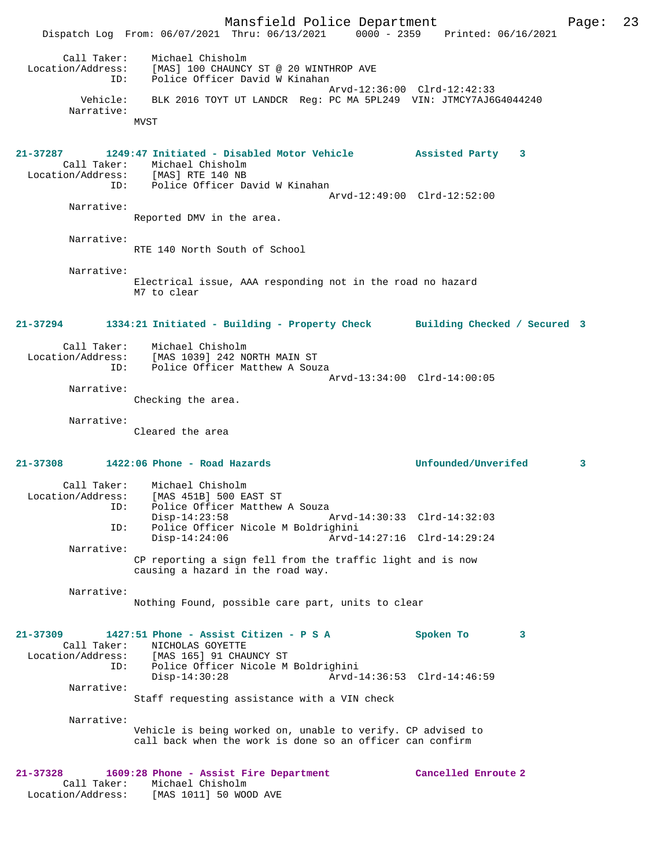Mansfield Police Department Page: 23 Dispatch Log From: 06/07/2021 Thru: 06/13/2021 0000 - 2359 Printed: 06/16/2021 Call Taker: Michael Chisholm Location/Address: [MAS] 100 CHAUNCY ST @ 20 WINTHROP AVE ID: Police Officer David W Kinahan Arvd-12:36:00 Clrd-12:42:33 Vehicle: BLK 2016 TOYT UT LANDCR Reg: PC MA 5PL249 VIN: JTMCY7AJ6G4044240 Narrative: **MVST 21-37287 1249:47 Initiated - Disabled Motor Vehicle Assisted Party 3**  Call Taker: Michael Chisholm Location/Address: [MAS] RTE 140 NB ID: Police Officer David W Kinahan Arvd-12:49:00 Clrd-12:52:00 Narrative: Reported DMV in the area. Narrative: RTE 140 North South of School Narrative: Electrical issue, AAA responding not in the road no hazard M7 to clear **21-37294 1334:21 Initiated - Building - Property Check Building Checked / Secured 3** Call Taker: Michael Chisholm<br>Location/Address: [MAS 1039] 242 NO [MAS 1039] 242 NORTH MAIN ST ID: Police Officer Matthew A Souza Arvd-13:34:00 Clrd-14:00:05 Narrative: Checking the area. Narrative: Cleared the area **21-37308 1422:06 Phone - Road Hazards Unfounded/Unverifed 3** Call Taker: Michael Chisholm Location/Address: [MAS 451B] 500 EAST ST Police Officer Matthew A Souza<br>Disp-14:23:58 Disp-14:23:58 Arvd-14:30:33 Clrd-14:32:03 ID: Police Officer Nicole M Boldrighini Disp-14:24:06 Arvd-14:27:16 Clrd-14:29:24 Narrative: CP reporting a sign fell from the traffic light and is now causing a hazard in the road way. Narrative: Nothing Found, possible care part, units to clear **21-37309 1427:51 Phone - Assist Citizen - P S A Spoken To 3**  Call Taker: NICHOLAS GOYETTE<br>Location/Address: [MAS 165] 91 CHAU [MAS 165] 91 CHAUNCY ST ID: Police Officer Nicole M Boldrighini Disp-14:30:28 Arvd-14:36:53 Clrd-14:46:59 Narrative: Staff requesting assistance with a VIN check Narrative: Vehicle is being worked on, unable to verify. CP advised to call back when the work is done so an officer can confirm **21-37328 1609:28 Phone - Assist Fire Department Cancelled Enroute 2**  Call Taker: Michael Chisholm Location/Address: [MAS 1011] 50 WOOD AVE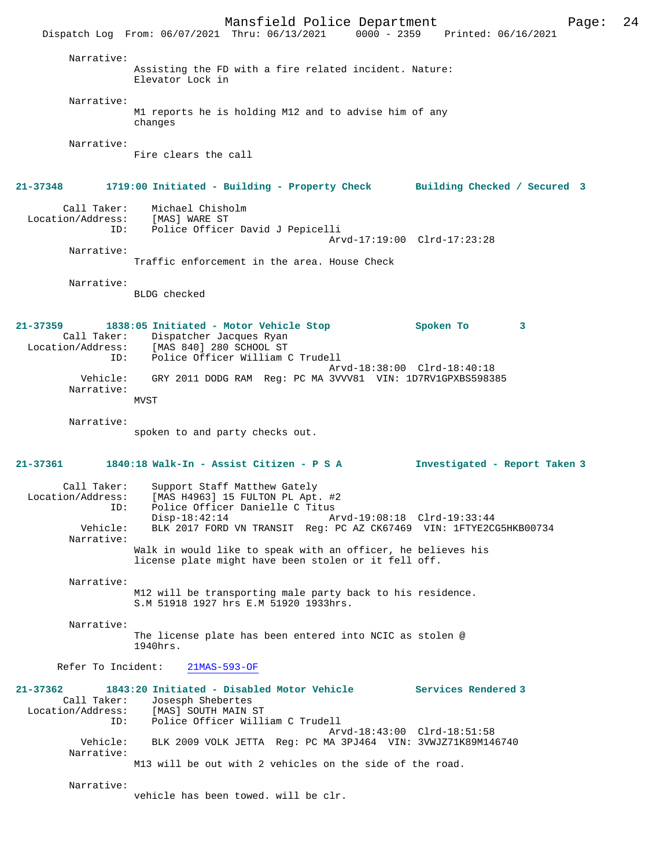Mansfield Police Department Page: 24 Dispatch Log From: 06/07/2021 Thru: 06/13/2021 0000 - 2359 Printed: 06/16/2021 Narrative: Assisting the FD with a fire related incident. Nature: Elevator Lock in Narrative: M1 reports he is holding M12 and to advise him of any changes Narrative: Fire clears the call **21-37348 1719:00 Initiated - Building - Property Check Building Checked / Secured 3** Call Taker: Michael Chisholm<br>ion/Address: [MAS] WARE ST Location/Address: ID: Police Officer David J Pepicelli Arvd-17:19:00 Clrd-17:23:28 Narrative: Traffic enforcement in the area. House Check Narrative: BLDG checked **21-37359 1838:05 Initiated - Motor Vehicle Stop Spoken To 3**  Call Taker: Dispatcher Jacques Ryan<br>Location/Address: [MAS 840] 280 SCHOOL ST Location/Address: [MAS 840] 280 SCHOOL ST ID: Police Officer William C Trudell Arvd-18:38:00 Clrd-18:40:18 Vehicle: GRY 2011 DODG RAM Reg: PC MA 3VVV81 VIN: 1D7RV1GPXBS598385 Narrative: MVST Narrative: spoken to and party checks out. **21-37361 1840:18 Walk-In - Assist Citizen - P S A Investigated - Report Taken 3** Call Taker: Support Staff Matthew Gately<br>Location/Address: [MAS H4963] 15 FULTON PL Apt.  $[MAS H4963] 15 FULTON PL Apt. #2$  ID: Police Officer Danielle C Titus Disp-18:42:14 Arvd-19:08:18 Clrd-19:33:44 Vehicle: BLK 2017 FORD VN TRANSIT Reg: PC AZ CK67469 VIN: 1FTYE2CG5HKB00734 Narrative: Walk in would like to speak with an officer, he believes his license plate might have been stolen or it fell off. Narrative: M12 will be transporting male party back to his residence. S.M 51918 1927 hrs E.M 51920 1933hrs. Narrative: The license plate has been entered into NCIC as stolen @ 1940hrs. Refer To Incident: 21MAS-593-OF **21-37362 1843:20 Initiated - Disabled Motor Vehicle Services Rendered 3**  Call Taker: Josesph Shebertes Location/Address: [MAS] SOUTH MAIN ST<br>ID: Police Officer Will Police Officer William C Trudell Arvd-18:43:00 Clrd-18:51:58 Vehicle: BLK 2009 VOLK JETTA Reg: PC MA 3PJ464 VIN: 3VWJZ71K89M146740 Narrative: M13 will be out with 2 vehicles on the side of the road. Narrative: vehicle has been towed. will be clr.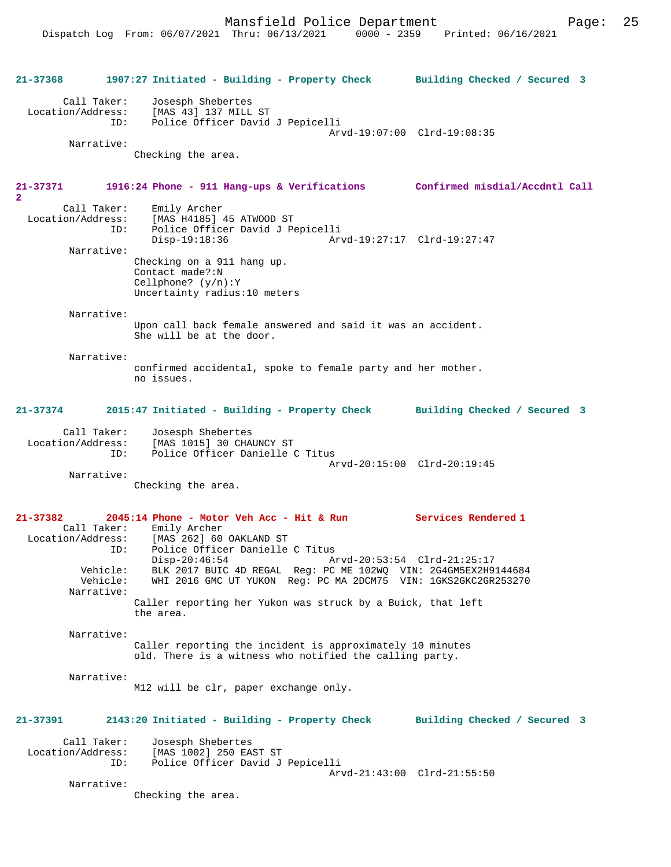Mansfield Police Department Fage: 25

 Call Taker: Josesph Shebertes Location/Address: [MAS 43] 137 MILL ST Police Officer David J Pepicelli Arvd-19:07:00 Clrd-19:08:35 Narrative: Checking the area. **21-37371 1916:24 Phone - 911 Hang-ups & Verifications Confirmed misdial/Accdntl Call 2**  Call Taker: Emily Archer<br>Location/Address: [MAS H4185] [MAS H4185] 45 ATWOOD ST ID: Police Officer David J Pepicelli Disp-19:18:36 Arvd-19:27:17 Clrd-19:27:47 Narrative: Checking on a 911 hang up. Contact made?:N Cellphone? (y/n):Y Uncertainty radius:10 meters Narrative: Upon call back female answered and said it was an accident. She will be at the door. Narrative: confirmed accidental, spoke to female party and her mother. no issues. **21-37374 2015:47 Initiated - Building - Property Check Building Checked / Secured 3** Call Taker: Josesph Shebertes Location/Address: [MAS 1015] 30 CHAUNCY ST ID: Police Officer Danielle C Titus Arvd-20:15:00 Clrd-20:19:45 Narrative: Checking the area. **21-37382 2045:14 Phone - Motor Veh Acc - Hit & Run Services Rendered 1**  Call Taker: Emily Archer<br>Location/Address: [MAS 262] 60 ess: [MAS 262] 60 OAKLAND ST<br>ID: Police Officer Danielle Police Officer Danielle C Titus<br>Disp-20:46:54 Am Arvd-20:53:54 Clrd-21:25:17 Vehicle: BLK 2017 BUIC 4D REGAL Reg: PC ME 102WQ VIN: 2G4GM5EX2H9144684 Vehicle: WHI 2016 GMC UT YUKON Reg: PC MA 2DCM75 VIN: 1GKS2GKC2GR253270 Narrative: Caller reporting her Yukon was struck by a Buick, that left the area. Narrative: Caller reporting the incident is approximately 10 minutes old. There is a witness who notified the calling party. Narrative: M12 will be clr, paper exchange only. **21-37391 2143:20 Initiated - Building - Property Check Building Checked / Secured 3** Call Taker: Josesph Shebertes<br>Location/Address: [MAS 1002] 250 EA ess: [MAS 1002] 250 EAST ST<br>ID: Police Officer David J Police Officer David J Pepicelli Arvd-21:43:00 Clrd-21:55:50 Narrative: Checking the area.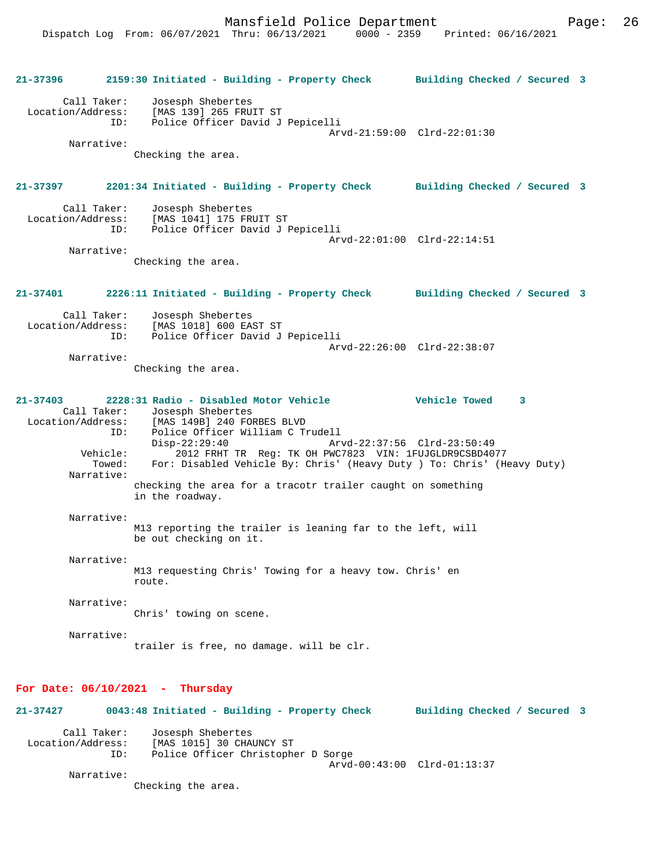**21-37396 2159:30 Initiated - Building - Property Check Building Checked / Secured 3** Call Taker: Josesph Shebertes Location/Address: [MAS 139] 265 FRUIT ST Police Officer David J Pepicelli Arvd-21:59:00 Clrd-22:01:30 Narrative: Checking the area. **21-37397 2201:34 Initiated - Building - Property Check Building Checked / Secured 3** Call Taker: Josesph Shebertes<br>Location/Address: [MAS 1041] 175 FRI [MAS 1041] 175 FRUIT ST ID: Police Officer David J Pepicelli Arvd-22:01:00 Clrd-22:14:51 Narrative: Checking the area. **21-37401 2226:11 Initiated - Building - Property Check Building Checked / Secured 3** Call Taker: Josesph Shebertes<br>Location/Address: [MAS 1018] 600 EA ess: [MAS 1018] 600 EAST ST<br>TD: Police Officer David J Police Officer David J Pepicelli Arvd-22:26:00 Clrd-22:38:07 Narrative: Checking the area. **21-37403 2228:31 Radio - Disabled Motor Vehicle Vehicle Towed 3**  Call Taker: Josesph Shebertes<br>Location/Address: [MAS 149B] 240 FOR ess: [MAS 149B] 240 FORBES BLVD<br>ID: Police Officer William C T Police Officer William C Trudell<br>Disp-22:29:40 Ar Disp-22:29:40 Arvd-22:37:56 Clrd-23:50:49<br>Vehicle: 2012 FRHT TR Req: TK OH PWC7823 VIN: 1FUJGLDR9CSBD40 Vehicle: 2012 FRHT TR Reg: TK OH PWC7823 VIN: 1FUJGLDR9CSBD4077 For: Disabled Vehicle By: Chris' (Heavy Duty ) To: Chris' (Heavy Duty) Narrative: checking the area for a tracotr trailer caught on something in the roadway. Narrative: M13 reporting the trailer is leaning far to the left, will be out checking on it. Narrative: M13 requesting Chris' Towing for a heavy tow. Chris' en route. Narrative: Chris' towing on scene. Narrative: trailer is free, no damage. will be clr. **For Date: 06/10/2021 - Thursday 21-37427 0043:48 Initiated - Building - Property Check Building Checked / Secured 3**

Call Taker: Josesph Shebertes<br>Location/Address: [MAS 1015] 30 CHA LOCATION 10151 30 CHAUNCY ST ID: Police Officer Christopher D Sorge Arvd-00:43:00 Clrd-01:13:37 Narrative:

Checking the area.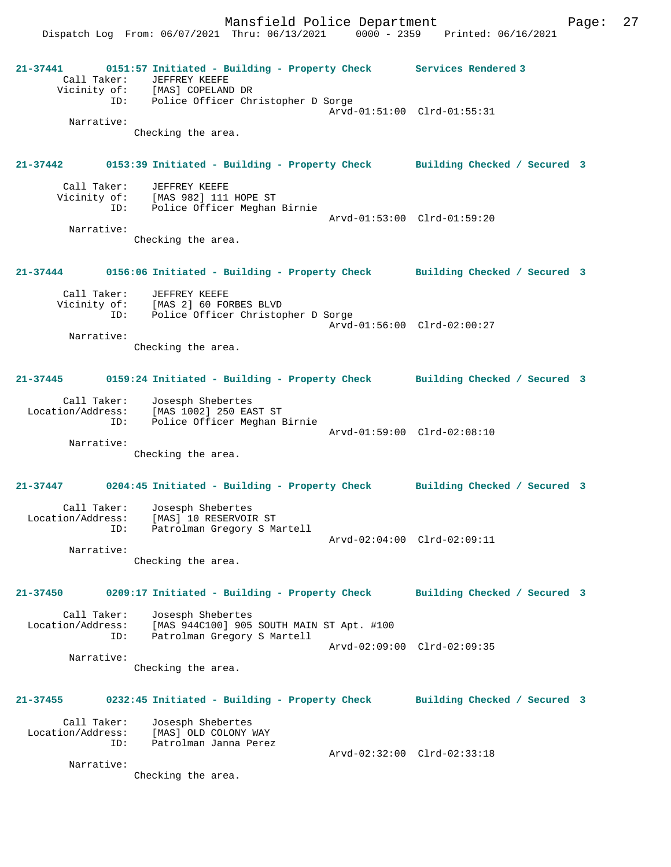Mansfield Police Department Page: 27

Dispatch Log From: 06/07/2021 Thru: 06/13/2021 0000 - 2359 Printed: 06/16/2021

**21-37441 0151:57 Initiated - Building - Property Check Services Rendered 3**  Call Taker: JEFFREY KEEFE Vicinity of: [MAS] COPELAND DR ID: Police Officer Christopher D Sorge Arvd-01:51:00 Clrd-01:55:31 Narrative: Checking the area. **21-37442 0153:39 Initiated - Building - Property Check Building Checked / Secured 3** Call Taker: JEFFREY KEEFE Vicinity of: [MAS 982] 111 HOPE ST ID: Police Officer Meghan Birnie Arvd-01:53:00 Clrd-01:59:20 Narrative: Checking the area. **21-37444 0156:06 Initiated - Building - Property Check Building Checked / Secured 3** Call Taker: JEFFREY KEEFE Vicinity of: [MAS 2] 60 FORBES BLVD ID: Police Officer Christopher D Sorge Arvd-01:56:00 Clrd-02:00:27 Narrative: Checking the area. **21-37445 0159:24 Initiated - Building - Property Check Building Checked / Secured 3** Call Taker: Josesph Shebertes Location/Address: [MAS 1002] 250 EAST ST ID: Police Officer Meghan Birnie Arvd-01:59:00 Clrd-02:08:10 Narrative: Checking the area. **21-37447 0204:45 Initiated - Building - Property Check Building Checked / Secured 3** Call Taker: Josesph Shebertes Location/Address: [MAS] 10 RESERVOIR ST ID: Patrolman Gregory S Martell Arvd-02:04:00 Clrd-02:09:11 Narrative: Checking the area. **21-37450 0209:17 Initiated - Building - Property Check Building Checked / Secured 3** Call Taker: Josesph Shebertes Location/Address: [MAS 944C100] 905 SOUTH MAIN ST Apt. #100<br>ID: Patrolman Gregory S Martell Patrolman Gregory S Martell Arvd-02:09:00 Clrd-02:09:35 Narrative: Checking the area. **21-37455 0232:45 Initiated - Building - Property Check Building Checked / Secured 3** Call Taker: Josesph Shebertes Location/Address: [MAS] OLD COLONY WAY ID: Patrolman Janna Perez Arvd-02:32:00 Clrd-02:33:18 Narrative: Checking the area.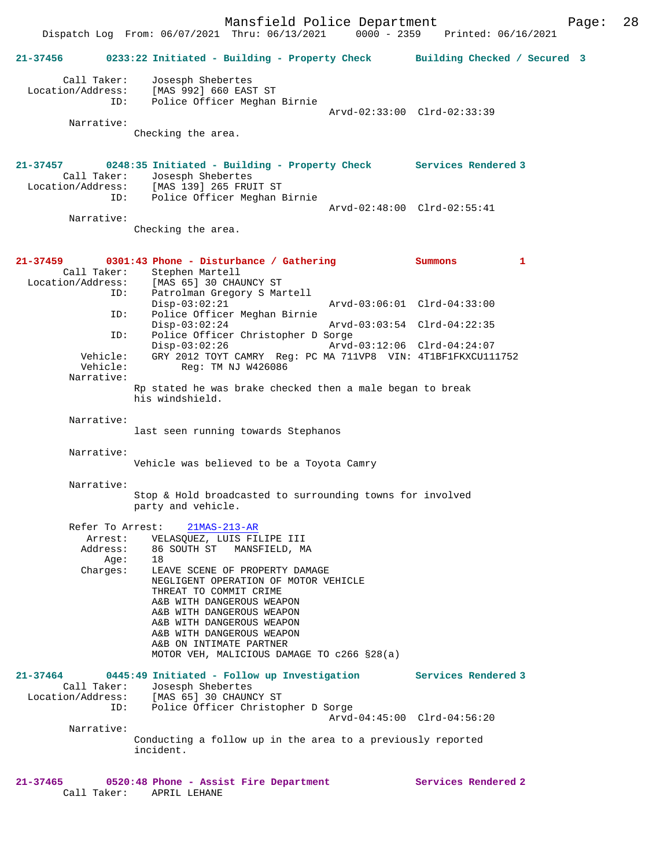Checking the area.

**21-37457 0248:35 Initiated - Building - Property Check Services Rendered 3**  Call Taker: Josesph Shebertes Location/Address: [MAS 139] 265 FRUIT ST ID: Police Officer Meghan Birnie Arvd-02:48:00 Clrd-02:55:41 Narrative:

Checking the area.

| 21-37459               | 0301:43 Phone - Disturbance / Gathering<br>Call Taker: Stephen Martell                       | Summons                     | 1 |
|------------------------|----------------------------------------------------------------------------------------------|-----------------------------|---|
| Location/Address:      | [MAS 65] 30 CHAUNCY ST                                                                       |                             |   |
|                        | ID:<br>Patrolman Gregory S Martell<br>$Disp-03:02:21$<br>Police Officer Meghan Birnie<br>ID: |                             |   |
|                        | $Disp-03:02:24$<br>Police Officer Christopher D Sorge<br>ID:                                 | Arvd-03:03:54 Clrd-04:22:35 |   |
|                        | $Disp-03:02:26$<br>Vehicle: GRY 2012 TOYT CAMRY Reg: PC MA 711VP8 VIN: 4T1BF1FKXCU111752     | Arvd-03:12:06 Clrd-04:24:07 |   |
| Vehicle:<br>Narrative: | Reg: TM NJ W426086                                                                           |                             |   |
|                        | Rp stated he was brake checked then a male began to break<br>his windshield.                 |                             |   |
| Narrative:             |                                                                                              |                             |   |
|                        | last seen running towards Stephanos                                                          |                             |   |
| Narrative:             |                                                                                              |                             |   |
|                        | Vehicle was believed to be a Toyota Camry                                                    |                             |   |
| Narrative:             |                                                                                              |                             |   |
|                        | Stop & Hold broadcasted to surrounding towns for involved<br>party and vehicle.              |                             |   |
|                        | Refer To Arrest:<br>$21MAS-213-AR$                                                           |                             |   |
|                        | Arrest: VELASQUEZ, LUIS FILIPE III                                                           |                             |   |
| Aqe:                   | Address: 86 SOUTH ST MANSFIELD, MA<br>18                                                     |                             |   |
| Charges:               | LEAVE SCENE OF PROPERTY DAMAGE                                                               |                             |   |
|                        | NEGLIGENT OPERATION OF MOTOR VEHICLE<br>THREAT TO COMMIT CRIME                               |                             |   |
|                        | A&B WITH DANGEROUS WEAPON                                                                    |                             |   |
|                        | A&B WITH DANGEROUS WEAPON                                                                    |                             |   |
|                        | A&B WITH DANGEROUS WEAPON                                                                    |                             |   |
|                        | A&B WITH DANGEROUS WEAPON<br>A&B ON INTIMATE PARTNER                                         |                             |   |
|                        | MOTOR VEH, MALICIOUS DAMAGE TO c266 §28(a)                                                   |                             |   |
| $21 - 37464$           | 0445:49 Initiated - Follow up Investigation Services Rendered 3                              |                             |   |
|                        | Call Taker: Josesph Shebertes                                                                |                             |   |
| Location/Address:      | [MAS 65] 30 CHAUNCY ST<br>Police Officer Christopher D Sorge<br>ID:                          |                             |   |
|                        |                                                                                              | Arvd-04:45:00 Clrd-04:56:20 |   |
| Narrative:             |                                                                                              |                             |   |
|                        | Conducting a follow up in the area to a previously reported<br>incident.                     |                             |   |
|                        |                                                                                              |                             |   |
| 21-37465<br>.          | 0520:48 Phone - Assist Fire Department                                                       | Services Rendered 2         |   |

Call Taker: APRIL LEHANE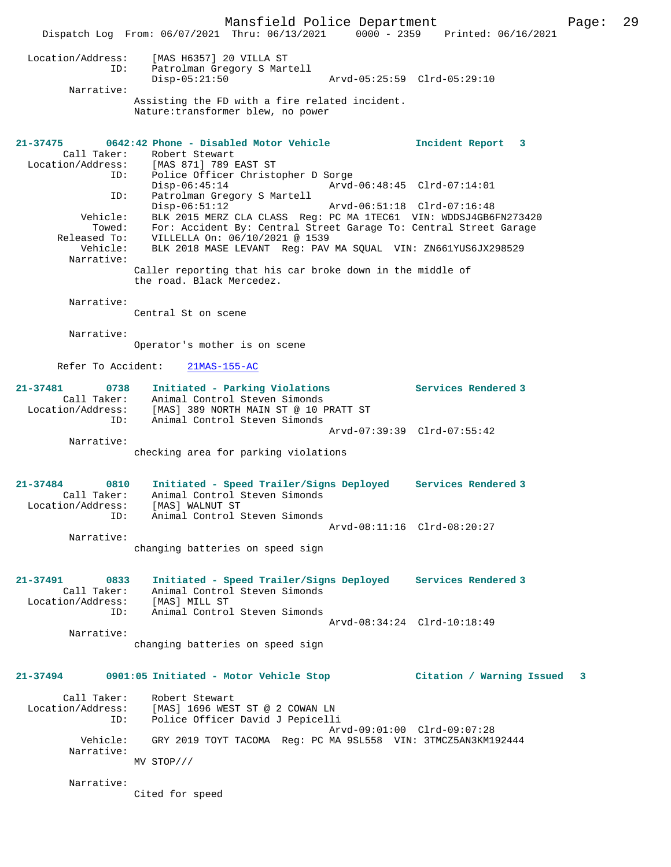Mansfield Police Department Page: 29 Dispatch Log From: 06/07/2021 Thru: 06/13/2021 0000 - 2359 Printed: 06/16/2021 Location/Address: [MAS H6357] 20 VILLA ST ID: Patrolman Gregory S Martell Disp-05:21:50 Arvd-05:25:59 Clrd-05:29:10 Narrative: Assisting the FD with a fire related incident. Nature:transformer blew, no power **21-37475 0642:42 Phone - Disabled Motor Vehicle Incident Report 3**  Call Taker: Robert Stewart<br>Location/Address: [MAS 871] 789 E [MAS 871] 789 EAST ST ID: Police Officer Christopher D Sorge Disp-06:45:14 Arvd-06:48:45 Clrd-07:14:01<br>ID: Patrolman Gregory S Martell Patrolman Gregory S Martell<br>Disp-06:51:12 Disp-06:51:12 Arvd-06:51:18 Clrd-07:16:48 Vehicle: BLK 2015 MERZ CLA CLASS Reg: PC MA 1TEC61 VIN: WDDSJ4GB6FN273420 Towed: For: Accident By: Central Street Garage To: Central Street Garage Released To: VILLELLA On: 06/10/2021 @ 1539 Vehicle: BLK 2018 MASE LEVANT Reg: PAV MA SQUAL VIN: ZN661YUS6JX298529 Narrative: Caller reporting that his car broke down in the middle of the road. Black Mercedez. Narrative: Central St on scene Narrative: Operator's mother is on scene Refer To Accident: 21MAS-155-AC **21-37481 0738 Initiated - Parking Violations Services Rendered 3**  Call Taker: Animal Control Steven Simonds Location/Address: [MAS] 389 NORTH MAIN ST @ 10 PRATT ST ID: Animal Control Steven Simonds Arvd-07:39:39 Clrd-07:55:42 Narrative: checking area for parking violations **21-37484 0810 Initiated - Speed Trailer/Signs Deployed Services Rendered 3**  Call Taker: Animal Control Steven Simonds Location/Address: [MAS] WALNUT ST ID: Animal Control Steven Simonds Arvd-08:11:16 Clrd-08:20:27 Narrative: changing batteries on speed sign **21-37491 0833 Initiated - Speed Trailer/Signs Deployed Services Rendered 3**  Call Taker: Animal Control Steven Simonds Location/Address: [MAS] MILL ST ID: Animal Control Steven Simonds Arvd-08:34:24 Clrd-10:18:49 Narrative: changing batteries on speed sign **21-37494 0901:05 Initiated - Motor Vehicle Stop Citation / Warning Issued 3** Call Taker: Robert Stewart Location/Address: [MAS] 1696 WEST ST @ 2 COWAN LN ID: Police Officer David J Pepicelli Arvd-09:01:00 Clrd-09:07:28 Vehicle: GRY 2019 TOYT TACOMA Reg: PC MA 9SL558 VIN: 3TMCZ5AN3KM192444 Narrative: MV STOP/// Narrative: Cited for speed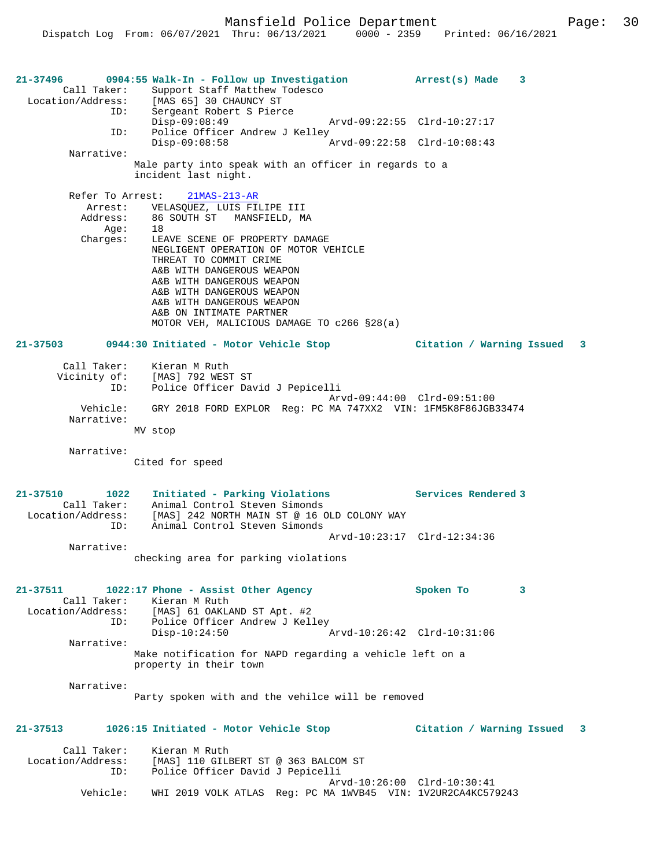**21-37496 0904:55 Walk-In - Follow up Investigation Arrest(s) Made 3**  Call Taker: Support Staff Matthew Todesco Location/Address: [MAS 65] 30 CHAUNCY ST ID: Sergeant Robert S Pierce Disp-09:08:49 Arvd-09:22:55 Clrd-10:27:17 ID: Police Officer Andrew J Kelley<br>Disp-09:08:58 Disp-09:08:58 Arvd-09:22:58 Clrd-10:08:43 Narrative: Male party into speak with an officer in regards to a incident last night. Refer To Arrest: 21MAS-213-AR Arrest: VELASQUEZ, LUIS FILIPE III Address: 86 SOUTH ST MANSFIELD, MA Age: 18<br>Charges: LEA LEAVE SCENE OF PROPERTY DAMAGE NEGLIGENT OPERATION OF MOTOR VEHICLE THREAT TO COMMIT CRIME A&B WITH DANGEROUS WEAPON A&B WITH DANGEROUS WEAPON A&B WITH DANGEROUS WEAPON A&B WITH DANGEROUS WEAPON A&B ON INTIMATE PARTNER MOTOR VEH, MALICIOUS DAMAGE TO c266 §28(a) **21-37503 0944:30 Initiated - Motor Vehicle Stop Citation / Warning Issued 3** Call Taker: Kieran M Ruth Vicinity of: [MAS] 792 WEST ST ID: Police Officer David J Pepicelli Arvd-09:44:00 Clrd-09:51:00 Vehicle: GRY 2018 FORD EXPLOR Reg: PC MA 747XX2 VIN: 1FM5K8F86JGB33474 Narrative: MV stop Narrative: Cited for speed **21-37510 1022 Initiated - Parking Violations Services Rendered 3**  Call Taker: Animal Control Steven Simonds Location/Address: [MAS] 242 NORTH MAIN ST @ 16 OLD COLONY WAY ID: Animal Control Steven Simonds Arvd-10:23:17 Clrd-12:34:36 Narrative: checking area for parking violations **21-37511 1022:17 Phone - Assist Other Agency Spoken To 3**  Call Taker: Kieran M Ruth<br>Location/Address: [MAS] 61 OAKL [MAS] 61 OAKLAND ST Apt. #2 ID: Police Officer Andrew J Kelley<br>Disp-10:24:50 Disp-10:24:50 Arvd-10:26:42 Clrd-10:31:06 Narrative: Make notification for NAPD regarding a vehicle left on a property in their town Narrative: Party spoken with and the vehilce will be removed **21-37513 1026:15 Initiated - Motor Vehicle Stop Citation / Warning Issued 3** Call Taker: Kieran M Ruth Location/Address: [MAS] 110 GILBERT ST @ 363 BALCOM ST ID: Police Officer David J Pepicelli Arvd-10:26:00 Clrd-10:30:41 Vehicle: WHI 2019 VOLK ATLAS Reg: PC MA 1WVB45 VIN: 1V2UR2CA4KC579243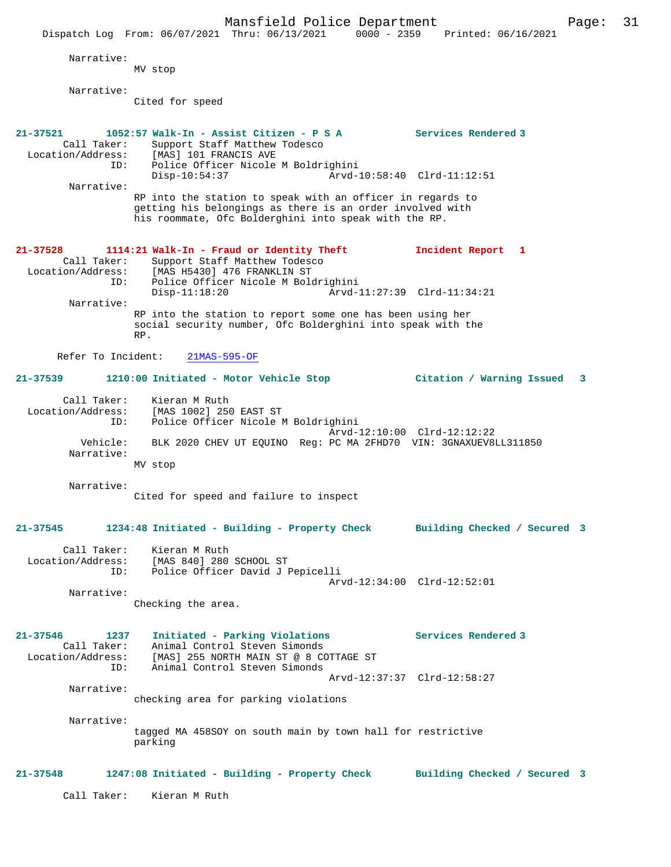|                                                         | Mansfield Police Department<br>$0000 - 2359$<br>Dispatch Log From: 06/07/2021 Thru: 06/13/2021                                                                                                      | Printed: 06/16/2021                                | Page: | 31 |
|---------------------------------------------------------|-----------------------------------------------------------------------------------------------------------------------------------------------------------------------------------------------------|----------------------------------------------------|-------|----|
| Narrative:                                              | MV stop                                                                                                                                                                                             |                                                    |       |    |
| Narrative:                                              | Cited for speed                                                                                                                                                                                     |                                                    |       |    |
| $21 - 37521$<br>Call Taker:<br>Location/Address:<br>ID: | 1052:57 Walk-In - Assist Citizen - P S A<br>Support Staff Matthew Todesco<br>[MAS] 101 FRANCIS AVE<br>Police Officer Nicole M Boldrighini                                                           | Services Rendered 3                                |       |    |
| Narrative:                                              | $Disp-10:54:37$<br>RP into the station to speak with an officer in regards to<br>getting his belongings as there is an order involved with<br>his roommate, Ofc Bolderghini into speak with the RP. | Arvd-10:58:40 Clrd-11:12:51                        |       |    |
| $21 - 37528$<br>Call Taker:<br>Location/Address:<br>ID: | 1114:21 Walk-In - Fraud or Identity Theft<br>Support Staff Matthew Todesco<br>[MAS H5430] 476 FRANKLIN ST<br>Police Officer Nicole M Boldrighini                                                    | Incident Report 1<br>Arvd-11:27:39 Clrd-11:34:21   |       |    |
| Narrative:                                              | $Disp-11:18:20$<br>RP into the station to report some one has been using her<br>social security number, Ofc Bolderghini into speak with the<br>RP.                                                  |                                                    |       |    |
| Refer To Incident:                                      | $21MAS-595-OF$                                                                                                                                                                                      |                                                    |       |    |
| $21 - 37539$                                            | 1210:00 Initiated - Motor Vehicle Stop                                                                                                                                                              | Citation / Warning Issued                          | 3     |    |
| Call Taker:<br>Location/Address:<br>ID:                 | Kieran M Ruth<br>[MAS 1002] 250 EAST ST<br>Police Officer Nicole M Boldrighini                                                                                                                      | Arvd-12:10:00 Clrd-12:12:22                        |       |    |
| Vehicle:<br>Narrative:                                  | BLK 2020 CHEV UT EQUINO Reg: PC MA 2FHD70 VIN: 3GNAXUEV8LL311850<br>MV stop                                                                                                                         |                                                    |       |    |
| Narrative:                                              | Cited for speed and failure to inspect                                                                                                                                                              |                                                    |       |    |
| 21-37545                                                | 1234:48 Initiated - Building - Property Check Building Checked / Secured 3                                                                                                                          |                                                    |       |    |
| ID:                                                     | Call Taker: Kieran M Ruth<br>Location/Address: [MAS 840] 280 SCHOOL ST<br>Police Officer David J Pepicelli                                                                                          | Arvd-12:34:00 Clrd-12:52:01                        |       |    |
| Narrative:                                              | Checking the area.                                                                                                                                                                                  |                                                    |       |    |
| $21 - 37546$<br>1237<br>Call Taker:<br>ID:              | Initiated - Parking Violations<br>Animal Control Steven Simonds<br>Location/Address: [MAS] 255 NORTH MAIN ST @ 8 COTTAGE ST<br>Animal Control Steven Simonds                                        | Services Rendered 3<br>Arvd-12:37:37 Clrd-12:58:27 |       |    |
| Narrative:                                              | checking area for parking violations                                                                                                                                                                |                                                    |       |    |
| Narrative:                                              | tagged MA 458SOY on south main by town hall for restrictive<br>parking                                                                                                                              |                                                    |       |    |
| $21 - 37548$                                            | 1247:08 Initiated - Building - Property Check Building Checked / Secured 3                                                                                                                          |                                                    |       |    |
| Call Taker:                                             | Kieran M Ruth                                                                                                                                                                                       |                                                    |       |    |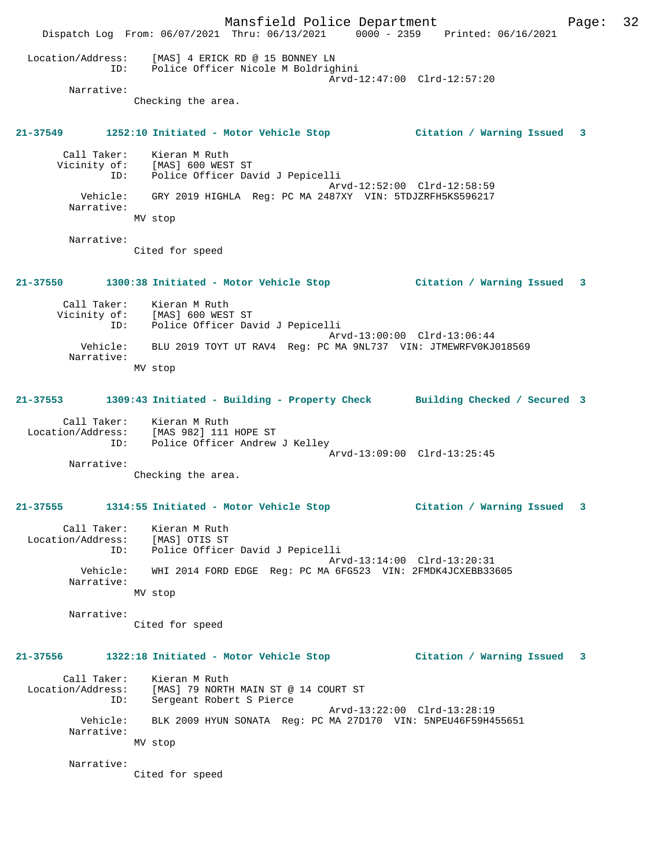|                                                                             | Mansfield Police Department<br>Dispatch Log From: 06/07/2021 Thru: 06/13/2021 0000 - 2359 Printed: 06/16/2021        |                             | Page: | 32 |
|-----------------------------------------------------------------------------|----------------------------------------------------------------------------------------------------------------------|-----------------------------|-------|----|
|                                                                             | Location/Address: [MAS] 4 ERICK RD @ 15 BONNEY LN<br>ID: Police Officer Nicole M Boldrighini                         | Arvd-12:47:00 Clrd-12:57:20 |       |    |
| Narrative:                                                                  | Checking the area.                                                                                                   |                             |       |    |
|                                                                             | 21-37549 1252:10 Initiated - Motor Vehicle Stop [121-37549   21-37549   21-37549   21-37549   21-37549   21-3        |                             |       |    |
| Call Taker:                                                                 | Kieran M Ruth<br>Call Taker: Kieran M Ruth<br>Vicinity of: [MAS] 600 WEST ST<br>ID: Police Officer David J Pepicelli | Arvd-12:52:00 Clrd-12:58:59 |       |    |
| Narrative:                                                                  | Vehicle: GRY 2019 HIGHLA Reg: PC MA 2487XY VIN: 5TDJZRFH5KS596217                                                    |                             |       |    |
| Narrative:                                                                  | MV stop                                                                                                              |                             |       |    |
|                                                                             | Cited for speed                                                                                                      |                             |       |    |
|                                                                             | 21-37550 1300:38 Initiated - Motor Vehicle Stop Citation / Warning Issued 3                                          |                             |       |    |
| ID:                                                                         | Call Taker: Kieran M Ruth<br>Vicinity of: [MAS] 600 WEST ST<br>Police Officer David J Pepicelli                      | Arvd-13:00:00 Clrd-13:06:44 |       |    |
| Vehicle:<br>Narrative:                                                      | BLU 2019 TOYT UT RAV4 Reg: PC MA 9NL737 VIN: JTMEWRFV0KJ018569                                                       |                             |       |    |
|                                                                             | MV stop                                                                                                              |                             |       |    |
|                                                                             | 21-37553 1309:43 Initiated - Building - Property Check Building Checked / Secured 3                                  |                             |       |    |
| ID:                                                                         | Call Taker: Kieran M Ruth<br>Location/Address: [MAS 982] 111 HOPE ST<br>Police Officer Andrew J Kelley               |                             |       |    |
| Narrative:                                                                  |                                                                                                                      | Arvd-13:09:00 Clrd-13:25:45 |       |    |
|                                                                             | Checking the area.                                                                                                   |                             |       |    |
| $21 - 37555$                                                                | 1314:55 Initiated - Motor Vehicle Stop                                                                               | Citation / Warning Issued 3 |       |    |
| Call Taker:<br>Call Taker: Kieran M Ruth<br>Location/Address: [MAS] OTIS ST | Kieran M Ruth<br>ID: Police Officer David J Pepicelli                                                                |                             |       |    |
| Vehicle:<br>Narrative:                                                      | WHI 2014 FORD EDGE Reg: PC MA 6FG523 VIN: 2FMDK4JCXEBB33605                                                          | Arvd-13:14:00 Clrd-13:20:31 |       |    |
|                                                                             | MV stop                                                                                                              |                             |       |    |
| Narrative:                                                                  | Cited for speed                                                                                                      |                             |       |    |
|                                                                             | 21-37556 1322:18 Initiated - Motor Vehicle Stop                                                                      | Citation / Warning Issued 3 |       |    |
| Call Taker:<br>ID:                                                          | Kieran M Ruth<br>Location/Address: [MAS] 79 NORTH MAIN ST @ 14 COURT ST<br>Sergeant Robert S Pierce                  | Arvd-13:22:00 Clrd-13:28:19 |       |    |
| Vehicle:<br>Narrative:                                                      | BLK 2009 HYUN SONATA Req: PC MA 27D170 VIN: 5NPEU46F59H455651                                                        |                             |       |    |
|                                                                             | MV stop                                                                                                              |                             |       |    |
| Narrative:                                                                  | Cited for speed                                                                                                      |                             |       |    |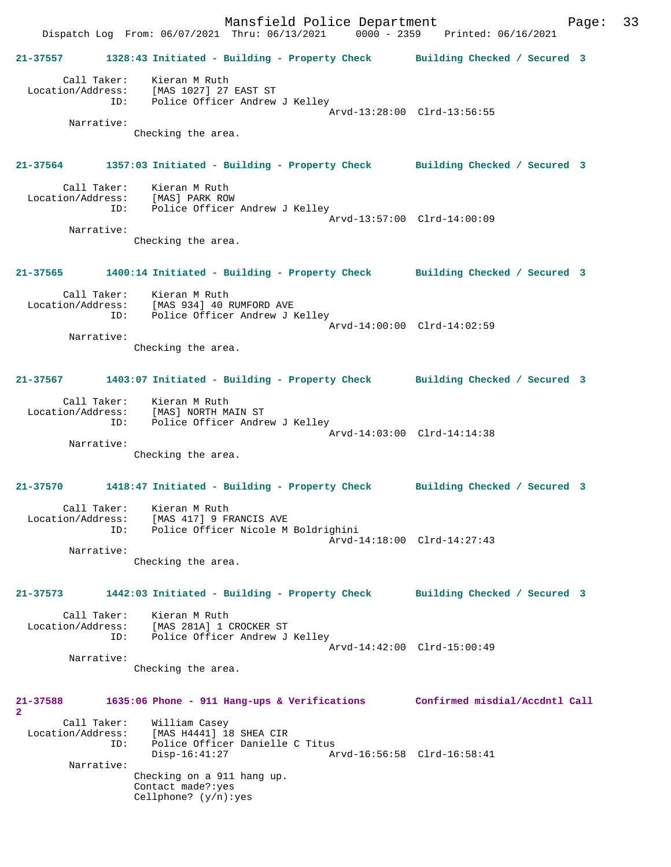|                                                       | Mansfield Police Department<br>Dispatch Log From: 06/07/2021 Thru: 06/13/2021 0000 - 2359 Printed: 06/16/2021                |                                | 33<br>Page: |
|-------------------------------------------------------|------------------------------------------------------------------------------------------------------------------------------|--------------------------------|-------------|
|                                                       | 21-37557 1328:43 Initiated - Building - Property Check Building Checked / Secured 3                                          |                                |             |
| ID:<br>Narrative:                                     | Call Taker: Kieran M Ruth<br>Location/Address: [MAS 1027] 27 EAST ST<br>Police Officer Andrew J Kelley<br>Checking the area. | Arvd-13:28:00 Clrd-13:56:55    |             |
|                                                       |                                                                                                                              |                                |             |
|                                                       | 21-37564 1357:03 Initiated - Building - Property Check Building Checked / Secured 3<br>Call Taker: Kieran M Ruth             |                                |             |
|                                                       | Location/Address: [MAS] PARK ROW<br>ID: Police Officer Andrew J Kelley                                                       | Arvd-13:57:00 Clrd-14:00:09    |             |
| Narrative:                                            | Checking the area.                                                                                                           |                                |             |
|                                                       | 21-37565 1400:14 Initiated - Building - Property Check Building Checked / Secured 3                                          |                                |             |
|                                                       | Call Taker: Kieran M Ruth<br>Location/Address: [MAS 934] 40 RUMFORD AVE<br>ID: Police Officer Andrew J Kelley                | Arvd-14:00:00 Clrd-14:02:59    |             |
| Narrative:                                            | Checking the area.                                                                                                           |                                |             |
|                                                       | 21-37567 1403:07 Initiated - Building - Property Check Building Checked / Secured 3                                          |                                |             |
|                                                       | Call Taker: Kieran M Ruth<br>Location/Address: [MAS] NORTH MAIN ST<br>ID: Police Officer Andrew J Kelley                     | Arvd-14:03:00 Clrd-14:14:38    |             |
| Narrative:                                            | Checking the area.                                                                                                           |                                |             |
|                                                       | 21-37570 1418:47 Initiated - Building - Property Check Building Checked / Secured 3                                          |                                |             |
| Location/Address:<br>ID:                              | Call Taker: Kieran M Ruth<br>[MAS 417] 9 FRANCIS AVE<br>Police Officer Nicole M Boldrighini                                  | Arvd-14:18:00 Clrd-14:27:43    |             |
| Narrative:                                            | Checking the area.                                                                                                           |                                |             |
| $21 - 37573$                                          | 1442:03 Initiated - Building - Property Check                                                                                | Building Checked / Secured 3   |             |
| Call Taker:<br>Location/Address:<br>ID:               | Kieran M Ruth<br>[MAS 281A] 1 CROCKER ST<br>Police Officer Andrew J Kelley                                                   | Arvd-14:42:00 Clrd-15:00:49    |             |
| Narrative:                                            | Checking the area.                                                                                                           |                                |             |
| 21-37588<br>$\overline{a}$                            | 1635:06 Phone - 911 Hang-ups & Verifications                                                                                 | Confirmed misdial/Accdntl Call |             |
| Call Taker:<br>Location/Address:<br>ID:<br>Narrative: | William Casey<br>[MAS H4441] 18 SHEA CIR<br>Police Officer Danielle C Titus<br>$Disp-16:41:27$                               | Arvd-16:56:58 Clrd-16:58:41    |             |
|                                                       | Checking on a 911 hang up.<br>Contact made?: yes<br>Cellphone? $(y/n):yes$                                                   |                                |             |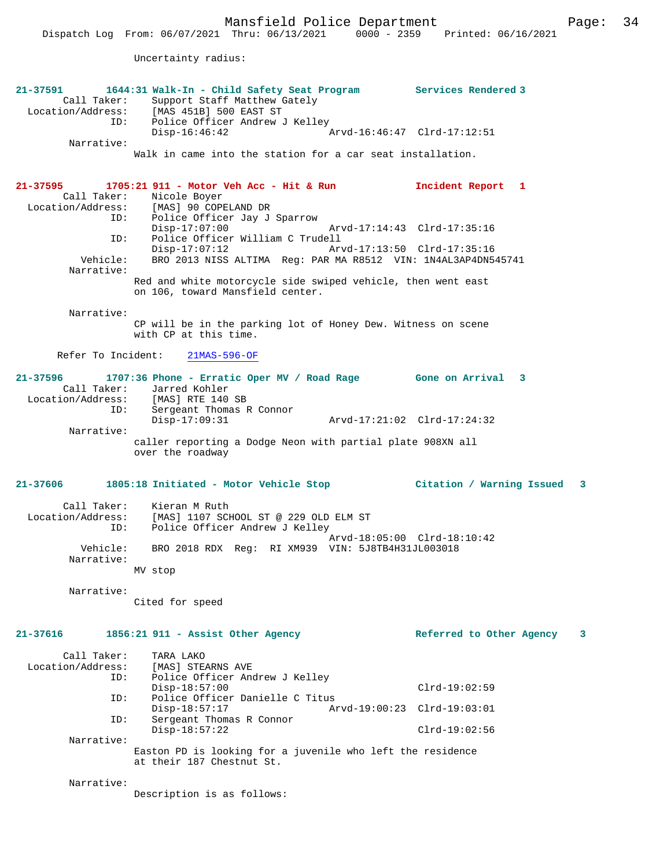Mansfield Police Department Fage: 34

Uncertainty radius:

| 21-37591<br>Call Taker:<br>ID:          | 1644:31 Walk-In - Child Safety Seat Program<br>Support Staff Matthew Gately<br>Location/Address: [MAS 451B] 500 EAST ST<br>Police Officer Andrew J Kelley | Services Rendered 3           |
|-----------------------------------------|-----------------------------------------------------------------------------------------------------------------------------------------------------------|-------------------------------|
| Narrative:                              | Disp-16:46:42                                                                                                                                             | Arvd-16:46:47 Clrd-17:12:51   |
|                                         | Walk in came into the station for a car seat installation.                                                                                                |                               |
| 21-37595<br>Call Taker:                 | 1705:21 911 - Motor Veh Acc - Hit & Run<br>Nicole Boyer<br>Location/Address: [MAS] 90 COPELAND DR<br>ID: Police Officer Jay J                             | Incident Report 1             |
| ID:                                     | Police Officer Jay J Sparrow<br>$Disp-17:07:00$<br>Police Officer William C Trudell                                                                       | Arvd-17:14:43 Clrd-17:35:16   |
| Vehicle:<br>Narrative:                  | $Disp-17:07:12$<br>BRO 2013 NISS ALTIMA Reg: PAR MA R8512 VIN: 1N4AL3AP4DN545741                                                                          | Arvd-17:13:50 Clrd-17:35:16   |
|                                         | Red and white motorcycle side swiped vehicle, then went east<br>on 106, toward Mansfield center.                                                          |                               |
| Narrative:                              | CP will be in the parking lot of Honey Dew. Witness on scene<br>with CP at this time.                                                                     |                               |
| Refer To Incident:                      | $21MAS-596-OF$                                                                                                                                            |                               |
| 21-37596                                | 1707:36 Phone - Erratic Oper MV / Road Rage Gone on Arrival 3<br>Call Taker: Jarred Kohler<br>Location/Address: [MAS] RTE 140 SB                          |                               |
| ID:                                     | Sergeant Thomas R Connor<br>$Disp-17:09:31$                                                                                                               | Arvd-17:21:02 Clrd-17:24:32   |
| Narrative:                              | caller reporting a Dodge Neon with partial plate 908XN all<br>over the roadway                                                                            |                               |
| 21-37606                                |                                                                                                                                                           |                               |
| Call Taker:<br>Location/Address:<br>ID: | Kieran M Ruth<br>[MAS] 1107 SCHOOL ST @ 229 OLD ELM ST<br>Police Officer Andrew J Kelley                                                                  | Arvd-18:05:00 Clrd-18:10:42   |
| Vehicle:<br>Narrative:                  | BRO 2018 RDX Reg: RI XM939 VIN: 5J8TB4H31JL003018                                                                                                         |                               |
|                                         | MV stop                                                                                                                                                   |                               |
| Narrative:                              | Cited for speed                                                                                                                                           |                               |
| 21-37616                                | 1856:21 911 - Assist Other Agency                                                                                                                         | Referred to Other Agency<br>3 |
| Call Taker:<br>Location/Address:<br>ID: | TARA LAKO<br>[MAS] STEARNS AVE<br>Police Officer Andrew J Kelley                                                                                          |                               |
| ID:                                     | $Disp-18:57:00$<br>Police Officer Danielle C Titus                                                                                                        | $Clrd-19:02:59$               |
| ID:                                     | $Disp-18:57:17$<br>Sergeant Thomas R Connor                                                                                                               | Arvd-19:00:23 Clrd-19:03:01   |
| Narrative:                              | $Disp-18:57:22$                                                                                                                                           | $Clrd-19:02:56$               |
|                                         | Easton PD is looking for a juvenile who left the residence<br>at their 187 Chestnut St.                                                                   |                               |
| Narrative:                              | Description is as follows:                                                                                                                                |                               |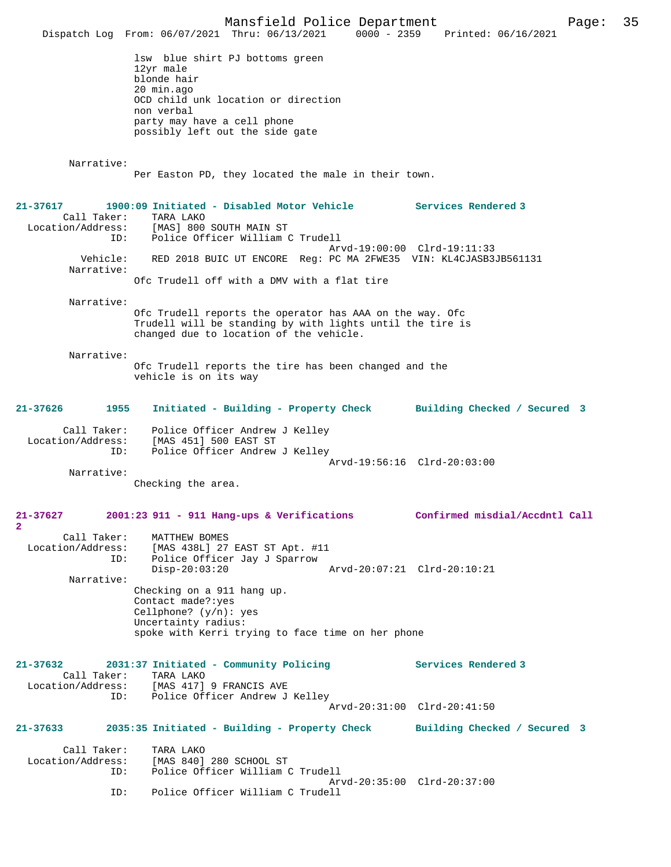Mansfield Police Department Page: 35 Dispatch Log From: 06/07/2021 Thru: 06/13/2021 0000 - 2359 lsw blue shirt PJ bottoms green 12yr male blonde hair 20 min.ago OCD child unk location or direction non verbal party may have a cell phone possibly left out the side gate Narrative: Per Easton PD, they located the male in their town. **21-37617 1900:09 Initiated - Disabled Motor Vehicle Services Rendered 3**  Call Taker: TARA LAKO<br>Location/Address: [MAS] 800 Location/Address: [MAS] 800 SOUTH MAIN ST ID: Police Officer William C Trudell Arvd-19:00:00 Clrd-19:11:33 Vehicle: RED 2018 BUIC UT ENCORE Reg: PC MA 2FWE35 VIN: KL4CJASB3JB561131 Narrative: Ofc Trudell off with a DMV with a flat tire Narrative: Ofc Trudell reports the operator has AAA on the way. Ofc Trudell will be standing by with lights until the tire is changed due to location of the vehicle. Narrative: Ofc Trudell reports the tire has been changed and the vehicle is on its way **21-37626 1955 Initiated - Building - Property Check Building Checked / Secured 3** Call Taker: Police Officer Andrew J Kelley Location/Address: [MAS 451] 500 EAST ST Police Officer Andrew J Kelley Arvd-19:56:16 Clrd-20:03:00 Narrative: Checking the area. **21-37627 2001:23 911 - 911 Hang-ups & Verifications Confirmed misdial/Accdntl Call 2**  Call Taker: MATTHEW BOMES Location/Address: [MAS 438L] 27 EAST ST Apt. #11<br>ID: Police Officer Jav J Sparrow Police Officer Jay J Sparrow<br>Disp-20:03:20 Disp-20:03:20 Arvd-20:07:21 Clrd-20:10:21 Narrative: Checking on a 911 hang up. Contact made?:yes Cellphone? (y/n): yes Uncertainty radius: spoke with Kerri trying to face time on her phone **21-37632 2031:37 Initiated - Community Policing Services Rendered 3**  Call Taker: TARA LAKO<br>Location/Address: [MAS 417] ess: [MAS 417] 9 FRANCIS AVE<br>ID: Police Officer Andrew J Police Officer Andrew J Kelley Arvd-20:31:00 Clrd-20:41:50 **21-37633 2035:35 Initiated - Building - Property Check Building Checked / Secured 3** Call Taker: TARA LAKO<br>Location/Address: [MAS 840] [MAS 840] 280 SCHOOL ST ID: Police Officer William C Trudell Arvd-20:35:00 Clrd-20:37:00<br>ID: Police Officer William C Trudell Police Officer William C Trudell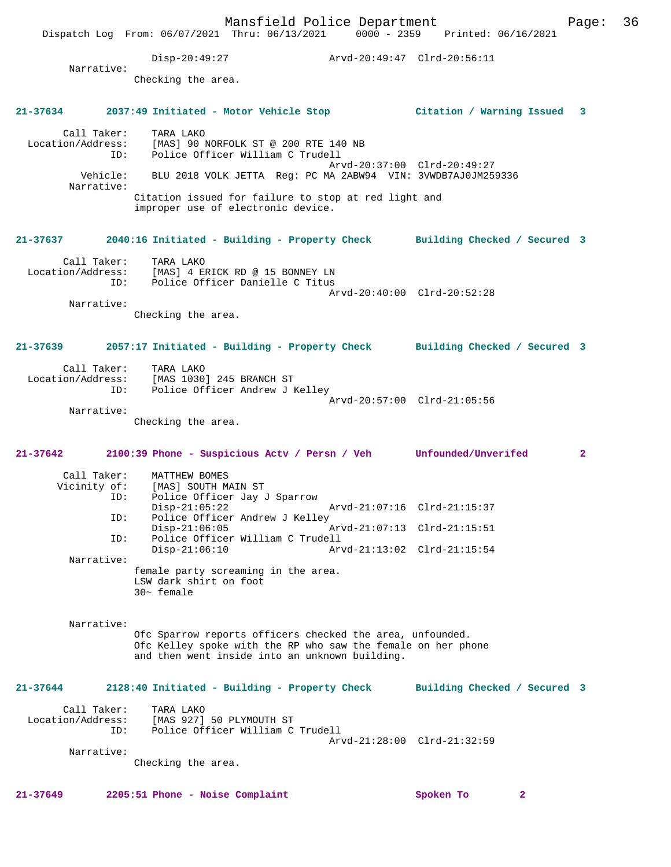Mansfield Police Department Page: 36 Dispatch Log From: 06/07/2021 Thru: 06/13/2021 0000 - 2359 Printed: 06/16/2021 Disp-20:49:27 Arvd-20:49:47 Clrd-20:56:11 Narrative: Checking the area. **21-37634 2037:49 Initiated - Motor Vehicle Stop Citation / Warning Issued 3** Call Taker: TARA LAKO Location/Address: [MAS] 90 NORFOLK ST @ 200 RTE 140 NB ID: Police Officer William C Trudell Arvd-20:37:00 Clrd-20:49:27 Vehicle: BLU 2018 VOLK JETTA Reg: PC MA 2ABW94 VIN: 3VWDB7AJ0JM259336 Narrative: Citation issued for failure to stop at red light and improper use of electronic device. **21-37637 2040:16 Initiated - Building - Property Check Building Checked / Secured 3** Call Taker: TARA LAKO Location/Address: [MAS] 4 ERICK RD @ 15 BONNEY LN ID: Police Officer Danielle C Titus Arvd-20:40:00 Clrd-20:52:28 Narrative: Checking the area. **21-37639 2057:17 Initiated - Building - Property Check Building Checked / Secured 3** Call Taker: TARA LAKO Location/Address: [MAS 1030] 245 BRANCH ST ID: Police Officer Andrew J Kelley Arvd-20:57:00 Clrd-21:05:56 Narrative: Checking the area. **21-37642 2100:39 Phone - Suspicious Actv / Persn / Veh Unfounded/Unverifed 2** Call Taker: MATTHEW BOMES<br>Vicinity of: [MAS] SOUTH M Of: [MAS] SOUTH MAIN ST<br>ID: Police Officer Jav J Police Officer Jay J Sparrow<br>Disp-21:05:22 Disp-21:05:22 Arvd-21:07:16 Clrd-21:15:37 ID: Police Officer Andrew J Kelley<br>Disp-21:06:05 Arvd-21:07:13 Clrd-21:15:51 ID: Police Officer William C Trudell Disp-21:06:10 Arvd-21:13:02 Clrd-21:15:54 Narrative: female party screaming in the area. LSW dark shirt on foot 30~ female Narrative: Ofc Sparrow reports officers checked the area, unfounded. Ofc Kelley spoke with the RP who saw the female on her phone and then went inside into an unknown building. **21-37644 2128:40 Initiated - Building - Property Check Building Checked / Secured 3** Call Taker: TARA LAKO Location/Address: [MAS 927] 50 PLYMOUTH ST ID: Police Officer William C Trudell Arvd-21:28:00 Clrd-21:32:59 Narrative: Checking the area. **21-37649 2205:51 Phone - Noise Complaint Spoken To 2**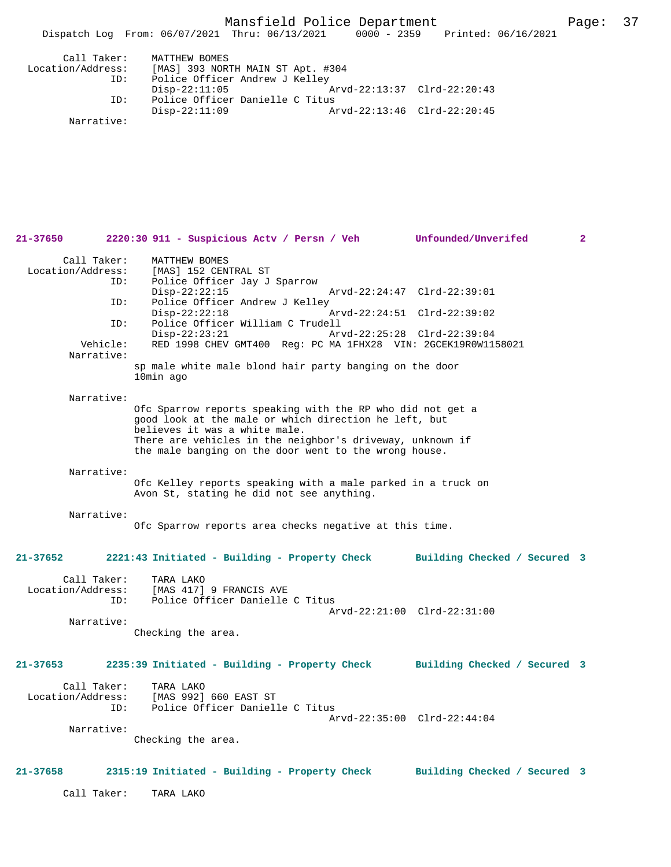Mansfield Police Department Page: 37

|                   | Dispatch Log From: 06/07/2021 Thru: 06/13/2021 | $0000 - 2359$               | Printed: 06/16/2021 |  |
|-------------------|------------------------------------------------|-----------------------------|---------------------|--|
| Call Taker:       | MATTHEW BOMES                                  |                             |                     |  |
| Location/Address: | [MAS] 393 NORTH MAIN ST Apt. #304              |                             |                     |  |
| ID:               | Police Officer Andrew J Kelley                 |                             |                     |  |
|                   | $Disp-22:11:05$                                |                             |                     |  |
| ID:               | Police Officer Danielle C Titus                |                             |                     |  |
|                   | $Disp-22:11:09$                                | Arvd-22:13:46 Clrd-22:20:45 |                     |  |

Narrative:

| 21-37650                                | 2220:30 911 - Suspicious Actv / Persn / Veh Unfounded/Unverifed                                                                                      |                              | $\overline{2}$ |
|-----------------------------------------|------------------------------------------------------------------------------------------------------------------------------------------------------|------------------------------|----------------|
| Call Taker:<br>Location/Address:<br>ID: | MATTHEW BOMES<br>[MAS] 152 CENTRAL ST<br>Police Officer Jay J Sparrow                                                                                |                              |                |
| ID:                                     | $Disp-22:22:15$<br>Police Officer Andrew J Kelley                                                                                                    | Arvd-22:24:47 Clrd-22:39:01  |                |
| ID:                                     | $Disp-22:22:18$<br>Police Officer William C Trudell                                                                                                  | Arvd-22:24:51 Clrd-22:39:02  |                |
| Vehicle:<br>Narrative:                  | $Disp-22:23:21$<br>RED 1998 CHEV GMT400 Req: PC MA 1FHX28 VIN: 2GCEK19R0W1158021                                                                     | Arvd-22:25:28 Clrd-22:39:04  |                |
|                                         | sp male white male blond hair party banging on the door<br>10min ago                                                                                 |                              |                |
| Narrative:                              |                                                                                                                                                      |                              |                |
|                                         | Ofc Sparrow reports speaking with the RP who did not get a<br>good look at the male or which direction he left, but<br>believes it was a white male. |                              |                |
|                                         | There are vehicles in the neighbor's driveway, unknown if<br>the male banging on the door went to the wrong house.                                   |                              |                |
| Narrative:                              |                                                                                                                                                      |                              |                |
|                                         | Ofc Kelley reports speaking with a male parked in a truck on<br>Avon St, stating he did not see anything.                                            |                              |                |
| Narrative:                              |                                                                                                                                                      |                              |                |
|                                         | Ofc Sparrow reports area checks negative at this time.                                                                                               |                              |                |
| 21-37652                                | 2221:43 Initiated - Building - Property Check Building Checked / Secured 3                                                                           |                              |                |
| Call Taker:                             | TARA LAKO                                                                                                                                            |                              |                |
| ID:                                     | Location/Address: [MAS 417] 9 FRANCIS AVE<br>Police Officer Danielle C Titus                                                                         |                              |                |
| Narrative:                              |                                                                                                                                                      | Arvd-22:21:00 Clrd-22:31:00  |                |
|                                         | Checking the area.                                                                                                                                   |                              |                |
| 21-37653                                | 2235:39 Initiated - Building - Property Check Building Checked / Secured 3                                                                           |                              |                |
| Call Taker:<br>Location/Address:        | TARA LAKO<br>[MAS 992] 660 EAST ST                                                                                                                   |                              |                |
| ID:                                     | Police Officer Danielle C Titus                                                                                                                      |                              |                |
| Narrative:                              |                                                                                                                                                      | Arvd-22:35:00 Clrd-22:44:04  |                |
|                                         | Checking the area.                                                                                                                                   |                              |                |
| 21-37658                                | 2315:19 Initiated - Building - Property Check                                                                                                        | Building Checked / Secured 3 |                |
| Call Taker:                             | TARA LAKO                                                                                                                                            |                              |                |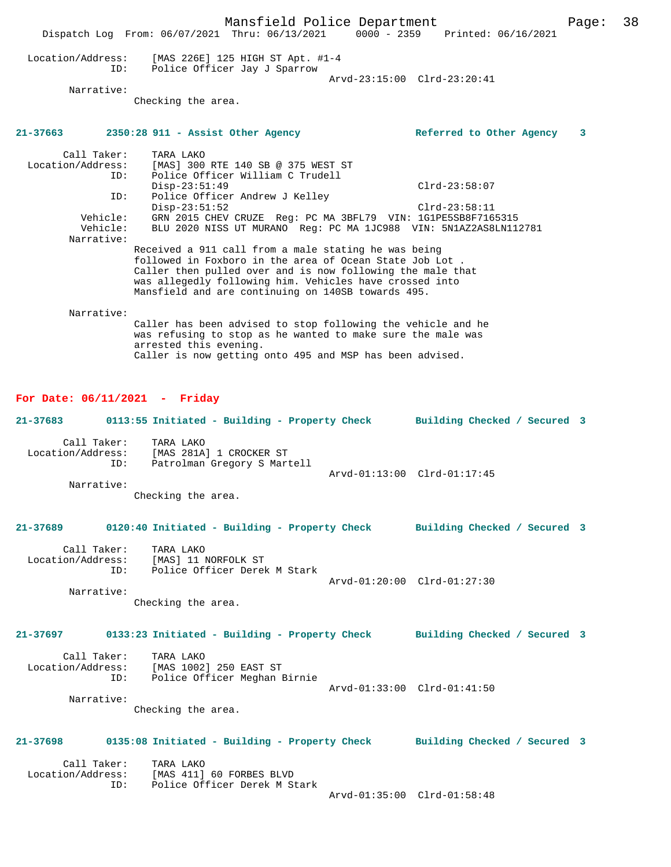Mansfield Police Department Page: 38 Dispatch Log From: 06/07/2021 Thru: 06/13/2021 0000 - 2359 Printed: 06/16/2021 Location/Address: [MAS 226E] 125 HIGH ST Apt. #1-4 ID: Police Officer Jay J Sparrow Arvd-23:15:00 Clrd-23:20:41 Narrative: Checking the area. **21-37663 2350:28 911 - Assist Other Agency Referred to Other Agency 3** Call Taker: TARA LAKO Location/Address: [MAS] 300 RTE 140 SB @ 375 WEST ST ID: Police Officer William C Trudell Disp-23:51:49 Clrd-23:58:07<br>ID: Police Officer Andrew J Kelley Police Officer Andrew J Kelley Disp-23:51:52 Clrd-23:58:11 Vehicle: GRN 2015 CHEV CRUZE Reg: PC MA 3BFL79 VIN: 1G1PE5SB8F7165315 Vehicle: BLU 2020 NISS UT MURANO Reg: PC MA 1JC988 VIN: 5N1AZ2AS8LN112781 Narrative: Received a 911 call from a male stating he was being followed in Foxboro in the area of Ocean State Job Lot . Caller then pulled over and is now following the male that was allegedly following him. Vehicles have crossed into Mansfield and are continuing on 140SB towards 495. Narrative: Caller has been advised to stop following the vehicle and he

was refusing to stop as he wanted to make sure the male was arrested this evening. Caller is now getting onto 495 and MSP has been advised.

## **For Date: 06/11/2021 - Friday**

| 21-37683          |     | 0113:55 Initiated - Building - Property Check |  |                             | Building Checked / Secured 3 |  |  |
|-------------------|-----|-----------------------------------------------|--|-----------------------------|------------------------------|--|--|
| Call Taker:       |     | TARA LAKO<br>[MAS 281A] 1 CROCKER ST          |  |                             |                              |  |  |
| Location/Address: | ID: | Patrolman Gregory S Martell                   |  |                             |                              |  |  |
|                   |     |                                               |  | Arvd-01:13:00 Clrd-01:17:45 |                              |  |  |
| Narrative:        |     |                                               |  |                             |                              |  |  |
|                   |     | Checking the area.                            |  |                             |                              |  |  |

#### **21-37689 0120:40 Initiated - Building - Property Check Building Checked / Secured 3**

| Call Taker:       | TARA LAKO                    |                             |  |
|-------------------|------------------------------|-----------------------------|--|
| Location/Address: | [MAS] 11 NORFOLK ST          |                             |  |
| TD:               | Police Officer Derek M Stark |                             |  |
|                   |                              | Arvd-01:20:00 Clrd-01:27:30 |  |
| Narrative:        |                              |                             |  |

Checking the area.

## **21-37697 0133:23 Initiated - Building - Property Check Building Checked / Secured 3**

| Call Taker:       | TARA LAKO                    |                             |  |
|-------------------|------------------------------|-----------------------------|--|
| Location/Address: | [MAS 1002] 250 EAST ST       |                             |  |
| ID:               | Police Officer Meghan Birnie |                             |  |
|                   |                              | Arvd-01:33:00 Clrd-01:41:50 |  |
| Narrative:        |                              |                             |  |

Checking the area.

### **21-37698 0135:08 Initiated - Building - Property Check Building Checked / Secured 3**

| Call Taker:       | TARA LAKO                    |  |  |  |  |  |
|-------------------|------------------------------|--|--|--|--|--|
| Location/Address: | [MAS 411] 60 FORBES BLVD     |  |  |  |  |  |
|                   | Police Officer Derek M Stark |  |  |  |  |  |
|                   |                              |  |  |  |  |  |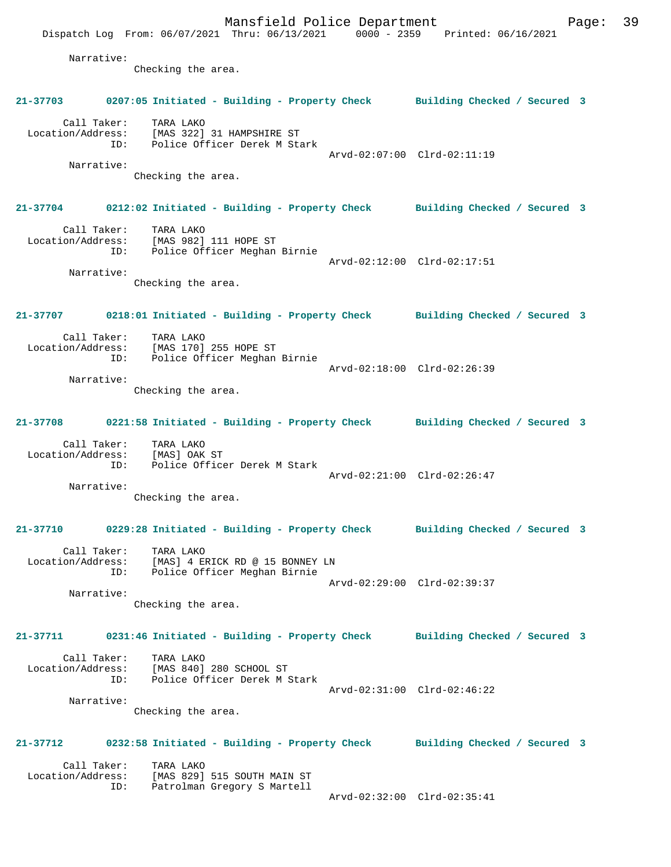Mansfield Police Department Page: 39 Dispatch Log From: 06/07/2021 Thru: 06/13/2021 0000 - 2359 Printed: 06/16/2021 Narrative: Checking the area. **21-37703 0207:05 Initiated - Building - Property Check Building Checked / Secured 3** Call Taker: TARA LAKO Location/Address: [MAS 322] 31 HAMPSHIRE ST ID: Police Officer Derek M Stark Arvd-02:07:00 Clrd-02:11:19 Narrative: Checking the area. **21-37704 0212:02 Initiated - Building - Property Check Building Checked / Secured 3** Call Taker: TARA LAKO Location/Address: [MAS 982] 111 HOPE ST ID: Police Officer Meghan Birnie Arvd-02:12:00 Clrd-02:17:51 Narrative: Checking the area. **21-37707 0218:01 Initiated - Building - Property Check Building Checked / Secured 3** Call Taker: TARA LAKO Location/Address: [MAS 170] 255 HOPE ST ID: Police Officer Meghan Birnie Arvd-02:18:00 Clrd-02:26:39 Narrative: Checking the area. **21-37708 0221:58 Initiated - Building - Property Check Building Checked / Secured 3** Call Taker: TARA LAKO Location/Address: [MAS] OAK ST ID: Police Officer Derek M Stark Arvd-02:21:00 Clrd-02:26:47 Narrative: Checking the area. **21-37710 0229:28 Initiated - Building - Property Check Building Checked / Secured 3** Call Taker: TARA LAKO Location/Address: [MAS] 4 ERICK RD @ 15 BONNEY LN ID: Police Officer Meghan Birnie Arvd-02:29:00 Clrd-02:39:37 Narrative: Checking the area. **21-37711 0231:46 Initiated - Building - Property Check Building Checked / Secured 3** Call Taker: TARA LAKO Location/Address: [MAS 840] 280 SCHOOL ST ID: Police Officer Derek M Stark Arvd-02:31:00 Clrd-02:46:22 Narrative: Checking the area. **21-37712 0232:58 Initiated - Building - Property Check Building Checked / Secured 3** Call Taker: TARA LAKO Location/Address: [MAS 829] 515 SOUTH MAIN ST ID: Patrolman Gregory S Martell Arvd-02:32:00 Clrd-02:35:41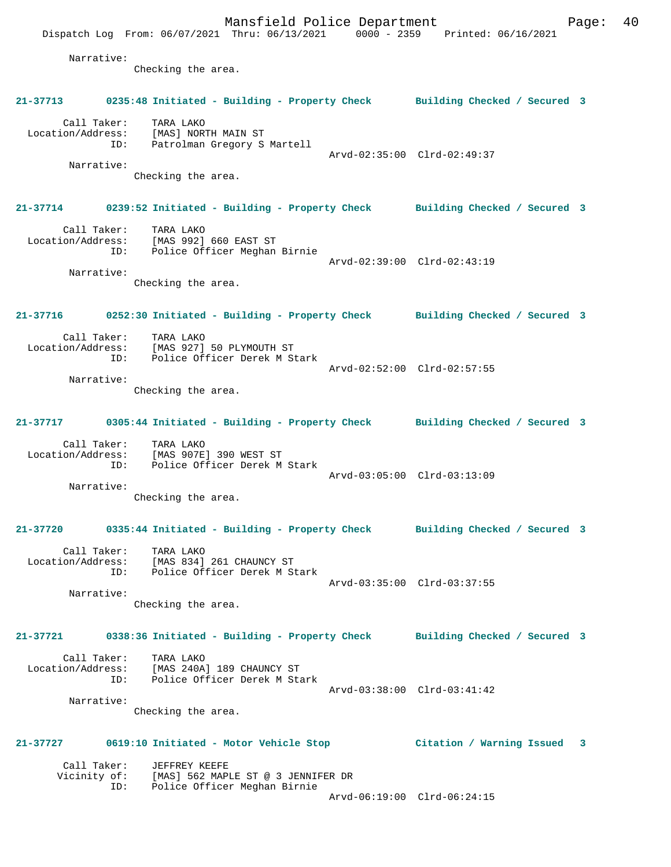Mansfield Police Department Fage: 40 Dispatch Log From: 06/07/2021 Thru: 06/13/2021 0000 - 2359 Printed: 06/16/2021 Narrative: Checking the area. **21-37713 0235:48 Initiated - Building - Property Check Building Checked / Secured 3** Call Taker: TARA LAKO Location/Address: [MAS] NORTH MAIN ST ID: Patrolman Gregory S Martell Arvd-02:35:00 Clrd-02:49:37 Narrative: Checking the area. **21-37714 0239:52 Initiated - Building - Property Check Building Checked / Secured 3** Call Taker: TARA LAKO Location/Address: [MAS 992] 660 EAST ST ID: Police Officer Meghan Birnie Arvd-02:39:00 Clrd-02:43:19 Narrative: Checking the area. **21-37716 0252:30 Initiated - Building - Property Check Building Checked / Secured 3** Call Taker: TARA LAKO Location/Address: [MAS 927] 50 PLYMOUTH ST ID: Police Officer Derek M Stark Arvd-02:52:00 Clrd-02:57:55 Narrative: Checking the area. **21-37717 0305:44 Initiated - Building - Property Check Building Checked / Secured 3** Call Taker: TARA LAKO Location/Address: [MAS 907E] 390 WEST ST ID: Police Officer Derek M Stark Arvd-03:05:00 Clrd-03:13:09 Narrative: Checking the area. **21-37720 0335:44 Initiated - Building - Property Check Building Checked / Secured 3** Call Taker: TARA LAKO Location/Address: [MAS 834] 261 CHAUNCY ST ID: Police Officer Derek M Stark Arvd-03:35:00 Clrd-03:37:55 Narrative: Checking the area. **21-37721 0338:36 Initiated - Building - Property Check Building Checked / Secured 3** Call Taker: TARA LAKO Location/Address: [MAS 240A] 189 CHAUNCY ST ID: Police Officer Derek M Stark Arvd-03:38:00 Clrd-03:41:42 Narrative: Checking the area. **21-37727 0619:10 Initiated - Motor Vehicle Stop Citation / Warning Issued 3** Call Taker: JEFFREY KEEFE<br>Vicinity of: [MAS] 562 MAP: [MAS] 562 MAPLE ST @ 3 JENNIFER DR ID: Police Officer Meghan Birnie Arvd-06:19:00 Clrd-06:24:15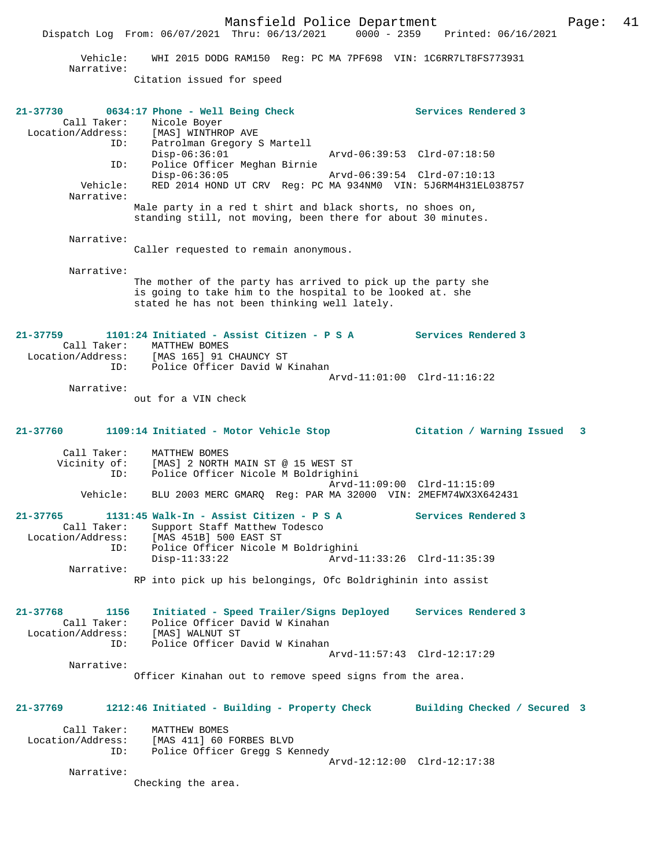|                                                             | Dispatch Log From: $06/07/2021$ Thru: $06/13/2021$<br>$0000 - 2359$                                                                                                       | Printed: 06/16/2021          |
|-------------------------------------------------------------|---------------------------------------------------------------------------------------------------------------------------------------------------------------------------|------------------------------|
| Vehicle:<br>Narrative:                                      | WHI 2015 DODG RAM150 Reg: PC MA 7PF698 VIN: 1C6RR7LT8FS773931                                                                                                             |                              |
|                                                             | Citation issued for speed                                                                                                                                                 |                              |
| 21-37730<br>Call Taker:                                     | 0634:17 Phone - Well Being Check<br>Nicole Boyer                                                                                                                          | Services Rendered 3          |
| Location/Address:<br>Iocation/Address:                      | [MAS] WINTHROP AVE<br>Patrolman Gregory S Martell<br>$Disp-06:36:01$<br>Arvd-06:39:53 Clrd-07:18:50                                                                       |                              |
| ID:<br>Vehicle:                                             | Police Officer Meghan Birnie<br>$Disp-06:36:05$<br>Arvd-06:39:54 Clrd-07:10:13<br>RED 2014 HOND UT CRV Req: PC MA 934NM0 VIN: 5J6RM4H31EL038757                           |                              |
| Narrative:                                                  | Male party in a red t shirt and black shorts, no shoes on,                                                                                                                |                              |
| Narrative:                                                  | standing still, not moving, been there for about 30 minutes.                                                                                                              |                              |
| Narrative:                                                  | Caller requested to remain anonymous.                                                                                                                                     |                              |
|                                                             | The mother of the party has arrived to pick up the party she<br>is going to take him to the hospital to be looked at. she<br>stated he has not been thinking well lately. |                              |
| 21-37759<br>Call Taker:                                     | 1101:24 Initiated - Assist Citizen - P S A<br>MATTHEW BOMES<br>Location/Address: [MAS 165] 91 CHAUNCY ST                                                                  | <b>Services Rendered 3</b>   |
| ID:                                                         | Police Officer David W Kinahan                                                                                                                                            | Arvd-11:01:00 Clrd-11:16:22  |
| Narrative:                                                  | out for a VIN check                                                                                                                                                       |                              |
| 21-37760                                                    | 1109:14 Initiated - Motor Vehicle Stop                                                                                                                                    | Citation / Warning Issued 3  |
| Call Taker:<br>Vicinity of:<br>ID:                          | MATTHEW BOMES<br>[MAS] 2 NORTH MAIN ST @ 15 WEST ST<br>Police Officer Nicole M Boldrighini                                                                                |                              |
| Vehicle:                                                    | Arvd-11:09:00 Clrd-11:15:09<br>BLU 2003 MERC GMARQ Reg: PAR MA 32000 VIN: 2MEFM74WX3X642431                                                                               |                              |
| $21 - 37765$<br>Call Taker:<br>Location/Address:<br>ID:     | 1131:45 Walk-In - Assist Citizen - P S A<br>Support Staff Matthew Todesco<br>[MAS 451B] 500 EAST ST<br>Police Officer Nicole M Boldrighini                                | Services Rendered 3          |
| Narrative:                                                  | $Disp-11:33:22$<br>Arvd-11:33:26 Clrd-11:35:39<br>RP into pick up his belongings, Ofc Boldrighinin into assist                                                            |                              |
|                                                             |                                                                                                                                                                           |                              |
| 21-37768<br>1156<br>Call Taker:<br>Location/Address:<br>ID: | Initiated - Speed Trailer/Signs Deployed<br>Police Officer David W Kinahan<br>[MAS] WALNUT ST<br>Police Officer David W Kinahan                                           | Services Rendered 3          |
| Narrative:                                                  | Arvd-11:57:43 Clrd-12:17:29<br>Officer Kinahan out to remove speed signs from the area.                                                                                   |                              |
|                                                             |                                                                                                                                                                           |                              |
| 21-37769<br>Call Taker:                                     | 1212:46 Initiated - Building - Property Check                                                                                                                             | Building Checked / Secured 3 |
| Location/Address:<br>ID:                                    | MATTHEW BOMES<br>[MAS 411] 60 FORBES BLVD<br>Police Officer Gregg S Kennedy<br>Arvd-12:12:00 Clrd-12:17:38                                                                |                              |
| Narrative:                                                  | Checking the area.                                                                                                                                                        |                              |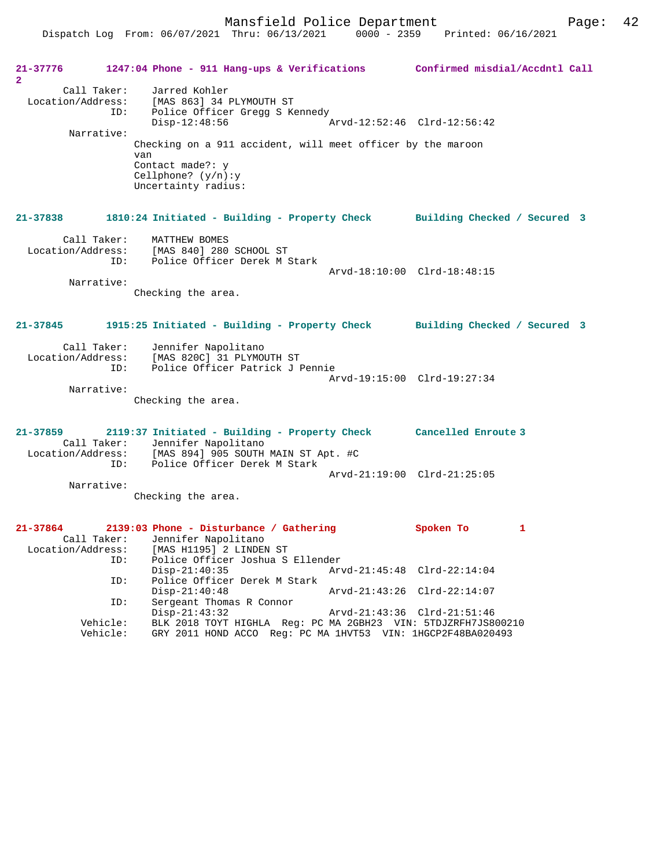Dispatch Log From: 06/07/2021 Thru: 06/13/2021 0000 - 2359 Printed: 06/16/2021

**21-37776 1247:04 Phone - 911 Hang-ups & Verifications Confirmed misdial/Accdntl Call 2**  Call Taker: Jarred Kohler Location/Address: [MAS 863] 34 PLYMOUTH ST ID: Police Officer Gregg S Kennedy<br>Disp-12:48:56  $T =$  Arvd-12:52:46 Clrd-12:56:42 Narrative: Checking on a 911 accident, will meet officer by the maroon van Contact made?: y Cellphone? (y/n):y Uncertainty radius: **21-37838 1810:24 Initiated - Building - Property Check Building Checked / Secured 3** Call Taker: MATTHEW BOMES Location/Address: [MAS 840] 280 SCHOOL ST ID: Police Officer Derek M Stark Arvd-18:10:00 Clrd-18:48:15 Narrative: Checking the area. **21-37845 1915:25 Initiated - Building - Property Check Building Checked / Secured 3** Call Taker: Jennifer Napolitano Location/Address: [MAS 820C] 31 PLYMOUTH ST ID: Police Officer Patrick J Pennie Arvd-19:15:00 Clrd-19:27:34 Narrative: Checking the area. **21-37859 2119:37 Initiated - Building - Property Check Cancelled Enroute 3**  Call Taker: Jennifer Napolitano<br>Location/Address: [MAS 894] 905 SOUTH [MAS 894] 905 SOUTH MAIN ST Apt. #C ID: Police Officer Derek M Stark Arvd-21:19:00 Clrd-21:25:05 Narrative: Checking the area. **21-37864 2139:03 Phone - Disturbance / Gathering Spoken To 1**  Call Taker: Jennifer Napolitano<br>Location/Address: [MAS H1195] 2 LINDEN Location/Address: [MAS H1195] 2 LINDEN ST ID: Police Officer Joshua S Ellender Disp-21:40:35 Arvd-21:45:48 Clrd-22:14:04 ID: Police Officer Derek M Stark Disp-21:40:48 Arvd-21:43:26 Clrd-22:14:07<br>TD: Sergeant Thomas R Connor Sergeant Thomas R Connor<br>Disp-21:43:32 Disp-21:43:32 Arvd-21:43:36 Clrd-21:51:46 Vehicle: BLK 2018 TOYT HIGHLA Reg: PC MA 2GBH23 VIN: 5TDJZRFH7JS800210 Vehicle: GRY 2011 HOND ACCO Reg: PC MA 1HVT53 VIN: 1HGCP2F48BA020493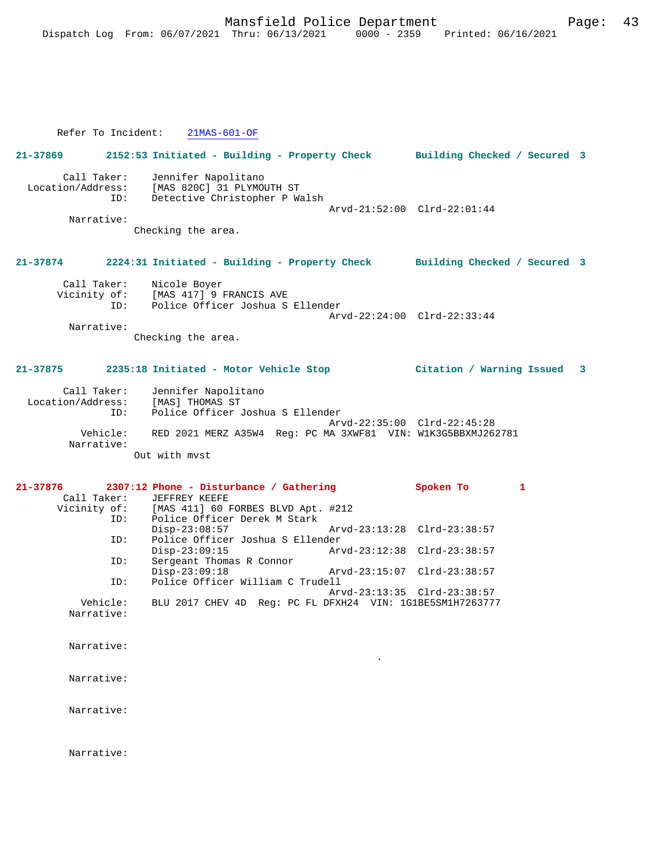Refer To Incident: 21MAS-601-OF

**21-37869 2152:53 Initiated - Building - Property Check Building Checked / Secured 3** Call Taker: Jennifer Napolitano Location/Address: [MAS 820C] 31 PLYMOUTH ST ID: Detective Christopher P Walsh Arvd-21:52:00 Clrd-22:01:44 Narrative: Checking the area. **21-37874 2224:31 Initiated - Building - Property Check Building Checked / Secured 3** Call Taker: Nicole Boyer<br>Vicinity of: [MAS 417] 9 1 Vicinity of: [MAS 417] 9 FRANCIS AVE ID: Police Officer Joshua S Ellender Arvd-22:24:00 Clrd-22:33:44 Narrative: Checking the area. **21-37875 2235:18 Initiated - Motor Vehicle Stop Citation / Warning Issued 3** Call Taker: Jennifer Napolitano Location/Address: [MAS] THOMAS ST ID: Police Officer Joshua S Ellender Arvd-22:35:00 Clrd-22:45:28 Vehicle: RED 2021 MERZ A35W4 Reg: PC MA 3XWF81 VIN: W1K3G5BBXMJ262781 Narrative: Out with mvst **21-37876 2307:12 Phone - Disturbance / Gathering Spoken To 1**  Call Taker: JEFFREY KEEFE<br>Vicinity of: [MAS 411] 60 B of: [MAS 411] 60 FORBES BLVD Apt. #212<br>ID: Police Officer Derek M Stark .<br>Police Officer Derek M Stark<br>Disp-23:08:57 Disp-23:08:57 Arvd-23:13:28 Clrd-23:38:57<br>ID: Police Officer Joshua S Ellender ID: Police Officer Joshua S Ellender Disp-23:09:15 Arvd-23:12:38 Clrd-23:38:57<br>ID: Sergeant Thomas R Connor Sergeant Thomas R Connor<br>Disp-23:09:18 Disp-23:09:18 Arvd-23:15:07 Clrd-23:38:57<br>Th: Police Officer William C Trudell Police Officer William C Trudell Arvd-23:13:35 Clrd-23:38:57<br>Vehicle: BLU 2017 CHEV 4D Reg: PC FL DFXH24 VIN: 1G1BE5SM1H726377 BLU 2017 CHEV 4D Reg: PC FL DFXH24 VIN: 1G1BE5SM1H7263777 Narrative: Narrative: . Narrative: Narrative: Narrative: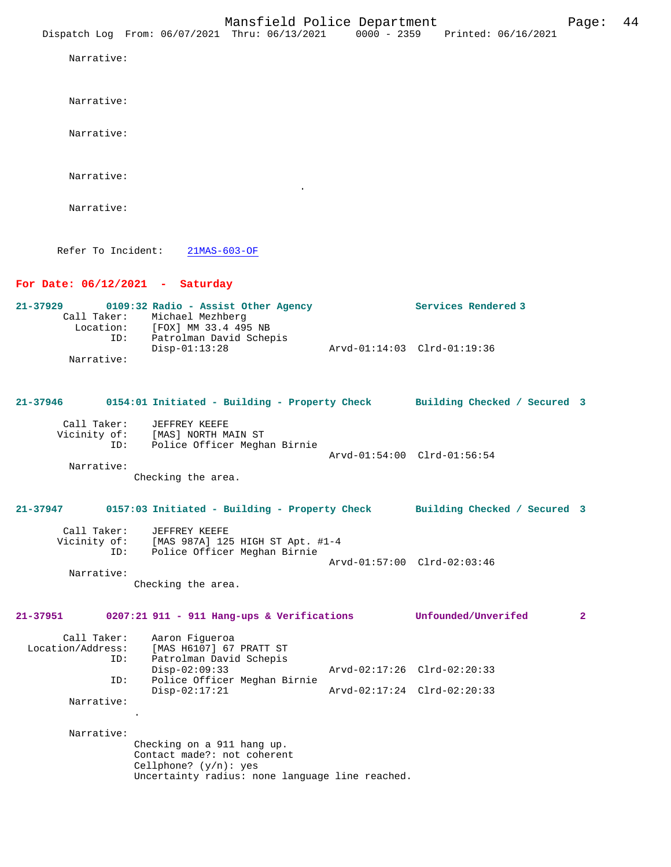Narrative:

Narrative:

Narrative:

Narrative:

Narrative:

Refer To Incident: 21MAS-603-OF

## **For Date: 06/12/2021 - Saturday**

| 21-37929 |             | 0109:32 Radio - Assist Other Agency | Services Rendered 3         |
|----------|-------------|-------------------------------------|-----------------------------|
|          | Call Taker: | Michael Mezhberg                    |                             |
|          | Location:   | [FOX] MM 33.4 495 NB                |                             |
|          | ID:         | Patrolman David Schepis             |                             |
|          |             | $Disp-01:13:28$                     | Arvd-01:14:03 Clrd-01:19:36 |
|          | Narrative:  |                                     |                             |

# **21-37946 0154:01 Initiated - Building - Property Check Building Checked / Secured 3** Call Taker: JEFFREY KEEFE

.

| Vicinity of:<br>ID: | [MAS] NORTH MAIN ST<br>Police Officer Meghan Birnie |                             |
|---------------------|-----------------------------------------------------|-----------------------------|
|                     |                                                     | Arvd-01:54:00 Clrd-01:56:54 |
| Narrative:          |                                                     |                             |

Checking the area.

## **21-37947 0157:03 Initiated - Building - Property Check Building Checked / Secured 3**

| Call Taker:  | JEFFREY KEEFE                    |  |
|--------------|----------------------------------|--|
| Vicinity of: | [MAS 987A] 125 HIGH ST Apt. #1-4 |  |
| ID:          | Police Officer Meghan Birnie     |  |
|              | Arvd-01:57:00 Clrd-02:03:46      |  |

 Narrative: Checking the area.

**21-37951 0207:21 911 - 911 Hang-ups & Verifications Unfounded/Unverifed 2**

| Call Taker:<br>Location/Address:<br>ID: | Aaron Fiqueroa<br>[MAS H6107] 67 PRATT ST<br>Patrolman David Schepis |                             |
|-----------------------------------------|----------------------------------------------------------------------|-----------------------------|
|                                         | $Disp-02:09:33$                                                      | Arvd-02:17:26 Clrd-02:20:33 |
| ID:                                     | Police Officer Meghan Birnie                                         |                             |
|                                         | $Disp-02:17:21$                                                      | Arvd-02:17:24 Clrd-02:20:33 |
| Narrative:                              |                                                                      |                             |

Narrative:

.

Checking on a 911 hang up. Contact made?: not coherent Cellphone? (y/n): yes Uncertainty radius: none language line reached.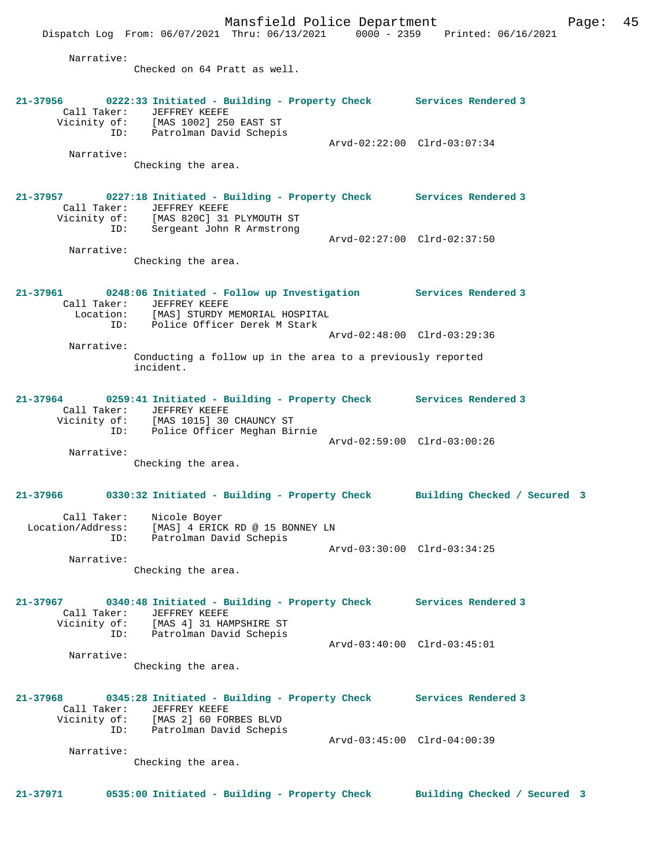Mansfield Police Department Fage: 45 Dispatch Log From: 06/07/2021 Thru: 06/13/2021 0000 - 2359 Printed: 06/16/2021 Narrative: Checked on 64 Pratt as well. **21-37956 0222:33 Initiated - Building - Property Check Services Rendered 3**  Call Taker: JEFFREY KEEFE Vicinity of: [MAS 1002] 250 EAST ST ID: Patrolman David Schepis Arvd-02:22:00 Clrd-03:07:34 Narrative: Checking the area. **21-37957 0227:18 Initiated - Building - Property Check Services Rendered 3**  Call Taker: JEFFREY KEEFE Vicinity of: [MAS 820C] 31 PLYMOUTH ST ID: Sergeant John R Armstrong Arvd-02:27:00 Clrd-02:37:50 Narrative: Checking the area. **21-37961 0248:06 Initiated - Follow up Investigation Services Rendered 3**  Call Taker: JEFFREY KEEFE<br>Location: [MAS] STURDY I [MAS] STURDY MEMORIAL HOSPITAL ID: Police Officer Derek M Stark Arvd-02:48:00 Clrd-03:29:36 Narrative: Conducting a follow up in the area to a previously reported incident. **21-37964 0259:41 Initiated - Building - Property Check Services Rendered 3**  Call Taker: JEFFREY KEEFE Vicinity of: [MAS 1015] 30 CHAUNCY ST ID: Police Officer Meghan Birnie Arvd-02:59:00 Clrd-03:00:26 Narrative: Checking the area. **21-37966 0330:32 Initiated - Building - Property Check Building Checked / Secured 3** Call Taker: Nicole Boyer Location/Address: [MAS] 4 ERICK RD @ 15 BONNEY LN ID: Patrolman David Schepis Arvd-03:30:00 Clrd-03:34:25 Narrative: Checking the area. **21-37967 0340:48 Initiated - Building - Property Check Services Rendered 3**  Call Taker: JEFFREY KEEFE Vicinity of: [MAS 4] 31 HAMPSHIRE ST ID: Patrolman David Schepis Arvd-03:40:00 Clrd-03:45:01 Narrative: Checking the area. **21-37968 0345:28 Initiated - Building - Property Check Services Rendered 3**  Call Taker: JEFFREY KEEFE<br>Vicinity of: [MAS 2] 60 FOI [MAS 2] 60 FORBES BLVD ID: Patrolman David Schepis Arvd-03:45:00 Clrd-04:00:39 Narrative: Checking the area. **21-37971 0535:00 Initiated - Building - Property Check Building Checked / Secured 3**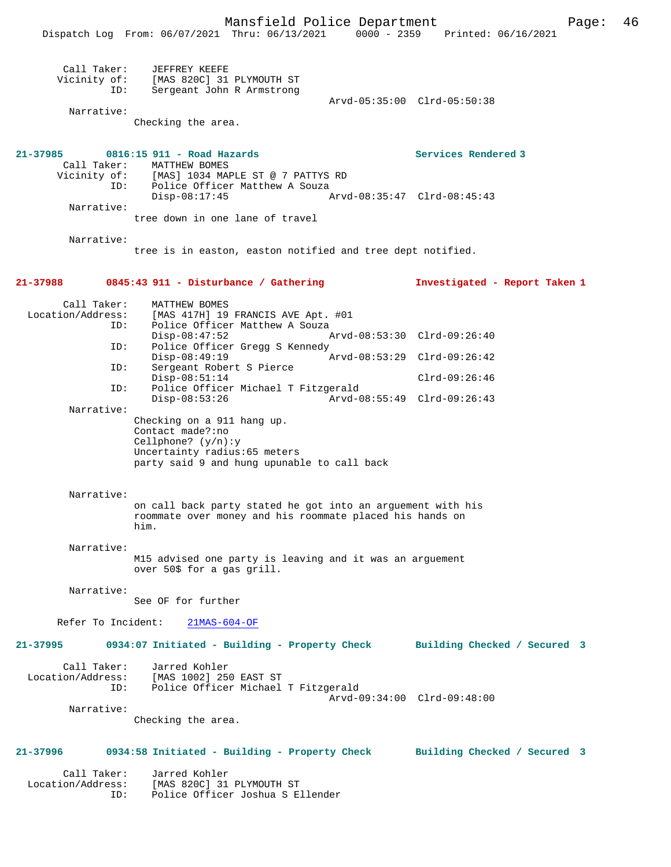|                                                | Dispatch Log From: 06/07/2021 Thru: 06/13/2021 0000 - 2359 Printed: 06/16/2021                                                                         | Mansfield Police Department |                                                    | Page: | 46 |
|------------------------------------------------|--------------------------------------------------------------------------------------------------------------------------------------------------------|-----------------------------|----------------------------------------------------|-------|----|
| Call Taker:<br>ID:<br>Narrative:               | JEFFREY KEEFE<br>Vicinity of: [MAS 820C] 31 PLYMOUTH ST<br>Sergeant John R Armstrong                                                                   |                             | Arvd-05:35:00 Clrd-05:50:38                        |       |    |
|                                                | Checking the area.                                                                                                                                     |                             |                                                    |       |    |
| 21-37985<br>Call Taker:<br>Narrative:          | 0816:15 911 - Road Hazards<br>MATTHEW BOMES<br>Vicinity of: [MAS] 1034 MAPLE ST @ 7 PATTYS RD<br>ID: Police Officer Matthew A Souza<br>$Disp-08:17:45$ |                             | Services Rendered 3<br>Arvd-08:35:47 Clrd-08:45:43 |       |    |
|                                                | tree down in one lane of travel                                                                                                                        |                             |                                                    |       |    |
| Narrative:                                     | tree is in easton, easton notified and tree dept notified.                                                                                             |                             |                                                    |       |    |
|                                                | 21-37988 0845:43 911 - Disturbance / Gathering                                                                                                         |                             | Investigated - Report Taken 1                      |       |    |
| Call Taker:<br>Location/Address:<br>ID:<br>ID: | MATTHEW BOMES<br>[MAS 417H] 19 FRANCIS AVE Apt. #01<br>Police Officer Matthew A Souza<br>$Disp-08:47:52$<br>Police Officer Gregg S Kennedy             |                             | Arvd-08:53:30 Clrd-09:26:40                        |       |    |
|                                                | $Disp-08:49:19$                                                                                                                                        |                             | Arvd-08:53:29 Clrd-09:26:42                        |       |    |
| ID:                                            | Sergeant Robert S Pierce<br>$Disp-08:51:14$                                                                                                            |                             | $Clrd-09:26:46$                                    |       |    |
| ID:                                            | Police Officer Michael T Fitzgerald<br>$Disp-08:53:26$                                                                                                 |                             | Arvd-08:55:49 Clrd-09:26:43                        |       |    |
| Narrative:                                     | Checking on a 911 hang up.<br>Contact made?:no<br>Cellphone? $(y/n):y$<br>Uncertainty radius: 65 meters<br>party said 9 and hung upunable to call back |                             |                                                    |       |    |
| Narrative:                                     | on call back party stated he got into an arguement with his<br>roommate over money and his roommate placed his hands on<br>him.                        |                             |                                                    |       |    |
| Narrative:                                     | M15 advised one party is leaving and it was an arguement<br>over 50\$ for a gas grill.                                                                 |                             |                                                    |       |    |
| Narrative:                                     | See OF for further                                                                                                                                     |                             |                                                    |       |    |
| Refer To Incident:                             | $21MAS-604-OF$                                                                                                                                         |                             |                                                    |       |    |
| 21-37995                                       | 0934:07 Initiated - Building - Property Check                                                                                                          |                             | Building Checked / Secured 3                       |       |    |
| Call Taker:<br>ID:                             | Jarred Kohler<br>Location/Address: [MAS 1002] 250 EAST ST<br>Police Officer Michael T Fitzgerald                                                       |                             | Arvd-09:34:00 Clrd-09:48:00                        |       |    |
| Narrative:                                     | Checking the area.                                                                                                                                     |                             |                                                    |       |    |
| 21-37996                                       | 0934:58 Initiated - Building - Property Check                                                                                                          |                             | Building Checked / Secured 3                       |       |    |
| Call Taker:<br>ID:                             | Jarred Kohler<br>Location/Address: [MAS 820C] 31 PLYMOUTH ST<br>Police Officer Joshua S Ellender                                                       |                             |                                                    |       |    |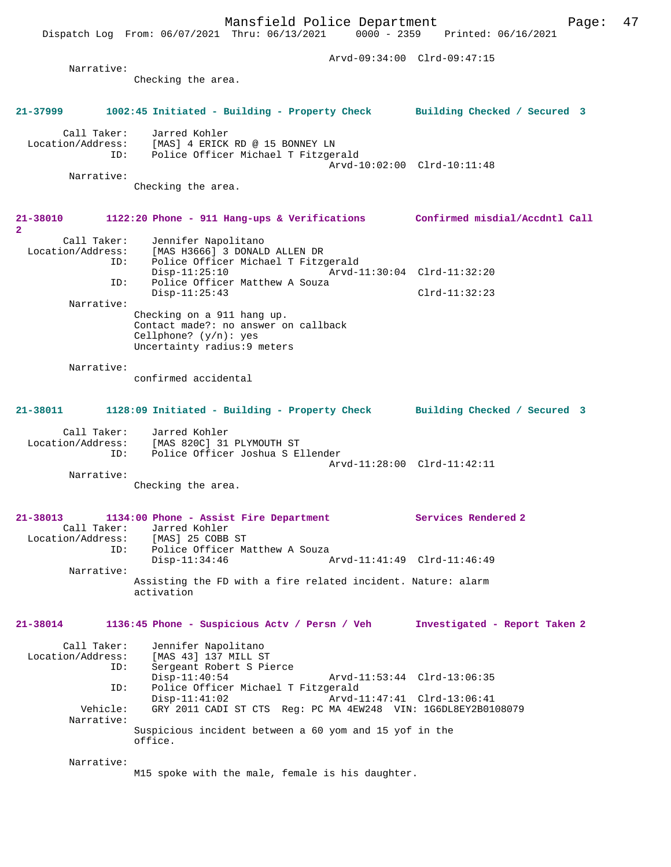Dispatch Log From: 06/07/2021 Thru: 06/13/2021 0000 - 2359 Printed: 06/16/2021

|                                              |                                                                                                                                                    | Arvd-09:34:00 Clrd-09:47:15   |
|----------------------------------------------|----------------------------------------------------------------------------------------------------------------------------------------------------|-------------------------------|
| Narrative:                                   |                                                                                                                                                    |                               |
|                                              | Checking the area.                                                                                                                                 |                               |
| 21-37999                                     | 1002:45 Initiated - Building - Property Check Building Checked / Secured 3                                                                         |                               |
|                                              | Call Taker: Jarred Kohler<br>Location/Address: [MAS] 4 ERICK RD @ 15 BONNEY LN<br>ID: Police Officer Michael T Fitzgerald                          |                               |
| Narrative:                                   |                                                                                                                                                    | Arvd-10:02:00 Clrd-10:11:48   |
|                                              | Checking the area.                                                                                                                                 |                               |
| $\overline{2}$                               | 21-38010 1122:20 Phone - 911 Hang-ups & Verifications Confirmed misdial/Accdntl Call                                                               |                               |
| Call Taker:                                  | Jennifer Napolitano<br>Location/Address: [MAS H3666] 3 DONALD ALLEN DR<br>ID: Police Officer Michael T Fitz<br>Police Officer Michael T Fitzgerald |                               |
|                                              | $Disp-11:25:10$<br>Police Officer Matthew A Souza<br>ID:                                                                                           | Arvd-11:30:04 Clrd-11:32:20   |
| Narrative:                                   | $Disp-11:25:43$                                                                                                                                    | $Clrd-11:32:23$               |
|                                              | Checking on a 911 hang up.<br>Contact made?: no answer on callback<br>Cellphone? $(y/n)$ : yes<br>Uncertainty radius: 9 meters                     |                               |
| Narrative:                                   | confirmed accidental                                                                                                                               |                               |
| 21-38011                                     | 1128:09 Initiated - Building - Property Check Building Checked / Secured 3                                                                         |                               |
|                                              | Call Taker: Jarred Kohler<br>Location/Address: [MAS 820C] 31 PLYMOUTH ST<br>ID: Police Officer Joshua S Ellender                                   | Arvd-11:28:00 Clrd-11:42:11   |
| Narrative:                                   | Checking the area.                                                                                                                                 |                               |
| 21-38013<br>Call Taker:<br>Location/Address: | 1134:00 Phone - Assist Fire Department<br>Jarred Kohler<br>[MAS] 25 COBB ST                                                                        | Services Rendered 2           |
|                                              | Police Officer Matthew A Souza<br>ID:<br>$Disp-11:34:46$                                                                                           | Arvd-11:41:49 Clrd-11:46:49   |
| Narrative:                                   | Assisting the FD with a fire related incident. Nature: alarm<br>activation                                                                         |                               |
| 21-38014                                     | 1136:45 Phone - Suspicious Actv / Persn / Veh                                                                                                      | Investigated - Report Taken 2 |
| Call Taker:<br>Location/Address:             | Jennifer Napolitano<br>[MAS 43] 137 MILL ST<br>Sergeant Robert S Pierce<br>ID:<br>$Disp-11:40:54$                                                  | Arvd-11:53:44 Clrd-13:06:35   |
| Vehicle:                                     | Police Officer Michael T Fitzgerald<br>ID:<br>$Disp-11:41:02$<br>GRY 2011 CADI ST CTS Req: PC MA 4EW248 VIN: 1G6DL8EY2B0108079                     | Arvd-11:47:41 Clrd-13:06:41   |
| Narrative:                                   | Suspicious incident between a 60 yom and 15 yof in the                                                                                             |                               |
|                                              | office.                                                                                                                                            |                               |
| Narrative:                                   | M15 spoke with the male, female is his daughter.                                                                                                   |                               |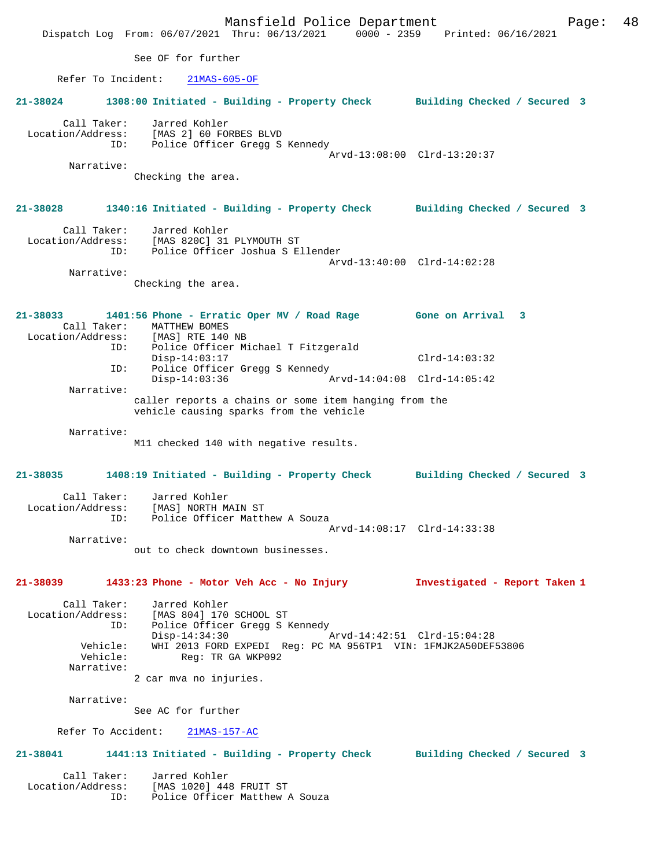Mansfield Police Department Fage: 48 Dispatch Log From: 06/07/2021 Thru: 06/13/2021 0000 - 2359 Printed: 06/16/2021 See OF for further Refer To Incident: 21MAS-605-OF **21-38024 1308:00 Initiated - Building - Property Check Building Checked / Secured 3** Call Taker: Jarred Kohler Location/Address: [MAS 2] 60 FORBES BLVD ID: Police Officer Gregg S Kennedy Arvd-13:08:00 Clrd-13:20:37 Narrative: Checking the area. **21-38028 1340:16 Initiated - Building - Property Check Building Checked / Secured 3** Call Taker: Jarred Kohler Location/Address: [MAS 820C] 31 PLYMOUTH ST ID: Police Officer Joshua S Ellender Arvd-13:40:00 Clrd-14:02:28 Narrative: Checking the area. **21-38033 1401:56 Phone - Erratic Oper MV / Road Rage Gone on Arrival 3**  Call Taker: MATTHEW BOMES Location/Address: [MAS] RTE 140 NB ID: Police Officer Michael T Fitzgerald Disp-14:03:17 Clrd-14:03:32 ID: Police Officer Gregg S Kennedy Disp-14:03:36 Arvd-14:04:08 Clrd-14:05:42 Narrative: caller reports a chains or some item hanging from the vehicle causing sparks from the vehicle Narrative: M11 checked 140 with negative results. **21-38035 1408:19 Initiated - Building - Property Check Building Checked / Secured 3** Call Taker: Jarred Kohler Location/Address: [MAS] NORTH MAIN ST ID: Police Officer Matthew A Souza Arvd-14:08:17 Clrd-14:33:38 Narrative: out to check downtown businesses. **21-38039 1433:23 Phone - Motor Veh Acc - No Injury Investigated - Report Taken 1** Call Taker: Jarred Kohler Location/Address: [MAS 804] 170 SCHOOL ST ID: Police Officer Gregg S Kennedy Disp-14:34:30 Arvd-14:42:51 Clrd-15:04:28 Vehicle: WHI 2013 FORD EXPEDI Reg: PC MA 956TP1 VIN: 1FMJK2A50DEF53806 Vehicle: Reg: TR GA WKP092 Narrative: 2 car mva no injuries. Narrative: See AC for further Refer To Accident: 21MAS-157-AC **21-38041 1441:13 Initiated - Building - Property Check Building Checked / Secured 3** Call Taker: Jarred Kohler Location/Address: [MAS 1020] 448 FRUIT ST ID: Police Officer Matthew A Souza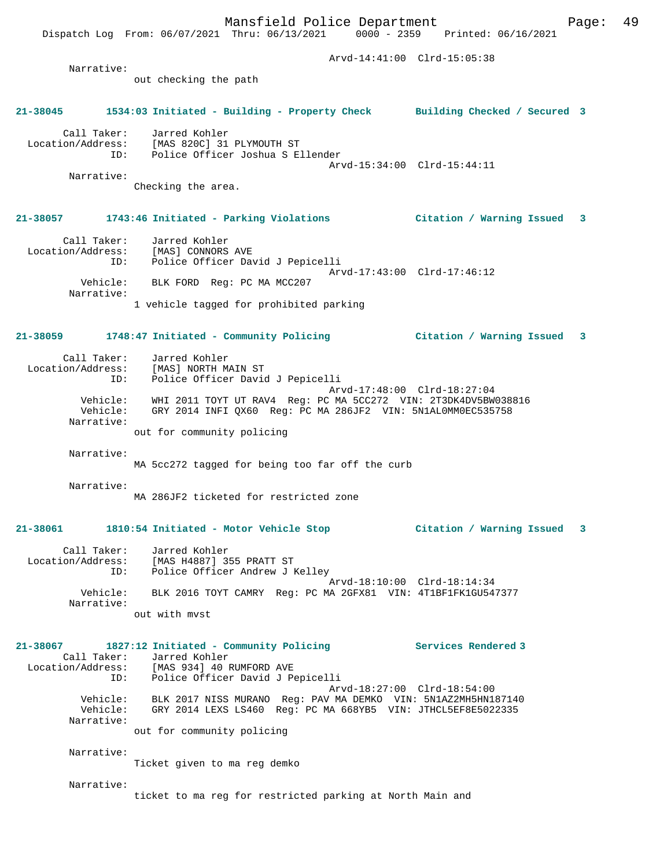Mansfield Police Department Fage: 49 Dispatch Log From: 06/07/2021 Thru: 06/13/2021 0000 - 2359 Printed: 06/16/2021 Arvd-14:41:00 Clrd-15:05:38 Narrative: out checking the path **21-38045 1534:03 Initiated - Building - Property Check Building Checked / Secured 3** Call Taker: Jarred Kohler Location/Address: [MAS 820C] 31 PLYMOUTH ST ID: Police Officer Joshua S Ellender Arvd-15:34:00 Clrd-15:44:11 Narrative: Checking the area. **21-38057 1743:46 Initiated - Parking Violations Citation / Warning Issued 3** Call Taker: Jarred Kohler Location/Address: [MAS] CONNORS AVE ID: Police Officer David J Pepicelli Arvd-17:43:00 Clrd-17:46:12 Vehicle: BLK FORD Reg: PC MA MCC207 Narrative: 1 vehicle tagged for prohibited parking **21-38059 1748:47 Initiated - Community Policing Citation / Warning Issued 3** Call Taker: Jarred Kohler<br>.on/Address: [MAS] NORTH MAIN ST Location/Address: ID: Police Officer David J Pepicelli Arvd-17:48:00 Clrd-18:27:04 Vehicle: WHI 2011 TOYT UT RAV4 Reg: PC MA 5CC272 VIN: 2T3DK4DV5BW038816 Vehicle: GRY 2014 INFI QX60 Reg: PC MA 286JF2 VIN: 5N1AL0MM0EC535758 Narrative: out for community policing Narrative: MA 5cc272 tagged for being too far off the curb Narrative: MA 286JF2 ticketed for restricted zone **21-38061 1810:54 Initiated - Motor Vehicle Stop Citation / Warning Issued 3** Call Taker: Jarred Kohler Location/Address: [MAS H4887] 355 PRATT ST ID: Police Officer Andrew J Kelley Arvd-18:10:00 Clrd-18:14:34 Vehicle: BLK 2016 TOYT CAMRY Reg: PC MA 2GFX81 VIN: 4T1BF1FK1GU547377 Narrative: out with mvst **21-38067 1827:12 Initiated - Community Policing Services Rendered 3**  Call Taker: Jarred Kohler<br>Location/Address: [MAS 934] 40 F [MAS 934] 40 RUMFORD AVE ID: Police Officer David J Pepicelli Arvd-18:27:00 Clrd-18:54:00 Vehicle: BLK 2017 NISS MURANO Reg: PAV MA DEMKO VIN: 5N1AZ2MH5HN187140 Vehicle: GRY 2014 LEXS LS460 Reg: PC MA 668YB5 VIN: JTHCL5EF8E5022335 Narrative: out for community policing Narrative: Ticket given to ma reg demko Narrative: ticket to ma reg for restricted parking at North Main and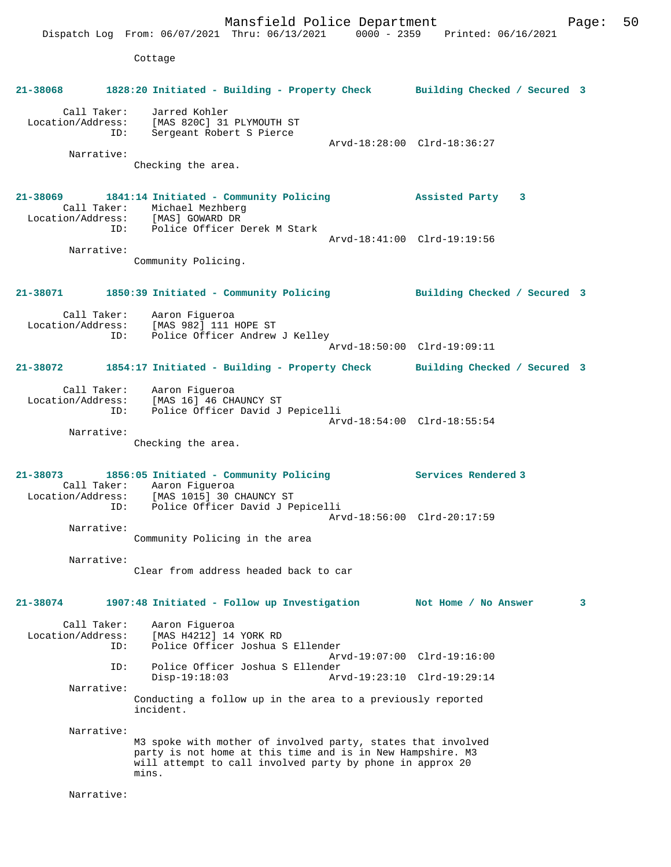Mansfield Police Department Form Page: 50 Dispatch Log From: 06/07/2021 Thru: 06/13/2021 0000 - 2359 Printed: 06/16/2021 Cottage **21-38068 1828:20 Initiated - Building - Property Check Building Checked / Secured 3** Call Taker: Jarred Kohler Location/Address: [MAS 820C] 31 PLYMOUTH ST ID: Sergeant Robert S Pierce Arvd-18:28:00 Clrd-18:36:27 Narrative: Checking the area. **21-38069 1841:14 Initiated - Community Policing Assisted Party 3**  Call Taker: Michael Mezhberg Location/Address: ID: Police Officer Derek M Stark Arvd-18:41:00 Clrd-19:19:56 Narrative: Community Policing. **21-38071 1850:39 Initiated - Community Policing Building Checked / Secured 3** Call Taker: Aaron Figueroa Location/Address: [MAS 982] 111 HOPE ST<br>ID: Police Officer Andrew Police Officer Andrew J Kelley Arvd-18:50:00 Clrd-19:09:11 **21-38072 1854:17 Initiated - Building - Property Check Building Checked / Secured 3** Call Taker: Aaron Figueroa Location/Address: [MAS 16] 46 CHAUNCY ST ID: Police Officer David J Pepicelli Arvd-18:54:00 Clrd-18:55:54 Narrative: Checking the area. **21-38073 1856:05 Initiated - Community Policing Services Rendered 3**  Call Taker: Aaron Figueroa Location/Address: [MAS 1015] 30 CHAUNCY ST ID: Police Officer David J Pepicelli Arvd-18:56:00 Clrd-20:17:59 Narrative: Community Policing in the area Narrative: Clear from address headed back to car **21-38074 1907:48 Initiated - Follow up Investigation Not Home / No Answer 3** Call Taker: Aaron Figueroa<br>Location/Address: [MAS H4212] 14 [MAS H4212] 14 YORK RD ID: Police Officer Joshua S Ellender Arvd-19:07:00 Clrd-19:16:00 ID: Police Officer Joshua S Ellender Disp-19:18:03 Arvd-19:23:10 Clrd-19:29:14 Narrative: Conducting a follow up in the area to a previously reported incident. Narrative: M3 spoke with mother of involved party, states that involved party is not home at this time and is in New Hampshire. M3 will attempt to call involved party by phone in approx 20 mins. Narrative: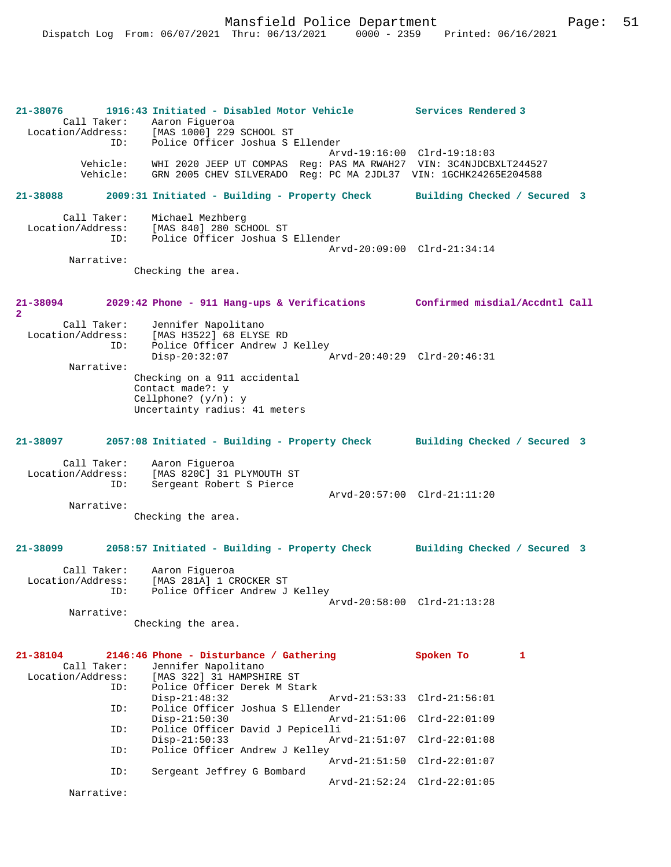| 21-38076<br>Call Taker:<br>Location/Address: | 1916:43 Initiated - Disabled Motor Vehicle<br>Aaron Figueroa<br>[MAS 1000] 229 SCHOOL ST                                              | Services Rendered 3          |
|----------------------------------------------|---------------------------------------------------------------------------------------------------------------------------------------|------------------------------|
| ID:                                          | Police Officer Joshua S Ellender                                                                                                      |                              |
| Vehicle:<br>Vehicle:                         | WHI 2020 JEEP UT COMPAS Req: PAS MA RWAH27 VIN: 3C4NJDCBXLT244527<br>GRN 2005 CHEV SILVERADO Reg: PC MA 2JDL37 VIN: 1GCHK24265E204588 | Arvd-19:16:00 Clrd-19:18:03  |
| 21-38088                                     | 2009:31 Initiated - Building - Property Check                                                                                         | Building Checked / Secured 3 |
| Call Taker:<br>Location/Address:<br>ID:      | Michael Mezhberg<br>[MAS 840] 280 SCHOOL ST<br>Police Officer Joshua S Ellender                                                       | Arvd-20:09:00 Clrd-21:34:14  |
| Narrative:                                   | Checking the area.                                                                                                                    |                              |
| 21-38094<br>$\overline{a}$                   | 2029:42 Phone - 911 Hang-ups & Verifications Confirmed misdial/Accdntl Call                                                           |                              |
| Call Taker:                                  | Jennifer Napolitano                                                                                                                   |                              |
| Location/Address:<br>ID:                     | [MAS H3522] 68 ELYSE RD<br>Police Officer Andrew J Kelley<br>$Disp-20:32:07$                                                          | Arvd-20:40:29 Clrd-20:46:31  |
| Narrative:                                   | Checking on a 911 accidental<br>Contact made?: y<br>Cellphone? $(y/n): y$<br>Uncertainty radius: 41 meters                            |                              |
| 21-38097                                     | 2057:08 Initiated - Building - Property Check Building Checked / Secured 3                                                            |                              |
| Call Taker:                                  | Aaron Fiqueroa                                                                                                                        |                              |
| Location/Address:                            | [MAS 820C] 31 PLYMOUTH ST                                                                                                             |                              |
| ID:                                          | Sergeant Robert S Pierce                                                                                                              |                              |
| Narrative:                                   |                                                                                                                                       | Arvd-20:57:00 Clrd-21:11:20  |
|                                              | Checking the area.                                                                                                                    |                              |
| 21-38099                                     | 2058:57 Initiated - Building - Property Check                                                                                         | Building Checked / Secured 3 |
| Call Taker:<br>Location/Address:             | Aaron Fiqueroa<br>[MAS 281A] 1 CROCKER ST                                                                                             |                              |
| ID:                                          | Police Officer Andrew J Kelley                                                                                                        |                              |
| Narrative:                                   |                                                                                                                                       | Arvd-20:58:00 Clrd-21:13:28  |
|                                              | Checking the area.                                                                                                                    |                              |
| 21-38104                                     | 2146:46 Phone - Disturbance / Gathering                                                                                               | Spoken To<br>1               |
| Call Taker:                                  | Jennifer Napolitano                                                                                                                   |                              |
| Location/Address:<br>ID:                     | [MAS 322] 31 HAMPSHIRE ST<br>Police Officer Derek M Stark                                                                             |                              |
| ID:                                          | $Disp-21:48:32$<br>Police Officer Joshua S Ellender                                                                                   | Arvd-21:53:33 Clrd-21:56:01  |
| ID:                                          | $Disp-21:50:30$<br>$Arvd - 21:51:06$<br>Police Officer David J Pepicelli                                                              | $Clrd-22:01:09$              |
| ID:                                          | $Disp-21:50:33$<br>Arvd-21:51:07<br>Police Officer Andrew J Kelley                                                                    | $Clrd-22:01:08$              |
|                                              | Arvd-21:51:50                                                                                                                         | $Clrd-22:01:07$              |
| ID:                                          | Sergeant Jeffrey G Bombard                                                                                                            | Arvd-21:52:24 Clrd-22:01:05  |
| Narrative:                                   |                                                                                                                                       |                              |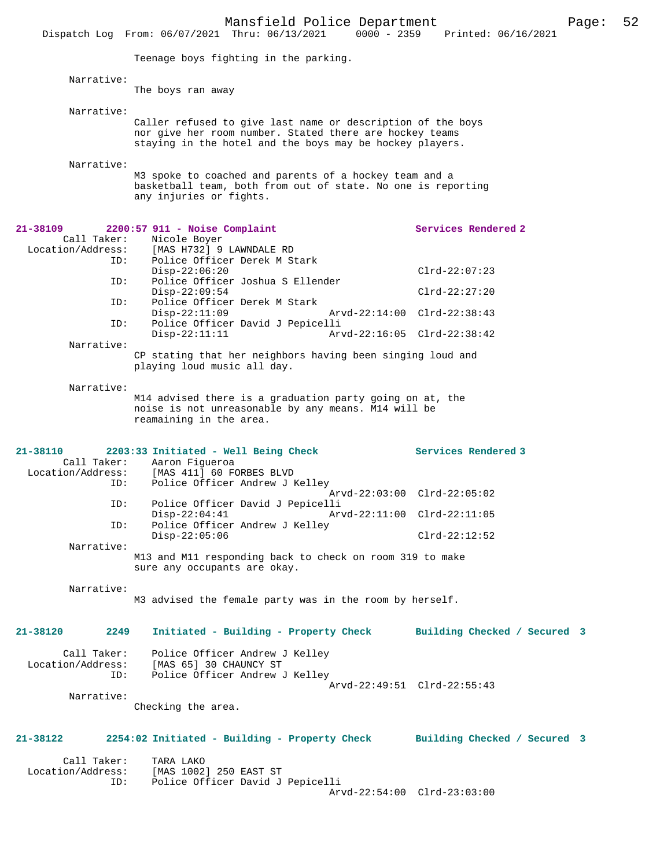|                                         | Mansfield Police Department<br>$0000 - 2359$<br>Dispatch Log From: 06/07/2021 Thru: 06/13/2021                                                                                     | Printed: 06/16/2021          | Page: | 52 |
|-----------------------------------------|------------------------------------------------------------------------------------------------------------------------------------------------------------------------------------|------------------------------|-------|----|
|                                         | Teenage boys fighting in the parking.                                                                                                                                              |                              |       |    |
|                                         |                                                                                                                                                                                    |                              |       |    |
| Narrative:                              | The boys ran away                                                                                                                                                                  |                              |       |    |
| Narrative:                              |                                                                                                                                                                                    |                              |       |    |
|                                         | Caller refused to give last name or description of the boys<br>nor give her room number. Stated there are hockey teams<br>staying in the hotel and the boys may be hockey players. |                              |       |    |
| Narrative:                              | M3 spoke to coached and parents of a hockey team and a<br>basketball team, both from out of state. No one is reporting<br>any injuries or fights.                                  |                              |       |    |
| 21-38109                                | $2200:57$ 911 - Noise Complaint                                                                                                                                                    | Services Rendered 2          |       |    |
| Call Taker:<br>Location/Address:<br>ID: | Nicole Boyer<br>[MAS H732] 9 LAWNDALE RD<br>Police Officer Derek M Stark                                                                                                           |                              |       |    |
| ID:                                     | $Disp-22:06:20$<br>Police Officer Joshua S Ellender                                                                                                                                | $Clrd-22:07:23$              |       |    |
|                                         | $Disp-22:09:54$                                                                                                                                                                    | $Clrd-22:27:20$              |       |    |
| ID:<br>ID:                              | Police Officer Derek M Stark<br>$Disp-22:11:09$<br>Police Officer David J Pepicelli                                                                                                | Arvd-22:14:00 Clrd-22:38:43  |       |    |
| Narrative:                              | $Disp-22:11:11$                                                                                                                                                                    | Arvd-22:16:05 Clrd-22:38:42  |       |    |
|                                         | CP stating that her neighbors having been singing loud and<br>playing loud music all day.                                                                                          |                              |       |    |
| Narrative:                              | M14 advised there is a graduation party going on at, the<br>noise is not unreasonable by any means. M14 will be<br>reamaining in the area.                                         |                              |       |    |
| 21-38110<br>Location/Address:<br>ID:    | 2203:33 Initiated - Well Being Check<br>Call Taker: Aaron Figueroa<br>[MAS 411] 60 FORBES BLVD<br>Police Officer Andrew J Kelley                                                   | Services Rendered 3          |       |    |
| ID:                                     | Police Officer David J Pepicelli                                                                                                                                                   | Arvd-22:03:00 Clrd-22:05:02  |       |    |
| ID:                                     | $Disp-22:04:41$<br>Arvd-22:11:00 Clrd-22:11:05<br>Police Officer Andrew J Kelley                                                                                                   |                              |       |    |
|                                         | $Disp-22:05:06$                                                                                                                                                                    | $Clrd-22:12:52$              |       |    |
| Narrative:                              | M13 and M11 responding back to check on room 319 to make<br>sure any occupants are okay.                                                                                           |                              |       |    |
| Narrative:                              | M3 advised the female party was in the room by herself.                                                                                                                            |                              |       |    |
| 21-38120<br>2249                        | Initiated - Building - Property Check                                                                                                                                              | Building Checked / Secured 3 |       |    |
| Location/Address:<br>ID:                | Call Taker: Police Officer Andrew J Kelley<br>[MAS 65] 30 CHAUNCY ST<br>Police Officer Andrew J Kelley                                                                             | Arvd-22:49:51 Clrd-22:55:43  |       |    |
| Narrative:                              | Checking the area.                                                                                                                                                                 |                              |       |    |
| 21-38122                                | 2254:02 Initiated - Building - Property Check Building Checked / Secured 3                                                                                                         |                              |       |    |
| Call Taker:<br>ID:                      | TARA LAKO<br>Location/Address: [MAS 1002] 250 EAST ST<br>Police Officer David J Pepicelli                                                                                          | Arvd-22:54:00 Clrd-23:03:00  |       |    |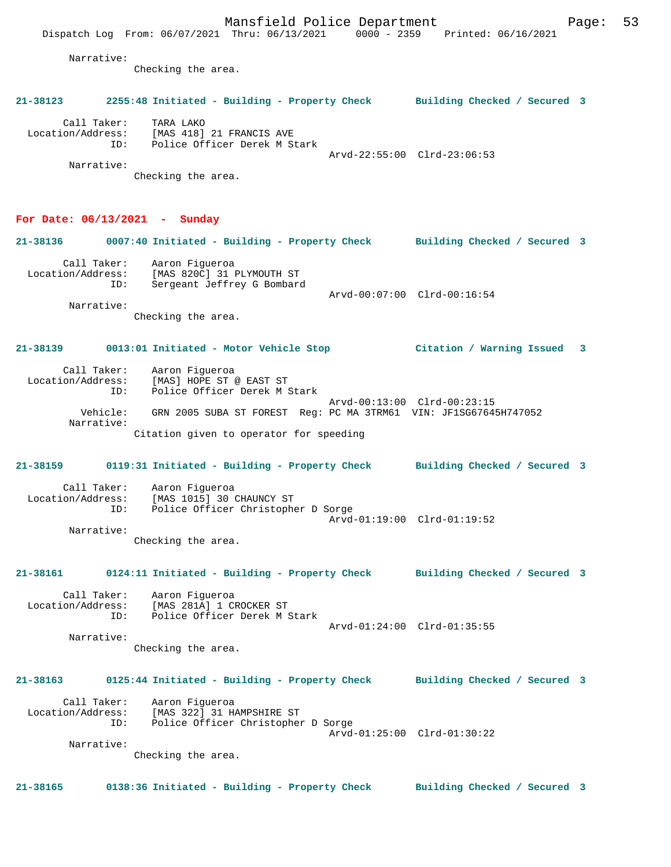Location/Address: [MAS 418] 21 FRANCIS AVE ID: Police Officer Derek M Stark Arvd-22:55:00 Clrd-23:06:53 Narrative:

Checking the area.

### **For Date: 06/13/2021 - Sunday**

| 21-38136                         |     | 0007:40 Initiated - Building - Property Check |                             | Building Checked / Secured 3 |  |
|----------------------------------|-----|-----------------------------------------------|-----------------------------|------------------------------|--|
| Call Taker:<br>Location/Address: |     | Aaron Fiqueroa<br>[MAS 820C] 31 PLYMOUTH ST   |                             |                              |  |
|                                  |     |                                               |                             |                              |  |
|                                  | ID: | Sergeant Jeffrey G Bombard                    |                             |                              |  |
|                                  |     |                                               | Arvd-00:07:00 Clrd-00:16:54 |                              |  |
| Narrative:                       |     |                                               |                             |                              |  |

Checking the area.

## **21-38139 0013:01 Initiated - Motor Vehicle Stop Citation / Warning Issued 3**

| Call Taker:       | Aaron Fiqueroa                                                   |
|-------------------|------------------------------------------------------------------|
| Location/Address: | [MAS] HOPE ST @ EAST ST                                          |
| ID:               | Police Officer Derek M Stark                                     |
| Vehicle:          | Arvd-00:13:00 Clrd-00:23:15                                      |
| Narrative:        | GRN 2005 SUBA ST FOREST Req: PC MA 3TRM61 VIN: JF1SG67645H747052 |
|                   | Citation given to operator for speeding                          |

## **21-38159 0119:31 Initiated - Building - Property Check Building Checked / Secured 3**

| Call Taker:<br>Location/Address:<br>ID: | Aaron Fiqueroa<br>[MAS 1015] 30 CHAUNCY ST<br>Police Officer Christopher D Sorge |
|-----------------------------------------|----------------------------------------------------------------------------------|
|                                         |                                                                                  |
|                                         | Arvd-01:19:00 Clrd-01:19:52                                                      |
| Narrative:                              |                                                                                  |
|                                         | Checking the area.                                                               |

**21-38161 0124:11 Initiated - Building - Property Check Building Checked / Secured 3**

 Call Taker: Aaron Figueroa Location/Address: [MAS 281A] 1 CROCKER ST ID: Police Officer Derek M Stark Arvd-01:24:00 Clrd-01:35:55

Narrative:

Checking the area.

## **21-38163 0125:44 Initiated - Building - Property Check Building Checked / Secured 3**

 Call Taker: Aaron Figueroa Location/Address: [MAS 322] 31 HAMPSHIRE ST Police Officer Christopher D Sorge Arvd-01:25:00 Clrd-01:30:22 Narrative:

Checking the area.

**21-38165 0138:36 Initiated - Building - Property Check Building Checked / Secured 3**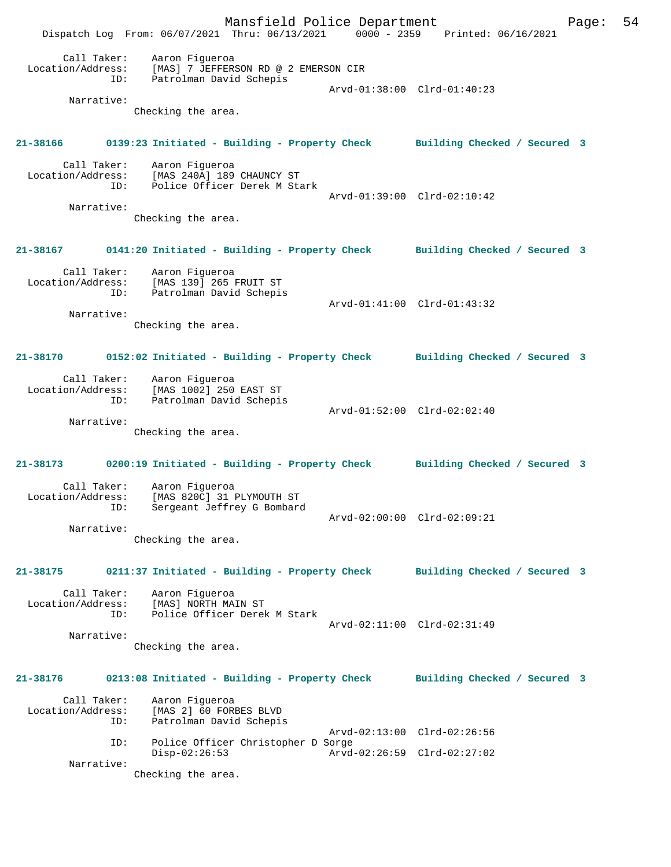Mansfield Police Department Page: 54 Dispatch Log From: 06/07/2021 Thru: 06/13/2021 0000 - 2359 Printed: 06/16/2021 Call Taker: Aaron Figueroa Location/Address: [MAS] 7 JEFFERSON RD @ 2 EMERSON CIR ID: Patrolman David Schepis Arvd-01:38:00 Clrd-01:40:23 Narrative: Checking the area. **21-38166 0139:23 Initiated - Building - Property Check Building Checked / Secured 3** Call Taker: Aaron Figueroa Location/Address: [MAS 240A] 189 CHAUNCY ST ID: Police Officer Derek M Stark Arvd-01:39:00 Clrd-02:10:42 Narrative: Checking the area. **21-38167 0141:20 Initiated - Building - Property Check Building Checked / Secured 3** Call Taker: Aaron Figueroa Location/Address: [MAS 139] 265 FRUIT ST ID: Patrolman David Schepis Arvd-01:41:00 Clrd-01:43:32 Narrative: Checking the area. **21-38170 0152:02 Initiated - Building - Property Check Building Checked / Secured 3** Call Taker: Aaron Figueroa Location/Address: [MAS 1002] 250 EAST ST ID: Patrolman David Schepis Arvd-01:52:00 Clrd-02:02:40 Narrative: Checking the area. **21-38173 0200:19 Initiated - Building - Property Check Building Checked / Secured 3** Call Taker: Aaron Figueroa<br>Location/Address: [MAS 820C] 31 I [MAS 820C] 31 PLYMOUTH ST ID: Sergeant Jeffrey G Bombard Arvd-02:00:00 Clrd-02:09:21 Narrative: Checking the area. **21-38175 0211:37 Initiated - Building - Property Check Building Checked / Secured 3** Call Taker: Aaron Figueroa Location/Address: [MAS] NORTH MAIN ST ID: Police Officer Derek M Stark Arvd-02:11:00 Clrd-02:31:49 Narrative: Checking the area. **21-38176 0213:08 Initiated - Building - Property Check Building Checked / Secured 3** Call Taker: Aaron Figueroa<br>Location/Address: [MAS 2] 60 FORI Location/Address: [MAS 2] 60 FORBES BLVD ID: Patrolman David Schepis Arvd-02:13:00 Clrd-02:26:56 ID: Police Officer Christopher D Sorge Disp-02:26:53 Arvd-02:26:59 Clrd-02:27:02 Narrative: Checking the area.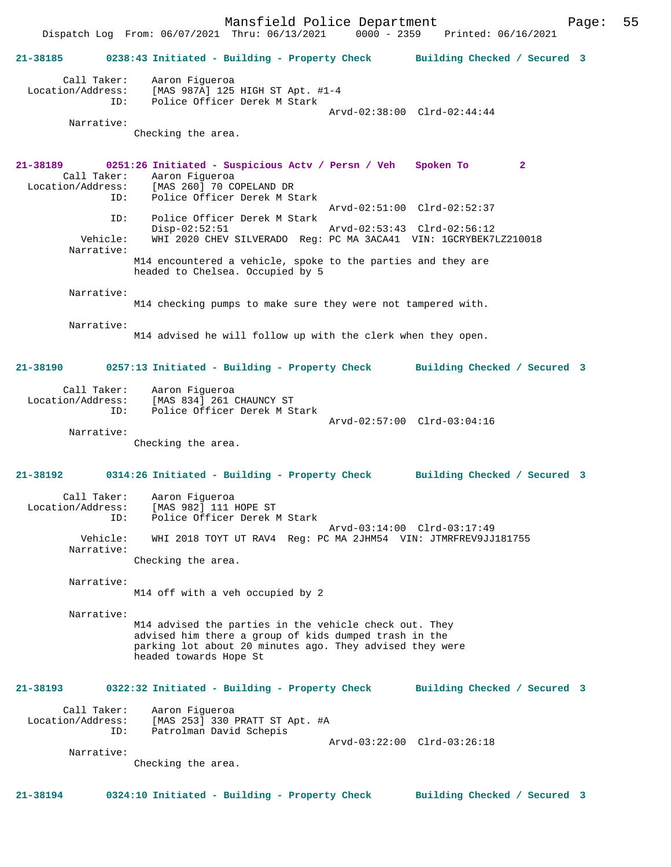Mansfield Police Department Page: 55 Dispatch Log From: 06/07/2021 Thru: 06/13/2021 **21-38185 0238:43 Initiated - Building - Property Check Building Checked / Secured 3** Call Taker: Aaron Figueroa Location/Address: [MAS 987A] 125 HIGH ST Apt. #1-4 ID: Police Officer Derek M Stark Arvd-02:38:00 Clrd-02:44:44 Narrative: Checking the area. **21-38189 0251:26 Initiated - Suspicious Actv / Persn / Veh Spoken To 2**  Call Taker: Aaron Figueroa Location/Address: [MAS 260] 70 COPELAND DR Police Officer Derek M Stark Arvd-02:51:00 Clrd-02:52:37 ID: Police Officer Derek M Stark Disp-02:52:51 Arvd-02:53:43 Clrd-02:56:12<br>Vehicle: WHI 2020 CHEV SILVERADO Reg: PC MA 3ACA41 VIN: 1GCRYBEK71 WHI 2020 CHEV SILVERADO Reg: PC MA 3ACA41 VIN: 1GCRYBEK7LZ210018 Narrative: M14 encountered a vehicle, spoke to the parties and they are headed to Chelsea. Occupied by 5 Narrative: M14 checking pumps to make sure they were not tampered with. Narrative: M14 advised he will follow up with the clerk when they open. **21-38190 0257:13 Initiated - Building - Property Check Building Checked / Secured 3** Call Taker: Aaron Figueroa Location/Address: [MAS 834] 261 CHAUNCY ST Police Officer Derek M Stark Arvd-02:57:00 Clrd-03:04:16 Narrative: Checking the area. **21-38192 0314:26 Initiated - Building - Property Check Building Checked / Secured 3** Call Taker: Aaron Figueroa Location/Address: [MAS 982] 111 HOPE ST ID: Police Officer Derek M Stark Arvd-03:14:00 Clrd-03:17:49 Vehicle: WHI 2018 TOYT UT RAV4 Reg: PC MA 2JHM54 VIN: JTMRFREV9JJ181755 Narrative: Checking the area. Narrative: M14 off with a veh occupied by 2 Narrative: M14 advised the parties in the vehicle check out. They advised him there a group of kids dumped trash in the parking lot about 20 minutes ago. They advised they were headed towards Hope St **21-38193 0322:32 Initiated - Building - Property Check Building Checked / Secured 3** Call Taker: Aaron Figueroa<br>Location/Address: [MAS 253] 330 : ess: [MAS 253] 330 PRATT ST Apt. #A<br>ID: Patrolman David Schepis Patrolman David Schepis Arvd-03:22:00 Clrd-03:26:18 Narrative: Checking the area. **21-38194 0324:10 Initiated - Building - Property Check Building Checked / Secured 3**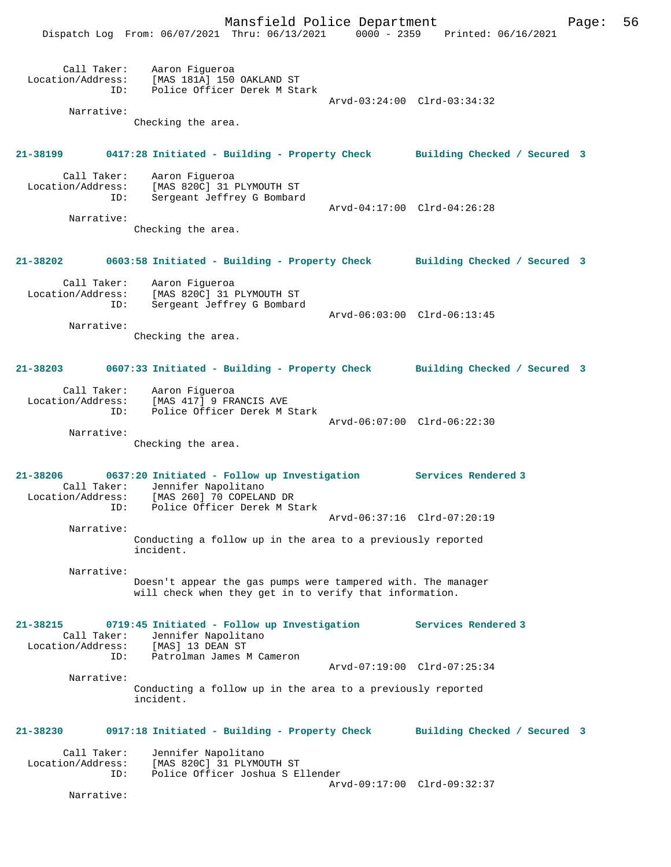|                                                  | Mansfield Police Department<br>Dispatch Log From: 06/07/2021 Thru: 06/13/2021                                           | 0000 - 2359 Printed: 06/16/2021 | Page: | 56 |
|--------------------------------------------------|-------------------------------------------------------------------------------------------------------------------------|---------------------------------|-------|----|
| Location/Address:<br>ID:<br>Narrative:           | Call Taker: Aaron Figueroa<br>[MAS 181A] 150 OAKLAND ST<br>Police Officer Derek M Stark                                 | Arvd-03:24:00 Clrd-03:34:32     |       |    |
|                                                  | Checking the area.                                                                                                      |                                 |       |    |
| 21-38199                                         | 0417:28 Initiated - Building - Property Check Building Checked / Secured 3                                              |                                 |       |    |
| Call Taker:<br>ID:                               | Aaron Figueroa<br>Location/Address: [MAS 820C] 31 PLYMOUTH ST<br>Sergeant Jeffrey G Bombard                             | Arvd-04:17:00 Clrd-04:26:28     |       |    |
| Narrative:                                       | Checking the area.                                                                                                      |                                 |       |    |
|                                                  | 21-38202 0603:58 Initiated - Building - Property Check Building Checked / Secured 3                                     |                                 |       |    |
| ID:                                              | Call Taker: Aaron Figueroa<br>Location/Address: [MAS 820C] 31 PLYMOUTH ST<br>Sergeant Jeffrey G Bombard                 |                                 |       |    |
| Narrative:                                       |                                                                                                                         | Arvd-06:03:00 Clrd-06:13:45     |       |    |
|                                                  | Checking the area.                                                                                                      |                                 |       |    |
| 21-38203                                         | 0607:33 Initiated - Building - Property Check Building Checked / Secured 3                                              |                                 |       |    |
| ID:                                              | Call Taker: Aaron Figueroa<br>Location/Address: [MAS 417] 9 FRANCIS AVE<br>Police Officer Derek M Stark                 |                                 |       |    |
| Narrative:                                       |                                                                                                                         | Arvd-06:07:00 Clrd-06:22:30     |       |    |
|                                                  | Checking the area.                                                                                                      |                                 |       |    |
| $21 - 38206$<br>Call Taker:<br>Location/Address: | 0637:20 Initiated - Follow up Investigation Services Rendered 3<br>Jennifer Napolitano<br>[MAS 260] 70 COPELAND DR      |                                 |       |    |
| ID:                                              | Police Officer Derek M Stark                                                                                            | Arvd-06:37:16 Clrd-07:20:19     |       |    |
| Narrative:                                       | Conducting a follow up in the area to a previously reported<br>incident.                                                |                                 |       |    |
| Narrative:                                       |                                                                                                                         |                                 |       |    |
|                                                  | Doesn't appear the gas pumps were tampered with. The manager<br>will check when they get in to verify that information. |                                 |       |    |
| $21 - 38215$<br>Call Taker:<br>Location/Address: | 0719:45 Initiated - Follow up Investigation<br>Jennifer Napolitano<br>[MAS] 13 DEAN ST                                  | Services Rendered 3             |       |    |
| ID:                                              | Patrolman James M Cameron                                                                                               | Arvd-07:19:00 Clrd-07:25:34     |       |    |
| Narrative:                                       |                                                                                                                         |                                 |       |    |
|                                                  | Conducting a follow up in the area to a previously reported<br>incident.                                                |                                 |       |    |
| 21-38230                                         | 0917:18 Initiated - Building - Property Check                                                                           | Building Checked / Secured 3    |       |    |
| Call Taker:<br>Location/Address:<br>ID:          | Jennifer Napolitano<br>[MAS 820C] 31 PLYMOUTH ST<br>Police Officer Joshua S Ellender                                    |                                 |       |    |
| Narrative:                                       |                                                                                                                         | Arvd-09:17:00 Clrd-09:32:37     |       |    |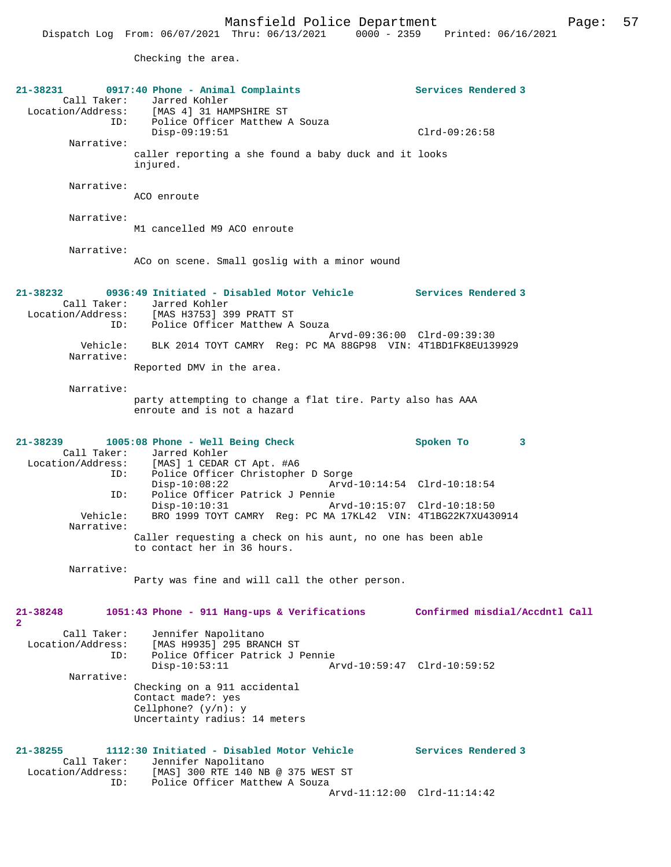Checking the area.

| 21-38231          | 0917:40 Phone - Animal Complaints                                       | Services Rendered 3            |
|-------------------|-------------------------------------------------------------------------|--------------------------------|
|                   | Call Taker: Jarred Kohler                                               |                                |
| Location/Address: | [MAS 4] 31 HAMPSHIRE ST                                                 |                                |
|                   | ID: Police Officer Matthew A Souza                                      |                                |
|                   | $Disp-09:19:51$                                                         | $Clrd-09:26:58$                |
| Narrative:        |                                                                         |                                |
|                   | caller reporting a she found a baby duck and it looks                   |                                |
|                   | injured.                                                                |                                |
| Narrative:        |                                                                         |                                |
|                   | ACO enroute                                                             |                                |
|                   |                                                                         |                                |
| Narrative:        |                                                                         |                                |
|                   | M1 cancelled M9 ACO enroute                                             |                                |
|                   |                                                                         |                                |
| Narrative:        |                                                                         |                                |
|                   | ACo on scene. Small goslig with a minor wound                           |                                |
|                   |                                                                         |                                |
| 21-38232          | 0936:49 Initiated - Disabled Motor Vehicle Services Rendered 3          |                                |
|                   |                                                                         |                                |
|                   | Call Taker: Jarred Kohler<br>Location/Address: [MAS H3753] 399 PRATT ST |                                |
|                   | ID: Police Officer Matthew A Souza                                      |                                |
|                   | Arvd-09:36:00 Clrd-09:39:30                                             |                                |
| Vehicle:          | BLK 2014 TOYT CAMRY Req: PC MA 88GP98 VIN: 4T1BD1FK8EU139929            |                                |
| Narrative:        |                                                                         |                                |
|                   | Reported DMV in the area.                                               |                                |
|                   |                                                                         |                                |
| Narrative:        |                                                                         |                                |
|                   | party attempting to change a flat tire. Party also has AAA              |                                |
|                   | enroute and is not a hazard                                             |                                |
|                   |                                                                         |                                |
| $21 - 38239$      |                                                                         | Spoken To<br>3                 |
|                   | $1005:08$ Phone - Well Being Check<br>Call Taker: Jarred Kohler         |                                |
|                   | Location/Address: [MAS] 1 CEDAR CT Apt. #A6                             |                                |
| ID:               | Police Officer Christopher D Sorge                                      |                                |
|                   | $Disp-10:08:22$<br>Arvd-10:14:54 Clrd-10:18:54                          |                                |
| ID:               | Police Officer Patrick J Pennie                                         |                                |
|                   | $Disp-10:10:31$                                                         |                                |
| Vehicle:          | BRO 1999 TOYT CAMRY Reg: PC MA 17KL42 VIN: 4T1BG22K7XU430914            |                                |
| Narrative:        |                                                                         |                                |
|                   | Caller requesting a check on his aunt, no one has been able             |                                |
|                   | to contact her in 36 hours.                                             |                                |
|                   |                                                                         |                                |
| Narrative:        | Party was fine and will call the other person.                          |                                |
|                   |                                                                         |                                |
|                   |                                                                         |                                |
| $21 - 38248$      | 1051:43 Phone - 911 Hang-ups & Verifications                            | Confirmed misdial/Accdntl Call |
| $\mathbf{2}^-$    |                                                                         |                                |
| Call Taker:       | Jennifer Napolitano                                                     |                                |
| Location/Address: | [MAS H9935] 295 BRANCH ST                                               |                                |
| ID:               | Police Officer Patrick J Pennie                                         |                                |
|                   | Arvd-10:59:47 Clrd-10:59:52<br>$Disp-10:53:11$                          |                                |
| Narrative:        |                                                                         |                                |
|                   | Checking on a 911 accidental                                            |                                |
|                   | Contact made?: yes                                                      |                                |
|                   | Cellphone? $(y/n): y$                                                   |                                |
|                   | Uncertainty radius: 14 meters                                           |                                |
|                   |                                                                         |                                |
| $21 - 38255$      | 1112:30 Initiated - Disabled Motor Vehicle                              | Services Rendered 3            |
| Call Taker:       | Jennifer Napolitano                                                     |                                |
| Location/Address: | [MAS] 300 RTE 140 NB @ 375 WEST ST                                      |                                |
| ID:               | Police Officer Matthew A Souza                                          |                                |
|                   | Arvd-11:12:00 Clrd-11:14:42                                             |                                |
|                   |                                                                         |                                |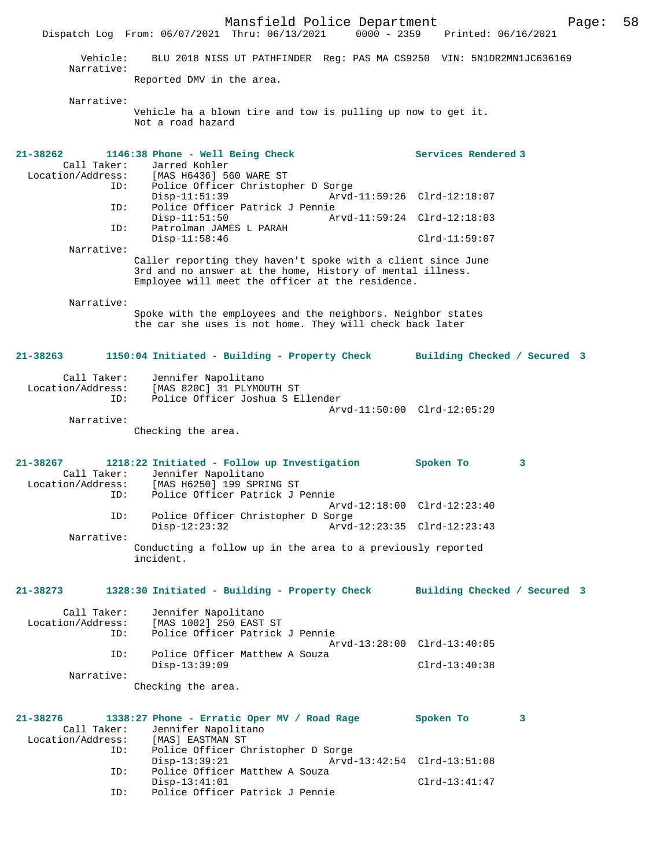Mansfield Police Department Page: 58 Dispatch Log From: 06/07/2021 Thru: 06/13/2021 Vehicle: BLU 2018 NISS UT PATHFINDER Reg: PAS MA CS9250 VIN: 5N1DR2MN1JC636169 Narrative: Reported DMV in the area. Narrative: Vehicle ha a blown tire and tow is pulling up now to get it. Not a road hazard **21-38262 1146:38 Phone - Well Being Check Services Rendered 3**  Call Taker: Jarred Kohler<br>Location/Address: [MAS H6436] 5 [MAS H6436] 560 WARE ST ID: Police Officer Christopher D Sorge Disp-11:51:39 Arvd-11:59:26 Clrd-12:18:07 ID: Police Officer Patrick J Pennie Disp-11:51:50 Arvd-11:59:24 Clrd-12:18:03 ID: Patrolman JAMES L PARAH Disp-11:58:46 Clrd-11:59:07 Narrative: Caller reporting they haven't spoke with a client since June 3rd and no answer at the home, History of mental illness. Employee will meet the officer at the residence. Narrative: Spoke with the employees and the neighbors. Neighbor states the car she uses is not home. They will check back later **21-38263 1150:04 Initiated - Building - Property Check Building Checked / Secured 3** Call Taker: Jennifer Napolitano Location/Address: [MAS 820C] 31 PLYMOUTH ST Police Officer Joshua S Ellender Arvd-11:50:00 Clrd-12:05:29 Narrative: Checking the area. **21-38267 1218:22 Initiated - Follow up Investigation Spoken To 3**  Call Taker: Jennifer Napolitano<br>Location/Address: [MAS H6250] 199 SPRI [MAS H6250] 199 SPRING ST ID: Police Officer Patrick J Pennie Arvd-12:18:00 Clrd-12:23:40 ID: Police Officer Christopher D Sorge Disp-12:23:32 Arvd-12:23:35 Clrd-12:23:43 Narrative: Conducting a follow up in the area to a previously reported incident. **21-38273 1328:30 Initiated - Building - Property Check Building Checked / Secured 3** Call Taker: Jennifer Napolitano<br>.on/Address: [MAS 1002] 250 EAST ST Location/Address: ID: Police Officer Patrick J Pennie  $Arvd-13:28:00$  Clrd-13:40:05<br>TD: Police Officer Matthew A Souza Police Officer Matthew A Souza<br>Disp-13:39:09 Disp-13:39:09 Clrd-13:40:38 Narrative: Checking the area. **21-38276 1338:27 Phone - Erratic Oper MV / Road Rage Spoken To 3**  Call Taker: Jennifer Napolitano<br>ion/Address: [MAS] EASTMAN ST Location/Address:<br>TD: Police Officer Christopher D Sorge<br>Disp-13:39:21 Arvd- Disp-13:39:21 Arvd-13:42:54 Clrd-13:51:08 ID: Police Officer Matthew A Souza Disp-13:41:01 Clrd-13:41:47<br>ID: Police Officer Patrick J Pennie Police Officer Patrick J Pennie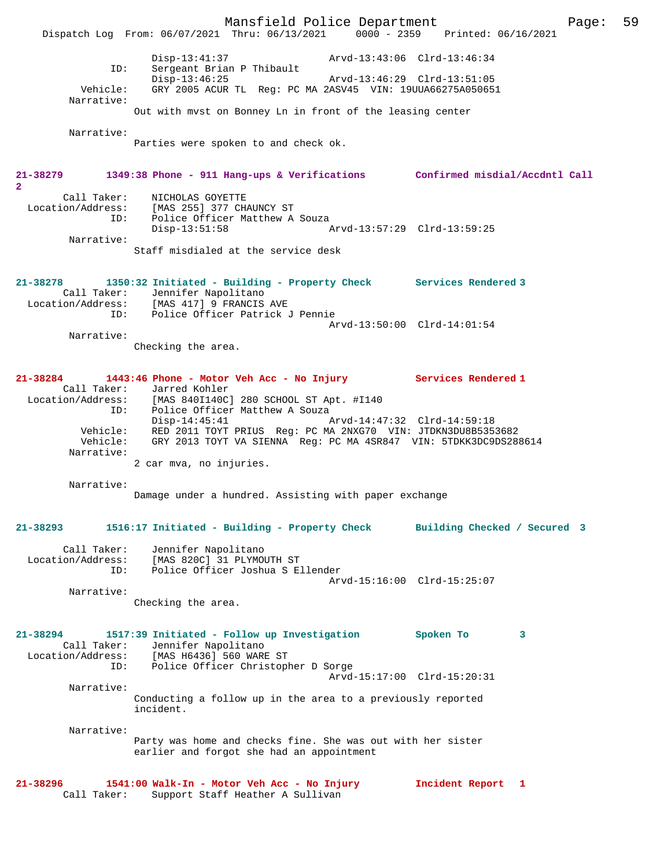Mansfield Police Department Fage: 59 Dispatch Log From: 06/07/2021 Thru: 06/13/2021 0000 - 2359 Printed: 06/16/2021 Disp-13:41:37 Arvd-13:43:06 Clrd-13:46:34 ID: Sergeant Brian P Thibault Disp-13:46:25 Arvd-13:46:29 Clrd-13:51:05 Vehicle: GRY 2005 ACUR TL Reg: PC MA 2ASV45 VIN: 19UUA66275A050651 Narrative: Out with mvst on Bonney Ln in front of the leasing center Narrative: Parties were spoken to and check ok. **21-38279 1349:38 Phone - 911 Hang-ups & Verifications Confirmed misdial/Accdntl Call 2**  Call Taker: NICHOLAS GOYETTE Location/Address: [MAS 255] 377 CHAUNCY ST ID: Police Officer Matthew A Souza Disp-13:51:58 Arvd-13:57:29 Clrd-13:59:25 Narrative: Staff misdialed at the service desk **21-38278 1350:32 Initiated - Building - Property Check Services Rendered 3**  Call Taker: Jennifer Napolitano Location/Address: [MAS 417] 9 FRANCIS AVE ID: Police Officer Patrick J Pennie Arvd-13:50:00 Clrd-14:01:54 Narrative: Checking the area. **21-38284 1443:46 Phone - Motor Veh Acc - No Injury Services Rendered 1**  Call Taker: Jarred Kohler<br>Location/Address: [MAS 840I140C] [MAS 840I140C] 280 SCHOOL ST Apt. #I140 ID: Police Officer Matthew A Souza Disp-14:45:41 Arvd-14:47:32 Clrd-14:59:18 Vehicle: RED 2011 TOYT PRIUS Reg: PC MA 2NXG70 VIN: JTDKN3DU8B5353682 Vehicle: GRY 2013 TOYT VA SIENNA Reg: PC MA 4SR847 VIN: 5TDKK3DC9DS288614 Narrative: 2 car mva, no injuries. Narrative: Damage under a hundred. Assisting with paper exchange **21-38293 1516:17 Initiated - Building - Property Check Building Checked / Secured 3** Call Taker: Jennifer Napolitano Location/Address: [MAS 820C] 31 PLYMOUTH ST ID: Police Officer Joshua S Ellender Arvd-15:16:00 Clrd-15:25:07 Narrative: Checking the area. **21-38294 1517:39 Initiated - Follow up Investigation Spoken To 3**  Call Taker: Jennifer Napolitano Location/Address: [MAS H6436] 560 WARE ST ID: Police Officer Christopher D Sorge Arvd-15:17:00 Clrd-15:20:31 Narrative: Conducting a follow up in the area to a previously reported incident. Narrative: Party was home and checks fine. She was out with her sister earlier and forgot she had an appointment **21-38296 1541:00 Walk-In - Motor Veh Acc - No Injury Incident Report 1**  Call Taker: Support Staff Heather A Sullivan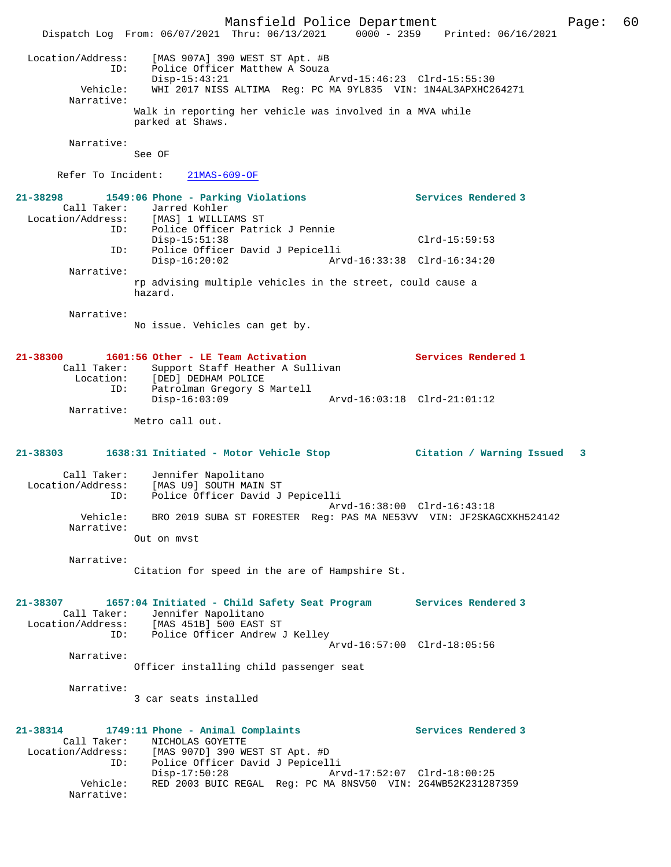Mansfield Police Department Page: 60 Dispatch Log From: 06/07/2021 Thru: 06/13/2021 0000 - 2359 Printed: 06/16/2021 Location/Address: [MAS 907A] 390 WEST ST Apt. #B ID: Police Officer Matthew A Souza Disp-15:43:21 Arvd-15:46:23 Clrd-15:55:30 Vehicle: WHI 2017 NISS ALTIMA Reg: PC MA 9YL835 VIN: 1N4AL3APXHC264271 Narrative: Walk in reporting her vehicle was involved in a MVA while parked at Shaws. Narrative: See OF Refer To Incident: 21MAS-609-OF **21-38298 1549:06 Phone - Parking Violations Services Rendered 3**  Call Taker: Jarred Kohler Location/Address: [MAS] 1 WILLIAMS ST ID: Police Officer Patrick J Pennie Disp-15:51:38 Clrd-15:59:53 ID: Police Officer David J Pepicelli Disp-16:20:02 Arvd-16:33:38 Clrd-16:34:20 Narrative: rp advising multiple vehicles in the street, could cause a hazard. Narrative: No issue. Vehicles can get by. **21-38300 1601:56 Other - LE Team Activation Services Rendered 1**  Call Taker: Support Staff Heather A Sullivan Location: [DED] DEDHAM POLICE ID: Patrolman Gregory S Martell Disp-16:03:09 Arvd-16:03:18 Clrd-21:01:12 Narrative: Metro call out. **21-38303 1638:31 Initiated - Motor Vehicle Stop Citation / Warning Issued 3** Call Taker: Jennifer Napolitano Location/Address: [MAS U9] SOUTH MAIN ST ID: Police Officer David J Pepicelli Arvd-16:38:00 Clrd-16:43:18 Vehicle: BRO 2019 SUBA ST FORESTER Reg: PAS MA NE53VV VIN: JF2SKAGCXKH524142 Narrative: Out on mvst Narrative: Citation for speed in the are of Hampshire St. **21-38307 1657:04 Initiated - Child Safety Seat Program Services Rendered 3**  Call Taker: Jennifer Napolitano<br>Location/Address: [MAS 451B] 500 EAST ess: [MAS 451B] 500 EAST ST<br>ID: Police Officer Andrew Police Officer Andrew J Kelley Arvd-16:57:00 Clrd-18:05:56 Narrative: Officer installing child passenger seat Narrative: 3 car seats installed **21-38314 1749:11 Phone - Animal Complaints Services Rendered 3**  Call Taker: NICHOLAS GOYETTE<br>Location/Address: [MAS 907D] 390 WI ess: [MAS 907D] 390 WEST ST Apt. #D<br>ID: Police Officer David J Pepicell Police Officer David J Pepicelli<br>Disp-17:50:28 Ar Disp-17:50:28 Arvd-17:52:07 Clrd-18:00:25 Vehicle: RED 2003 BUIC REGAL Reg: PC MA 8NSV50 VIN: 2G4WB52K231287359 Narrative: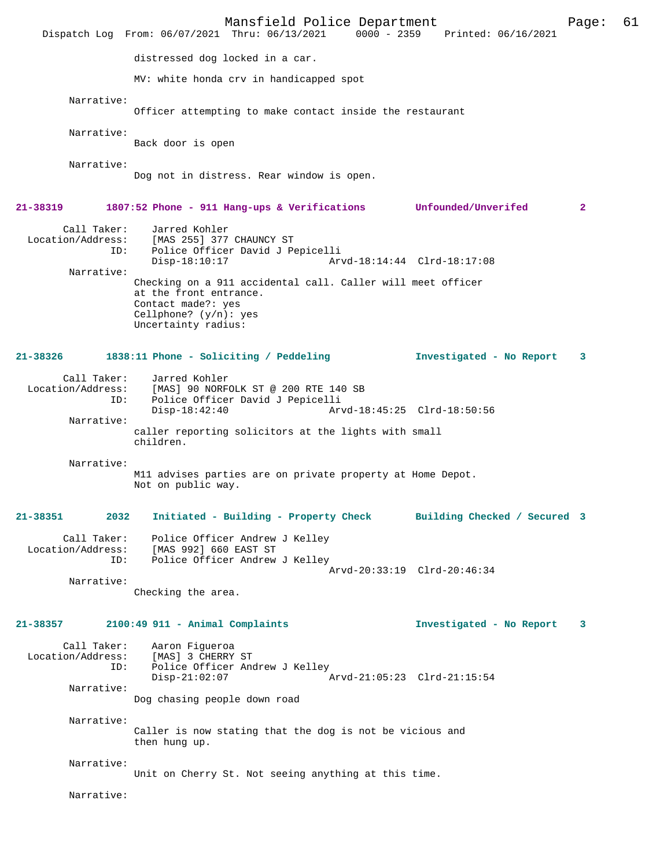Mansfield Police Department Page: 61 Dispatch Log From: 06/07/2021 Thru: 06/13/2021 distressed dog locked in a car. MV: white honda crv in handicapped spot Narrative: Officer attempting to make contact inside the restaurant Narrative: Back door is open Narrative: Dog not in distress. Rear window is open. **21-38319 1807:52 Phone - 911 Hang-ups & Verifications Unfounded/Unverifed 2** Call Taker: Jarred Kohler<br>Location/Address: [MAS 255] 377 ess: [MAS 255] 377 CHAUNCY ST<br>ID: Police Officer David J Pe ID: Police Officer David J Pepicelli Disp-18:10:17 Arvd-18:14:44 Clrd-18:17:08 Narrative: Checking on a 911 accidental call. Caller will meet officer at the front entrance. Contact made?: yes Cellphone? (y/n): yes Uncertainty radius: **21-38326 1838:11 Phone - Soliciting / Peddeling Investigated - No Report 3** Call Taker: Jarred Kohler<br>Location/Address: [MAS] 90 NORF ess: [MAS] 90 NORFOLK ST @ 200 RTE 140 SB<br>ID: Police Officer David J Pepicelli Police Officer David J Pepicelli Disp-18:42:40 Arvd-18:45:25 Clrd-18:50:56 Narrative: caller reporting solicitors at the lights with small children. Narrative: M11 advises parties are on private property at Home Depot. Not on public way. **21-38351 2032 Initiated - Building - Property Check Building Checked / Secured 3** Call Taker: Police Officer Andrew J Kelley<br>Location/Address: [MAS 992] 660 EAST ST ess: [MAS 992] 660 EAST ST<br>TD: Police Officer Andrew Police Officer Andrew J Kelley Arvd-20:33:19 Clrd-20:46:34 Narrative: Checking the area. **21-38357 2100:49 911 - Animal Complaints Investigated - No Report 3** Call Taker: Aaron Figueroa Location/Address: [MAS] 3 CHERRY ST<br>ID: Police Officer And Police Officer Andrew J Kelley Disp-21:02:07 Arvd-21:05:23 Clrd-21:15:54 Narrative: Dog chasing people down road Narrative: Caller is now stating that the dog is not be vicious and then hung up. Narrative: Unit on Cherry St. Not seeing anything at this time. Narrative: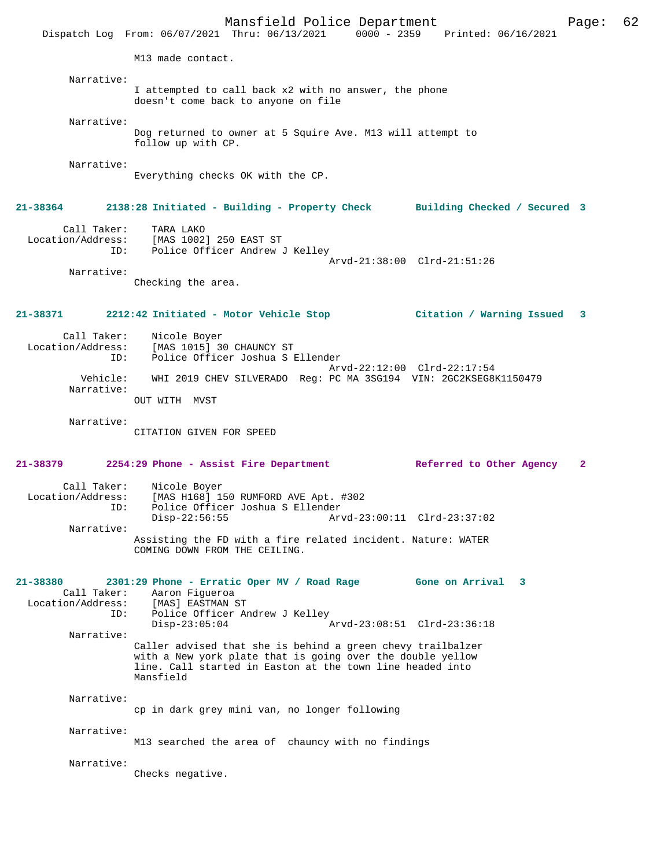Mansfield Police Department Page: 62 Dispatch Log From: 06/07/2021 Thru: 06/13/2021 0000 - 2359 Printed: 06/16/2021 M13 made contact. Narrative: I attempted to call back x2 with no answer, the phone doesn't come back to anyone on file Narrative: Dog returned to owner at 5 Squire Ave. M13 will attempt to follow up with CP. Narrative: Everything checks OK with the CP. **21-38364 2138:28 Initiated - Building - Property Check Building Checked / Secured 3** Call Taker: TARA LAKO Location/Address: [MAS 1002] 250 EAST ST ID: Police Officer Andrew J Kelley Arvd-21:38:00 Clrd-21:51:26 Narrative: Checking the area. **21-38371 2212:42 Initiated - Motor Vehicle Stop Citation / Warning Issued 3** Call Taker: Nicole Boyer Location/Address: [MAS 1015] 30 CHAUNCY ST ID: Police Officer Joshua S Ellender Arvd-22:12:00 Clrd-22:17:54 Vehicle: WHI 2019 CHEV SILVERADO Reg: PC MA 3SG194 VIN: 2GC2KSEG8K1150479 Narrative: OUT WITH MVST Narrative: CITATION GIVEN FOR SPEED **21-38379 2254:29 Phone - Assist Fire Department Referred to Other Agency 2** Call Taker: Nicole Boyer<br>Location/Address: [MAS H168] 19 ess: [MAS H168] 150 RUMFORD AVE Apt. #302<br>ID: Police Officer Joshua S Ellender IS: ISSN 1988-1999<br>Disp-22:56:55<br>Disp-22:56:55 Disp-22:56:55 Arvd-23:00:11 Clrd-23:37:02 Narrative: Assisting the FD with a fire related incident. Nature: WATER COMING DOWN FROM THE CEILING. **21-38380 2301:29 Phone - Erratic Oper MV / Road Rage Gone on Arrival 3**  Call Taker: Aaron Figueroa Location/Address: ID: Police Officer Andrew J Kelley<br>Disp-23:05:04 Disp-23:05:04 Arvd-23:08:51 Clrd-23:36:18 Narrative: Caller advised that she is behind a green chevy trailbalzer with a New york plate that is going over the double yellow line. Call started in Easton at the town line headed into Mansfield Narrative: cp in dark grey mini van, no longer following Narrative: M13 searched the area of chauncy with no findings Narrative: Checks negative.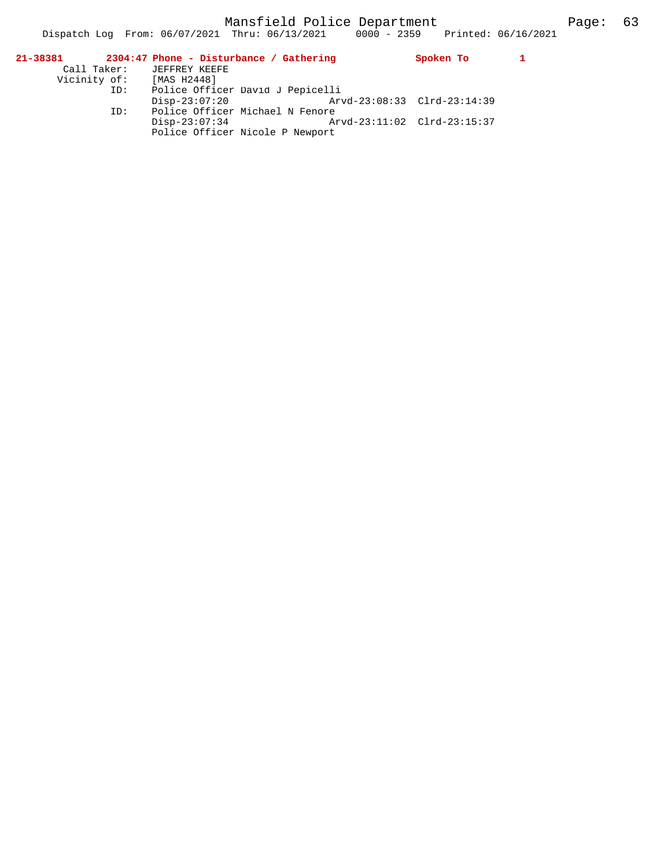| 21-38381                 | 2304:47 Phone - Disturbance / Gathering                                           | Spoken To |  |
|--------------------------|-----------------------------------------------------------------------------------|-----------|--|
| Call Taker:              | JEFFREY KEEFE                                                                     |           |  |
| Vicinity of: [MAS H2448] |                                                                                   |           |  |
| ID:                      | Police Officer David J Pepicelli                                                  |           |  |
|                          | Arvd-23:08:33 Clrd-23:14:39<br>$Disp-23:07:20$                                    |           |  |
| ID:                      | Police Officer Michael N Fenore                                                   |           |  |
|                          | Arvd-23:11:02 Clrd-23:15:37<br>$Disp-23:07:34$<br>Police Officer Nicole P Newport |           |  |

Dispatch Log From: 06/07/2021 Thru: 06/13/2021 0000 - 2359 Printed: 06/16/2021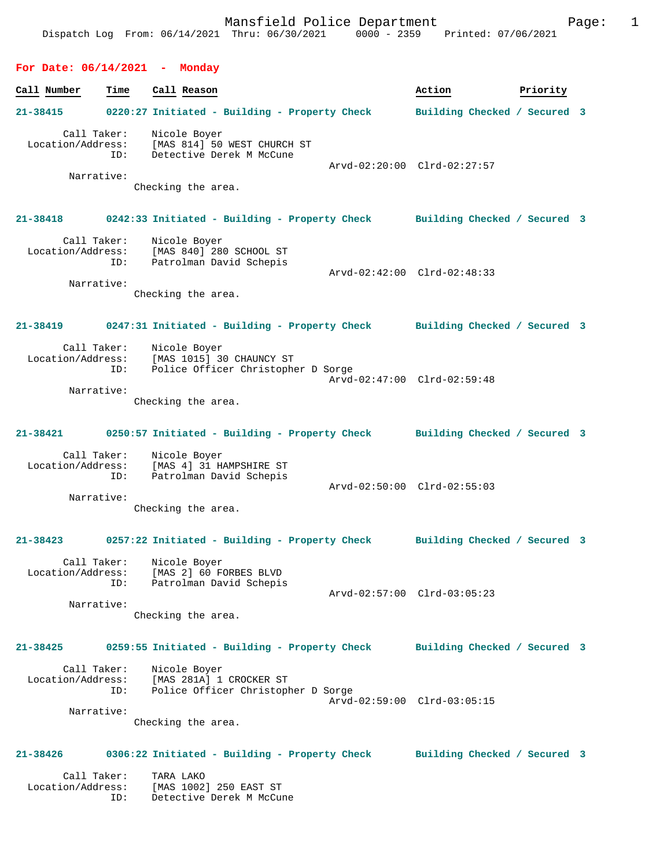## **For Date: 06/14/2021 - Monday**

| Call Number                                    | Time                             | Call Reason                                                                                                                               | Action                       | Priority |  |
|------------------------------------------------|----------------------------------|-------------------------------------------------------------------------------------------------------------------------------------------|------------------------------|----------|--|
| 21-38415                                       |                                  | 0220:27 Initiated - Building - Property Check                                                                                             | Building Checked / Secured 3 |          |  |
|                                                | Call Taker:<br>ID:<br>Narrative: | Nicole Boyer<br>Location/Address: [MAS 814] 50 WEST CHURCH ST<br>Detective Derek M McCune<br>Checking the area.                           | Arvd-02:20:00 Clrd-02:27:57  |          |  |
| $21 - 38418$                                   |                                  | 0242:33 Initiated - Building - Property Check Building Checked / Secured 3                                                                |                              |          |  |
| Call Taker:                                    | Narrative:                       | Nicole Boyer<br>Location/Address: [MAS 840] 280 SCHOOL ST<br>ID: Patrolman David Schepis<br>Patrolman David Schepis<br>Checking the area. | Arvd-02:42:00 Clrd-02:48:33  |          |  |
| $21 - 38419$                                   |                                  | 0247:31 Initiated - Building - Property Check Building Checked / Secured 3                                                                |                              |          |  |
| Location/Address:<br>Narrative:                | Call Taker:<br>ID:               | Nicole Boyer<br>[MAS 1015] 30 CHAUNCY ST<br>Police Officer Christopher D Sorge                                                            | Arvd-02:47:00 Clrd-02:59:48  |          |  |
|                                                |                                  | Checking the area.                                                                                                                        |                              |          |  |
| 21-38421                                       |                                  | 0250:57 Initiated - Building - Property Check                                                                                             | Building Checked / Secured 3 |          |  |
| Call Taker:<br>Location/Address:<br>Narrative: | ID:                              | Nicole Boyer<br>[MAS 4] 31 HAMPSHIRE ST<br>Patrolman David Schepis<br>Checking the area.                                                  | Arvd-02:50:00 Clrd-02:55:03  |          |  |
|                                                |                                  | 21-38423 0257:22 Initiated - Building - Property Check                                                                                    | Building Checked / Secured 3 |          |  |
| Call Taker:                                    | ID:<br>Narrative:                | Nicole Boyer<br>Location/Address: [MAS 2] 60 FORBES BLVD<br>Patrolman David Schepis<br>Checking the area.                                 | Arvd-02:57:00 Clrd-03:05:23  |          |  |
| 21-38425                                       |                                  | 0259:55 Initiated - Building - Property Check                                                                                             | Building Checked / Secured 3 |          |  |
| Location/Address:                              | Call Taker:<br>ID:<br>Narrative: | Nicole Boyer<br>[MAS 281A] 1 CROCKER ST<br>Police Officer Christopher D Sorge                                                             | Arvd-02:59:00 Clrd-03:05:15  |          |  |
|                                                |                                  | Checking the area.                                                                                                                        |                              |          |  |
| 21-38426                                       |                                  | 0306:22 Initiated - Building - Property Check                                                                                             | Building Checked / Secured 3 |          |  |
| Call Taker:<br>Location/Address:               |                                  | TARA LAKO<br>[MAS 1002] 250 EAST ST                                                                                                       |                              |          |  |

ID: Detective Derek M McCune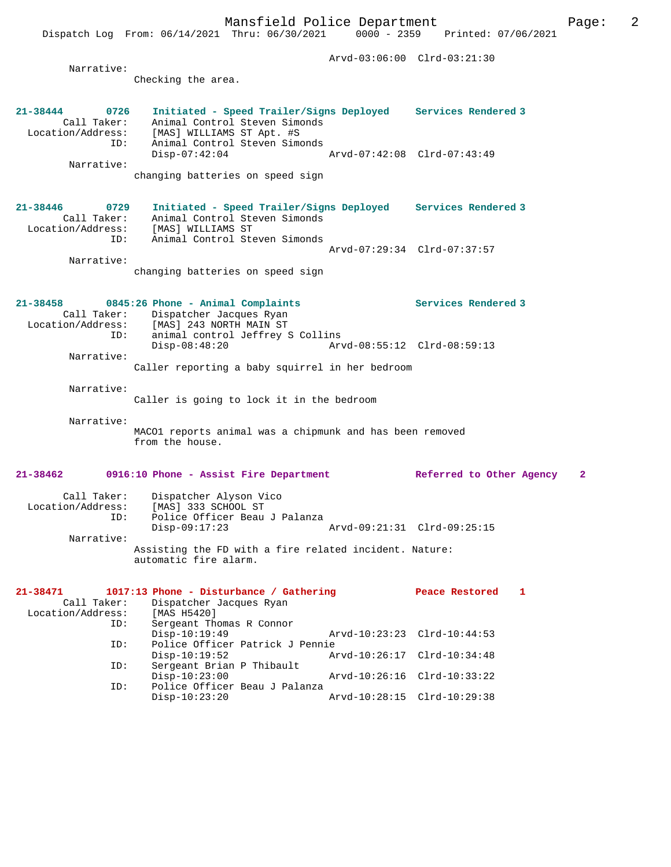Mansfield Police Department Page: 2 Dispatch Log From: 06/14/2021 Thru: 06/30/2021 Arvd-03:06:00 Clrd-03:21:30 Narrative: Checking the area. **21-38444 0726 Initiated - Speed Trailer/Signs Deployed Services Rendered 3**  Call Taker: Animal Control Steven Simonds Location/Address: [MAS] WILLIAMS ST Apt. #S ID: Animal Control Steven Simonds Disp-07:42:04 Arvd-07:42:08 Clrd-07:43:49 Narrative: changing batteries on speed sign **21-38446 0729 Initiated - Speed Trailer/Signs Deployed Services Rendered 3**  Call Taker: Animal Control Steven Simonds Location/Address: [MAS] WILLIAMS ST ID: Animal Control Steven Simonds Arvd-07:29:34 Clrd-07:37:57 Narrative: changing batteries on speed sign **21-38458 0845:26 Phone - Animal Complaints Services Rendered 3**  Call Taker: Dispatcher Jacques Ryan Location/Address: [MAS] 243 NORTH MAIN ST ID: animal control Jeffrey S Collins Disp-08:48:20 Arvd-08:55:12 Clrd-08:59:13 Narrative: Caller reporting a baby squirrel in her bedroom Narrative: Caller is going to lock it in the bedroom Narrative: MACO1 reports animal was a chipmunk and has been removed from the house. **21-38462 0916:10 Phone - Assist Fire Department Referred to Other Agency 2** Call Taker: Dispatcher Alyson Vico Location/Address: [MAS] 333 SCHOOL ST ID: Police Officer Beau J Palanza Arvd-09:21:31 Clrd-09:25:15 Narrative:

|                   | 21-38471 1017:13 Phone - Disturbance / Gathering |                             | Peace Restored              |  |
|-------------------|--------------------------------------------------|-----------------------------|-----------------------------|--|
| Call Taker:       | Dispatcher Jacques Ryan                          |                             |                             |  |
| Location/Address: | [MAS H5420]                                      |                             |                             |  |
| ID:               | Sergeant Thomas R Connor                         |                             |                             |  |
|                   | $Disp-10:19:49$                                  | Arvd-10:23:23 Clrd-10:44:53 |                             |  |
| ID:               | Police Officer Patrick J Pennie                  |                             |                             |  |
|                   | $Disp-10:19:52$                                  | Arvd-10:26:17 Clrd-10:34:48 |                             |  |
| ID:               | Sergeant Brian P Thibault                        |                             |                             |  |
|                   | $Disp-10:23:00$                                  |                             | Arvd-10:26:16 Clrd-10:33:22 |  |
| ID:               | Police Officer Beau J Palanza                    |                             |                             |  |
|                   | $Disp-10:23:20$                                  | Arvd-10:28:15 Clrd-10:29:38 |                             |  |

automatic fire alarm.

Assisting the FD with a fire related incident. Nature: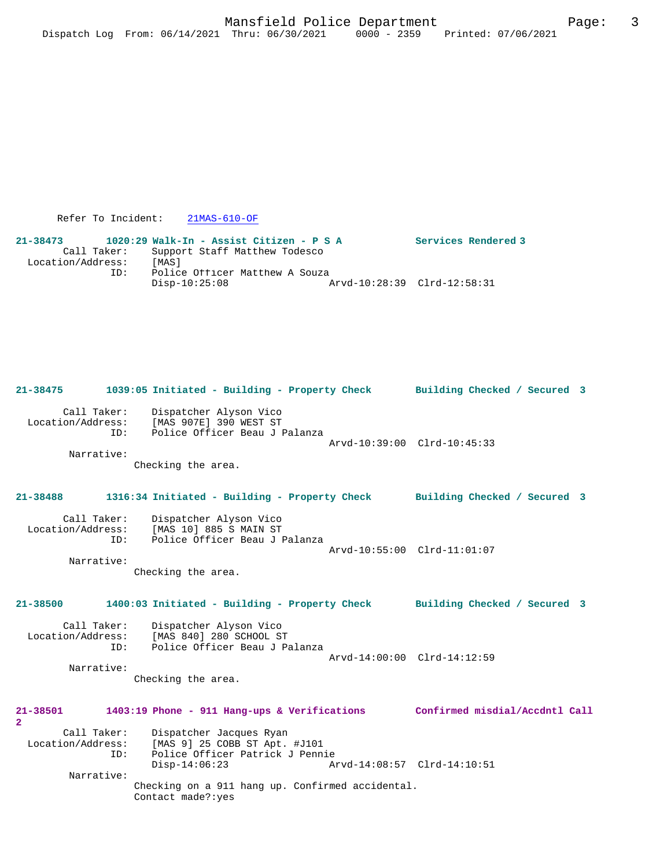```
 Refer To Incident: 21MAS-610-OF
```
**21-38473 1020:29 Walk-In - Assist Citizen - P S A Services Rendered 3**  Call Taker: Support Staff Matthew Todesco Location/Address: [MAS]<br>Dicention: Police Police Officer Matthew A Souza<br>Disp-10:25:08 2 Disp-10:25:08 Arvd-10:28:39 Clrd-12:58:31

# Call Taker: Dispatcher Alyson Vico<br>Location/Address: [MAS 907E] 390 WEST ST ess: [MAS 907E] 390 WEST ST<br>ID: Police Officer Beau J Police Officer Beau J Palanza Arvd-10:39:00 Clrd-10:45:33 Narrative: Checking the area. **21-38488 1316:34 Initiated - Building - Property Check Building Checked / Secured 3** Call Taker: Dispatcher Alyson Vico Location/Address: [MAS 10] 885 S MAIN ST ID: Police Officer Beau J Palanza Arvd-10:55:00 Clrd-11:01:07 Narrative:

**21-38475 1039:05 Initiated - Building - Property Check Building Checked / Secured 3**

Checking the area.

## **21-38500 1400:03 Initiated - Building - Property Check Building Checked / Secured 3**

Call Taker: Dispatcher Alyson Vico<br>Location/Address: [MAS 840] 280 SCHOOL S ess: [MAS 840] 280 SCHOOL ST<br>ID: Police Officer Beau J Pa Police Officer Beau J Palanza Arvd-14:00:00 Clrd-14:12:59

 Narrative: Checking the area.

**21-38501 1403:19 Phone - 911 Hang-ups & Verifications Confirmed misdial/Accdntl Call 2**  Call Taker: Dispatcher Jacques Ryan Location/Address: [MAS 9] 25 COBB ST Apt. #J101<br>ID: Police Officer Patrick J Penn: Police Officer Patrick J Pennie<br>Disp-14:06:23 A Disp-14:06:23 Arvd-14:08:57 Clrd-14:10:51 Narrative: Checking on a 911 hang up. Confirmed accidental. Contact made?:yes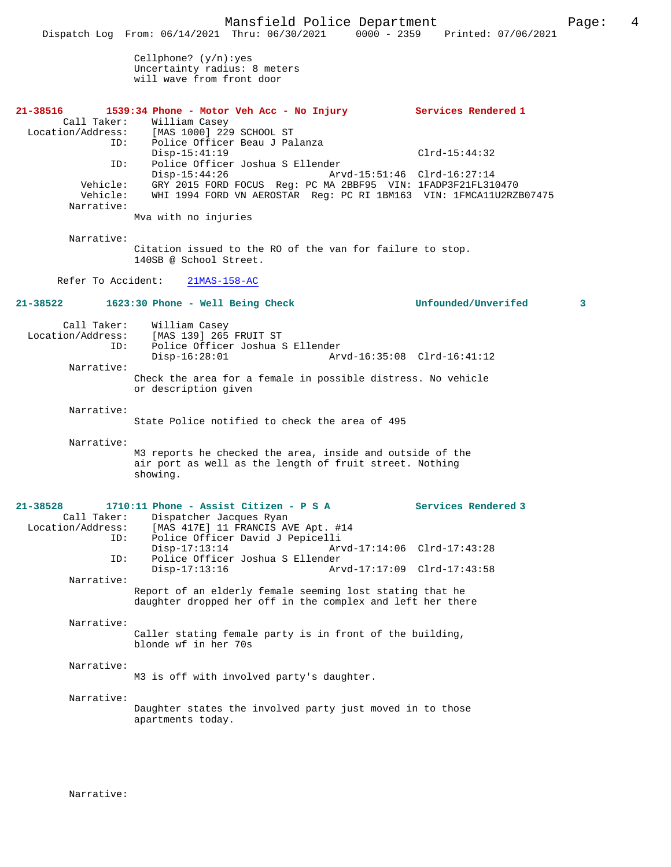Mansfield Police Department Page: 4 Dispatch Log From: 06/14/2021 Thru: 06/30/2021 0000 - 2359 Printed: 07/06/2021 Cellphone? (y/n):yes Uncertainty radius: 8 meters will wave from front door **21-38516 1539:34 Phone - Motor Veh Acc - No Injury Services Rendered 1**  Call Taker: William Casey Location/Address: [MAS 1000] 229 SCHOOL ST ID: Police Officer Beau J Palanza Disp-15:41:19 Clrd-15:44:32 ID: Police Officer Joshua S Ellender Disp-15:44:26 Arvd-15:51:46 Clrd-16:27:14 Vehicle: GRY 2015 FORD FOCUS Reg: PC MA 2BBF95 VIN: 1FADP3F21FL310470 Vehicle: WHI 1994 FORD VN AEROSTAR Reg: PC RI 1BM163 VIN: 1FMCA11U2RZB07475 Narrative: Mva with no injuries Narrative: Citation issued to the RO of the van for failure to stop. 140SB @ School Street. Refer To Accident: 21MAS-158-AC **21-38522 1623:30 Phone - Well Being Check Unfounded/Unverifed 3** Call Taker: William Casey<br>Location/Address: [MAS 139] 265  $[$ MAS 139] 265 FRUIT ST ID: Police Officer Joshua S Ellender Disp-16:28:01 Arvd-16:35:08 Clrd-16:41:12 Narrative: Check the area for a female in possible distress. No vehicle or description given Narrative: State Police notified to check the area of 495 Narrative: M3 reports he checked the area, inside and outside of the air port as well as the length of fruit street. Nothing showing. **21-38528 1710:11 Phone - Assist Citizen - P S A Services Rendered 3**  Call Taker: Dispatcher Jacques Ryan Location/Address: [MAS 417E] 11 FRANCIS AVE Apt. #14 Police Officer David J Pepicelli<br>Disp-17:13:14 Arv Disp-17:13:14 Arvd-17:14:06 Clrd-17:43:28<br>TD: Police Officer Joshua S Ellender ID: Police Officer Joshua S Ellender Disp-17:13:16 Arvd-17:17:09 Clrd-17:43:58 Narrative: Report of an elderly female seeming lost stating that he daughter dropped her off in the complex and left her there Narrative: Caller stating female party is in front of the building, blonde wf in her 70s Narrative: M3 is off with involved party's daughter. Narrative: Daughter states the involved party just moved in to those apartments today.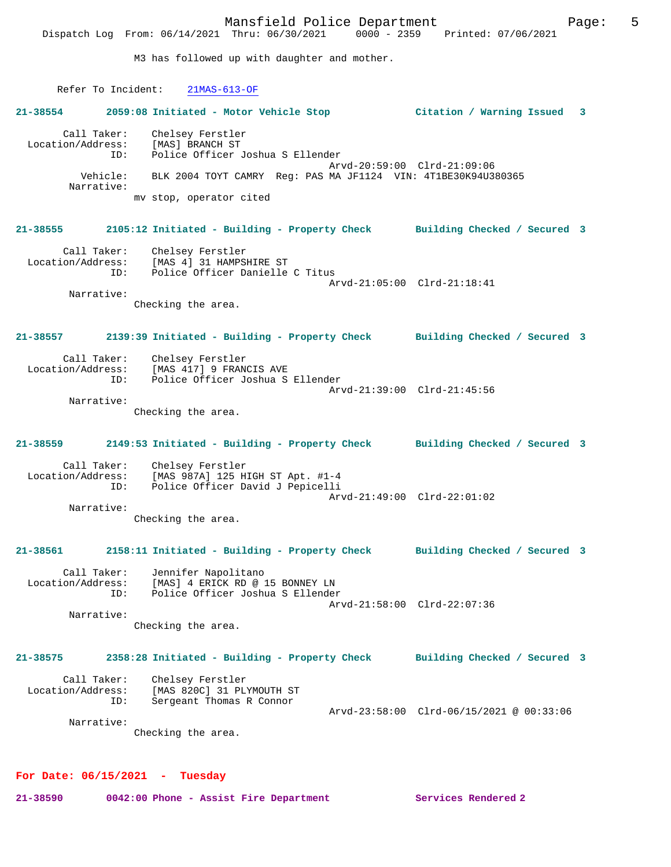Mansfield Police Department Page: 5 Dispatch Log From: 06/14/2021 Thru: 06/30/2021 M3 has followed up with daughter and mother. Refer To Incident: 21MAS-613-OF **21-38554 2059:08 Initiated - Motor Vehicle Stop Citation / Warning Issued 3** Call Taker: Chelsey Ferstler<br>Location/Address: [MAS] BRANCH ST unclacy rerstle:<br>Police Officer: [MAS] BRANCH ST<br>ID: Police Officer Police Officer Joshua S Ellender Arvd-20:59:00 Clrd-21:09:06 Vehicle: BLK 2004 TOYT CAMRY Reg: PAS MA JF1124 VIN: 4T1BE30K94U380365 Narrative: mv stop, operator cited **21-38555 2105:12 Initiated - Building - Property Check Building Checked / Secured 3** Call Taker: Chelsey Ferstler Location/Address: [MAS 4] 31 HAMPSHIRE ST Police Officer Danielle C Titus Arvd-21:05:00 Clrd-21:18:41 Narrative: Checking the area. **21-38557 2139:39 Initiated - Building - Property Check Building Checked / Secured 3** Call Taker: Chelsey Ferstler Location/Address: [MAS 417] 9 FRANCIS AVE ID: Police Officer Joshua S Ellender Arvd-21:39:00 Clrd-21:45:56 Narrative: Checking the area. **21-38559 2149:53 Initiated - Building - Property Check Building Checked / Secured 3** Call Taker: Chelsey Ferstler<br>Location/Address: [MAS 987A] 125 H [MAS 987A] 125 HIGH ST Apt. #1-4 ID: Police Officer David J Pepicelli Arvd-21:49:00 Clrd-22:01:02 Narrative: Checking the area. **21-38561 2158:11 Initiated - Building - Property Check Building Checked / Secured 3** Call Taker: Jennifer Napolitano Location/Address: [MAS] 4 ERICK RD @ 15 BONNEY LN ID: Police Officer Joshua S Ellender Arvd-21:58:00 Clrd-22:07:36 Narrative: Checking the area. **21-38575 2358:28 Initiated - Building - Property Check Building Checked / Secured 3** Call Taker: Chelsey Ferstler Location/Address: [MAS 820C] 31 PLYMOUTH ST ID: Sergeant Thomas R Connor Arvd-23:58:00 Clrd-06/15/2021 @ 00:33:06 Narrative:

Checking the area.

#### **For Date: 06/15/2021 - Tuesday**

**21-38590 0042:00 Phone - Assist Fire Department Services Rendered 2**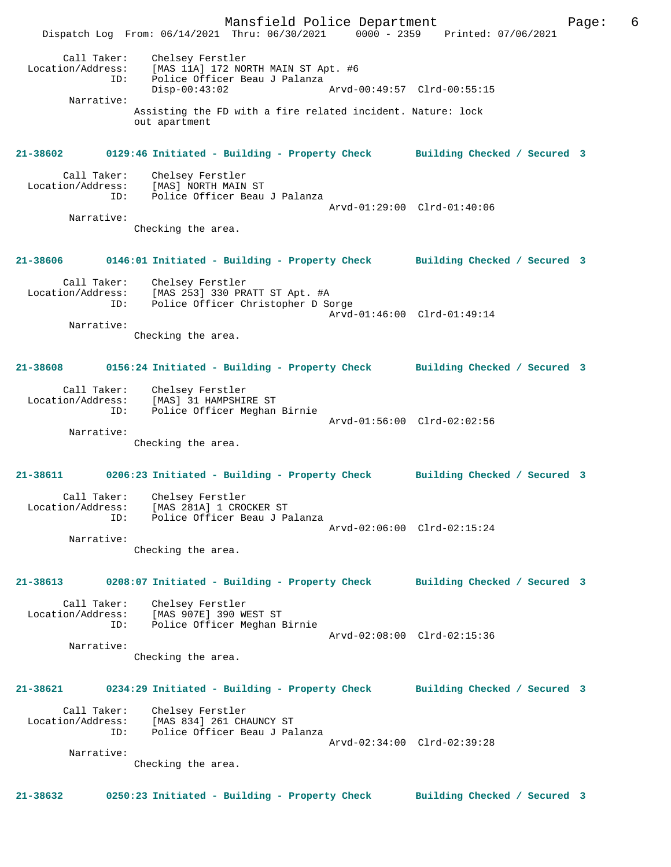Mansfield Police Department Page: 6 Dispatch Log From: 06/14/2021 Thru: 06/30/2021 0000 - 2359 Printed: 07/06/2021 Call Taker: Chelsey Ferstler Location/Address: [MAS 11A] 172 NORTH MAIN ST Apt. #6 ID: Police Officer Beau J Palanza<br>Disp-00:43:02 Disp-00:43:02 Arvd-00:49:57 Clrd-00:55:15 Narrative: Assisting the FD with a fire related incident. Nature: lock out apartment **21-38602 0129:46 Initiated - Building - Property Check Building Checked / Secured 3** Call Taker: Chelsey Ferstler Location/Address: [MAS] NORTH MAIN ST Police Officer Beau J Palanza Arvd-01:29:00 Clrd-01:40:06 Narrative: Checking the area. **21-38606 0146:01 Initiated - Building - Property Check Building Checked / Secured 3** Call Taker: Chelsey Ferstler Location/Address: [MAS 253] 330 PRATT ST Apt. #A ID: Police Officer Christopher D Sorge Arvd-01:46:00 Clrd-01:49:14 Narrative: Checking the area. **21-38608 0156:24 Initiated - Building - Property Check Building Checked / Secured 3** Call Taker: Chelsey Ferstler Location/Address: [MAS] 31 HAMPSHIRE ST<br>TD: Police Officer Meghan Police Officer Meghan Birnie Arvd-01:56:00 Clrd-02:02:56 Narrative: Checking the area. **21-38611 0206:23 Initiated - Building - Property Check Building Checked / Secured 3** Call Taker: Chelsey Ferstler Location/Address: [MAS 281A] 1 CROCKER ST ID: Police Officer Beau J Palanza Arvd-02:06:00 Clrd-02:15:24 Narrative: Checking the area. **21-38613 0208:07 Initiated - Building - Property Check Building Checked / Secured 3** Call Taker: Chelsey Ferstler Location/Address: [MAS 907E] 390 WEST ST Police Officer Meghan Birnie Arvd-02:08:00 Clrd-02:15:36 Narrative: Checking the area. **21-38621 0234:29 Initiated - Building - Property Check Building Checked / Secured 3** Call Taker: Chelsey Ferstler<br>Location/Address: [MAS 834] 261 CH. ess: [MAS 834] 261 CHAUNCY ST<br>ID: Police Officer Beau العرب Police Officer Beau J Palanza Arvd-02:34:00 Clrd-02:39:28 Narrative: Checking the area. **21-38632 0250:23 Initiated - Building - Property Check Building Checked / Secured 3**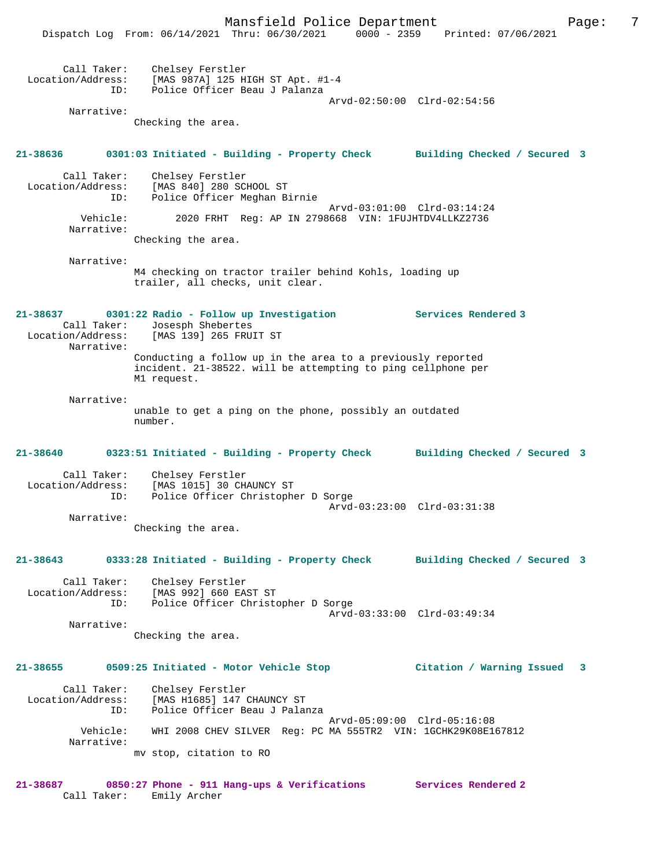|                                         | 0000 - 2359<br>Dispatch Log From: 06/14/2021 Thru: 06/30/2021                                                                              | Printed: 07/06/2021          |   |
|-----------------------------------------|--------------------------------------------------------------------------------------------------------------------------------------------|------------------------------|---|
| Call Taker:<br>Location/Address:<br>ID: | Chelsey Ferstler<br>[MAS 987A] 125 HIGH ST Apt. #1-4<br>Police Officer Beau J Palanza                                                      | Arvd-02:50:00 Clrd-02:54:56  |   |
| Narrative:                              |                                                                                                                                            |                              |   |
|                                         | Checking the area.                                                                                                                         |                              |   |
| 21-38636                                | 0301:03 Initiated - Building - Property Check Building Checked / Secured 3                                                                 |                              |   |
| Call Taker:<br>Location/Address:<br>ID: | Chelsey Ferstler<br>[MAS 840] 280 SCHOOL ST<br>Police Officer Meghan Birnie                                                                | Arvd-03:01:00 Clrd-03:14:24  |   |
| Vehicle:<br>Narrative:                  | 2020 FRHT Reg: AP IN 2798668 VIN: 1FUJHTDV4LLKZ2736                                                                                        |                              |   |
|                                         | Checking the area.                                                                                                                         |                              |   |
| Narrative:                              | M4 checking on tractor trailer behind Kohls, loading up<br>trailer, all checks, unit clear.                                                |                              |   |
| 21-38637<br>Call Taker:<br>Narrative:   | 0301:22 Radio - Follow up Investigation<br>Josesph Shebertes<br>Location/Address: [MAS 139] 265 FRUIT ST                                   | Services Rendered 3          |   |
|                                         | Conducting a follow up in the area to a previously reported<br>incident. 21-38522. will be attempting to ping cellphone per<br>M1 request. |                              |   |
| Narrative:                              | unable to get a ping on the phone, possibly an outdated<br>number.                                                                         |                              |   |
| 21-38640                                | 0323:51 Initiated - Building - Property Check                                                                                              | Building Checked / Secured 3 |   |
| Call Taker:<br>Location/Address:<br>ID: | Chelsey Ferstler<br>[MAS 1015] 30 CHAUNCY ST<br>Police Officer Christopher D Sorge                                                         |                              |   |
| Narrative:                              |                                                                                                                                            | Arvd-03:23:00 Clrd-03:31:38  |   |
|                                         | Checking the area.                                                                                                                         |                              |   |
| 21-38643                                | 0333:28 Initiated - Building - Property Check Building Checked / Secured 3                                                                 |                              |   |
| Call Taker:<br>ID:                      | Chelsey Ferstler<br>Location/Address: [MAS 992] 660 EAST ST<br>Police Officer Christopher D Sorge                                          |                              |   |
| Narrative:                              | Checking the area.                                                                                                                         | Arvd-03:33:00 Clrd-03:49:34  |   |
| 21-38655                                | 0509:25 Initiated - Motor Vehicle Stop                                                                                                     | Citation / Warning Issued    | 3 |
| Call Taker:<br>Location/Address:<br>ID: | Chelsey Ferstler<br>[MAS H1685] 147 CHAUNCY ST<br>Police Officer Beau J Palanza                                                            |                              |   |
| Vehicle:<br>Narrative:                  | WHI 2008 CHEV SILVER Req: PC MA 555TR2 VIN: 1GCHK29K08E167812                                                                              | Arvd-05:09:00 Clrd-05:16:08  |   |
|                                         | mv stop, citation to RO                                                                                                                    |                              |   |
| 21-38687                                | 0850:27 Phone - 911 Hang-ups & Verifications Services Rendered 2                                                                           |                              |   |

Call Taker: Emily Archer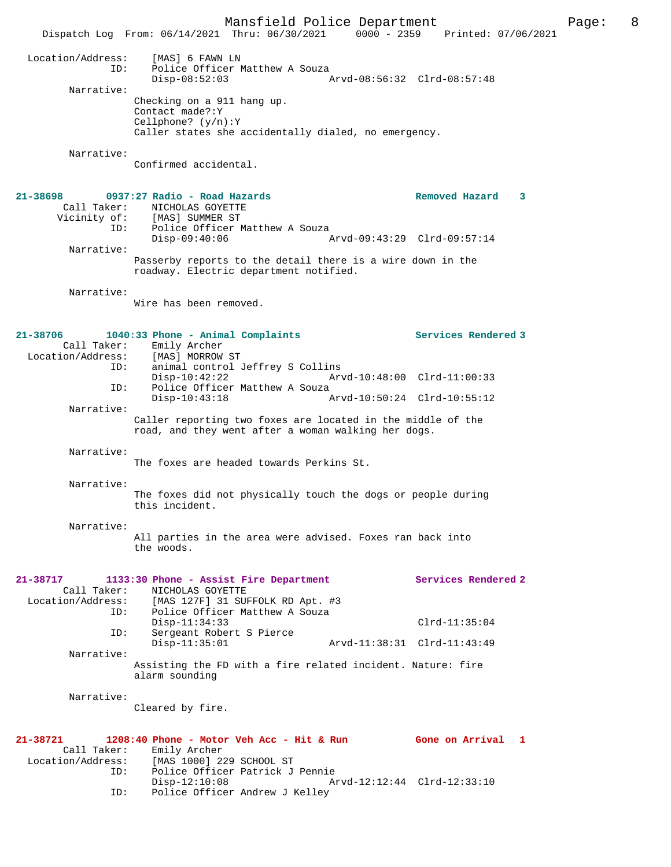Mansfield Police Department Page: 8 Dispatch Log From: 06/14/2021 Thru: 06/30/2021 0000 - 2359 Printed: 07/06/2021 Location/Address: [MAS] 6 FAWN LN<br>ID: Police Officer M<br>Disp-08:52:03 Police Officer Matthew A Souza Disp-08:52:03 Arvd-08:56:32 Clrd-08:57:48 Narrative: Checking on a 911 hang up. Contact made?:Y Cellphone? (y/n):Y Caller states she accidentally dialed, no emergency. Narrative: Confirmed accidental. **21-38698 0937:27 Radio - Road Hazards Removed Hazard 3**  Call Taker: NICHOLAS GOYETTE Vicinity of: [MAS] SUMMER ST ID: Police Officer Matthew A Souza<br>Disp-09:40:06 A Disp-09:40:06 Arvd-09:43:29 Clrd-09:57:14 Narrative: Passerby reports to the detail there is a wire down in the roadway. Electric department notified. Narrative: Wire has been removed. **21-38706 1040:33 Phone - Animal Complaints Services Rendered 3**  Call Taker: Emily Archer Location/Address: [MAS] MORROW ST ID: animal control Jeffrey S Collins Disp-10:42:22 Arvd-10:48:00 Clrd-11:00:33 ID: Police Officer Matthew A Souza Disp-10:43:18 Arvd-10:50:24 Clrd-10:55:12 Narrative: Caller reporting two foxes are located in the middle of the road, and they went after a woman walking her dogs. Narrative: The foxes are headed towards Perkins St. Narrative: The foxes did not physically touch the dogs or people during this incident. Narrative: All parties in the area were advised. Foxes ran back into the woods. **21-38717 1133:30 Phone - Assist Fire Department Services Rendered 2**  Call Taker: NICHOLAS GOYETTE<br>Location/Address: [MAS 127F] 31 SUI Location/Address: [MAS 127F] 31 SUFFOLK RD Apt. #3 ID: Police Officer Matthew A Souza Disp-11:34:33 Clrd-11:35:04 ID: Sergeant Robert S Pierce Disp-11:35:01 Arvd-11:38:31 Clrd-11:43:49 Narrative: Assisting the FD with a fire related incident. Nature: fire alarm sounding Narrative: Cleared by fire. **21-38721 1208:40 Phone - Motor Veh Acc - Hit & Run Gone on Arrival 1**  Call Taker: Emily Archer<br>Location/Address: [MAS 1000] 22 [MAS 1000] 229 SCHOOL ST ID: Police Officer Patrick J Pennie Disp-12:10:08 Arvd-12:12:44 Clrd-12:33:10<br>ID: Police Officer Andrew J Kelley Police Officer Andrew J Kelley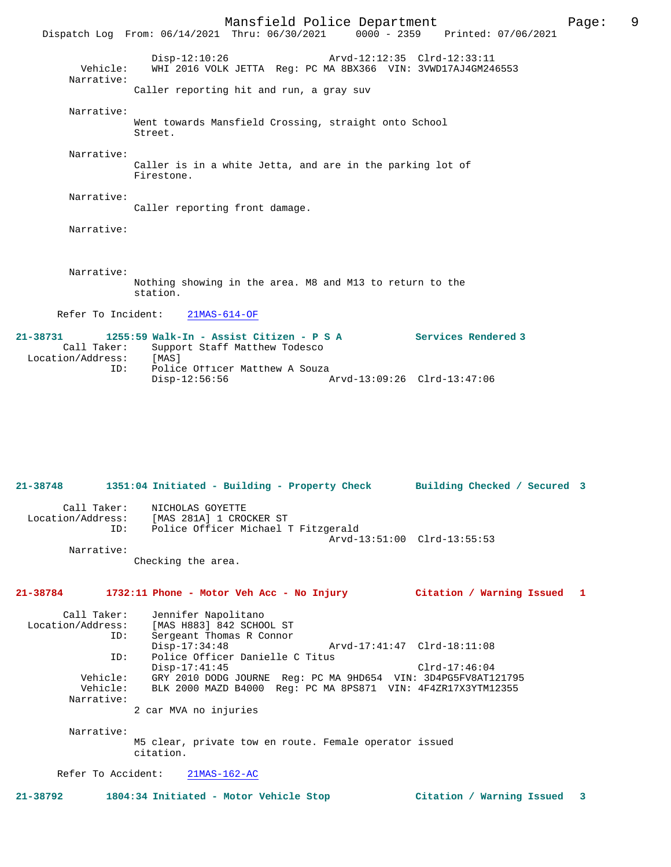Mansfield Police Department Page: 9 Dispatch Log From: 06/14/2021 Thru: 06/30/2021 Disp-12:10:26 Arvd-12:12:35 Clrd-12:33:11 Vehicle: WHI 2016 VOLK JETTA Reg: PC MA 8BX366 VIN: 3VWD17AJ4GM246553 Narrative: Caller reporting hit and run, a gray suv Narrative: Went towards Mansfield Crossing, straight onto School Street. Narrative: Caller is in a white Jetta, and are in the parking lot of Firestone. Narrative: Caller reporting front damage. Narrative: Narrative: Nothing showing in the area. M8 and M13 to return to the station. Refer To Incident: 21MAS-614-OF **21-38731 1255:59 Walk-In - Assist Citizen - P S A Services Rendered 3**  Call Taker: Support Staff Matthew Todesco<br>ion/Address: [MAS] Location/Address: ID: Police Officer Matthew A Souza

Disp-12:56:56 Arvd-13:09:26 Clrd-13:47:06

**21-38748 1351:04 Initiated - Building - Property Check Building Checked / Secured 3** Call Taker: NICHOLAS GOYETTE Location/Address: [MAS 281A] 1 CROCKER ST ID: Police Officer Michael T Fitzgerald Arvd-13:51:00 Clrd-13:55:53 Narrative: Checking the area.

**21-38784 1732:11 Phone - Motor Veh Acc - No Injury Citation / Warning Issued 1**

Call Taker: Jennifer Napolitano<br>Location/Address: [MAS H883] 842 SCHO [MAS H883] 842 SCHOOL ST ID: Sergeant Thomas R Connor<br>Disp-17:34:48 Disp-17:34:48 Arvd-17:41:47 Clrd-18:11:08<br>TD: Police Officer Danielle C Titus Police Officer Danielle C Titus Disp-17:41:45<br>Vehicle: GRY 2010 DODG JOURNE Reg: PC MA 9HD654 VIN: 3D4PG5FV8AT1 Vehicle: GRY 2010 DODG JOURNE Reg: PC MA 9HD654 VIN: 3D4PG5FV8AT121795 Vehicle: BLK 2000 MAZD B4000 Reg: PC MA 8PS871 VIN: 4F4ZR17X3YTM12355 Narrative: 2 car MVA no injuries

 Narrative: M5 clear, private tow en route. Female operator issued citation.

Refer To Accident: 21MAS-162-AC

**21-38792 1804:34 Initiated - Motor Vehicle Stop Citation / Warning Issued 3**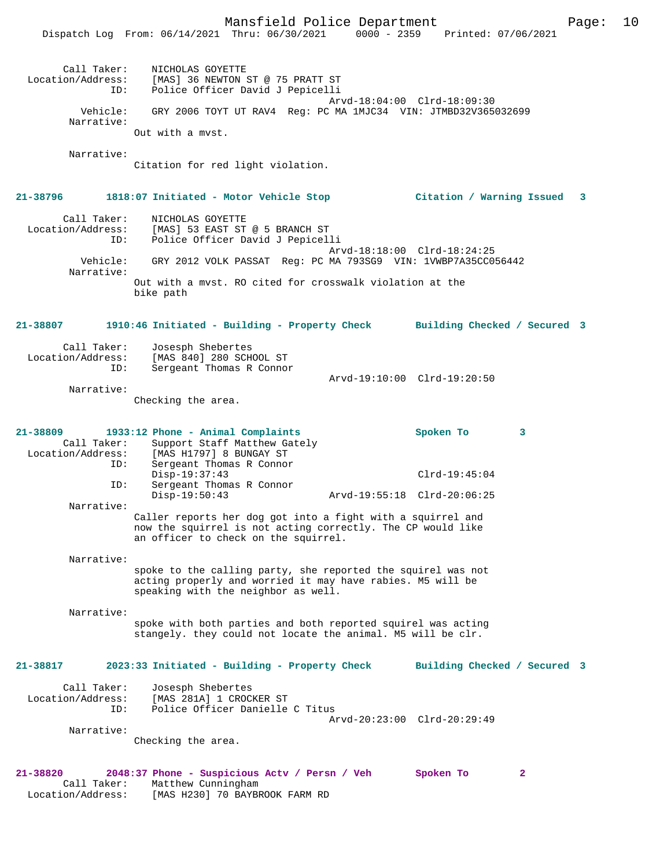Mansfield Police Department Form Page: 10 Dispatch Log From: 06/14/2021 Thru: 06/30/2021 0000 - 2359 Printed: 07/06/2021 Call Taker: NICHOLAS GOYETTE Location/Address: [MAS] 36 NEWTON ST @ 75 PRATT ST ID: Police Officer David J Pepicelli Arvd-18:04:00 Clrd-18:09:30 Vehicle: GRY 2006 TOYT UT RAV4 Reg: PC MA 1MJC34 VIN: JTMBD32V365032699 Narrative: Out with a mvst. Narrative: Citation for red light violation. **21-38796 1818:07 Initiated - Motor Vehicle Stop Citation / Warning Issued 3** Call Taker: NICHOLAS GOYETTE Location/Address: [MAS] 53 EAST ST @ 5 BRANCH ST ID: Police Officer David J Pepicelli Arvd-18:18:00 Clrd-18:24:25 Vehicle: GRY 2012 VOLK PASSAT Reg: PC MA 793SG9 VIN: 1VWBP7A35CC056442 Narrative: Out with a mvst. RO cited for crosswalk violation at the bike path **21-38807 1910:46 Initiated - Building - Property Check Building Checked / Secured 3** Call Taker: Josesph Shebertes Location/Address: [MAS 840] 280 SCHOOL ST .<br>Sergeant Thomas R Connor Arvd-19:10:00 Clrd-19:20:50 Narrative: Checking the area. **21-38809 1933:12 Phone - Animal Complaints Spoken To 3**  Call Taker: Support Staff Matthew Gately<br>Location/Address: [MAS H1797] 8 BUNGAY ST [MAS H1797] 8 BUNGAY ST ID: Sergeant Thomas R Connor Disp-19:37:43 Clrd-19:45:04<br>ID: Sergeant Thomas R Connor Sergeant Thomas R Connor<br>Disp-19:50:43 Disp-19:50:43 Arvd-19:55:18 Clrd-20:06:25 Narrative: Caller reports her dog got into a fight with a squirrel and now the squirrel is not acting correctly. The CP would like an officer to check on the squirrel. Narrative: spoke to the calling party, she reported the squirel was not acting properly and worried it may have rabies. M5 will be speaking with the neighbor as well. Narrative: spoke with both parties and both reported squirel was acting stangely. they could not locate the animal. M5 will be clr. **21-38817 2023:33 Initiated - Building - Property Check Building Checked / Secured 3** Call Taker: Josesph Shebertes<br>Location/Address: [MAS 281A] 1 CROC ess: [MAS 281A] 1 CROCKER ST<br>ID: Police Officer Danielle Police Officer Danielle C Titus Arvd-20:23:00 Clrd-20:29:49 Narrative: Checking the area. **21-38820 2048:37 Phone - Suspicious Actv / Persn / Veh Spoken To 2**  Call Taker: Matthew Cunningham

Location/Address: [MAS H230] 70 BAYBROOK FARM RD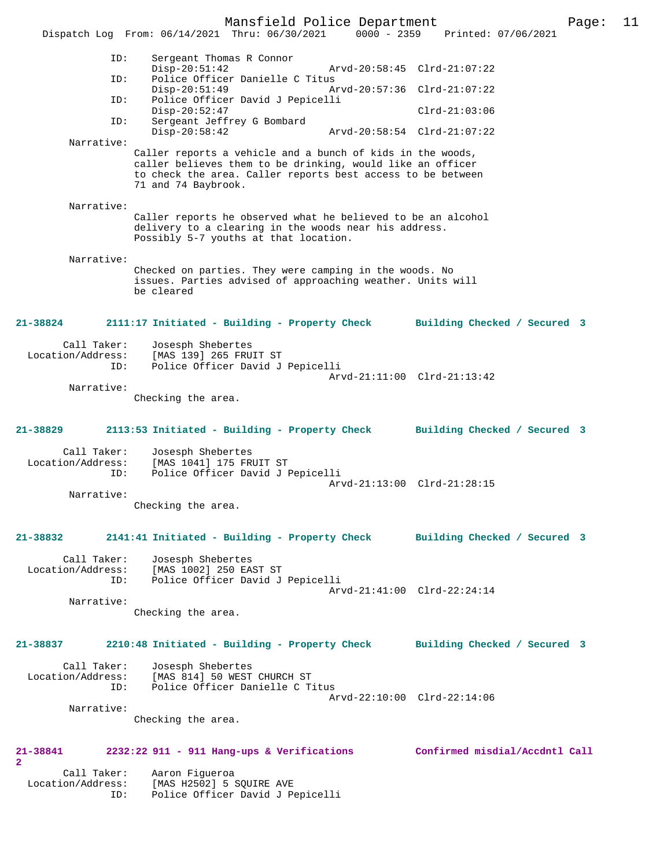Mansfield Police Department Page: 11 Dispatch Log From: 06/14/2021 Thru: 06/30/2021 0000 - 2359 Printed: 07/06/2021 ID: Sergeant Thomas R Connor Disp-20:51:42 Arvd-20:58:45 Clrd-21:07:22<br>TD: Police Officer Danielle C Titus Police Officer Danielle C Titus<br>Disp-20:51:49 Ar Disp-20:51:49 Arvd-20:57:36 Clrd-21:07:22 ID: Police Officer David J Pepicelli Disp-20:52:47 Clrd-21:03:06 ID: Sergeant Jeffrey G Bombard Disp-20:58:42 Arvd-20:58:54 Clrd-21:07:22 Narrative: Caller reports a vehicle and a bunch of kids in the woods, caller believes them to be drinking, would like an officer to check the area. Caller reports best access to be between 71 and 74 Baybrook. Narrative: Caller reports he observed what he believed to be an alcohol delivery to a clearing in the woods near his address. Possibly 5-7 youths at that location. Narrative: Checked on parties. They were camping in the woods. No issues. Parties advised of approaching weather. Units will be cleared **21-38824 2111:17 Initiated - Building - Property Check Building Checked / Secured 3** Call Taker: Josesph Shebertes Location/Address: [MAS 139] 265 FRUIT ST ID: Police Officer David J Pepicelli Arvd-21:11:00 Clrd-21:13:42 Narrative: Checking the area. **21-38829 2113:53 Initiated - Building - Property Check Building Checked / Secured 3** Call Taker: Josesph Shebertes Location/Address: [MAS 1041] 175 FRUIT ST ID: Police Officer David J Pepicelli Arvd-21:13:00 Clrd-21:28:15 Narrative: Checking the area. **21-38832 2141:41 Initiated - Building - Property Check Building Checked / Secured 3** Call Taker: Josesph Shebertes Location/Address: [MAS 1002] 250 EAST ST ID: Police Officer David J Pepicelli Arvd-21:41:00 Clrd-22:24:14 Narrative: Checking the area. **21-38837 2210:48 Initiated - Building - Property Check Building Checked / Secured 3** Call Taker: Josesph Shebertes<br>Location/Address: [MAS 814] 50 WEST<br>ID: Police Officer Dan [MAS 814] 50 WEST CHURCH ST Police Officer Danielle C Titus Arvd-22:10:00 Clrd-22:14:06 Narrative: Checking the area. **21-38841 2232:22 911 - 911 Hang-ups & Verifications Confirmed misdial/Accdntl Call 2**  Call Taker: Aaron Figueroa Location/Address: [MAS H2502] 5 SQUIRE AVE

ID: Police Officer David J Pepicelli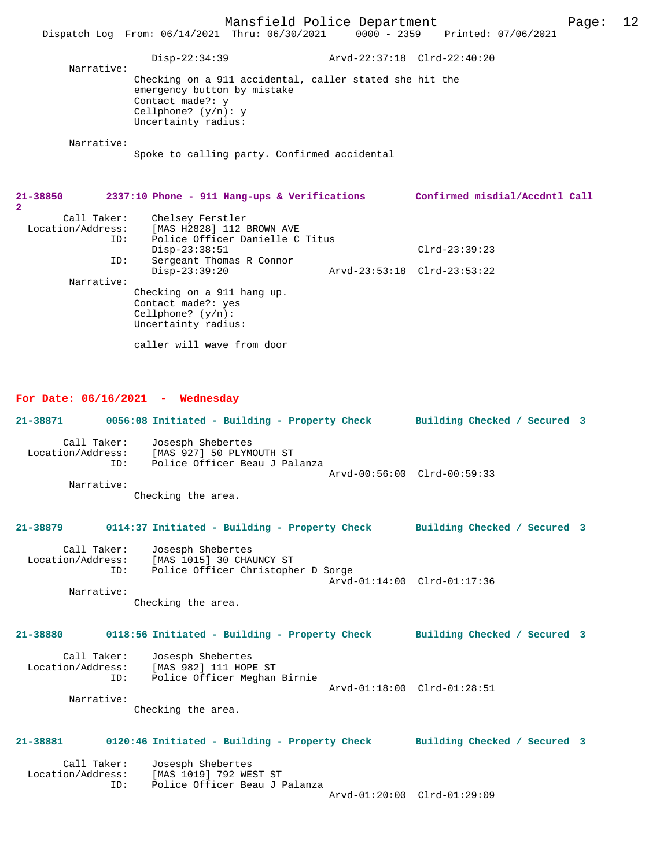Mansfield Police Department Page: 12 Dispatch Log From: 06/14/2021 Thru: 06/30/2021 Disp-22:34:39 Arvd-22:37:18 Clrd-22:40:20 Narrative: Checking on a 911 accidental, caller stated she hit the emergency button by mistake Contact made?: y Cellphone? (y/n): y Uncertainty radius: Narrative: Spoke to calling party. Confirmed accidental **21-38850 2337:10 Phone - 911 Hang-ups & Verifications Confirmed misdial/Accdntl Call 2**  Call Taker: Chelsey Ferstler<br>Location/Address: [MAS H2828] 112 1 [MAS H2828] 112 BROWN AVE ID: Police Officer Danielle C Titus Disp-23:38:51 Clrd-23:39:23<br>TD: Sergeant Thomas R Connor Sergeant Thomas R Connor<br>Disp-23:39:20 Disp-23:39:20 Arvd-23:53:18 Clrd-23:53:22 Narrative:

Checking on a 911 hang up. Contact made?: yes Cellphone? (y/n): Uncertainty radius: caller will wave from door

## **For Date: 06/16/2021 - Wednesday**

**21-38871 0056:08 Initiated - Building - Property Check Building Checked / Secured 3** Call Taker: Josesph Shebertes<br>Location/Address: [MAS 927] 50 PLYM [MAS 927] 50 PLYMOUTH ST ID: Police Officer Beau J Palanza Arvd-00:56:00 Clrd-00:59:33 Narrative: Checking the area. **21-38879 0114:37 Initiated - Building - Property Check Building Checked / Secured 3** Call Taker: Josesph Shebertes<br>Location/Address: [MAS 1015] 30 CHA ess: [MAS 1015] 30 CHAUNCY ST<br>ID: Police Officer Christophe Police Officer Christopher D Sorge Arvd-01:14:00 Clrd-01:17:36 Narrative: Checking the area. **21-38880 0118:56 Initiated - Building - Property Check Building Checked / Secured 3** Call Taker: Josesph Shebertes<br>Location/Address: [MAS 982] 111 HOP [MAS 982] 111 HOPE ST ID: Police Officer Meghan Birnie Arvd-01:18:00 Clrd-01:28:51 Narrative: Checking the area. **21-38881 0120:46 Initiated - Building - Property Check Building Checked / Secured 3** Call Taker: Josesph Shebertes<br>Location/Address: [MAS 1019] 792 WE [MAS 1019] 792 WEST ST ID: Police Officer Beau J Palanza Arvd-01:20:00 Clrd-01:29:09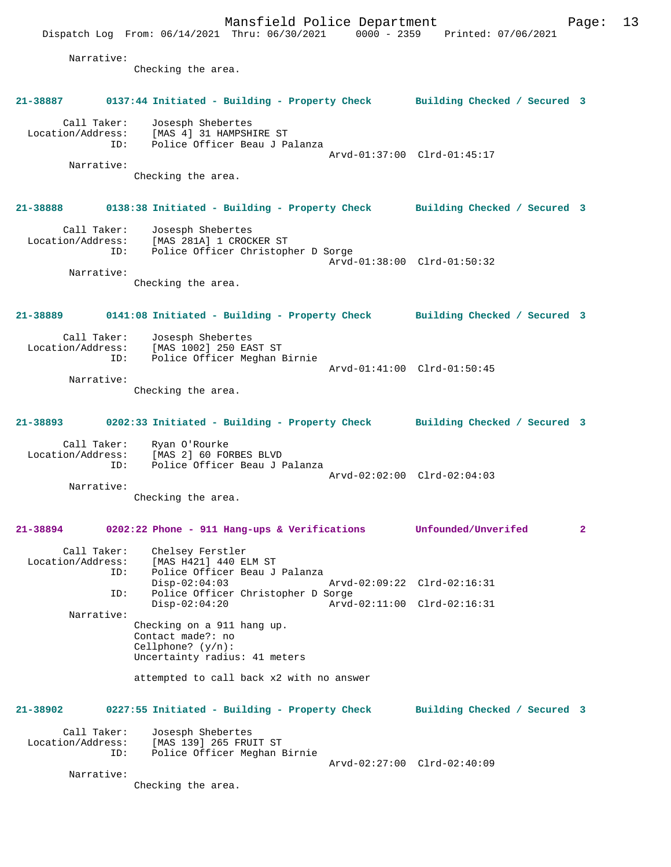Mansfield Police Department Form Page: 13 Dispatch Log From: 06/14/2021 Thru: 06/30/2021 0000 - 2359 Printed: 07/06/2021 Narrative: Checking the area. **21-38887 0137:44 Initiated - Building - Property Check Building Checked / Secured 3** Call Taker: Josesph Shebertes Location/Address: [MAS 4] 31 HAMPSHIRE ST ID: Police Officer Beau J Palanza Arvd-01:37:00 Clrd-01:45:17 Narrative: Checking the area. **21-38888 0138:38 Initiated - Building - Property Check Building Checked / Secured 3** Call Taker: Josesph Shebertes Location/Address: [MAS 281A] 1 CROCKER ST ID: Police Officer Christopher D Sorge Arvd-01:38:00 Clrd-01:50:32 Narrative: Checking the area. **21-38889 0141:08 Initiated - Building - Property Check Building Checked / Secured 3** Call Taker: Josesph Shebertes Location/Address: [MAS 1002] 250 EAST ST Police Officer Meghan Birnie Arvd-01:41:00 Clrd-01:50:45 Narrative: Checking the area. **21-38893 0202:33 Initiated - Building - Property Check Building Checked / Secured 3** Call Taker: Ryan O'Rourke Location/Address: [MAS 2] 60 FORBES BLVD ID: Police Officer Beau J Palanza Arvd-02:02:00 Clrd-02:04:03 Narrative: Checking the area. **21-38894 0202:22 Phone - 911 Hang-ups & Verifications Unfounded/Unverifed 2** Call Taker: Chelsey Ferstler<br>Location/Address: [MAS H421] 440 E ess: [MAS H421] 440 ELM ST<br>ID: Police Officer Beau J Police Officer Beau J Palanza<br>Disp-02:04:03 Disp-02:04:03 Arvd-02:09:22 Clrd-02:16:31<br>ID: Police Officer Christopher D Sorge Police Officer Christopher D Sorge Disp-02:04:20 Arvd-02:11:00 Clrd-02:16:31 Narrative: Checking on a 911 hang up. Contact made?: no Cellphone? (y/n): Uncertainty radius: 41 meters attempted to call back x2 with no answer **21-38902 0227:55 Initiated - Building - Property Check Building Checked / Secured 3** Call Taker: Josesph Shebertes<br>Location/Address: [MAS 139] 265 FRU ess: [MAS 139] 265 FRUIT ST<br>TD: Police Officer Meghan I Police Officer Meghan Birnie Arvd-02:27:00 Clrd-02:40:09 Narrative: Checking the area.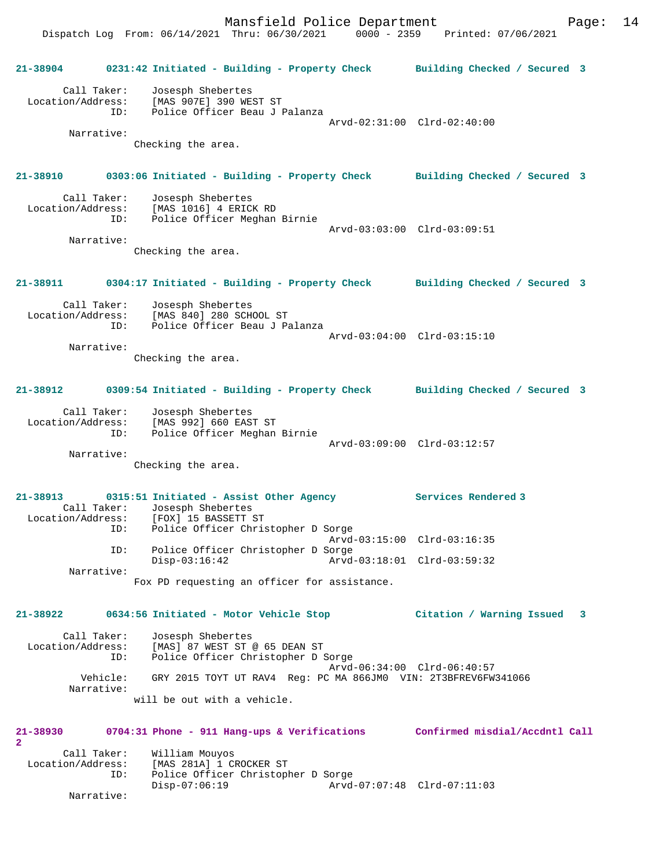Dispatch Log From: 06/14/2021 Thru: 06/30/2021 0000 - 2359 Printed: 07/06/2021

**21-38904 0231:42 Initiated - Building - Property Check Building Checked / Secured 3** Call Taker: Josesph Shebertes Location/Address: [MAS 907E] 390 WEST ST ID: Police Officer Beau J Palanza Arvd-02:31:00 Clrd-02:40:00 Narrative: Checking the area. **21-38910 0303:06 Initiated - Building - Property Check Building Checked / Secured 3** Call Taker: Josesph Shebertes Location/Address: [MAS 1016] 4 ERICK RD ID: Police Officer Meghan Birnie Arvd-03:03:00 Clrd-03:09:51 Narrative: Checking the area. **21-38911 0304:17 Initiated - Building - Property Check Building Checked / Secured 3** Call Taker: Josesph Shebertes Location/Address: [MAS 840] 280 SCHOOL ST ID: Police Officer Beau J Palanza Arvd-03:04:00 Clrd-03:15:10 Narrative: Checking the area. **21-38912 0309:54 Initiated - Building - Property Check Building Checked / Secured 3** Call Taker: Josesph Shebertes Location/Address: [MAS 992] 660 EAST ST ID: Police Officer Meghan Birnie Arvd-03:09:00 Clrd-03:12:57 Narrative: Checking the area. **21-38913 0315:51 Initiated - Assist Other Agency Services Rendered 3**  Call Taker: Josesph Shebertes Location/Address: [FOX] 15 BASSETT ST ID: Police Officer Christopher D Sorge Arvd-03:15:00 Clrd-03:16:35 ID: Police Officer Christopher D Sorge Arvd-03:18:01 Clrd-03:59:32 Narrative: Fox PD requesting an officer for assistance. **21-38922 0634:56 Initiated - Motor Vehicle Stop Citation / Warning Issued 3** Call Taker: Josesph Shebertes Location/Address: [MAS] 87 WEST ST @ 65 DEAN ST ID: Police Officer Christopher D Sorge Arvd-06:34:00 Clrd-06:40:57 Vehicle: GRY 2015 TOYT UT RAV4 Reg: PC MA 866JM0 VIN: 2T3BFREV6FW341066 Narrative: will be out with a vehicle. **21-38930 0704:31 Phone - 911 Hang-ups & Verifications Confirmed misdial/Accdntl Call 2**  Call Taker: William Mouyos Location/Address: [MAS 281A] 1 CROCKER ST<br>ID: Police Officer Christoph Police Officer Christopher D Sorge<br>Disp-07:06:19 Arvd Disp-07:06:19 Arvd-07:07:48 Clrd-07:11:03 Narrative: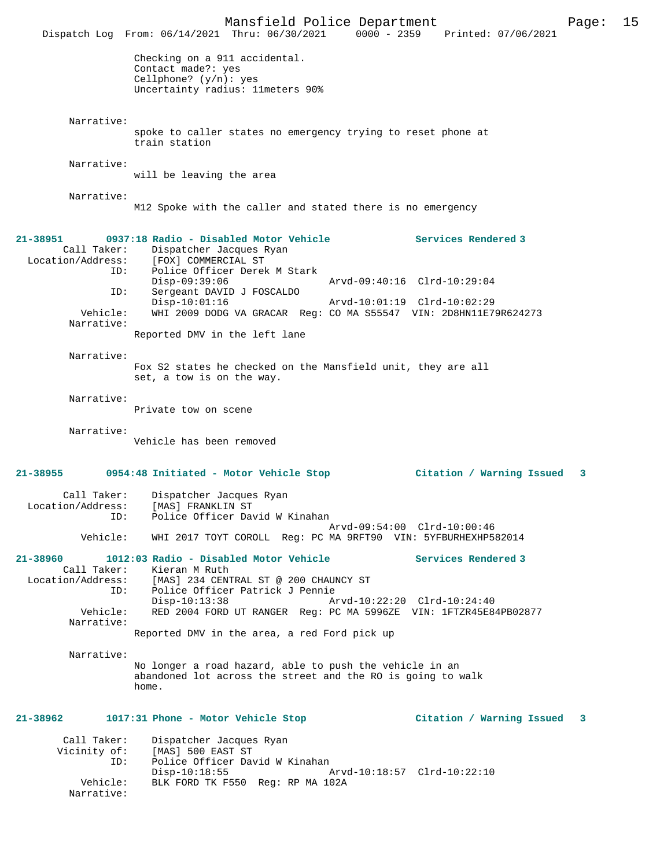|                                                         | Mansfield Police Department<br>Dispatch Log From: 06/14/2021 Thru: 06/30/2021                                                                                                                                                                | 0000 - 2359 Printed: 07/06/2021                    | Page: | 15 |
|---------------------------------------------------------|----------------------------------------------------------------------------------------------------------------------------------------------------------------------------------------------------------------------------------------------|----------------------------------------------------|-------|----|
|                                                         | Checking on a 911 accidental.<br>Contact made?: yes<br>Cellphone? $(y/n)$ : yes<br>Uncertainty radius: 11meters 90%                                                                                                                          |                                                    |       |    |
| Narrative:                                              | spoke to caller states no emergency trying to reset phone at<br>train station                                                                                                                                                                |                                                    |       |    |
| Narrative:                                              | will be leaving the area                                                                                                                                                                                                                     |                                                    |       |    |
| Narrative:                                              | M12 Spoke with the caller and stated there is no emergency                                                                                                                                                                                   |                                                    |       |    |
| $21 - 38951$<br>Call Taker:<br>Location/Address:<br>ID: | 0937:18 Radio - Disabled Motor Vehicle<br>Dispatcher Jacques Ryan<br>[FOX] COMMERCIAL ST<br>Police Officer Derek M Stark                                                                                                                     | Services Rendered 3                                |       |    |
| ID:                                                     | $Disp-09:39:06$<br>Sergeant DAVID J FOSCALDO                                                                                                                                                                                                 | Arvd-09:40:16 Clrd-10:29:04                        |       |    |
| Vehicle:<br>Narrative:                                  | $Disp-10:01:16$<br>WHI 2009 DODG VA GRACAR Reg: CO MA S55547 VIN: 2D8HN11E79R624273                                                                                                                                                          | Arvd-10:01:19 Clrd-10:02:29                        |       |    |
| Narrative:                                              | Reported DMV in the left lane<br>Fox S2 states he checked on the Mansfield unit, they are all                                                                                                                                                |                                                    |       |    |
|                                                         | set, a tow is on the way.                                                                                                                                                                                                                    |                                                    |       |    |
| Narrative:                                              | Private tow on scene                                                                                                                                                                                                                         |                                                    |       |    |
| Narrative:                                              | Vehicle has been removed                                                                                                                                                                                                                     |                                                    |       |    |
| 21-38955                                                | 0954:48 Initiated - Motor Vehicle Stop                                                                                                                                                                                                       | Citation / Warning Issued                          | 3     |    |
| Call Taker:<br>ID:                                      | Dispatcher Jacques Ryan<br>Location/Address: [MAS] FRANKLIN ST<br>Police Officer David W Kinahan                                                                                                                                             | Arvd-09:54:00 Clrd-10:00:46                        |       |    |
| Vehicle:                                                | WHI 2017 TOYT COROLL Reg: PC MA 9RFT90 VIN: 5YFBURHEXHP582014                                                                                                                                                                                |                                                    |       |    |
| 21-38960<br>Call Taker:<br>ID:<br>Vehicle:              | 1012:03 Radio - Disabled Motor Vehicle<br>Kieran M Ruth<br>Location/Address: [MAS] 234 CENTRAL ST @ 200 CHAUNCY ST<br>Police Officer Patrick J Pennie<br>$Disp-10:13:38$<br>RED 2004 FORD UT RANGER Req: PC MA 5996ZE VIN: 1FTZR45E84PB02877 | Services Rendered 3<br>Arvd-10:22:20 Clrd-10:24:40 |       |    |
| Narrative:                                              | Reported DMV in the area, a red Ford pick up                                                                                                                                                                                                 |                                                    |       |    |
| Narrative:                                              | No longer a road hazard, able to push the vehicle in an<br>abandoned lot across the street and the RO is going to walk<br>home.                                                                                                              |                                                    |       |    |
| 21-38962                                                | 1017:31 Phone - Motor Vehicle Stop                                                                                                                                                                                                           | Citation / Warning Issued                          | -3    |    |
| Call Taker:<br>Vicinity of:<br>ID:                      | Dispatcher Jacques Ryan<br>[MAS] 500 EAST ST<br>Police Officer David W Kinahan<br>$Disp-10:18:55$                                                                                                                                            | Arvd-10:18:57 Clrd-10:22:10                        |       |    |
| Vehicle:<br>Narrative:                                  | BLK FORD TK F550 Req: RP MA 102A                                                                                                                                                                                                             |                                                    |       |    |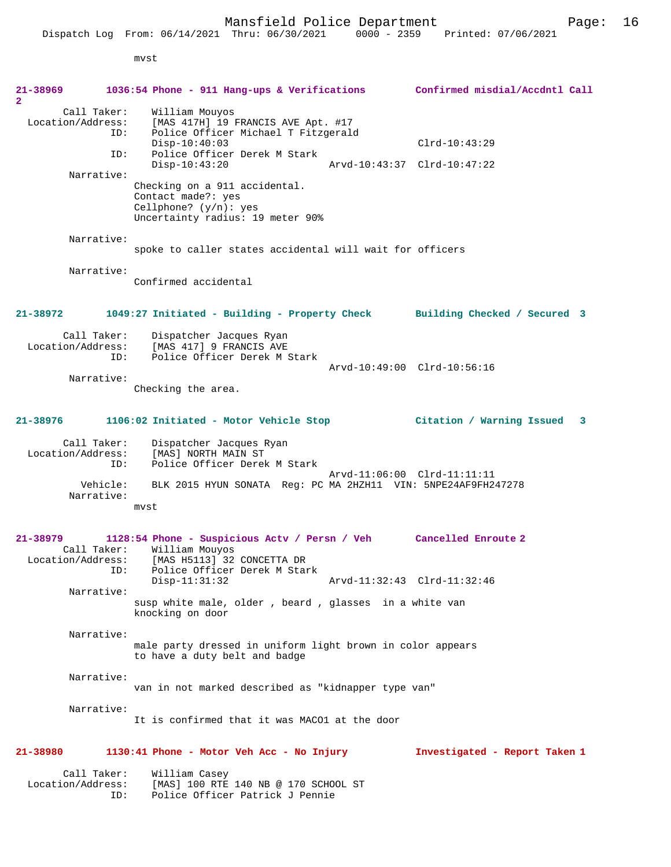Dispatch Log From: 06/14/2021 Thru: 06/30/2021 0000 - 2359 Printed: 07/06/2021

mvst

| 21-38969<br>$\mathbf{2}$                            | 1036:54 Phone - 911 Hang-ups & Verifications Confirmed misdial/Accdntl Call                                                                       |                                |
|-----------------------------------------------------|---------------------------------------------------------------------------------------------------------------------------------------------------|--------------------------------|
| Call Taker:<br>Location/Address:<br>ID:             | William Mouyos<br>[MAS 417H] 19 FRANCIS AVE Apt. #17<br>Police Officer Michael T Fitzgerald<br>$Disp-10:40:03$                                    | $Clrd-10:43:29$                |
| ID:                                                 | Police Officer Derek M Stark<br>$Disp-10:43:20$                                                                                                   | Arvd-10:43:37 Clrd-10:47:22    |
| Narrative:                                          | Checking on a 911 accidental.<br>Contact made?: yes<br>Cellphone? $(y/n): ye$ s<br>Uncertainty radius: 19 meter 90%                               |                                |
| Narrative:                                          | spoke to caller states accidental will wait for officers                                                                                          |                                |
| Narrative:                                          | Confirmed accidental                                                                                                                              |                                |
| 21-38972                                            | 1049:27 Initiated - Building - Property Check Building Checked / Secured 3                                                                        |                                |
| Call Taker:<br>Location/Address:<br>ID:             | Dispatcher Jacques Ryan<br>[MAS 417] 9 FRANCIS AVE<br>Police Officer Derek M Stark                                                                | Arvd-10:49:00 Clrd-10:56:16    |
| Narrative:                                          | Checking the area.                                                                                                                                |                                |
| 21-38976                                            | 1106:02 Initiated - Motor Vehicle Stop                                                                                                            | Citation / Warning Issued<br>3 |
| Call Taker:<br>Location/Address:<br>ID:             | Dispatcher Jacques Ryan<br>[MAS] NORTH MAIN ST<br>Police Officer Derek M Stark                                                                    |                                |
| Vehicle:<br>Narrative:                              | BLK 2015 HYUN SONATA Req: PC MA 2HZH11 VIN: 5NPE24AF9FH247278<br>mvst                                                                             | Arvd-11:06:00 Clrd-11:11:11    |
| 21-38979<br>Call Taker:<br>Location/Address:<br>ID: | 1128:54 Phone - Suspicious Actv / Persn / Veh Cancelled Enroute 2<br>William Mouyos<br>[MAS H5113] 32 CONCETTA DR<br>Police Officer Derek M Stark |                                |
| Narrative:                                          | $Disp-11:31:32$                                                                                                                                   | Arvd-11:32:43 Clrd-11:32:46    |
|                                                     | susp white male, older, beard, glasses in a white van<br>knocking on door                                                                         |                                |
| Narrative:                                          |                                                                                                                                                   |                                |
|                                                     | male party dressed in uniform light brown in color appears<br>to have a duty belt and badge                                                       |                                |
| Narrative:                                          |                                                                                                                                                   |                                |
|                                                     | van in not marked described as "kidnapper type van"                                                                                               |                                |
| Narrative:                                          | It is confirmed that it was MACO1 at the door                                                                                                     |                                |
| 21-38980                                            | 1130:41 Phone - Motor Veh Acc - No Injury                                                                                                         | Investigated - Report Taken 1  |
| Call Taker:<br>Location/Address:<br>ID:             | William Casey<br>[MAS] 100 RTE 140 NB @ 170 SCHOOL ST<br>Police Officer Patrick J Pennie                                                          |                                |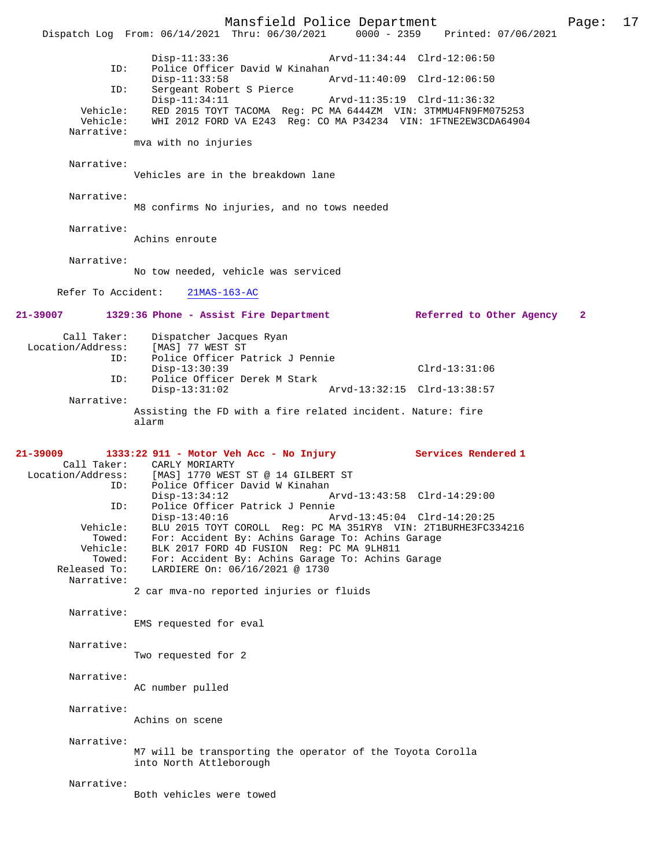Mansfield Police Department Page: 17 Dispatch Log From: 06/14/2021 Thru: 06/30/2021 Disp-11:33:36 Arvd-11:34:44 Clrd-12:06:50 ID: Police Officer David W Kinahan<br>Disp-11:33:58 Disp-11:33:58 Arvd-11:40:09 Clrd-12:06:50<br>TD: Sergeant Robert S Pierce Sergeant Robert S Pierce<br>Disp-11:34:11 Disp-11:34:11 Arvd-11:35:19 Clrd-11:36:32<br>Vehicle: RED 2015 TOYT TACOMA Req: PC MA 6444ZM VIN: 3TMMU4FN9FM0 RED 2015 TOYT TACOMA Reg: PC MA 6444ZM VIN: 3TMMU4FN9FM075253 Vehicle: WHI 2012 FORD VA E243 Reg: CO MA P34234 VIN: 1FTNE2EW3CDA64904 Narrative: mva with no injuries Narrative: Vehicles are in the breakdown lane Narrative: M8 confirms No injuries, and no tows needed Narrative: Achins enroute Narrative: No tow needed, vehicle was serviced Refer To Accident: 21MAS-163-AC **21-39007 1329:36 Phone - Assist Fire Department Referred to Other Agency 2** Call Taker: Dispatcher Jacques Ryan<br>Location/Address: [MAS] 77 WEST ST ess: [MAS] 77 WEST ST<br>ID: Police Officer Pa Police Officer Patrick J Pennie Disp-13:30:39 Clrd-13:31:06<br>ID: Police Officer Derek M Stark Police Officer Derek M Stark<br>Disp-13:31:02 Arvd-13:32:15 Clrd-13:38:57 Narrative: Assisting the FD with a fire related incident. Nature: fire alarm **21-39009 1333:22 911 - Motor Veh Acc - No Injury Services Rendered 1**  Call Taker: CARLY MORIARTY<br>Location/Address: [MAS] 1770 WES: ess: [MAS] 1770 WEST ST @ 14 GILBERT ST<br>ID: Police Officer David W Kinahan Police Officer David W Kinahan<br>Disp-13:34:12 Disp-13:34:12 Arvd-13:43:58 Clrd-14:29:00<br>ID: Police Officer Patrick J Pennie ID: Police Officer Patrick J Pennie Disp-13:40:16 Arvd-13:45:04 Clrd-14:20:25 Vehicle: BLU 2015 TOYT COROLL Reg: PC MA 351RY8 VIN: 2T1BURHE3FC334216 Towed: For: Accident By: Achins Garage To: Achins Garage Vehicle: BLK 2017 FORD 4D FUSION Reg: PC MA 9LH811 Towed: For: Accident By: Achins Garage To: Achins Garage Released To: LARDIERE On: 06/16/2021 @ 1730 Narrative: 2 car mva-no reported injuries or fluids Narrative: EMS requested for eval Narrative: Two requested for 2 Narrative: AC number pulled Narrative: Achins on scene Narrative: M7 will be transporting the operator of the Toyota Corolla into North Attleborough Narrative: Both vehicles were towed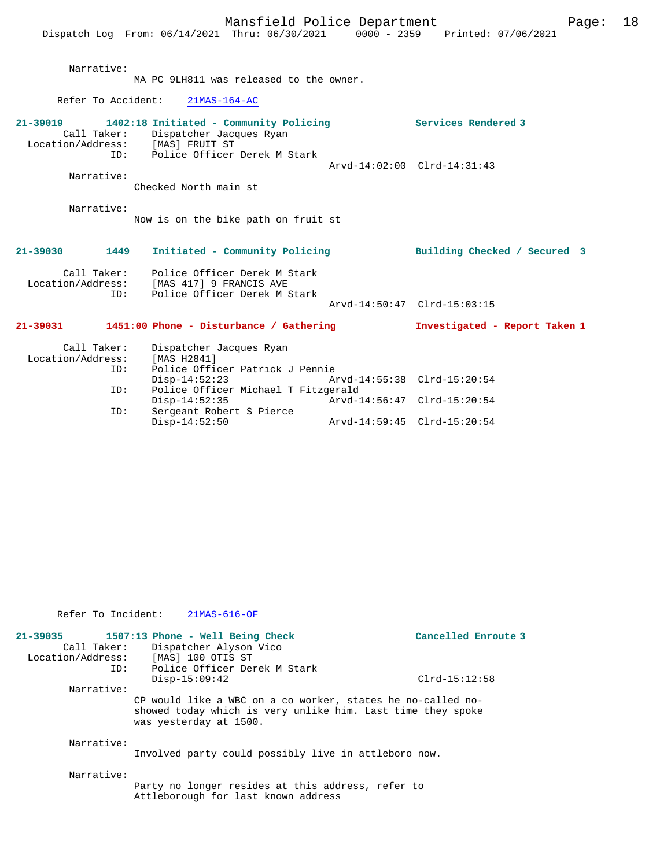Narrative:

MA PC 9LH811 was released to the owner.

Refer To Accident: 21MAS-164-AC

| 21-39019          |            | 1402:18 Initiated - Community Policing |                             | Services Rendered 3 |  |
|-------------------|------------|----------------------------------------|-----------------------------|---------------------|--|
| Call Taker:       |            | Dispatcher Jacques Ryan                |                             |                     |  |
| Location/Address: |            | [MAS] FRUIT ST                         |                             |                     |  |
|                   | ID:        | Police Officer Derek M Stark           |                             |                     |  |
|                   |            |                                        | Arvd-14:02:00 Clrd-14:31:43 |                     |  |
|                   | Narrative: |                                        |                             |                     |  |
|                   |            | Checked North main st                  |                             |                     |  |

 Narrative: Now is on the bike path on fruit st

### **21-39030 1449 Initiated - Community Policing Building Checked / Secured 3**

| Call Taker:<br>Location/Address: | Police Officer Derek M Stark<br>[MAS 417] 9 FRANCIS AVE |                      |
|----------------------------------|---------------------------------------------------------|----------------------|
| TD:                              | Police Officer Derek M Stark                            |                      |
|                                  |                                                         | $\sim$ $\sim$ $\sim$ |

Arvd-14:50:47 Clrd-15:03:15

## **21-39031 1451:00 Phone - Disturbance / Gathering Investigated - Report Taken 1**

| Call Taker:<br>Location/Address:<br>ID: | Dispatcher Jacques Ryan<br>[MAS H2841]<br>Police Officer Patrick J Pennie |                             |  |
|-----------------------------------------|---------------------------------------------------------------------------|-----------------------------|--|
|                                         | $Disp-14:52:23$                                                           | Arvd-14:55:38 Clrd-15:20:54 |  |
| ID:                                     | Police Officer Michael T Fitzgerald                                       |                             |  |
|                                         | $Disp-14:52:35$                                                           | Arvd-14:56:47 Clrd-15:20:54 |  |
| ID:                                     | Sergeant Robert S Pierce                                                  |                             |  |
|                                         | $Disp-14:52:50$                                                           | Arvd-14:59:45 Clrd-15:20:54 |  |

| Refer To Incident: | 21MAS-616-OF                                                                                                                                                 |                     |
|--------------------|--------------------------------------------------------------------------------------------------------------------------------------------------------------|---------------------|
|                    | $21-39035$ 1507:13 Phone - Well Being Check<br>Call Taker: Dispatcher Alyson Vico<br>Location/Address: [MAS] 100 OTIS ST<br>ID: Police Officer Derek M Stark | Cancelled Enroute 3 |
|                    | $Disp-15:09:42$                                                                                                                                              | $Clrd-15:12:58$     |
| Narrative:         | CP would like a WBC on a co worker, states he no-called no-<br>showed today which is very unlike him. Last time they spoke<br>was yesterday at 1500.         |                     |
| Narrative:         | Involved party could possibly live in attleboro now.                                                                                                         |                     |
| Narrative:         | Party no longer resides at this address, refer to<br>Attleborough for last known address                                                                     |                     |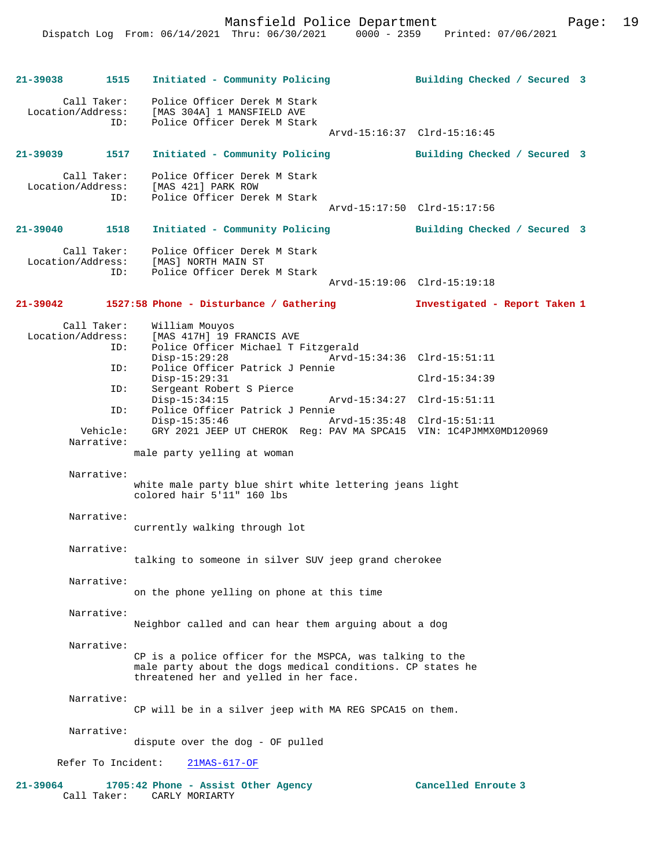**21-39038 1515 Initiated - Community Policing Building Checked / Secured 3** Call Taker: Police Officer Derek M Stark<br>Location/Address: [MAS 304A] 1 MANSFIELD AVE ess: [MAS 304A] 1 MANSFIELD AVE<br>ID: Police Officer Derek M Star Police Officer Derek M Stark Arvd-15:16:37 Clrd-15:16:45 **21-39039 1517 Initiated - Community Policing Building Checked / Secured 3** Call Taker: Police Officer Derek M Stark Location/Address: [MAS 421] PARK ROW<br>ID: Police Officer Dere Police Officer Derek M Stark Arvd-15:17:50 Clrd-15:17:56 **21-39040 1518 Initiated - Community Policing Building Checked / Secured 3** Call Taker: Police Officer Derek M Stark Location/Address: [MAS] NORTH MAIN ST ID: Police Officer Derek M Stark Arvd-15:19:06 Clrd-15:19:18 **21-39042 1527:58 Phone - Disturbance / Gathering Investigated - Report Taken 1** Call Taker: William Mouyos<br>Location/Address: [MAS 417H] 19 : ess: [MAS 417H] 19 FRANCIS AVE<br>ID: Police Officer Michael T I Police Officer Michael T Fitzgerald Disp-15:29:28 Arvd-15:34:36 Clrd-15:51:11<br>ID: Police Officer Patrick J Pennie Police Officer Patrick J Pennie Disp-15:29:31 Clrd-15:34:39<br>TD: Sergeant Robert S Pierce Sergeant Robert S Pierce<br>Disp-15:34:15 Disp-15:34:15 Arvd-15:34:27 Clrd-15:51:11 ID: Police Officer Patrick J Pennie Disp-15:35:46 Arvd-15:35:48 Clrd-15:51:11<br>Vehicle: GRY 2021 JEEP UT CHEROK Req: PAV MA SPCA15 VIN: 1C4PJMMX GRY 2021 JEEP UT CHEROK Reg: PAV MA SPCA15 VIN: 1C4PJMMX0MD120969 Narrative: male party yelling at woman Narrative: white male party blue shirt white lettering jeans light colored hair 5'11" 160 lbs Narrative: currently walking through lot Narrative: talking to someone in silver SUV jeep grand cherokee Narrative: on the phone yelling on phone at this time Narrative: Neighbor called and can hear them arguing about a dog Narrative: CP is a police officer for the MSPCA, was talking to the male party about the dogs medical conditions. CP states he threatened her and yelled in her face. Narrative: CP will be in a silver jeep with MA REG SPCA15 on them. Narrative: dispute over the dog - OF pulled Refer To Incident: 21MAS-617-OF **21-39064 1705:42 Phone - Assist Other Agency Cancelled Enroute 3**  Call Taker: CARLY MORIARTY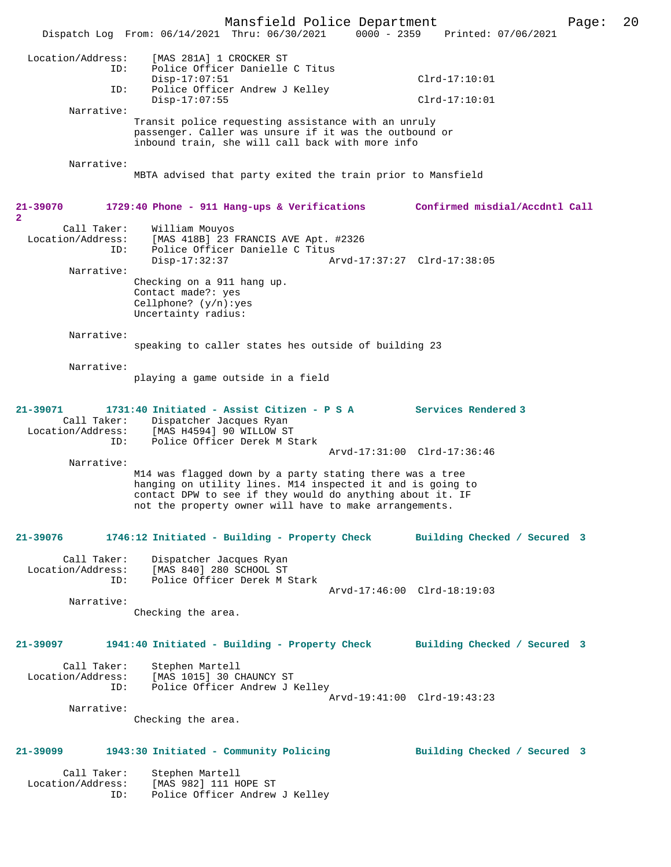|                                                         | Mansfield Police Department<br>Dispatch Log From: 06/14/2021 Thru: 06/30/2021                                                                                                                                                                 | $0000 - 2359$               | Printed: 07/06/2021            | Page: | 20 |
|---------------------------------------------------------|-----------------------------------------------------------------------------------------------------------------------------------------------------------------------------------------------------------------------------------------------|-----------------------------|--------------------------------|-------|----|
|                                                         |                                                                                                                                                                                                                                               |                             |                                |       |    |
| Location/Address:<br>ID:                                | [MAS 281A] 1 CROCKER ST<br>Police Officer Danielle C Titus<br>$Disp-17:07:51$                                                                                                                                                                 |                             | $Clrd-17:10:01$                |       |    |
| ID:                                                     | Police Officer Andrew J Kelley<br>$Disp-17:07:55$                                                                                                                                                                                             |                             | $Clrd-17:10:01$                |       |    |
| Narrative:                                              |                                                                                                                                                                                                                                               |                             |                                |       |    |
|                                                         | Transit police requesting assistance with an unruly<br>passenger. Caller was unsure if it was the outbound or<br>inbound train, she will call back with more info                                                                             |                             |                                |       |    |
| Narrative:                                              | MBTA advised that party exited the train prior to Mansfield                                                                                                                                                                                   |                             |                                |       |    |
| $21 - 39070$<br>$\overline{2}$                          | 1729:40 Phone - 911 Hang-ups & Verifications                                                                                                                                                                                                  |                             | Confirmed misdial/Accdntl Call |       |    |
| Call Taker:<br>Location/Address:<br>ID:                 | William Mouyos<br>[MAS 418B] 23 FRANCIS AVE Apt. #2326<br>Police Officer Danielle C Titus<br>$Disp-17:32:37$                                                                                                                                  | Arvd-17:37:27 Clrd-17:38:05 |                                |       |    |
| Narrative:                                              |                                                                                                                                                                                                                                               |                             |                                |       |    |
|                                                         | Checking on a 911 hang up.<br>Contact made?: yes<br>Cellphone? $(y/n):yes$<br>Uncertainty radius:                                                                                                                                             |                             |                                |       |    |
| Narrative:                                              | speaking to caller states hes outside of building 23                                                                                                                                                                                          |                             |                                |       |    |
| Narrative:                                              |                                                                                                                                                                                                                                               |                             |                                |       |    |
|                                                         | playing a game outside in a field                                                                                                                                                                                                             |                             |                                |       |    |
| $21 - 39071$<br>Call Taker:<br>Location/Address:<br>ID: | 1731:40 Initiated - Assist Citizen - P S A<br>Dispatcher Jacques Ryan<br>[MAS H4594] 90 WILLOW ST<br>Police Officer Derek M Stark                                                                                                             |                             | <b>Services Rendered 3</b>     |       |    |
| Narrative:                                              |                                                                                                                                                                                                                                               | Arvd-17:31:00 Clrd-17:36:46 |                                |       |    |
|                                                         | M14 was flagged down by a party stating there was a tree<br>hanging on utility lines. M14 inspected it and is going to<br>contact DPW to see if they would do anything about it. IF<br>not the property owner will have to make arrangements. |                             |                                |       |    |
| 21-39076                                                | 1746:12 Initiated - Building - Property Check                                                                                                                                                                                                 |                             | Building Checked / Secured 3   |       |    |
| Call Taker:<br>Location/Address:<br>ID:                 | Dispatcher Jacques Ryan<br>[MAS 840] 280 SCHOOL ST<br>Police Officer Derek M Stark                                                                                                                                                            | Arvd-17:46:00 Clrd-18:19:03 |                                |       |    |
| Narrative:                                              |                                                                                                                                                                                                                                               |                             |                                |       |    |
|                                                         | Checking the area.                                                                                                                                                                                                                            |                             |                                |       |    |
| 21-39097                                                | 1941:40 Initiated - Building - Property Check Building Checked / Secured 3                                                                                                                                                                    |                             |                                |       |    |
| Call Taker:<br>Location/Address:<br>ID:                 | Stephen Martell<br>[MAS 1015] 30 CHAUNCY ST<br>Police Officer Andrew J Kelley                                                                                                                                                                 | Arvd-19:41:00 Clrd-19:43:23 |                                |       |    |
| Narrative:                                              | Checking the area.                                                                                                                                                                                                                            |                             |                                |       |    |
|                                                         |                                                                                                                                                                                                                                               |                             |                                |       |    |
| 21-39099                                                | 1943:30 Initiated - Community Policing                                                                                                                                                                                                        |                             | Building Checked / Secured 3   |       |    |
| Call Taker:<br>Location/Address:                        | Stephen Martell<br>[MAS 982] 111 HOPE ST                                                                                                                                                                                                      |                             |                                |       |    |

ID: Police Officer Andrew J Kelley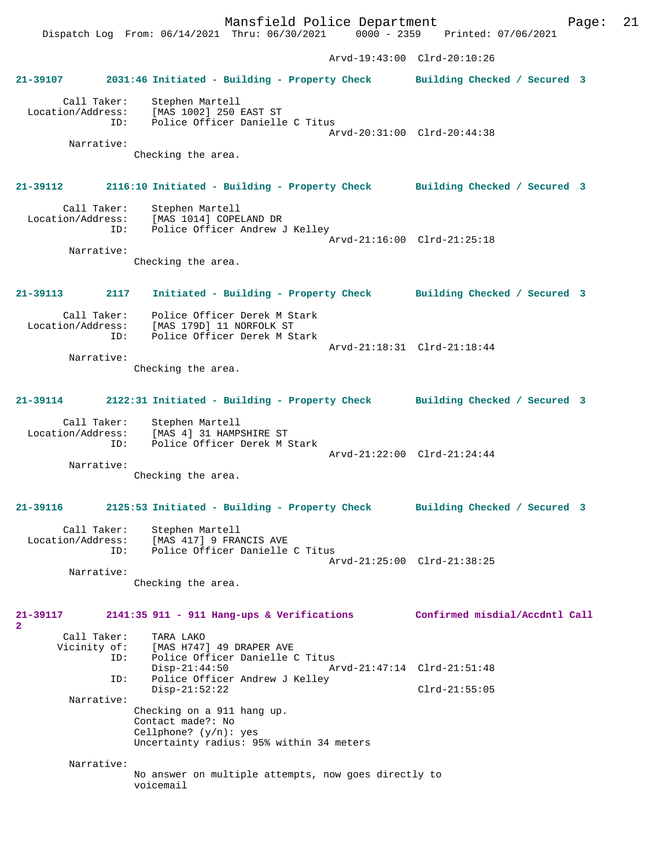Mansfield Police Department Page: 21 Dispatch Log From: 06/14/2021 Thru: 06/30/2021 Arvd-19:43:00 Clrd-20:10:26 **21-39107 2031:46 Initiated - Building - Property Check Building Checked / Secured 3** Call Taker: Stephen Martell Location/Address: [MAS 1002] 250 EAST ST Police Officer Danielle C Titus Arvd-20:31:00 Clrd-20:44:38 Narrative: Checking the area. **21-39112 2116:10 Initiated - Building - Property Check Building Checked / Secured 3** Call Taker: Stephen Martell<br>Location/Address: [MAS 1014] COPEI [MAS 1014] COPELAND DR ID: Police Officer Andrew J Kelley Arvd-21:16:00 Clrd-21:25:18 Narrative: Checking the area. **21-39113 2117 Initiated - Building - Property Check Building Checked / Secured 3** Call Taker: Police Officer Derek M Stark Location/Address: [MAS 179D] 11 NORFOLK ST Police Officer Derek M Stark Arvd-21:18:31 Clrd-21:18:44 Narrative: Checking the area. **21-39114 2122:31 Initiated - Building - Property Check Building Checked / Secured 3** Call Taker: Stephen Martell Location/Address: [MAS 4] 31 HAMPSHIRE ST ID: Police Officer Derek M Stark Arvd-21:22:00 Clrd-21:24:44 Narrative: Checking the area. **21-39116 2125:53 Initiated - Building - Property Check Building Checked / Secured 3** Call Taker: Stephen Martell Location/Address: [MAS 417] 9 FRANCIS AVE ID: Police Officer Danielle C Titus Arvd-21:25:00 Clrd-21:38:25 Narrative: Checking the area. **21-39117 2141:35 911 - 911 Hang-ups & Verifications Confirmed misdial/Accdntl Call 2**  Call Taker: TARA LAKO<br>Vicinity of: [MAS H747 of: [MAS H747] 49 DRAPER AVE<br>ID: Police Officer Danielle ( Police Officer Danielle C Titus<br>Disp-21:44:50 Ar Disp-21:44:50 Arvd-21:47:14 Clrd-21:51:48<br>ID: Police Officer Andrew J Kelley Police Officer Andrew J Kelley Disp-21:52:22 Clrd-21:55:05 Narrative: Checking on a 911 hang up. Contact made?: No Cellphone? (y/n): yes Uncertainty radius: 95% within 34 meters Narrative: No answer on multiple attempts, now goes directly to voicemail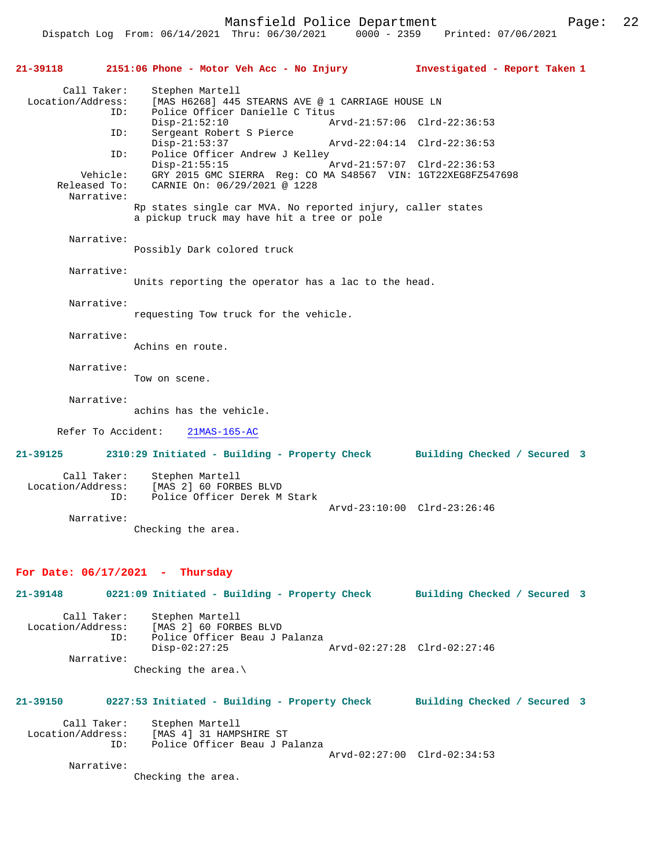Dispatch Log From: 06/14/2021 Thru: 06/30/2021 0000 - 2359 Printed: 07/06/2021

**21-39118 2151:06 Phone - Motor Veh Acc - No Injury Investigated - Report Taken 1** Call Taker: Stephen Martell<br>Location/Address: [MAS H6268] 445 [MAS H6268] 445 STEARNS AVE @ 1 CARRIAGE HOUSE LN ID: Police Officer Danielle C Titus Disp-21:52:10 Arvd-21:57:06 Clrd-22:36:53<br>TD: Sergeant Robert S Pierce Sergeant Robert S Pierce<br>Disp-21:53:37 Disp-21:53:37 Arvd-22:04:14 Clrd-22:36:53<br>ID: Police Officer Andrew J Kelley Police Officer Andrew J Kelley Disp-21:55:15 Arvd-21:57:07 Clrd-22:36:53<br>Vehicle: GRY 2015 GMC SIERRA Req: CO MA S48567 VIN: 1GT22XEG8FZ54 Vehicle: GRY 2015 GMC SIERRA Reg: CO MA S48567 VIN: 1GT22XEG8FZ547698<br>Released To: CARNIE On: 06/29/2021 @ 1228 CARNIE On: 06/29/2021 @ 1228 Narrative: Rp states single car MVA. No reported injury, caller states a pickup truck may have hit a tree or pole Narrative: Possibly Dark colored truck Narrative: Units reporting the operator has a lac to the head. Narrative: requesting Tow truck for the vehicle. Narrative: Achins en route. Narrative: Tow on scene. Narrative: achins has the vehicle. Refer To Accident: 21MAS-165-AC **21-39125 2310:29 Initiated - Building - Property Check Building Checked / Secured 3** Call Taker: Stephen Martell Location/Address: [MAS 2] 60 FORBES BLVD ID: Police Officer Derek M Stark Arvd-23:10:00 Clrd-23:26:46 Narrative: Checking the area. **For Date: 06/17/2021 - Thursday 21-39148 0221:09 Initiated - Building - Property Check Building Checked / Secured 3** Call Taker: Stephen Martell Location/Address: [MAS 2] 60 FORBES BLVD Police Officer Beau J Palanza<br>Disp-02:27:25 Disp-02:27:25 Arvd-02:27:28 Clrd-02:27:46 Narrative: Checking the area.\ **21-39150 0227:53 Initiated - Building - Property Check Building Checked / Secured 3** Call Taker: Stephen Martell<br>Location/Address: [MAS 4] 31 HAMP ess: [MAS 4] 31 HAMPSHIRE ST<br>ID: Police Officer Beau J P ID: Police Officer Beau J Palanza Arvd-02:27:00 Clrd-02:34:53 Narrative: Checking the area.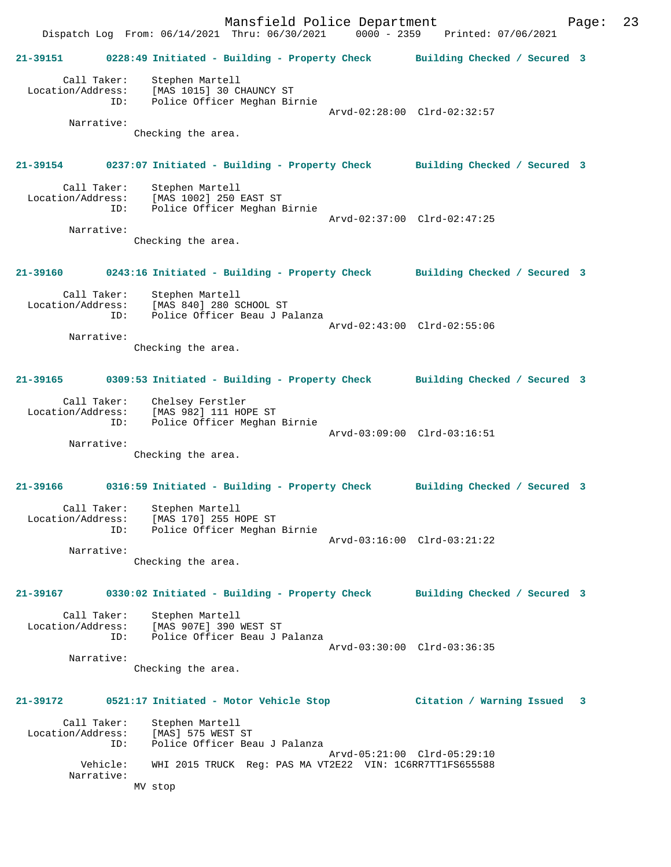Mansfield Police Department Fage: 23 Dispatch Log From: 06/14/2021 Thru: 06/30/2021 0000 - 2359 Printed: 07/06/2021 **21-39151 0228:49 Initiated - Building - Property Check Building Checked / Secured 3** Call Taker: Stephen Martell Location/Address: [MAS 1015] 30 CHAUNCY ST ID: Police Officer Meghan Birnie Arvd-02:28:00 Clrd-02:32:57 Narrative: Checking the area. **21-39154 0237:07 Initiated - Building - Property Check Building Checked / Secured 3** Call Taker: Stephen Martell Location/Address: [MAS 1002] 250 EAST ST ID: Police Officer Meghan Birnie Arvd-02:37:00 Clrd-02:47:25 Narrative: Checking the area. **21-39160 0243:16 Initiated - Building - Property Check Building Checked / Secured 3** Call Taker: Stephen Martell Location/Address: [MAS 840] 280 SCHOOL ST ID: Police Officer Beau J Palanza Arvd-02:43:00 Clrd-02:55:06 Narrative: Checking the area. **21-39165 0309:53 Initiated - Building - Property Check Building Checked / Secured 3** Call Taker: Chelsey Ferstler Location/Address: [MAS 982] 111 HOPE ST ID: Police Officer Meghan Birnie Arvd-03:09:00 Clrd-03:16:51 Narrative: Checking the area. **21-39166 0316:59 Initiated - Building - Property Check Building Checked / Secured 3** Call Taker: Stephen Martell Location/Address: [MAS 170] 255 HOPE ST ID: Police Officer Meghan Birnie Arvd-03:16:00 Clrd-03:21:22 Narrative: Checking the area. **21-39167 0330:02 Initiated - Building - Property Check Building Checked / Secured 3** Call Taker: Stephen Martell Location/Address: [MAS 907E] 390 WEST ST ID: Police Officer Beau J Palanza Arvd-03:30:00 Clrd-03:36:35 Narrative: Checking the area. **21-39172 0521:17 Initiated - Motor Vehicle Stop Citation / Warning Issued 3** Call Taker: Stephen Martell Location/Address: [MAS] 575 WEST ST ID: Police Officer Beau J Palanza Arvd-05:21:00 Clrd-05:29:10 Vehicle: WHI 2015 TRUCK Reg: PAS MA VT2E22 VIN: 1C6RR7TT1FS655588 Narrative: MV stop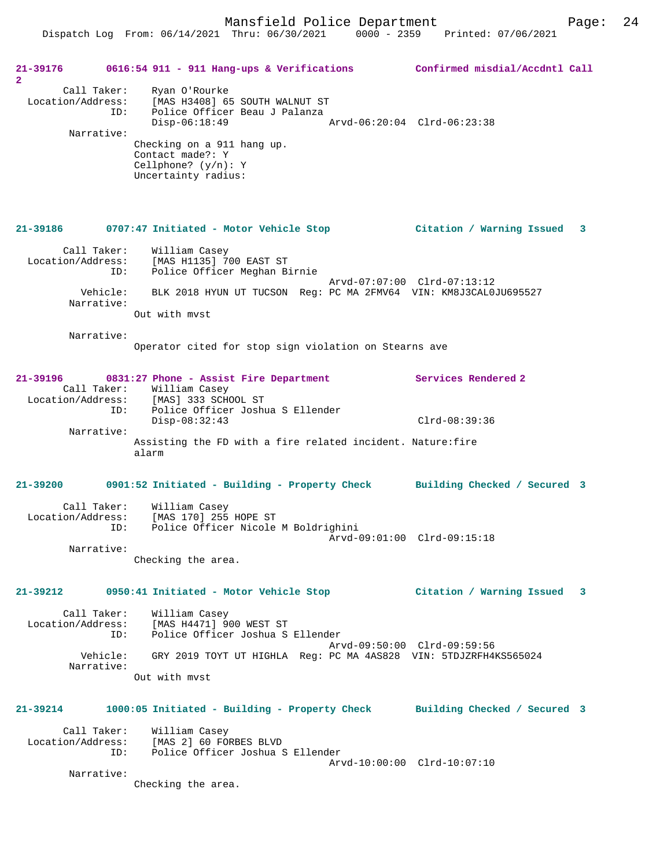Dispatch Log From: 06/14/2021 Thru: 06/30/2021 0000 - 2359 Printed: 07/06/2021

| 21-39176<br>$\overline{2}$                            | 0616:54 911 - 911 Hang-ups & Verifications Confirmed misdial/Accdntl Call                                                                                                                                                            |                             |  |
|-------------------------------------------------------|--------------------------------------------------------------------------------------------------------------------------------------------------------------------------------------------------------------------------------------|-----------------------------|--|
| Call Taker:<br>Location/Address:<br>ID:<br>Narrative: | Ryan O'Rourke<br>[MAS H3408] 65 SOUTH WALNUT ST<br>Police Officer Beau J Palanza<br>$Disp-06:18:49$<br>Arvd-06:20:04 Clrd-06:23:38<br>Checking on a 911 hang up.<br>Contact made?: Y<br>Cellphone? $(y/n): Y$<br>Uncertainty radius: |                             |  |
|                                                       | 21-39186 0707:47 Initiated - Motor Vehicle Stop  (Citation / Warning Issued 3                                                                                                                                                        |                             |  |
| ID:                                                   | Call Taker: William Casey<br>Location/Address: [MAS H1135] 700 EAST ST<br>Police Officer Meghan Birnie                                                                                                                               |                             |  |
| Narrative:                                            | Vehicle: BLK 2018 HYUN UT TUCSON Req: PC MA 2FMV64 VIN: KM8J3CAL0JU695527<br>Out with myst                                                                                                                                           | Arvd-07:07:00 Clrd-07:13:12 |  |
| Narrative:                                            | Operator cited for stop sign violation on Stearns ave                                                                                                                                                                                |                             |  |
| 21-39196                                              | 0831:27 Phone - Assist Fire Department                                                                                                                                                                                               | Services Rendered 2         |  |
| ID:<br>Narrative:                                     | Call Taker: William Casey<br>Location/Address: [MAS] 333 SCHOOL ST<br>Police Officer Joshua S Ellender<br>$Disp-08:32:43$                                                                                                            | $Clrd-08:39:36$             |  |
|                                                       | Assisting the FD with a fire related incident. Nature: fire<br>alarm                                                                                                                                                                 |                             |  |
|                                                       | 21-39200 0901:52 Initiated - Building - Property Check Building Checked / Secured 3                                                                                                                                                  |                             |  |
| Call Taker:<br>ID:                                    | William Casey<br>Location/Address: [MAS 170] 255 HOPE ST<br>Police Officer Nicole M Boldrighini                                                                                                                                      | Arvd-09:01:00 Clrd-09:15:18 |  |
| Narrative:                                            | Checking the area.                                                                                                                                                                                                                   |                             |  |
| 21-39212                                              | 0950:41 Initiated - Motor Vehicle Stop                                                                                                                                                                                               | Citation / Warning Issued 3 |  |
| Call Taker:<br>Location/Address:<br>ID:               | William Casey<br>[MAS H4471] 900 WEST ST<br>Police Officer Joshua S Ellender                                                                                                                                                         | Arvd-09:50:00 Clrd-09:59:56 |  |
| Narrative:                                            | Vehicle: GRY 2019 TOYT UT HIGHLA Req: PC MA 4AS828 VIN: 5TDJZRFH4KS565024                                                                                                                                                            |                             |  |
|                                                       | Out with myst                                                                                                                                                                                                                        |                             |  |
| 21-39214                                              | 1000:05 Initiated - Building - Property Check Building Checked / Secured 3                                                                                                                                                           |                             |  |
| Call Taker:<br>Location/Address:<br>ID:               | William Casey<br>[MAS 2] 60 FORBES BLVD<br>Police Officer Joshua S Ellender                                                                                                                                                          |                             |  |
| Narrative:                                            | Checking the area.                                                                                                                                                                                                                   | Arvd-10:00:00 Clrd-10:07:10 |  |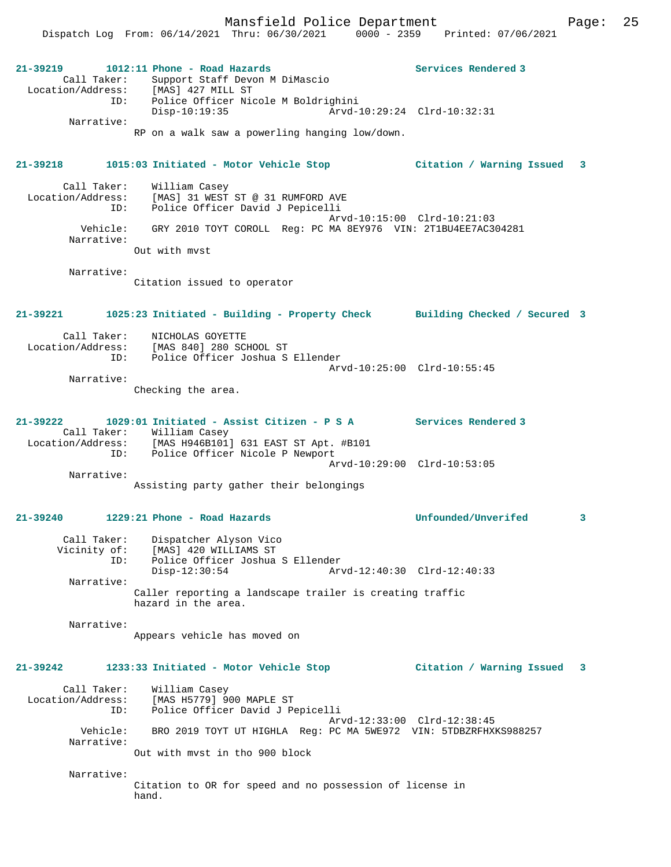Mansfield Police Department Fage: 25

|                                              | Dispatch Log From: 06/14/2021 Thru: 06/30/2021                                                                                                                                                                                               | $0000 - 2359$ Printed: $07/06/2021$                |   |
|----------------------------------------------|----------------------------------------------------------------------------------------------------------------------------------------------------------------------------------------------------------------------------------------------|----------------------------------------------------|---|
| 21-39219<br>Call Taker:<br>ID:<br>Narrative: | $1012:11$ Phone - Road Hazards<br>Support Staff Devon M DiMascio<br>Location/Address: [MAS] 427 MILL ST<br>ID: Police Officer Ni<br>Police Officer Nicole M Boldrighini<br>$Disp-10:19:35$<br>RP on a walk saw a powerling hanging low/down. | Services Rendered 3<br>Arvd-10:29:24 Clrd-10:32:31 |   |
|                                              |                                                                                                                                                                                                                                              |                                                    |   |
| 21-39218                                     | 1015:03 Initiated - Motor Vehicle Stop                                                                                                                                                                                                       | Citation / Warning Issued                          | 3 |
| Call Taker:<br>Location/Address:<br>ID:      | William Casey<br>[MAS] 31 WEST ST @ 31 RUMFORD AVE<br>Police Officer David J Pepicelli                                                                                                                                                       | Arvd-10:15:00 Clrd-10:21:03                        |   |
| Vehicle:<br>Narrative:                       | GRY 2010 TOYT COROLL Reg: PC MA 8EY976 VIN: 2T1BU4EE7AC304281                                                                                                                                                                                |                                                    |   |
|                                              | Out with myst                                                                                                                                                                                                                                |                                                    |   |
| Narrative:                                   | Citation issued to operator                                                                                                                                                                                                                  |                                                    |   |
| 21-39221                                     | 1025:23 Initiated - Building - Property Check Building Checked / Secured 3                                                                                                                                                                   |                                                    |   |
| Call Taker:<br>ID:                           | NICHOLAS GOYETTE<br>Location/Address: [MAS 840] 280 SCHOOL ST<br>Police Officer Joshua S Ellender                                                                                                                                            |                                                    |   |
| Narrative:                                   | Checking the area.                                                                                                                                                                                                                           | Arvd-10:25:00 Clrd-10:55:45                        |   |
|                                              |                                                                                                                                                                                                                                              |                                                    |   |
| 21-39222                                     | 1029:01 Initiated - Assist Citizen - P S A Services Rendered 3<br>Call Taker: William Casey<br>Location/Address: [MAS H946B101] 631 EAST ST Apt. #B101<br>ID:<br>Police Officer Nicole P Newport                                             |                                                    |   |
| Narrative:                                   |                                                                                                                                                                                                                                              | Arvd-10:29:00 Clrd-10:53:05                        |   |
|                                              | Assisting party gather their belongings                                                                                                                                                                                                      |                                                    |   |
| 21-39240                                     | 1229:21 Phone - Road Hazards                                                                                                                                                                                                                 | Unfounded/Unverifed                                | 3 |
| Call Taker:<br>Vicinity of:<br>ID:           | Dispatcher Alyson Vico<br>[MAS] 420 WILLIAMS ST<br>Police Officer Joshua S Ellender<br>$Disp-12:30:54$                                                                                                                                       | Arvd-12:40:30 Clrd-12:40:33                        |   |
| Narrative:                                   | Caller reporting a landscape trailer is creating traffic<br>hazard in the area.                                                                                                                                                              |                                                    |   |
| Narrative:                                   | Appears vehicle has moved on                                                                                                                                                                                                                 |                                                    |   |
| 21-39242                                     | 1233:33 Initiated - Motor Vehicle Stop                                                                                                                                                                                                       | Citation / Warning Issued                          | 3 |
| Call Taker:<br>Location/Address:<br>ID:      | William Casey<br>[MAS H5779] 900 MAPLE ST<br>Police Officer David J Pepicelli                                                                                                                                                                |                                                    |   |
| Vehicle:<br>Narrative:                       | BRO 2019 TOYT UT HIGHLA Req: PC MA 5WE972 VIN: 5TDBZRFHXKS988257                                                                                                                                                                             | Arvd-12:33:00 Clrd-12:38:45                        |   |
|                                              | Out with myst in tho 900 block                                                                                                                                                                                                               |                                                    |   |
| Narrative:                                   | Citation to OR for speed and no possession of license in<br>hand.                                                                                                                                                                            |                                                    |   |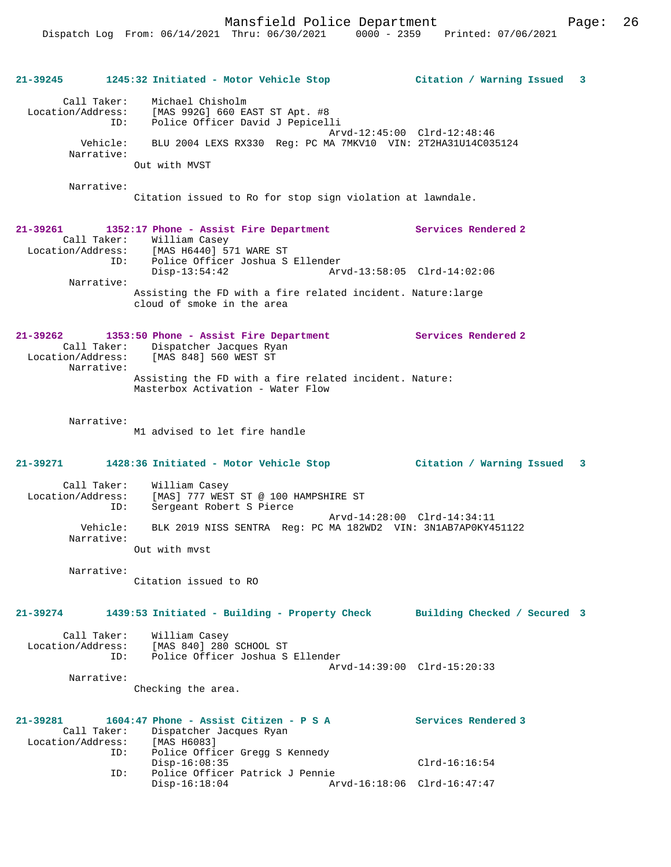Mansfield Police Department Page: 26

| 21-39245                                     | 1245:32 Initiated - Motor Vehicle Stop                                                                                                                                                                       | Citation / Warning Issued 3                                                                  |  |  |  |  |
|----------------------------------------------|--------------------------------------------------------------------------------------------------------------------------------------------------------------------------------------------------------------|----------------------------------------------------------------------------------------------|--|--|--|--|
| Call Taker:<br>Narrative:                    | Michael Chisholm<br>Location/Address: [MAS 992G] 660 EAST ST Apt. #8<br>Police Officer David J Pepicelli<br>ID:<br>Vehicle:<br>BLU 2004 LEXS RX330 Reg: PC MA 7MKV10 VIN: 2T2HA31U14C035124<br>Out with MVST | Arvd-12:45:00 Clrd-12:48:46                                                                  |  |  |  |  |
| Narrative:                                   |                                                                                                                                                                                                              |                                                                                              |  |  |  |  |
|                                              | Citation issued to Ro for stop sign violation at lawndale.                                                                                                                                                   |                                                                                              |  |  |  |  |
| 21-39261                                     | 1352:17 Phone - Assist Fire Department<br>Call Taker: William Casey<br>Location/Address: [MAS H6440] 571 WARE ST<br>Police Officer Joshua S Ellender<br>ID:                                                  | Services Rendered 2                                                                          |  |  |  |  |
| Narrative:                                   | $Disp-13:54:42$                                                                                                                                                                                              | Arvd-13:58:05 Clrd-14:02:06                                                                  |  |  |  |  |
|                                              | Assisting the FD with a fire related incident. Nature: large<br>cloud of smoke in the area                                                                                                                   |                                                                                              |  |  |  |  |
| $21 - 39262$<br>Narrative:                   | 1353:50 Phone - Assist Fire Department<br>Call Taker: Dispatcher Jacques Ryan<br>Location/Address: [MAS 848] 560 WEST ST                                                                                     | Services Rendered 2                                                                          |  |  |  |  |
|                                              | Assisting the FD with a fire related incident. Nature:<br>Masterbox Activation - Water Flow                                                                                                                  |                                                                                              |  |  |  |  |
| Narrative:                                   | M1 advised to let fire handle                                                                                                                                                                                |                                                                                              |  |  |  |  |
| 21-39271                                     | 1428:36 Initiated - Motor Vehicle Stop                                                                                                                                                                       | Citation / Warning Issued 3                                                                  |  |  |  |  |
| Call Taker:<br>Location/Address:             | William Casey<br>[MAS] 777 WEST ST @ 100 HAMPSHIRE ST<br>Sergeant Robert S Pierce<br>ID:                                                                                                                     |                                                                                              |  |  |  |  |
| Narrative:                                   | Vehicle:                                                                                                                                                                                                     | Arvd-14:28:00 Clrd-14:34:11<br>BLK 2019 NISS SENTRA Req: PC MA 182WD2 VIN: 3N1AB7AP0KY451122 |  |  |  |  |
|                                              | Out with myst                                                                                                                                                                                                |                                                                                              |  |  |  |  |
| Narrative:                                   | Citation issued to RO                                                                                                                                                                                        |                                                                                              |  |  |  |  |
| 21-39274                                     | 1439:53 Initiated - Building - Property Check                                                                                                                                                                | Building Checked / Secured 3                                                                 |  |  |  |  |
| Call Taker:<br>Location/Address:             | William Casey<br>[MAS 840] 280 SCHOOL ST<br>Police Officer Joshua S Ellender<br>ID:                                                                                                                          |                                                                                              |  |  |  |  |
| Narrative:                                   | Checking the area.                                                                                                                                                                                           | Arvd-14:39:00 Clrd-15:20:33                                                                  |  |  |  |  |
| 21-39281<br>Call Taker:<br>Location/Address: | 1604:47 Phone - Assist Citizen - P S A<br>Dispatcher Jacques Ryan<br>[MAS H6083]                                                                                                                             | Services Rendered 3                                                                          |  |  |  |  |
|                                              | Police Officer Gregg S Kennedy<br>ID:<br>$Disp-16:08:35$                                                                                                                                                     | $Clrd-16:16:54$                                                                              |  |  |  |  |
|                                              | Police Officer Patrick J Pennie<br>ID:<br>$Disp-16:18:04$                                                                                                                                                    | Arvd-16:18:06 Clrd-16:47:47                                                                  |  |  |  |  |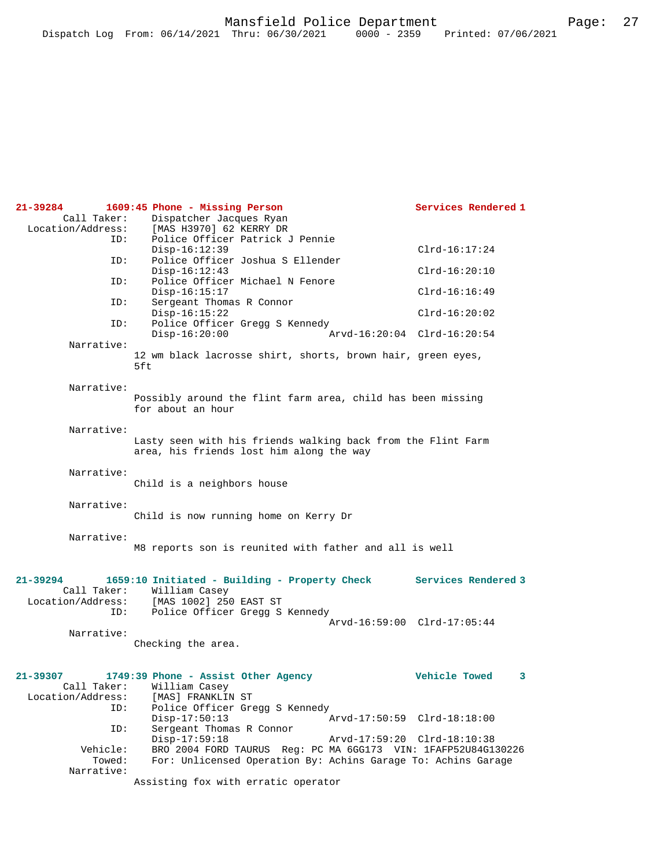| 21-39284          | 1609:45 Phone - Missing Person                                                                           | Services Rendered 1         |
|-------------------|----------------------------------------------------------------------------------------------------------|-----------------------------|
| Call Taker:       | Dispatcher Jacques Ryan                                                                                  |                             |
| Location/Address: | [MAS H3970] 62 KERRY DR                                                                                  |                             |
| ID:               | Police Officer Patrick J Pennie                                                                          |                             |
|                   | $Disp-16:12:39$                                                                                          | $Clrd-16:17:24$             |
| ID:               | Police Officer Joshua S Ellender                                                                         |                             |
|                   | $Disp-16:12:43$                                                                                          | $Clrd-16:20:10$             |
| ID:               | Police Officer Michael N Fenore                                                                          |                             |
|                   | $Disp-16:15:17$                                                                                          | $Clrd-16:16:49$             |
| ID:               | Sergeant Thomas R Connor<br>$Disp-16:15:22$                                                              | $Clrd-16:20:02$             |
| ID:               | Police Officer Gregg S Kennedy                                                                           |                             |
|                   | $Disp-16:20:00$                                                                                          | Arvd-16:20:04 Clrd-16:20:54 |
| Narrative:        |                                                                                                          |                             |
|                   | 12 wm black lacrosse shirt, shorts, brown hair, green eyes,<br>5ft                                       |                             |
| Narrative:        |                                                                                                          |                             |
|                   | Possibly around the flint farm area, child has been missing<br>for about an hour                         |                             |
| Narrative:        |                                                                                                          |                             |
|                   | Lasty seen with his friends walking back from the Flint Farm<br>area, his friends lost him along the way |                             |
| Narrative:        |                                                                                                          |                             |
|                   | Child is a neighbors house                                                                               |                             |
|                   |                                                                                                          |                             |
| Narrative:        |                                                                                                          |                             |
|                   | Child is now running home on Kerry Dr                                                                    |                             |
|                   |                                                                                                          |                             |
| Narrative:        |                                                                                                          |                             |
|                   | M8 reports son is reunited with father and all is well                                                   |                             |
|                   |                                                                                                          |                             |
| 21-39294          | 1659:10 Initiated - Building - Property Check                                                            | Services Rendered 3         |
| Call Taker:       | William Casey                                                                                            |                             |
|                   | Location/Address: [MAS 1002] 250 EAST ST                                                                 |                             |
| ID:               | Police Officer Gregg S Kennedy                                                                           |                             |
|                   |                                                                                                          | Arvd-16:59:00 Clrd-17:05:44 |
| Narrative:        |                                                                                                          |                             |
|                   | Checking the area.                                                                                       |                             |
|                   |                                                                                                          |                             |
| 21-39307          | 1749:39 Phone - Assist Other Agency                                                                      | Vehicle Towed<br>3          |
| Call Taker:       | William Casey                                                                                            |                             |
| Location/Address: | [MAS] FRANKLIN ST                                                                                        |                             |
| ID:               | Police Officer Gregg S Kennedy                                                                           |                             |
| ID:               | $Disp-17:50:13$<br>Sergeant Thomas R Connor                                                              | Arvd-17:50:59 Clrd-18:18:00 |
|                   | $Disp-17:59:18$                                                                                          | Arvd-17:59:20 Clrd-18:10:38 |
| Vehicle:          | BRO 2004 FORD TAURUS Req: PC MA 6GG173 VIN: 1FAFP52U84G130226                                            |                             |
| Towed:            | For: Unlicensed Operation By: Achins Garage To: Achins Garage                                            |                             |
| Narrative:        |                                                                                                          |                             |
|                   | Assisting fox with erratic operator                                                                      |                             |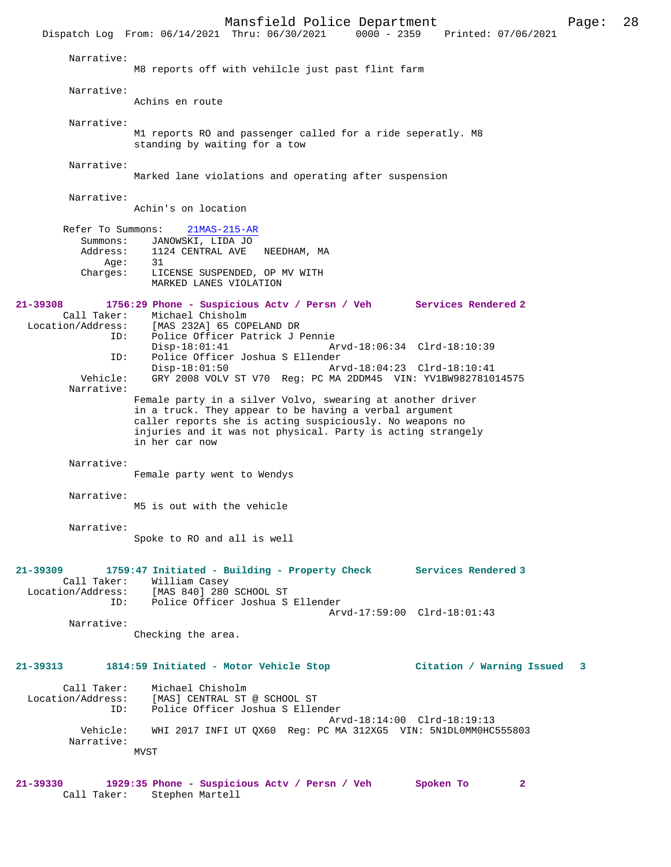Mansfield Police Department Page: 28 Dispatch Log From: 06/14/2021 Thru: 06/30/2021 Narrative: M8 reports off with vehilcle just past flint farm Narrative: Achins en route Narrative: M1 reports RO and passenger called for a ride seperatly. M8 standing by waiting for a tow Narrative: Marked lane violations and operating after suspension Narrative: Achin's on location Refer To Summons: 21MAS-215-AR Summons: JANOWSKI, LIDA JO<br>Address: 1124 CENTRAL AVE 1124 CENTRAL AVE NEEDHAM, MA<br>31  $Age:$  Charges: LICENSE SUSPENDED, OP MV WITH MARKED LANES VIOLATION **21-39308 1756:29 Phone - Suspicious Actv / Persn / Veh Services Rendered 2**  Call Taker: Michael Chisholm<br>Location/Address: [MAS 232A] 65 CO [MAS 232A] 65 COPELAND DR ID: Police Officer Patrick J Pennie Disp-18:01:41 Arvd-18:06:34 Clrd-18:10:39<br>ID: Police Officer Joshua S Ellender ID: Police Officer Joshua S Ellender Disp-18:01:50 Arvd-18:04:23 Clrd-18:10:41 Vehicle: GRY 2008 VOLV ST V70 Reg: PC MA 2DDM45 VIN: YV1BW982781014575 Narrative: Female party in a silver Volvo, swearing at another driver in a truck. They appear to be having a verbal argument caller reports she is acting suspiciously. No weapons no injuries and it was not physical. Party is acting strangely in her car now Narrative: Female party went to Wendys Narrative: M5 is out with the vehicle Narrative: Spoke to RO and all is well **21-39309 1759:47 Initiated - Building - Property Check Services Rendered 3**  Call Taker: William Casey<br>Location/Address: [MAS 840] 280 Location/Address: [MAS 840] 280 SCHOOL ST ID: Police Officer Joshua S Ellender Arvd-17:59:00 Clrd-18:01:43 Narrative: Checking the area. **21-39313 1814:59 Initiated - Motor Vehicle Stop Citation / Warning Issued 3** Call Taker: Michael Chisholm<br>Location/Address: [MAS] CENTRAL ST Exation: INAS] CENTRAL ST @ SCHOOL ST<br>ID: Police Officer Joshua S Eller Police Officer Joshua S Ellender Arvd-18:14:00 Clrd-18:19:13 Vehicle: WHI 2017 INFI UT QX60 Reg: PC MA 312XG5 VIN: 5N1DL0MM0HC555803 Narrative: MVST

**21-39330 1929:35 Phone - Suspicious Actv / Persn / Veh Spoken To 2**  Call Taker: Stephen Martell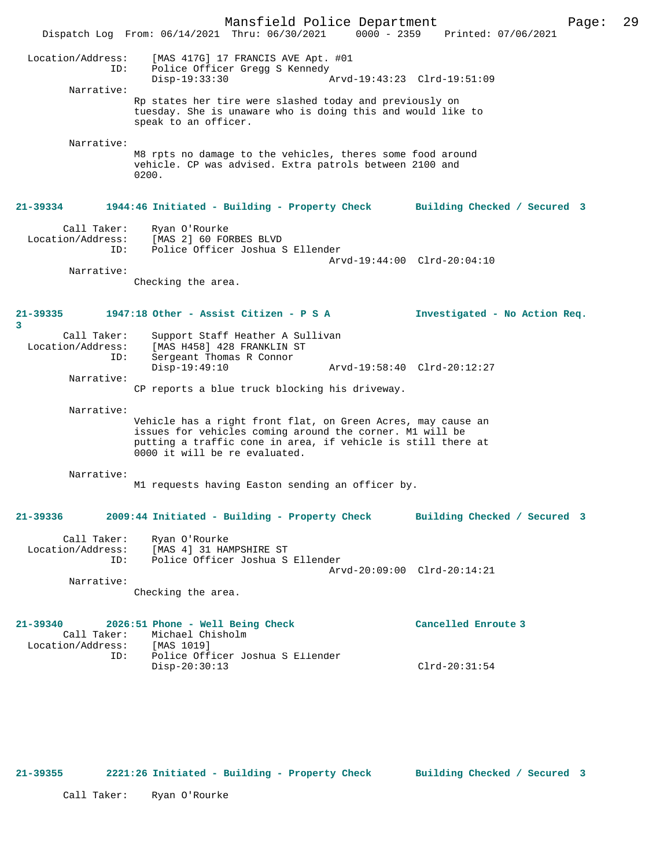Mansfield Police Department Page: 29 Dispatch Log From:  $06/14/2021$  Thru:  $06/30/2021$  0000 - 2359 Location/Address: [MAS 417G] 17 FRANCIS AVE Apt. #01 ID: Police Officer Gregg S Kennedy Disp-19:33:30 Arvd-19:43:23 Clrd-19:51:09 Narrative: Rp states her tire were slashed today and previously on tuesday. She is unaware who is doing this and would like to speak to an officer. Narrative: M8 rpts no damage to the vehicles, theres some food around vehicle. CP was advised. Extra patrols between 2100 and 0200. **21-39334 1944:46 Initiated - Building - Property Check Building Checked / Secured 3** Call Taker: Ryan O'Rourke Location/Address: [MAS 2] 60 FORBES BLVD Police Officer Joshua S Ellender Arvd-19:44:00 Clrd-20:04:10 Narrative: Checking the area. **21-39335 1947:18 Other - Assist Citizen - P S A Investigated - No Action Req. 3**  Call Taker: Support Staff Heather A Sullivan<br>Location/Address: [MAS H458] 428 FRANKLIN ST Location/Address: [MAS H458] 428 FRANKLIN ST ID: Sergeant Thomas R Connor Disp-19:49:10 Arvd-19:58:40 Clrd-20:12:27 Narrative: CP reports a blue truck blocking his driveway. Narrative: Vehicle has a right front flat, on Green Acres, may cause an issues for vehicles coming around the corner. M1 will be putting a traffic cone in area, if vehicle is still there at 0000 it will be re evaluated. Narrative: M1 requests having Easton sending an officer by. **21-39336 2009:44 Initiated - Building - Property Check Building Checked / Secured 3** Call Taker: Ryan O'Rourke<br>Location/Address: [MAS 4] 31 HAP Location/Address: [MAS 4] 31 HAMPSHIRE ST ID: Police Officer Joshua S Ellender Arvd-20:09:00 Clrd-20:14:21 Narrative: Checking the area. **21-39340 2026:51 Phone - Well Being Check Cancelled Enroute 3**  Call Taker: Michael Chisholm<br>ion/Address: [MAS 1019] Location/Address: ID: Police Officer Joshua S Ellender Disp-20:30:13 Clrd-20:31:54

**21-39355 2221:26 Initiated - Building - Property Check Building Checked / Secured 3**

Call Taker: Ryan O'Rourke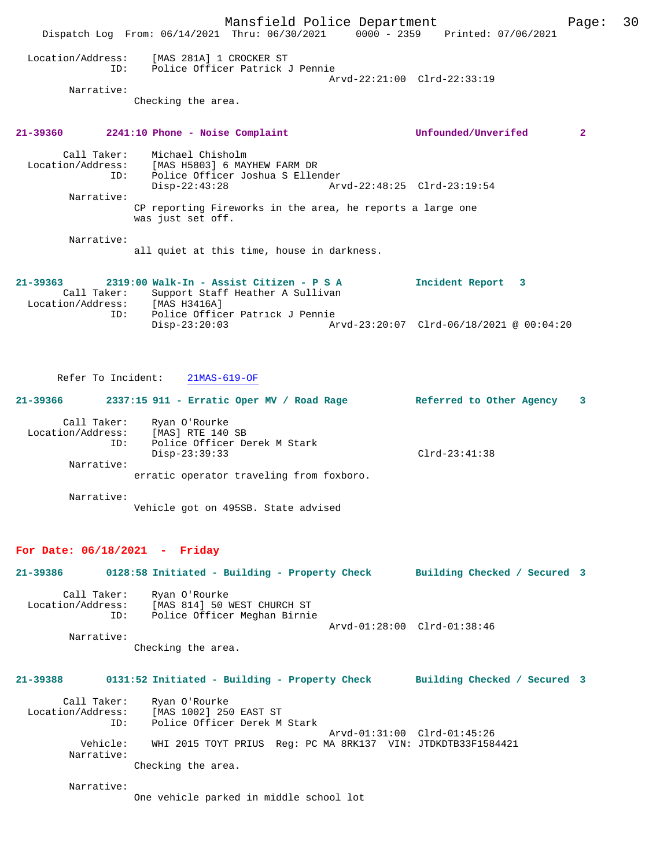Mansfield Police Department Page: 30 Dispatch Log From: 06/14/2021 Thru: 06/30/2021 0000 - 2359 Printed: 07/06/2021 Location/Address: [MAS 281A] 1 CROCKER ST<br>TD: Police Officer Patrick ID: Police Officer Patrick J Pennie Arvd-22:21:00 Clrd-22:33:19 Narrative: Checking the area. **21-39360 2241:10 Phone - Noise Complaint Unfounded/Unverifed 2** Call Taker: Michael Chisholm Location/Address: [MAS H5803] 6 MAYHEW FARM DR ID: Police Officer Joshua S Ellender Disp-22:43:28 Arvd-22:48:25 Clrd-23:19:54 Narrative: CP reporting Fireworks in the area, he reports a large one was just set off. Narrative: all quiet at this time, house in darkness.

**21-39363 2319:00 Walk-In - Assist Citizen - P S A Incident Report 3**  Call Taker: Support Staff Heather A Sullivan<br>:ion/Address: [MAS H3416A] Location/Address: ID: Police Officer Patrick J Pennie Disp-23:20:03 Arvd-23:20:07 Clrd-06/18/2021 @ 00:04:20

Refer To Incident: 21MAS-619-OF

| 21-39366          | 2337:15 911 - Erratic Oper MV / Road Rage | Referred to Other Agency<br>-3 |  |
|-------------------|-------------------------------------------|--------------------------------|--|
| Call Taker:       | Ryan O'Rourke                             |                                |  |
| Location/Address: | [MAS] RTE 140 SB                          |                                |  |
| ID:               | Police Officer Derek M Stark              |                                |  |
|                   | Disp-23:39:33                             | $Clrd-23:41:38$                |  |
| Narrative:        |                                           |                                |  |
|                   | erratic operator traveling from foxboro.  |                                |  |

 Narrative: Vehicle got on 495SB. State advised

#### **For Date: 06/18/2021 - Friday**

| 21-39386                         |     | 0128:58 Initiated - Building - Property Check | Building Checked / Secured 3 |  |
|----------------------------------|-----|-----------------------------------------------|------------------------------|--|
| Call Taker:<br>Location/Address: |     | Ryan O'Rourke<br>[MAS 814] 50 WEST CHURCH ST  |                              |  |
|                                  | ID: | Police Officer Meghan Birnie                  |                              |  |
|                                  |     |                                               | Arvd-01:28:00 Clrd-01:38:46  |  |
| Narrative:                       |     |                                               |                              |  |

Checking the area.

# **21-39388 0131:52 Initiated - Building - Property Check Building Checked / Secured 3**

 Call Taker: Ryan O'Rourke Location/Address: [MAS 1002] 250 EAST ST ID: Police Officer Derek M Stark Arvd-01:31:00 Clrd-01:45:26 Vehicle: WHI 2015 TOYT PRIUS Reg: PC MA 8RK137 VIN: JTDKDTB33F1584421 Narrative: Checking the area.

Narrative:

One vehicle parked in middle school lot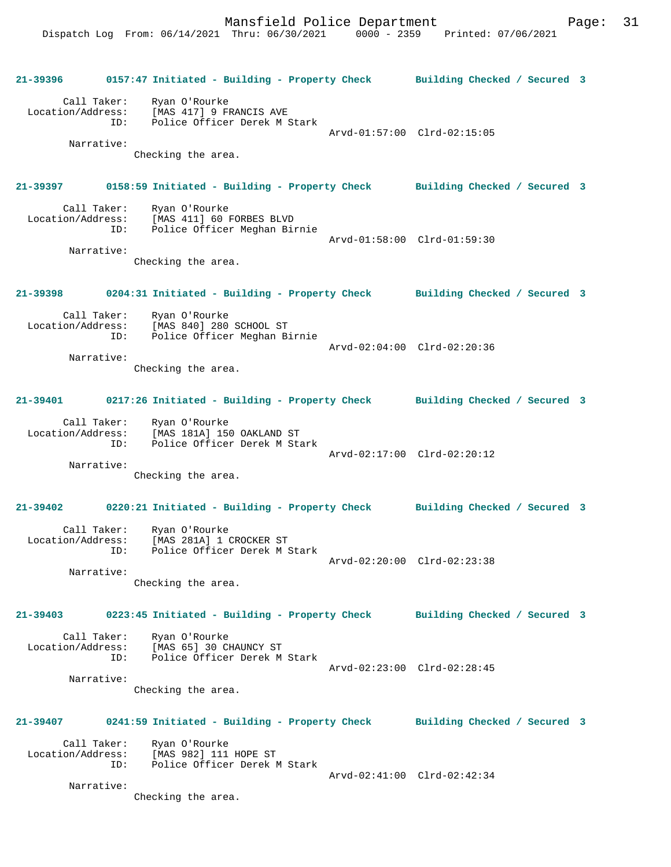**21-39396 0157:47 Initiated - Building - Property Check Building Checked / Secured 3** Call Taker: Ryan O'Rourke Location/Address: [MAS 417] 9 FRANCIS AVE ID: Police Officer Derek M Stark Arvd-01:57:00 Clrd-02:15:05 Narrative: Checking the area. **21-39397 0158:59 Initiated - Building - Property Check Building Checked / Secured 3** Call Taker: Ryan O'Rourke<br>Location/Address: [MAS 411] 60 B [MAS 411] 60 FORBES BLVD ID: Police Officer Meghan Birnie Arvd-01:58:00 Clrd-01:59:30 Narrative: Checking the area. **21-39398 0204:31 Initiated - Building - Property Check Building Checked / Secured 3** Call Taker: Ryan O'Rourke Location/Address: [MAS 840] 280 SCHOOL ST ID: Police Officer Meghan Birnie Arvd-02:04:00 Clrd-02:20:36 Narrative: Checking the area. **21-39401 0217:26 Initiated - Building - Property Check Building Checked / Secured 3** Call Taker: Ryan O'Rourke Location/Address: [MAS 181A] 150 OAKLAND ST ID: Police Officer Derek M Stark Arvd-02:17:00 Clrd-02:20:12 Narrative: Checking the area. **21-39402 0220:21 Initiated - Building - Property Check Building Checked / Secured 3** Call Taker: Ryan O'Rourke Location/Address: [MAS 281A] 1 CROCKER ST ID: Police Officer Derek M Stark Arvd-02:20:00 Clrd-02:23:38 Narrative: Checking the area. **21-39403 0223:45 Initiated - Building - Property Check Building Checked / Secured 3** Call Taker: Ryan O'Rourke Location/Address: [MAS 65] 30 CHAUNCY ST Id: Police Officer Derek M Stark Arvd-02:23:00 Clrd-02:28:45 Narrative: Checking the area. **21-39407 0241:59 Initiated - Building - Property Check Building Checked / Secured 3** Call Taker: Ryan O'Rourke Location/Address: [MAS 982] 111 HOPE ST ID: Police Officer Derek M Stark Arvd-02:41:00 Clrd-02:42:34 Narrative: Checking the area.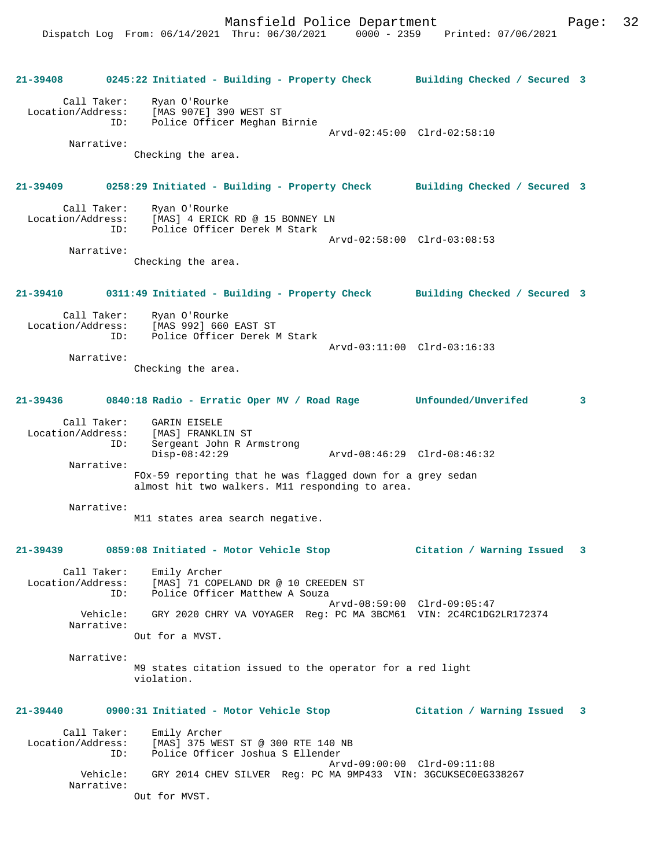**21-39408 0245:22 Initiated - Building - Property Check Building Checked / Secured 3** Call Taker: Ryan O'Rourke Location/Address: [MAS 907E] 390 WEST ST ID: Police Officer Meghan Birnie Arvd-02:45:00 Clrd-02:58:10 Narrative: Checking the area. **21-39409 0258:29 Initiated - Building - Property Check Building Checked / Secured 3** Call Taker: Ryan O'Rourke<br>Location/Address: [MAS] 4 ERICK ess: [MAS] 4 ERICK RD @ 15 BONNEY LN<br>ID: Police Officer Derek M Stark .<br>Police Officer Derek M Stark Arvd-02:58:00 Clrd-03:08:53 Narrative: Checking the area. **21-39410 0311:49 Initiated - Building - Property Check Building Checked / Secured 3** Call Taker: Ryan O'Rourke Location/Address: [MAS 992] 660 EAST ST Police Officer Derek M Stark Arvd-03:11:00 Clrd-03:16:33 Narrative: Checking the area. **21-39436 0840:18 Radio - Erratic Oper MV / Road Rage Unfounded/Unverifed 3** Call Taker: GARIN EISELE Location/Address: [MAS] FRANKLIN ST ID: Sergeant John R Armstrong Disp-08:42:29 Arvd-08:46:29 Clrd-08:46:32 Narrative: FOx-59 reporting that he was flagged down for a grey sedan almost hit two walkers. M11 responding to area. Narrative: M11 states area search negative. **21-39439 0859:08 Initiated - Motor Vehicle Stop Citation / Warning Issued 3** Call Taker: Emily Archer Location/Address: [MAS] 71 COPELAND DR @ 10 CREEDEN ST ESS: ITTL, I COOLD MATTHEW A Souza Arvd-08:59:00 Clrd-09:05:47 Vehicle: GRY 2020 CHRY VA VOYAGER Reg: PC MA 3BCM61 VIN: 2C4RC1DG2LR172374 Narrative: Out for a MVST. Narrative: M9 states citation issued to the operator for a red light violation. **21-39440 0900:31 Initiated - Motor Vehicle Stop Citation / Warning Issued 3** Call Taker: Emily Archer Location/Address: [MAS] 375 WEST ST @ 300 RTE 140 NB ID: Police Officer Joshua S Ellender Arvd-09:00:00 Clrd-09:11:08 Vehicle: GRY 2014 CHEV SILVER Reg: PC MA 9MP433 VIN: 3GCUKSEC0EG338267 Narrative: Out for MVST.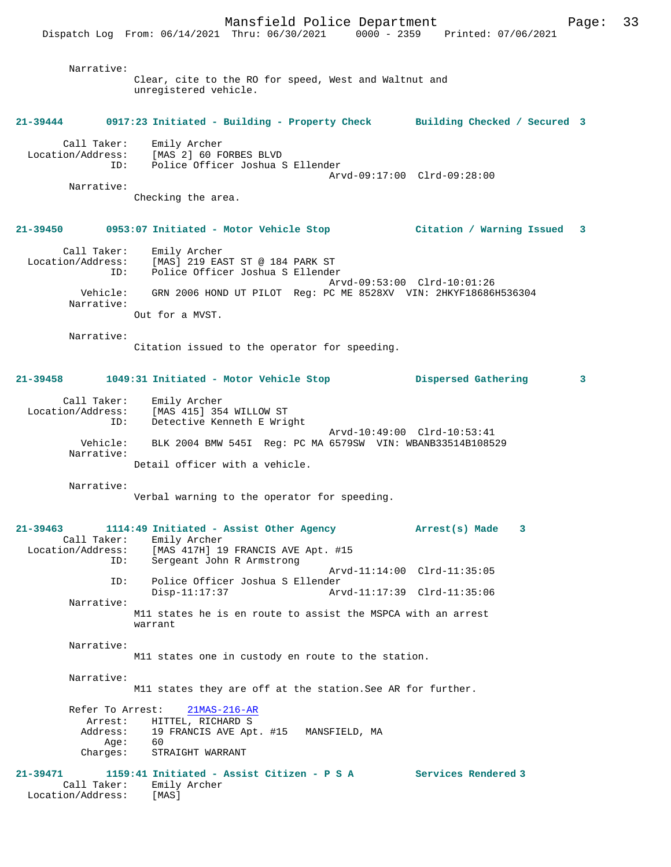Narrative:

Clear, cite to the RO for speed, West and Waltnut and unregistered vehicle.

### **21-39444 0917:23 Initiated - Building - Property Check Building Checked / Secured 3**

| Call Taker:       | Emily Archer                     |  |
|-------------------|----------------------------------|--|
| Location/Address: | [MAS 2] 60 FORBES BLVD           |  |
| TD:               | Police Officer Joshua S Ellender |  |
|                   | Arvd-09:17:00 Clrd-09:28:00      |  |

Narrative:

Checking the area.

### **21-39450 0953:07 Initiated - Motor Vehicle Stop Citation / Warning Issued 3**

 Call Taker: Emily Archer Location/Address: [MAS] 219 EAST ST @ 184 PARK ST ID: Police Officer Joshua S Ellender Arvd-09:53:00 Clrd-10:01:26 Vehicle: GRN 2006 HOND UT PILOT Reg: PC ME 8528XV VIN: 2HKYF18686H536304 Narrative: Out for a MVST.

Narrative:

Citation issued to the operator for speeding.

## **21-39458 1049:31 Initiated - Motor Vehicle Stop Dispersed Gathering 3**

| Call Taker:       |                                | Emily Archer |                            |  |                                                            |  |  |
|-------------------|--------------------------------|--------------|----------------------------|--|------------------------------------------------------------|--|--|
| Location/Address: |                                |              | [MAS 415] 354 WILLOW ST    |  |                                                            |  |  |
| ID:               |                                |              | Detective Kenneth E Wright |  |                                                            |  |  |
|                   |                                |              |                            |  | Arvd-10:49:00 Clrd-10:53:41                                |  |  |
| Vehicle:          |                                |              |                            |  | BLK 2004 BMW 545I Req: PC MA 6579SW VIN: WBANB33514B108529 |  |  |
| Narrative:        |                                |              |                            |  |                                                            |  |  |
|                   | Detail officer with a vehicle. |              |                            |  |                                                            |  |  |

Narrative:

Verbal warning to the operator for speeding.

# **21-39463 1114:49 Initiated - Assist Other Agency Arrest(s) Made 3**  Call Taker: Emily Archer<br>Location/Address: [MAS 417H] 19 ess: [MAS 417H] 19 FRANCIS AVE Apt. #15<br>ID: Sergeant John R Armstrong Sergeant John R Armstrong Arvd-11:14:00 Clrd-11:35:05 ID: Police Officer Joshua S Ellender Arvd-11:17:39 Clrd-11:35:06 Narrative: M11 states he is en route to assist the MSPCA with an arrest warrant Narrative: M11 states one in custody en route to the station. Narrative: M11 states they are off at the station.See AR for further. Refer To Arrest: 21MAS-216-AR Arrest: HITTEL, RICHARD S<br>Address: 19 FRANCIS AVE Apt 19 FRANCIS AVE Apt. #15 MANSFIELD, MA<br>60  $Age:$  Charges: STRAIGHT WARRANT **21-39471 1159:41 Initiated - Assist Citizen - P S A Services Rendered 3**  Call Taker: Emily Archer Location/Address: [MAS]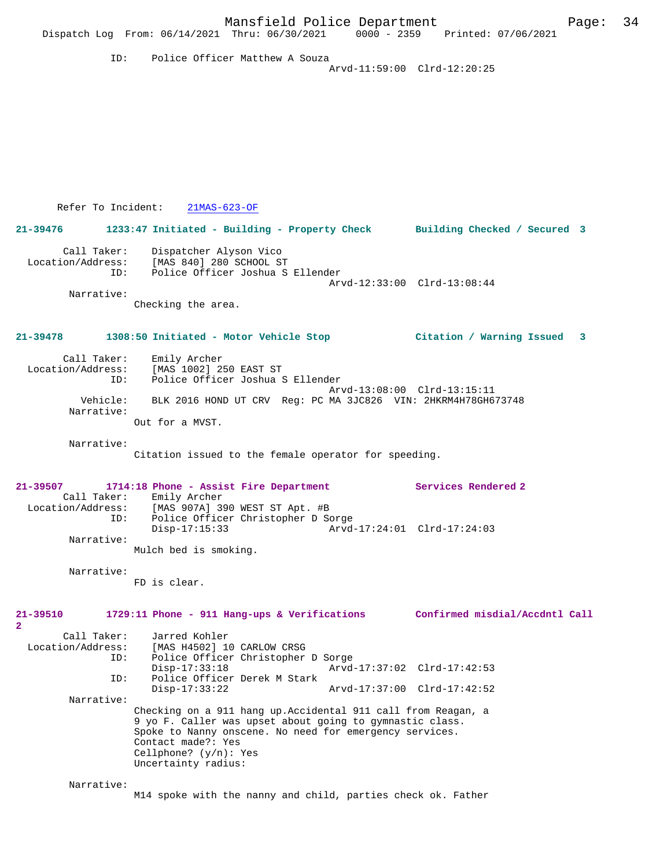|                                              | Mansfield Police Department<br>Dispatch Log From: 06/14/2021 Thru: 06/30/2021                                                                                                                                                                                 |                             | 0000 - 2359 Printed: 07/06/2021 | 34<br>Page: |
|----------------------------------------------|---------------------------------------------------------------------------------------------------------------------------------------------------------------------------------------------------------------------------------------------------------------|-----------------------------|---------------------------------|-------------|
| ID:                                          | Police Officer Matthew A Souza                                                                                                                                                                                                                                | Arvd-11:59:00 Clrd-12:20:25 |                                 |             |
|                                              |                                                                                                                                                                                                                                                               |                             |                                 |             |
|                                              |                                                                                                                                                                                                                                                               |                             |                                 |             |
|                                              |                                                                                                                                                                                                                                                               |                             |                                 |             |
|                                              |                                                                                                                                                                                                                                                               |                             |                                 |             |
| Refer To Incident:                           | $21MAS-623-OF$                                                                                                                                                                                                                                                |                             |                                 |             |
| 21-39476                                     | 1233:47 Initiated - Building - Property Check Building Checked / Secured 3                                                                                                                                                                                    |                             |                                 |             |
| Call Taker:<br>Location/Address:<br>ID:      | Dispatcher Alyson Vico<br>[MAS 840] 280 SCHOOL ST<br>Police Officer Joshua S Ellender                                                                                                                                                                         |                             |                                 |             |
| Narrative:                                   |                                                                                                                                                                                                                                                               | Arvd-12:33:00 Clrd-13:08:44 |                                 |             |
|                                              | Checking the area.                                                                                                                                                                                                                                            |                             |                                 |             |
| $21 - 39478$                                 | 1308:50 Initiated - Motor Vehicle Stop                                                                                                                                                                                                                        |                             | Citation / Warning Issued 3     |             |
| Call Taker:<br>Location/Address:<br>ID:      | Emily Archer<br>[MAS 1002] 250 EAST ST<br>Police Officer Joshua S Ellender                                                                                                                                                                                    |                             |                                 |             |
| Vehicle:<br>Narrative:                       | BLK 2016 HOND UT CRV Reg: PC MA 3JC826 VIN: 2HKRM4H78GH673748                                                                                                                                                                                                 | Arvd-13:08:00 Clrd-13:15:11 |                                 |             |
|                                              | Out for a MVST.                                                                                                                                                                                                                                               |                             |                                 |             |
| Narrative:                                   | Citation issued to the female operator for speeding.                                                                                                                                                                                                          |                             |                                 |             |
| 21-39507<br>Call Taker:<br>Location/Address: | 1714:18 Phone - Assist Fire Department<br>Emily Archer<br>[MAS 907A] 390 WEST ST Apt. #B                                                                                                                                                                      |                             | Services Rendered 2             |             |
| ID:                                          | Police Officer Christopher D Sorge<br>$Disp-17:15:33$                                                                                                                                                                                                         | Arvd-17:24:01 Clrd-17:24:03 |                                 |             |
| Narrative:                                   | Mulch bed is smoking.                                                                                                                                                                                                                                         |                             |                                 |             |
| Narrative:                                   | FD is clear.                                                                                                                                                                                                                                                  |                             |                                 |             |
| $21 - 39510$                                 | 1729:11 Phone - 911 Hang-ups & Verifications                                                                                                                                                                                                                  |                             | Confirmed misdial/Accdntl Call  |             |
| $\mathbf{2}$<br>Call Taker:                  | Jarred Kohler                                                                                                                                                                                                                                                 |                             |                                 |             |
| Location/Address:<br>ID:                     | [MAS H4502] 10 CARLOW CRSG<br>Police Officer Christopher D Sorge<br>$Disp-17:33:18$                                                                                                                                                                           | Arvd-17:37:02 Clrd-17:42:53 |                                 |             |
| ID:                                          | Police Officer Derek M Stark<br>$Disp-17:33:22$                                                                                                                                                                                                               | Arvd-17:37:00 Clrd-17:42:52 |                                 |             |
| Narrative:                                   |                                                                                                                                                                                                                                                               |                             |                                 |             |
|                                              | Checking on a 911 hang up. Accidental 911 call from Reagan, a<br>9 yo F. Caller was upset about going to gymnastic class.<br>Spoke to Nanny onscene. No need for emergency services.<br>Contact made?: Yes<br>Cellphone? $(y/n)$ : Yes<br>Uncertainty radius: |                             |                                 |             |
| Narrative:                                   | M14 spoke with the nanny and child, parties check ok. Father                                                                                                                                                                                                  |                             |                                 |             |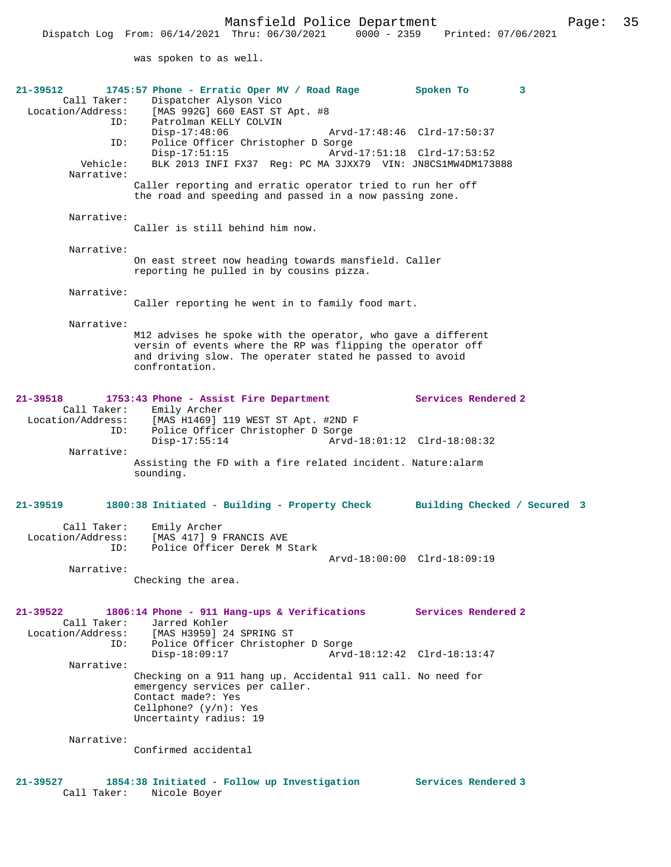was spoken to as well.

| 21-39512<br>Call Taker:<br>Location/Address: | 1745:57 Phone - Erratic Oper MV / Road Rage<br>Dispatcher Alyson Vico<br>[MAS 992G] 660 EAST ST Apt. #8                                                                   | Spoken To                    | 3 |
|----------------------------------------------|---------------------------------------------------------------------------------------------------------------------------------------------------------------------------|------------------------------|---|
| ID:<br>ID:                                   | Patrolman KELLY COLVIN<br>Disp-17:48:06<br>Police Officer Christopher D Sorge                                                                                             | Arvd-17:48:46 Clrd-17:50:37  |   |
| Vehicle:<br>Narrative:                       | $Disp-17:51:15$<br>BLK 2013 INFI FX37 Req: PC MA 3JXX79 VIN: JN8CS1MW4DM173888                                                                                            | Arvd-17:51:18 Clrd-17:53:52  |   |
|                                              | Caller reporting and erratic operator tried to run her off<br>the road and speeding and passed in a now passing zone.                                                     |                              |   |
| Narrative:                                   | Caller is still behind him now.                                                                                                                                           |                              |   |
|                                              |                                                                                                                                                                           |                              |   |
| Narrative:                                   | On east street now heading towards mansfield. Caller<br>reporting he pulled in by cousins pizza.                                                                          |                              |   |
| Narrative:                                   | Caller reporting he went in to family food mart.                                                                                                                          |                              |   |
| Narrative:                                   |                                                                                                                                                                           |                              |   |
|                                              | M12 advises he spoke with the operator, who gave a different<br>versin of events where the RP was flipping the operator off                                               |                              |   |
|                                              | and driving slow. The operater stated he passed to avoid<br>confrontation.                                                                                                |                              |   |
| $21 - 39518$<br>Call Taker:                  | 1753:43 Phone - Assist Fire Department<br>Emily Archer                                                                                                                    | Services Rendered 2          |   |
| Location/Address:<br>ID:                     | [MAS H1469] 119 WEST ST Apt. #2ND F<br>Police Officer Christopher D Sorge                                                                                                 |                              |   |
| Narrative:                                   | $Disp-17:55:14$                                                                                                                                                           | Arvd-18:01:12 Clrd-18:08:32  |   |
|                                              | Assisting the FD with a fire related incident. Nature:alarm<br>sounding.                                                                                                  |                              |   |
| $21 - 39519$                                 | 1800:38 Initiated - Building - Property Check                                                                                                                             | Building Checked / Secured 3 |   |
| Call Taker:<br>Location/Address:<br>ID:      | Emily Archer<br>[MAS 417] 9 FRANCIS AVE<br>Police Officer Derek M Stark                                                                                                   |                              |   |
|                                              |                                                                                                                                                                           | Arvd-18:00:00 Clrd-18:09:19  |   |
| Narrative:                                   | Checking the area.                                                                                                                                                        |                              |   |
| 21-39522<br>Call Taker:                      | 1806:14 Phone - 911 Hang-ups & Verifications<br>Jarred Kohler                                                                                                             | Services Rendered 2          |   |
| Location/Address:                            | [MAS H3959] 24 SPRING ST                                                                                                                                                  |                              |   |
| ID:                                          | Police Officer Christopher D Sorge<br>$Disp-18:09:17$                                                                                                                     | Arvd-18:12:42 Clrd-18:13:47  |   |
| Narrative:                                   |                                                                                                                                                                           |                              |   |
|                                              | Checking on a 911 hang up. Accidental 911 call. No need for<br>emergency services per caller.<br>Contact made?: Yes<br>Cellphone? $(y/n)$ : Yes<br>Uncertainty radius: 19 |                              |   |
| Narrative:                                   |                                                                                                                                                                           |                              |   |
|                                              | Confirmed accidental                                                                                                                                                      |                              |   |
| 21-39527<br>Call Taker:                      | 1854:38 Initiated - Follow up Investigation Services Rendered 3<br>Nicole Boyer                                                                                           |                              |   |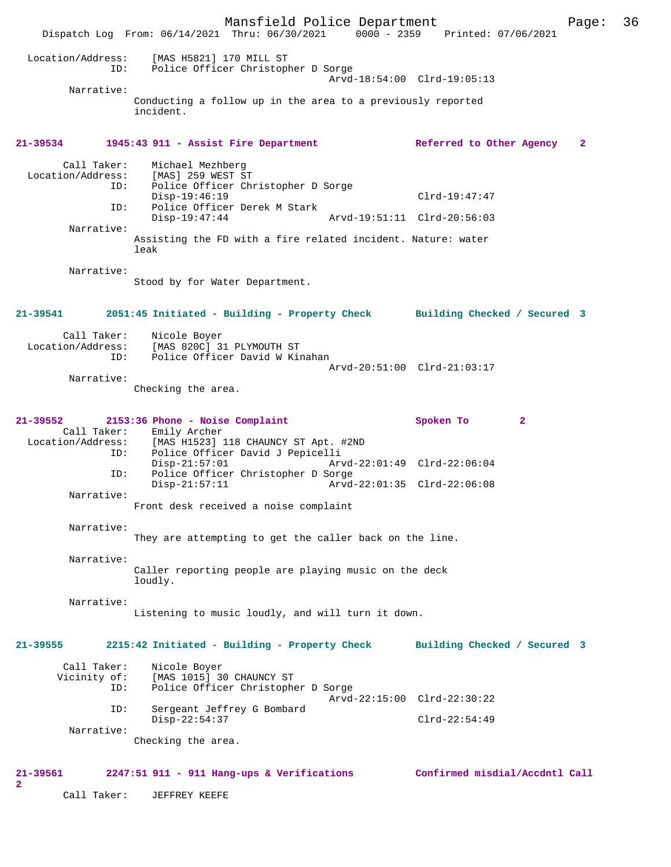Mansfield Police Department Page: 36 Dispatch Log From:  $06/14/2021$  Thru:  $06/30/2021$  0000 - 2359 Location/Address: [MAS H5821] 170 MILL ST ID: Police Officer Christopher D Sorge Arvd-18:54:00 Clrd-19:05:13 Narrative: Conducting a follow up in the area to a previously reported incident. **21-39534 1945:43 911 - Assist Fire Department Referred to Other Agency 2** Call Taker: Michael Mezhberg<br>Location/Address: [MAS] 259 WEST S' ess: [MAS] 259 WEST ST<br>ID: Police Officer Ch Police Officer Christopher D Sorge Disp-19:46:19 Clrd-19:47:47<br>ID: Police Officer Derek M Stark Police Officer Derek M Stark<br>Disp-19:47:44 Disp-19:47:44 Arvd-19:51:11 Clrd-20:56:03 Narrative: Assisting the FD with a fire related incident. Nature: water leak Narrative: Stood by for Water Department. **21-39541 2051:45 Initiated - Building - Property Check Building Checked / Secured 3** Call Taker: Nicole Boyer<br>Location/Address: [MAS 820C] 3 [MAS 820C] 31 PLYMOUTH ST ID: Police Officer David W Kinahan Arvd-20:51:00 Clrd-21:03:17 Narrative: Checking the area. **21-39552 2153:36 Phone - Noise Complaint Spoken To 2**  Call Taker: Emily Archer<br>Location/Address: [MAS H1523] [MAS H1523] 118 CHAUNCY ST Apt. #2ND ID: Police Officer David J Pepicelli Disp-21:57:01 Arvd-22:01:49 Clrd-22:06:04<br>TD: Police Officer Christopher D Sorge Police Officer Christopher D Sorge<br>Disp-21:57:11 Arvd Arvd-22:01:35 Clrd-22:06:08 Narrative: Front desk received a noise complaint Narrative: They are attempting to get the caller back on the line. Narrative: Caller reporting people are playing music on the deck loudly. Narrative: Listening to music loudly, and will turn it down. **21-39555 2215:42 Initiated - Building - Property Check Building Checked / Secured 3** Call Taker: Nicole Boyer<br>Vicinity of: [MAS 1015] 3 of: [MAS 1015] 30 CHAUNCY ST<br>TD: Police Officer Christophe Police Officer Christopher D Sorge Arvd-22:15:00 Clrd-22:30:22 ID: Sergeant Jeffrey G Bombard Disp-22:54:37 Clrd-22:54:49 Narrative: Checking the area. **21-39561 2247:51 911 - 911 Hang-ups & Verifications Confirmed misdial/Accdntl Call 2**  Call Taker: JEFFREY KEEFE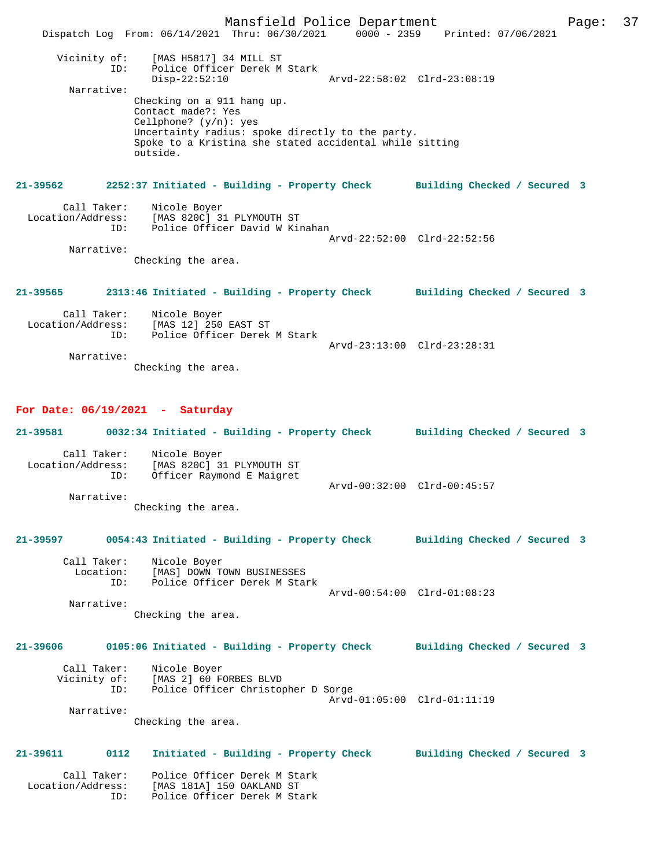Mansfield Police Department Page: 37 Dispatch Log From: 06/14/2021 Thru: 06/30/2021 0000 - 2359 Printed: 07/06/2021 Vicinity of: [MAS H5817] 34 MILL ST ID: Police Officer Derek M Stark Police Officer Derek M Stark<br>Disp-22:52:10 Arvd-22:58:02 Clrd-23:08:19 Narrative: Checking on a 911 hang up. Contact made?: Yes Cellphone? (y/n): yes Uncertainty radius: spoke directly to the party. Spoke to a Kristina she stated accidental while sitting outside. **21-39562 2252:37 Initiated - Building - Property Check Building Checked / Secured 3** Call Taker: Nicole Boyer Location/Address: [MAS 820C] 31 PLYMOUTH ST ID: Police Officer David W Kinahan Arvd-22:52:00 Clrd-22:52:56 Narrative: Checking the area. **21-39565 2313:46 Initiated - Building - Property Check Building Checked / Secured 3** Call Taker: Nicole Boyer Location/Address: [MAS 12] 250 EAST ST Police Officer Derek M Stark Arvd-23:13:00 Clrd-23:28:31 Narrative: Checking the area. **For Date: 06/19/2021 - Saturday 21-39581 0032:34 Initiated - Building - Property Check Building Checked / Secured 3** Call Taker: Nicole Boyer<br>Location/Address: [MAS 820C] 3 [MAS 820C] 31 PLYMOUTH ST ID: Officer Raymond E Maigret Arvd-00:32:00 Clrd-00:45:57 Narrative: Checking the area. **21-39597 0054:43 Initiated - Building - Property Check Building Checked / Secured 3** Call Taker: Nicole Boyer<br>Location: [MAS] DOWN TO Location: [MAS] DOWN TOWN BUSINESSES ID: Police Officer Derek M Stark Arvd-00:54:00 Clrd-01:08:23 Narrative: Checking the area. **21-39606 0105:06 Initiated - Building - Property Check Building Checked / Secured 3** Call Taker: Nicole Boyer Vicinity of: [MAS 2] 60 FORBES BLVD ID: Police Officer Christopher D Sorge Arvd-01:05:00 Clrd-01:11:19 Narrative: Checking the area. **21-39611 0112 Initiated - Building - Property Check Building Checked / Secured 3** Call Taker: Police Officer Derek M Stark<br>Location/Address: [MAS 181A] 150 OAKLAND ST<br>ID: Police Officer Derek M Stark [MAS 181A] 150 OAKLAND ST IMAS 101A, 100 011.11.<br>Police Officer Derek M Stark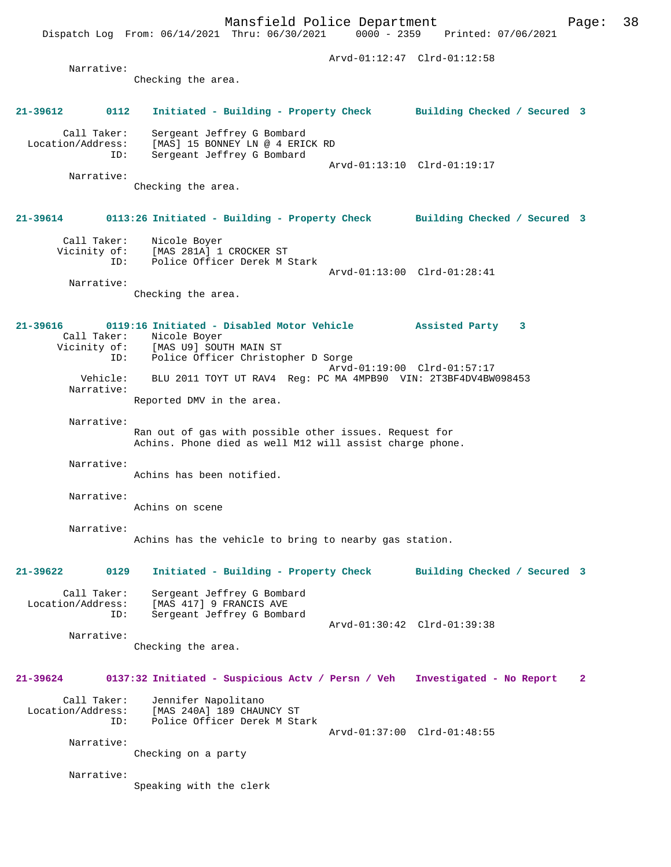Mansfield Police Department Page: 38 Dispatch Log From: 06/14/2021 Thru: 06/30/2021 Arvd-01:12:47 Clrd-01:12:58 Narrative: Checking the area. **21-39612 0112 Initiated - Building - Property Check Building Checked / Secured 3** Call Taker: Sergeant Jeffrey G Bombard Location/Address: [MAS] 15 BONNEY LN @ 4 ERICK RD ID: Sergeant Jeffrey G Bombard Arvd-01:13:10 Clrd-01:19:17 Narrative: Checking the area. **21-39614 0113:26 Initiated - Building - Property Check Building Checked / Secured 3** Call Taker: Nicole Boyer Vicinity of: [MAS 281A] 1 CROCKER ST ID: Police Officer Derek M Stark Arvd-01:13:00 Clrd-01:28:41 Narrative: Checking the area. **21-39616 0119:16 Initiated - Disabled Motor Vehicle Assisted Party 3**  Call Taker: Nicole Boyer<br>Vicinity of: [MAS U9] SOUT INAS U9] SOUTH MAIN ST ID: Police Officer Christopher D Sorge Arvd-01:19:00 Clrd-01:57:17 Vehicle: BLU 2011 TOYT UT RAV4 Reg: PC MA 4MPB90 VIN: 2T3BF4DV4BW098453 Narrative: Reported DMV in the area. Narrative: Ran out of gas with possible other issues. Request for Achins. Phone died as well M12 will assist charge phone. Narrative: Achins has been notified. Narrative: Achins on scene Narrative: Achins has the vehicle to bring to nearby gas station. **21-39622 0129 Initiated - Building - Property Check Building Checked / Secured 3** Call Taker: Sergeant Jeffrey G Bombard Location/Address: [MAS 417] 9 FRANCIS AVE ID: Sergeant Jeffrey G Bombard Arvd-01:30:42 Clrd-01:39:38 Narrative: Checking the area. **21-39624 0137:32 Initiated - Suspicious Actv / Persn / Veh Investigated - No Report 2** Call Taker: Jennifer Napolitano<br>Location/Address: [MAS 240A] 189 CHAU Location/Address: [MAS 240A] 189 CHAUNCY ST ID: Police Officer Derek M Stark Arvd-01:37:00 Clrd-01:48:55 Narrative: Checking on a party

Speaking with the clerk

Narrative: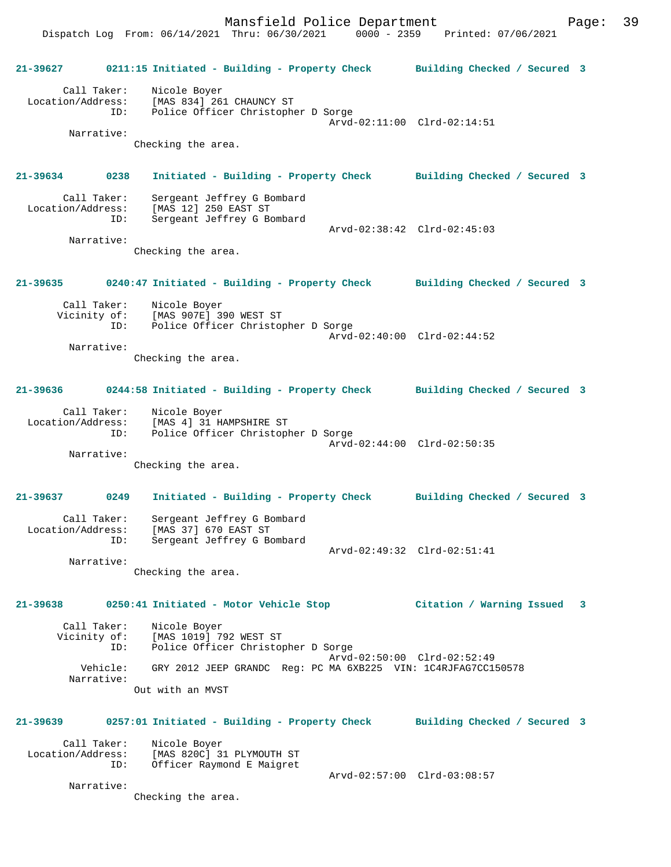Dispatch Log From: 06/14/2021 Thru: 06/30/2021 0000 - 2359 Printed: 07/06/2021 **21-39627 0211:15 Initiated - Building - Property Check Building Checked / Secured 3** Call Taker: Nicole Boyer Location/Address: [MAS 834] 261 CHAUNCY ST ID: Police Officer Christopher D Sorge Arvd-02:11:00 Clrd-02:14:51 Narrative: Checking the area. **21-39634 0238 Initiated - Building - Property Check Building Checked / Secured 3** Call Taker: Sergeant Jeffrey G Bombard Location/Address: [MAS 12] 250 EAST ST ID: Sergeant Jeffrey G Bombard Arvd-02:38:42 Clrd-02:45:03 Narrative: Checking the area. **21-39635 0240:47 Initiated - Building - Property Check Building Checked / Secured 3** Call Taker: Nicole Boyer Vicinity of: [MAS 907E] 390 WEST ST ID: Police Officer Christopher D Sorge Arvd-02:40:00 Clrd-02:44:52 Narrative: Checking the area. **21-39636 0244:58 Initiated - Building - Property Check Building Checked / Secured 3** Call Taker: Nicole Boyer Location/Address: [MAS 4] 31 HAMPSHIRE ST ID: Police Officer Christopher D Sorge Arvd-02:44:00 Clrd-02:50:35 Narrative: Checking the area. **21-39637 0249 Initiated - Building - Property Check Building Checked / Secured 3** Call Taker: Sergeant Jeffrey G Bombard Location/Address: [MAS 37] 670 EAST ST ID: Sergeant Jeffrey G Bombard Arvd-02:49:32 Clrd-02:51:41 Narrative: Checking the area. **21-39638 0250:41 Initiated - Motor Vehicle Stop Citation / Warning Issued 3** Call Taker: Nicole Boyer Vicinity of: [MAS 1019] 792 WEST ST ID: Police Officer Christopher D Sorge Arvd-02:50:00 Clrd-02:52:49<br>Vehicle: GRY 2012 JEEP GRANDC Reg: PC MA 6XB225 VIN: 1C4RJFAG7CC1! GRY 2012 JEEP GRANDC Reg: PC MA 6XB225 VIN: 1C4RJFAG7CC150578 Narrative: Out with an MVST **21-39639 0257:01 Initiated - Building - Property Check Building Checked / Secured 3** Call Taker: Nicole Boyer Location/Address: [MAS 820C] 31 PLYMOUTH ST ID: Officer Raymond E Maigret Arvd-02:57:00 Clrd-03:08:57 Narrative: Checking the area.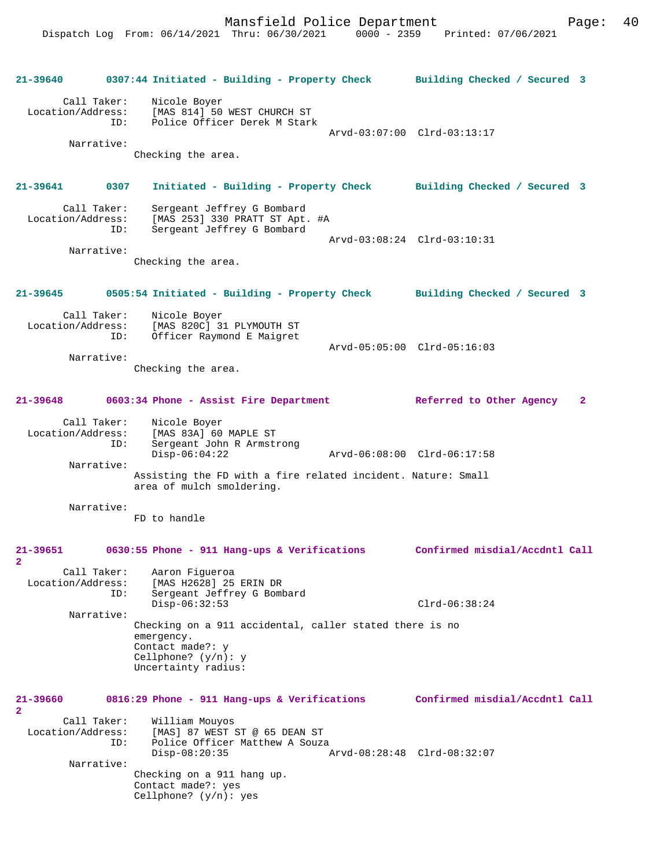**21-39640 0307:44 Initiated - Building - Property Check Building Checked / Secured 3** Call Taker: Nicole Boyer Location/Address: [MAS 814] 50 WEST CHURCH ST<br>ID: Police Officer Derek M Stark Police Officer Derek M Stark Arvd-03:07:00 Clrd-03:13:17 Narrative: Checking the area. **21-39641 0307 Initiated - Building - Property Check Building Checked / Secured 3** Call Taker: Sergeant Jeffrey G Bombard<br>Location/Address: [MAS 253] 330 PRATT ST Apt. [MAS 253] 330 PRATT ST Apt. #A ID: Sergeant Jeffrey G Bombard Arvd-03:08:24 Clrd-03:10:31 Narrative: Checking the area. **21-39645 0505:54 Initiated - Building - Property Check Building Checked / Secured 3** Call Taker: Nicole Boyer<br>Location/Address: [MAS 820C] 3 ess: [MAS 820C] 31 PLYMOUTH ST<br>TD: Officer Raymond E Maigret Officer Raymond E Maigret Arvd-05:05:00 Clrd-05:16:03 Narrative: Checking the area. **21-39648 0603:34 Phone - Assist Fire Department Referred to Other Agency 2** Call Taker: Nicole Boyer Location/Address: [MAS 83A] 60 MAPLE ST Sergeant John R Armstrong<br>Disp-06:04:22 Disp-06:04:22 Arvd-06:08:00 Clrd-06:17:58 Narrative: Assisting the FD with a fire related incident. Nature: Small area of mulch smoldering. Narrative: FD to handle **21-39651 0630:55 Phone - 911 Hang-ups & Verifications Confirmed misdial/Accdntl Call 2**  Call Taker: Aaron Figueroa<br>Location/Address: [MAS H2628] 25 ess: [MAS H2628] 25 ERIN DR<br>ID: Sergeant Jeffrey G Boml Sergeant Jeffrey G Bombard Disp-06:32:53 Clrd-06:38:24 Narrative: Checking on a 911 accidental, caller stated there is no emergency. Contact made?: y Cellphone?  $(y/n): y$ Uncertainty radius: **21-39660 0816:29 Phone - 911 Hang-ups & Verifications Confirmed misdial/Accdntl Call 2**  Call Taker: William Mouyos Location/Address: [MAS] 87 WEST ST @ 65 DEAN ST ID: Police Officer Matthew A Souza<br>Disp-08:20:35 Disp-08:20:35 Arvd-08:28:48 Clrd-08:32:07 Narrative: Checking on a 911 hang up. Contact made?: yes Cellphone? (y/n): yes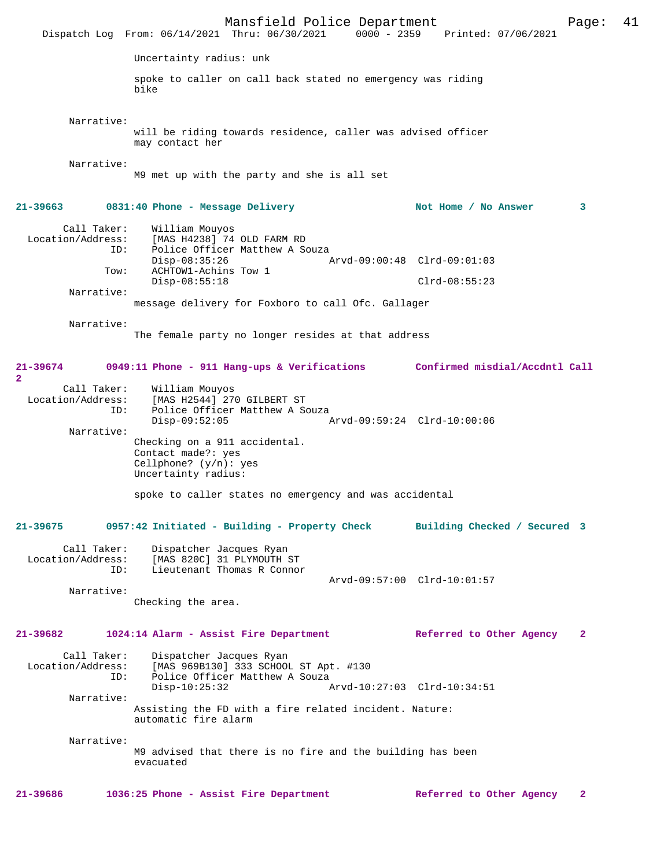|                                                 | Mansfield Police Department<br>Dispatch Log From: 06/14/2021 Thru: 06/30/2021                                                                | 0000 - 2359 Printed: 07/06/2021                | 41<br>Page:  |
|-------------------------------------------------|----------------------------------------------------------------------------------------------------------------------------------------------|------------------------------------------------|--------------|
|                                                 | Uncertainty radius: unk                                                                                                                      |                                                |              |
|                                                 | spoke to caller on call back stated no emergency was riding<br>bike                                                                          |                                                |              |
| Narrative:                                      | will be riding towards residence, caller was advised officer<br>may contact her                                                              |                                                |              |
| Narrative:                                      | M9 met up with the party and she is all set                                                                                                  |                                                |              |
| 21-39663                                        | 0831:40 Phone - Message Delivery                                                                                                             | Not Home / No Answer                           | 3            |
| Call Taker:<br>Location/Address:<br>ID:<br>Tow: | William Mouyos<br>[MAS H4238] 74 OLD FARM RD<br>Police Officer Matthew A Souza<br>$Disp-08:35:26$<br>ACHTOW1-Achins Tow 1<br>$Disp-08:55:18$ | Arvd-09:00:48 Clrd-09:01:03<br>$Clrd-08:55:23$ |              |
| Narrative:                                      |                                                                                                                                              |                                                |              |
|                                                 | message delivery for Foxboro to call Ofc. Gallager                                                                                           |                                                |              |
| Narrative:                                      | The female party no longer resides at that address                                                                                           |                                                |              |
| 21-39674<br>$\overline{a}$                      | 0949:11 Phone - 911 Hang-ups & Verifications Confirmed misdial/Accdntl Call                                                                  |                                                |              |
| Call Taker:<br>Location/Address:<br>ID:         | William Mouyos<br>[MAS H2544] 270 GILBERT ST<br>Police Officer Matthew A Souza<br>$Disp-09:52:05$                                            | Arvd-09:59:24 Clrd-10:00:06                    |              |
| Narrative:                                      | Checking on a 911 accidental.<br>Contact made?: yes<br>Cellphone? $(y/n)$ : yes<br>Uncertainty radius:                                       |                                                |              |
|                                                 | spoke to caller states no emergency and was accidental                                                                                       |                                                |              |
| 21-39675                                        | 0957:42 Initiated - Building - Property Check Building Checked / Secured 3                                                                   |                                                |              |
| Call Taker:<br>Location/Address:<br>ID:         | Dispatcher Jacques Ryan<br>[MAS 820C] 31 PLYMOUTH ST<br>Lieutenant Thomas R Connor                                                           |                                                |              |
|                                                 |                                                                                                                                              | Arvd-09:57:00 Clrd-10:01:57                    |              |
| Narrative:                                      | Checking the area.                                                                                                                           |                                                |              |
| 21-39682                                        | 1024:14 Alarm - Assist Fire Department                                                                                                       | Referred to Other Agency                       | 2            |
| Call Taker:<br>Location/Address:<br>ID:         | Dispatcher Jacques Ryan<br>[MAS 969B130] 333 SCHOOL ST Apt. #130<br>Police Officer Matthew A Souza<br>$Disp-10:25:32$                        | Arvd-10:27:03 Clrd-10:34:51                    |              |
| Narrative:                                      |                                                                                                                                              |                                                |              |
|                                                 | Assisting the FD with a fire related incident. Nature:<br>automatic fire alarm                                                               |                                                |              |
| Narrative:                                      | M9 advised that there is no fire and the building has been<br>evacuated                                                                      |                                                |              |
| 21-39686                                        | 1036:25 Phone - Assist Fire Department                                                                                                       | Referred to Other Agency                       | $\mathbf{2}$ |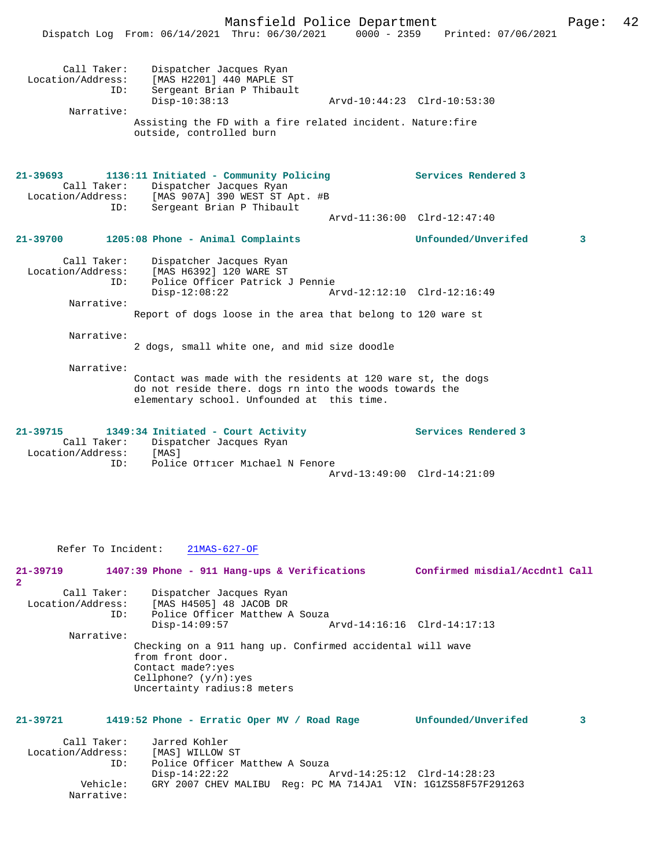|                                                         | Malistrera Portue Department<br>Dispatch Log From: 06/14/2021 Thru: 06/30/2021 0000 - 2359 Printed: 07/06/2021                                                                                 |                                                    | rayc. |  |
|---------------------------------------------------------|------------------------------------------------------------------------------------------------------------------------------------------------------------------------------------------------|----------------------------------------------------|-------|--|
| Call Taker:<br>Location/Address:<br>ID:<br>Narrative:   | Dispatcher Jacques Ryan<br>[MAS H2201] 440 MAPLE ST<br>Sergeant Brian P Thibault<br>$Disp-10:38:13$<br>Assisting the FD with a fire related incident. Nature: fire<br>outside, controlled burn | Arvd-10:44:23 Clrd-10:53:30                        |       |  |
| $21 - 39693$<br>Call Taker:<br>Location/Address:<br>ID: | 1136:11 Initiated - Community Policing<br>Dispatcher Jacques Ryan<br>[MAS 907A] 390 WEST ST Apt. #B<br>Sergeant Brian P Thibault                                                               | Services Rendered 3                                |       |  |
|                                                         |                                                                                                                                                                                                | Arvd-11:36:00 Clrd-12:47:40                        |       |  |
| 21-39700                                                | 1205:08 Phone - Animal Complaints                                                                                                                                                              | Unfounded/Unverifed                                | 3     |  |
| Call Taker:<br>Location/Address:<br>ID:<br>Narrative:   | Dispatcher Jacques Ryan<br>[MAS H6392] 120 WARE ST<br>Police Officer Patrick J Pennie<br>$Disp-12:08:22$<br>Report of dogs loose in the area that belong to 120 ware st                        | Arvd-12:12:10 Clrd-12:16:49                        |       |  |
| Narrative:                                              | 2 dogs, small white one, and mid size doodle                                                                                                                                                   |                                                    |       |  |
| Narrative:                                              | Contact was made with the residents at 120 ware st, the dogs<br>do not reside there. dogs rn into the woods towards the<br>elementary school. Unfounded at this time.                          |                                                    |       |  |
| 21-39715<br>Call Taker:<br>Location/Address:<br>ID:     | 1349:34 Initiated - Court Activity<br>Dispatcher Jacques Ryan<br>[MAS]<br>Police Officer Michael N Fenore                                                                                      | Services Rendered 3<br>Arvd-13:49:00 Clrd-14:21:09 |       |  |
|                                                         |                                                                                                                                                                                                |                                                    |       |  |

Refer To Incident: 21MAS-627-OF

**21-39719 1407:39 Phone - 911 Hang-ups & Verifications Confirmed misdial/Accdntl Call 2**  Call Taker: Dispatcher Jacques Ryan Location/Address: [MAS H4505] 48 JACOB DR<br>ID: Police Officer Matthew Police Officer Matthew A Souza<br>Disp-14:09:57 Arvd-14:16:16 Clrd-14:17:13 Narrative: Checking on a 911 hang up. Confirmed accidental will wave from front door. Contact made?:yes Cellphone? (y/n):yes Uncertainty radius:8 meters **21-39721 1419:52 Phone - Erratic Oper MV / Road Rage Unfounded/Unverifed 3**

Call Taker: Jarred Kohler<br>.on/Address: [MAS] WILLOW ST Location/Address:<br>ID: Police Officer Matthew A Souza<br>Disp-14:22:22 Disp-14:22:22 Arvd-14:25:12 Clrd-14:28:23 GRY 2007 CHEV MALIBU Reg: PC MA 714JA1 VIN: 1G1ZS58F57F291263 Narrative: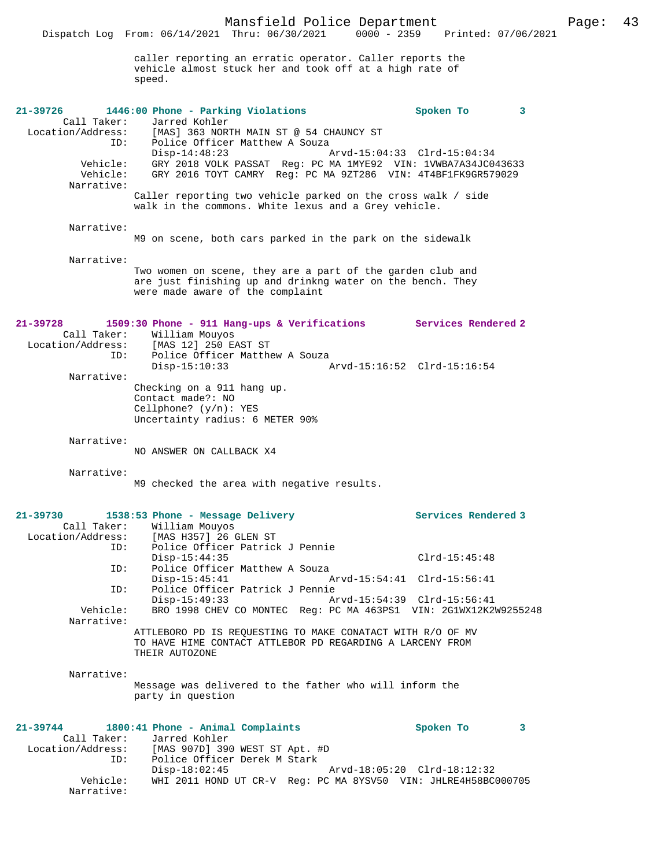Dispatch Log From: 06/14/2021 Thru: 06/30/2021 0000 - 2359 Printed: 07/06/2021

|                                                  | caller reporting an erratic operator. Caller reports the<br>vehicle almost stuck her and took off at a high rate of<br>speed.                                |                             |   |
|--------------------------------------------------|--------------------------------------------------------------------------------------------------------------------------------------------------------------|-----------------------------|---|
| $21 - 39726$                                     | 1446:00 Phone - Parking Violations                                                                                                                           | Spoken To                   | 3 |
| Call Taker:<br>Location/Address:<br>ID:          | Jarred Kohler<br>[MAS] 363 NORTH MAIN ST @ 54 CHAUNCY ST<br>Police Officer Matthew A Souza<br>$Disp-14:48:23$                                                | Arvd-15:04:33 Clrd-15:04:34 |   |
| Vehicle:<br>Vehicle:<br>Narrative:               | GRY 2018 VOLK PASSAT Req: PC MA 1MYE92 VIN: 1VWBA7A34JC043633<br>GRY 2016 TOYT CAMRY Reg: PC MA 9ZT286 VIN: 4T4BF1FK9GR579029                                |                             |   |
|                                                  | Caller reporting two vehicle parked on the cross walk / side<br>walk in the commons. White lexus and a Grey vehicle.                                         |                             |   |
| Narrative:                                       | M9 on scene, both cars parked in the park on the sidewalk                                                                                                    |                             |   |
| Narrative:                                       | Two women on scene, they are a part of the garden club and<br>are just finishing up and drinkng water on the bench. They<br>were made aware of the complaint |                             |   |
| $21 - 39728$<br>Call Taker:<br>Location/Address: | 1509:30 Phone - 911 Hang-ups & Verifications Services Rendered 2<br>William Mouyos<br>[MAS 12] 250 EAST ST                                                   |                             |   |
| ID:<br>Narrative:                                | Police Officer Matthew A Souza<br>$Disp-15:10:33$                                                                                                            |                             |   |
|                                                  | Checking on a 911 hang up.<br>Contact made?: NO<br>Cellphone? $(y/n)$ : YES<br>Uncertainty radius: 6 METER 90%                                               |                             |   |
| Narrative:                                       | NO ANSWER ON CALLBACK X4                                                                                                                                     |                             |   |
| Narrative:                                       | M9 checked the area with negative results.                                                                                                                   |                             |   |
| $21 - 39730$<br>Call Taker:                      | 1538:53 Phone - Message Delivery<br>William Mouyos<br>Location/Address: [MAS H357] 26 GLEN ST                                                                | Services Rendered 3         |   |
| ID:<br>ID:                                       | Police Officer Patrick J Pennie<br>$Disp-15:44:35$<br>Police Officer Matthew A Souza                                                                         | $Clrd-15:45:48$             |   |
| ID:                                              | $Disp-15:45:41$<br>Arvd-15:54:41 Clrd-15:56:41<br>Police Officer Patrick J Pennie                                                                            |                             |   |
| Vehicle:<br>Narrative:                           | $Disp-15:49:33$<br>BRO 1998 CHEV CO MONTEC Req: PC MA 463PS1 VIN: 2G1WX12K2W9255248                                                                          | Arvd-15:54:39 Clrd-15:56:41 |   |
|                                                  | ATTLEBORO PD IS REQUESTING TO MAKE CONATACT WITH R/O OF MV<br>TO HAVE HIME CONTACT ATTLEBOR PD REGARDING A LARCENY FROM<br>THEIR AUTOZONE                    |                             |   |
| Narrative:                                       | Message was delivered to the father who will inform the<br>party in question                                                                                 |                             |   |
| $21 - 39744$                                     | 1800:41 Phone - Animal Complaints                                                                                                                            | Spoken To                   | 3 |
| Call Taker:<br>Location/Address:<br>ID:          | Jarred Kohler<br>[MAS 907D] 390 WEST ST Apt. #D<br>Police Officer Derek M Stark<br>$Disp-18:02:45$                                                           |                             |   |
| Vehicle:<br>Narrative:                           | WHI 2011 HOND UT CR-V Reg: PC MA 8YSV50 VIN: JHLRE4H58BC000705                                                                                               | Arvd-18:05:20 Clrd-18:12:32 |   |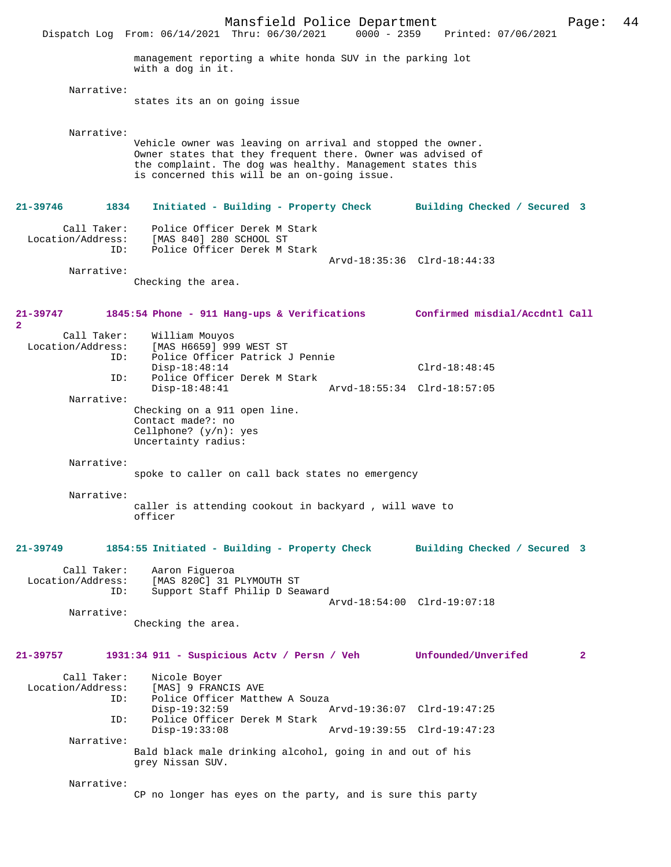Mansfield Police Department Page: 44 Dispatch Log From: 06/14/2021 Thru: 06/30/2021 management reporting a white honda SUV in the parking lot with a dog in it. Narrative: states its an on going issue Narrative: Vehicle owner was leaving on arrival and stopped the owner. Owner states that they frequent there. Owner was advised of the complaint. The dog was healthy. Management states this is concerned this will be an on-going issue. **21-39746 1834 Initiated - Building - Property Check Building Checked / Secured 3** Call Taker: Police Officer Derek M Stark Location/Address: [MAS 840] 280 SCHOOL ST ID: Police Officer Derek M Stark Arvd-18:35:36 Clrd-18:44:33 Narrative: Checking the area. **21-39747 1845:54 Phone - 911 Hang-ups & Verifications Confirmed misdial/Accdntl Call 2**  Call Taker: William Mouyos<br>Location/Address: [MAS H6659] 999 [MAS H6659] 999 WEST ST ID: Police Officer Patrick J Pennie Disp-18:48:14 Clrd-18:48:45<br>TD: Police Officer Derek M Stark Police Officer Derek M Stark<br>Disp-18:48:41 Disp-18:48:41 Arvd-18:55:34 Clrd-18:57:05 Narrative: Checking on a 911 open line. Contact made?: no Cellphone? (y/n): yes Uncertainty radius: Narrative: spoke to caller on call back states no emergency Narrative: caller is attending cookout in backyard , will wave to officer **21-39749 1854:55 Initiated - Building - Property Check Building Checked / Secured 3** Call Taker: Aaron Figueroa Location/Address: [MAS 820C] 31 PLYMOUTH ST ID: Support Staff Philip D Seaward Arvd-18:54:00 Clrd-19:07:18 Narrative: Checking the area. **21-39757 1931:34 911 - Suspicious Actv / Persn / Veh Unfounded/Unverifed 2** Call Taker: Nicole Boyer<br>Location/Address: [MAS] 9 FRAN ess: [MAS] 9 FRANCIS AVE<br>ID: Police Officer Matth Police Officer Matthew A Souza Disp-19:32:59 Arvd-19:36:07 Clrd-19:47:25 ID: Police Officer Derek M Stark Disp-19:33:08 Arvd-19:39:55 Clrd-19:47:23 Narrative: Bald black male drinking alcohol, going in and out of his grey Nissan SUV. Narrative: CP no longer has eyes on the party, and is sure this party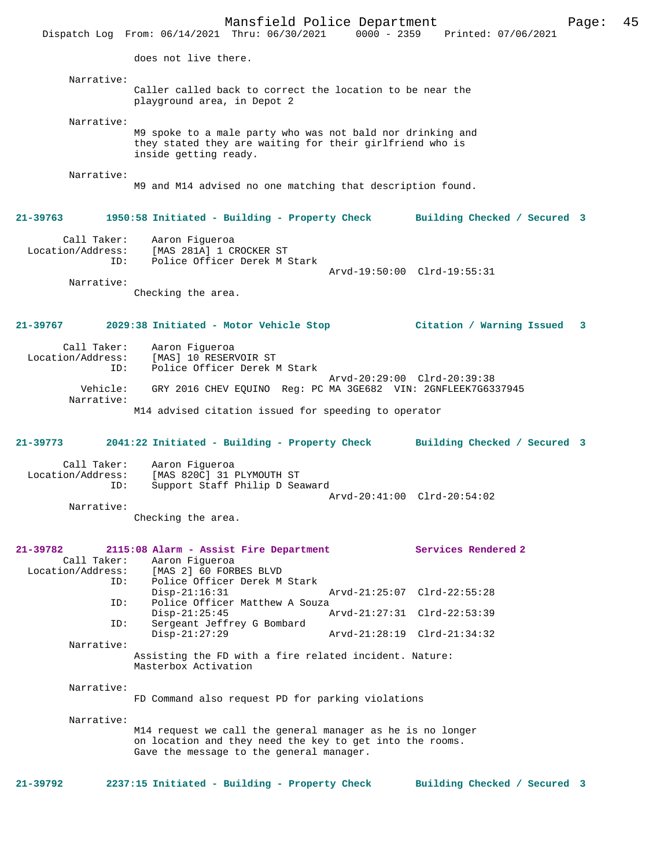Mansfield Police Department Page: 45 Dispatch Log From:  $06/14/2021$  Thru:  $06/30/2021$  0000 - 2359 does not live there. Narrative: Caller called back to correct the location to be near the playground area, in Depot 2 Narrative: M9 spoke to a male party who was not bald nor drinking and they stated they are waiting for their girlfriend who is inside getting ready. Narrative: M9 and M14 advised no one matching that description found. **21-39763 1950:58 Initiated - Building - Property Check Building Checked / Secured 3** Call Taker: Aaron Figueroa Location/Address: [MAS 281A] 1 CROCKER ST Police Officer Derek M Stark Arvd-19:50:00 Clrd-19:55:31 Narrative: Checking the area. **21-39767 2029:38 Initiated - Motor Vehicle Stop Citation / Warning Issued 3** Call Taker: Aaron Figueroa Location/Address: [MAS] 10 RESERVOIR ST Police Officer Derek M Stark Arvd-20:29:00 Clrd-20:39:38 Vehicle: GRY 2016 CHEV EQUINO Reg: PC MA 3GE682 VIN: 2GNFLEEK7G6337945 Narrative: M14 advised citation issued for speeding to operator **21-39773 2041:22 Initiated - Building - Property Check Building Checked / Secured 3** Call Taker: Aaron Figueroa<br>Location/Address: [MAS 820C] 31 ess: [MAS 820C] 31 PLYMOUTH ST<br>ID: Support Staff Philip D Sea Support Staff Philip D Seaward Arvd-20:41:00 Clrd-20:54:02 Narrative: Checking the area. **21-39782 2115:08 Alarm - Assist Fire Department Services Rendered 2**  Call Taker: Aaron Figueroa Location/Address: [MAS 2] 60 FORBES BLVD ID: Police Officer Derek M Stark Disp-21:16:31 Arvd-21:25:07 Clrd-22:55:28<br>TD: Police Officer Matthew A Souza Police Officer Matthew A Souza<br>Disp-21:25:45 A Arvd-21:27:31 Clrd-22:53:39 ID: Sergeant Jeffrey G Bombard Disp-21:27:29 Arvd-21:28:19 Clrd-21:34:32 Narrative: Assisting the FD with a fire related incident. Nature: Masterbox Activation Narrative: FD Command also request PD for parking violations Narrative: M14 request we call the general manager as he is no longer on location and they need the key to get into the rooms. Gave the message to the general manager. **21-39792 2237:15 Initiated - Building - Property Check Building Checked / Secured 3**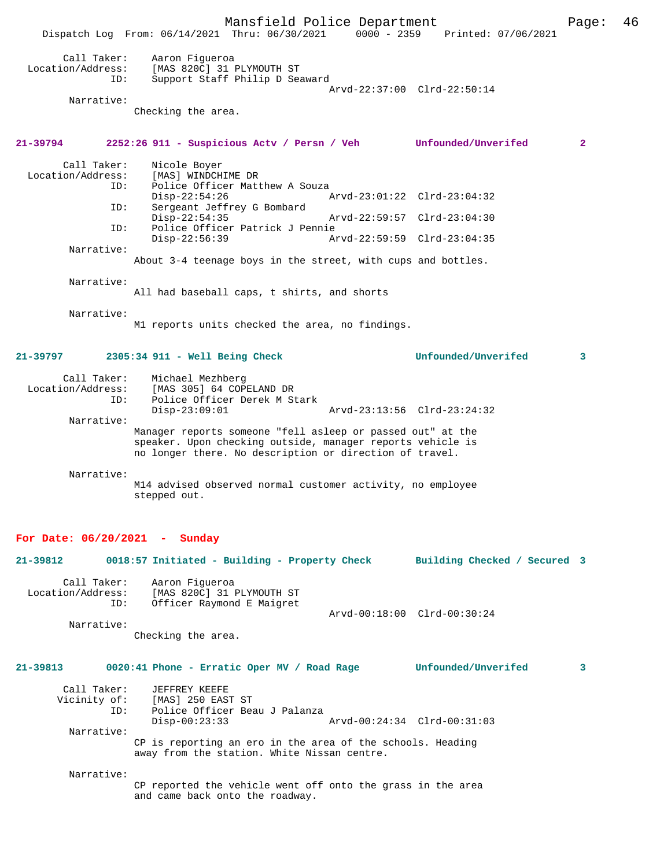Mansfield Police Department Page: 46 Dispatch Log From:  $06/14/2021$  Thru:  $06/30/2021$  0000 - 2359 Call Taker: Aaron Figueroa<br>Location/Address: [MAS 820C] 31 I ess: [MAS 820C] 31 PLYMOUTH ST<br>ID: Support Staff Philin Dess Support Staff Philip D Seaward Arvd-22:37:00 Clrd-22:50:14 Narrative: Checking the area. **21-39794 2252:26 911 - Suspicious Actv / Persn / Veh Unfounded/Unverifed 2** Call Taker: Nicole Boyer<br>Location/Address: [MAS] WINDCH ess: [MAS] WINDCHIME DR<br>ID: Police Officer Mat: Police Officer Matthew A Souza<br> $Disp-22:54:26$ Disp-22:54:26 Arvd-23:01:22 Clrd-23:04:32<br>TD: Sergeant Jeffrey G Bombard Sergeant Jeffrey G Bombard<br>Disp-22:54:35 Disp-22:54:35 Arvd-22:59:57 Clrd-23:04:30<br>ID: Police Officer Patrick J Pennie ID: Police Officer Patrick J Pennie Disp-22:56:39 Arvd-22:59:59 Clrd-23:04:35 Narrative: About 3-4 teenage boys in the street, with cups and bottles. Narrative: All had baseball caps, t shirts, and shorts Narrative: M1 reports units checked the area, no findings. **21-39797 2305:34 911 - Well Being Check Unfounded/Unverifed 3** Call Taker: Michael Mezhberg Location/Address: [MAS 305] 64 COPELAND DR Police Officer Derek M Stark<br>Disp-23:09:01 Disp-23:09:01 Arvd-23:13:56 Clrd-23:24:32 Narrative: Manager reports someone "fell asleep or passed out" at the speaker. Upon checking outside, manager reports vehicle is no longer there. No description or direction of travel. Narrative: M14 advised observed normal customer activity, no employee stepped out. **For Date: 06/20/2021 - Sunday 21-39812 0018:57 Initiated - Building - Property Check Building Checked / Secured 3** Call Taker: Aaron Figueroa<br>Location/Address: [MAS 820C] 31 Location/Address: [MAS 820C] 31 PLYMOUTH ST ID: Officer Raymond E Maigret Arvd-00:18:00 Clrd-00:30:24 Narrative: Checking the area. **21-39813 0020:41 Phone - Erratic Oper MV / Road Rage Unfounded/Unverifed 3** Call Taker: JEFFREY KEEFE<br>Vicinity of: [MAS] 250 EAS: of: [MAS] 250 EAST ST<br>ID: Police Officer Bea Police Officer Beau J Palanza<br>Disp-00:23:33 Disp-00:23:33 Arvd-00:24:34 Clrd-00:31:03 Narrative: CP is reporting an ero in the area of the schools. Heading away from the station. White Nissan centre. Narrative: CP reported the vehicle went off onto the grass in the area and came back onto the roadway.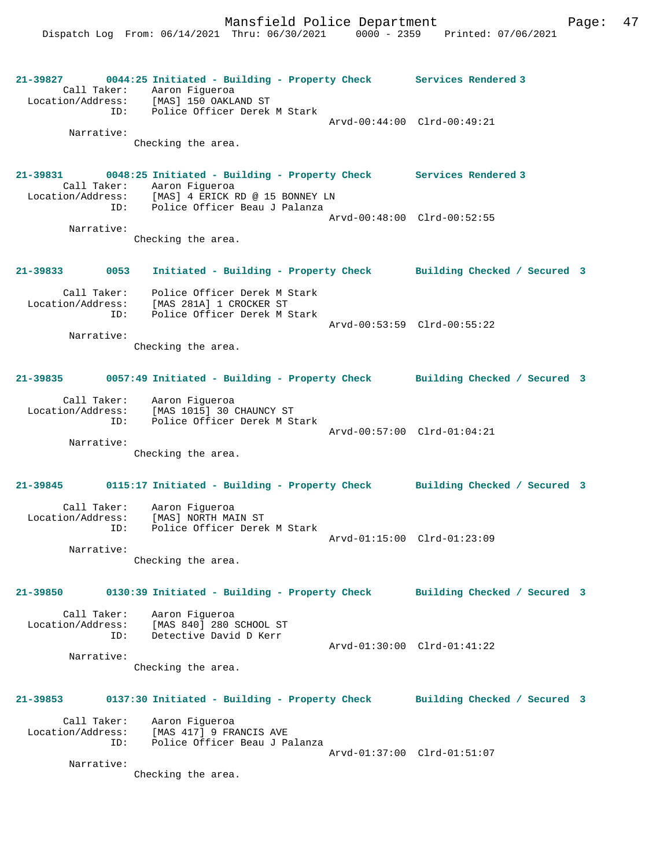**21-39827 0044:25 Initiated - Building - Property Check Services Rendered 3**  Call Taker: Aaron Figueroa Location/Address: [MAS] 150 OAKLAND ST ID: Police Officer Derek M Stark Arvd-00:44:00 Clrd-00:49:21 Narrative: Checking the area. **21-39831 0048:25 Initiated - Building - Property Check Services Rendered 3**  Call Taker: Aaron Figueroa<br>Location/Address: [MAS] 4 ERICK I Location/Address: [MAS] 4 ERICK RD @ 15 BONNEY LN ID: Police Officer Beau J Palanza Arvd-00:48:00 Clrd-00:52:55 Narrative: Checking the area. **21-39833 0053 Initiated - Building - Property Check Building Checked / Secured 3** Call Taker: Police Officer Derek M Stark Location/Address: [MAS 281A] 1 CROCKER ST ID: Police Officer Derek M Stark Arvd-00:53:59 Clrd-00:55:22 Narrative: Checking the area. **21-39835 0057:49 Initiated - Building - Property Check Building Checked / Secured 3** Call Taker: Aaron Figueroa Location/Address: [MAS 1015] 30 CHAUNCY ST ID: Police Officer Derek M Stark Arvd-00:57:00 Clrd-01:04:21 Narrative: Checking the area. **21-39845 0115:17 Initiated - Building - Property Check Building Checked / Secured 3** Call Taker: Aaron Figueroa Location/Address: [MAS] NORTH MAIN ST ID: Police Officer Derek M Stark Arvd-01:15:00 Clrd-01:23:09 Narrative: Checking the area. **21-39850 0130:39 Initiated - Building - Property Check Building Checked / Secured 3** Call Taker: Aaron Figueroa Location/Address: [MAS 840] 280 SCHOOL ST ID: Detective David D Kerr Arvd-01:30:00 Clrd-01:41:22 Narrative: Checking the area. **21-39853 0137:30 Initiated - Building - Property Check Building Checked / Secured 3** Call Taker: Aaron Figueroa Location/Address: [MAS 417] 9 FRANCIS AVE ID: Police Officer Beau J Palanza Arvd-01:37:00 Clrd-01:51:07 Narrative: Checking the area.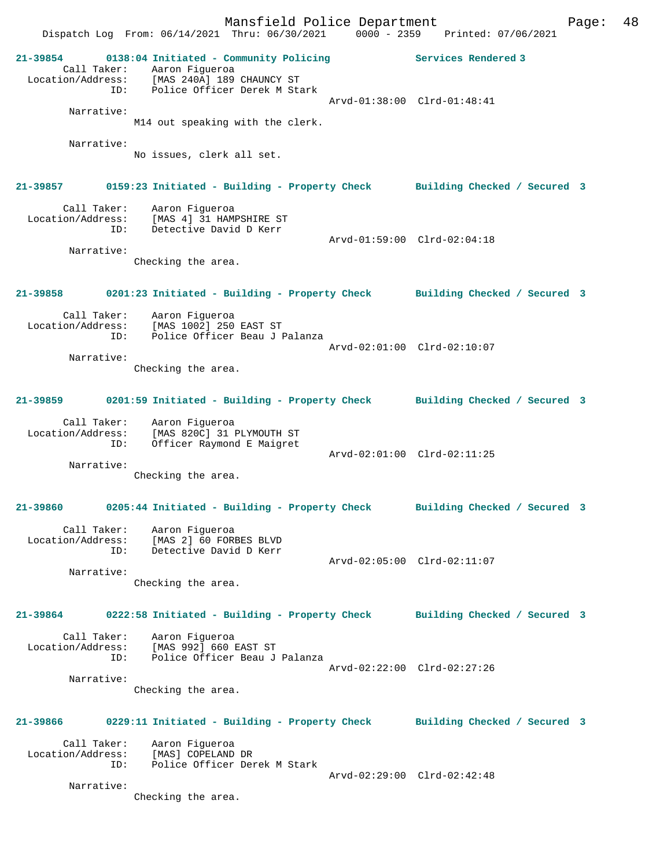Mansfield Police Department Page: 48 Dispatch Log From: 06/14/2021 Thru: 06/30/2021 0000 - 2359 Printed: 07/06/2021 **21-39854 0138:04 Initiated - Community Policing Services Rendered 3**  Call Taker: Aaron Figueroa Location/Address: [MAS 240A] 189 CHAUNCY ST ID: Police Officer Derek M Stark Arvd-01:38:00 Clrd-01:48:41 Narrative: M14 out speaking with the clerk. Narrative: No issues, clerk all set. **21-39857 0159:23 Initiated - Building - Property Check Building Checked / Secured 3** Call Taker: Aaron Figueroa Location/Address: [MAS 4] 31 HAMPSHIRE ST ID: Detective David D Kerr Arvd-01:59:00 Clrd-02:04:18 Narrative: Checking the area. **21-39858 0201:23 Initiated - Building - Property Check Building Checked / Secured 3** Call Taker: Aaron Figueroa Location/Address: [MAS 1002] 250 EAST ST ID: Police Officer Beau J Palanza Arvd-02:01:00 Clrd-02:10:07 Narrative: Checking the area. **21-39859 0201:59 Initiated - Building - Property Check Building Checked / Secured 3** Call Taker: Aaron Figueroa Location/Address: [MAS 820C] 31 PLYMOUTH ST ID: Officer Raymond E Maigret Arvd-02:01:00 Clrd-02:11:25 Narrative: Checking the area. **21-39860 0205:44 Initiated - Building - Property Check Building Checked / Secured 3** Call Taker: Aaron Figueroa Location/Address: [MAS 2] 60 FORBES BLVD ID: Detective David D Kerr Arvd-02:05:00 Clrd-02:11:07 Narrative: Checking the area. **21-39864 0222:58 Initiated - Building - Property Check Building Checked / Secured 3** Call Taker: Aaron Figueroa Location/Address: [MAS 992] 660 EAST ST ID: Police Officer Beau J Palanza Arvd-02:22:00 Clrd-02:27:26 Narrative: Checking the area. **21-39866 0229:11 Initiated - Building - Property Check Building Checked / Secured 3** Call Taker: Aaron Figueroa Location/Address: [MAS] COPELAND DR ID: Police Officer Derek M Stark Arvd-02:29:00 Clrd-02:42:48 Narrative: Checking the area.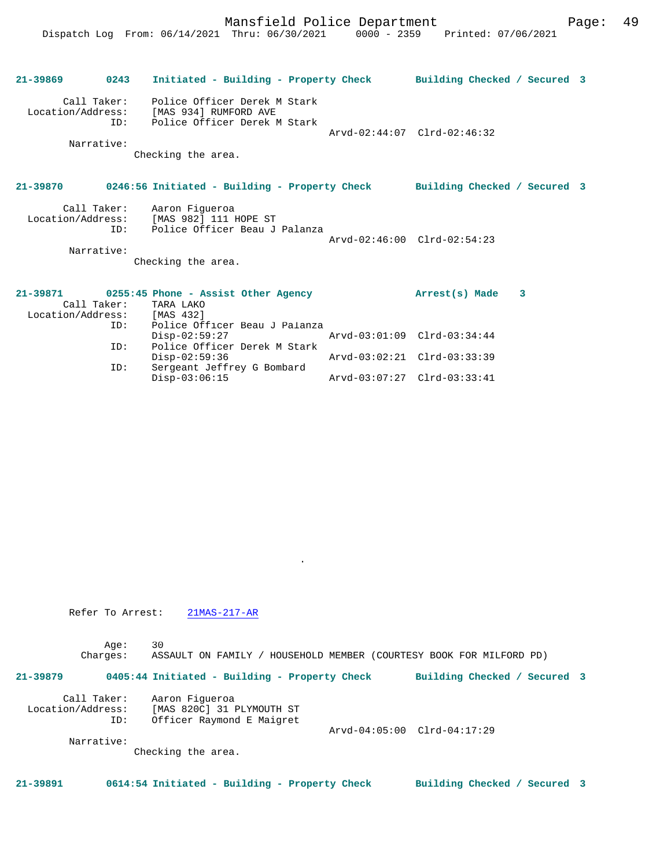|                             | 21-39869 0243 Initiated - Building - Property Check Building Checked / Secured 3                                    |                             |  |
|-----------------------------|---------------------------------------------------------------------------------------------------------------------|-----------------------------|--|
| ID:                         | Call Taker: Police Officer Derek M Stark<br>Location/Address: [MAS 934] RUMFORD AVE<br>Police Officer Derek M Stark | Arvd-02:44:07 Clrd-02:46:32 |  |
| Narrative:                  | Checking the area.                                                                                                  |                             |  |
|                             | 21-39870 0246:56 Initiated - Building - Property Check Building Checked / Secured 3                                 |                             |  |
| Narrative:                  | Call Taker: Aaron Figueroa<br>Location/Address: [MAS 982] 111 HOPE ST<br>ID: Police Officer Beau J Palanza          | Arvd-02:46:00 Clrd-02:54:23 |  |
|                             | Checking the area.                                                                                                  |                             |  |
| Location/Address: [MAS 432] | $21-39871$ 0255:45 Phone - Assist Other Agency<br>Call Taker: TARA LAKO                                             | Arrest(s) Made 3            |  |
| TD:                         | Police Officer Beau J Palanza<br>$Disp-02:59:27$                                                                    | Arvd-03:01:09 Clrd-03:34:44 |  |
| ID:<br>ID:                  | Police Officer Derek M Stark<br>$Disp-02:59:36$<br>Sergeant Jeffrey G Bombard                                       | Arvd-03:02:21 Clrd-03:33:39 |  |

Disp-03:06:15 Arvd-03:07:27 Clrd-03:33:41

Refer To Arrest: 21MAS-217-AR

Age: 30

Charges: ASSAULT ON FAMILY / HOUSEHOLD MEMBER (COURTESY BOOK FOR MILFORD PD)

.

**21-39879 0405:44 Initiated - Building - Property Check Building Checked / Secured 3**

| Call Taker:       | Aaron Fiqueroa            |                             |  |
|-------------------|---------------------------|-----------------------------|--|
| Location/Address: | [MAS 820C] 31 PLYMOUTH ST |                             |  |
| ID:               | Officer Raymond E Maigret |                             |  |
|                   |                           | Arvd-04:05:00 Clrd-04:17:29 |  |
| Narrative:        |                           |                             |  |
|                   |                           |                             |  |

Checking the area.

**21-39891 0614:54 Initiated - Building - Property Check Building Checked / Secured 3**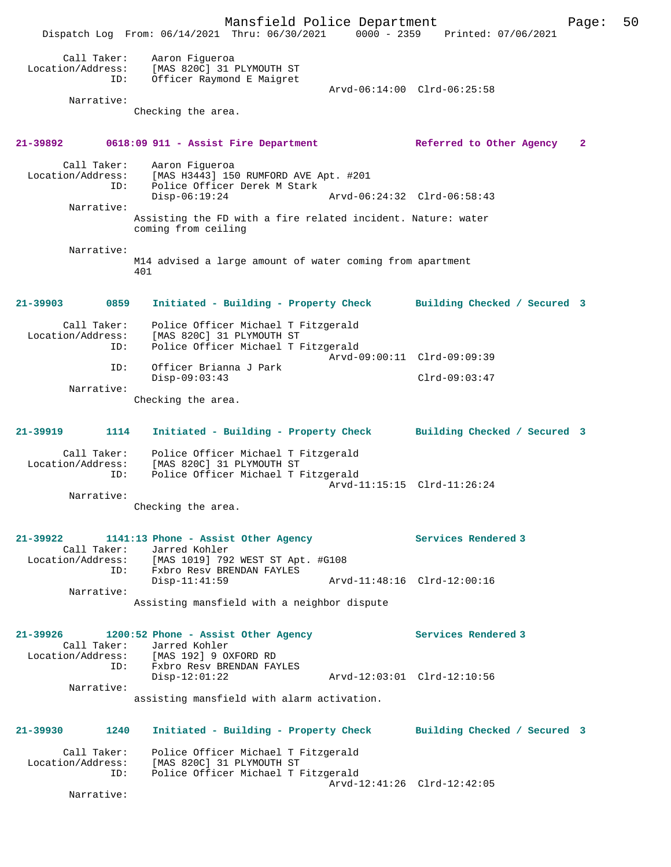Mansfield Police Department Page: 50 Dispatch Log From: 06/14/2021 Thru: 06/30/2021 0000 - 2359 Printed: 07/06/2021 Call Taker: Aaron Figueroa Location/Address: [MAS 820C] 31 PLYMOUTH ST ID: Officer Raymond E Maigret Arvd-06:14:00 Clrd-06:25:58 Narrative: Checking the area. **21-39892 0618:09 911 - Assist Fire Department Referred to Other Agency 2** Call Taker: Aaron Figueroa Location/Address: [MAS H3443] 150 RUMFORD AVE Apt. #201 ID: Police Officer Derek M Stark Disp-06:19:24 Arvd-06:24:32 Clrd-06:58:43 Narrative: Assisting the FD with a fire related incident. Nature: water coming from ceiling Narrative: M14 advised a large amount of water coming from apartment 401 **21-39903 0859 Initiated - Building - Property Check Building Checked / Secured 3** Call Taker: Police Officer Michael T Fitzgerald<br>Location/Address: [MAS 820C] 31 PLYMOUTH ST Location Consider Michael T I -<br>SS: [MAS 820C] 31 PLYMOUTH ST:<br>ID: Police Officer Michael T F Police Officer Michael T Fitzgerald Arvd-09:00:11 Clrd-09:09:39 ID: Officer Brianna J Park Disp-09:03:43 Clrd-09:03:47 Narrative: Checking the area. **21-39919 1114 Initiated - Building - Property Check Building Checked / Secured 3** Call Taker: Police Officer Michael T Fitzgerald Location/Address: [MAS 820C] 31 PLYMOUTH ST ID: Police Officer Michael T Fitzgerald Arvd-11:15:15 Clrd-11:26:24 Narrative: Checking the area. **21-39922 1141:13 Phone - Assist Other Agency Services Rendered 3**  Call Taker: Jarred Kohler Location/Address: [MAS 1019] 792 WEST ST Apt. #G108 ESS: THE STREET PRENDAN FAYLES<br>ID: Fxbro Resv BRENDAN FAYLES<br>Disp-11:41:59 Arvd-11:48:16 Clrd-12:00:16 Narrative: Assisting mansfield with a neighbor dispute **21-39926 1200:52 Phone - Assist Other Agency Services Rendered 3**  Call Taker: Jarred Kohler<br>Location/Address: [MAS 192] 9 OX [MAS 192] 9 OXFORD RD ID: Fxbro Resv BRENDAN FAYLES Disp-12:01:22 Arvd-12:03:01 Clrd-12:10:56 Narrative: assisting mansfield with alarm activation. **21-39930 1240 Initiated - Building - Property Check Building Checked / Secured 3** Call Taker: Police Officer Michael T Fitzgerald Location/Address: [MAS 820C] 31 PLYMOUTH ST ID: Police Officer Michael T Fitzgerald Police Officer Michael T Fitzgerald<br>Arvd-12:41:26 Clrd-12:42:05 Narrative: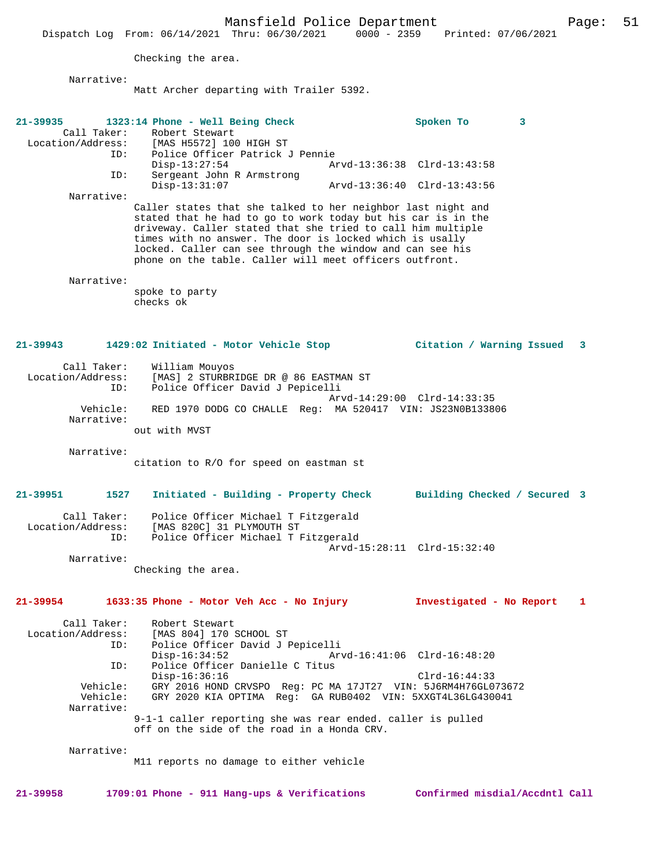Checking the area.

Narrative:

Matt Archer departing with Trailer 5392.

**21-39935 1323:14 Phone - Well Being Check Spoken To 3**  Call Taker: Robert Stewart<br>Location/Address: [MAS H5572] 100 ess: [MAS H5572] 100 HIGH ST<br>ID: Police Officer Patrick J Police Officer Patrick J Pennie<br>Disp-13:27:54 Ar Disp-13:27:54 Arvd-13:36:38 Clrd-13:43:58<br>TD: Sergeant John R Armstrong Sergeant John R Armstrong<br>Disp-13:31:07 Arvd-13:36:40 Clrd-13:43:56 Narrative: Caller states that she talked to her neighbor last night and stated that he had to go to work today but his car is in the driveway. Caller stated that she tried to call him multiple times with no answer. The door is locked which is usally locked. Caller can see through the window and can see his phone on the table. Caller will meet officers outfront. Narrative: spoke to party checks ok **21-39943 1429:02 Initiated - Motor Vehicle Stop Citation / Warning Issued 3** Call Taker: William Mouyos Location/Address: [MAS] 2 STURBRIDGE DR @ 86 EASTMAN ST Police Officer David J Pepicelli Arvd-14:29:00 Clrd-14:33:35 Vehicle: RED 1970 DODG CO CHALLE Reg: MA 520417 VIN: JS23N0B133806 Narrative: out with MVST Narrative: citation to R/O for speed on eastman st **21-39951 1527 Initiated - Building - Property Check Building Checked / Secured 3** Call Taker: Police Officer Michael T Fitzgerald Location/Address: [MAS 820C] 31 PLYMOUTH ST<br>TD: Police Officer Michael T E Police Officer Michael T Fitzgerald Arvd-15:28:11 Clrd-15:32:40 Narrative: Checking the area. **21-39954 1633:35 Phone - Motor Veh Acc - No Injury Investigated - No Report 1** Call Taker: Robert Stewart<br>Location/Address: [MAS 804] 170; ess: [MAS 804] 170 SCHOOL ST<br>ID: Police Officer David JI ID: Police Officer David J Pepicelli Disp-16:34:52 Arvd-16:41:06 Clrd-16:48:20<br>ID: Police Officer Danielle C Titus Police Officer Danielle C Titus Disp-16:36:16 Clrd-16:44:33 Vehicle: GRY 2016 HOND CRVSPO Reg: PC MA 17JT27 VIN: 5J6RM4H76GL073672 Vehicle: GRY 2020 KIA OPTIMA Reg: GA RUB0402 VIN: 5XXGT4L36LG430041 Narrative: 9-1-1 caller reporting she was rear ended. caller is pulled off on the side of the road in a Honda CRV. Narrative: M11 reports no damage to either vehicle

**21-39958 1709:01 Phone - 911 Hang-ups & Verifications Confirmed misdial/Accdntl Call**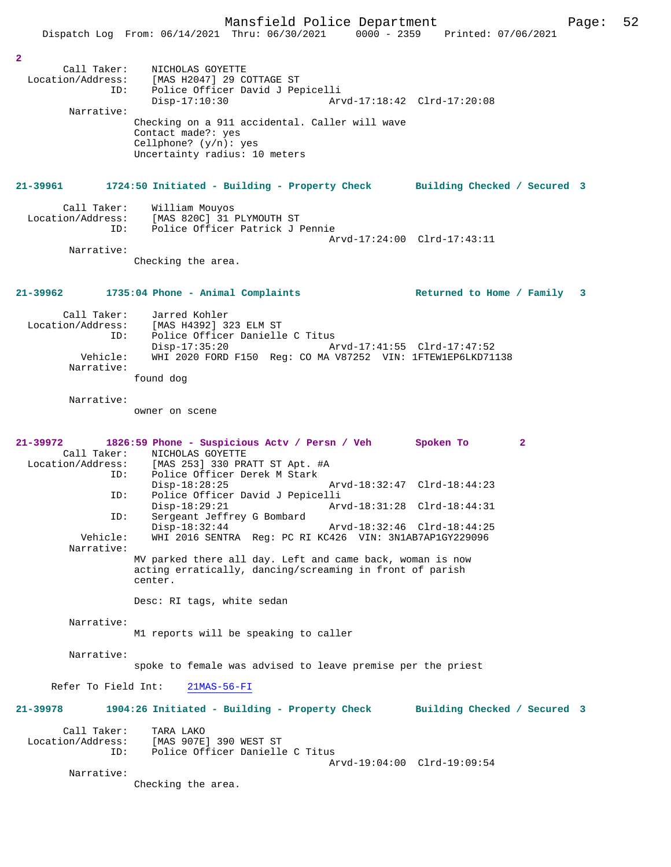|                                         | Mansfield Police Department                                                                                                                                                          |                                                          | Page: | 52 |
|-----------------------------------------|--------------------------------------------------------------------------------------------------------------------------------------------------------------------------------------|----------------------------------------------------------|-------|----|
|                                         | Dispatch Log From: 06/14/2021 Thru: 06/30/2021 0000 - 2359 Printed: 07/06/2021                                                                                                       |                                                          |       |    |
| 2<br>Call Taker:<br>ID:                 | NICHOLAS GOYETTE<br>Location/Address: [MAS H2047] 29 COTTAGE ST<br>Police Officer David J Pepicelli<br>$Disp-17:10:30$                                                               | Arvd-17:18:42 Clrd-17:20:08                              |       |    |
| Narrative:                              |                                                                                                                                                                                      |                                                          |       |    |
|                                         | Checking on a 911 accidental. Caller will wave<br>Contact made?: yes<br>Cellphone? $(y/n)$ : yes<br>Uncertainty radius: 10 meters                                                    |                                                          |       |    |
|                                         | 21-39961 1724:50 Initiated - Building - Property Check Building Checked / Secured 3                                                                                                  |                                                          |       |    |
| Call Taker:<br>ID:                      | William Mouyos<br>Location/Address: [MAS 820C] 31 PLYMOUTH ST<br>Police Officer Patrick J Pennie                                                                                     | Arvd-17:24:00 Clrd-17:43:11                              |       |    |
| Narrative:                              | Checking the area.                                                                                                                                                                   |                                                          |       |    |
|                                         | $21-39962$ 1735:04 Phone - Animal Complaints                                                                                                                                         | Returned to Home / Family 3                              |       |    |
| Call Taker:<br>ID:                      | Jarred Kohler<br>Location/Address: [MAS H4392] 323 ELM ST<br>Police Officer Danielle C Titus<br>$Disp-17:35:20$                                                                      | Arvd-17:41:55 Clrd-17:47:52                              |       |    |
| Vehicle:<br>Narrative:                  | WHI 2020 FORD F150 Reg: CO MA V87252 VIN: 1FTEW1EP6LKD71138<br>found dog                                                                                                             |                                                          |       |    |
| Narrative:                              | owner on scene                                                                                                                                                                       |                                                          |       |    |
| 21-39972<br>ID:                         | 1826:59 Phone - Suspicious Actv / Persn / Veh<br>Call Taker: NICHOLAS GOYETTE<br>Location/Address: [MAS 253] 330 PRATT ST Apt. #A<br>Police Officer Derek M Stark<br>$Disp-18:28:25$ | Spoken To<br>$\mathbf{2}$<br>Arvd-18:32:47 Clrd-18:44:23 |       |    |
| ID:                                     | Police Officer David J Pepicelli<br>Disp-18:29:21 Arvd-18:31:28 Clrd-18:44:31                                                                                                        |                                                          |       |    |
| ID:                                     | Sergeant Jeffrey G Bombard<br>$Disp-18:32:44$                                                                                                                                        | Arvd-18:32:46 Clrd-18:44:25                              |       |    |
| Vehicle:<br>Narrative:                  | WHI 2016 SENTRA Req: PC RI KC426 VIN: 3N1AB7AP1GY229096                                                                                                                              |                                                          |       |    |
|                                         | MV parked there all day. Left and came back, woman is now<br>acting erratically, dancing/screaming in front of parish<br>center.                                                     |                                                          |       |    |
|                                         | Desc: RI tags, white sedan                                                                                                                                                           |                                                          |       |    |
| Narrative:                              | M1 reports will be speaking to caller                                                                                                                                                |                                                          |       |    |
| Narrative:                              | spoke to female was advised to leave premise per the priest                                                                                                                          |                                                          |       |    |
| Refer To Field Int:                     | $21MAS-56-FI$                                                                                                                                                                        |                                                          |       |    |
| 21-39978                                | 1904:26 Initiated - Building - Property Check Building Checked / Secured 3                                                                                                           |                                                          |       |    |
| Call Taker:<br>Location/Address:<br>ID: | TARA LAKO<br>[MAS 907E] 390 WEST ST<br>Police Officer Danielle C Titus                                                                                                               |                                                          |       |    |
| Narrative:                              | Checking the area.                                                                                                                                                                   | Arvd-19:04:00 Clrd-19:09:54                              |       |    |
|                                         |                                                                                                                                                                                      |                                                          |       |    |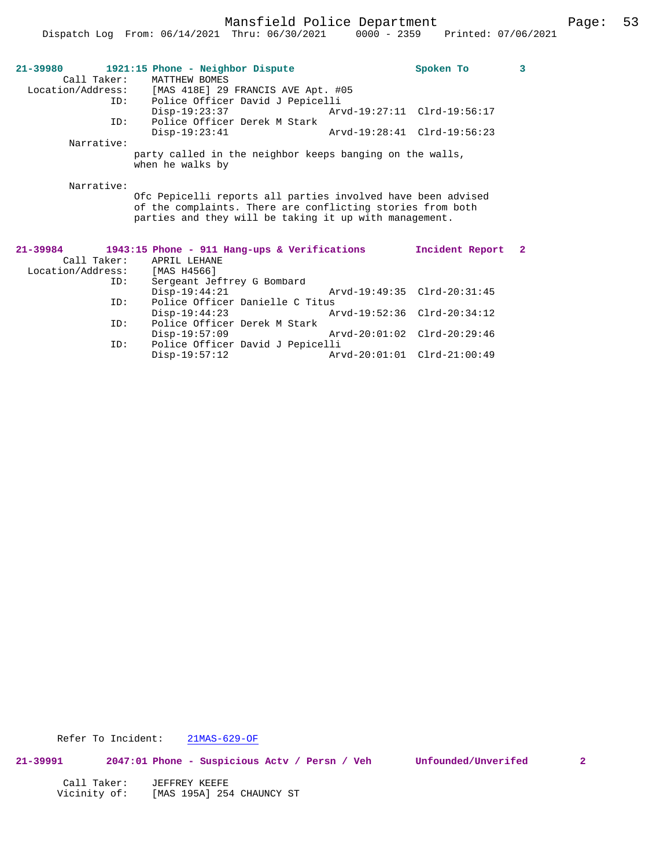Mansfield Police Department Page: 53

| $21 - 39980$<br>Call Taker: | 1921:15 Phone - Neighbor Dispute<br>MATTHEW BOMES                            |                             | Spoken To                   | $\overline{\mathbf{3}}$ |
|-----------------------------|------------------------------------------------------------------------------|-----------------------------|-----------------------------|-------------------------|
|                             | Location/Address: [MAS 418E] 29 FRANCIS AVE Apt. #05                         |                             |                             |                         |
|                             | ID: Police Officer David J Pepicelli                                         |                             |                             |                         |
|                             | $Disp-19:23:37$                                                              |                             |                             |                         |
| ID:                         | Police Officer Derek M Stark                                                 |                             |                             |                         |
|                             | $Disp-19:23:41$                                                              |                             | Arvd-19:28:41 Clrd-19:56:23 |                         |
| Narrative:                  |                                                                              |                             |                             |                         |
|                             | party called in the neighbor keeps banging on the walls,<br>when he walks by |                             |                             |                         |
|                             |                                                                              |                             |                             |                         |
| Narrative:                  |                                                                              |                             |                             |                         |
|                             | Ofc Pepicelli reports all parties involved have been advised                 |                             |                             |                         |
|                             | of the complaints. There are conflicting stories from both                   |                             |                             |                         |
|                             |                                                                              |                             |                             |                         |
|                             | parties and they will be taking it up with management.                       |                             |                             |                         |
|                             |                                                                              |                             |                             |                         |
|                             |                                                                              |                             |                             |                         |
| $21 - 39984$                | 1943:15 Phone - 911 Hang-ups & Verifications                                 |                             | Incident Report             | $\overline{2}$          |
| Call Taker:                 | APRIL LEHANE                                                                 |                             |                             |                         |
| Location/Address:           | [MAS H4566]                                                                  |                             |                             |                         |
| ID:                         | Sergeant Jeffrey G Bombard                                                   |                             |                             |                         |
|                             | $Disp-19:44:21$                                                              | Arvd-19:49:35 Clrd-20:31:45 |                             |                         |
| ID:                         | Police Officer Danielle C Titus                                              |                             |                             |                         |
|                             | $Disp-19:44:23$                                                              |                             | Arvd-19:52:36 Clrd-20:34:12 |                         |
| ID:                         | Police Officer Derek M Stark                                                 |                             |                             |                         |
|                             | $Disp-19:57:09$<br>Police Officer David J Pepicelli                          |                             | Arvd-20:01:02 Clrd-20:29:46 |                         |

Disp-19:57:12 Arvd-20:01:01 Clrd-21:00:49

Refer To Incident: 21MAS-629-OF

**21-39991 2047:01 Phone - Suspicious Actv / Persn / Veh Unfounded/Unverifed 2**

| Call Taker:  | JEFFREY KEEFE             |
|--------------|---------------------------|
| Vicinity of: | [MAS 195A] 254 CHAUNCY ST |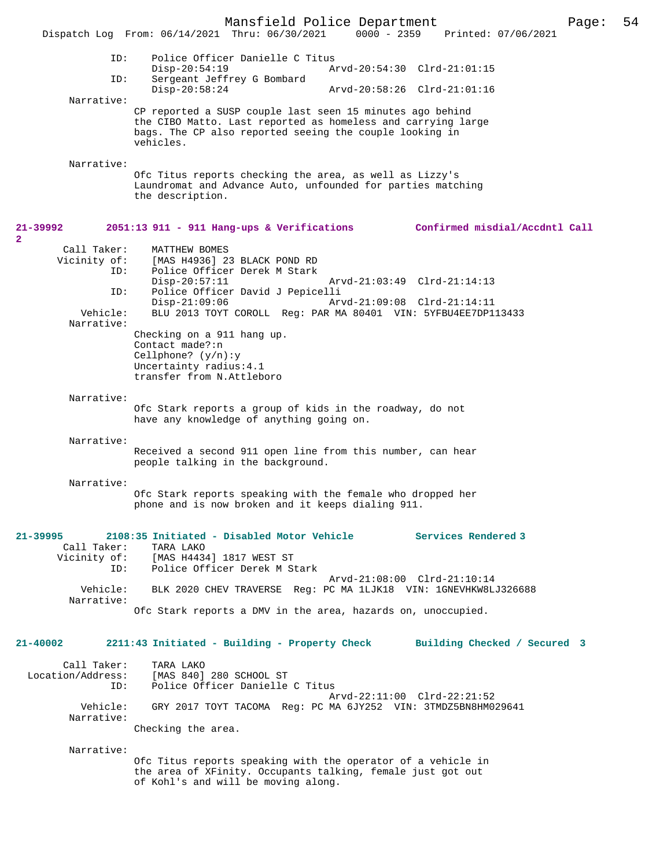Mansfield Police Department Page: 54 Dispatch Log From: 06/14/2021 Thru: 06/30/2021 ID: Police Officer Danielle C Titus Disp-20:54:19 Arvd-20:54:30 Clrd-21:01:15<br>TD: Sergeant Jeffrey G Bombard Sergeant Jeffrey G Bombard<br>Disp-20:58:24 Disp-20:58:24 Arvd-20:58:26 Clrd-21:01:16 Narrative: CP reported a SUSP couple last seen 15 minutes ago behind the CIBO Matto. Last reported as homeless and carrying large bags. The CP also reported seeing the couple looking in vehicles. Narrative: Ofc Titus reports checking the area, as well as Lizzy's Laundromat and Advance Auto, unfounded for parties matching the description. **21-39992 2051:13 911 - 911 Hang-ups & Verifications Confirmed misdial/Accdntl Call** Call Taker: MATTHEW BOMES<br>Vicinity of: [MAS H4936] 2 of: [MAS H4936] 23 BLACK POND RD<br>ID: Police Officer Derek M Stark Police Officer Derek M Stark<br>Disp-20:57:11 Disp-20:57:11 Arvd-21:03:49 Clrd-21:14:13 ID: Police Officer David J Pepicelli Disp-21:09:06 Arvd-21:09:08 Clrd-21:14:11<br>Vehicle: BLU 2013 TOYT COROLL Reg: PAR MA 80401 VIN: 5YEBU4EE7DP1 BLU 2013 TOYT COROLL Reg: PAR MA 80401 VIN: 5YFBU4EE7DP113433 Narrative: Checking on a 911 hang up. Contact made?:n Cellphone? (y/n):y Uncertainty radius:4.1 transfer from N.Attleboro Narrative: Ofc Stark reports a group of kids in the roadway, do not have any knowledge of anything going on. Narrative: Received a second 911 open line from this number, can hear people talking in the background. Narrative: Ofc Stark reports speaking with the female who dropped her phone and is now broken and it keeps dialing 911. **21-39995 2108:35 Initiated - Disabled Motor Vehicle Services Rendered 3**  Call Taker: TARA LAKO<br>Vicinity of: [MAS H443 [MAS H4434] 1817 WEST ST ID: Police Officer Derek M Stark Arvd-21:08:00 Clrd-21:10:14<br>Vehicle: BLK 2020 CHEV TRAVERSE Reg: PC MA 1LJK18 VIN: 1GNEVHKW8L BLK 2020 CHEV TRAVERSE Reg: PC MA 1LJK18 VIN: 1GNEVHKW8LJ326688 Narrative: Ofc Stark reports a DMV in the area, hazards on, unoccupied. **21-40002 2211:43 Initiated - Building - Property Check Building Checked / Secured 3** Call Taker: TARA LAKO<br>Location/Address: [MAS 840] SS: [MAS 840] 280 SCHOOL ST:<br>ID: Police Officer Danielle Police Officer Danielle C Titus Arvd-22:11:00 Clrd-22:21:52 Vehicle: GRY 2017 TOYT TACOMA Reg: PC MA 6JY252 VIN: 3TMDZ5BN8HM029641 Narrative: Checking the area. Narrative: Ofc Titus reports speaking with the operator of a vehicle in the area of XFinity. Occupants talking, female just got out of Kohl's and will be moving along.

**2**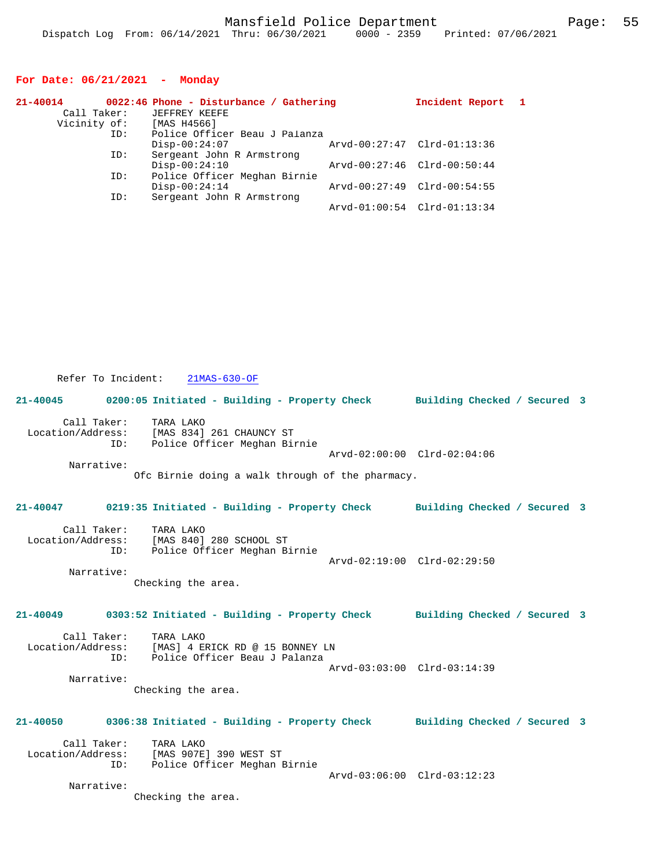### **For Date: 06/21/2021 - Monday**

| 21-40014    |     | 0022:46 Phone - Disturbance / Gathering |                             | Incident Report 1 |  |
|-------------|-----|-----------------------------------------|-----------------------------|-------------------|--|
| Call Taker: |     | JEFFREY KEEFE                           |                             |                   |  |
|             |     | Vicinity of: [MAS H4566]                |                             |                   |  |
|             | ID: | Police Officer Beau J Palanza           |                             |                   |  |
|             |     | $Disp-00:24:07$                         | Arvd-00:27:47 Clrd-01:13:36 |                   |  |
|             | ID: | Sergeant John R Armstrong               |                             |                   |  |
|             |     | $Disp-00:24:10$                         | Arvd-00:27:46 Clrd-00:50:44 |                   |  |
|             | ID: | Police Officer Meghan Birnie            |                             |                   |  |
|             |     | $Disp-00:24:14$                         | Arvd-00:27:49 Clrd-00:54:55 |                   |  |
|             | ID: | Sergeant John R Armstrong               |                             |                   |  |
|             |     |                                         | Arvd-01:00:54 Clrd-01:13:34 |                   |  |

 Refer To Incident: 21MAS-630-OF **21-40045 0200:05 Initiated - Building - Property Check Building Checked / Secured 3** Call Taker: TARA LAKO<br>Location/Address: [MAS 834] Location/Address: [MAS 834] 261 CHAUNCY ST ID: Police Officer Meghan Birnie Arvd-02:00:00 Clrd-02:04:06 Narrative: Ofc Birnie doing a walk through of the pharmacy. **21-40047 0219:35 Initiated - Building - Property Check Building Checked / Secured 3** Call Taker: TARA LAKO Location/Address: [MAS 840] 280 SCHOOL ST ID: Police Officer Meghan Birnie Arvd-02:19:00 Clrd-02:29:50 Narrative: Checking the area. **21-40049 0303:52 Initiated - Building - Property Check Building Checked / Secured 3** Call Taker: TARA LAKO<br>Location/Address: [MAS] 4 E [MAS] 4 ERICK RD @ 15 BONNEY LN ID: Police Officer Beau J Palanza Arvd-03:03:00 Clrd-03:14:39 Narrative: Checking the area. **21-40050 0306:38 Initiated - Building - Property Check Building Checked / Secured 3** Call Taker: TARA LAKO Location/Address: [MAS 907E] 390 WEST ST ID: Police Officer Meghan Birnie Arvd-03:06:00 Clrd-03:12:23 Narrative: Checking the area.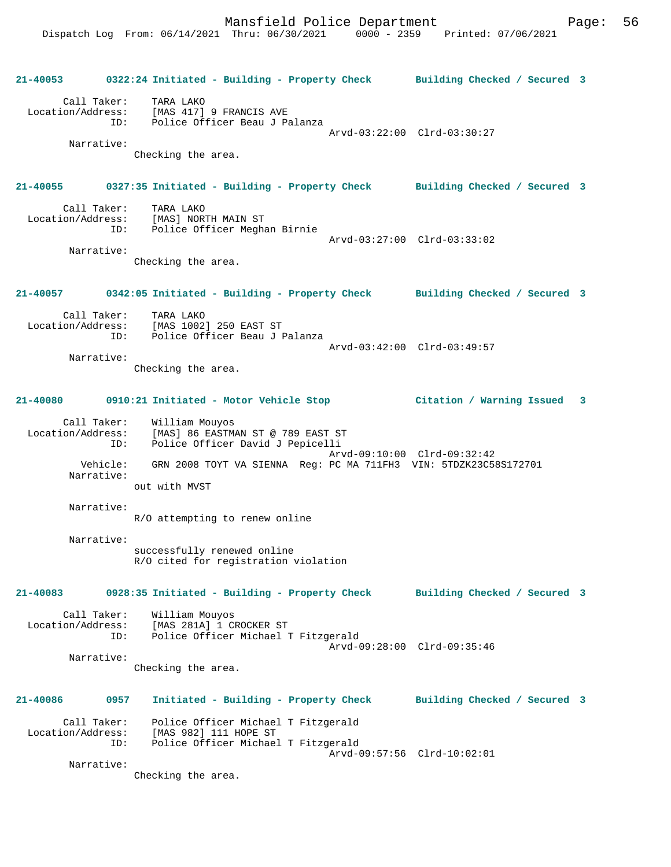**21-40053 0322:24 Initiated - Building - Property Check Building Checked / Secured 3** Call Taker: TARA LAKO Location/Address: [MAS 417] 9 FRANCIS AVE ID: Police Officer Beau J Palanza Arvd-03:22:00 Clrd-03:30:27 Narrative: Checking the area. **21-40055 0327:35 Initiated - Building - Property Check Building Checked / Secured 3** Call Taker: TARA LAKO Location/Address: [MAS] NORTH MAIN ST ess: Inne, ....<br>ID: Police Officer Meghan Birnie Arvd-03:27:00 Clrd-03:33:02 Narrative: Checking the area. **21-40057 0342:05 Initiated - Building - Property Check Building Checked / Secured 3** Call Taker: TARA LAKO Location/Address: [MAS 1002] 250 EAST ST ID: Police Officer Beau J Palanza Arvd-03:42:00 Clrd-03:49:57 Narrative: Checking the area. **21-40080 0910:21 Initiated - Motor Vehicle Stop Citation / Warning Issued 3** Call Taker: William Mouyos Location/Address: [MAS] 86 EASTMAN ST @ 789 EAST ST ID: Police Officer David J Pepicelli Arvd-09:10:00 Clrd-09:32:42 Vehicle: GRN 2008 TOYT VA SIENNA Reg: PC MA 711FH3 VIN: 5TDZK23C58S172701 Narrative: out with MVST Narrative: R/O attempting to renew online Narrative: successfully renewed online R/O cited for registration violation **21-40083 0928:35 Initiated - Building - Property Check Building Checked / Secured 3** Call Taker: William Mouyos Location/Address: [MAS 281A] 1 CROCKER ST<br>ID: Police Officer Michael 1 Police Officer Michael T Fitzgerald Arvd-09:28:00 Clrd-09:35:46 Narrative: Checking the area. **21-40086 0957 Initiated - Building - Property Check Building Checked / Secured 3** Call Taker: Police Officer Michael T Fitzgerald Location/Address: [MAS 982] 111 HOPE ST ID: Police Officer Michael T Fitzgerald Arvd-09:57:56 Clrd-10:02:01 Narrative: Checking the area.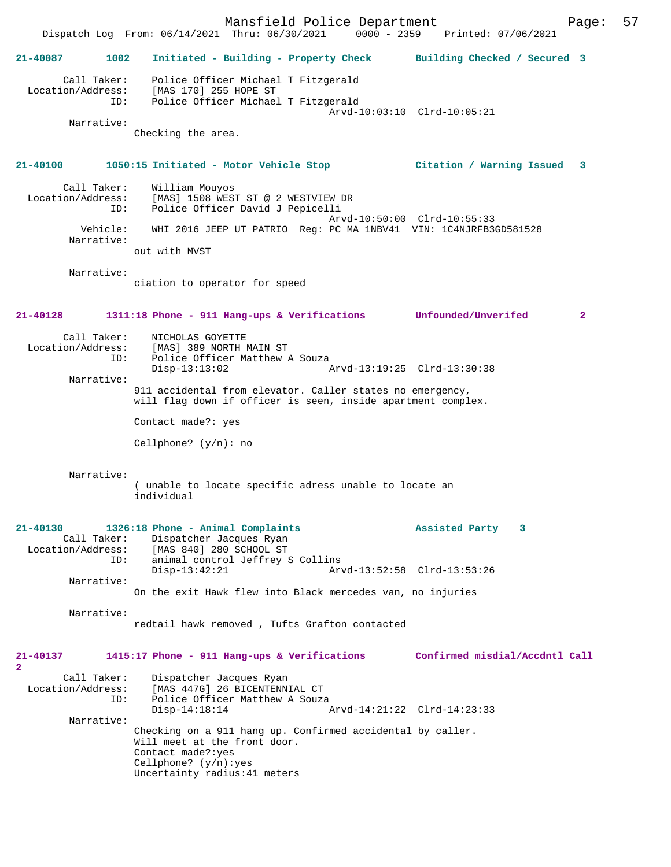Mansfield Police Department Page: 57 Dispatch Log From: 06/14/2021 Thru: 06/30/2021 **21-40087 1002 Initiated - Building - Property Check Building Checked / Secured 3** Call Taker: Police Officer Michael T Fitzgerald Location/Address: [MAS 170] 255 HOPE ST ID: Police Officer Michael T Fitzgerald Arvd-10:03:10 Clrd-10:05:21 Narrative: Checking the area. **21-40100 1050:15 Initiated - Motor Vehicle Stop Citation / Warning Issued 3** Call Taker: William Mouyos Location/Address: [MAS] 1508 WEST ST @ 2 WESTVIEW DR<br>TD: Police Officer David J Penicelli Police Officer David J Pepicelli Arvd-10:50:00 Clrd-10:55:33 Vehicle: WHI 2016 JEEP UT PATRIO Reg: PC MA 1NBV41 VIN: 1C4NJRFB3GD581528 Narrative: out with MVST Narrative: ciation to operator for speed **21-40128 1311:18 Phone - 911 Hang-ups & Verifications Unfounded/Unverifed 2** Call Taker: NICHOLAS GOYETTE Location/Address: [MAS] 389 NORTH MAIN ST ID: Police Officer Matthew A Souza<br>Disp-13:13:02 Disp-13:13:02 Arvd-13:19:25 Clrd-13:30:38 Narrative: 911 accidental from elevator. Caller states no emergency, will flag down if officer is seen, inside apartment complex. Contact made?: yes Cellphone? (y/n): no Narrative: ( unable to locate specific adress unable to locate an individual **21-40130 1326:18 Phone - Animal Complaints Assisted Party 3**  Call Taker: Dispatcher Jacques Ryan<br>Location/Address: [MAS 840] 280 SCHOOL ST ess: [MAS 840] 280 SCHOOL ST<br>TD: animal control Jeffrey S animal control Jeffrey S Collins<br>Disp-13:42:21 Arv Disp-13:42:21 Arvd-13:52:58 Clrd-13:53:26 Narrative: On the exit Hawk flew into Black mercedes van, no injuries Narrative: redtail hawk removed , Tufts Grafton contacted **21-40137 1415:17 Phone - 911 Hang-ups & Verifications Confirmed misdial/Accdntl Call 2**  Call Taker: Dispatcher Jacques Ryan<br>Location/Address: [MAS 447G] 26 BICENTENN [MAS 447G] 26 BICENTENNIAL CT ID: Police Officer Matthew A Souza<br>Disp-14:18:14 F Disp-14:18:14 Arvd-14:21:22 Clrd-14:23:33 Narrative: Checking on a 911 hang up. Confirmed accidental by caller. Will meet at the front door. Contact made?:yes Cellphone? (y/n):yes Uncertainty radius:41 meters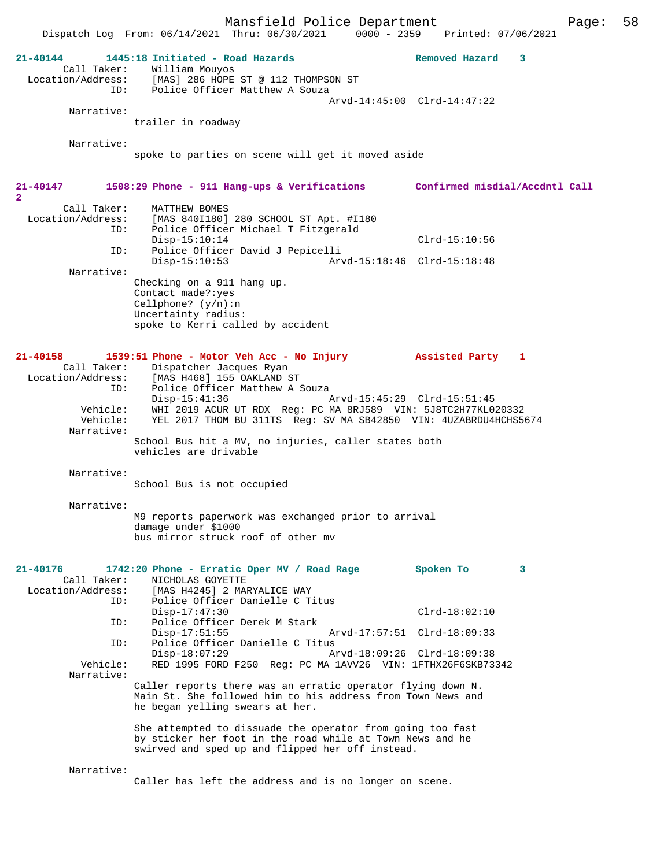Mansfield Police Department Page: 58 Dispatch Log From: 06/14/2021 Thru: 06/30/2021 **21-40144 1445:18 Initiated - Road Hazards Removed Hazard 3**  Call Taker: William Mouyos Location/Address: [MAS] 286 HOPE ST @ 112 THOMPSON ST ID: Police Officer Matthew A Souza Arvd-14:45:00 Clrd-14:47:22 Narrative: trailer in roadway Narrative: spoke to parties on scene will get it moved aside **21-40147 1508:29 Phone - 911 Hang-ups & Verifications Confirmed misdial/Accdntl Call 2**  Call Taker: MATTHEW BOMES<br>Location/Address: [MAS 840I180] [MAS 840I180] 280 SCHOOL ST Apt. #I180 ID: Police Officer Michael T Fitzgerald Disp-15:10:14 Clrd-15:10:56 ID: Police Officer David J Pepicelli Disp-15:10:53 Arvd-15:18:46 Clrd-15:18:48 Narrative: Checking on a 911 hang up. Contact made?:yes Cellphone? (y/n):n Uncertainty radius: spoke to Kerri called by accident **21-40158 1539:51 Phone - Motor Veh Acc - No Injury Assisted Party 1**  Call Taker: Dispatcher Jacques Ryan<br>Location/Address: [MAS H468] 155 OAKLAND S ess: [MAS H468] 155 OAKLAND ST<br>ID: Police Officer Matthew A Police Officer Matthew A Souza<br>Disp-15:41:36 Arvd-15:45:29 Clrd-15:51:45 Disp-15:41:36 Arvd-15:45:29 Clrd-15:51:45 Vehicle: WHI 2019 ACUR UT RDX Reg: PC MA 8RJ589 VIN: 5J8TC2H77KL020332 Vehicle: YEL 2017 THOM BU 311TS Reg: SV MA SB42850 VIN: 4UZABRDU4HCHS5674 Narrative: School Bus hit a MV, no injuries, caller states both vehicles are drivable Narrative: School Bus is not occupied Narrative: M9 reports paperwork was exchanged prior to arrival damage under \$1000 bus mirror struck roof of other mv **21-40176 1742:20 Phone - Erratic Oper MV / Road Rage Spoken To 3**  Call Taker: NICHOLAS GOYETTE Location/Address: [MAS H4245] 2 MARYALICE WAY<br>Th: Police Officer Danielle C.T: Police Officer Danielle C Titus Disp-17:47:30 Clrd-18:02:10<br>TD: Police Officer Derek M Stark Police Officer Derek M Stark<br>Disp-17:51:55 Disp-17:51:55 Arvd-17:57:51 Clrd-18:09:33 ID: Police Officer Danielle C Titus Disp-18:07:29 <br>Vehicle: RED 1995 FORD F250 Req: PC MA 1AVV26 VIN: 1FTHX26F6SKB73 RED 1995 FORD F250 Reg: PC MA 1AVV26 VIN: 1FTHX26F6SKB73342 Narrative: Caller reports there was an erratic operator flying down N. Main St. She followed him to his address from Town News and he began yelling swears at her. She attempted to dissuade the operator from going too fast by sticker her foot in the road while at Town News and he swirved and sped up and flipped her off instead.

### Narrative:

Caller has left the address and is no longer on scene.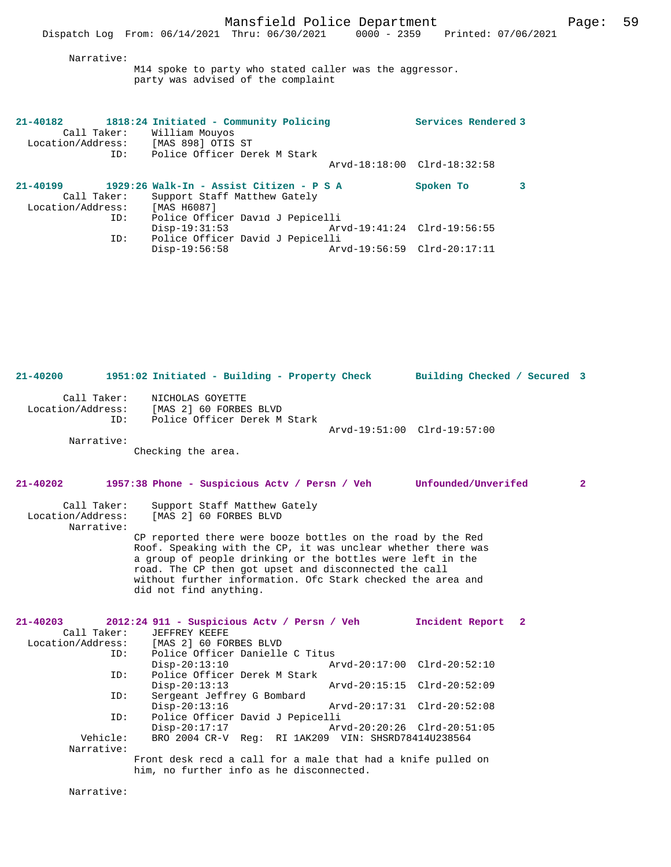### Narrative:

M14 spoke to party who stated caller was the aggressor. party was advised of the complaint

| 21-40182          | 1818:24 Initiated - Community Policing   |                             | Services Rendered 3         |  |
|-------------------|------------------------------------------|-----------------------------|-----------------------------|--|
| Call Taker:       | William Mouyos                           |                             |                             |  |
| Location/Address: | [MAS 898] OTIS ST                        |                             |                             |  |
| ID:               | Police Officer Derek M Stark             |                             |                             |  |
|                   |                                          |                             | Arvd-18:18:00 Clrd-18:32:58 |  |
| $21 - 40199$      | 1929:26 Walk-In - Assist Citizen - P S A |                             | Spoken To                   |  |
| Call Taker:       | Support Staff Matthew Gately             |                             |                             |  |
| Location/Address: | [MAS H6087]                              |                             |                             |  |
| ID:               | Police Officer David J Pepicelli         |                             |                             |  |
|                   | $Disp-19:31:53$                          | Arvd-19:41:24 Clrd-19:56:55 |                             |  |
| ID:               | Police Officer David J Pepicelli         |                             |                             |  |
|                   | $Disp-19:56:58$                          | Arvd-19:56:59 Clrd-20:17:11 |                             |  |

**21-40200 1951:02 Initiated - Building - Property Check Building Checked / Secured 3** Call Taker: NICHOLAS GOYETTE<br>Location/Address: [MAS 2] 60 FORBE [MAS 2] 60 FORBES BLVD ID: Police Officer Derek M Stark Arvd-19:51:00 Clrd-19:57:00 Narrative: Checking the area. **21-40202 1957:38 Phone - Suspicious Actv / Persn / Veh Unfounded/Unverifed 2** Call Taker: Support Staff Matthew Gately<br>Location/Address: [MAS 2] 60 FORBES BLVD [MAS 2] 60 FORBES BLVD Narrative: CP reported there were booze bottles on the road by the Red Roof. Speaking with the CP, it was unclear whether there was a group of people drinking or the bottles were left in the road. The CP then got upset and disconnected the call without further information. Ofc Stark checked the area and did not find anything. **21-40203 2012:24 911 - Suspicious Actv / Persn / Veh Incident Report 2**  Call Taker: JEFFREY KEEFE Location/Address: [MAS 2] 60 FORBES BLVD Police Officer Danielle C Titus<br>Disp-20:13:10 Ar Disp-20:13:10 Arvd-20:17:00 Clrd-20:52:10<br>TD: Police Officer Derek M Stark Police Officer Derek M Stark<br>Disp-20:13:13 Disp-20:13:13 Arvd-20:15:15 Clrd-20:52:09<br>ID: Sergeant Jeffrey G Bombard Sergeant Jeffrey G Bombard<br>Disp-20:13:16 Disp-20:13:16 Arvd-20:17:31 Clrd-20:52:08<br>ID: Police Officer David J Pepicelli Police Officer David J Pepicelli<br>Disp-20:17:17 Ar Disp-20:17:17 Arvd-20:20:26 Clrd-20:51:05<br>Vehicle: BRO 2004 CR-V Reg: RI 1AK209 VIN: SHSRD78414U238564 BRO 2004 CR-V Reg: RI 1AK209 VIN: SHSRD78414U238564 Narrative: Front desk recd a call for a male that had a knife pulled on him, no further info as he disconnected.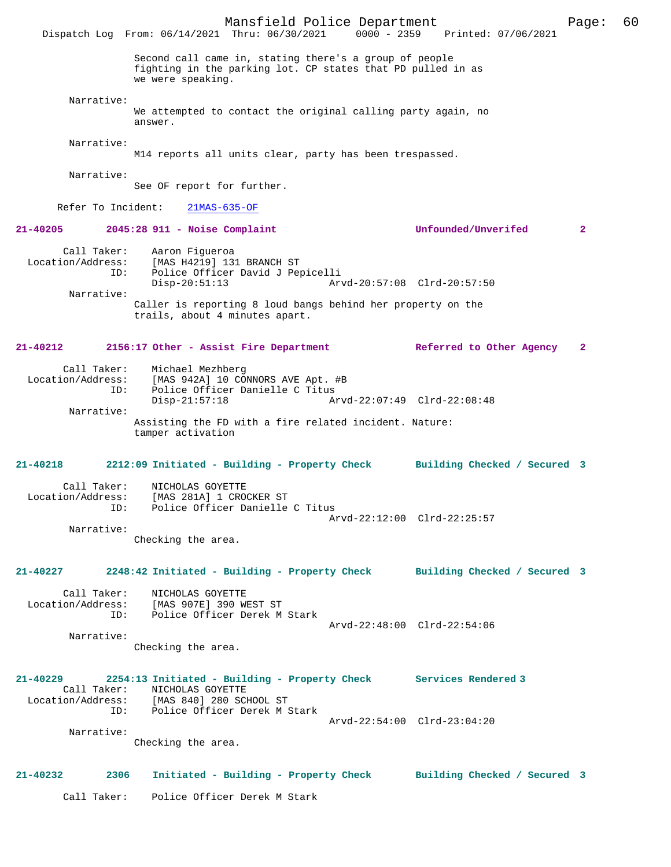Mansfield Police Department Page: 60 Dispatch Log From: 06/14/2021 Thru: 06/30/2021 Second call came in, stating there's a group of people fighting in the parking lot. CP states that PD pulled in as we were speaking. Narrative: We attempted to contact the original calling party again, no answer. Narrative: M14 reports all units clear, party has been trespassed. Narrative: See OF report for further. Refer To Incident: 21MAS-635-OF **21-40205 2045:28 911 - Noise Complaint Unfounded/Unverifed 2** Call Taker: Aaron Figueroa Location/Address: [MAS H4219] 131 BRANCH ST<br>TD: Police Officer David J Per Police Officer David J Pepicelli<br>Disp-20:51:13 Ar Disp-20:51:13 Arvd-20:57:08 Clrd-20:57:50 Narrative: Caller is reporting 8 loud bangs behind her property on the trails, about 4 minutes apart. **21-40212 2156:17 Other - Assist Fire Department Referred to Other Agency 2** Call Taker: Michael Mezhberg<br>Location/Address: [MAS 942A] 10 CO ess: [MAS 942A] 10 CONNORS AVE Apt. #B<br>TD: Police Officer Danielle C Titus Police Officer Danielle C Titus Disp-21:57:18 Arvd-22:07:49 Clrd-22:08:48 Narrative: Assisting the FD with a fire related incident. Nature: tamper activation **21-40218 2212:09 Initiated - Building - Property Check Building Checked / Secured 3** Call Taker: NICHOLAS GOYETTE Location/Address: [MAS 281A] 1 CROCKER ST ID: Police Officer Danielle C Titus Arvd-22:12:00 Clrd-22:25:57 Narrative: Checking the area. **21-40227 2248:42 Initiated - Building - Property Check Building Checked / Secured 3** Call Taker: NICHOLAS GOYETTE Location/Address: [MAS 907E] 390 WEST ST Police Officer Derek M Stark Arvd-22:48:00 Clrd-22:54:06 Narrative: Checking the area. **21-40229 2254:13 Initiated - Building - Property Check Services Rendered 3**  Call Taker: NICHOLAS GOYETTE<br>Location/Address: [MAS 840] 280 SCI [MAS 840] 280 SCHOOL ST ID: Police Officer Derek M Stark Arvd-22:54:00 Clrd-23:04:20 Narrative: Checking the area. **21-40232 2306 Initiated - Building - Property Check Building Checked / Secured 3** Call Taker: Police Officer Derek M Stark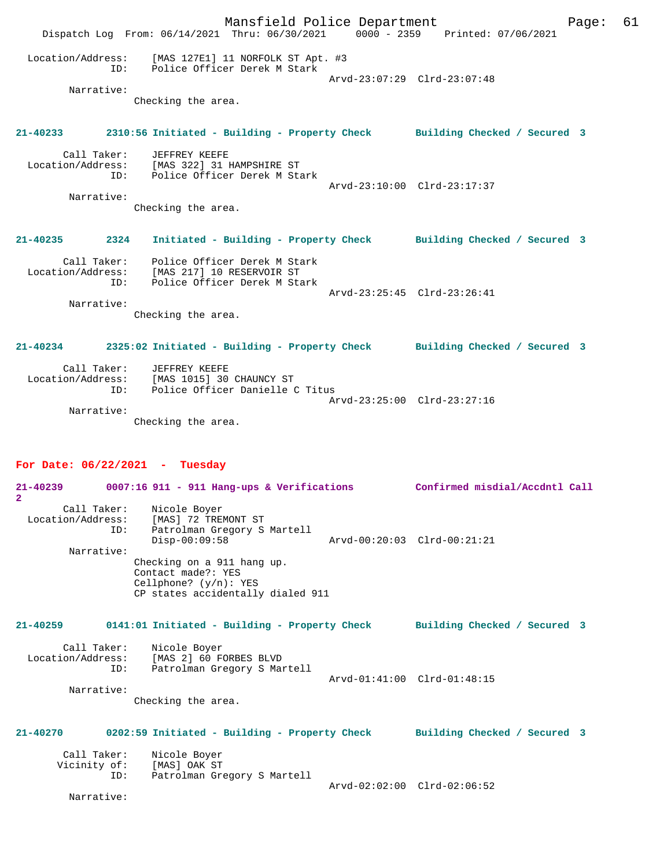Mansfield Police Department Page: 61 Dispatch Log From: 06/14/2021 Thru: 06/30/2021 0000 - 2359 Printed: 07/06/2021 Location/Address: [MAS 127E1] 11 NORFOLK ST Apt. #3 ID: Police Officer Derek M Stark Arvd-23:07:29 Clrd-23:07:48 Narrative: Checking the area. **21-40233 2310:56 Initiated - Building - Property Check Building Checked / Secured 3** Call Taker: JEFFREY KEEFE Location/Address: [MAS 322] 31 HAMPSHIRE ST ID: Police Officer Derek M Stark Arvd-23:10:00 Clrd-23:17:37 Narrative: Checking the area. **21-40235 2324 Initiated - Building - Property Check Building Checked / Secured 3** Call Taker: Police Officer Derek M Stark Location/Address: [MAS 217] 10 RESERVOIR ST ID: Police Officer Derek M Stark Arvd-23:25:45 Clrd-23:26:41 Narrative: Checking the area. **21-40234 2325:02 Initiated - Building - Property Check Building Checked / Secured 3** Call Taker: JEFFREY KEEFE Location/Address: [MAS 1015] 30 CHAUNCY ST ID: Police Officer Danielle C Titus Arvd-23:25:00 Clrd-23:27:16 Narrative: Checking the area. **For Date: 06/22/2021 - Tuesday 21-40239 0007:16 911 - 911 Hang-ups & Verifications Confirmed misdial/Accdntl Call 2**  Call Taker: Nicole Boyer<br>Location/Address: [MAS] 72 TRE! Location/Address: [MAS] 72 TREMONT ST ID: Patrolman Gregory S Martell Disp-00:09:58 Arvd-00:20:03 Clrd-00:21:21 Narrative: Checking on a 911 hang up. Contact made?: YES Cellphone? (y/n): YES CP states accidentally dialed 911

**21-40259 0141:01 Initiated - Building - Property Check Building Checked / Secured 3** Call Taker: Nicole Boyer

| Location/Address: | [MAS 2] 60 FORBES BLVD      |                             |  |
|-------------------|-----------------------------|-----------------------------|--|
| ID:               | Patrolman Gregory S Martell |                             |  |
|                   |                             | Arvd-01:41:00 Clrd-01:48:15 |  |
| Narrative:        |                             |                             |  |

Checking the area.

# **21-40270 0202:59 Initiated - Building - Property Check Building Checked / Secured 3** Call Taker: Nicole Boyer<br>Vicinity of: [MAS] OAK ST Vicinity of:<br>ID: Patrolman Gregory S Martell Arvd-02:02:00 Clrd-02:06:52

Narrative: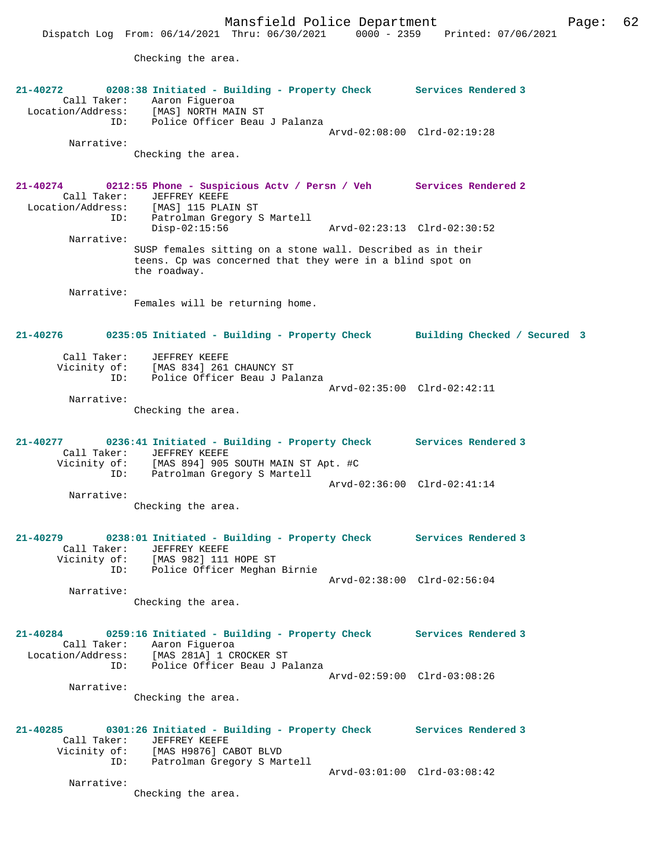Mansfield Police Department Fage: 62

Checking the area.

| $21 - 40272$                                        | 0208:38 Initiated - Building - Property Check Services Rendered 3<br>Call Taker: Aaron Figueroa<br>Location/Address: [MAS] NORTH MAIN ST<br>ID: Police Officer Beau J Palanza                                                 |                             |                             |
|-----------------------------------------------------|-------------------------------------------------------------------------------------------------------------------------------------------------------------------------------------------------------------------------------|-----------------------------|-----------------------------|
| Narrative:                                          |                                                                                                                                                                                                                               |                             | Arvd-02:08:00 Clrd-02:19:28 |
|                                                     | Checking the area.                                                                                                                                                                                                            |                             |                             |
| 21-40274<br>Call Taker:<br>Location/Address:<br>ID: | 0212:55 Phone - Suspicious Actv / Persn / Veh Services Rendered 2<br>JEFFREY KEEFE<br>[MAS] 115 PLAIN ST<br>Patrolman Gregory S Martell                                                                                       |                             |                             |
| Narrative:                                          | $Disp-02:15:56$                                                                                                                                                                                                               | Arvd-02:23:13 Clrd-02:30:52 |                             |
|                                                     | SUSP females sitting on a stone wall. Described as in their<br>teens. Cp was concerned that they were in a blind spot on<br>the roadway.                                                                                      |                             |                             |
| Narrative:                                          | Females will be returning home.                                                                                                                                                                                               |                             |                             |
| 21-40276                                            | 0235:05 Initiated - Building - Property Check Building Checked / Secured 3                                                                                                                                                    |                             |                             |
| Call Taker:<br>ID:                                  | JEFFREY KEEFE<br>Vicinity of: [MAS 834] 261 CHAUNCY ST<br>Police Officer Beau J Palanza                                                                                                                                       |                             |                             |
| Narrative:                                          |                                                                                                                                                                                                                               |                             | Arvd-02:35:00 Clrd-02:42:11 |
|                                                     | Checking the area.                                                                                                                                                                                                            |                             |                             |
|                                                     | 21-40277 0236:41 Initiated - Building - Property Check Services Rendered 3<br>Call Taker: JEFFREY KEEFE<br>Vicinity of: [MAS 894] 905 SOUTH MAIN ST Apt. #C<br>ID: Patrolman Gregory S Martell<br>Patrolman Gregory S Martell |                             |                             |
| Narrative:                                          | Checking the area.                                                                                                                                                                                                            |                             | Arvd-02:36:00 Clrd-02:41:14 |
| $21 - 40279$<br>Call Taker:<br>ID:                  | 0238:01 Initiated - Building - Property Check Services Rendered 3<br>JEFFREY KEEFE<br>Vicinity of: [MAS 982] 111 HOPE ST<br>Police Officer Meghan Birnie                                                                      |                             |                             |
| Narrative:                                          |                                                                                                                                                                                                                               |                             | Arvd-02:38:00 Clrd-02:56:04 |
|                                                     | Checking the area.                                                                                                                                                                                                            |                             |                             |
| $21 - 40284$<br>ID:                                 | 0259:16 Initiated - Building - Property Check Services Rendered 3<br>Call Taker: Aaron Figueroa<br>Location/Address: [MAS 281A] 1 CROCKER ST<br>Police Officer Beau J Palanza                                                 |                             |                             |
| Narrative:                                          |                                                                                                                                                                                                                               |                             | Arvd-02:59:00 Clrd-03:08:26 |
|                                                     | Checking the area.                                                                                                                                                                                                            |                             |                             |
| 21-40285<br>Call Taker:<br>Vicinity of:<br>ID:      | 0301:26 Initiated - Building - Property Check<br>JEFFREY KEEFE<br>[MAS H9876] CABOT BLVD<br>Patrolman Gregory S Martell                                                                                                       |                             | Services Rendered 3         |
| Narrative:                                          |                                                                                                                                                                                                                               |                             | Arvd-03:01:00 Clrd-03:08:42 |
|                                                     | Checking the area.                                                                                                                                                                                                            |                             |                             |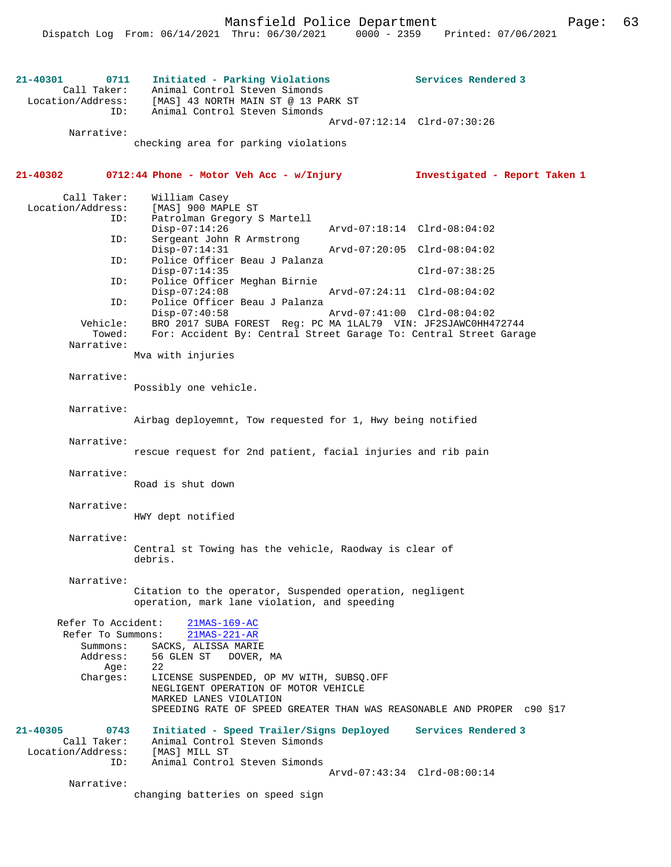**21-40301 0711 Initiated - Parking Violations Services Rendered 3**  Call Taker: Animal Control Steven Simonds Location/Address: [MAS] 43 NORTH MAIN ST @ 13 PARK ST ID: Animal Control Steven Simonds Arvd-07:12:14 Clrd-07:30:26 Narrative: checking area for parking violations **21-40302 0712:44 Phone - Motor Veh Acc - w/Injury Investigated - Report Taken 1** Call Taker: William Casey<br>.on/Address: [MAS] 900 MAPLE ST Location/Address: ID: Patrolman Gregory S Martell Disp-07:14:26 Arvd-07:18:14 Clrd-08:04:02 ID: Sergeant John R Armstrong Disp-07:14:31 Arvd-07:20:05 Clrd-08:04:02<br>ID: Police Officer Beau J Palanza Police Officer Beau J Palanza Disp-07:14:35 Clrd-07:38:25<br>ID: Police Officer Meghan Birnie Police Officer Meghan Birnie Disp-07:24:08 Arvd-07:24:11 Clrd-08:04:02 ID: Police Officer Beau J Palanza Disp-07:40:58 Arvd-07:41:00 Clrd-08:04:02 BRO 2017 SUBA FOREST Req: PC MA 1LAL79 VIN: JF2SJAWC0HH472744 Towed: For: Accident By: Central Street Garage To: Central Street Garage Narrative: Mva with injuries Narrative: Possibly one vehicle. Narrative: Airbag deployemnt, Tow requested for 1, Hwy being notified Narrative: rescue request for 2nd patient, facial injuries and rib pain Narrative: Road is shut down Narrative: HWY dept notified Narrative: Central st Towing has the vehicle, Raodway is clear of debris. Narrative: Citation to the operator, Suspended operation, negligent operation, mark lane violation, and speeding Refer To Accident: 21MAS-169-AC Refer To Summons: 21MAS-221-AR Summons: SACKS, ALISSA MARIE Address: 56 GLEN ST DOVER, MA Age:  $22$  Charges: LICENSE SUSPENDED, OP MV WITH, SUBSQ.OFF NEGLIGENT OPERATION OF MOTOR VEHICLE MARKED LANES VIOLATION SPEEDING RATE OF SPEED GREATER THAN WAS REASONABLE AND PROPER c90 §17 **21-40305 0743 Initiated - Speed Trailer/Signs Deployed Services Rendered 3**  Call Taker: Animal Control Steven Simonds<br>ion/Address: [MAS] MILL ST Location/Address: ID: Animal Control Steven Simonds Arvd-07:43:34 Clrd-08:00:14 Narrative: changing batteries on speed sign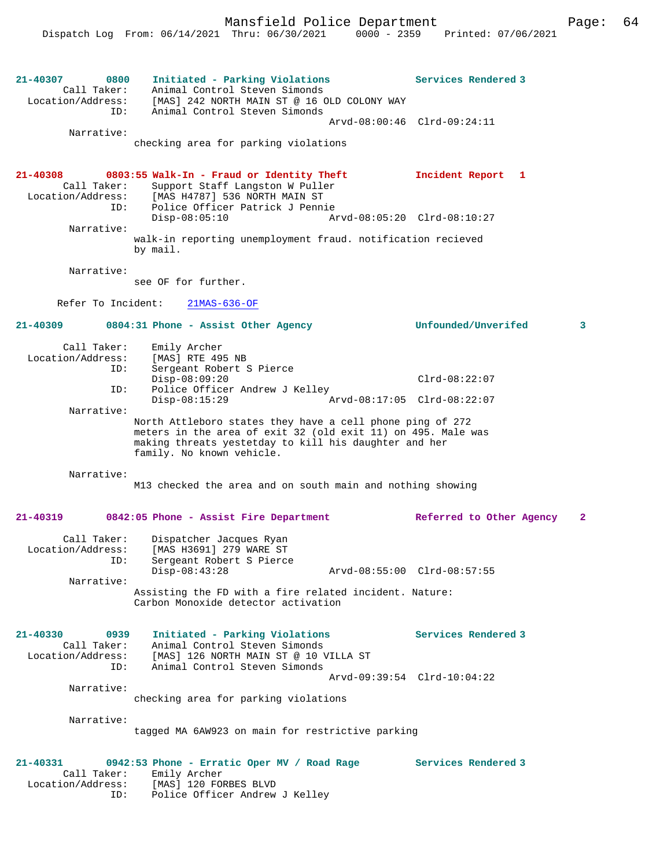**21-40307 0800 Initiated - Parking Violations Services Rendered 3**  Call Taker: Animal Control Steven Simonds Location/Address: [MAS] 242 NORTH MAIN ST @ 16 OLD COLONY WAY ID: Animal Control Steven Simonds Arvd-08:00:46 Clrd-09:24:11 Narrative: checking area for parking violations **21-40308 0803:55 Walk-In - Fraud or Identity Theft Incident Report 1**  Call Taker: Support Staff Langston W Puller<br>Location/Address: [MAS H4787] 536 NORTH MAIN ST Location/Address: [MAS H4787] 536 NORTH MAIN ST ID: Police Officer Patrick J Pennie Disp-08:05:10 Arvd-08:05:20 Clrd-08:10:27 Narrative: walk-in reporting unemployment fraud. notification recieved by mail. Narrative: see OF for further. Refer To Incident: 21MAS-636-OF **21-40309 0804:31 Phone - Assist Other Agency Unfounded/Unverifed 3** Call Taker: Emily Archer<br>ion/Address: [MAS] RTE 495 NB Location/Address:<br>ID: IPANT ALL ...<br>Sergeant Robert S Pierce Disp-08:09:20 Clrd-08:22:07 ID: Police Officer Andrew J Kelley<br>Disp-08:15:29 Ar  $arvd-08:17:05$  Clrd-08:22:07 Narrative: North Attleboro states they have a cell phone ping of 272 meters in the area of exit 32 (old exit 11) on 495. Male was making threats yestetday to kill his daughter and her family. No known vehicle. Narrative: M13 checked the area and on south main and nothing showing **21-40319 0842:05 Phone - Assist Fire Department Referred to Other Agency 2** Call Taker: Dispatcher Jacques Ryan Location/Address: [MAS H3691] 279 WARE ST<br>TD: Sergeant Robert S Pierce Sergeant Robert S Pierce<br>Disp-08:43:28 Disp-08:43:28 Arvd-08:55:00 Clrd-08:57:55 Narrative: Assisting the FD with a fire related incident. Nature: Carbon Monoxide detector activation **21-40330 0939 Initiated - Parking Violations Services Rendered 3**  Call Taker: Animal Control Steven Simonds Location/Address: [MAS] 126 NORTH MAIN ST @ 10 VILLA ST ID: Animal Control Steven Simonds Arvd-09:39:54 Clrd-10:04:22 Narrative: checking area for parking violations Narrative: tagged MA 6AW923 on main for restrictive parking **21-40331 0942:53 Phone - Erratic Oper MV / Road Rage Services Rendered 3**  Call Taker: Emily Archer Location/Address: [MAS] 120 FORBES BLVD ID: Police Officer Andrew J Kelley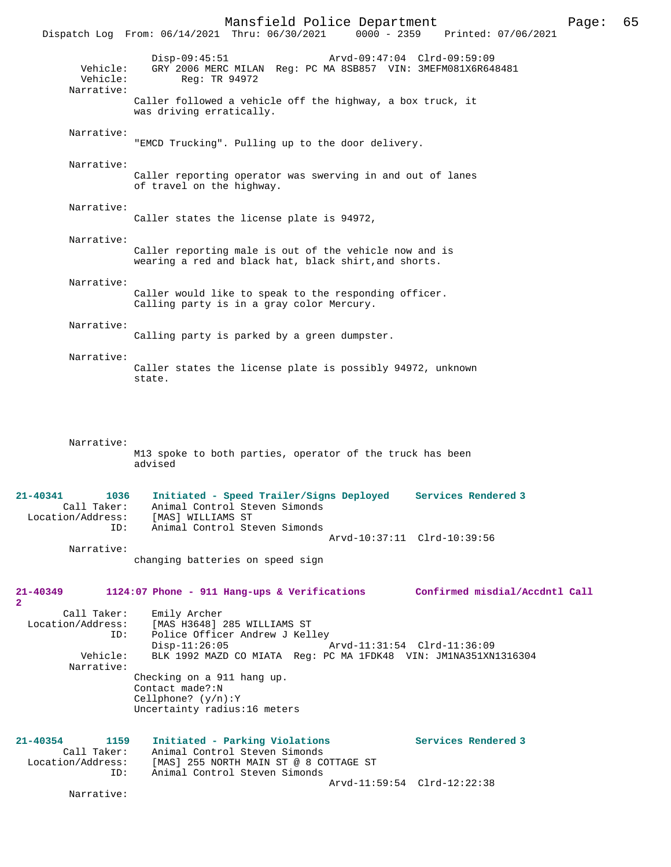Mansfield Police Department Page: 65 Dispatch Log From: 06/14/2021 Thru: 06/30/2021 Disp-09:45:51 Arvd-09:47:04 Clrd-09:59:09 Vehicle: GRY 2006 MERC MILAN Reg: PC MA 8SB857 VIN: 3MEFM081X6R648481 Vehicle: Req: TR 94972 Narrative: Caller followed a vehicle off the highway, a box truck, it was driving erratically. Narrative: "EMCD Trucking". Pulling up to the door delivery. Narrative: Caller reporting operator was swerving in and out of lanes of travel on the highway. Narrative: Caller states the license plate is 94972, Narrative: Caller reporting male is out of the vehicle now and is wearing a red and black hat, black shirt,and shorts. Narrative: Caller would like to speak to the responding officer. Calling party is in a gray color Mercury. Narrative: Calling party is parked by a green dumpster. Narrative: Caller states the license plate is possibly 94972, unknown state. Narrative: M13 spoke to both parties, operator of the truck has been advised **21-40341 1036 Initiated - Speed Trailer/Signs Deployed Services Rendered 3**  Call Taker: Animal Control Steven Simonds Location/Address: [MAS] WILLIAMS ST Animal Control Steven Simonds Arvd-10:37:11 Clrd-10:39:56 Narrative: changing batteries on speed sign **21-40349 1124:07 Phone - 911 Hang-ups & Verifications Confirmed misdial/Accdntl Call**  $\mathbf{2}$ Call Taker: Emily Archer<br>Location/Address: [MAS H3648] ess: [MAS H3648] 285 WILLIAMS ST<br>ID: Police Officer Andrew J Kel IMAS HOUTO, 200 HILLE<br>Police Officer Andrew J Kelley<br>Disp-11:26:05 [ Disp-11:26:05 Arvd-11:31:54 Clrd-11:36:09<br>Vehicle: BLK 1992 MAZD CO MIATA Req: PC MA 1FDK48 VIN: JM1NA351XN BLK 1992 MAZD CO MIATA Reg: PC MA 1FDK48 VIN: JM1NA351XN1316304 Narrative: Checking on a 911 hang up. Contact made?:N Cellphone? (y/n):Y Uncertainty radius:16 meters **21-40354 1159 Initiated - Parking Violations Services Rendered 3**  Call Taker: Animal Control Steven Simonds Location/Address: [MAS] 255 NORTH MAIN ST @ 8 COTTAGE ST ID: Animal Control Steven Simonds Animal Control Steven Simonds Arvd-11:59:54 Clrd-12:22:38 Narrative: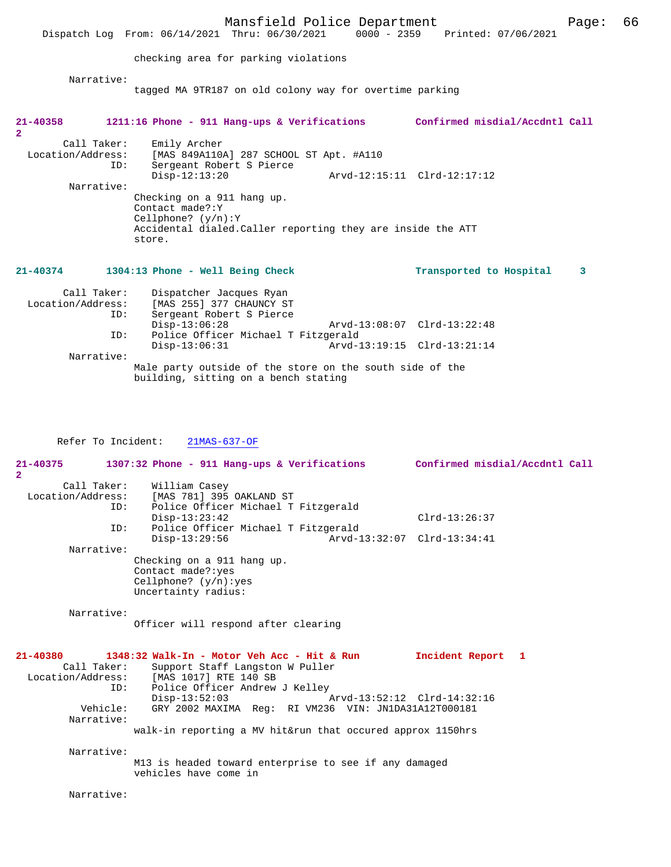|                                                | Mansfield Police Department<br>Dispatch Log From: 06/14/2021 Thru: 06/30/2021                                                                                                                                                                                               | 0000 - 2359 Printed: 07/06/2021 | Page: | 66 |
|------------------------------------------------|-----------------------------------------------------------------------------------------------------------------------------------------------------------------------------------------------------------------------------------------------------------------------------|---------------------------------|-------|----|
|                                                | checking area for parking violations                                                                                                                                                                                                                                        |                                 |       |    |
| Narrative:                                     | tagged MA 9TR187 on old colony way for overtime parking                                                                                                                                                                                                                     |                                 |       |    |
| $21 - 40358$<br>$\overline{2}$                 | 1211:16 Phone - 911 Hang-ups & Verifications Confirmed misdial/Accdntl Call                                                                                                                                                                                                 |                                 |       |    |
| Call Taker:<br>ID:<br>Narrative:               | Emily Archer<br>Location/Address: [MAS 849A110A] 287 SCHOOL ST Apt. #A110<br>Sergeant Robert S Pierce<br>$Disp-12:13:20$<br>Checking on a 911 hang up.<br>Contact made?: Y<br>Cellphone? $(y/n):Y$<br>Accidental dialed. Caller reporting they are inside the ATT<br>store. | Arvd-12:15:11 Clrd-12:17:12     |       |    |
| $21 - 40374$                                   | 1304:13 Phone - Well Being Check                                                                                                                                                                                                                                            | Transported to Hospital         | 3     |    |
| Call Taker:<br>Location/Address:<br>ID:<br>ID: | Dispatcher Jacques Ryan<br>[MAS 255] 377 CHAUNCY ST<br>Sergeant Robert S Pierce<br>$Disp-13:06:28$<br>Police Officer Michael T Fitzgerald                                                                                                                                   | Arvd-13:08:07 Clrd-13:22:48     |       |    |
| Narrative:                                     | $Disp-13:06:31$                                                                                                                                                                                                                                                             |                                 |       |    |
|                                                | Male party outside of the store on the south side of the<br>building sitting on a bengh stating                                                                                                                                                                             |                                 |       |    |

building, sitting on a bench stating

Refer To Incident: 21MAS-637-OF

**21-40375 1307:32 Phone - 911 Hang-ups & Verifications Confirmed misdial/Accdntl Call 2**  Call Taker: William Casey<br>Location/Address: [MAS 781] 395 [MAS 781] 395 OAKLAND ST ID: Police Officer Michael T Fitzgerald Disp-13:23:42 Clrd-13:26:37<br>ID: Police Officer Michael T Fitzgerald Clrd-13:26:37 Police Officer Michael T Fitzgerald<br>Disp-13:29:56 Arvd-1 Disp-13:29:56 Arvd-13:32:07 Clrd-13:34:41 Narrative: Checking on a 911 hang up. Contact made?:yes Cellphone? (y/n):yes Uncertainty radius: Narrative: Officer will respond after clearing **21-40380 1348:32 Walk-In - Motor Veh Acc - Hit & Run Incident Report 1**  Call Taker: Support Staff Langston W Puller<br>Location/Address: [MAS 1017] RTE 140 SB ess: [MAS 1017] RTE 140 SB<br>ID: Police Officer Andrew Police Officer Andrew J Kelley<br>Disp-13:52:03 Disp-13:52:03<br>
Vehicle: GRY 2002 MAXIMA Req: RI VM236 VIN: JN1DA31A12T000181 GRY 2002 MAXIMA Reg: RI VM236 VIN: JN1DA31A12T000181 Narrative: walk-in reporting a MV hit&run that occured approx 1150hrs Narrative: M13 is headed toward enterprise to see if any damaged vehicles have come in Narrative: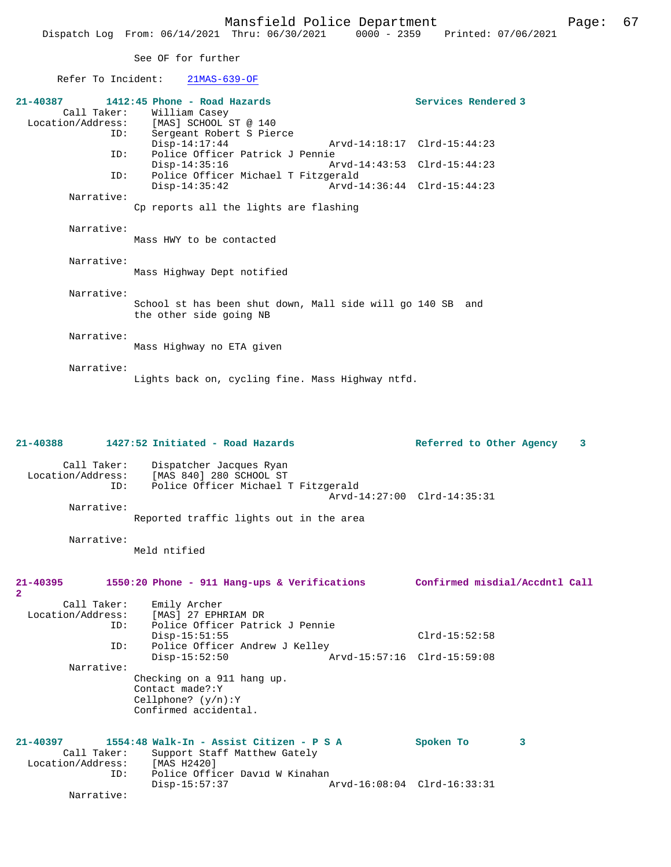See OF for further

#### Refer To Incident: 21MAS-639-OF

| $21 - 40387$ | 1412:45 Phone - Road Hazards                                                          | Services Rendered 3 |
|--------------|---------------------------------------------------------------------------------------|---------------------|
|              | Call Taker: William Casey                                                             |                     |
|              | Location/Address: [MAS] SCHOOL ST @ 140                                               |                     |
|              | Sergeant Robert S Pierce<br>ID:                                                       |                     |
|              | $Disp-14:17:44$                                                                       |                     |
| ID:          | Police Officer Patrick J Pennie                                                       |                     |
|              | Disp-14:35:16                                                                         |                     |
| ID:          | Police Officer Michael T Fitzgerald                                                   |                     |
|              | $Disp-14:35:42$                                                                       |                     |
| Narrative:   |                                                                                       |                     |
|              | Cp reports all the lights are flashing                                                |                     |
|              |                                                                                       |                     |
| Narrative:   |                                                                                       |                     |
|              | Mass HWY to be contacted                                                              |                     |
|              |                                                                                       |                     |
| Narrative:   |                                                                                       |                     |
|              | Mass Highway Dept notified                                                            |                     |
|              |                                                                                       |                     |
| Narrative:   |                                                                                       |                     |
|              | School st has been shut down, Mall side will go 140 SB and<br>the other side going NB |                     |
|              |                                                                                       |                     |
| Narrative:   |                                                                                       |                     |
|              | Mass Highway no ETA given                                                             |                     |
|              |                                                                                       |                     |
| Narrative:   |                                                                                       |                     |
|              | Lights back on, cycling fine. Mass Highway ntfd.                                      |                     |
|              |                                                                                       |                     |

### **21-40388 1427:52 Initiated - Road Hazards Referred to Other Agency 3** Call Taker: Dispatcher Jacques Ryan Location/Address: [MAS 840] 280 SCHOOL ST<br>ID: Police Officer Michael 1 Police Officer Michael T Fitzgerald Arvd-14:27:00 Clrd-14:35:31 Narrative: Reported traffic lights out in the area Narrative: Meld ntified **21-40395 1550:20 Phone - 911 Hang-ups & Verifications Confirmed misdial/Accdntl Call 2**  Call Taker: Emily Archer Location/Address: [MAS] 27 EPHRIAM DR ID: Police Officer Patrick J Pennie Disp-15:51:55 Clrd-15:52:58 ID: Police Officer Andrew J Kelley Disp-15:52:50 Arvd-15:57:16 Clrd-15:59:08 Narrative: Checking on a 911 hang up. Contact made?:Y Cellphone? (y/n):Y Confirmed accidental. **21-40397 1554:48 Walk-In - Assist Citizen - P S A Spoken To 3**  Call Taker: Support Staff Matthew Gately Location/Address:<br>ID: ID: Pressent<br>[MAS H2420]<br>Police Officer David W Kinahan Disp-15:57:37 Arvd-16:08:04 Clrd-16:33:31 Narrative: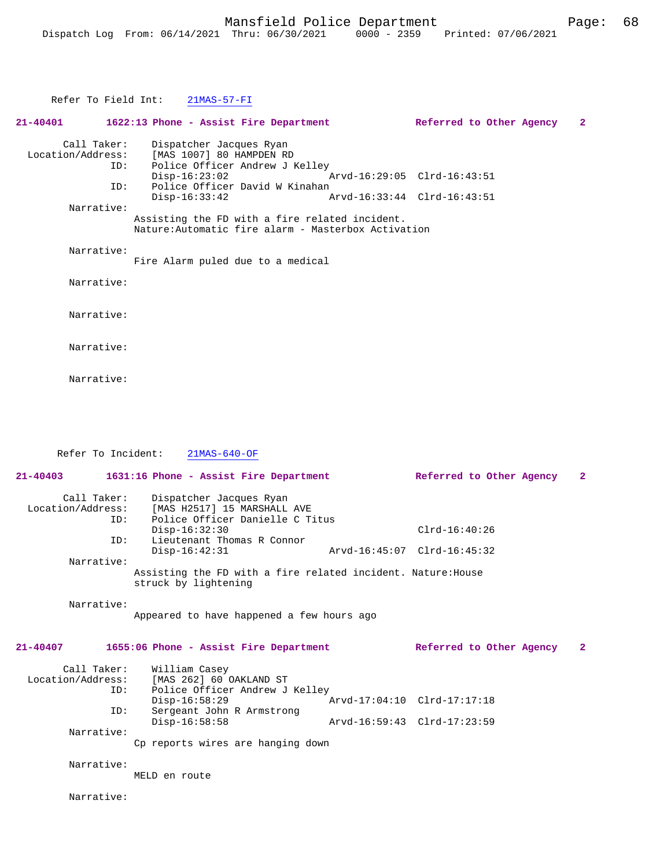|            | Refer To Field Int: 21MAS-57-FI                                                                                     |                             |   |
|------------|---------------------------------------------------------------------------------------------------------------------|-----------------------------|---|
|            | $21-40401$ $1622:13$ Phone - Assist Fire Department                                                                 | Referred to Other Agency    | 2 |
| ID:        | Call Taker: Dispatcher Jacques Ryan<br>Location/Address: [MAS 1007] 80 HAMPDEN RD<br>Police Officer Andrew J Kelley |                             |   |
| ID:        | $Disp-16:23:02$<br>Police Officer David W Kinahan                                                                   | Arvd-16:29:05 Clrd-16:43:51 |   |
| Narrative: | $Disp-16:33:42$                                                                                                     | Arvd-16:33:44 Clrd-16:43:51 |   |
|            | Assisting the FD with a fire related incident.<br>Nature: Automatic fire alarm - Masterbox Activation               |                             |   |
| Narrative: | Fire Alarm puled due to a medical                                                                                   |                             |   |
| Narrative: |                                                                                                                     |                             |   |
| Narrative: |                                                                                                                     |                             |   |
| Narrative: |                                                                                                                     |                             |   |
| Narrative: |                                                                                                                     |                             |   |

 Refer To Incident: 21MAS-640-OF **21-40403 1631:16 Phone - Assist Fire Department Referred to Other Agency 2** Call Taker: Dispatcher Jacques Ryan<br>Location/Address: [MAS H2517] 15 MARSHALL [MAS H2517] 15 MARSHALL AVE ID: Police Officer Danielle C Titus Disp-16:32:30 Clrd-16:40:26 Clrd-16:40:26 Clrd-16:40:26 Lieutenant Thomas R Connor<br>Disp-16:42:31 Disp-16:42:31 Arvd-16:45:07 Clrd-16:45:32 Narrative: Assisting the FD with a fire related incident. Nature:House struck by lightening Narrative: Appeared to have happened a few hours ago **21-40407 1655:06 Phone - Assist Fire Department Referred to Other Agency 2** Call Taker: William Casey<br>Location/Address: [MAS 262] 60 [MAS 262] 60 OAKLAND ST ID: Police Officer Andrew J Kelley<br>Disp-16:58:29 1 Disp-16:58:29 <br>ID: Sergeant John R Armstrong <br>Displays around the Circl-17:17:18 Sergeant John R Armstrong<br>Disp-16:58:58 Disp-16:58:58 Arvd-16:59:43 Clrd-17:23:59 Narrative: Cp reports wires are hanging down Narrative: MELD en route Narrative: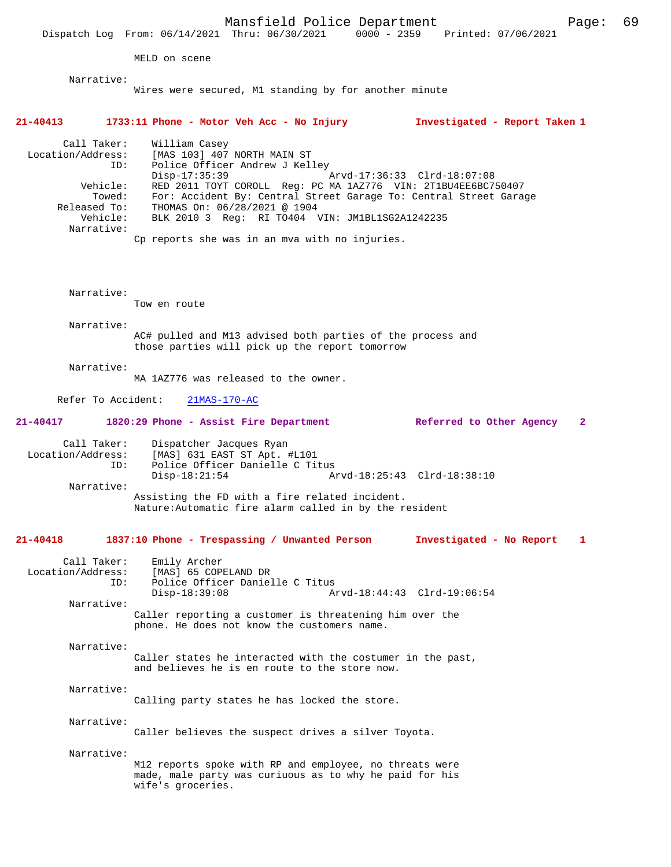Mansfield Police Department Page: 69 Dispatch Log From:  $06/14/2021$  Thru:  $06/30/2021$  0000 - 2359 MELD on scene Narrative: Wires were secured, M1 standing by for another minute **21-40413 1733:11 Phone - Motor Veh Acc - No Injury Investigated - Report Taken 1** Call Taker: William Casey Location/Address: [MAS 103] 407 NORTH MAIN ST ID: Police Officer Andrew J Kelley<br>Disp-17:35:39 Disp-17:35:39 Arvd-17:36:33 Clrd-18:07:08<br>Vehicle: RED 2011 TOYT COROLL Reg: PC MA 1AZ776 VIN: 2T1BU4EE6BC7! ehicle: RED 2011 TOYT COROLL Reg: PC MA 1AZ776 VIN: 2T1BU4EE6BC750407<br>Towed: For: Accident By: Central Street Garage To: Central Street Gara Towed: For: Accident By: Central Street Garage To: Central Street Garage Released To: THOMAS On: 06/28/2021 @ 1904 BLK 2010 3 Reg: RI TO404 VIN: JM1BL1SG2A1242235 Narrative: Cp reports she was in an mva with no injuries. Narrative: Tow en route Narrative: AC# pulled and M13 advised both parties of the process and those parties will pick up the report tomorrow Narrative: MA 1AZ776 was released to the owner. Refer To Accident: 21MAS-170-AC **21-40417 1820:29 Phone - Assist Fire Department Referred to Other Agency 2** Call Taker: Dispatcher Jacques Ryan Location/Address: [MAS] 631 EAST ST Apt. #L101 ID: Police Officer Danielle C Titus Arvd-18:25:43 Clrd-18:38:10 Narrative: Assisting the FD with a fire related incident. Nature:Automatic fire alarm called in by the resident **21-40418 1837:10 Phone - Trespassing / Unwanted Person Investigated - No Report 1** Call Taker: Emily Archer<br>Location/Address: [MAS] 65 COPI [MAS] 65 COPELAND DR ID: Police Officer Danielle C Titus Disp-18:39:08 Arvd-18:44:43 Clrd-19:06:54 Narrative: Caller reporting a customer is threatening him over the phone. He does not know the customers name. Narrative: Caller states he interacted with the costumer in the past, and believes he is en route to the store now. Narrative: Calling party states he has locked the store. Narrative: Caller believes the suspect drives a silver Toyota. Narrative: M12 reports spoke with RP and employee, no threats were made, male party was curiuous as to why he paid for his wife's groceries.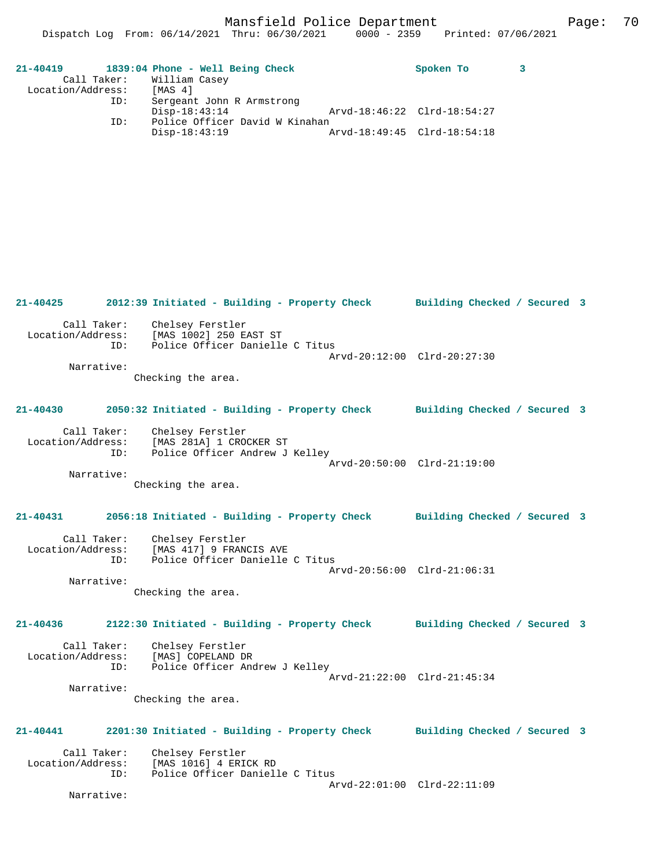Mansfield Police Department Fage: 70

| $21 - 40419$      |             | 1839:04 Phone - Well Being Check |  |                                |                             | Spoken To |  |
|-------------------|-------------|----------------------------------|--|--------------------------------|-----------------------------|-----------|--|
|                   | Call Taker: | William Casey                    |  |                                |                             |           |  |
| Location/Address: |             | [MAS 4]                          |  |                                |                             |           |  |
|                   | ID:         | Sergeant John R Armstrong        |  |                                |                             |           |  |
|                   |             | Disp-18:43:14                    |  |                                | Arvd-18:46:22 Clrd-18:54:27 |           |  |
|                   | ID:         |                                  |  | Police Officer David W Kinahan |                             |           |  |
|                   |             | Disp-18:43:19                    |  |                                | Arvd-18:49:45 Clrd-18:54:18 |           |  |

**21-40425 2012:39 Initiated - Building - Property Check Building Checked / Secured 3** Call Taker: Chelsey Ferstler<br>Location/Address: [MAS 1002] 250 E [MAS 1002] 250 EAST ST ID: Police Officer Danielle C Titus Arvd-20:12:00 Clrd-20:27:30 Narrative: Checking the area. **21-40430 2050:32 Initiated - Building - Property Check Building Checked / Secured 3** Call Taker: Chelsey Ferstler Location/Address: [MAS 281A] 1 CROCKER ST ID: Police Officer Andrew J Kelley Arvd-20:50:00 Clrd-21:19:00 Narrative: Checking the area. **21-40431 2056:18 Initiated - Building - Property Check Building Checked / Secured 3** Call Taker: Chelsey Ferstler Location/Address: [MAS 417] 9 FRANCIS AVE ID: Police Officer Danielle C Titus Arvd-20:56:00 Clrd-21:06:31 Narrative: Checking the area. **21-40436 2122:30 Initiated - Building - Property Check Building Checked / Secured 3** Call Taker: Chelsey Ferstler Location/Address: [MAS] COPELAND DR<br>ID: Police Officer And Police Officer Andrew J Kelley Arvd-21:22:00 Clrd-21:45:34 Narrative: Checking the area. **21-40441 2201:30 Initiated - Building - Property Check Building Checked / Secured 3** Call Taker: Chelsey Ferstler<br>Location/Address: [MAS 1016] 4 ERIO ess: [MAS 1016] 4 ERICK RD<br>ID: Police Officer Daniel Police Officer Danielle C Titus Arvd-22:01:00 Clrd-22:11:09 Narrative: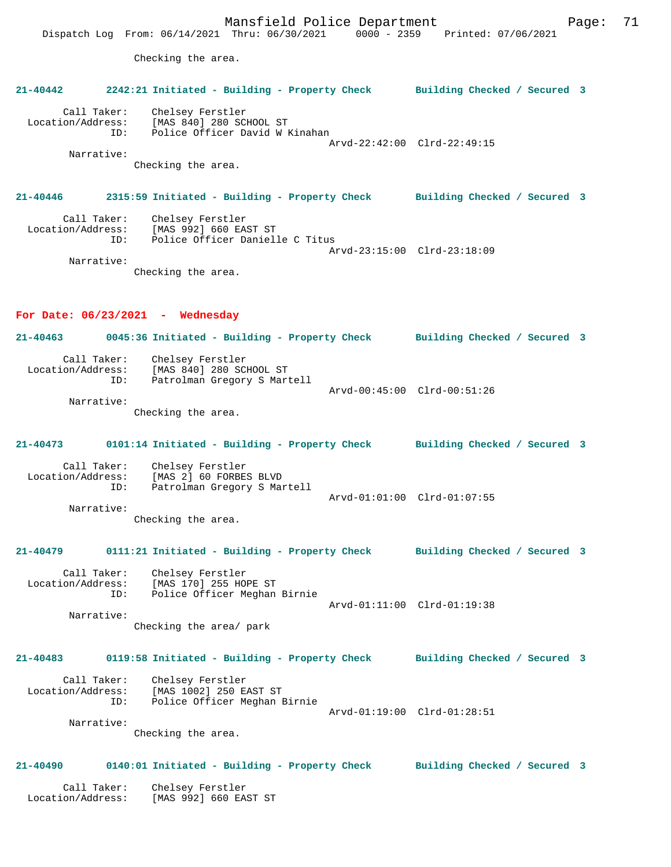Mansfield Police Department Page: 71 Dispatch Log From: 06/14/2021 Thru: 06/30/2021 0000 - 2359 Printed: 07/06/2021 Checking the area. **21-40442 2242:21 Initiated - Building - Property Check Building Checked / Secured 3** Call Taker: Chelsey Ferstler Location/Address: [MAS 840] 280 SCHOOL ST ID: Police Officer David W Kinahan Arvd-22:42:00 Clrd-22:49:15 Narrative: Checking the area. **21-40446 2315:59 Initiated - Building - Property Check Building Checked / Secured 3** Call Taker: Chelsey Ferstler Location/Address: [MAS 992] 660 EAST ST ID: Police Officer Danielle C Titus Arvd-23:15:00 Clrd-23:18:09 Narrative: Checking the area. **For Date: 06/23/2021 - Wednesday 21-40463 0045:36 Initiated - Building - Property Check Building Checked / Secured 3** Call Taker: Chelsey Ferstler<br>Location/Address: [MAS 840] 280 SCHOOL ST Location/Address: [MAS 840] 280 SCHOOL ST ID: Patrolman Gregory S Martell Arvd-00:45:00 Clrd-00:51:26 Narrative: Checking the area. **21-40473 0101:14 Initiated - Building - Property Check Building Checked / Secured 3** Call Taker: Chelsey Ferstler Location/Address: [MAS 2] 60 FORBES BLVD ID: Patrolman Gregory S Martell Arvd-01:01:00 Clrd-01:07:55 Narrative: Checking the area. **21-40479 0111:21 Initiated - Building - Property Check Building Checked / Secured 3** Call Taker: Chelsey Ferstler<br>Location/Address: [MAS 170] 255 HOI Location/Address: [MAS 170] 255 HOPE ST ID: Police Officer Meghan Birnie Arvd-01:11:00 Clrd-01:19:38 Narrative: Checking the area/ park **21-40483 0119:58 Initiated - Building - Property Check Building Checked / Secured 3** Call Taker: Chelsey Ferstler Location/Address: [MAS 1002] 250 EAST ST ID: Police Officer Meghan Birnie Arvd-01:19:00 Clrd-01:28:51 Narrative: Checking the area. **21-40490 0140:01 Initiated - Building - Property Check Building Checked / Secured 3** Call Taker: Chelsey Ferstler Location/Address: [MAS 992] 660 EAST ST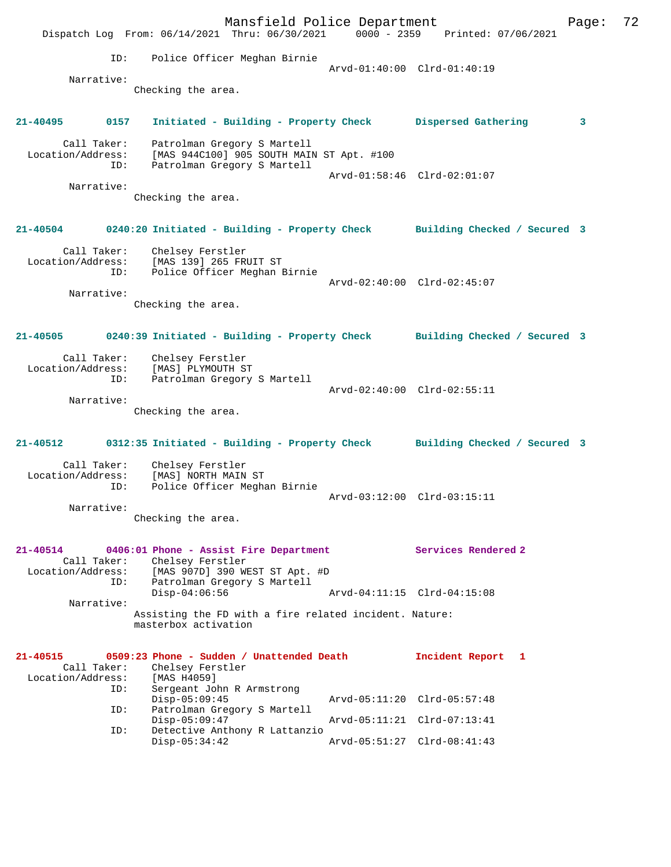Mansfield Police Department Form Page: 72 Dispatch Log From: 06/14/2021 Thru: 06/30/2021 0000 - 2359 Printed: 07/06/2021 ID: Police Officer Meghan Birnie Arvd-01:40:00 Clrd-01:40:19 Narrative: Checking the area. **21-40495 0157 Initiated - Building - Property Check Dispersed Gathering 3** Call Taker: Patrolman Gregory S Martell Location/Address: [MAS 944C100] 905 SOUTH MAIN ST Apt. #100 ID: Patrolman Gregory S Martell Arvd-01:58:46 Clrd-02:01:07 Narrative: Checking the area. **21-40504 0240:20 Initiated - Building - Property Check Building Checked / Secured 3** Call Taker: Chelsey Ferstler Location/Address: [MAS 139] 265 FRUIT ST ID: Police Officer Meghan Birnie Arvd-02:40:00 Clrd-02:45:07 Narrative: Checking the area. **21-40505 0240:39 Initiated - Building - Property Check Building Checked / Secured 3** Call Taker: Chelsey Ferstler Location/Address: [MAS] PLYMOUTH ST ID: Patrolman Gregory S Martell Arvd-02:40:00 Clrd-02:55:11 Narrative: Checking the area. **21-40512 0312:35 Initiated - Building - Property Check Building Checked / Secured 3** Call Taker: Chelsey Ferstler Location/Address: [MAS] NORTH MAIN ST<br>ID: Police Officer Megha Police Officer Meghan Birnie Arvd-03:12:00 Clrd-03:15:11 Narrative: Checking the area. **21-40514 0406:01 Phone - Assist Fire Department Services Rendered 2**  Call Taker: Chelsey Ferstler<br>Location/Address: [MAS 907D] 390 WI ess: [MAS 907D] 390 WEST ST Apt. #D<br>ID: Patrolman Gregory S Martell Patrolman Gregory S Martell<br>Disp-04:06:56 Arvd-04:11:15 Clrd-04:15:08 Narrative: Assisting the FD with a fire related incident. Nature: masterbox activation **21-40515 0509:23 Phone - Sudden / Unattended Death Incident Report 1**  Call Taker: Chelsey Ferstler<br>ion/Address: [MAS H4059] Location/Address:<br>ID: Sergeant John R Armstrong<br>Disp-05:09:45 Arvd-05:11:20 Clrd-05:57:48 ID: Patrolman Gregory S Martell Disp-05:09:47 Arvd-05:11:21 Clrd-07:13:41 ID: Detective Anthony R Lattanzio Disp-05:34:42 Arvd-05:51:27 Clrd-08:41:43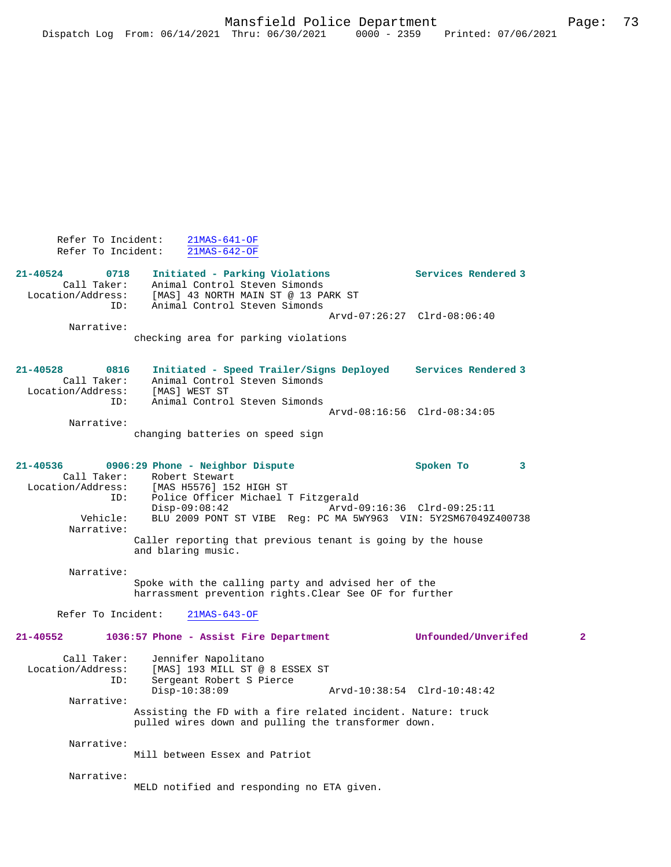| Refer To Incident:<br>Refer To Incident:                    | $21MAS-641-OF$<br>$21MAS-642-OF$                                                                                                                                                                                                                                                           |                                               |
|-------------------------------------------------------------|--------------------------------------------------------------------------------------------------------------------------------------------------------------------------------------------------------------------------------------------------------------------------------------------|-----------------------------------------------|
| 21-40524<br>0718<br>Call Taker:<br>Location/Address:<br>ID: | Initiated - Parking Violations<br>Animal Control Steven Simonds<br>[MAS] 43 NORTH MAIN ST @ 13 PARK ST<br>Animal Control Steven Simonds                                                                                                                                                    | Services Rendered 3                           |
|                                                             |                                                                                                                                                                                                                                                                                            | Arvd-07:26:27 Clrd-08:06:40                   |
| Narrative:                                                  | checking area for parking violations                                                                                                                                                                                                                                                       |                                               |
| 21-40528<br>0816<br>Call Taker:<br>Location/Address:        | Initiated - Speed Trailer/Signs Deployed Services Rendered 3<br>Animal Control Steven Simonds<br>[MAS] WEST ST                                                                                                                                                                             |                                               |
| ID:                                                         | Animal Control Steven Simonds                                                                                                                                                                                                                                                              | Arvd-08:16:56 Clrd-08:34:05                   |
| Narrative:                                                  | changing batteries on speed sign                                                                                                                                                                                                                                                           |                                               |
| 21-40536<br>Call Taker:<br>ID:<br>Vehicle:<br>Narrative:    | 0906:29 Phone - Neighbor Dispute<br>Robert Stewart<br>Location/Address: [MAS H5576] 152 HIGH ST<br>Police Officer Michael T Fitzgerald<br>$Disp-09:08:42$<br>BLU 2009 PONT ST VIBE Reg: PC MA 5WY963 VIN: 5Y2SM67049Z400738<br>Caller reporting that previous tenant is going by the house | Spoken To<br>3<br>Arvd-09:16:36 Clrd-09:25:11 |
| Narrative:                                                  | and blaring music.<br>Spoke with the calling party and advised her of the<br>harrassment prevention rights. Clear See OF for further                                                                                                                                                       |                                               |
| Refer To Incident:                                          | $21MAS-643-OF$                                                                                                                                                                                                                                                                             |                                               |
| 21-40552                                                    | 1036:57 Phone - Assist Fire Department                                                                                                                                                                                                                                                     | Unfounded/Unverifed<br>$\mathbf{2}$           |
| Call Taker:<br>Location/Address:<br>ID:                     | Jennifer Napolitano<br>[MAS] 193 MILL ST @ 8 ESSEX ST<br>Sergeant Robert S Pierce<br>Disp-10:38:09                                                                                                                                                                                         |                                               |
| Narrative:                                                  | Assisting the FD with a fire related incident. Nature: truck<br>pulled wires down and pulling the transformer down.                                                                                                                                                                        |                                               |
| Narrative:                                                  | Mill between Essex and Patriot                                                                                                                                                                                                                                                             |                                               |
| Narrative:                                                  | MELD notified and responding no ETA given.                                                                                                                                                                                                                                                 |                                               |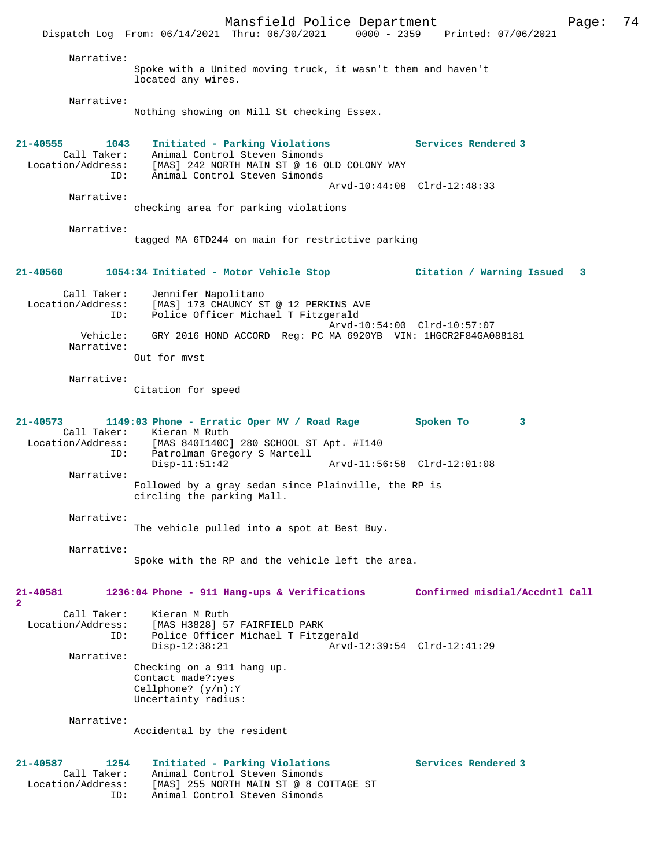Mansfield Police Department Fage: 74 Dispatch Log From: 06/14/2021 Thru: 06/30/2021 0000 - 2359 Printed: 07/06/2021 Narrative: Spoke with a United moving truck, it wasn't them and haven't located any wires. Narrative: Nothing showing on Mill St checking Essex. **21-40555 1043 Initiated - Parking Violations Services Rendered 3**  Call Taker: Animal Control Steven Simonds Location/Address: [MAS] 242 NORTH MAIN ST @ 16 OLD COLONY WAY ID: Animal Control Steven Simonds Arvd-10:44:08 Clrd-12:48:33 Narrative: checking area for parking violations Narrative: tagged MA 6TD244 on main for restrictive parking **21-40560 1054:34 Initiated - Motor Vehicle Stop Citation / Warning Issued 3** Call Taker: Jennifer Napolitano Location/Address: [MAS] 173 CHAUNCY ST @ 12 PERKINS AVE ID: Police Officer Michael T Fitzgerald Arvd-10:54:00 Clrd-10:57:07<br>Vehicle: GRY 2016 HOND ACCORD Reg: PC MA 6920YB VIN: 1HGCR2F84GA0 GRY 2016 HOND ACCORD Reg: PC MA 6920YB VIN: 1HGCR2F84GA088181 Narrative: Out for mvst Narrative: Citation for speed **21-40573 1149:03 Phone - Erratic Oper MV / Road Rage Spoken To 3**  Call Taker: Kieran M Ruth Location/Address: [MAS 840I140C] 280 SCHOOL ST Apt. #I140 ID: Patrolman Gregory S Martell Arvd-11:56:58 Clrd-12:01:08 Narrative: Followed by a gray sedan since Plainville, the RP is circling the parking Mall. Narrative: The vehicle pulled into a spot at Best Buy. Narrative: Spoke with the RP and the vehicle left the area. **21-40581 1236:04 Phone - 911 Hang-ups & Verifications Confirmed misdial/Accdntl Call 2**  Call Taker: Kieran M Ruth<br>Location/Address: [MAS H3828] 57 Location/Address: [MAS H3828] 57 FAIRFIELD PARK ID: Police Officer Michael T Fitzgerald Disp-12:38:21 Arvd-12:39:54 Clrd-12:41:29 Narrative: Checking on a 911 hang up. Contact made?:yes Cellphone? (y/n):Y Uncertainty radius: Narrative: Accidental by the resident **21-40587 1254 Initiated - Parking Violations Services Rendered 3**  Call Taker: Animal Control Steven Simonds Location/Address: [MAS] 255 NORTH MAIN ST @ 8 COTTAGE ST ID: Animal Control Steven Simonds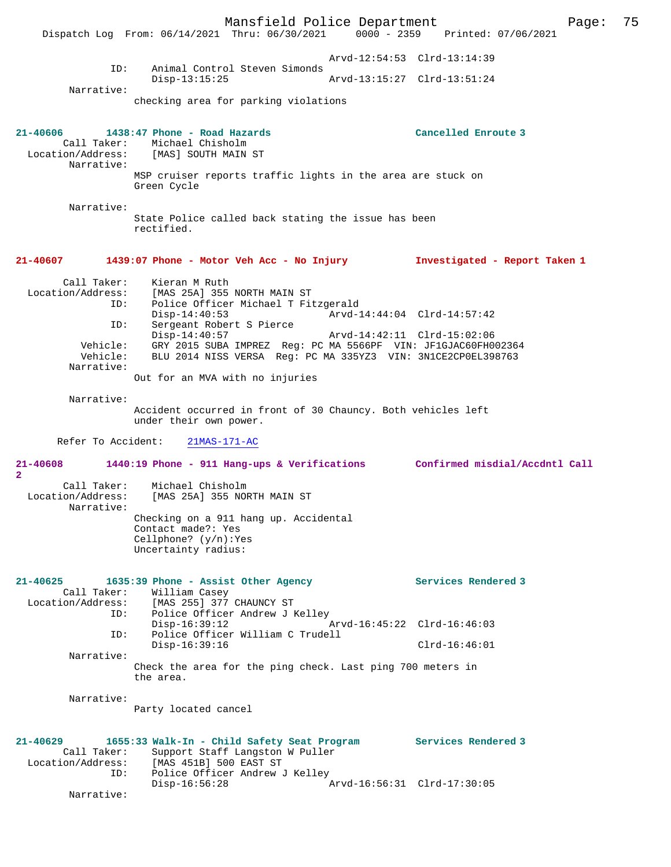Mansfield Police Department Page: 75 Dispatch Log From:  $06/14/2021$  Thru:  $06/30/2021$  0000 - 2359 Arvd-12:54:53 Clrd-13:14:39 ID: Animal Control Steven Simonds<br>Disp-13:15:25 Disp-13:15:25 Arvd-13:15:27 Clrd-13:51:24 Narrative: checking area for parking violations **21-40606 1438:47 Phone - Road Hazards Cancelled Enroute 3**  Call Taker: Michael Chisholm<br>Location/Address: [MAS] SOUTH MAIN [MAS] SOUTH MAIN ST Narrative: MSP cruiser reports traffic lights in the area are stuck on Green Cycle Narrative: State Police called back stating the issue has been rectified. **21-40607 1439:07 Phone - Motor Veh Acc - No Injury Investigated - Report Taken 1** Call Taker: Kieran M Ruth Location/Address: [MAS 25A] 355 NORTH MAIN ST ID: Police Officer Michael T Fitzgerald Disp-14:40:53 Arvd-14:44:04 Clrd-14:57:42 ID: Sergeant Robert S Pierce Disp-14:40:57 Arvd-14:42:11 Clrd-15:02:06 Vehicle: GRY 2015 SUBA IMPREZ Reg: PC MA 5566PF VIN: JF1GJAC60FH002364 Vehicle: BLU 2014 NISS VERSA Reg: PC MA 335YZ3 VIN: 3N1CE2CP0EL398763 Narrative: Out for an MVA with no injuries Narrative: Accident occurred in front of 30 Chauncy. Both vehicles left under their own power. Refer To Accident: 21MAS-171-AC **21-40608 1440:19 Phone - 911 Hang-ups & Verifications Confirmed misdial/Accdntl Call 2**  Call Taker: Michael Chisholm<br>Location/Address: [MAS 25A] 355 NOF [MAS 25A] 355 NORTH MAIN ST Narrative: Checking on a 911 hang up. Accidental Contact made?: Yes Cellphone? (y/n):Yes Uncertainty radius: **21-40625 1635:39 Phone - Assist Other Agency Services Rendered 3**  Call Taker: William Casey Location/Address: [MAS 255] 377 CHAUNCY ST Police Officer Andrew J Kelley<br>Disp-16:39:12 Disp-16:39:12 Arvd-16:45:22 Clrd-16:46:03<br>ID: Police Officer William C Trudell Police Officer William C Trudell Disp-16:39:16 Clrd-16:46:01 Narrative: Check the area for the ping check. Last ping 700 meters in the area. Narrative: Party located cancel **21-40629 1655:33 Walk-In - Child Safety Seat Program Services Rendered 3**  Call Taker: Support Staff Langston W Puller<br>Location/Address: [MAS 451B] 500 EAST ST Location/Address: [MAS 451B] 500 EAST ST ID: Police Officer Andrew J Kelley Disp-16:56:28 Arvd-16:56:31 Clrd-17:30:05 Narrative: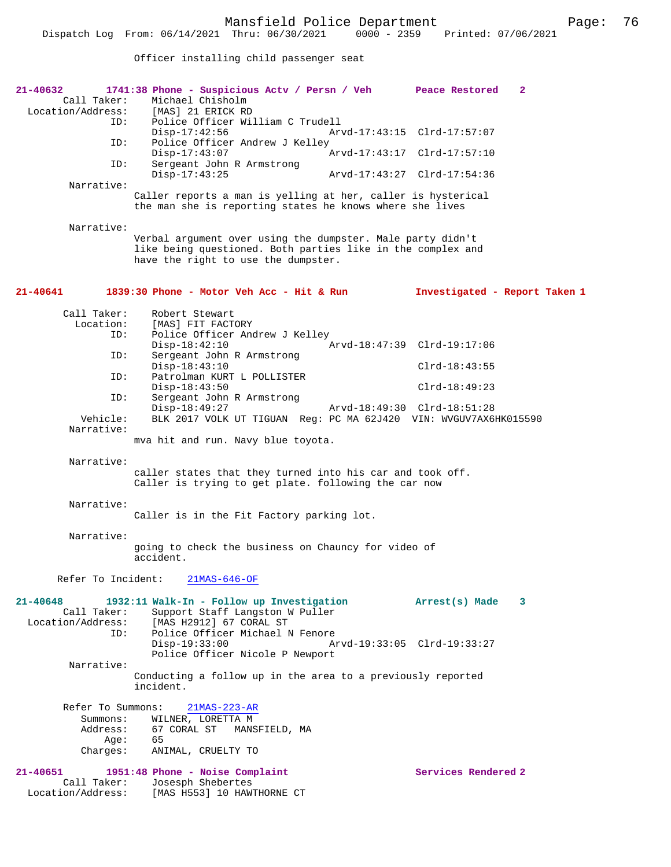Officer installing child passenger seat

| 21-40632<br>Call Taker:                                 | 1741:38 Phone - Suspicious Actv / Persn / Veh Peace Restored<br>Michael Chisholm<br>Location/Address: [MAS] 21 ERICK RD                                          | $\mathbf{2}$                  |
|---------------------------------------------------------|------------------------------------------------------------------------------------------------------------------------------------------------------------------|-------------------------------|
| ID:                                                     | Police Officer William C Trudell<br>$Disp-17:42:56$                                                                                                              | Arvd-17:43:15 Clrd-17:57:07   |
| ID:                                                     | Police Officer Andrew J Kelley<br>$Disp-17:43:07$                                                                                                                |                               |
| ID:                                                     | Sergeant John R Armstrong<br>$Disp-17:43:25$                                                                                                                     | Arvd-17:43:27 Clrd-17:54:36   |
| Narrative:                                              | Caller reports a man is yelling at her, caller is hysterical<br>the man she is reporting states he knows where she lives                                         |                               |
| Narrative:                                              | Verbal argument over using the dumpster. Male party didn't<br>like being questioned. Both parties like in the complex and<br>have the right to use the dumpster. |                               |
| 21-40641                                                | 1839:30 Phone - Motor Veh Acc - Hit & Run                                                                                                                        | Investigated - Report Taken 1 |
| Call Taker:<br>Location:                                | Robert Stewart<br>[MAS] FIT FACTORY                                                                                                                              |                               |
| ID:                                                     | Police Officer Andrew J Kelley                                                                                                                                   |                               |
| ID:                                                     | $Disp-18:42:10$<br>Sergeant John R Armstrong                                                                                                                     | Arvd-18:47:39 Clrd-19:17:06   |
| ID:                                                     | $Disp-18:43:10$<br>Patrolman KURT L POLLISTER                                                                                                                    | $Clrd-18:43:55$               |
|                                                         | $Disp-18:43:50$                                                                                                                                                  | $Clrd-18:49:23$               |
| ID:                                                     | Sergeant John R Armstrong<br>$Disp-18:49:27$                                                                                                                     | Arvd-18:49:30 Clrd-18:51:28   |
| Vehicle:<br>Narrative:                                  | BLK 2017 VOLK UT TIGUAN Reg: PC MA 62J420 VIN: WVGUV7AX6HK015590                                                                                                 |                               |
|                                                         | mva hit and run. Navy blue toyota.                                                                                                                               |                               |
| Narrative:                                              | caller states that they turned into his car and took off.<br>Caller is trying to get plate. following the car now                                                |                               |
| Narrative:                                              | Caller is in the Fit Factory parking lot.                                                                                                                        |                               |
| Narrative:                                              | going to check the business on Chauncy for video of<br>accident.                                                                                                 |                               |
| Refer To Incident:                                      | $21MAS-646-OF$                                                                                                                                                   |                               |
| $21 - 40648$<br>Call Taker:<br>Location/Address:<br>ID: | 1932:11 Walk-In - Follow up Investigation<br>Support Staff Langston W Puller<br>[MAS H2912] 67 CORAL ST<br>Police Officer Michael N Fenore                       | Arrest(s) Made<br>3           |
|                                                         | $Disp-19:33:00$<br>Police Officer Nicole P Newport                                                                                                               | Arvd-19:33:05 Clrd-19:33:27   |
| Narrative:                                              | Conducting a follow up in the area to a previously reported<br>incident.                                                                                         |                               |
| Refer To Summons:                                       | $21MAS - 223 - AR$                                                                                                                                               |                               |
| Summons:<br>Address:                                    | WILNER, LORETTA M<br>67 CORAL ST<br>MANSFIELD, MA                                                                                                                |                               |
| Age:<br>Charges:                                        | 65<br>ANIMAL, CRUELTY TO                                                                                                                                         |                               |
| $21 - 40651$                                            | 1951:48 Phone - Noise Complaint                                                                                                                                  | Services Rendered 2           |
| Call Taker:<br>Location/Address:                        | Josesph Shebertes<br>[MAS H553] 10 HAWTHORNE CT                                                                                                                  |                               |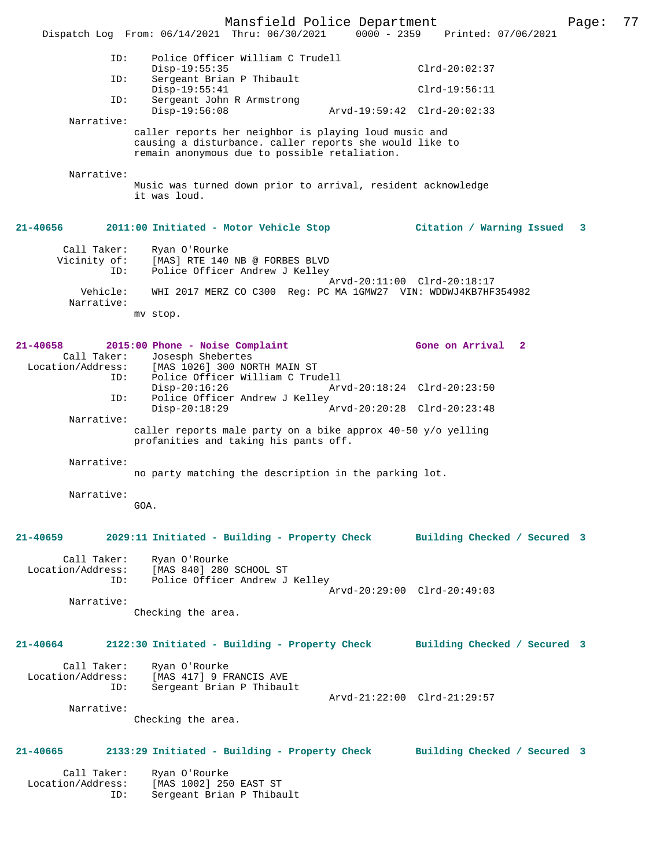Mansfield Police Department Page: 77 Dispatch Log From: 06/14/2021 Thru: 06/30/2021 ID: Police Officer William C Trudell Disp-19:55:35 Clrd-20:02:37<br>TD: Sergeant Brian P Thibault Sergeant Brian P Thibault Disp-19:55:41 Clrd-19:56:11<br>TD: Sergeant John R Armstrong Sergeant John R Armstrong<br>Disp-19:56:08 Disp-19:56:08 Arvd-19:59:42 Clrd-20:02:33 Narrative: caller reports her neighbor is playing loud music and causing a disturbance. caller reports she would like to remain anonymous due to possible retaliation. Narrative: Music was turned down prior to arrival, resident acknowledge it was loud. **21-40656 2011:00 Initiated - Motor Vehicle Stop Citation / Warning Issued 3** Call Taker: Ryan O'Rourke<br>Vicinity of: [MAS] RTE 140 of: [MAS] RTE 140 NB @ FORBES BLVD<br>ID: Police Officer Andrew J Kellev Police Officer Andrew J Kelley Arvd-20:11:00 Clrd-20:18:17 Vehicle: WHI 2017 MERZ CO C300 Reg: PC MA 1GMW27 VIN: WDDWJ4KB7HF354982 Narrative: mv stop. **21-40658 2015:00 Phone - Noise Complaint Gone on Arrival 2**  Call Taker: Josesph Shebertes<br>Location/Address: [MAS 1026] 300 NO [MAS 1026] 300 NORTH MAIN ST ID: Police Officer William C Trudell Disp-20:16:26 Arvd-20:18:24 Clrd-20:23:50<br>ID: Police Officer Andrew J Kelley Police Officer Andrew J Kelley<br>Disp-20:18:29 7 Disp-20:18:29 Arvd-20:20:28 Clrd-20:23:48 Narrative: caller reports male party on a bike approx 40-50 y/o yelling profanities and taking his pants off. Narrative: no party matching the description in the parking lot. Narrative: GOA. **21-40659 2029:11 Initiated - Building - Property Check Building Checked / Secured 3** Call Taker: Ryan O'Rourke<br>Location/Address: [MAS 840] 280 Location/Address: [MAS 840] 280 SCHOOL ST ID: Police Officer Andrew J Kelley Arvd-20:29:00 Clrd-20:49:03 Narrative: Checking the area. **21-40664 2122:30 Initiated - Building - Property Check Building Checked / Secured 3** Call Taker: Ryan O'Rourke<br>Location/Address: [MAS 417] 9 F ess: [MAS 417] 9 FRANCIS AVE<br>ID: Sergeant Brian P Thibau Sergeant Brian P Thibault Arvd-21:22:00 Clrd-21:29:57 Narrative: Checking the area. **21-40665 2133:29 Initiated - Building - Property Check Building Checked / Secured 3** Call Taker: Ryan O'Rourke Location/Address: [MAS 1002] 250 EAST ST ID: Sergeant Brian P Thibault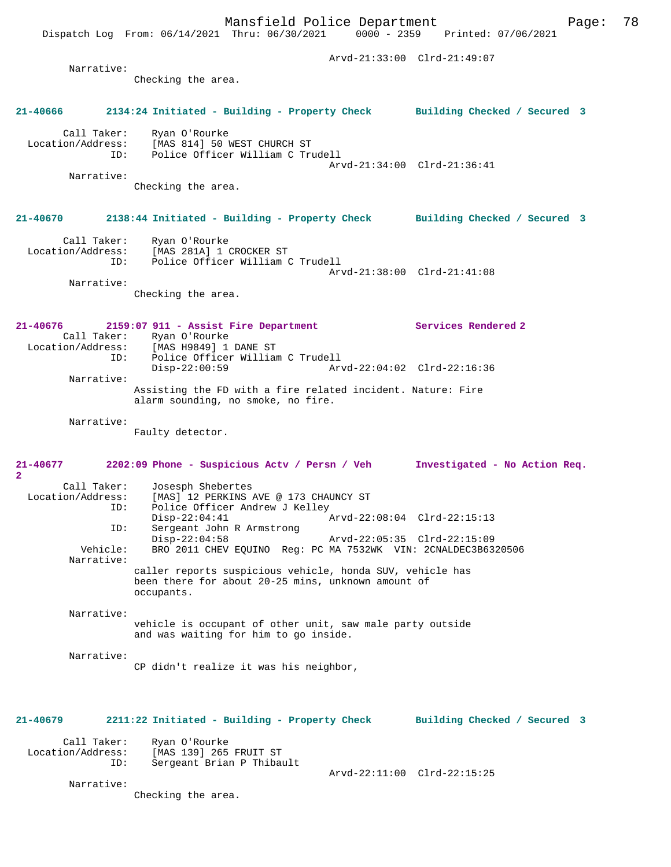Dispatch Log From: 06/14/2021 Thru: 06/30/2021 Arvd-21:33:00 Clrd-21:49:07 Narrative: Checking the area. **21-40666 2134:24 Initiated - Building - Property Check Building Checked / Secured 3** Call Taker: Ryan O'Rourke Location/Address: [MAS 814] 50 WEST CHURCH ST<br>ID: Police Officer William C Tr Police Officer William C Trudell Arvd-21:34:00 Clrd-21:36:41 Narrative: Checking the area. **21-40670 2138:44 Initiated - Building - Property Check Building Checked / Secured 3** Call Taker: Ryan O'Rourke Location/Address: [MAS 281A] 1 CROCKER ST ID: Police Officer William C Trudell Arvd-21:38:00 Clrd-21:41:08 Narrative: Checking the area. **21-40676 2159:07 911 - Assist Fire Department Services Rendered 2**  Call Taker: Ryan O'Rourke<br>Location/Address: [MAS H9849] 1 [MAS H9849] 1 DANE ST ID: Police Officer William C Trudell Disp-22:00:59 Arvd-22:04:02 Clrd-22:16:36 Narrative: Assisting the FD with a fire related incident. Nature: Fire alarm sounding, no smoke, no fire. Narrative: Faulty detector. **21-40677 2202:09 Phone - Suspicious Actv / Persn / Veh Investigated - No Action Req. 2**  Call Taker: Josesph Shebertes<br>Location/Address: [MAS] 12 PERKINS 1 [MAS] 12 PERKINS AVE @ 173 CHAUNCY ST ID: Police Officer Andrew J Kelley<br>Disp-22:04:41 Arvd-22:08:04 Clrd-22:15:13 Disp-22:04:41 Arvd-22:08:04 Clrd-22:15:13 ID: Sergeant John R Armstrong Disp-22:04:58 Arvd-22:05:35 Clrd-22:15:09 Vehicle: BRO 2011 CHEV EQUINO Reg: PC MA 7532WK VIN: 2CNALDEC3B6320506 Narrative: caller reports suspicious vehicle, honda SUV, vehicle has been there for about 20-25 mins, unknown amount of occupants. Narrative: vehicle is occupant of other unit, saw male party outside and was waiting for him to go inside. Narrative: CP didn't realize it was his neighbor, **21-40679 2211:22 Initiated - Building - Property Check Building Checked / Secured 3** Call Taker: Ryan O'Rourke<br>Location/Address: [MAS 139] 265 ess: [MAS 139] 265 FRUIT ST<br>ID: Sergeant Brian P Thibay Sergeant Brian P Thibault Arvd-22:11:00 Clrd-22:15:25 Narrative: Checking the area.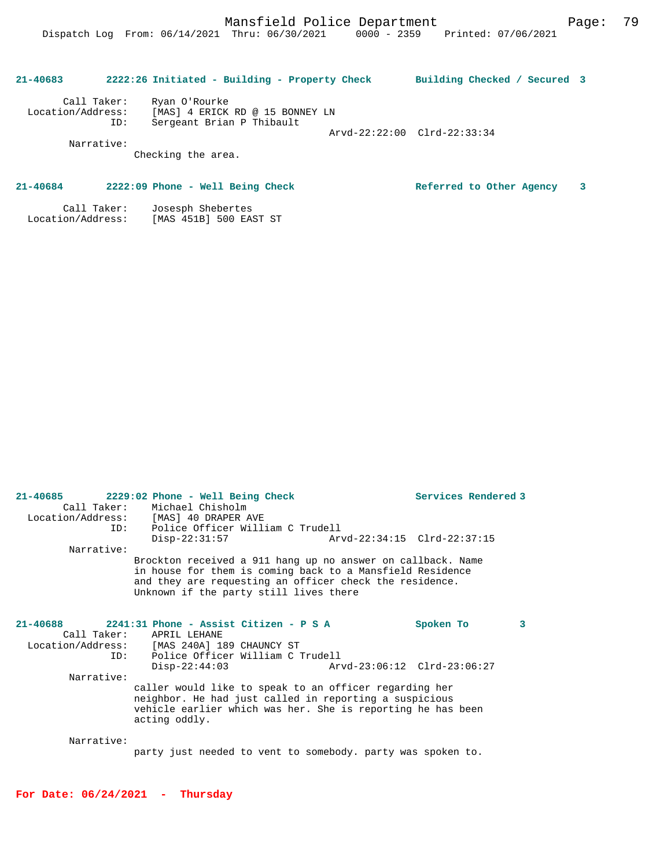| $21 - 40683$                     |     | 2222:26 Initiated - Building - Property Check                                 | Building Checked / Secured 3 |  |
|----------------------------------|-----|-------------------------------------------------------------------------------|------------------------------|--|
| Call Taker:<br>Location/Address: | ID: | Ryan O'Rourke<br>[MAS] 4 ERICK RD @ 15 BONNEY LN<br>Sergeant Brian P Thibault |                              |  |
| Narrative:                       |     | Checking the area.                                                            | Arvd-22:22:00 Clrd-22:33:34  |  |

# **21-40684 2222:09 Phone - Well Being Check Referred to Other Agency 3**

 Call Taker: Josesph Shebertes Location/Address: [MAS 451B] 500 EAST ST

| Call Taker: | Michael Chisholm                                                                                                                                                                                                              |                             |           |   |
|-------------|-------------------------------------------------------------------------------------------------------------------------------------------------------------------------------------------------------------------------------|-----------------------------|-----------|---|
|             | Location/Address: [MAS] 40 DRAPER AVE                                                                                                                                                                                         |                             |           |   |
| ID:         | Police Officer William C Trudell                                                                                                                                                                                              |                             |           |   |
|             | $Disp-22:31:57$                                                                                                                                                                                                               |                             |           |   |
| Narrative:  |                                                                                                                                                                                                                               |                             |           |   |
|             | Brockton received a 911 hang up no answer on callback. Name<br>in house for them is coming back to a Mansfield Residence<br>and they are requesting an officer check the residence.<br>Unknown if the party still lives there |                             |           |   |
| 21-40688    | 2241:31 Phone - Assist Citizen - P S A<br>Call Taker: APRIL LEHANE<br>Location/Address: [MAS 240A] 189 CHAUNCY ST<br>ID: Police Officer William C Trudell                                                                     |                             | Spoken To | 3 |
|             | $Disp-22:44:03$                                                                                                                                                                                                               | Arvd-23:06:12 Clrd-23:06:27 |           |   |
| Narrative:  |                                                                                                                                                                                                                               |                             |           |   |
|             | caller would like to speak to an officer regarding her<br>neighbor. He had just called in reporting a suspicious<br>vehicle earlier which was her. She is reporting he has been<br>acting oddly.                              |                             |           |   |
| Narrative:  |                                                                                                                                                                                                                               |                             |           |   |
|             | party just needed to vent to somebody, party was spoken to.                                                                                                                                                                   |                             |           |   |

**21-40685 2229:02 Phone - Well Being Check Services Rendered 3** 

**For Date: 06/24/2021 - Thursday**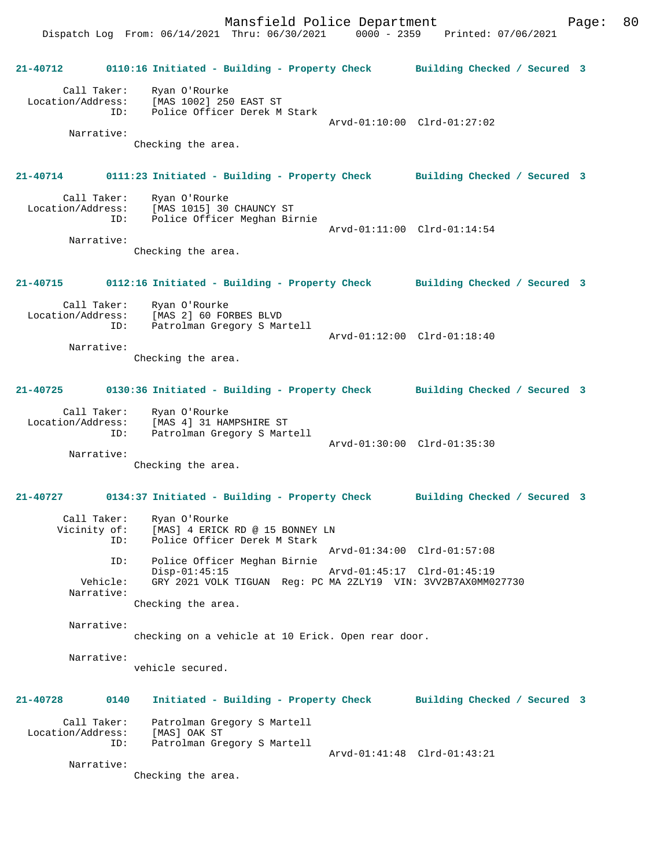Mansfield Police Department Page: 80 Dispatch Log From: 06/14/2021 Thru: 06/30/2021 0000 - 2359 Printed: 07/06/2021 **21-40712 0110:16 Initiated - Building - Property Check Building Checked / Secured 3** Call Taker: Ryan O'Rourke Location/Address: [MAS 1002] 250 EAST ST ID: Police Officer Derek M Stark Arvd-01:10:00 Clrd-01:27:02 Narrative: Checking the area. **21-40714 0111:23 Initiated - Building - Property Check Building Checked / Secured 3** Call Taker: Ryan O'Rourke Location/Address: [MAS 1015] 30 CHAUNCY ST ID: Police Officer Meghan Birnie Arvd-01:11:00 Clrd-01:14:54 Narrative: Checking the area. **21-40715 0112:16 Initiated - Building - Property Check Building Checked / Secured 3** Call Taker: Ryan O'Rourke Location/Address: [MAS 2] 60 FORBES BLVD ID: Patrolman Gregory S Martell Arvd-01:12:00 Clrd-01:18:40 Narrative: Checking the area. **21-40725 0130:36 Initiated - Building - Property Check Building Checked / Secured 3** Call Taker: Ryan O'Rourke Location/Address: [MAS 4] 31 HAMPSHIRE ST ID: Patrolman Gregory S Martell Arvd-01:30:00 Clrd-01:35:30 Narrative: Checking the area. **21-40727 0134:37 Initiated - Building - Property Check Building Checked / Secured 3** Call Taker: Ryan O'Rourke Vicinity of: [MAS] 4 ERICK RD @ 15 BONNEY LN<br>TD: Police Officer Derek M Stark Police Officer Derek M Stark Arvd-01:34:00 Clrd-01:57:08 ID: Police Officer Meghan Birnie Disp-01:45:15 Arvd-01:45:17 Clrd-01:45:19<br>Vehicle: GRY 2021 VOLK TIGUAN Reg: PC MA 2ZLY19 VIN: 3VV2B7AX0MM0 GRY 2021 VOLK TIGUAN Reg: PC MA 2ZLY19 VIN: 3VV2B7AX0MM027730 Narrative: Checking the area. Narrative: checking on a vehicle at 10 Erick. Open rear door. Narrative: vehicle secured. **21-40728 0140 Initiated - Building - Property Check Building Checked / Secured 3** Call Taker: Patrolman Gregory S Martell Location/Address: [MAS] OAK ST ID: Patrolman Gregory S Martell Arvd-01:41:48 Clrd-01:43:21 Narrative:

Checking the area.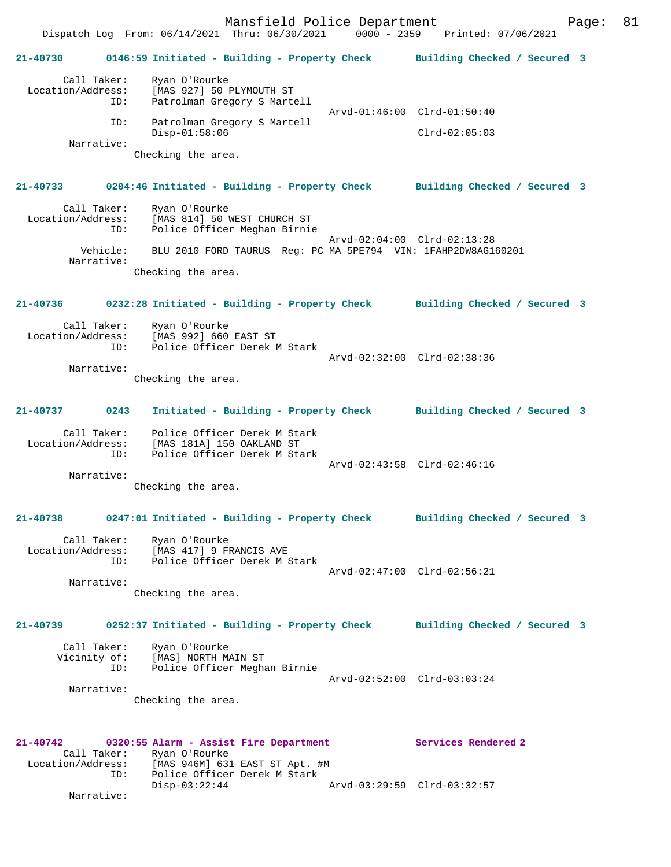Mansfield Police Department Fage: 81 Dispatch Log From: 06/14/2021 Thru: 06/30/2021 0000 - 2359 Printed: 07/06/2021 **21-40730 0146:59 Initiated - Building - Property Check Building Checked / Secured 3** Call Taker: Ryan O'Rourke Location/Address: [MAS 927] 50 PLYMOUTH ST ID: Patrolman Gregory S Martell Arvd-01:46:00 Clrd-01:50:40 ID: Patrolman Gregory S Martell Disp-01:58:06 Clrd-02:05:03 Narrative: Checking the area. **21-40733 0204:46 Initiated - Building - Property Check Building Checked / Secured 3** Call Taker: Ryan O'Rourke<br>Location/Address: [MAS 814] 50 T ess: [MAS 814] 50 WEST CHURCH ST<br>ID: Police Officer Meghan Birni Police Officer Meghan Birnie Arvd-02:04:00 Clrd-02:13:28 Vehicle: BLU 2010 FORD TAURUS Reg: PC MA 5PE794 VIN: 1FAHP2DW8AG160201 Narrative: Checking the area. **21-40736 0232:28 Initiated - Building - Property Check Building Checked / Secured 3** Call Taker: Ryan O'Rourke Location/Address: [MAS 992] 660 EAST ST<br>TD: Police Officer Derek N Police Officer Derek M Stark Arvd-02:32:00 Clrd-02:38:36 Narrative: Checking the area. **21-40737 0243 Initiated - Building - Property Check Building Checked / Secured 3** Call Taker: Police Officer Derek M Stark Location/Address: [MAS 181A] 150 OAKLAND ST ID: Police Officer Derek M Stark Arvd-02:43:58 Clrd-02:46:16 Narrative: Checking the area. **21-40738 0247:01 Initiated - Building - Property Check Building Checked / Secured 3** Call Taker: Ryan O'Rourke Location/Address: [MAS 417] 9 FRANCIS AVE ID: Police Officer Derek M Stark Arvd-02:47:00 Clrd-02:56:21 Narrative: Checking the area. **21-40739 0252:37 Initiated - Building - Property Check Building Checked / Secured 3** Call Taker: Ryan O'Rourke<br>Vicinity of: [MAS] NORTH M [MAS] NORTH MAIN ST ID: Police Officer Meghan Birnie Arvd-02:52:00 Clrd-03:03:24 Narrative: Checking the area. **21-40742 0320:55 Alarm - Assist Fire Department Services Rendered 2**  Call Taker: Ryan O'Rourke<br>Location/Address: [MAS 946M] 631 ress: [MAS 946M] 631 EAST ST Apt. #M<br>ID: Police Officer Derek M Stark Police Officer Derek M Stark<br>Disp-03:22:44 Disp-03:22:44 Arvd-03:29:59 Clrd-03:32:57 Narrative: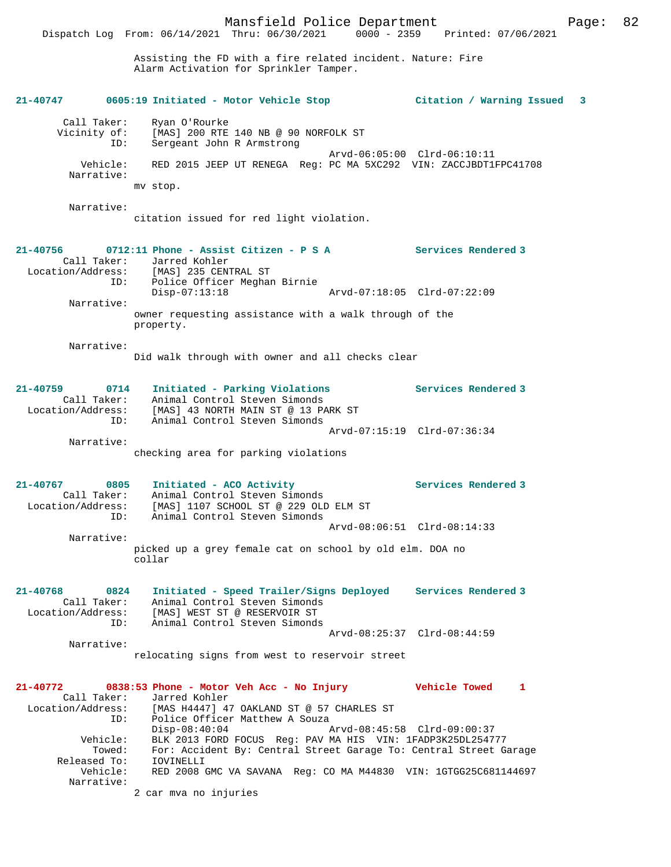Assisting the FD with a fire related incident. Nature: Fire Alarm Activation for Sprinkler Tamper.

| 21-40747                                                     | 0605:19 Initiated - Motor Vehicle Stop                                                                                                                                                                                                   |                             | Citation / Warning Issued                         | 3 |
|--------------------------------------------------------------|------------------------------------------------------------------------------------------------------------------------------------------------------------------------------------------------------------------------------------------|-----------------------------|---------------------------------------------------|---|
| Call Taker:<br>Vicinity of:<br>ID:<br>Vehicle:<br>Narrative: | Ryan O'Rourke<br>[MAS] 200 RTE 140 NB @ 90 NORFOLK ST<br>Sergeant John R Armstrong<br>RED 2015 JEEP UT RENEGA Reg: PC MA 5XC292 VIN: ZACCJBDT1FPC41708<br>mv stop.                                                                       |                             | Arvd-06:05:00 Clrd-06:10:11                       |   |
| Narrative:                                                   | citation issued for red light violation.                                                                                                                                                                                                 |                             |                                                   |   |
| 21-40756<br>Call Taker:<br>ID:                               | 0712:11 Phone - Assist Citizen - P S A<br>Jarred Kohler<br>Location/Address: [MAS] 235 CENTRAL ST<br>Police Officer Meghan Birnie                                                                                                        |                             | <b>Services Rendered 3</b>                        |   |
| Narrative:                                                   | $Disp-07:13:18$<br>owner requesting assistance with a walk through of the<br>property.                                                                                                                                                   | Arvd-07:18:05 Clrd-07:22:09 |                                                   |   |
| Narrative:                                                   | Did walk through with owner and all checks clear                                                                                                                                                                                         |                             |                                                   |   |
| $21 - 40759$<br>0714<br>ID:                                  | Initiated - Parking Violations<br>Call Taker: Animal Control Steven Simonds<br>Location/Address: [MAS] 43 NORTH MAIN ST @ 13 PARK ST<br>Animal Control Steven Simonds                                                                    |                             | Services Rendered 3                               |   |
| Narrative:                                                   | checking area for parking violations                                                                                                                                                                                                     |                             | Arvd-07:15:19 Clrd-07:36:34                       |   |
| 21-40767<br>0805<br>Call Taker:<br>Location/Address:<br>ID:  | Initiated - ACO Activity<br>Animal Control Steven Simonds<br>[MAS] 1107 SCHOOL ST @ 229 OLD ELM ST<br>Animal Control Steven Simonds                                                                                                      |                             | Services Rendered 3                               |   |
| Narrative:                                                   |                                                                                                                                                                                                                                          |                             | Arvd-08:06:51 Clrd-08:14:33                       |   |
|                                                              | picked up a grey female cat on school by old elm. DOA no<br>collar                                                                                                                                                                       |                             |                                                   |   |
| 21-40768<br>0824<br>Call Taker:<br>Location/Address:<br>ID:  | Initiated - Speed Trailer/Signs Deployed Services Rendered 3<br>Animal Control Steven Simonds<br>[MAS] WEST ST @ RESERVOIR ST<br>Animal Control Steven Simonds                                                                           |                             |                                                   |   |
| Narrative:                                                   | relocating signs from west to reservoir street                                                                                                                                                                                           |                             | Arvd-08:25:37 Clrd-08:44:59                       |   |
| 21-40772<br>Call Taker:<br>Location/Address:<br>ID:          | 0838:53 Phone - Motor Veh Acc - No Injury<br>Jarred Kohler<br>[MAS H4447] 47 OAKLAND ST @ 57 CHARLES ST<br>Police Officer Matthew A Souza<br>$Disp-08:40:04$                                                                             |                             | Vehicle Towed<br>1<br>Arvd-08:45:58 Clrd-09:00:37 |   |
| Vehicle:<br>Towed:<br>Released To:<br>Vehicle:<br>Narrative: | BLK 2013 FORD FOCUS Reg: PAV MA HIS VIN: 1FADP3K25DL254777<br>For: Accident By: Central Street Garage To: Central Street Garage<br>IOVINELLI<br>RED 2008 GMC VA SAVANA Reg: CO MA M44830 VIN: 1GTGG25C681144697<br>2 car mva no injuries |                             |                                                   |   |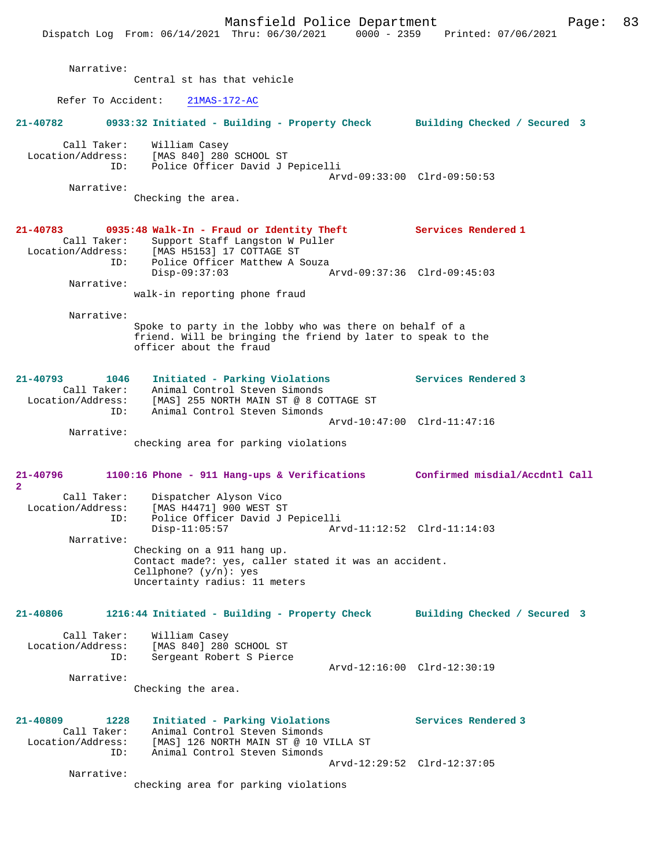|                                                                 | Mansfield Police Department<br>Dispatch Log From: 06/14/2021 Thru: 06/30/2021                                                                                 | Page:<br>0000 - 2359 Printed: 07/06/2021 | 83 |
|-----------------------------------------------------------------|---------------------------------------------------------------------------------------------------------------------------------------------------------------|------------------------------------------|----|
| Narrative:                                                      | Central st has that vehicle                                                                                                                                   |                                          |    |
| Refer To Accident:                                              | $21MAS-172-AC$                                                                                                                                                |                                          |    |
| 21-40782                                                        | 0933:32 Initiated - Building - Property Check                                                                                                                 | Building Checked / Secured 3             |    |
| Call Taker:<br>Location/Address:<br>ID:                         | William Casey<br>[MAS 840] 280 SCHOOL ST<br>Police Officer David J Pepicelli                                                                                  |                                          |    |
| Narrative:                                                      |                                                                                                                                                               | Arvd-09:33:00 Clrd-09:50:53              |    |
|                                                                 | Checking the area.                                                                                                                                            |                                          |    |
| 21-40783<br>Call Taker:<br>ID:                                  | 0935:48 Walk-In - Fraud or Identity Theft<br>Support Staff Langston W Puller<br>Location/Address: [MAS H5153] 17 COTTAGE ST<br>Police Officer Matthew A Souza | Services Rendered 1                      |    |
| Narrative:                                                      | $Disp-09:37:03$                                                                                                                                               | Arvd-09:37:36 Clrd-09:45:03              |    |
|                                                                 | walk-in reporting phone fraud                                                                                                                                 |                                          |    |
| Narrative:                                                      | Spoke to party in the lobby who was there on behalf of a<br>friend. Will be bringing the friend by later to speak to the<br>officer about the fraud           |                                          |    |
| $21 - 40793$<br>1046<br>Call Taker:<br>Location/Address:<br>ID: | Initiated - Parking Violations<br>Animal Control Steven Simonds<br>[MAS] 255 NORTH MAIN ST @ 8 COTTAGE ST<br>Animal Control Steven Simonds                    | Services Rendered 3                      |    |
| Narrative:                                                      |                                                                                                                                                               | Arvd-10:47:00 Clrd-11:47:16              |    |
|                                                                 | checking area for parking violations                                                                                                                          |                                          |    |
| 21-40796<br>$\overline{\mathbf{2}}$                             | $1100:16$ Phone - 911 Hang-ups & Verifications                                                                                                                | Confirmed misdial/Accdntl Call           |    |
| Call Taker:<br>Location/Address:<br>ID:<br>Narrative:           | Dispatcher Alyson Vico<br>[MAS H4471] 900 WEST ST<br>Police Officer David J Pepicelli<br>$Disp-11:05:57$                                                      | Arvd-11:12:52 Clrd-11:14:03              |    |
|                                                                 | Checking on a 911 hang up.<br>Contact made?: yes, caller stated it was an accident.<br>Cellphone? $(y/n): ye$ s<br>Uncertainty radius: 11 meters              |                                          |    |
| 21-40806                                                        | 1216:44 Initiated - Building - Property Check                                                                                                                 | Building Checked / Secured 3             |    |
| Call Taker:<br>Location/Address:<br>ID:                         | William Casey<br>[MAS 840] 280 SCHOOL ST<br>Sergeant Robert S Pierce                                                                                          | Arvd-12:16:00 Clrd-12:30:19              |    |
| Narrative:                                                      | Checking the area.                                                                                                                                            |                                          |    |
| $21 - 40809$<br>1228<br>Call Taker:<br>Location/Address:<br>ID: | Initiated - Parking Violations<br>Animal Control Steven Simonds<br>[MAS] 126 NORTH MAIN ST @ 10 VILLA ST<br>Animal Control Steven Simonds                     | Services Rendered 3                      |    |
| Narrative:                                                      |                                                                                                                                                               | Arvd-12:29:52 Clrd-12:37:05              |    |
|                                                                 | checking area for parking violations                                                                                                                          |                                          |    |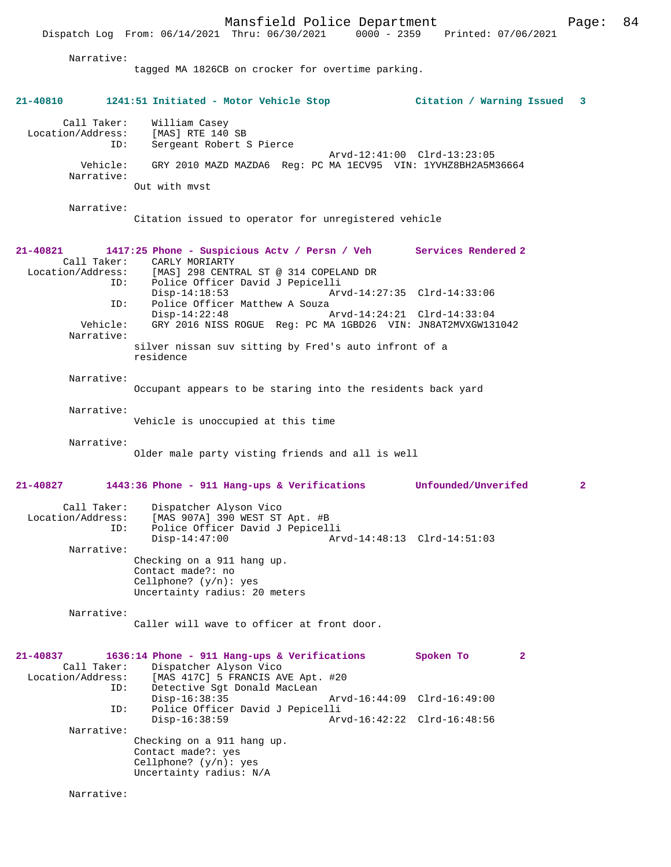Dispatch Log From: 06/14/2021 Thru: 06/30/2021 Narrative: tagged MA 1826CB on crocker for overtime parking. **21-40810 1241:51 Initiated - Motor Vehicle Stop Citation / Warning Issued 3** Call Taker: William Casey<br>Location/Address: [MAS] RTE 140  $[MAS] RTE 140 SB$  ID: Sergeant Robert S Pierce Arvd-12:41:00 Clrd-13:23:05 Vehicle: GRY 2010 MAZD MAZDA6 Reg: PC MA 1ECV95 VIN: 1YVHZ8BH2A5M36664 Narrative: Out with mvst Narrative: Citation issued to operator for unregistered vehicle **21-40821 1417:25 Phone - Suspicious Actv / Persn / Veh Services Rendered 2**  Call Taker: CARLY MORIARTY Location/Address: [MAS] 298 CENTRAL ST @ 314 COPELAND DR ID: Police Officer David J Pepicelli Disp-14:18:53 Arvd-14:27:35 Clrd-14:33:06<br>TD: Police Officer Matthew A Souza Police Officer Matthew A Souza<br>Disp-14:22:48 Arvd-14:24:21 Clrd-14:33:04 Vehicle: GRY 2016 NISS ROGUE Reg: PC MA 1GBD26 VIN: JN8AT2MVXGW131042 Narrative: silver nissan suv sitting by Fred's auto infront of a residence Narrative: Occupant appears to be staring into the residents back yard Narrative: Vehicle is unoccupied at this time Narrative: Older male party visting friends and all is well **21-40827 1443:36 Phone - 911 Hang-ups & Verifications Unfounded/Unverifed 2** Call Taker: Dispatcher Alyson Vico<br>Location/Address: [MAS 907A] 390 WEST ST [MAS 907A] 390 WEST ST Apt. #B ID: Police Officer David J Pepicelli Disp-14:47:00 Arvd-14:48:13 Clrd-14:51:03 Narrative: Checking on a 911 hang up. Contact made?: no Cellphone? (y/n): yes Uncertainty radius: 20 meters Narrative: Caller will wave to officer at front door. **21-40837 1636:14 Phone - 911 Hang-ups & Verifications Spoken To 2**  Call Taker: Dispatcher Alyson Vico<br>Location/Address: [MAS 417C] 5 FRANCIS AT SS: [MAS 417C] 5 FRANCIS AVE Apt. #20<br>ID: Detective Sgt Donald MacLean Detective Sgt Donald MacLean<br>Disp-16:38:35 Disp-16:38:35 Arvd-16:44:09 Clrd-16:49:00 ID: Police Officer David J Pepicelli Disp-16:38:59 Arvd-16:42:22 Clrd-16:48:56 Narrative: Checking on a 911 hang up. Contact made?: yes Cellphone? (y/n): yes Uncertainty radius: N/A Narrative: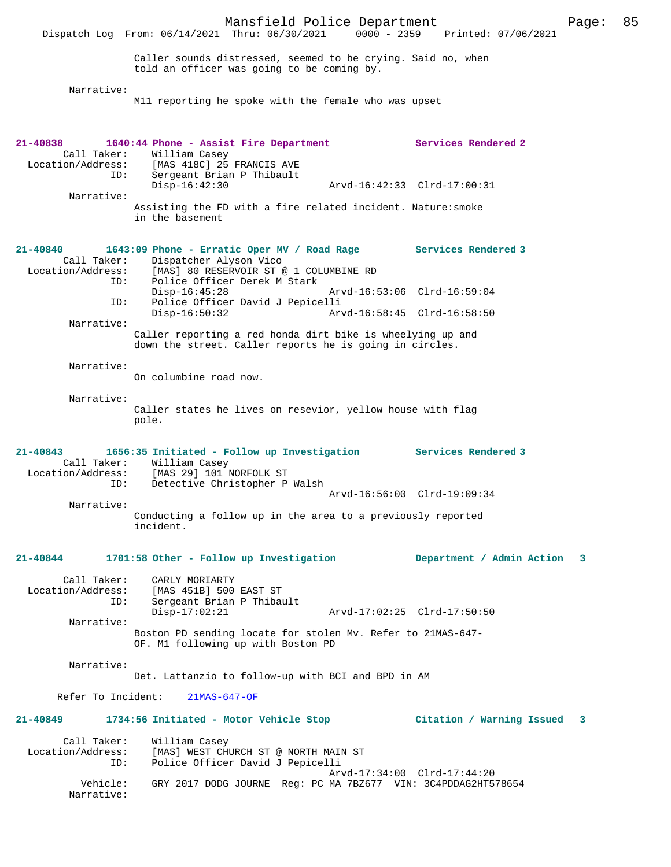Dispatch Log From: 06/14/2021 Thru: 06/30/2021 Caller sounds distressed, seemed to be crying. Said no, when told an officer was going to be coming by. Narrative: M11 reporting he spoke with the female who was upset **21-40838 1640:44 Phone - Assist Fire Department Services Rendered 2**  Call Taker: William Casey<br>Location/Address: [MAS 418C] 25 ess: [MAS 418C] 25 FRANCIS AVE<br>ID: Sergeant Brian P Thibault Sergeant Brian P Thibault<br>Disp-16:42:30 Disp-16:42:30 Arvd-16:42:33 Clrd-17:00:31 Narrative: Assisting the FD with a fire related incident. Nature:smoke in the basement **21-40840 1643:09 Phone - Erratic Oper MV / Road Rage Services Rendered 3**  Call Taker: Dispatcher Alyson Vico<br>Location/Address: [MAS] 80 RESERVOIR ST ess: [MAS] 80 RESERVOIR ST @ 1 COLUMBINE RD<br>ID: Police Officer Derek M Stark Police Officer Derek M Stark Disp-16:45:28 Arvd-16:53:06 Clrd-16:59:04 ID: Police Officer David J Pepicelli Disp-16:50:32 Arvd-16:58:45 Clrd-16:58:50 Narrative: Caller reporting a red honda dirt bike is wheelying up and down the street. Caller reports he is going in circles. Narrative: On columbine road now. Narrative: Caller states he lives on resevior, yellow house with flag pole. **21-40843 1656:35 Initiated - Follow up Investigation Services Rendered 3**  Call Taker: William Casey Location/Address: [MAS 29] 101 NORFOLK ST ID: Detective Christopher P Walsh Arvd-16:56:00 Clrd-19:09:34 Narrative: Conducting a follow up in the area to a previously reported incident. **21-40844 1701:58 Other - Follow up Investigation Department / Admin Action 3** Call Taker: CARLY MORIARTY Location/Address: [MAS 451B] 500 EAST ST Sergeant Brian P Thibault<br>Disp-17:02:21 Disp-17:02:21 Arvd-17:02:25 Clrd-17:50:50 Narrative: Boston PD sending locate for stolen Mv. Refer to 21MAS-647- OF. M1 following up with Boston PD Narrative: Det. Lattanzio to follow-up with BCI and BPD in AM Refer To Incident: 21MAS-647-OF **21-40849 1734:56 Initiated - Motor Vehicle Stop Citation / Warning Issued 3** Call Taker: William Casey<br>Location/Address: [MAS] WEST CH ess: [MAS] WEST CHURCH ST @ NORTH MAIN ST<br>ID: Police Officer David J Pepicelli Police Officer David J Pepicelli Arvd-17:34:00 Clrd-17:44:20<br>Vehicle: GRY 2017 DODG JOURNE Reg: PC MA 7BZ677 VIN: 3C4PDDAG2HT5 GRY 2017 DODG JOURNE Reg: PC MA 7BZ677 VIN: 3C4PDDAG2HT578654 Narrative: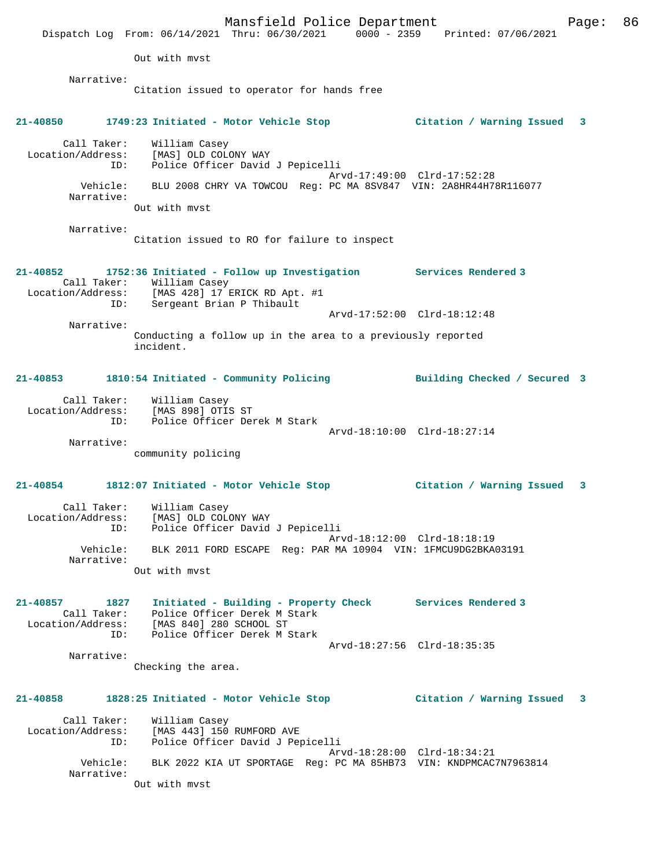Mansfield Police Department Fage: 86 Dispatch Log From: 06/14/2021 Thru: 06/30/2021 0000 - 2359 Printed: 07/06/2021 Out with mvst Narrative: Citation issued to operator for hands free **21-40850 1749:23 Initiated - Motor Vehicle Stop Citation / Warning Issued 3** Call Taker: William Casey Location/Address: [MAS] OLD COLONY WAY ID: Police Officer David J Pepicelli Arvd-17:49:00 Clrd-17:52:28 Vehicle: BLU 2008 CHRY VA TOWCOU Reg: PC MA 8SV847 VIN: 2A8HR44H78R116077 Narrative: Out with mvst Narrative: Citation issued to RO for failure to inspect **21-40852 1752:36 Initiated - Follow up Investigation Services Rendered 3**  Call Taker: William Casey Location/Address: [MAS 428] 17 ERICK RD Apt. #1 ID: Sergeant Brian P Thibault Arvd-17:52:00 Clrd-18:12:48 Narrative: Conducting a follow up in the area to a previously reported incident. **21-40853 1810:54 Initiated - Community Policing Building Checked / Secured 3** Call Taker: William Casey Location/Address: [MAS 898] OTIS ST ID: Police Officer Derek M Stark Arvd-18:10:00 Clrd-18:27:14 Narrative: community policing **21-40854 1812:07 Initiated - Motor Vehicle Stop Citation / Warning Issued 3** Call Taker: William Casey Location/Address: [MAS] OLD COLONY WAY ID: Police Officer David J Pepicelli Arvd-18:12:00 Clrd-18:18:19 Vehicle: BLK 2011 FORD ESCAPE Reg: PAR MA 10904 VIN: 1FMCU9DG2BKA03191 Narrative: Out with mvst **21-40857 1827 Initiated - Building - Property Check Services Rendered 3**  Call Taker: Police Officer Derek M Stark Location/Address: [MAS 840] 280 SCHOOL ST ID: Police Officer Derek M Stark Arvd-18:27:56 Clrd-18:35:35 Narrative: Checking the area. **21-40858 1828:25 Initiated - Motor Vehicle Stop Citation / Warning Issued 3** Call Taker: William Casey Location/Address: [MAS 443] 150 RUMFORD AVE ID: Police Officer David J Pepicelli Arvd-18:28:00 Clrd-18:34:21 Vehicle: BLK 2022 KIA UT SPORTAGE Reg: PC MA 85HB73 VIN: KNDPMCAC7N7963814 Narrative: Out with mvst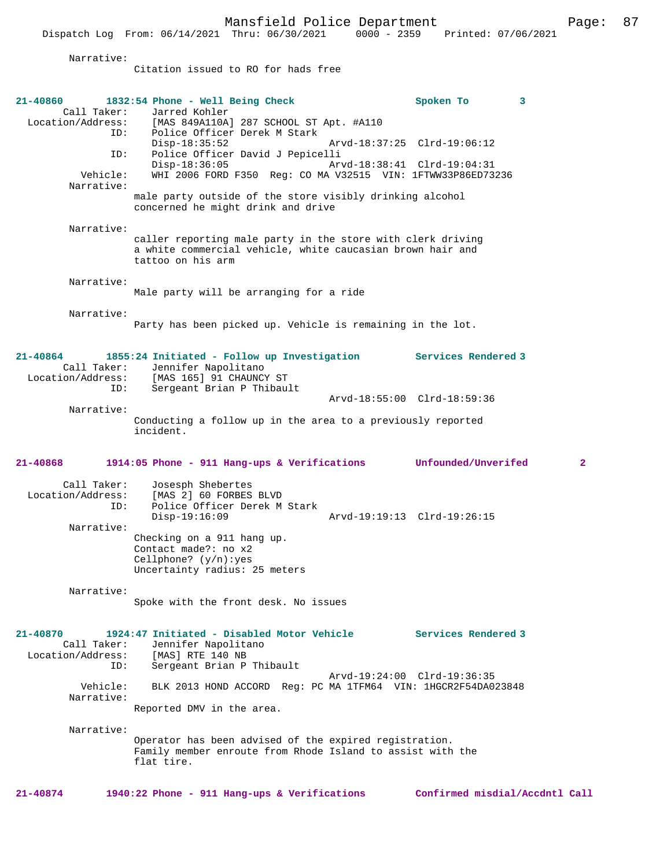Dispatch Log From: 06/14/2021 Thru: 06/30/2021 0000 - 2359 Printed: 07/06/2021

Narrative:

Citation issued to RO for hads free

| 21-40860<br>Call Taker:                      | 1832:54 Phone - Well Being Check<br>Jarred Kohler                                                                                                                |                             | Spoken To                   | 3            |
|----------------------------------------------|------------------------------------------------------------------------------------------------------------------------------------------------------------------|-----------------------------|-----------------------------|--------------|
| ID:                                          | Location/Address: [MAS 849A110A] 287 SCHOOL ST Apt. #A110<br>Police Officer Derek M Stark<br>$Disp-18:35:52$                                                     |                             | Arvd-18:37:25 Clrd-19:06:12 |              |
| ID:<br>Vehicle:<br>Narrative:                | Police Officer David J Pepicelli<br>$Disp-18:36:05$<br>WHI 2006 FORD F350 Req: CO MA V32515 VIN: 1FTWW33P86ED73236                                               | Arvd-18:38:41 Clrd-19:04:31 |                             |              |
|                                              | male party outside of the store visibly drinking alcohol<br>concerned he might drink and drive                                                                   |                             |                             |              |
| Narrative:                                   | caller reporting male party in the store with clerk driving<br>a white commercial vehicle, white caucasian brown hair and<br>tattoo on his arm                   |                             |                             |              |
| Narrative:                                   | Male party will be arranging for a ride                                                                                                                          |                             |                             |              |
| Narrative:                                   | Party has been picked up. Vehicle is remaining in the lot.                                                                                                       |                             |                             |              |
| 21-40864<br>Call Taker:<br>ID:               | 1855:24 Initiated - Follow up Investigation Services Rendered 3<br>Jennifer Napolitano<br>Location/Address: [MAS 165] 91 CHAUNCY ST<br>Sergeant Brian P Thibault |                             |                             |              |
|                                              |                                                                                                                                                                  |                             | Arvd-18:55:00 Clrd-18:59:36 |              |
| Narrative:                                   | Conducting a follow up in the area to a previously reported<br>incident.                                                                                         |                             |                             |              |
|                                              |                                                                                                                                                                  |                             |                             |              |
| 21-40868                                     | 1914:05 Phone - 911 Hang-ups & Verifications                                                                                                                     |                             | Unfounded/Unverifed         | $\mathbf{2}$ |
| Call Taker:<br>Location/Address:<br>ID:      | Josesph Shebertes<br>[MAS 2] 60 FORBES BLVD<br>Police Officer Derek M Stark                                                                                      |                             |                             |              |
| Narrative:                                   | $Disp-19:16:09$<br>Checking on a 911 hang up.<br>Contact made?: no x2<br>Cellphone? $(y/n):yes$<br>Uncertainty radius: 25 meters                                 |                             | Arvd-19:19:13 Clrd-19:26:15 |              |
| Narrative:                                   | Spoke with the front desk. No issues                                                                                                                             |                             |                             |              |
| 21-40870<br>Call Taker:<br>Location/Address: | 1924:47 Initiated - Disabled Motor Vehicle<br>Jennifer Napolitano<br>[MAS] RTE 140 NB                                                                            |                             | Services Rendered 3         |              |
| ID:                                          | Sergeant Brian P Thibault                                                                                                                                        |                             | Arvd-19:24:00 Clrd-19:36:35 |              |
| Vehicle:<br>Narrative:                       | BLK 2013 HOND ACCORD Req: PC MA 1TFM64 VIN: 1HGCR2F54DA023848<br>Reported DMV in the area.                                                                       |                             |                             |              |
| Narrative:                                   |                                                                                                                                                                  |                             |                             |              |
|                                              | Operator has been advised of the expired registration.<br>Family member enroute from Rhode Island to assist with the<br>flat tire.                               |                             |                             |              |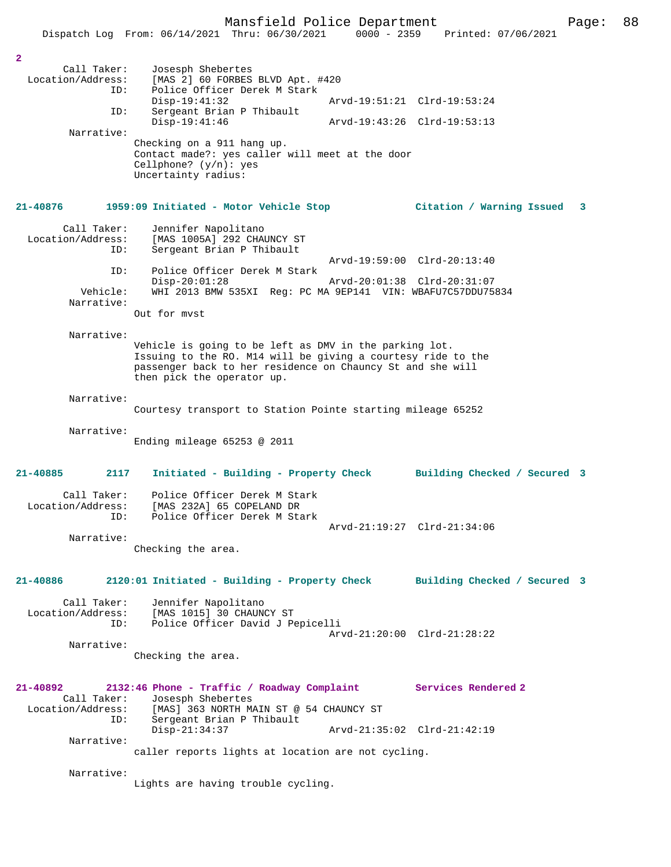|                                                           | Dispatch Log From: 06/14/2021 Thru: 06/30/2021                                                                                                                                                                     | $0000 - 2359$               | Printed: 07/06/2021          |   |
|-----------------------------------------------------------|--------------------------------------------------------------------------------------------------------------------------------------------------------------------------------------------------------------------|-----------------------------|------------------------------|---|
|                                                           |                                                                                                                                                                                                                    |                             |                              |   |
| $\overline{a}$<br>Call Taker:<br>Location/Address:<br>ID: | Josesph Shebertes<br>[MAS 2] 60 FORBES BLVD Apt. #420<br>Police Officer Derek M Stark                                                                                                                              |                             |                              |   |
|                                                           | $Disp-19:41:32$                                                                                                                                                                                                    |                             | Arvd-19:51:21 Clrd-19:53:24  |   |
| ID:                                                       | Sergeant Brian P Thibault<br>$Disp-19:41:46$                                                                                                                                                                       | Arvd-19:43:26 Clrd-19:53:13 |                              |   |
| Narrative:                                                | Checking on a 911 hang up.<br>Contact made?: yes caller will meet at the door<br>Cellphone? $(y/n):$ yes<br>Uncertainty radius:                                                                                    |                             |                              |   |
| 21-40876                                                  | 1959:09 Initiated - Motor Vehicle Stop                                                                                                                                                                             |                             | Citation / Warning Issued    | 3 |
| Call Taker:<br>Location/Address:<br>ID:                   | Jennifer Napolitano<br>[MAS 1005A] 292 CHAUNCY ST<br>Sergeant Brian P Thibault                                                                                                                                     | Arvd-19:59:00 Clrd-20:13:40 |                              |   |
| ID:                                                       | Police Officer Derek M Stark                                                                                                                                                                                       |                             |                              |   |
| Vehicle:<br>Narrative:                                    | $Disp-20:01:28$<br>WHI 2013 BMW 535XI Req: PC MA 9EP141 VIN: WBAFU7C57DDU75834                                                                                                                                     | Arvd-20:01:38 Clrd-20:31:07 |                              |   |
|                                                           | Out for myst                                                                                                                                                                                                       |                             |                              |   |
| Narrative:                                                | Vehicle is going to be left as DMV in the parking lot.<br>Issuing to the RO. M14 will be giving a courtesy ride to the<br>passenger back to her residence on Chauncy St and she will<br>then pick the operator up. |                             |                              |   |
| Narrative:                                                | Courtesy transport to Station Pointe starting mileage 65252                                                                                                                                                        |                             |                              |   |
| Narrative:                                                | Ending mileage $65253$ @ 2011                                                                                                                                                                                      |                             |                              |   |
| 2117<br>21-40885                                          | Initiated - Building - Property Check                                                                                                                                                                              |                             | Building Checked / Secured 3 |   |
| Call Taker:<br>Location/Address:<br>ID:                   | Police Officer Derek M Stark<br>[MAS 232A] 65 COPELAND DR<br>Police Officer Derek M Stark                                                                                                                          |                             |                              |   |
| Narrative:                                                | Checking the area.                                                                                                                                                                                                 |                             | Arvd-21:19:27 Clrd-21:34:06  |   |
| 21-40886                                                  | 2120:01 Initiated - Building - Property Check Building Checked / Secured 3                                                                                                                                         |                             |                              |   |
| Call Taker:<br>Location/Address:<br>ID:                   | Jennifer Napolitano<br>[MAS 1015] 30 CHAUNCY ST<br>Police Officer David J Pepicelli                                                                                                                                |                             | Arvd-21:20:00 Clrd-21:28:22  |   |
| Narrative:                                                | Checking the area.                                                                                                                                                                                                 |                             |                              |   |
| 21-40892<br>Call Taker:<br>ID:                            | 2132:46 Phone - Traffic / Roadway Complaint<br>Josesph Shebertes<br>Location/Address: [MAS] 363 NORTH MAIN ST @ 54 CHAUNCY ST<br>Sergeant Brian P Thibault                                                         |                             | <b>Services Rendered 2</b>   |   |
| Narrative:                                                | $Disp-21:34:37$<br>caller reports lights at location are not cycling.                                                                                                                                              | Arvd-21:35:02 Clrd-21:42:19 |                              |   |
| Narrative:                                                | Lights are having trouble cycling.                                                                                                                                                                                 |                             |                              |   |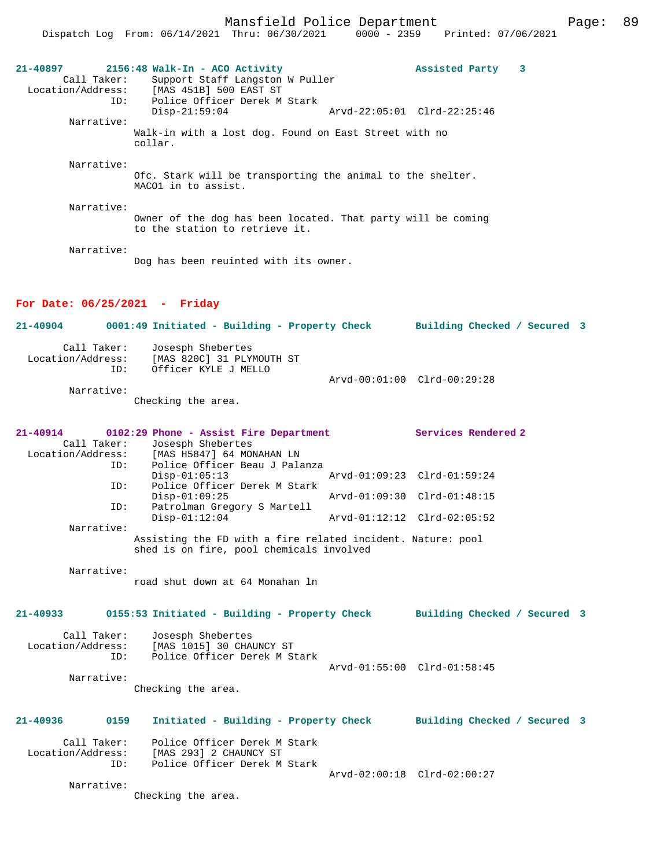| 21-40897<br>Call Taker:                 | 2156:48 Walk-In - ACO Activity<br>Support Staff Langston W Puller<br>Location/Address: [MAS 451B] 500 EAST ST | Assisted Party 3             |  |
|-----------------------------------------|---------------------------------------------------------------------------------------------------------------|------------------------------|--|
| ID:<br>Narrative:                       | Police Officer Derek M Stark<br>$Disp-21:59:04$                                                               | Arvd-22:05:01 Clrd-22:25:46  |  |
|                                         | Walk-in with a lost dog. Found on East Street with no<br>collar.                                              |                              |  |
| Narrative:                              |                                                                                                               |                              |  |
|                                         | Ofc. Stark will be transporting the animal to the shelter.<br>MACO1 in to assist.                             |                              |  |
| Narrative:                              |                                                                                                               |                              |  |
|                                         | Owner of the dog has been located. That party will be coming<br>to the station to retrieve it.                |                              |  |
| Narrative:                              | Dog has been reuinted with its owner.                                                                         |                              |  |
| For Date: $06/25/2021$ - Friday         |                                                                                                               |                              |  |
| 21-40904                                | 0001:49 Initiated - Building - Property Check Building Checked / Secured 3                                    |                              |  |
| Call Taker:<br>ID:                      | Josesph Shebertes<br>Location/Address: [MAS 820C] 31 PLYMOUTH ST<br>Officer KYLE J MELLO                      |                              |  |
|                                         |                                                                                                               | Arvd-00:01:00 Clrd-00:29:28  |  |
| Narrative:                              | Checking the area.                                                                                            |                              |  |
| 21-40914                                | 0102:29 Phone - Assist Fire Department                                                                        | <b>Services Rendered 2</b>   |  |
| Call Taker:<br>Location/Address:        | Josesph Shebertes<br>[MAS H5847] 64 MONAHAN LN                                                                |                              |  |
| ID:<br>ID:                              | Police Officer Beau J Palanza<br>$Disp-01:05:13$<br>Police Officer Derek M Stark                              | Arvd-01:09:23 Clrd-01:59:24  |  |
|                                         | $Disp-01:09:25$                                                                                               | Arvd-01:09:30 Clrd-01:48:15  |  |
| ID:<br>Narrative:                       | Patrolman Gregory S Martell<br>$Disp-01:12:04$                                                                | Arvd-01:12:12 Clrd-02:05:52  |  |
|                                         | Assisting the FD with a fire related incident. Nature: pool<br>shed is on fire, pool chemicals involved       |                              |  |
| Narrative:                              |                                                                                                               |                              |  |
|                                         | road shut down at 64 Monahan ln                                                                               |                              |  |
| 21-40933                                | 0155:53 Initiated - Building - Property Check Building Checked / Secured 3                                    |                              |  |
| Call Taker:<br>Location/Address:<br>ID: | Josesph Shebertes<br>[MAS 1015] 30 CHAUNCY ST<br>Police Officer Derek M Stark                                 | Arvd-01:55:00 Clrd-01:58:45  |  |
| Narrative:                              |                                                                                                               |                              |  |
|                                         | Checking the area.                                                                                            |                              |  |
| 21-40936<br>0159                        | Initiated - Building - Property Check                                                                         | Building Checked / Secured 3 |  |
| Call Taker:<br>Location/Address:<br>ID: | Police Officer Derek M Stark<br>[MAS 293] 2 CHAUNCY ST<br>Police Officer Derek M Stark                        |                              |  |
|                                         |                                                                                                               | Arvd-02:00:18 Clrd-02:00:27  |  |
| Narrative:                              | Checking the area.                                                                                            |                              |  |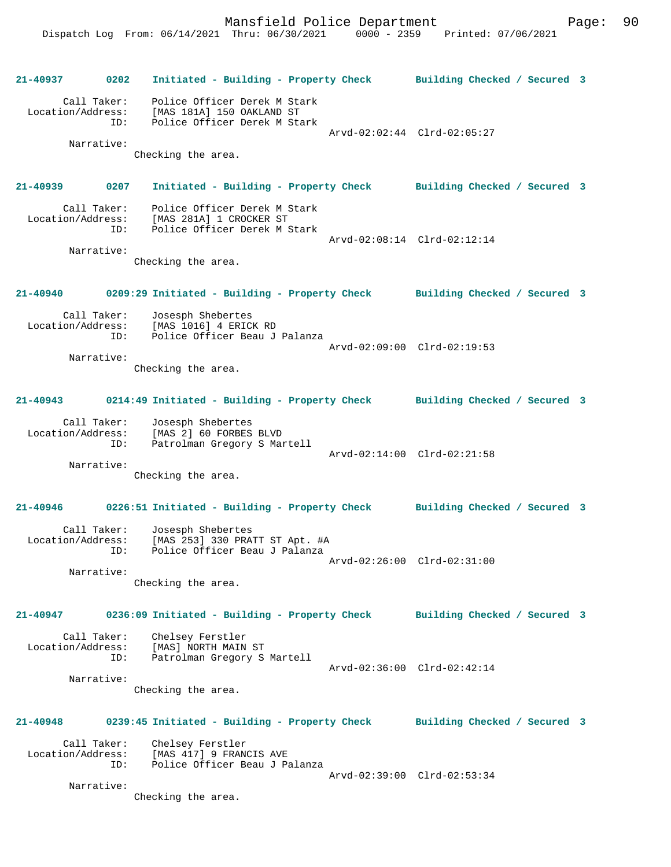**21-40937 0202 Initiated - Building - Property Check Building Checked / Secured 3** Call Taker: Police Officer Derek M Stark Location/Address: [MAS 181A] 150 OAKLAND ST ID: Police Officer Derek M Stark Arvd-02:02:44 Clrd-02:05:27 Narrative: Checking the area. **21-40939 0207 Initiated - Building - Property Check Building Checked / Secured 3** Call Taker: Police Officer Derek M Stark Location/Address: [MAS 281A] 1 CROCKER ST ID: Police Officer Derek M Stark Arvd-02:08:14 Clrd-02:12:14 Narrative: Checking the area. **21-40940 0209:29 Initiated - Building - Property Check Building Checked / Secured 3** Call Taker: Josesph Shebertes Location/Address: [MAS 1016] 4 ERICK RD ID: Police Officer Beau J Palanza Arvd-02:09:00 Clrd-02:19:53 Narrative: Checking the area. **21-40943 0214:49 Initiated - Building - Property Check Building Checked / Secured 3** Call Taker: Josesph Shebertes Location/Address: [MAS 2] 60 FORBES BLVD ID: Patrolman Gregory S Martell Arvd-02:14:00 Clrd-02:21:58 Narrative: Checking the area. **21-40946 0226:51 Initiated - Building - Property Check Building Checked / Secured 3** Call Taker: Josesph Shebertes Location/Address: [MAS 253] 330 PRATT ST Apt. #A ID: Police Officer Beau J Palanza Arvd-02:26:00 Clrd-02:31:00 Narrative: Checking the area. **21-40947 0236:09 Initiated - Building - Property Check Building Checked / Secured 3** Call Taker: Chelsey Ferstler Location/Address: [MAS] NORTH MAIN ST ID: Patrolman Gregory S Martell Arvd-02:36:00 Clrd-02:42:14 Narrative: Checking the area. **21-40948 0239:45 Initiated - Building - Property Check Building Checked / Secured 3** Call Taker: Chelsey Ferstler Location/Address: [MAS 417] 9 FRANCIS AVE ID: Police Officer Beau J Palanza Arvd-02:39:00 Clrd-02:53:34 Narrative: Checking the area.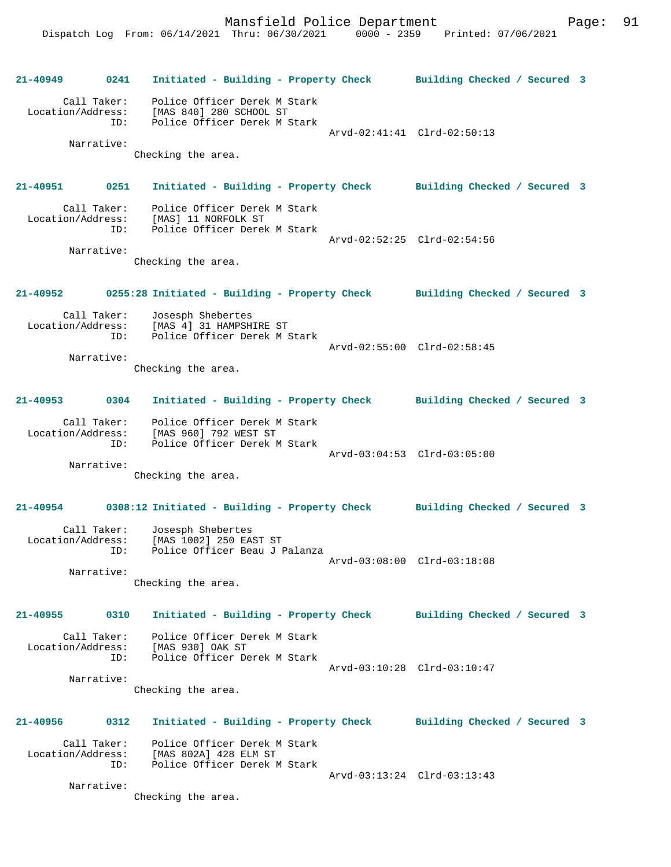**21-40949 0241 Initiated - Building - Property Check Building Checked / Secured 3** Call Taker: Police Officer Derek M Stark Location/Address: [MAS 840] 280 SCHOOL ST ID: Police Officer Derek M Stark Arvd-02:41:41 Clrd-02:50:13 Narrative: Checking the area. **21-40951 0251 Initiated - Building - Property Check Building Checked / Secured 3** Call Taker: Police Officer Derek M Stark Location/Address: [MAS] 11 NORFOLK ST ID: Police Officer Derek M Stark Arvd-02:52:25 Clrd-02:54:56 Narrative: Checking the area. **21-40952 0255:28 Initiated - Building - Property Check Building Checked / Secured 3** Call Taker: Josesph Shebertes Location/Address: [MAS 4] 31 HAMPSHIRE ST ID: Police Officer Derek M Stark Arvd-02:55:00 Clrd-02:58:45 Narrative: Checking the area. **21-40953 0304 Initiated - Building - Property Check Building Checked / Secured 3** Call Taker: Police Officer Derek M Stark Location/Address: [MAS 960] 792 WEST ST ID: Police Officer Derek M Stark Arvd-03:04:53 Clrd-03:05:00 Narrative: Checking the area. **21-40954 0308:12 Initiated - Building - Property Check Building Checked / Secured 3** Call Taker: Josesph Shebertes Location/Address: [MAS 1002] 250 EAST ST ID: Police Officer Beau J Palanza Arvd-03:08:00 Clrd-03:18:08 Narrative: Checking the area. **21-40955 0310 Initiated - Building - Property Check Building Checked / Secured 3** Call Taker: Police Officer Derek M Stark Location/Address: [MAS 930] OAK ST ID: Police Officer Derek M Stark Arvd-03:10:28 Clrd-03:10:47 Narrative: Checking the area. **21-40956 0312 Initiated - Building - Property Check Building Checked / Secured 3** Call Taker: Police Officer Derek M Stark Location/Address: [MAS 802A] 428 ELM ST ID: Police Officer Derek M Stark Arvd-03:13:24 Clrd-03:13:43 Narrative: Checking the area.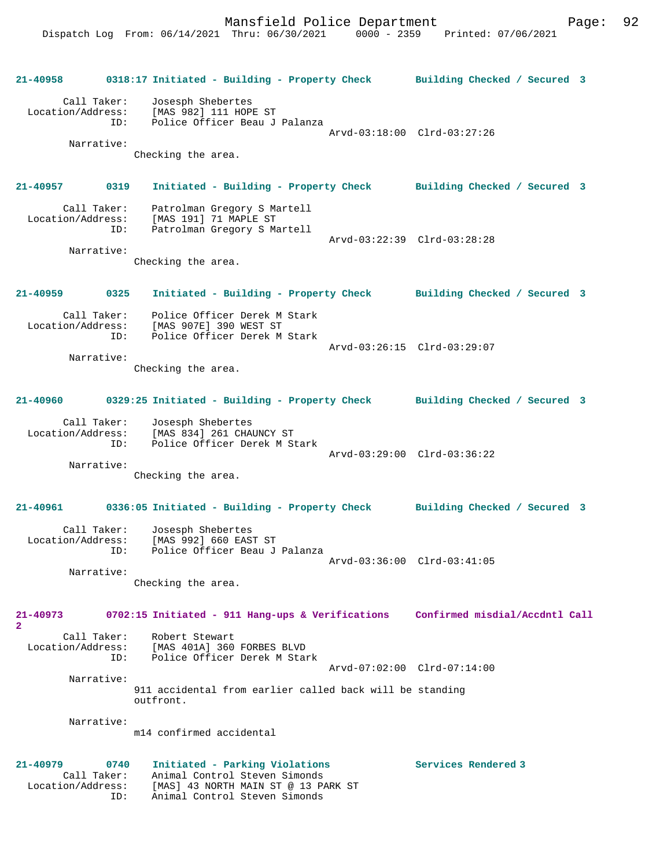**21-40958 0318:17 Initiated - Building - Property Check Building Checked / Secured 3** Call Taker: Josesph Shebertes Location/Address: [MAS 982] 111 HOPE ST ID: Police Officer Beau J Palanza Arvd-03:18:00 Clrd-03:27:26 Narrative: Checking the area. **21-40957 0319 Initiated - Building - Property Check Building Checked / Secured 3** Call Taker: Patrolman Gregory S Martell Location/Address: [MAS 191] 71 MAPLE ST ID: Patrolman Gregory S Martell Arvd-03:22:39 Clrd-03:28:28 Narrative: Checking the area. **21-40959 0325 Initiated - Building - Property Check Building Checked / Secured 3** Call Taker: Police Officer Derek M Stark Location/Address: [MAS 907E] 390 WEST ST ID: Police Officer Derek M Stark Arvd-03:26:15 Clrd-03:29:07 Narrative: Checking the area. **21-40960 0329:25 Initiated - Building - Property Check Building Checked / Secured 3** Call Taker: Josesph Shebertes Location/Address: [MAS 834] 261 CHAUNCY ST ID: Police Officer Derek M Stark Arvd-03:29:00 Clrd-03:36:22 Narrative: Checking the area. **21-40961 0336:05 Initiated - Building - Property Check Building Checked / Secured 3** Call Taker: Josesph Shebertes Location/Address: [MAS 992] 660 EAST ST ID: Police Officer Beau J Palanza Arvd-03:36:00 Clrd-03:41:05 Narrative: Checking the area. **21-40973 0702:15 Initiated - 911 Hang-ups & Verifications Confirmed misdial/Accdntl Call 2**  Call Taker: Robert Stewart Location/Address: [MAS 401A] 360 FORBES BLVD ID: Police Officer Derek M Stark Arvd-07:02:00 Clrd-07:14:00 Narrative: 911 accidental from earlier called back will be standing outfront. Narrative: m14 confirmed accidental **21-40979 0740 Initiated - Parking Violations Services Rendered 3**  Call Taker: Animal Control Steven Simonds Location/Address: [MAS] 43 NORTH MAIN ST @ 13 PARK ST ID: Animal Control Steven Simonds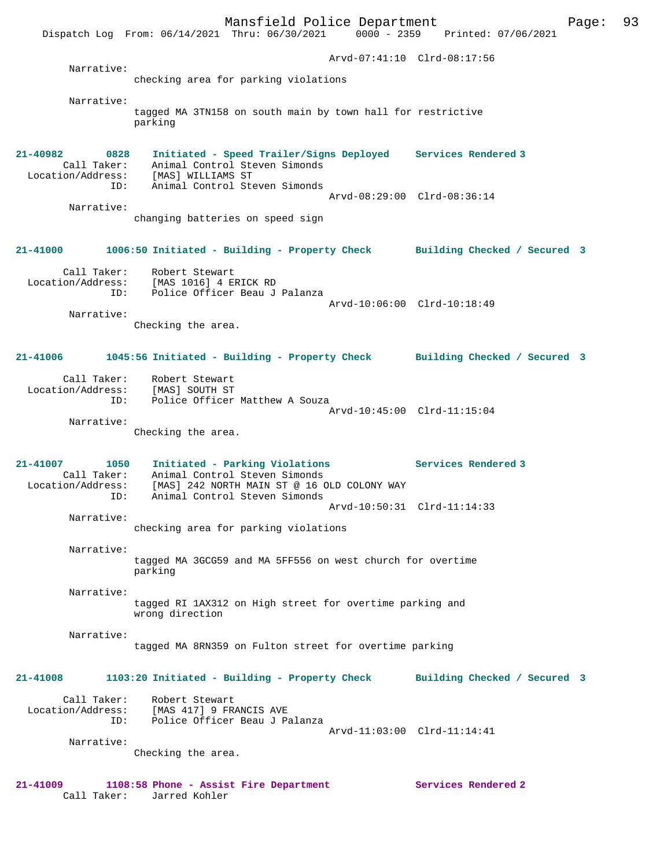Mansfield Police Department Page: 93 Dispatch Log From: 06/14/2021 Thru: 06/30/2021 0000 - 2359 Printed: 07/06/2021 Arvd-07:41:10 Clrd-08:17:56 Narrative: checking area for parking violations Narrative: tagged MA 3TN158 on south main by town hall for restrictive parking **21-40982 0828 Initiated - Speed Trailer/Signs Deployed Services Rendered 3**  Call Taker: Animal Control Steven Simonds Location/Address: [MAS] WILLIAMS ST ID: Animal Control Steven Simonds Arvd-08:29:00 Clrd-08:36:14 Narrative: changing batteries on speed sign **21-41000 1006:50 Initiated - Building - Property Check Building Checked / Secured 3** Call Taker: Robert Stewart Location/Address: [MAS 1016] 4 ERICK RD ID: Police Officer Beau J Palanza Arvd-10:06:00 Clrd-10:18:49 Narrative: Checking the area. **21-41006 1045:56 Initiated - Building - Property Check Building Checked / Secured 3** Call Taker: Robert Stewart Location/Address: [MAS] SOUTH ST ID: Police Officer Matthew A Souza Arvd-10:45:00 Clrd-11:15:04 Narrative: Checking the area. **21-41007 1050 Initiated - Parking Violations Services Rendered 3**  Call Taker: Animal Control Steven Simonds Location/Address: [MAS] 242 NORTH MAIN ST @ 16 OLD COLONY WAY ID: Animal Control Steven Simonds Arvd-10:50:31 Clrd-11:14:33 Narrative: checking area for parking violations Narrative: tagged MA 3GCG59 and MA 5FF556 on west church for overtime parking Narrative: tagged RI 1AX312 on High street for overtime parking and wrong direction Narrative: tagged MA 8RN359 on Fulton street for overtime parking **21-41008 1103:20 Initiated - Building - Property Check Building Checked / Secured 3** Call Taker: Robert Stewart Location/Address: [MAS 417] 9 FRANCIS AVE ID: Police Officer Beau J Palanza Arvd-11:03:00 Clrd-11:14:41 Narrative: Checking the area.

**21-41009 1108:58 Phone - Assist Fire Department Services Rendered 2**  Call Taker: Jarred Kohler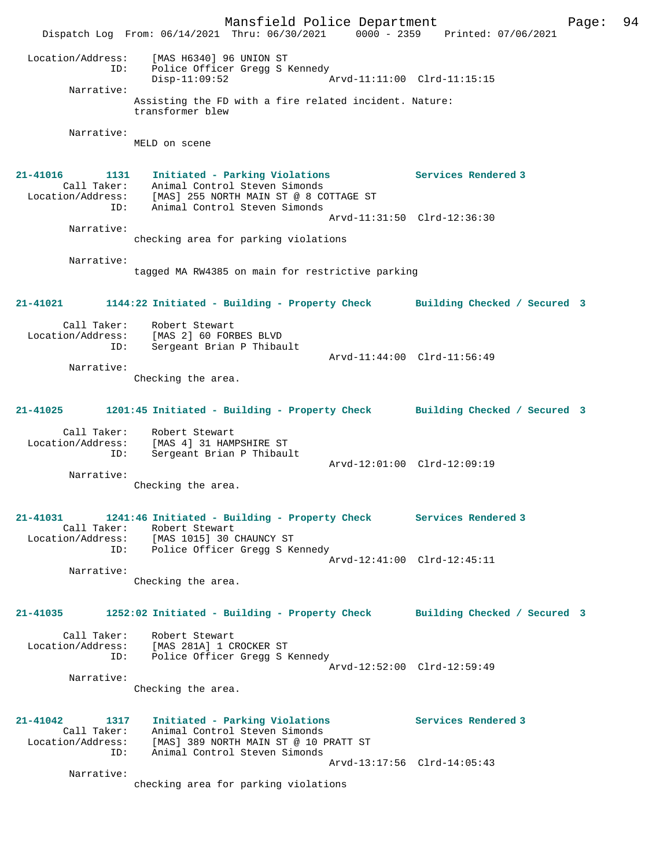Mansfield Police Department Form Page: 94 Dispatch Log From: 06/14/2021 Thru: 06/30/2021 0000 - 2359 Printed: 07/06/2021 Location/Address: [MAS H6340] 96 UNION ST ID: Police Officer Gregg S Kennedy  $\bar{P}_{\text{Arvd}-11:11:00}$  Clrd-11:15:15 Narrative: Assisting the FD with a fire related incident. Nature: transformer blew Narrative: MELD on scene **21-41016 1131 Initiated - Parking Violations Services Rendered 3**  Call Taker: Animal Control Steven Simonds Location/Address: [MAS] 255 NORTH MAIN ST @ 8 COTTAGE ST ID: Animal Control Steven Simonds Arvd-11:31:50 Clrd-12:36:30 Narrative: checking area for parking violations Narrative: tagged MA RW4385 on main for restrictive parking **21-41021 1144:22 Initiated - Building - Property Check Building Checked / Secured 3** Call Taker: Robert Stewart<br>Location/Address: [MAS 2] 60 FOR [MAS 2] 60 FORBES BLVD ID: Sergeant Brian P Thibault Arvd-11:44:00 Clrd-11:56:49 Narrative: Checking the area. **21-41025 1201:45 Initiated - Building - Property Check Building Checked / Secured 3** Call Taker: Robert Stewart Location/Address: [MAS 4] 31 HAMPSHIRE ST ID: Sergeant Brian P Thibault Arvd-12:01:00 Clrd-12:09:19 Narrative: Checking the area. **21-41031 1241:46 Initiated - Building - Property Check Services Rendered 3**  Call Taker: Robert Stewart<br>Location/Address: [MAS 1015] 30<br>ID: Police Officer [MAS 1015] 30 CHAUNCY ST Police Officer Gregg S Kennedy Arvd-12:41:00 Clrd-12:45:11 Narrative: Checking the area. **21-41035 1252:02 Initiated - Building - Property Check Building Checked / Secured 3** Call Taker: Robert Stewart Location/Address: [MAS 281A] 1 CROCKER ST ID: Police Officer Gregg S Kennedy Arvd-12:52:00 Clrd-12:59:49 Narrative: Checking the area. **21-41042 1317 Initiated - Parking Violations Services Rendered 3**  Call Taker: Animal Control Steven Simonds Location/Address: [MAS] 389 NORTH MAIN ST @ 10 PRATT ST ID: Animal Control Steven Simonds Arvd-13:17:56 Clrd-14:05:43 Narrative: checking area for parking violations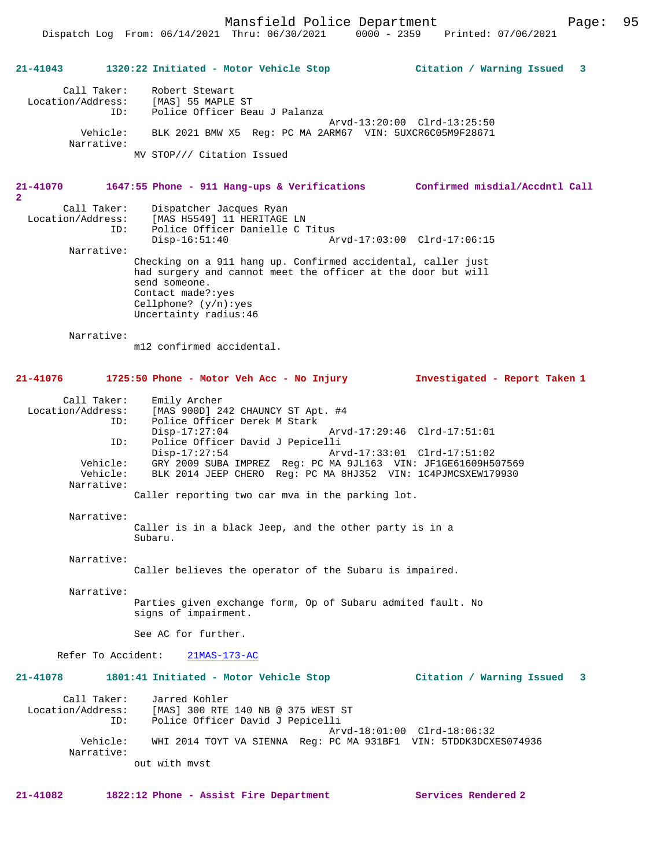Mansfield Police Department Page: 95

# **21-41043 1320:22 Initiated - Motor Vehicle Stop Citation / Warning Issued 3**

| Call Taker:            | Robert Stewart                                           |
|------------------------|----------------------------------------------------------|
| Location/Address:      | [MAS] 55 MAPLE ST                                        |
| ID:                    | Police Officer Beau J Palanza                            |
|                        | Arvd-13:20:00 Clrd-13:25:50                              |
| Vehicle:<br>Narrative: | BLK 2021 BMW X5 Req: PC MA 2ARM67 VIN: 5UXCR6C05M9F28671 |
|                        | MV STOP/// Citation Issued                               |

### **21-41070 1647:55 Phone - 911 Hang-ups & Verifications Confirmed misdial/Accdntl Call**

Call Taker: Dispatcher Jacques Ryan<br>Location/Address: [MAS H5549] 11 HERITAGE ess: [MAS H5549] 11 HERITAGE LN<br>ID: Police Officer Danielle C ' Police Officer Danielle C Titus<br>Disp-16:51:40 Al Disp-16:51:40 Arvd-17:03:00 Clrd-17:06:15 Narrative: Checking on a 911 hang up. Confirmed accidental, caller just

had surgery and cannot meet the officer at the door but will send someone. Contact made?:yes Cellphone? (y/n):yes Uncertainty radius:46

Narrative:

m12 confirmed accidental.

#### **21-41076 1725:50 Phone - Motor Veh Acc - No Injury Investigated - Report Taken 1**

Call Taker: Emily Archer<br>Location/Address: [MAS 900D] 24 Location/Address: [MAS 900D] 242 CHAUNCY ST Apt. #4 ID: Police Officer Derek M Stark Disp-17:27:04 Arvd-17:29:46 Clrd-17:51:01 ID: Police Officer David J Pepicelli Disp-17:27:54 Arvd-17:33:01 Clrd-17:51:02<br>Vehicle: GRY 2009 SUBA IMPREZ Reg: PC MA 9JL163 VIN: JF1GE61609H5 Vehicle: GRY 2009 SUBA IMPREZ Reg: PC MA 9JL163 VIN: JF1GE61609H507569 BLK 2014 JEEP CHERO Reg: PC MA 8HJ352 VIN: 1C4PJMCSXEW179930 Narrative:

Caller reporting two car mva in the parking lot.

#### Narrative:

Caller is in a black Jeep, and the other party is in a Subaru.

Narrative:

Caller believes the operator of the Subaru is impaired.

 Narrative: Parties given exchange form, Op of Subaru admited fault. No signs of impairment.

See AC for further.

Refer To Accident: 21MAS-173-AC

## **21-41078 1801:41 Initiated - Motor Vehicle Stop Citation / Warning Issued 3**

 Call Taker: Jarred Kohler Location/Address: [MAS] 300 RTE 140 NB @ 375 WEST ST ID: Police Officer David J Pepicelli Arvd-18:01:00 Clrd-18:06:32<br>Vehicle: WHI 2014 TOYT VA SIENNA Req: PC MA 931BF1 VIN: 5TDDK3DCXI WHI 2014 TOYT VA SIENNA Reg: PC MA 931BF1 VIN: 5TDDK3DCXES074936 Narrative: out with mvst

**21-41082 1822:12 Phone - Assist Fire Department Services Rendered 2**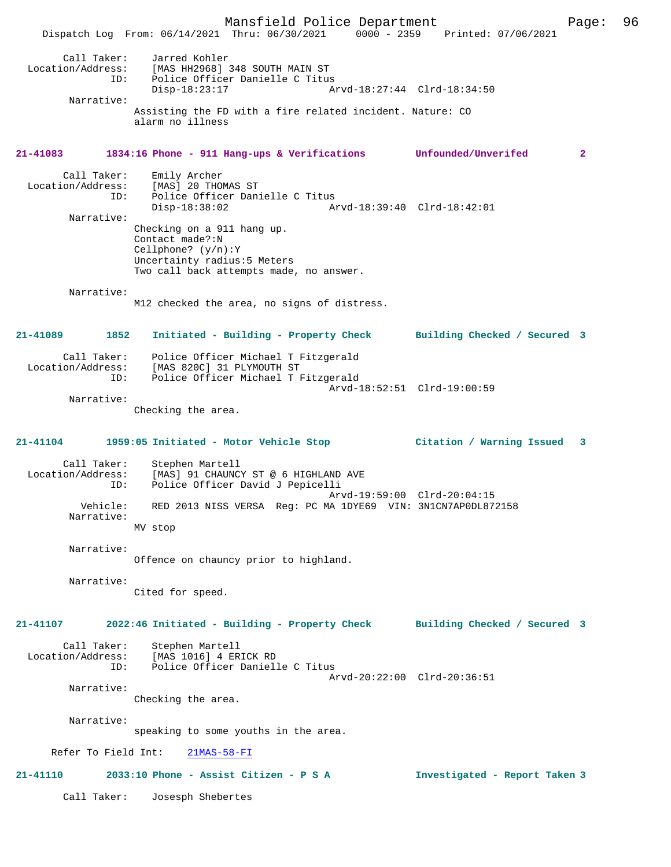Mansfield Police Department Page: 96 Dispatch Log From: 06/14/2021 Thru: 06/30/2021 0000 - 2359 Printed: 07/06/2021 Call Taker: Jarred Kohler<br>Location/Address: [MAS HH2968] [MAS HH2968] 348 SOUTH MAIN ST ESS. THE READ OF STORE CONTRACT THE POLICE Officer Danielle C Titus<br>Disp-18:23:17 Al Disp-18:23:17 Arvd-18:27:44 Clrd-18:34:50 Narrative: Assisting the FD with a fire related incident. Nature: CO alarm no illness **21-41083 1834:16 Phone - 911 Hang-ups & Verifications Unfounded/Unverifed 2** Call Taker: Emily Archer Location/Address: [MAS] 20 THOMAS ST<br>ID: Police Officer Dani Police Officer Danielle C Titus<br>Disp-18:38:02 Am Disp-18:38:02 Arvd-18:39:40 Clrd-18:42:01 Narrative: Checking on a 911 hang up. Contact made?:N Cellphone? (y/n):Y Uncertainty radius:5 Meters Two call back attempts made, no answer. Narrative: M12 checked the area, no signs of distress. **21-41089 1852 Initiated - Building - Property Check Building Checked / Secured 3** Call Taker: Police Officer Michael T Fitzgerald Location/Address: [MAS 820C] 31 PLYMOUTH ST ID: Police Officer Michael T Fitzgerald Arvd-18:52:51 Clrd-19:00:59 Narrative: Checking the area. **21-41104 1959:05 Initiated - Motor Vehicle Stop Citation / Warning Issued 3** Call Taker: Stephen Martell Location/Address: [MAS] 91 CHAUNCY ST @ 6 HIGHLAND AVE<br>ID: Police Officer David J Pepicelli Police Officer David J Pepicelli Arvd-19:59:00 Clrd-20:04:15 Vehicle: RED 2013 NISS VERSA Reg: PC MA 1DYE69 VIN: 3N1CN7AP0DL872158 Narrative: MV stop Narrative: Offence on chauncy prior to highland. Narrative: Cited for speed. **21-41107 2022:46 Initiated - Building - Property Check Building Checked / Secured 3** Call Taker: Stephen Martell Location/Address: [MAS 1016] 4 ERICK RD ID: Police Officer Danielle C Titus Arvd-20:22:00 Clrd-20:36:51 Narrative: Checking the area. Narrative: speaking to some youths in the area. Refer To Field Int: 21MAS-58-FI **21-41110 2033:10 Phone - Assist Citizen - P S A Investigated - Report Taken 3** Call Taker: Josesph Shebertes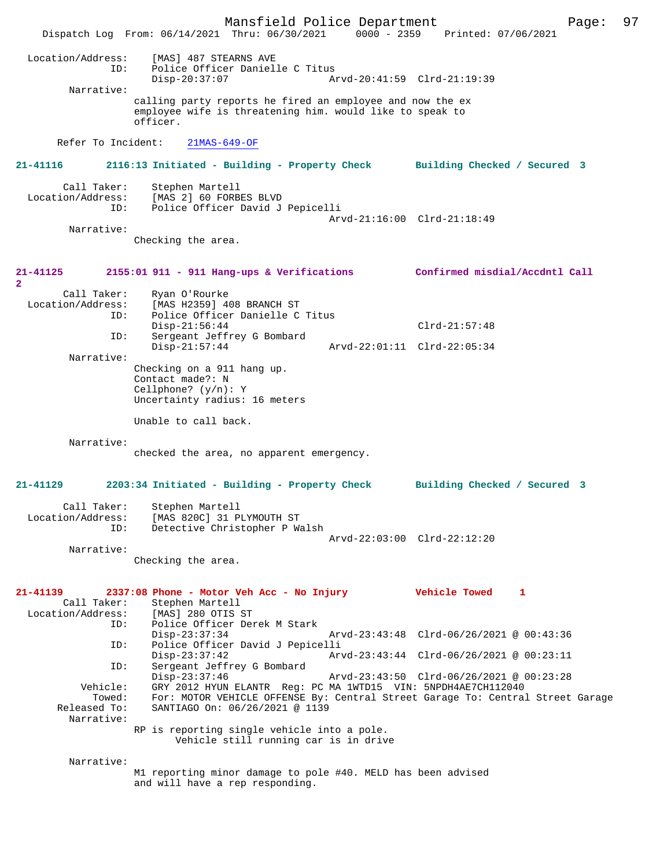Mansfield Police Department Page: 97 Dispatch Log From: 06/14/2021 Thru: 06/30/2021 Location/Address: [MAS] 487 STEARNS AVE ID: Police Officer Danielle C Titus Disp-20:37:07 Arvd-20:41:59 Clrd-21:19:39 Narrative: calling party reports he fired an employee and now the ex employee wife is threatening him. would like to speak to officer. Refer To Incident: 21MAS-649-OF **21-41116 2116:13 Initiated - Building - Property Check Building Checked / Secured 3** Call Taker: Stephen Martell<br>Location/Address: [MAS 2] 60 FORB [MAS 2] 60 FORBES BLVD ID: Police Officer David J Pepicelli Arvd-21:16:00 Clrd-21:18:49 Narrative: Checking the area. **21-41125 2155:01 911 - 911 Hang-ups & Verifications Confirmed misdial/Accdntl Call 2**  Call Taker: Ryan O'Rourke<br>Location/Address: [MAS H23591 4 ess: [MAS H2359] 408 BRANCH ST<br>TD: Police Officer Danielle C Police Officer Danielle C Titus Disp-21:56:44 Clrd-21:57:48 ID: Sergeant Jeffrey G Bombard Disp-21:57:44 Arvd-22:01:11 Clrd-22:05:34 Narrative: Checking on a 911 hang up. Contact made?: N Cellphone? (y/n): Y Uncertainty radius: 16 meters Unable to call back. Narrative: checked the area, no apparent emergency. **21-41129 2203:34 Initiated - Building - Property Check Building Checked / Secured 3** Call Taker: Stephen Martell Location/Address: [MAS 820C] 31 PLYMOUTH ST Detective Christopher P Walsh Arvd-22:03:00 Clrd-22:12:20 Narrative: Checking the area. **21-41139 2337:08 Phone - Motor Veh Acc - No Injury Vehicle Towed 1**  Call Taker: Stephen Martell<br>Location/Address: [MAS] 280 OTIS S ess: [MAS] 280 OTIS ST<br>ID: Police Officer Dem Police Officer Derek M Stark Disp-23:37:34 Arvd-23:43:48 Clrd-06/26/2021 @ 00:43:36<br>ID: Police Officer David J Pepicelli ID: Police Officer David J Pepicelli Disp-23:37:42 Arvd-23:43:44 Clrd-06/26/2021 @ 00:23:11<br>ID: Sergeant Jeffrey G Bombard Sergeant Jeffrey G Bombard<br>Disp-23:37:46 Disp-23:37:46 Arvd-23:43:50 Clrd-06/26/2021 @ 00:23:28<br>Vehicle: GRY 2012 HYUN ELANTR Req: PC MA 1WTD15 VIN: 5NPDH4AE7CH112040 ehicle: GRY 2012 HYUN ELANTR Reg: PC MA 1WTD15 VIN: 5NPDH4AE7CH112040<br>Towed: For: MOTOR VEHICLE OFFENSE By: Central Street Garage To: Central For: MOTOR VEHICLE OFFENSE By: Central Street Garage To: Central Street Garage Released To: SANTIAGO On: 06/26/2021 @ 1139 Narrative: RP is reporting single vehicle into a pole. Vehicle still running car is in drive Narrative: M1 reporting minor damage to pole #40. MELD has been advised and will have a rep responding.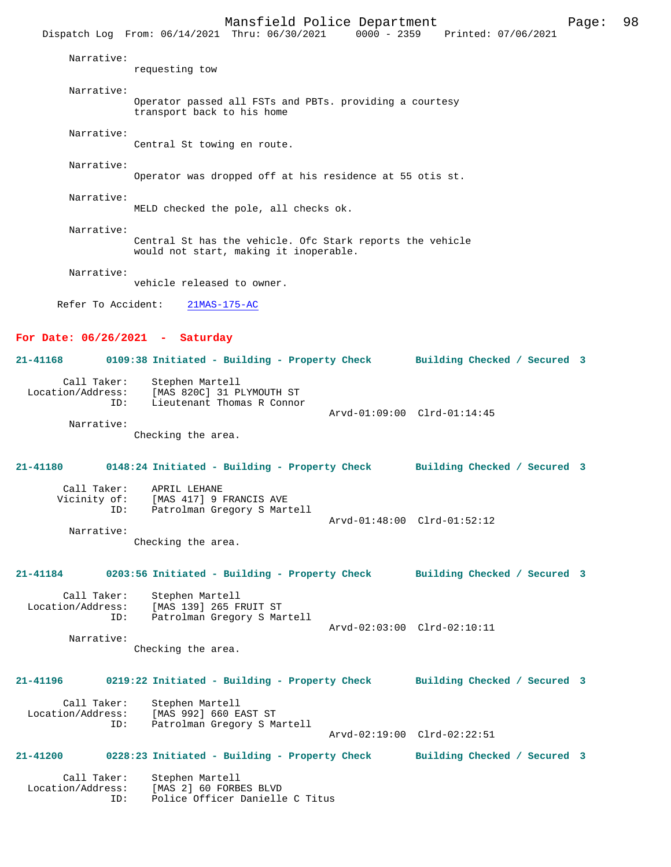|                                         | Dispatch Log From: 06/14/2021 Thru: 06/30/2021 0000 - 2359 Printed: 07/06/2021                           |  |                                                             |  |
|-----------------------------------------|----------------------------------------------------------------------------------------------------------|--|-------------------------------------------------------------|--|
| Narrative:                              | requesting tow                                                                                           |  |                                                             |  |
| Narrative:                              |                                                                                                          |  |                                                             |  |
|                                         | Operator passed all FSTs and PBTs. providing a courtesy<br>transport back to his home                    |  |                                                             |  |
| Narrative:                              | Central St towing en route.                                                                              |  |                                                             |  |
| Narrative:                              | Operator was dropped off at his residence at 55 otis st.                                                 |  |                                                             |  |
| Narrative:                              | MELD checked the pole, all checks ok.                                                                    |  |                                                             |  |
| Narrative:                              | Central St has the vehicle. Ofc Stark reports the vehicle<br>would not start, making it inoperable.      |  |                                                             |  |
| Narrative:                              | vehicle released to owner.                                                                               |  |                                                             |  |
|                                         | Refer To Accident: 21MAS-175-AC                                                                          |  |                                                             |  |
| For Date: $06/26/2021$ - Saturday       |                                                                                                          |  |                                                             |  |
|                                         | 21-41168 0109:38 Initiated - Building - Property Check Building Checked / Secured 3                      |  |                                                             |  |
| ID:                                     | Call Taker: Stephen Martell<br>Location/Address: [MAS 820C] 31 PLYMOUTH ST<br>Lieutenant Thomas R Connor |  |                                                             |  |
| Narrative:                              | Checking the area.                                                                                       |  | Arvd-01:09:00 Clrd-01:14:45                                 |  |
|                                         | 21-41180 0148:24 Initiated - Building - Property Check Building Checked / Secured 3                      |  |                                                             |  |
| ID:                                     | Call Taker: APRIL LEHANE<br>Vicinity of: [MAS 417] 9 FRANCIS AVE<br>Patrolman Gregory S Martell          |  | Arvd-01:48:00 Clrd-01:52:12                                 |  |
| Narrative:                              |                                                                                                          |  |                                                             |  |
|                                         | Checking the area.                                                                                       |  |                                                             |  |
| 21-41184                                | 0203:56 Initiated - Building - Property Check                                                            |  | Building Checked / Secured 3                                |  |
| Call Taker:<br>Location/Address:<br>ID: | Stephen Martell<br>[MAS 139] 265 FRUIT ST<br>Patrolman Gregory S Martell                                 |  |                                                             |  |
| Narrative:                              | Checking the area.                                                                                       |  | Arvd-02:03:00 Clrd-02:10:11                                 |  |
| 21-41196                                | 0219:22 Initiated - Building - Property Check                                                            |  | Building Checked / Secured 3                                |  |
| Call Taker:<br>Location/Address:<br>ID: | Stephen Martell<br>[MAS 992] 660 EAST ST<br>Patrolman Gregory S Martell                                  |  |                                                             |  |
| <b>21-41200</b>                         | 0228:23 Initiated - Building - Property Check                                                            |  | Arvd-02:19:00 Clrd-02:22:51<br>Building Checked / Secured 3 |  |
| Call Taker:<br>Location/Address:<br>ID: | Stephen Martell<br>[MAS 2] 60 FORBES BLVD<br>Police Officer Danielle C Titus                             |  |                                                             |  |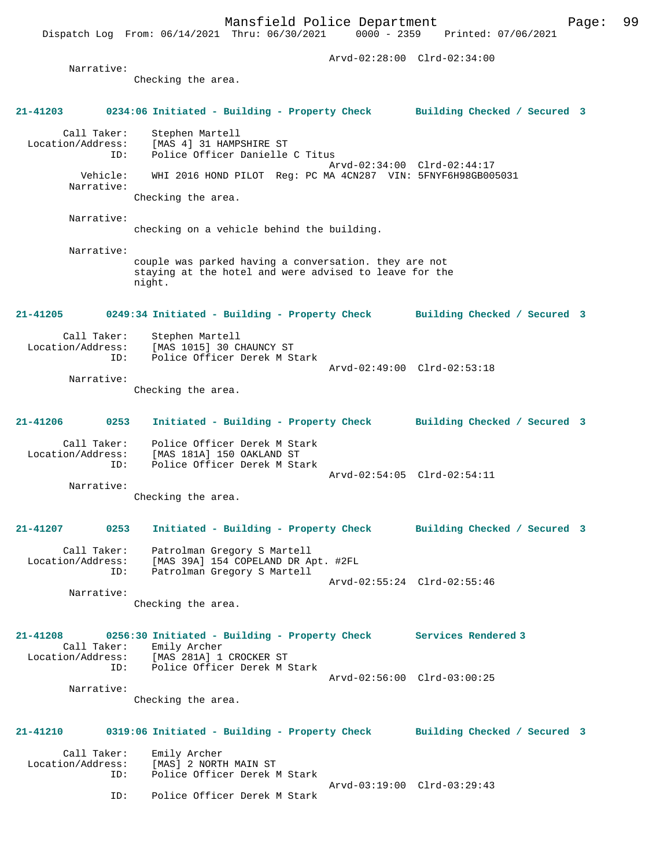Arvd-02:28:00 Clrd-02:34:00 Narrative: Checking the area. **21-41203 0234:06 Initiated - Building - Property Check Building Checked / Secured 3** Call Taker: Stephen Martell Location/Address: [MAS 4] 31 HAMPSHIRE ST Police Officer Danielle C Titus Arvd-02:34:00 Clrd-02:44:17 Vehicle: WHI 2016 HOND PILOT Reg: PC MA 4CN287 VIN: 5FNYF6H98GB005031 Narrative: Checking the area. Narrative: checking on a vehicle behind the building. Narrative: couple was parked having a conversation. they are not staying at the hotel and were advised to leave for the night. **21-41205 0249:34 Initiated - Building - Property Check Building Checked / Secured 3** Call Taker: Stephen Martell<br>Location/Address: [MAS 1015] 30 C [MAS 1015] 30 CHAUNCY ST ID: Police Officer Derek M Stark Arvd-02:49:00 Clrd-02:53:18 Narrative: Checking the area. **21-41206 0253 Initiated - Building - Property Check Building Checked / Secured 3** Call Taker: Police Officer Derek M Stark Location/Address: [MAS 181A] 150 OAKLAND ST ID: Police Officer Derek M Stark Arvd-02:54:05 Clrd-02:54:11 Narrative: Checking the area. **21-41207 0253 Initiated - Building - Property Check Building Checked / Secured 3** Call Taker: Patrolman Gregory S Martell<br>Location/Address: [MAS 39A] 154 COPELAND DR A ess: [MAS 39A] 154 COPELAND DR Apt. #2FL<br>ID: Patrolman Gregory S Martell Patrolman Gregory S Martell Arvd-02:55:24 Clrd-02:55:46 Narrative: Checking the area. **21-41208 0256:30 Initiated - Building - Property Check Services Rendered 3**  Call Taker: Emily Archer Location/Address: [MAS 281A] 1 CROCKER ST Police Officer Derek M Stark Arvd-02:56:00 Clrd-03:00:25 Narrative: Checking the area. **21-41210 0319:06 Initiated - Building - Property Check Building Checked / Secured 3** Call Taker: Emily Archer<br>Location/Address: [MAS] 2 NORT ess: [MAS] 2 NORTH MAIN ST<br>ID: Police Officer Derek N Police Officer Derek M Stark Arvd-03:19:00 Clrd-03:29:43<br>TD: Police Officer Derek M Stark Police Officer Derek M Stark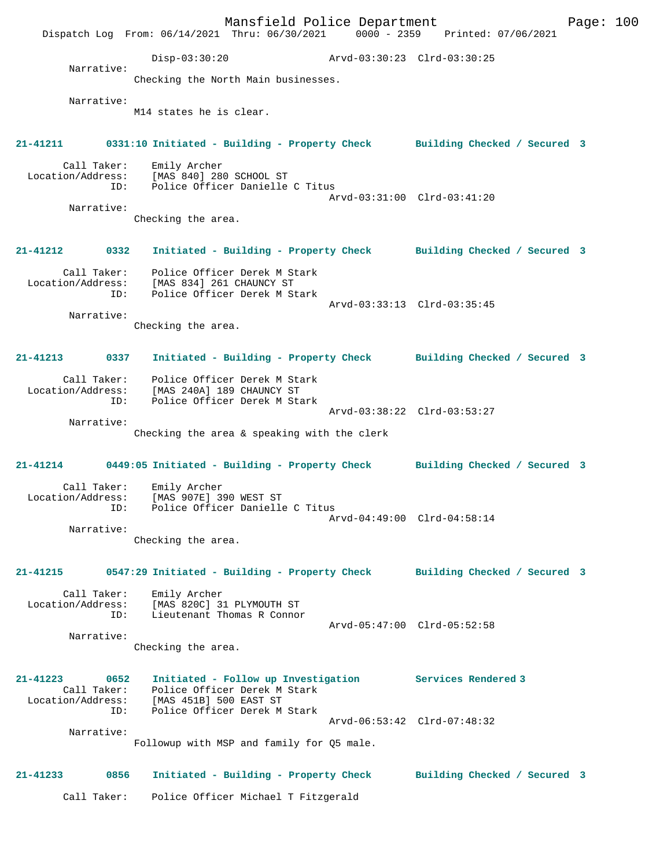Mansfield Police Department Fage: 100 Dispatch Log From: 06/14/2021 Thru: 06/30/2021 0000 - 2359 Printed: 07/06/2021 Disp-03:30:20 Arvd-03:30:23 Clrd-03:30:25 Narrative: Checking the North Main businesses. Narrative: M14 states he is clear. **21-41211 0331:10 Initiated - Building - Property Check Building Checked / Secured 3** Call Taker: Emily Archer Location/Address: [MAS 840] 280 SCHOOL ST ID: Police Officer Danielle C Titus Arvd-03:31:00 Clrd-03:41:20 Narrative: Checking the area. **21-41212 0332 Initiated - Building - Property Check Building Checked / Secured 3** Call Taker: Police Officer Derek M Stark Location/Address: [MAS 834] 261 CHAUNCY ST ID: Police Officer Derek M Stark Arvd-03:33:13 Clrd-03:35:45 Narrative: Checking the area. **21-41213 0337 Initiated - Building - Property Check Building Checked / Secured 3** Call Taker: Police Officer Derek M Stark Location/Address: [MAS 240A] 189 CHAUNCY ST ID: Police Officer Derek M Stark Arvd-03:38:22 Clrd-03:53:27 Narrative: Checking the area & speaking with the clerk **21-41214 0449:05 Initiated - Building - Property Check Building Checked / Secured 3** Call Taker: Emily Archer<br>Location/Address: [MAS 907E] 39 Location/Address: [MAS 907E] 390 WEST ST ID: Police Officer Danielle C Titus Arvd-04:49:00 Clrd-04:58:14 Narrative: Checking the area. **21-41215 0547:29 Initiated - Building - Property Check Building Checked / Secured 3** Call Taker: Emily Archer Location/Address: [MAS 820C] 31 PLYMOUTH ST ID: Lieutenant Thomas R Connor Arvd-05:47:00 Clrd-05:52:58 Narrative: Checking the area. **21-41223 0652 Initiated - Follow up Investigation Services Rendered 3**  Call Taker: Police Officer Derek M Stark Location/Address: [MAS 451B] 500 EAST ST ID: Police Officer Derek M Stark Arvd-06:53:42 Clrd-07:48:32 Narrative: Followup with MSP and family for Q5 male. **21-41233 0856 Initiated - Building - Property Check Building Checked / Secured 3** Call Taker: Police Officer Michael T Fitzgerald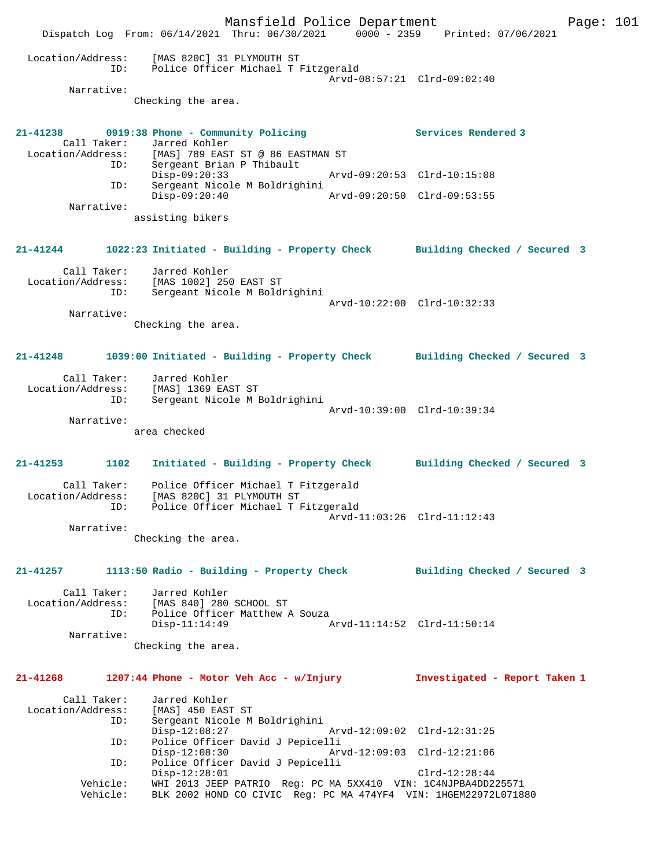Mansfield Police Department Page: 101 Dispatch Log From: 06/14/2021 Thru: 06/30/2021 0000 - 2359 Printed: 07/06/2021 Location/Address: [MAS 820C] 31 PLYMOUTH ST ID: Police Officer Michael T Fitzgerald Arvd-08:57:21 Clrd-09:02:40 Narrative: Checking the area. **21-41238 0919:38 Phone - Community Policing Services Rendered 3**  Call Taker: Jarred Kohler Location/Address: [MAS] 789 EAST ST @ 86 EASTMAN ST ID: Sergeant Brian P Thibault Disp-09:20:33 Arvd-09:20:53 Clrd-10:15:08 ID: Sergeant Nicole M Boldrighini Disp-09:20:40 Arvd-09:20:50 Clrd-09:53:55 Narrative: assisting bikers **21-41244 1022:23 Initiated - Building - Property Check Building Checked / Secured 3** Call Taker: Jarred Kohler Location/Address: [MAS 1002] 250 EAST ST ID: Sergeant Nicole M Boldrighini Arvd-10:22:00 Clrd-10:32:33 Narrative: Checking the area. **21-41248 1039:00 Initiated - Building - Property Check Building Checked / Secured 3** Call Taker: Jarred Kohler Location/Address: [MAS] 1369 EAST ST ID: Sergeant Nicole M Boldrighini Arvd-10:39:00 Clrd-10:39:34 Narrative: area checked **21-41253 1102 Initiated - Building - Property Check Building Checked / Secured 3** Call Taker: Police Officer Michael T Fitzgerald Location/Address: [MAS 820C] 31 PLYMOUTH ST ID: Police Officer Michael T Fitzgerald Arvd-11:03:26 Clrd-11:12:43 Narrative: Checking the area. **21-41257 1113:50 Radio - Building - Property Check Building Checked / Secured 3** Call Taker: Jarred Kohler Location/Address: [MAS 840] 280 SCHOOL ST ID: Police Officer Matthew A Souza Disp-11:14:49 Arvd-11:14:52 Clrd-11:50:14 Narrative: Checking the area. **21-41268 1207:44 Phone - Motor Veh Acc - w/Injury Investigated - Report Taken 1** Call Taker: Jarred Kohler<br>Location/Address: [MAS] 450 EAST ST Location/Address: [MAS] 450 EAST ST ID: Sergeant Nicole M Boldrighini Disp-12:08:27 Arvd-12:09:02 Clrd-12:31:25 ID: Police Officer David J Pepicelli Disp-12:08:30 Arvd-12:09:03 Clrd-12:21:06<br>ID: Police Officer David J Pepicelli Police Officer David J Pepicelli Disp-12:28:01 Clrd-12:28:44 Vehicle: WHI 2013 JEEP PATRIO Reg: PC MA 5XX410 VIN: 1C4NJPBA4DD225571 Vehicle: BLK 2002 HOND CO CIVIC Reg: PC MA 474YF4 VIN: 1HGEM22972L071880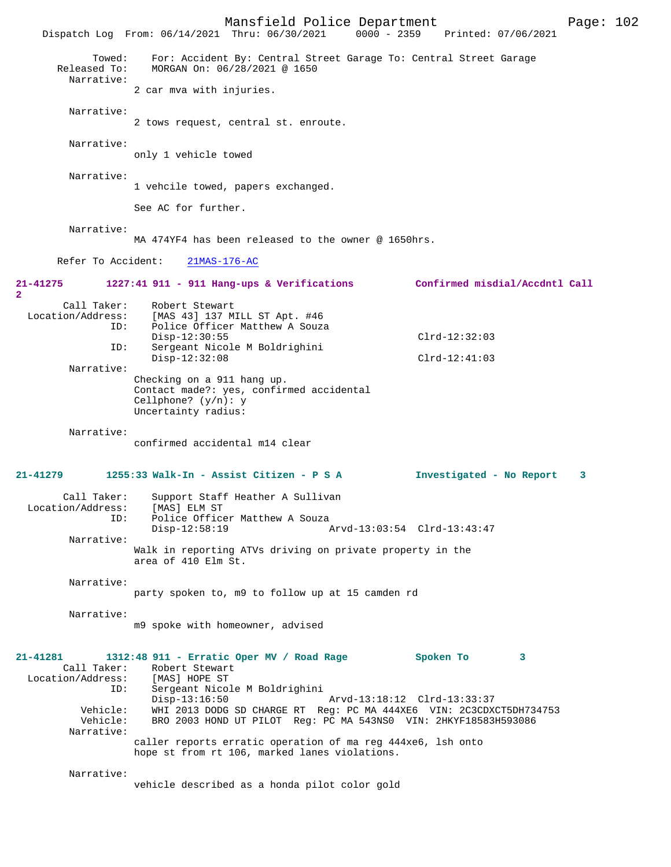|                                                                                               | Mansfield Police Department<br>$0000 - 2359$<br>Dispatch Log From: 06/14/2021 Thru: 06/30/2021                                                                                                                                                                                                                                                                                               | Printed: 07/06/2021                           | Page: 102 |  |
|-----------------------------------------------------------------------------------------------|----------------------------------------------------------------------------------------------------------------------------------------------------------------------------------------------------------------------------------------------------------------------------------------------------------------------------------------------------------------------------------------------|-----------------------------------------------|-----------|--|
| Towed:<br>Released To:<br>Narrative:                                                          | For: Accident By: Central Street Garage To: Central Street Garage<br>MORGAN On: 06/28/2021 @ 1650                                                                                                                                                                                                                                                                                            |                                               |           |  |
|                                                                                               | 2 car mva with injuries.                                                                                                                                                                                                                                                                                                                                                                     |                                               |           |  |
| Narrative:                                                                                    | 2 tows request, central st. enroute.                                                                                                                                                                                                                                                                                                                                                         |                                               |           |  |
| Narrative:                                                                                    | only 1 vehicle towed                                                                                                                                                                                                                                                                                                                                                                         |                                               |           |  |
| Narrative:                                                                                    | 1 vehcile towed, papers exchanged.                                                                                                                                                                                                                                                                                                                                                           |                                               |           |  |
|                                                                                               | See AC for further.                                                                                                                                                                                                                                                                                                                                                                          |                                               |           |  |
| Narrative:                                                                                    | MA 474YF4 has been released to the owner @ 1650hrs.                                                                                                                                                                                                                                                                                                                                          |                                               |           |  |
| Refer To Accident:                                                                            | $21MAS-176-AC$                                                                                                                                                                                                                                                                                                                                                                               |                                               |           |  |
| $21 - 41275$<br>$\mathbf{2}$                                                                  | 1227:41 911 - 911 Hang-ups & Verifications                                                                                                                                                                                                                                                                                                                                                   | Confirmed misdial/Accdntl Call                |           |  |
| Call Taker:<br>Location/Address:<br>ID:<br>ID:                                                | Robert Stewart<br>[MAS 43] 137 MILL ST Apt. #46<br>Police Officer Matthew A Souza<br>$Disp-12:30:55$<br>Sergeant Nicole M Boldrighini<br>$Disp-12:32:08$                                                                                                                                                                                                                                     | $Clrd-12:32:03$<br>$Clrd-12:41:03$            |           |  |
| Narrative:                                                                                    | Checking on a 911 hang up.                                                                                                                                                                                                                                                                                                                                                                   |                                               |           |  |
|                                                                                               | Contact made?: yes, confirmed accidental<br>Cellphone? $(y/n): y$<br>Uncertainty radius:                                                                                                                                                                                                                                                                                                     |                                               |           |  |
| Narrative:                                                                                    | confirmed accidental m14 clear                                                                                                                                                                                                                                                                                                                                                               |                                               |           |  |
| $21 - 41279$                                                                                  | 1255:33 Walk-In - Assist Citizen - P S A                                                                                                                                                                                                                                                                                                                                                     | Investigated - No Report                      | 3         |  |
| Call Taker:<br>ID:                                                                            | Support Staff Heather A Sullivan<br>Location/Address: [MAS] ELM ST<br>Police Officer Matthew A Souza<br>$Disp-12:58:19$                                                                                                                                                                                                                                                                      | Arvd-13:03:54 Clrd-13:43:47                   |           |  |
| Narrative:                                                                                    |                                                                                                                                                                                                                                                                                                                                                                                              |                                               |           |  |
|                                                                                               | Walk in reporting ATVs driving on private property in the<br>area of 410 Elm St.                                                                                                                                                                                                                                                                                                             |                                               |           |  |
| Narrative:                                                                                    |                                                                                                                                                                                                                                                                                                                                                                                              |                                               |           |  |
|                                                                                               | party spoken to, m9 to follow up at 15 camden rd                                                                                                                                                                                                                                                                                                                                             |                                               |           |  |
| Narrative:                                                                                    | m9 spoke with homeowner, advised                                                                                                                                                                                                                                                                                                                                                             |                                               |           |  |
| $21 - 41281$<br>Call Taker:<br>Location/Address:<br>ID:<br>Vehicle:<br>Vehicle:<br>Narrative: | $1312:48$ 911 - Erratic Oper MV / Road Rage<br>Robert Stewart<br>[MAS] HOPE ST<br>Sergeant Nicole M Boldrighini<br>$Disp-13:16:50$<br>WHI 2013 DODG SD CHARGE RT Req: PC MA 444XE6 VIN: 2C3CDXCT5DH734753<br>BRO 2003 HOND UT PILOT Reg: PC MA 543NS0 VIN: 2HKYF18583H593086<br>caller reports erratic operation of ma reg 444xe6, lsh onto<br>hope st from rt 106, marked lanes violations. | Spoken To<br>3<br>Arvd-13:18:12 Clrd-13:33:37 |           |  |
| Narrative:                                                                                    | vehicle described as a honda pilot color gold                                                                                                                                                                                                                                                                                                                                                |                                               |           |  |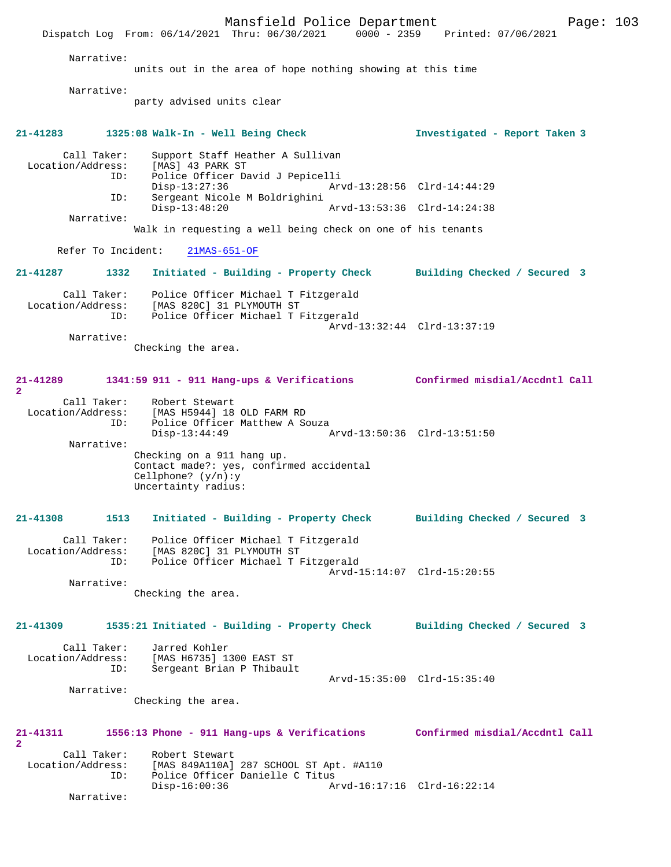Mansfield Police Department Page: 103 Dispatch Log From: 06/14/2021 Thru: 06/30/2021 Narrative: units out in the area of hope nothing showing at this time Narrative: party advised units clear **21-41283 1325:08 Walk-In - Well Being Check Investigated - Report Taken 3** Call Taker: Support Staff Heather A Sullivan<br>Location/Address: [MAS] 43 PARK ST ess: [MAS] 43 PARK ST<br>ID: Police Officer Da Police Officer David J Pepicelli Disp-13:27:36 Arvd-13:28:56 Clrd-14:44:29 Sergeant Nicole M Boldrighini<br>Disp-13:48:20 Arvd-13:53:36 Clrd-14:24:38 Narrative: Walk in requesting a well being check on one of his tenants Refer To Incident: 21MAS-651-OF **21-41287 1332 Initiated - Building - Property Check Building Checked / Secured 3** Call Taker: Police Officer Michael T Fitzgerald Location/Address: [MAS 820C] 31 PLYMOUTH ST ID: Police Officer Michael T Fitzgerald Arvd-13:32:44 Clrd-13:37:19 Narrative: Checking the area. **21-41289 1341:59 911 - 911 Hang-ups & Verifications Confirmed misdial/Accdntl Call 2**  Call Taker: Robert Stewart Location/Address: [MAS H5944] 18 OLD FARM RD<br>ID: Police Officer Matthew A So Police Officer Matthew A Souza<br>Disp-13:44:49 Disp-13:44:49 Arvd-13:50:36 Clrd-13:51:50 Narrative: Checking on a 911 hang up. Contact made?: yes, confirmed accidental Cellphone? (y/n):y Uncertainty radius: **21-41308 1513 Initiated - Building - Property Check Building Checked / Secured 3** Call Taker: Police Officer Michael T Fitzgerald Location/Address: [MAS 820C] 31 PLYMOUTH ST<br>TD: Police Officer Michael T E Police Officer Michael T Fitzgerald Arvd-15:14:07 Clrd-15:20:55 Narrative: Checking the area. **21-41309 1535:21 Initiated - Building - Property Check Building Checked / Secured 3** Call Taker: Jarred Kohler Location/Address: [MAS H6735] 1300 EAST ST Sergeant Brian P Thibault Arvd-15:35:00 Clrd-15:35:40 Narrative: Checking the area. **21-41311 1556:13 Phone - 911 Hang-ups & Verifications Confirmed misdial/Accdntl Call 2**  Call Taker: Robert Stewart<br>Location/Address: [MAS 849A110A] ess: [MAS 849A110A] 287 SCHOOL ST Apt. #A110<br>TD: Police Officer Danielle C Titus Police Officer Danielle C Titus Disp-16:00:36 Arvd-16:17:16 Clrd-16:22:14 Narrative: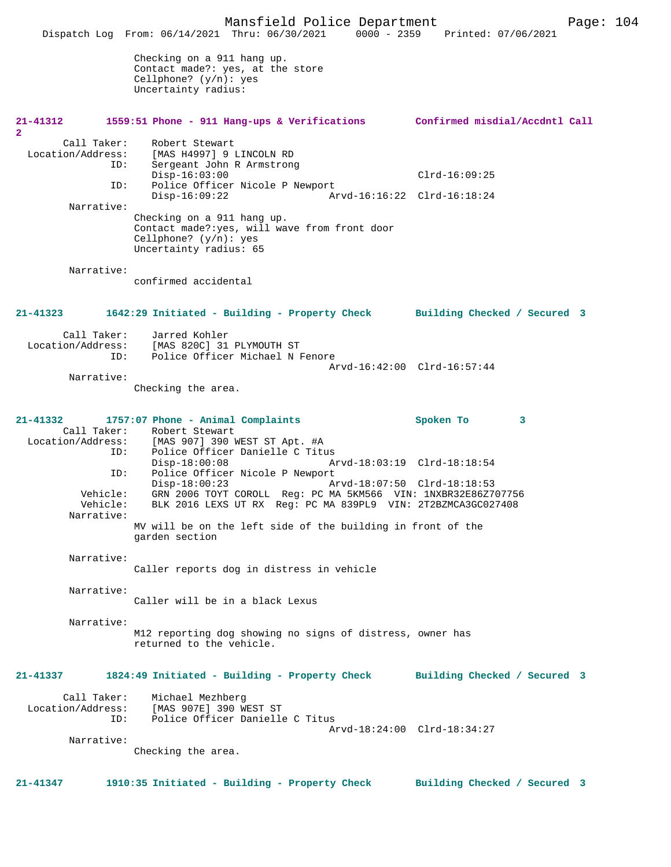Mansfield Police Department Form Page: 104 Dispatch Log From: 06/14/2021 Thru: 06/30/2021 0000 - 2359 Printed: 07/06/2021 Checking on a 911 hang up. Contact made?: yes, at the store Cellphone? (y/n): yes Uncertainty radius: **21-41312 1559:51 Phone - 911 Hang-ups & Verifications Confirmed misdial/Accdntl Call 2**  Call Taker: Robert Stewart<br>Location/Address: [MAS H4997] 9 [MAS H4997] 9 LINCOLN RD ID: Sergeant John R Armstrong Disp-16:03:00 Clrd-16:09:25<br>ID: Police Officer Nicole P Newport Police Officer Nicole P Newport<br>Disp-16:09:22 Ar Disp-16:09:22 Arvd-16:16:22 Clrd-16:18:24 Narrative: Checking on a 911 hang up. Contact made?:yes, will wave from front door Cellphone? (y/n): yes Uncertainty radius: 65 Narrative: confirmed accidental **21-41323 1642:29 Initiated - Building - Property Check Building Checked / Secured 3** Call Taker: Jarred Kohler Location/Address: [MAS 820C] 31 PLYMOUTH ST ID: Police Officer Michael N Fenore Arvd-16:42:00 Clrd-16:57:44 Narrative: Checking the area. **21-41332 1757:07 Phone - Animal Complaints Spoken To 3**  Call Taker: Robert Stewart<br>Location/Address: [MAS 907] 390 1 [MAS 907] 390 WEST ST Apt. #A ID: Police Officer Danielle C Titus Disp-18:00:08 Arvd-18:03:19 Clrd-18:18:54<br>ID: Police Officer Nicole P Newport ID: Police Officer Nicole P Newport Disp-18:00:23 Arvd-18:07:50 Clrd-18:18:53 Vehicle: GRN 2006 TOYT COROLL Req: PC MA 5KM566 VIN: 1NXBR32E86Z707756 Vehicle: BLK 2016 LEXS UT RX Reg: PC MA 839PL9 VIN: 2T2BZMCA3GC027408 Narrative: MV will be on the left side of the building in front of the garden section Narrative: Caller reports dog in distress in vehicle Narrative: Caller will be in a black Lexus Narrative: M12 reporting dog showing no signs of distress, owner has returned to the vehicle. **21-41337 1824:49 Initiated - Building - Property Check Building Checked / Secured 3** Call Taker: Michael Mezhberg<br>Location/Address: [MAS 907E] 390 W Location/Address: [MAS 907E] 390 WEST ST ID: Police Officer Danielle C Titus Arvd-18:24:00 Clrd-18:34:27 Narrative: Checking the area. **21-41347 1910:35 Initiated - Building - Property Check Building Checked / Secured 3**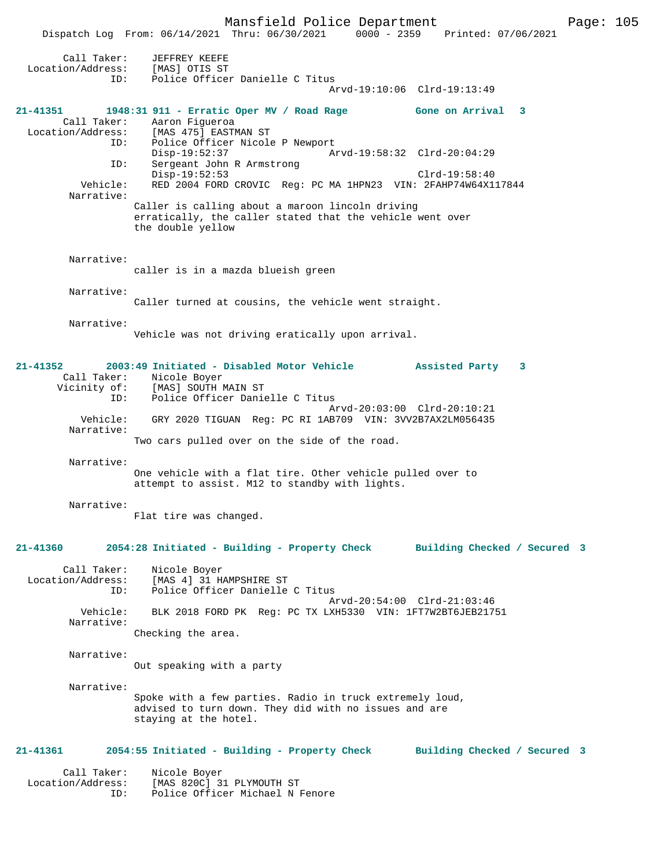Mansfield Police Department Fage: 105

|                                  | $0000 - 2359$<br>Dispatch Log From: 06/14/2021 Thru: 06/30/2021<br>Printed: 07/06/2021                       |
|----------------------------------|--------------------------------------------------------------------------------------------------------------|
| Call Taker:<br>Location/Address: | JEFFREY KEEFE<br>[MAS] OTIS ST                                                                               |
| ID:                              | Police Officer Danielle C Titus                                                                              |
|                                  | Arvd-19:10:06 Clrd-19:13:49                                                                                  |
| $21 - 41351$<br>Call Taker:      | 1948:31 911 - Erratic Oper MV / Road Rage<br>Gone on Arrival 3<br>Aaron Figueroa                             |
| Location/Address:                | [MAS 475] EASTMAN ST                                                                                         |
| ID:                              | Police Officer Nicole P Newport                                                                              |
|                                  | $Disp-19:52:37$<br>Arvd-19:58:32 Clrd-20:04:29                                                               |
| ID:                              | Sergeant John R Armstrong<br>$Disp-19:52:53$<br>$Clrd-19:58:40$                                              |
| Vehicle:<br>Narrative:           | RED 2004 FORD CROVIC Req: PC MA 1HPN23 VIN: 2FAHP74W64X117844                                                |
|                                  | Caller is calling about a maroon lincoln driving                                                             |
|                                  | erratically, the caller stated that the vehicle went over<br>the double yellow                               |
| Narrative:                       | caller is in a mazda blueish green                                                                           |
|                                  |                                                                                                              |
| Narrative:                       |                                                                                                              |
|                                  | Caller turned at cousins, the vehicle went straight.                                                         |
|                                  |                                                                                                              |
| Narrative:                       |                                                                                                              |
|                                  | Vehicle was not driving eratically upon arrival.                                                             |
|                                  |                                                                                                              |
| $21 - 41352$                     | 2003:49 Initiated - Disabled Motor Vehicle<br>Assisted Party<br>$\overline{\mathbf{3}}$                      |
| Call Taker:                      | Nicole Boyer                                                                                                 |
|                                  | Vicinity of: [MAS] SOUTH MAIN ST                                                                             |
| ID:                              | Police Officer Danielle C Titus                                                                              |
| Vehicle:                         | Arvd-20:03:00 Clrd-20:10:21                                                                                  |
| Narrative:                       | GRY 2020 TIGUAN Reg: PC RI 1AB709 VIN: 3VV2B7AX2LM056435                                                     |
|                                  | Two cars pulled over on the side of the road.                                                                |
|                                  |                                                                                                              |
| Narrative:                       |                                                                                                              |
|                                  | One vehicle with a flat tire. Other vehicle pulled over to<br>attempt to assist. M12 to standby with lights. |
| Narrative:                       |                                                                                                              |
|                                  | Flat tire was changed.                                                                                       |
|                                  |                                                                                                              |
|                                  |                                                                                                              |
| 21-41360                         | 2054:28 Initiated - Building - Property Check Building Checked / Secured 3                                   |
| Call Taker:                      | Nicole Boyer                                                                                                 |
| Location/Address:<br>ID:         | [MAS 4] 31 HAMPSHIRE ST<br>Police Officer Danielle C Titus                                                   |
|                                  | Arvd-20:54:00 Clrd-21:03:46                                                                                  |
| Vehicle:<br>Narrative:           | BLK 2018 FORD PK Req: PC TX LXH5330 VIN: 1FT7W2BT6JEB21751                                                   |
|                                  | Checking the area.                                                                                           |
|                                  |                                                                                                              |
| Narrative:                       | Out speaking with a party                                                                                    |
|                                  |                                                                                                              |
| Narrative:                       |                                                                                                              |
|                                  | Spoke with a few parties. Radio in truck extremely loud,                                                     |
|                                  | advised to turn down. They did with no issues and are                                                        |
|                                  | staying at the hotel.                                                                                        |
|                                  |                                                                                                              |
| 21-41361                         | 2054:55 Initiated - Building - Property Check<br>Building Checked / Secured 3                                |
|                                  |                                                                                                              |
| Call Taker:                      | Nicole Boyer                                                                                                 |
| Location/Address:                | [MAS 820C] 31 PLYMOUTH ST                                                                                    |
| ID:                              | Police Officer Michael N Fenore                                                                              |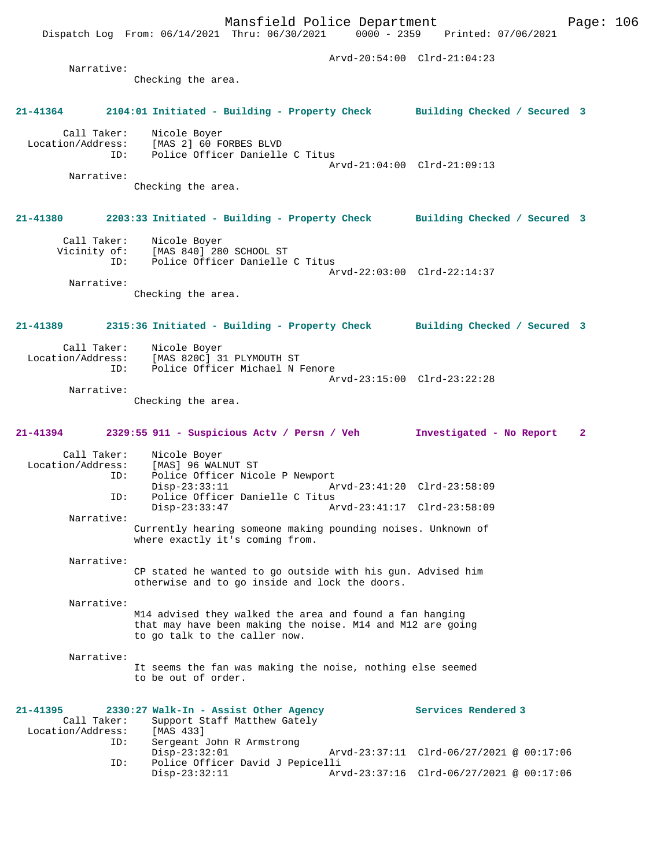Mansfield Police Department Page: 106 Dispatch Log From: 06/14/2021 Thru: 06/30/2021 Arvd-20:54:00 Clrd-21:04:23 Narrative: Checking the area. **21-41364 2104:01 Initiated - Building - Property Check Building Checked / Secured 3** Call Taker: Nicole Boyer Location/Address: [MAS 2] 60 FORBES BLVD ID: Police Officer Danielle C Titus Arvd-21:04:00 Clrd-21:09:13 Narrative: Checking the area. **21-41380 2203:33 Initiated - Building - Property Check Building Checked / Secured 3** Call Taker: Nicole Boyer Vicinity of: [MAS 840] 280 SCHOOL ST ID: Police Officer Danielle C Titus Arvd-22:03:00 Clrd-22:14:37 Narrative: Checking the area. **21-41389 2315:36 Initiated - Building - Property Check Building Checked / Secured 3** Call Taker: Nicole Boyer<br>Location/Address: [MAS 820C] 3 [MAS 820C] 31 PLYMOUTH ST ID: Police Officer Michael N Fenore Arvd-23:15:00 Clrd-23:22:28 Narrative: Checking the area. **21-41394 2329:55 911 - Suspicious Actv / Persn / Veh Investigated - No Report 2** Call Taker: Nicole Boyer Location/Address: [MAS] 96 WALNUT ST ID: Police Officer Nicole P Newport<br>Disp-23:33:11 A Disp-23:33:11 Arvd-23:41:20 Clrd-23:58:09<br>ID: Police Officer Danielle C Titus Police Officer Danielle C Titus<br>Disp-23:33:47 Am Disp-23:33:47 Arvd-23:41:17 Clrd-23:58:09 Narrative: Currently hearing someone making pounding noises. Unknown of where exactly it's coming from. Narrative: CP stated he wanted to go outside with his gun. Advised him otherwise and to go inside and lock the doors. Narrative: M14 advised they walked the area and found a fan hanging that may have been making the noise. M14 and M12 are going to go talk to the caller now. Narrative: It seems the fan was making the noise, nothing else seemed to be out of order. **21-41395 2330:27 Walk-In - Assist Other Agency Services Rendered 3**  Call Taker: Support Staff Matthew Gately<br>ion/Address: [MAS 433] Location/Address: ID: Sergeant John R Armstrong

Disp-23:32:01 Arvd-23:37:11 Clrd-06/27/2021 @ 00:17:06<br>ID: Police Officer David J Pepicelli

Disp-23:32:11 Arvd-23:37:16 Clrd-06/27/2021 @ 00:17:06

Police Officer David J Pepicelli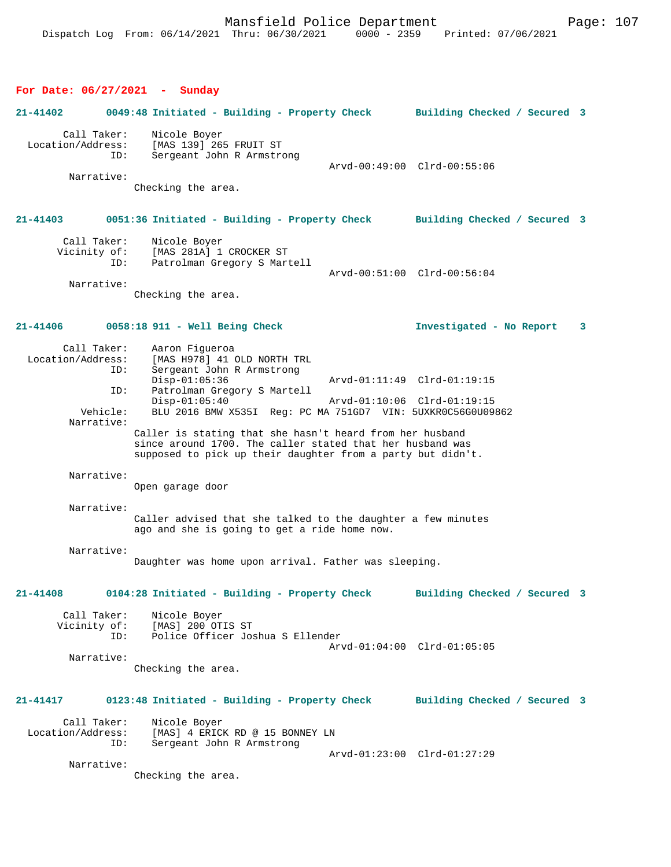# **For Date: 06/27/2021 - Sunday**

| $21 - 41402$                                                             | 0049:48 Initiated - Building - Property Check Building Checked / Secured 3                                                                                                                                                                                                                                                                                                                                                               |                                                             |
|--------------------------------------------------------------------------|------------------------------------------------------------------------------------------------------------------------------------------------------------------------------------------------------------------------------------------------------------------------------------------------------------------------------------------------------------------------------------------------------------------------------------------|-------------------------------------------------------------|
| Call Taker:<br>Location/Address:<br>Narrative:                           | Nicole Boyer<br>[MAS 139] 265 FRUIT ST<br>ID:<br>Sergeant John R Armstrong<br>Checking the area.                                                                                                                                                                                                                                                                                                                                         | Arvd-00:49:00 Clrd-00:55:06                                 |
| 21-41403                                                                 | 0051:36 Initiated - Building - Property Check Building Checked / Secured 3                                                                                                                                                                                                                                                                                                                                                               |                                                             |
| Call Taker:<br>Narrative:                                                | Nicole Boyer<br>Vicinity of: [MAS 281A] 1 CROCKER ST<br>Patrolman Gregory S Martell<br>ID:<br>Checking the area.                                                                                                                                                                                                                                                                                                                         | Arvd-00:51:00 Clrd-00:56:04                                 |
| 21-41406                                                                 | $0058:18$ 911 - Well Being Check                                                                                                                                                                                                                                                                                                                                                                                                         | Investigated - No Report<br>$\overline{\mathbf{3}}$         |
| Call Taker:<br>Location/Address:<br>Vehicle:<br>Narrative:<br>Narrative: | Aaron Fiqueroa<br>[MAS H978] 41 OLD NORTH TRL<br>ID:<br>Sergeant John R Armstrong<br>$Disp-01:05:36$<br>Patrolman Gregory S Martell<br>ID:<br>$Disp-01:05:40$<br>BLU 2016 BMW X535I Reg: PC MA 751GD7 VIN: 5UXKR0C56G0U09862<br>Caller is stating that she hasn't heard from her husband<br>since around 1700. The caller stated that her husband was<br>supposed to pick up their daughter from a party but didn't.<br>Open garage door | Arvd-01:11:49 Clrd-01:19:15<br>Arvd-01:10:06 Clrd-01:19:15  |
| Narrative:                                                               | Caller advised that she talked to the daughter a few minutes<br>ago and she is going to get a ride home now.                                                                                                                                                                                                                                                                                                                             |                                                             |
| Narrative:                                                               | Daughter was home upon arrival. Father was sleeping.                                                                                                                                                                                                                                                                                                                                                                                     |                                                             |
| 21-41408<br>Call Taker:<br>Narrative:                                    | 0104:28 Initiated - Building - Property Check<br>Nicole Boyer<br>Vicinity of: [MAS] 200 OTIS ST<br>Police Officer Joshua S Ellender<br>ID:<br>Checking the area.                                                                                                                                                                                                                                                                         | Building Checked / Secured 3<br>Arvd-01:04:00 Clrd-01:05:05 |
| 21-41417                                                                 | 0123:48 Initiated - Building - Property Check                                                                                                                                                                                                                                                                                                                                                                                            | Building Checked / Secured 3                                |
| Call Taker:<br>Location/Address:                                         | Nicole Boyer<br>[MAS] 4 ERICK RD @ 15 BONNEY LN<br>Sergeant John R Armstrong<br>ID:                                                                                                                                                                                                                                                                                                                                                      | Arvd-01:23:00 Clrd-01:27:29                                 |
| Narrative:                                                               | Checking the area.                                                                                                                                                                                                                                                                                                                                                                                                                       |                                                             |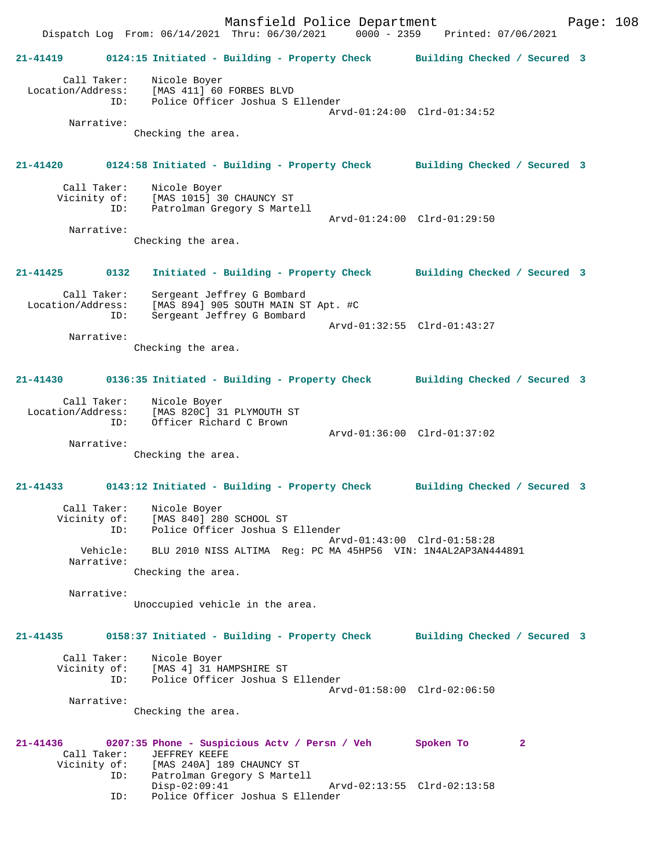Mansfield Police Department Fage: 108 Dispatch Log From: 06/14/2021 Thru: 06/30/2021 0000 - 2359 Printed: 07/06/2021 **21-41419 0124:15 Initiated - Building - Property Check Building Checked / Secured 3** Call Taker: Nicole Boyer Location/Address: [MAS 411] 60 FORBES BLVD ID: Police Officer Joshua S Ellender Arvd-01:24:00 Clrd-01:34:52 Narrative: Checking the area. **21-41420 0124:58 Initiated - Building - Property Check Building Checked / Secured 3** Call Taker: Nicole Boyer<br>Vicinity of: [MAS 1015] 3 of: [MAS 1015] 30 CHAUNCY ST<br>ID: Patrolman Gregory S Marte Patrolman Gregory S Martell Arvd-01:24:00 Clrd-01:29:50 Narrative: Checking the area. **21-41425 0132 Initiated - Building - Property Check Building Checked / Secured 3** Call Taker: Sergeant Jeffrey G Bombard Location/Address: [MAS 894] 905 SOUTH MAIN ST Apt. #C ID: Sergeant Jeffrey G Bombard Arvd-01:32:55 Clrd-01:43:27 Narrative: Checking the area. **21-41430 0136:35 Initiated - Building - Property Check Building Checked / Secured 3** Call Taker: Nicole Boyer Location/Address: [MAS 820C] 31 PLYMOUTH ST<br>ID: Officer Richard C Brown Officer Richard C Brown Arvd-01:36:00 Clrd-01:37:02 Narrative: Checking the area. **21-41433 0143:12 Initiated - Building - Property Check Building Checked / Secured 3** Call Taker: Nicole Boyer<br>Vicinity of: [MAS 840] 28 [MAS 840] 280 SCHOOL ST ID: Police Officer Joshua S Ellender Arvd-01:43:00 Clrd-01:58:28 Vehicle: BLU 2010 NISS ALTIMA Reg: PC MA 45HP56 VIN: 1N4AL2AP3AN444891 Narrative: Checking the area. Narrative: Unoccupied vehicle in the area. **21-41435 0158:37 Initiated - Building - Property Check Building Checked / Secured 3** Call Taker: Nicole Boyer Vicinity of: [MAS 4] 31 HAMPSHIRE ST ID: Police Officer Joshua S Ellender Arvd-01:58:00 Clrd-02:06:50 Narrative: Checking the area. **21-41436 0207:35 Phone - Suspicious Actv / Persn / Veh Spoken To 2**  Call Taker: JEFFREY KEEFE Vicinity of: [MAS 240A] 189 CHAUNCY ST<br>ID: Patrolman Gregory S Marte Patrolman Gregory S Martell<br>Disp-02:09:41 Disp-02:09:41 Arvd-02:13:55 Clrd-02:13:58<br>ID: Police Officer Joshua S Ellender Police Officer Joshua S Ellender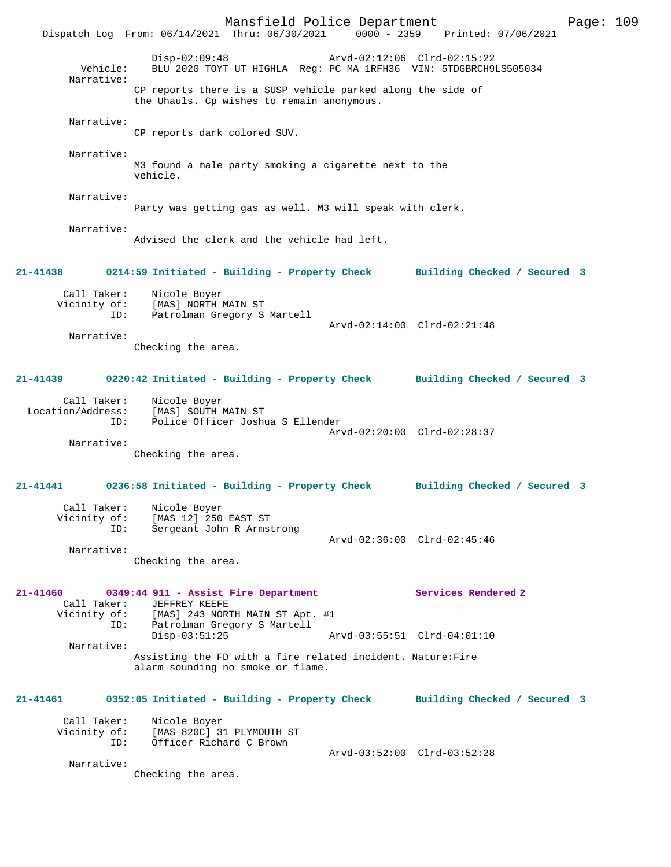Mansfield Police Department Page: 109 Dispatch Log From: 06/14/2021 Thru: 06/30/2021 Disp-02:09:48 Arvd-02:12:06 Clrd-02:15:22 Vehicle: BLU 2020 TOYT UT HIGHLA Reg: PC MA 1RFH36 VIN: 5TDGBRCH9LS505034 Narrative: CP reports there is a SUSP vehicle parked along the side of the Uhauls. Cp wishes to remain anonymous. Narrative: CP reports dark colored SUV. Narrative: M3 found a male party smoking a cigarette next to the vehicle. Narrative: Party was getting gas as well. M3 will speak with clerk. Narrative: Advised the clerk and the vehicle had left. **21-41438 0214:59 Initiated - Building - Property Check Building Checked / Secured 3** Call Taker: Nicole Boyer Vicinity of: [MAS] NORTH MAIN ST ID: Patrolman Gregory S Martell Arvd-02:14:00 Clrd-02:21:48 Narrative: Checking the area. **21-41439 0220:42 Initiated - Building - Property Check Building Checked / Secured 3** Call Taker: Nicole Boyer Location/Address: [MAS] SOUTH MAIN ST ID: Police Officer Joshua S Ellender Arvd-02:20:00 Clrd-02:28:37 Narrative: Checking the area. **21-41441 0236:58 Initiated - Building - Property Check Building Checked / Secured 3** Call Taker: Nicole Boyer Vicinity of: [MAS 12] 250 EAST ST ID: Sergeant John R Armstrong Arvd-02:36:00 Clrd-02:45:46 Narrative: Checking the area. **21-41460 0349:44 911 - Assist Fire Department Services Rendered 2**  Call Taker: JEFFREY KEEFE Vicinity of: [MAS] 243 NORTH MAIN ST Apt. #1<br>ID: Patrolman Gregory S Martell Patrolman Gregory S Martell<br>Disp-03:51:25 Disp-03:51:25 Arvd-03:55:51 Clrd-04:01:10 Narrative: Assisting the FD with a fire related incident. Nature:Fire alarm sounding no smoke or flame. **21-41461 0352:05 Initiated - Building - Property Check Building Checked / Secured 3** Call Taker: Nicole Boyer Vicinity of: [MAS 820C] 31 PLYMOUTH ST ID: Officer Richard C Brown Arvd-03:52:00 Clrd-03:52:28 Narrative: Checking the area.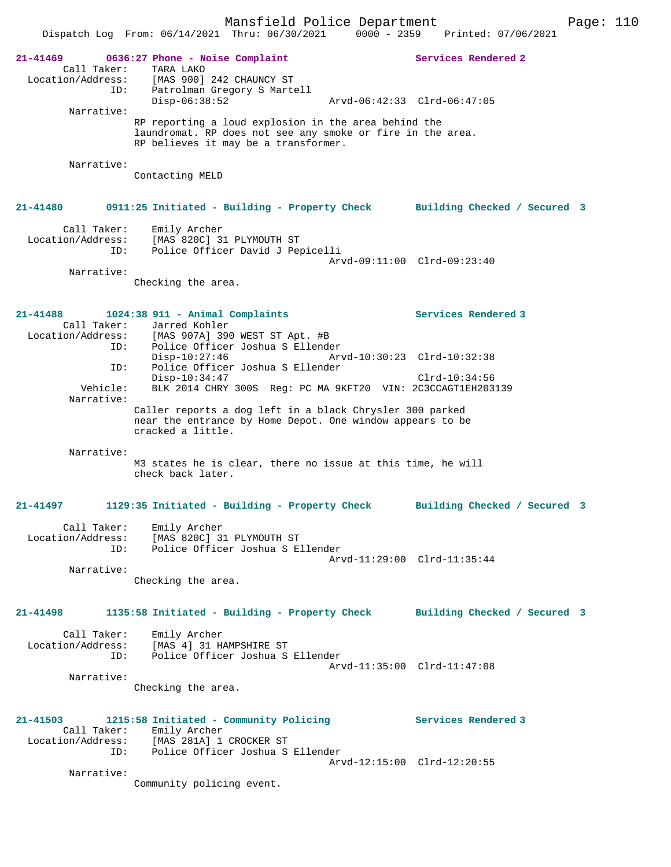Mansfield Police Department Form Page: 110 Dispatch Log From: 06/14/2021 Thru: 06/30/2021 0000 - 2359 Printed: 07/06/2021 **21-41469 0636:27 Phone - Noise Complaint Services Rendered 2**  Call Taker: TARA LAKO Location/Address: [MAS 900] 242 CHAUNCY ST ID: Patrolman Gregory S Martell Disp-06:38:52 Arvd-06:42:33 Clrd-06:47:05 Narrative: RP reporting a loud explosion in the area behind the laundromat. RP does not see any smoke or fire in the area. RP believes it may be a transformer. Narrative: Contacting MELD **21-41480 0911:25 Initiated - Building - Property Check Building Checked / Secured 3** Call Taker: Emily Archer Location/Address: [MAS 820C] 31 PLYMOUTH ST ID: Police Officer David J Pepicelli Arvd-09:11:00 Clrd-09:23:40 Narrative: Checking the area. **21-41488 1024:38 911 - Animal Complaints Services Rendered 3**  Call Taker: Jarred Kohler<br>Location/Address: [MAS 907A] 390 للمن المستحدث<br>Ess: [MAS 907A] 390 WEST ST Apt. #B<br>ID: Police Officer Joshua S Ellende ID: Police Officer Joshua S Ellender Arvd-10:30:23 Clrd-10:32:38 ID: Police Officer Joshua S Ellender Disp-10:34:47 Clrd-10:34:56 Vehicle: BLK 2014 CHRY 300S Reg: PC MA 9KFT20 VIN: 2C3CCAGT1EH203139 Narrative: Caller reports a dog left in a black Chrysler 300 parked near the entrance by Home Depot. One window appears to be cracked a little. Narrative: M3 states he is clear, there no issue at this time, he will check back later. **21-41497 1129:35 Initiated - Building - Property Check Building Checked / Secured 3** Call Taker: Emily Archer Location/Address: [MAS 820C] 31 PLYMOUTH ST ID: Police Officer Joshua S Ellender Arvd-11:29:00 Clrd-11:35:44 Narrative: Checking the area. **21-41498 1135:58 Initiated - Building - Property Check Building Checked / Secured 3** Call Taker: Emily Archer Location/Address: [MAS 4] 31 HAMPSHIRE ST ID: Police Officer Joshua S Ellender Arvd-11:35:00 Clrd-11:47:08 Narrative: Checking the area. **21-41503 1215:58 Initiated - Community Policing Services Rendered 3**  Call Taker: Emily Archer Location/Address: [MAS 281A] 1 CROCKER ST ID: Police Officer Joshua S Ellender Arvd-12:15:00 Clrd-12:20:55 Narrative: Community policing event.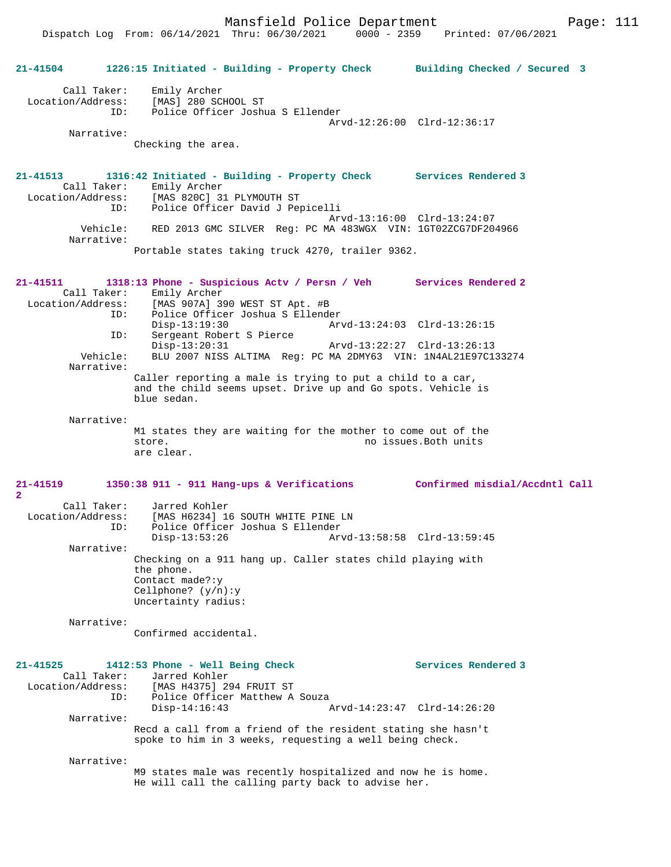Dispatch Log From: 06/14/2021 Thru: 06/30/2021 0000 - 2359 Printed: 07/06/2021

| 21-41504                                                          | 1226:15 Initiated - Building - Property Check Building Checked / Secured 3                                                                                                                                               |                                                    |
|-------------------------------------------------------------------|--------------------------------------------------------------------------------------------------------------------------------------------------------------------------------------------------------------------------|----------------------------------------------------|
| Call Taker:                                                       | Emily Archer<br>Location/Address: [MAS] 280 SCHOOL ST<br>ID: Police Officer Joshua S Ellender                                                                                                                            | Arvd-12:26:00 Clrd-12:36:17                        |
| Narrative:                                                        | Checking the area.                                                                                                                                                                                                       |                                                    |
| 21-41513<br>Call Taker:<br>ID:                                    | 1316:42 Initiated - Building - Property Check Services Rendered 3<br>Emily Archer<br>Location/Address: [MAS 820C] 31 PLYMOUTH ST<br>Police Officer David J Pepicelli                                                     |                                                    |
| Vehicle:<br>Narrative:                                            | RED 2013 GMC SILVER Req: PC MA 483WGX VIN: 1GT02ZCG7DF204966                                                                                                                                                             | Arvd-13:16:00 Clrd-13:24:07                        |
|                                                                   | Portable states taking truck 4270, trailer 9362.                                                                                                                                                                         |                                                    |
| 21-41511<br>Call Taker:<br>ID:<br>ID:                             | 1318:13 Phone - Suspicious Actv / Persn / Veh Services Rendered 2<br>Emily Archer<br>Location/Address: [MAS 907A] 390 WEST ST Apt. #B<br>Police Officer Joshua S Ellender<br>$Disp-13:19:30$<br>Sergeant Robert S Pierce |                                                    |
| Vehicle:<br>Narrative:                                            | $Disp-13:20:31$<br>BLU 2007 NISS ALTIMA Reg: PC MA 2DMY63 VIN: 1N4AL21E97C133274                                                                                                                                         |                                                    |
|                                                                   | Caller reporting a male is trying to put a child to a car,<br>and the child seems upset. Drive up and Go spots. Vehicle is<br>blue sedan.                                                                                |                                                    |
| Narrative:                                                        | M1 states they are waiting for the mother to come out of the<br>store.<br>are clear.                                                                                                                                     | no issues. Both units                              |
| 21-41519<br>$\overline{2}$                                        | 1350:38 911 - 911 Hang-ups & Verifications Confirmed misdial/Accdntl Call                                                                                                                                                |                                                    |
| Call Taker:<br>ID:                                                | Jarred Kohler<br>Location/Address: [MAS H6234] 16 SOUTH WHITE PINE LN<br>Police Officer Joshua S Ellender<br>$Disp-13:53:26$                                                                                             | Arvd-13:58:58 Clrd-13:59:45                        |
| Narrative:                                                        | Checking on a 911 hang up. Caller states child playing with<br>the phone.<br>Contact made?: y<br>Cellphone? $(y/n):y$<br>Uncertainty radius:                                                                             |                                                    |
| Narrative:                                                        | Confirmed accidental.                                                                                                                                                                                                    |                                                    |
| 21-41525<br>Call Taker:<br>Location/Address:<br>ID:<br>Narrative: | 1412:53 Phone - Well Being Check<br>Jarred Kohler<br>[MAS H4375] 294 FRUIT ST<br>Police Officer Matthew A Souza<br>$Disp-14:16:43$                                                                                       | Services Rendered 3<br>Arvd-14:23:47 Clrd-14:26:20 |
|                                                                   | Recd a call from a friend of the resident stating she hasn't<br>spoke to him in 3 weeks, requesting a well being check.                                                                                                  |                                                    |
| Narrative:                                                        | M9 states male was recently hospitalized and now he is home.<br>He will call the calling party back to advise her.                                                                                                       |                                                    |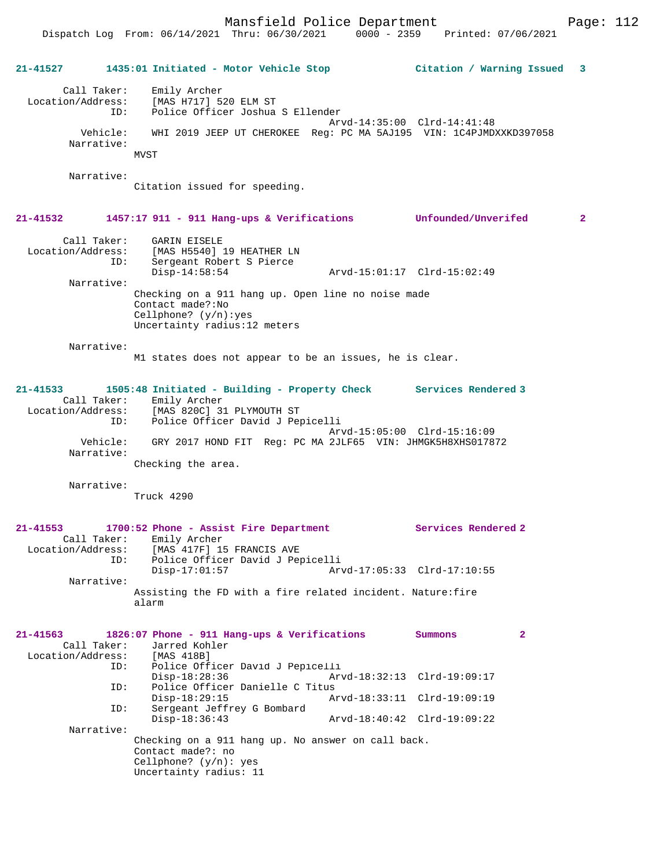Mansfield Police Department Page: 112

|              |                                         | 21-41527 1435:01 Initiated - Motor Vehicle Stop                                                                                                                                      | Citation / Warning Issued 3 |              |
|--------------|-----------------------------------------|--------------------------------------------------------------------------------------------------------------------------------------------------------------------------------------|-----------------------------|--------------|
|              | Call Taker:<br>Location/Address:<br>ID: | Emily Archer<br>[MAS H717] 520 ELM ST<br>Police Officer Joshua S Ellender                                                                                                            |                             |              |
|              | Vehicle:<br>Narrative:                  | WHI 2019 JEEP UT CHEROKEE Reg: PC MA 5AJ195 VIN: 1C4PJMDXXKD397058<br>MVST                                                                                                           | Arvd-14:35:00 Clrd-14:41:48 |              |
|              | Narrative:                              | Citation issued for speeding.                                                                                                                                                        |                             |              |
| $21 - 41532$ |                                         | 1457:17 911 - 911 Hang-ups & Verifications Unfounded/Unverifed                                                                                                                       |                             | $\mathbf{2}$ |
|              | Call Taker:<br>Location/Address:<br>ID: | <b>GARIN EISELE</b><br>[MAS H5540] 19 HEATHER LN<br>Sergeant Robert S Pierce                                                                                                         |                             |              |
|              | Narrative:                              | $Disp-14:58:54$<br>Checking on a 911 hang up. Open line no noise made                                                                                                                |                             |              |
|              |                                         | Contact made?: No<br>Cellphone? $(y/n):yes$<br>Uncertainty radius:12 meters                                                                                                          |                             |              |
|              | Narrative:                              | M1 states does not appear to be an issues, he is clear.                                                                                                                              |                             |              |
| $21 - 41533$ |                                         | 1505:48 Initiated - Building - Property Check Services Rendered 3<br>Call Taker: Emily Archer<br>Location/Address: [MAS 820C] 31 PLYMOUTH ST<br>ID: Police Officer David J Pepicelli | Arvd-15:05:00 Clrd-15:16:09 |              |
|              | Vehicle:<br>Narrative:                  | GRY 2017 HOND FIT Req: PC MA 2JLF65 VIN: JHMGK5H8XHS017872                                                                                                                           |                             |              |
|              | Narrative:                              | Checking the area.                                                                                                                                                                   |                             |              |
|              |                                         | Truck 4290                                                                                                                                                                           |                             |              |
| $21 - 41553$ | Call Taker:<br>Location/Address:<br>ID: | 1700:52 Phone - Assist Fire Department<br>Emily Archer<br>[MAS 417F] 15 FRANCIS AVE<br>Police Officer David J Pepicelli                                                              | Services Rendered 2         |              |
|              | Narrative:                              | $Disp-17:01:57$                                                                                                                                                                      | Arvd-17:05:33 Clrd-17:10:55 |              |
|              |                                         | Assisting the FD with a fire related incident. Nature: fire<br>alarm                                                                                                                 |                             |              |
| 21-41563     | Call Taker:<br>ID:                      | 1826:07 Phone - 911 Hang-ups & Verifications<br>Jarred Kohler<br>Location/Address: [MAS 418B]<br>Police Officer David J Pepicelli                                                    | Summons<br>$\mathbf{2}$     |              |
|              | ID:                                     | $Disp-18:28:36$<br>Police Officer Danielle C Titus                                                                                                                                   | Arvd-18:32:13 Clrd-19:09:17 |              |
|              | ID:                                     | $Disp-18:29:15$<br>Sergeant Jeffrey G Bombard                                                                                                                                        | Arvd-18:33:11 Clrd-19:09:19 |              |
|              | Narrative:                              | $Disp-18:36:43$                                                                                                                                                                      | Arvd-18:40:42 Clrd-19:09:22 |              |
|              |                                         | Checking on a 911 hang up. No answer on call back.<br>Contact made?: no<br>Cellphone? $(y/n)$ : yes<br>Uncertainty radius: 11                                                        |                             |              |
|              |                                         |                                                                                                                                                                                      |                             |              |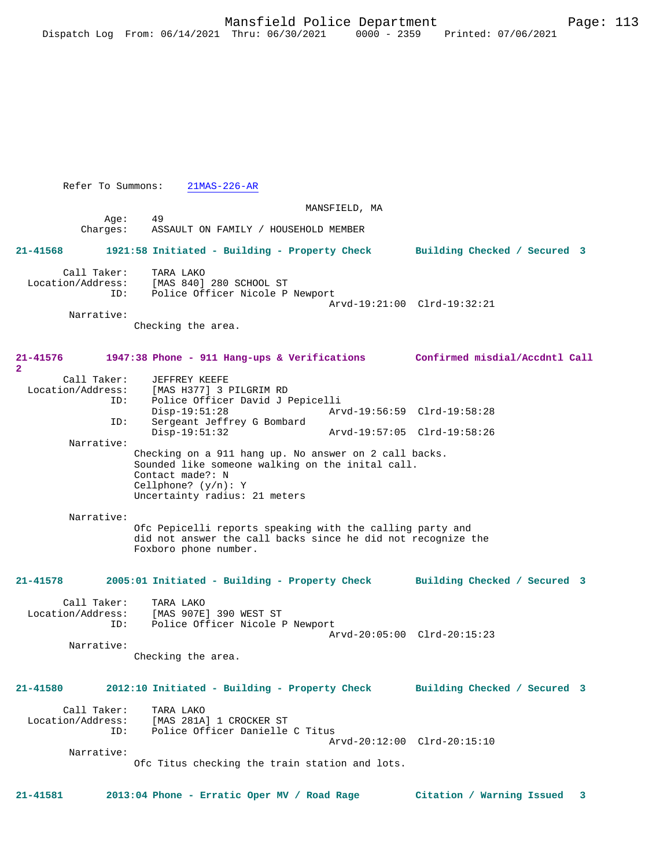Refer To Summons: 21MAS-226-AR

 MANSFIELD, MA Age: 49<br>Charges: AS: ASSAULT ON FAMILY / HOUSEHOLD MEMBER **21-41568 1921:58 Initiated - Building - Property Check Building Checked / Secured 3** Call Taker: TARA LAKO<br>Location/Address: [MAS 840] ess: [MAS 840] 280 SCHOOL ST<br>ID: Police Officer Nicole P Police Officer Nicole P Newport Arvd-19:21:00 Clrd-19:32:21 Narrative: Checking the area. **21-41576 1947:38 Phone - 911 Hang-ups & Verifications Confirmed misdial/Accdntl Call 2**  Call Taker: JEFFREY KEEFE<br>Location/Address: [MAS H377] 3 I [MAS H377] 3 PILGRIM RD ID: Police Officer David J Pepicelli Disp-19:51:28 Arvd-19:56:59 Clrd-19:58:28 Sergeant Jeffrey G Bombard<br>Disp-19:51:32 Disp-19:51:32 Arvd-19:57:05 Clrd-19:58:26 Narrative: Checking on a 911 hang up. No answer on 2 call backs. Sounded like someone walking on the inital call. Contact made?: N Cellphone? (y/n): Y Uncertainty radius: 21 meters Narrative: Ofc Pepicelli reports speaking with the calling party and did not answer the call backs since he did not recognize the Foxboro phone number. **21-41578 2005:01 Initiated - Building - Property Check Building Checked / Secured 3** Call Taker: TARA LAKO<br>Location/Address: [MAS 907E ess: [MAS 907E] 390 WEST ST<br>ID: Police Officer Nicole P Police Officer Nicole P Newport Arvd-20:05:00 Clrd-20:15:23 Narrative: Checking the area. **21-41580 2012:10 Initiated - Building - Property Check Building Checked / Secured 3** Call Taker: TARA LAKO<br>Location/Address: [MAS 281A [MAS 281A] 1 CROCKER ST ID: Police Officer Danielle C Titus Arvd-20:12:00 Clrd-20:15:10 Narrative: Ofc Titus checking the train station and lots.

**21-41581 2013:04 Phone - Erratic Oper MV / Road Rage Citation / Warning Issued 3**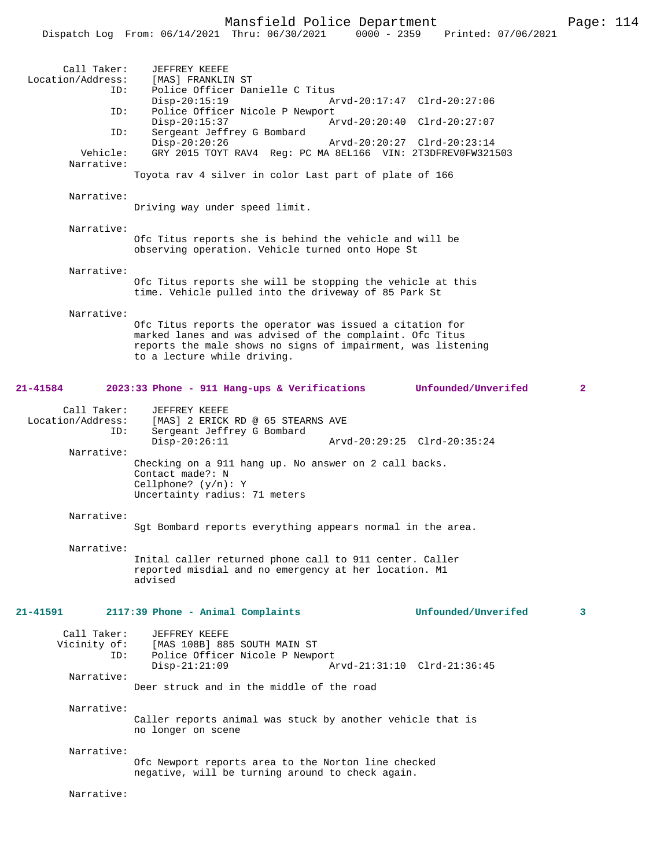|                                                | Dispatch Log From: 06/14/2021 Thru: 06/30/2021<br>$0000 - 2359$                                                                                                                                                     | Printed: 07/06/2021 |              |
|------------------------------------------------|---------------------------------------------------------------------------------------------------------------------------------------------------------------------------------------------------------------------|---------------------|--------------|
| Call Taker:<br>Location/Address:<br>ID:<br>ID: | <b>JEFFREY KEEFE</b><br>[MAS] FRANKLIN ST<br>Police Officer Danielle C Titus<br>$Disp-20:15:19$<br>Arvd-20:17:47 Clrd-20:27:06<br>Police Officer Nicole P Newport                                                   |                     |              |
| ID:                                            | $Disp-20:15:37$<br>Arvd-20:20:40 Clrd-20:27:07<br>Sergeant Jeffrey G Bombard<br>$Disp-20:20:26$<br>Arvd-20:20:27 Clrd-20:23:14                                                                                      |                     |              |
| Vehicle:<br>Narrative:                         | GRY 2015 TOYT RAV4 Reg: PC MA 8EL166 VIN: 2T3DFREV0FW321503<br>Toyota rav 4 silver in color Last part of plate of 166                                                                                               |                     |              |
| Narrative:                                     |                                                                                                                                                                                                                     |                     |              |
|                                                | Driving way under speed limit.                                                                                                                                                                                      |                     |              |
| Narrative:                                     | Ofc Titus reports she is behind the vehicle and will be<br>observing operation. Vehicle turned onto Hope St                                                                                                         |                     |              |
| Narrative:                                     | Ofc Titus reports she will be stopping the vehicle at this<br>time. Vehicle pulled into the driveway of 85 Park St                                                                                                  |                     |              |
| Narrative:                                     | Ofc Titus reports the operator was issued a citation for<br>marked lanes and was advised of the complaint. Ofc Titus<br>reports the male shows no signs of impairment, was listening<br>to a lecture while driving. |                     |              |
| 21-41584                                       | 2023:33 Phone - 911 Hang-ups & Verifications Unfounded/Unverifed                                                                                                                                                    |                     | $\mathbf{2}$ |
| Call Taker:<br>Location/Address:<br>ID:        | <b>JEFFREY KEEFE</b><br>[MAS] 2 ERICK RD @ 65 STEARNS AVE<br>Sergeant Jeffrey G Bombard<br>$Disp-20:26:11$<br>Arvd-20:29:25 Clrd-20:35:24                                                                           |                     |              |
| Narrative:                                     | Checking on a 911 hang up. No answer on 2 call backs.<br>Contact made?: N<br>Cellphone? $(y/n): Y$<br>Uncertainty radius: 71 meters                                                                                 |                     |              |
| Narrative:                                     | Sgt Bombard reports everything appears normal in the area.                                                                                                                                                          |                     |              |
| Narrative:                                     | Inital caller returned phone call to 911 center. Caller<br>reported misdial and no emergency at her location. M1<br>hezivha                                                                                         |                     |              |
| 21-41591                                       | 2117:39 Phone - Animal Complaints                                                                                                                                                                                   | Unfounded/Unverifed | 3            |
| Call Taker:<br>ID:                             | JEFFREY KEEFE<br>Vicinity of: [MAS 108B] 885 SOUTH MAIN ST<br>Police Officer Nicole P Newport<br>$Disp-21:21:09$<br>Arvd-21:31:10 Clrd-21:36:45                                                                     |                     |              |
| Narrative:                                     | Deer struck and in the middle of the road                                                                                                                                                                           |                     |              |
| Narrative:                                     | Caller reports animal was stuck by another vehicle that is<br>no longer on scene                                                                                                                                    |                     |              |
| Narrative:                                     | Ofc Newport reports area to the Norton line checked<br>negative, will be turning around to check again.                                                                                                             |                     |              |
| Narrative:                                     |                                                                                                                                                                                                                     |                     |              |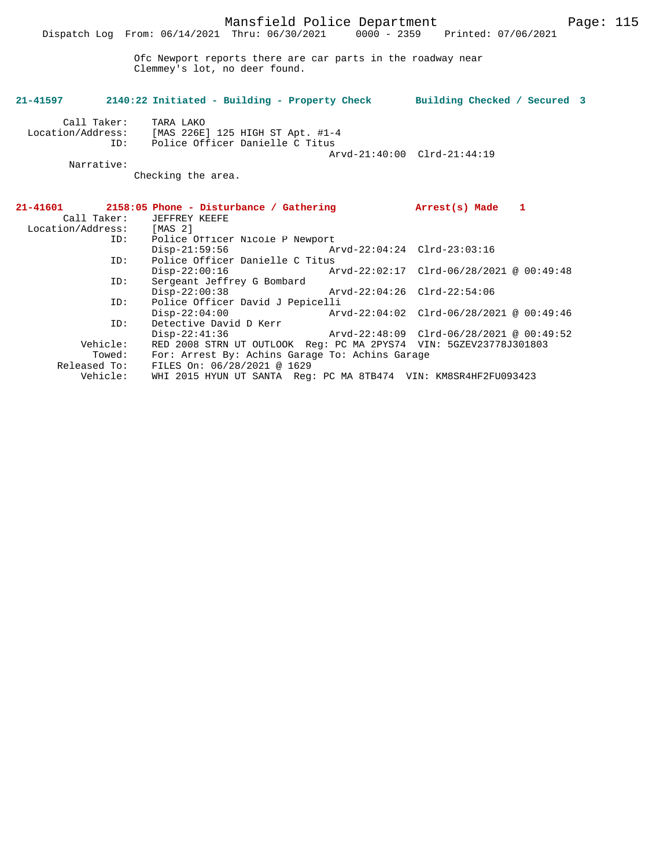Ofc Newport reports there are car parts in the roadway near Clemmey's lot, no deer found.

## **21-41597 2140:22 Initiated - Building - Property Check Building Checked / Secured 3** Call Taker: TARA LAKO Location/Address: [MAS 226E] 125 HIGH ST Apt. #1-4 ID: Police Officer Danielle C Titus Arvd-21:40:00 Clrd-21:44:19 Narrative:

Checking the area.

|                   | $21-41601$ 2158:05 Phone - Disturbance / Gathering                |                             | Arrest(s) Made 1                         |  |
|-------------------|-------------------------------------------------------------------|-----------------------------|------------------------------------------|--|
| Call Taker:       | JEFFREY KEEFE                                                     |                             |                                          |  |
| Location/Address: | [MAS 2]                                                           |                             |                                          |  |
| ID:               | Police Officer Nicole P Newport                                   |                             |                                          |  |
|                   | Disp-21:59:56 Arvd-22:04:24 Clrd-23:03:16                         |                             |                                          |  |
| ID:               | Police Officer Danielle C Titus                                   |                             |                                          |  |
|                   | $Disp-22:00:16$                                                   |                             | Arvd-22:02:17 Clrd-06/28/2021 @ 00:49:48 |  |
| ID:               | Sergeant Jeffrey G Bombard                                        |                             |                                          |  |
|                   | $Disp-22:00:38$                                                   | Arvd-22:04:26 Clrd-22:54:06 |                                          |  |
| ID:               | Police Officer David J Pepicelli                                  |                             |                                          |  |
|                   | $Disp-22:04:00$                                                   |                             | Arvd-22:04:02 Clrd-06/28/2021 @ 00:49:46 |  |
| ID:               | Detective David D Kerr                                            |                             |                                          |  |
|                   | $Disp-22:41:36$                                                   |                             | Arvd-22:48:09 Clrd-06/28/2021 @ 00:49:52 |  |
| Vehicle:          | RED 2008 STRN UT OUTLOOK Req: PC MA 2PYS74 VIN: 5GZEV23778J301803 |                             |                                          |  |
| Towed:            | For: Arrest By: Achins Garage To: Achins Garage                   |                             |                                          |  |
| Released To:      | FILES On: 06/28/2021 @ 1629                                       |                             |                                          |  |
| Vehicle:          | WHI 2015 HYUN UT SANTA Req: PC MA 8TB474 VIN: KM8SR4HF2FU093423   |                             |                                          |  |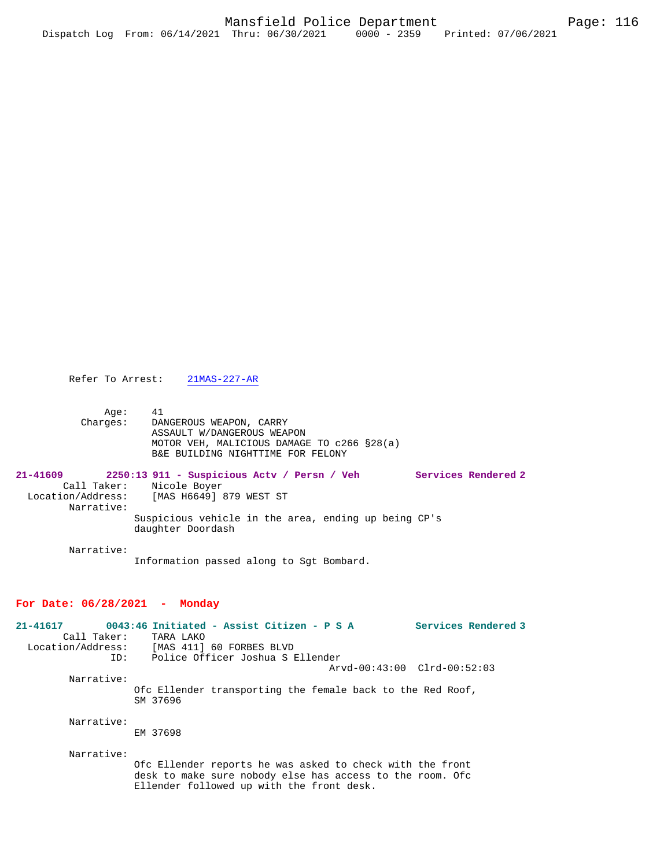Refer To Arrest: 21MAS-227-AR

 Age: 41 Charges: DANGEROUS WEAPON, CARRY ASSAULT W/DANGEROUS WEAPON MOTOR VEH, MALICIOUS DAMAGE TO c266 §28(a) B&E BUILDING NIGHTTIME FOR FELONY

| $21 - 41609$      |                          | 2250:13 911 - Suspicious Actv / Persn / Veh |  |                                                      |  | Services Rendered 2 |
|-------------------|--------------------------|---------------------------------------------|--|------------------------------------------------------|--|---------------------|
|                   | Call Taker: Nicole Boyer |                                             |  |                                                      |  |                     |
| Location/Address: |                          | [MAS H6649] 879 WEST ST                     |  |                                                      |  |                     |
|                   | Narrative:               |                                             |  |                                                      |  |                     |
|                   |                          |                                             |  | Suspicious vehicle in the area, ending up being CP's |  |                     |
|                   |                          | daughter Doordash                           |  |                                                      |  |                     |

Narrative:

Information passed along to Sgt Bombard.

### **For Date: 06/28/2021 - Monday**

| $21 - 41617$      | 0043:46 Initiated - Assist Citizen - P S A                             | Services Rendered 3 |
|-------------------|------------------------------------------------------------------------|---------------------|
| Call Taker:       | TARA LAKO                                                              |                     |
| Location/Address: | [MAS 411] 60 FORBES BLVD                                               |                     |
|                   | Police Officer Joshua S Ellender<br>ID:                                |                     |
|                   | $Arvd-00:43:00$ $Clrd-00:52:03$                                        |                     |
| Narrative:        |                                                                        |                     |
|                   | Ofc Ellender transporting the female back to the Red Roof,<br>SM 37696 |                     |
| Narrative:        | EM 37698                                                               |                     |
| Narrative:        | Ofc Ellender reports he was asked to check with the front              |                     |

Ellender followed up with the front desk.

desk to make sure nobody else has access to the room. Ofc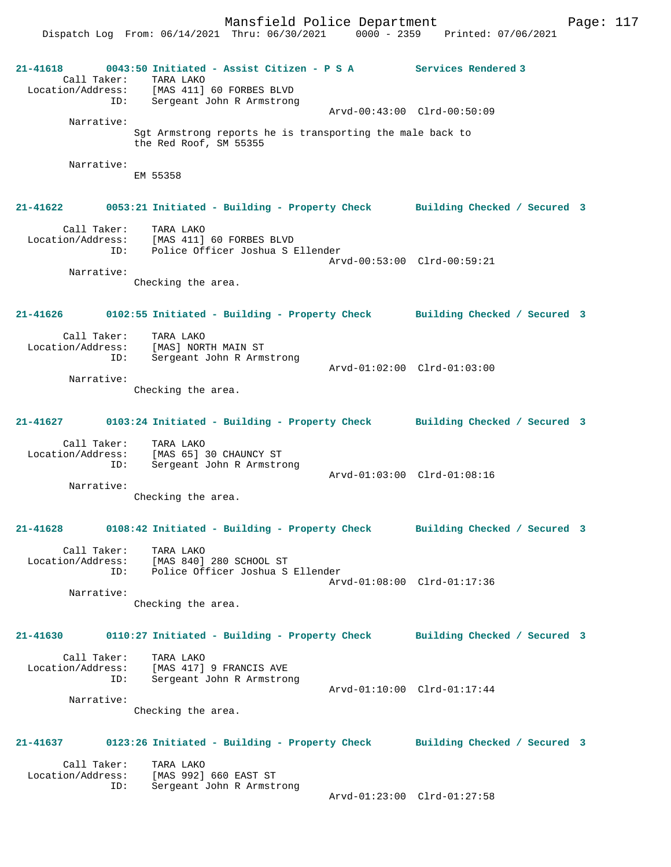Dispatch Log From: 06/14/2021 Thru: 06/30/2021 0000 - 2359 Printed: 07/06/2021

**21-41618 0043:50 Initiated - Assist Citizen - P S A Services Rendered 3**  Call Taker: TARA LAKO Location/Address: [MAS 411] 60 FORBES BLVD ID: Sergeant John R Armstrong Arvd-00:43:00 Clrd-00:50:09 Narrative: Sgt Armstrong reports he is transporting the male back to the Red Roof, SM 55355 Narrative: EM 55358 **21-41622 0053:21 Initiated - Building - Property Check Building Checked / Secured 3** Call Taker: TARA LAKO Location/Address: [MAS 411] 60 FORBES BLVD ID: Police Officer Joshua S Ellender Arvd-00:53:00 Clrd-00:59:21 Narrative: Checking the area. **21-41626 0102:55 Initiated - Building - Property Check Building Checked / Secured 3** Call Taker: TARA LAKO Location/Address: [MAS] NORTH MAIN ST ID: Sergeant John R Armstrong Arvd-01:02:00 Clrd-01:03:00 Narrative: Checking the area. **21-41627 0103:24 Initiated - Building - Property Check Building Checked / Secured 3** Call Taker: TARA LAKO Location/Address: [MAS 65] 30 CHAUNCY ST ID: Sergeant John R Armstrong Arvd-01:03:00 Clrd-01:08:16 Narrative: Checking the area. **21-41628 0108:42 Initiated - Building - Property Check Building Checked / Secured 3** Call Taker: TARA LAKO Location/Address: [MAS 840] 280 SCHOOL ST ID: Police Officer Joshua S Ellender Arvd-01:08:00 Clrd-01:17:36 Narrative: Checking the area. **21-41630 0110:27 Initiated - Building - Property Check Building Checked / Secured 3** Call Taker: TARA LAKO Location/Address: [MAS 417] 9 FRANCIS AVE ID: Sergeant John R Armstrong Arvd-01:10:00 Clrd-01:17:44 Narrative: Checking the area. **21-41637 0123:26 Initiated - Building - Property Check Building Checked / Secured 3** Call Taker: TARA LAKO<br>Location/Address: [MAS 992] ess: [MAS 992] 660 EAST ST<br>ID: Sergeant John R Armsti Sergeant John R Armstrong Arvd-01:23:00 Clrd-01:27:58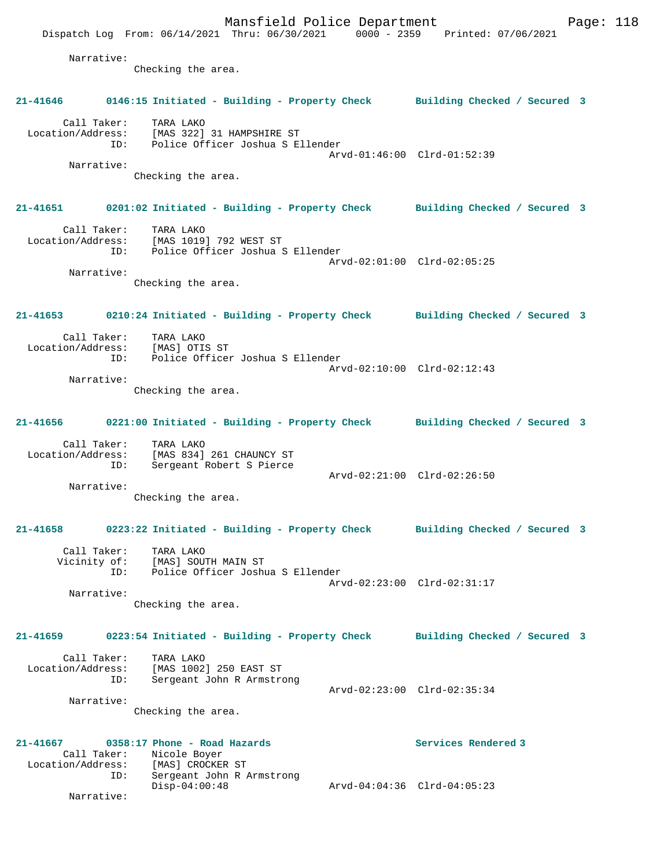Mansfield Police Department Form Page: 118 Dispatch Log From: 06/14/2021 Thru: 06/30/2021 0000 - 2359 Printed: 07/06/2021 Narrative: Checking the area. **21-41646 0146:15 Initiated - Building - Property Check Building Checked / Secured 3** Call Taker: TARA LAKO Location/Address: [MAS 322] 31 HAMPSHIRE ST ID: Police Officer Joshua S Ellender Arvd-01:46:00 Clrd-01:52:39 Narrative: Checking the area. **21-41651 0201:02 Initiated - Building - Property Check Building Checked / Secured 3** Call Taker: TARA LAKO Location/Address: [MAS 1019] 792 WEST ST ID: Police Officer Joshua S Ellender Arvd-02:01:00 Clrd-02:05:25 Narrative: Checking the area. **21-41653 0210:24 Initiated - Building - Property Check Building Checked / Secured 3** Call Taker: TARA LAKO Location/Address: [MAS] OTIS ST<br>ID: Police Office Police Officer Joshua S Ellender Arvd-02:10:00 Clrd-02:12:43 Narrative: Checking the area. **21-41656 0221:00 Initiated - Building - Property Check Building Checked / Secured 3** Call Taker: TARA LAKO Location/Address: [MAS 834] 261 CHAUNCY ST ID: Sergeant Robert S Pierce Arvd-02:21:00 Clrd-02:26:50 Narrative: Checking the area. **21-41658 0223:22 Initiated - Building - Property Check Building Checked / Secured 3** Call Taker: TARA LAKO Vicinity of: [MAS] SOUTH MAIN ST ID: Police Officer Joshua S Ellender Arvd-02:23:00 Clrd-02:31:17 Narrative: Checking the area. **21-41659 0223:54 Initiated - Building - Property Check Building Checked / Secured 3** Call Taker: TARA LAKO Location/Address: [MAS 1002] 250 EAST ST ID: Sergeant John R Armstrong Arvd-02:23:00 Clrd-02:35:34 Narrative: Checking the area. **21-41667 0358:17 Phone - Road Hazards Services Rendered 3**  Call Taker: Nicole Boyer Location/Address: [MAS] CROCKER ST<br>ID: Sergeant John R *I* Sergeant John R Armstrong<br>Disp-04:00:48 Disp-04:00:48 Arvd-04:04:36 Clrd-04:05:23 Narrative: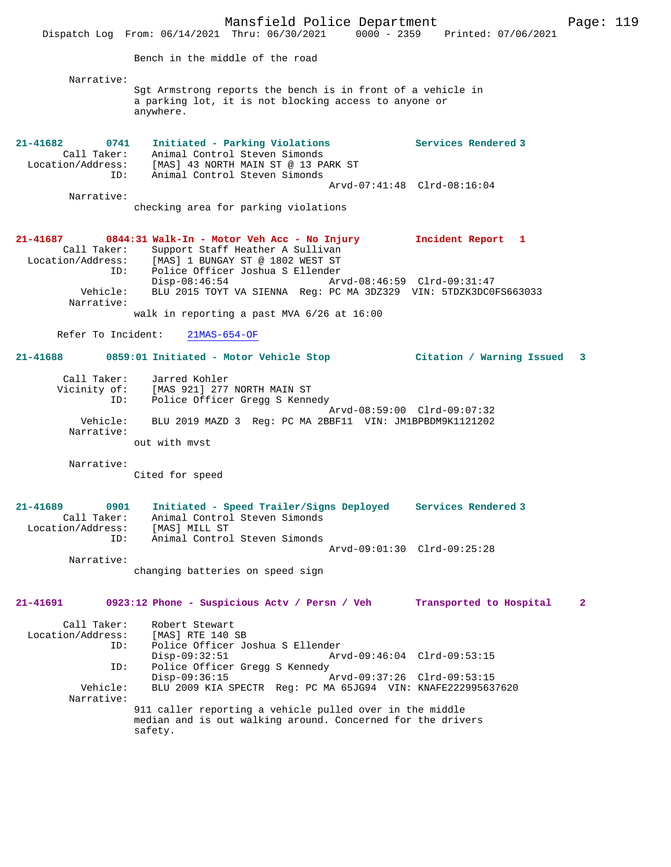Mansfield Police Department Page: 119 Dispatch Log From: 06/14/2021 Thru: 06/30/2021 0000 - 2359 Printed: 07/06/2021 Bench in the middle of the road Narrative: Sgt Armstrong reports the bench is in front of a vehicle in a parking lot, it is not blocking access to anyone or anywhere. **21-41682 0741 Initiated - Parking Violations Services Rendered 3**  Call Taker: Animal Control Steven Simonds Location/Address: [MAS] 43 NORTH MAIN ST @ 13 PARK ST ID: Animal Control Steven Simonds Arvd-07:41:48 Clrd-08:16:04 Narrative: checking area for parking violations **21-41687 0844:31 Walk-In - Motor Veh Acc - No Injury Incident Report 1**  Call Taker: Support Staff Heather A Sullivan<br>Location/Address: [MAS] 1 BUNGAY ST @ 1802 WEST ST ess: [MAS] 1 BUNGAY ST @ 1802 WEST ST<br>ID: Police Officer Joshua S Ellender ID: Police Officer Joshua S Ellender Disp-08:46:54 Arvd-08:46:59 Clrd-09:31:47 Vehicle: BLU 2015 TOYT VA SIENNA Reg: PC MA 3DZ329 VIN: 5TDZK3DC0FS663033 Narrative: walk in reporting a past MVA 6/26 at 16:00 Refer To Incident: 21MAS-654-OF **21-41688 0859:01 Initiated - Motor Vehicle Stop Citation / Warning Issued 3** Call Taker: Jarred Kohler Vicinity of: [MAS 921] 277 NORTH MAIN ST ID: Police Officer Gregg S Kennedy Arvd-08:59:00 Clrd-09:07:32 Vehicle: BLU 2019 MAZD 3 Reg: PC MA 2BBF11 VIN: JM1BPBDM9K1121202 Narrative: out with mvst Narrative: Cited for speed **21-41689 0901 Initiated - Speed Trailer/Signs Deployed Services Rendered 3**  Call Taker: Animal Control Steven Simonds Location/Address: [MAS] MILL ST ID: Animal Control Steven Simonds Arvd-09:01:30 Clrd-09:25:28 Narrative: changing batteries on speed sign **21-41691 0923:12 Phone - Suspicious Actv / Persn / Veh Transported to Hospital 2** Call Taker: Robert Stewart Location/Address: [MAS] RTE 140 SB ID: Police Officer Joshua S Ellender Disp-09:32:51 Arvd-09:46:04 Clrd-09:53:15<br>TD: Police Officer Gregg S Kennedy Police Officer Gregg S Kennedy<br>Disp-09:36:15 Disp-09:36:15 Arvd-09:37:26 Clrd-09:53:15<br>Vehicle: BLU 2009 KIA SPECTR Reg: PC MA 65JG94 VIN: KNAFE22299563 BLU 2009 KIA SPECTR Reg: PC MA 65JG94 VIN: KNAFE222995637620 Narrative: 911 caller reporting a vehicle pulled over in the middle median and is out walking around. Concerned for the drivers safety.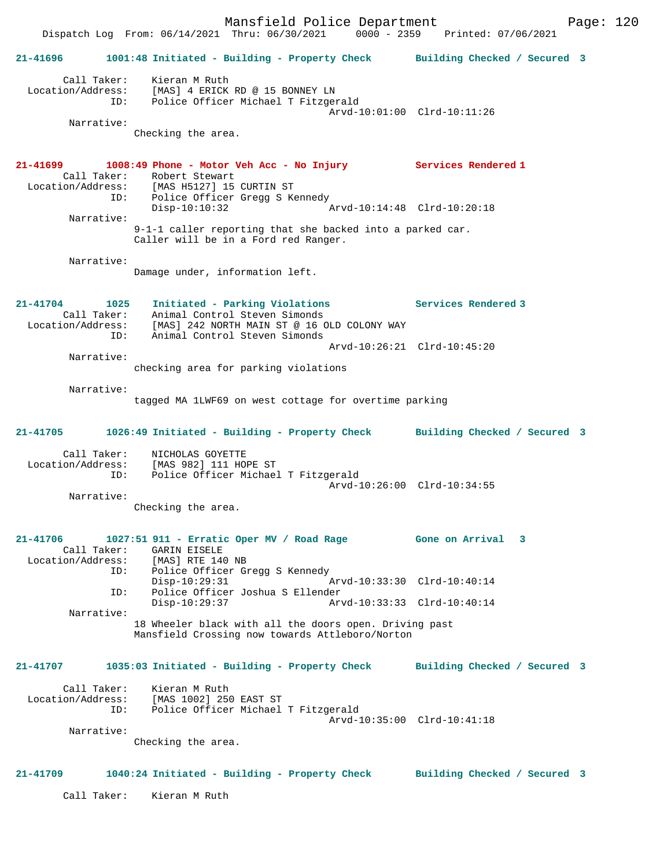Mansfield Police Department Fage: 120 Dispatch Log From: 06/14/2021 Thru: 06/30/2021 0000 - 2359 Printed: 07/06/2021 **21-41696 1001:48 Initiated - Building - Property Check Building Checked / Secured 3** Call Taker: Kieran M Ruth Location/Address: [MAS] 4 ERICK RD @ 15 BONNEY LN ID: Police Officer Michael T Fitzgerald Arvd-10:01:00 Clrd-10:11:26 Narrative: Checking the area. **21-41699 1008:49 Phone - Motor Veh Acc - No Injury Services Rendered 1**  Call Taker: Robert Stewart Location/Address: [MAS H5127] 15 CURTIN ST ID: Police Officer Gregg S Kennedy Disp-10:10:32 Arvd-10:14:48 Clrd-10:20:18 Narrative: 9-1-1 caller reporting that she backed into a parked car. Caller will be in a Ford red Ranger. Narrative: Damage under, information left. **21-41704 1025 Initiated - Parking Violations Services Rendered 3**  Call Taker: Animal Control Steven Simonds Location/Address: [MAS] 242 NORTH MAIN ST @ 16 OLD COLONY WAY ID: Animal Control Steven Simonds Arvd-10:26:21 Clrd-10:45:20 Narrative: checking area for parking violations Narrative: tagged MA 1LWF69 on west cottage for overtime parking **21-41705 1026:49 Initiated - Building - Property Check Building Checked / Secured 3** Call Taker: NICHOLAS GOYETTE Location/Address: [MAS 982] 111 HOPE ST ID: Police Officer Michael T Fitzgerald Arvd-10:26:00 Clrd-10:34:55 Narrative: Checking the area. **21-41706 1027:51 911 - Erratic Oper MV / Road Rage Gone on Arrival 3**  Call Taker: GARIN EISELE<br>Location/Address: [MAS] RTE 140 Location/Address: [MAS] RTE 140 NB ID: Police Officer Gregg S Kennedy Disp-10:29:31 Arvd-10:33:30 Clrd-10:40:14 ID: Police Officer Joshua S Ellender Disp-10:29:37 Arvd-10:33:33 Clrd-10:40:14 Narrative: 18 Wheeler black with all the doors open. Driving past Mansfield Crossing now towards Attleboro/Norton **21-41707 1035:03 Initiated - Building - Property Check Building Checked / Secured 3** Call Taker: Kieran M Ruth Location/Address: [MAS 1002] 250 EAST ST ID: Police Officer Michael T Fitzgerald Arvd-10:35:00 Clrd-10:41:18 Narrative: Checking the area. **21-41709 1040:24 Initiated - Building - Property Check Building Checked / Secured 3** Call Taker: Kieran M Ruth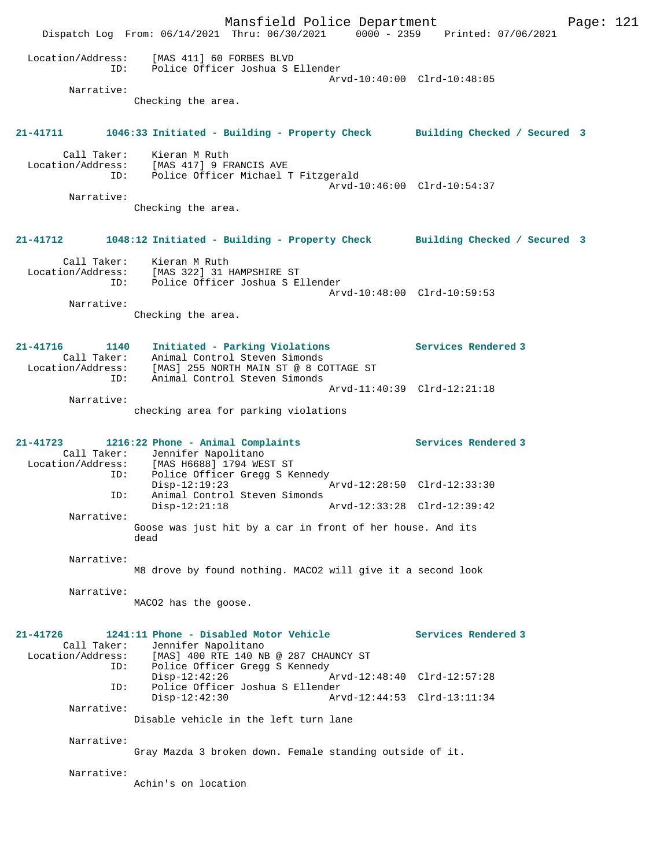|                                              | Mansfield Police Department<br>Dispatch Log From: 06/14/2021 Thru: 06/30/2021 0000 - 2359 Printed: 07/06/2021         |                             |                     | Page: 121 |  |
|----------------------------------------------|-----------------------------------------------------------------------------------------------------------------------|-----------------------------|---------------------|-----------|--|
| Location/Address:<br>ID:<br>Narrative:       | [MAS 411] 60 FORBES BLVD<br>Police Officer Joshua S Ellender                                                          | Arvd-10:40:00 Clrd-10:48:05 |                     |           |  |
|                                              | Checking the area.                                                                                                    |                             |                     |           |  |
| $21 - 41711$                                 | 1046:33 Initiated - Building - Property Check Building Checked / Secured 3                                            |                             |                     |           |  |
|                                              | Call Taker: Kieran M Ruth<br>Location/Address: [MAS 417] 9 FRANCIS AVE<br>ID: Police Officer Michael T Fitzgerald     | Arvd-10:46:00 Clrd-10:54:37 |                     |           |  |
| Narrative:                                   | Checking the area.                                                                                                    |                             |                     |           |  |
| $21 - 41712$                                 | 1048:12 Initiated - Building - Property Check Building Checked / Secured 3                                            |                             |                     |           |  |
| Call Taker:<br>ID:                           | Kieran M Ruth<br>Location/Address: [MAS 322] 31 HAMPSHIRE ST<br>Police Officer Joshua S Ellender                      | Arvd-10:48:00 Clrd-10:59:53 |                     |           |  |
| Narrative:                                   | Checking the area.                                                                                                    |                             |                     |           |  |
| 21-41716<br>1140<br>Location/Address:        | Initiated - Parking Violations<br>Call Taker: Animal Control Steven Simonds<br>[MAS] 255 NORTH MAIN ST @ 8 COTTAGE ST |                             | Services Rendered 3 |           |  |
| ID:<br>Narrative:                            | Animal Control Steven Simonds<br>checking area for parking violations                                                 | Arvd-11:40:39 Clrd-12:21:18 |                     |           |  |
| $21 - 41723$                                 | 1216:22 Phone - Animal Complaints<br>Call Taker: Jennifer Napolitano<br>Location/Address: [MAS H6688] 1794 WEST ST    |                             | Services Rendered 3 |           |  |
| ID:<br>ID:                                   | Police Officer Gregg S Kennedy<br>$Disp-12:19:23$<br>Animal Control Steven Simonds                                    | Arvd-12:28:50 Clrd-12:33:30 |                     |           |  |
| Narrative:                                   | $Disp-12:21:18$<br>Goose was just hit by a car in front of her house. And its<br>dead                                 | Arvd-12:33:28 Clrd-12:39:42 |                     |           |  |
| Narrative:                                   | M8 drove by found nothing. MACO2 will give it a second look                                                           |                             |                     |           |  |
| Narrative:                                   | MACO2 has the goose.                                                                                                  |                             |                     |           |  |
| 21-41726<br>Call Taker:<br>Location/Address: | 1241:11 Phone - Disabled Motor Vehicle<br>Jennifer Napolitano<br>[MAS] 400 RTE 140 NB @ 287 CHAUNCY ST                |                             | Services Rendered 3 |           |  |
| ID:                                          | Police Officer Gregg S Kennedy<br>$Disp-12:42:26$                                                                     | Arvd-12:48:40 Clrd-12:57:28 |                     |           |  |
| ID:                                          | Police Officer Joshua S Ellender<br>$Disp-12:42:30$                                                                   | Arvd-12:44:53 Clrd-13:11:34 |                     |           |  |
| Narrative:                                   | Disable vehicle in the left turn lane                                                                                 |                             |                     |           |  |
| Narrative:                                   | Gray Mazda 3 broken down. Female standing outside of it.                                                              |                             |                     |           |  |
| Narrative:                                   | Achin's on location                                                                                                   |                             |                     |           |  |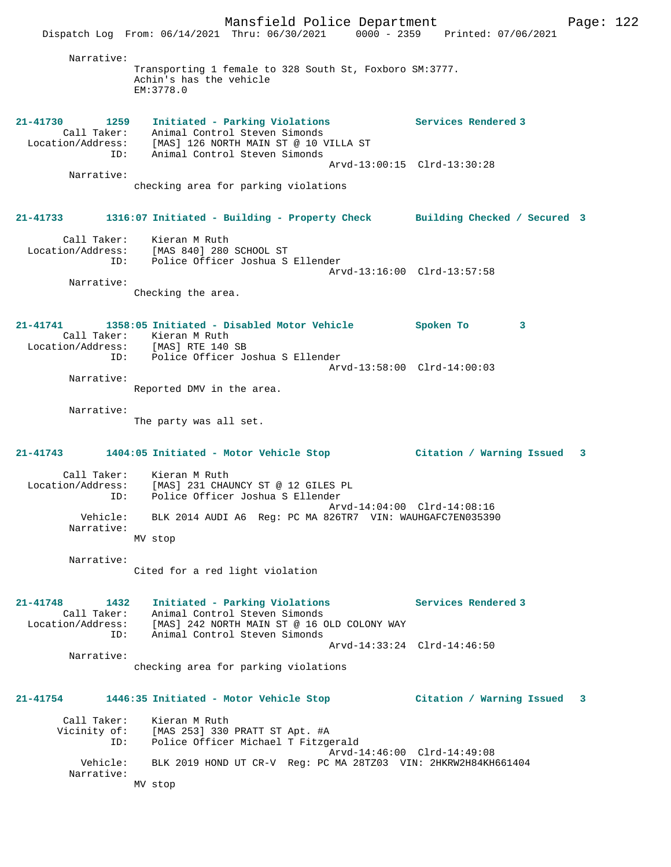Mansfield Police Department Fage: 122 Dispatch Log From: 06/14/2021 Thru: 06/30/2021 0000 - 2359 Printed: 07/06/2021 Narrative: Transporting 1 female to 328 South St, Foxboro SM:3777. Achin's has the vehicle EM:3778.0 **21-41730 1259 Initiated - Parking Violations Services Rendered 3**  Call Taker: Animal Control Steven Simonds Location/Address: [MAS] 126 NORTH MAIN ST @ 10 VILLA ST ID: Animal Control Steven Simonds Arvd-13:00:15 Clrd-13:30:28 Narrative: checking area for parking violations **21-41733 1316:07 Initiated - Building - Property Check Building Checked / Secured 3** Call Taker: Kieran M Ruth Location/Address: [MAS 840] 280 SCHOOL ST ID: Police Officer Joshua S Ellender Arvd-13:16:00 Clrd-13:57:58 Narrative: Checking the area. **21-41741 1358:05 Initiated - Disabled Motor Vehicle Spoken To 3**  Call Taker: Kieran M Ruth<br>Location/Address: [MAS] RTE 140 SB Location/Address: [MAS] RTE 140 SB ID: Police Officer Joshua S Ellender Arvd-13:58:00 Clrd-14:00:03 Narrative: Reported DMV in the area. Narrative: The party was all set. **21-41743 1404:05 Initiated - Motor Vehicle Stop Citation / Warning Issued 3** Call Taker: Kieran M Ruth Location/Address: [MAS] 231 CHAUNCY ST @ 12 GILES PL ID: Police Officer Joshua S Ellender Arvd-14:04:00 Clrd-14:08:16 Vehicle: BLK 2014 AUDI A6 Reg: PC MA 826TR7 VIN: WAUHGAFC7EN035390 Narrative: MV stop Narrative: Cited for a red light violation **21-41748 1432 Initiated - Parking Violations Services Rendered 3**  Call Taker: Animal Control Steven Simonds Location/Address: [MAS] 242 NORTH MAIN ST @ 16 OLD COLONY WAY ID: Animal Control Steven Simonds Arvd-14:33:24 Clrd-14:46:50 Narrative: checking area for parking violations **21-41754 1446:35 Initiated - Motor Vehicle Stop Citation / Warning Issued 3** Call Taker: Kieran M Ruth Vicinity of: [MAS 253] 330 PRATT ST Apt. #A ID: Police Officer Michael T Fitzgerald Arvd-14:46:00 Clrd-14:49:08 Vehicle: BLK 2019 HOND UT CR-V Reg: PC MA 28TZ03 VIN: 2HKRW2H84KH661404 Narrative: MV stop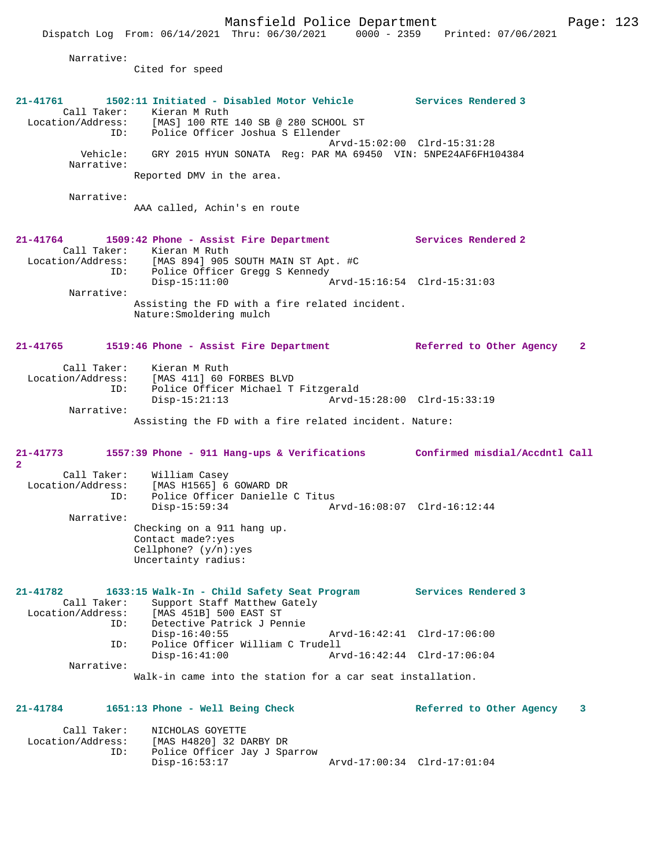Narrative: Cited for speed **21-41761 1502:11 Initiated - Disabled Motor Vehicle Services Rendered 3**  Call Taker: Kieran M Ruth<br>Location/Address: [MAS] 100 RTE ess: [MAS] 100 RTE 140 SB @ 280 SCHOOL ST<br>ID: Police Officer Joshua S Ellender Police Officer Joshua S Ellender Arvd-15:02:00 Clrd-15:31:28 Vehicle: GRY 2015 HYUN SONATA Reg: PAR MA 69450 VIN: 5NPE24AF6FH104384 Narrative: Reported DMV in the area. Narrative: AAA called, Achin's en route **21-41764 1509:42 Phone - Assist Fire Department Services Rendered 2**  Call Taker: Kieran M Ruth<br>Location/Address: [MAS 894] 905 ess: [MAS 894] 905 SOUTH MAIN ST Apt. #C<br>ID: Police Officer Gregg S Kennedy ID: Police Officer Gregg S Kennedy Disp-15:11:00 Arvd-15:16:54 Clrd-15:31:03 Narrative: Assisting the FD with a fire related incident. Nature:Smoldering mulch **21-41765 1519:46 Phone - Assist Fire Department Referred to Other Agency 2** Call Taker: Kieran M Ruth Location/Address: [MAS 411] 60 FORBES BLVD ID: Police Officer Michael T Fitzgerald Disp-15:21:13 Arvd-15:28:00 Clrd-15:33:19 Narrative: Assisting the FD with a fire related incident. Nature: **21-41773 1557:39 Phone - 911 Hang-ups & Verifications Confirmed misdial/Accdntl Call 2**  Call Taker: William Casey<br>Location/Address: [MAS H1565] 6 Location/Address: [MAS H1565] 6 GOWARD DR ID: Police Officer Danielle C Titus Disp-15:59:34 Arvd-16:08:07 Clrd-16:12:44 Narrative: Checking on a 911 hang up. Contact made?:yes Cellphone? (y/n):yes Uncertainty radius: **21-41782 1633:15 Walk-In - Child Safety Seat Program Services Rendered 3**  Call Taker: Support Staff Matthew Gately<br>Location/Address: [MAS 451B] 500 EAST ST [MAS 451B] 500 EAST ST ID: Detective Patrick J Pennie Disp-16:40:55 Arvd-16:42:41 Clrd-17:06:00 ID: Police Officer William C Trudell Arvd-16:42:44 Clrd-17:06:04 Narrative: Walk-in came into the station for a car seat installation. **21-41784 1651:13 Phone - Well Being Check Referred to Other Agency 3** Call Taker: NICHOLAS GOYETTE Location/Address: [MAS H4820] 32 DARBY DR ID: Police Officer Jay J Sparrow Disp-16:53:17 Arvd-17:00:34 Clrd-17:01:04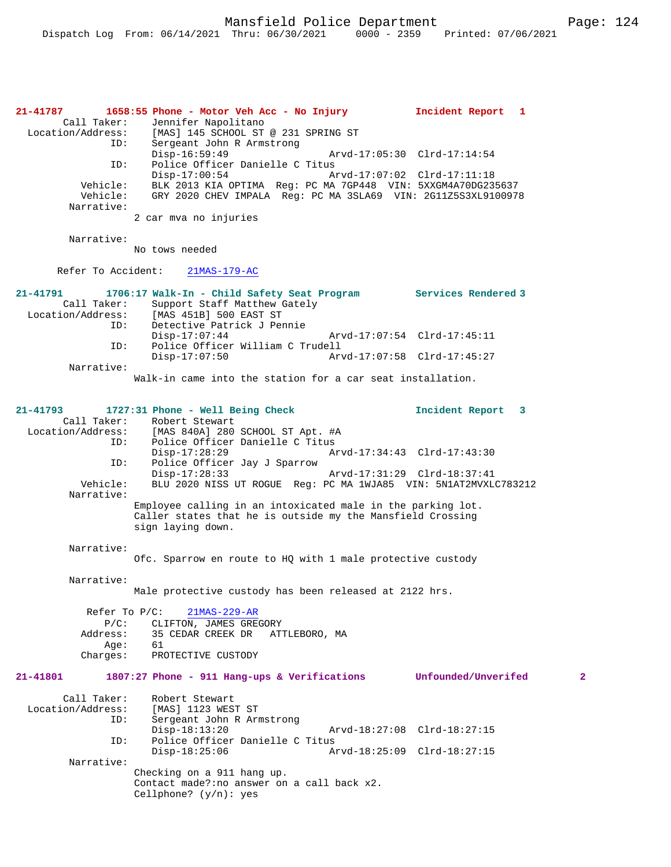**21-41787 1658:55 Phone - Motor Veh Acc - No Injury Incident Report 1**  Call Taker: Jennifer Napolitano<br>Location/Address: [MAS] 145 SCHOOL ST Location/Address: [MAS] 145 SCHOOL ST @ 231 SPRING ST ID: Sergeant John R Armstrong Disp-16:59:49 Arvd-17:05:30 Clrd-17:14:54 ID: Police Officer Danielle C Titus<br>Disp-17:00:54 A: Disp-17:00:54 Arvd-17:07:02 Clrd-17:11:18 Vehicle: BLK 2013 KIA OPTIMA Reg: PC MA 7GP448 VIN: 5XXGM4A70DG235637 Vehicle: GRY 2020 CHEV IMPALA Reg: PC MA 3SLA69 VIN: 2G11Z5S3XL9100978 Narrative: 2 car mva no injuries Narrative: No tows needed Refer To Accident: 21MAS-179-AC **21-41791 1706:17 Walk-In - Child Safety Seat Program Services Rendered 3**  Call Taker: Support Staff Matthew Gately<br>Location/Address: [MAS 451B] 500 EAST ST ess: [MAS 451B] 500 EAST ST<br>ID: Detective Patrick J Per Detective Patrick J Pennie<br>Disp-17:07:44 Disp-17:07:44 Arvd-17:07:54 Clrd-17:45:11 ID: Police Officer William C Trudell Disp-17:07:50 Arvd-17:07:58 Clrd-17:45:27 Narrative: Walk-in came into the station for a car seat installation. **21-41793 1727:31 Phone - Well Being Check Incident Report 3**  Call Taker: Robert Stewart Location/Address: [MAS 840A] 280 SCHOOL ST Apt. #A ID: Police Officer Danielle C Titus<br>Disp-17:28:29 Mrvd-17:34:43 Clrd-17:43:30 Disp-17:28:29 Arvd-17:34:43 Clrd-17:43:30 ID: Police Officer Jay J Sparrow Disp-17:28:33 Arvd-17:31:29 Clrd-18:37:41 Vehicle: BLU 2020 NISS UT ROGUE Reg: PC MA 1WJA85 VIN: 5N1AT2MVXLC783212 Narrative: Employee calling in an intoxicated male in the parking lot. Caller states that he is outside my the Mansfield Crossing sign laying down. Narrative: Ofc. Sparrow en route to HQ with 1 male protective custody Narrative: Male protective custody has been released at 2122 hrs. Refer To P/C: 21MAS-229-AR P/C: CLIFTON, JAMES GREGORY Address: 35 CEDAR CREEK DR ATTLEBORO, MA Age:<br>:Charges PROTECTIVE CUSTODY **21-41801 1807:27 Phone - 911 Hang-ups & Verifications Unfounded/Unverifed 2** Call Taker: Robert Stewart<br>Location/Address: [MAS] 1123 WES [MAS] 1123 WEST ST ID: Sergeant John R Armstrong Disp-18:13:20 Arvd-18:27:08 Clrd-18:27:15<br>TD: Police Officer Danielle C Titus Police Officer Danielle C Titus<br>Disp-18:25:06 Ar Disp-18:25:06 Arvd-18:25:09 Clrd-18:27:15 Narrative: Checking on a 911 hang up. Contact made?:no answer on a call back x2. Cellphone? (y/n): yes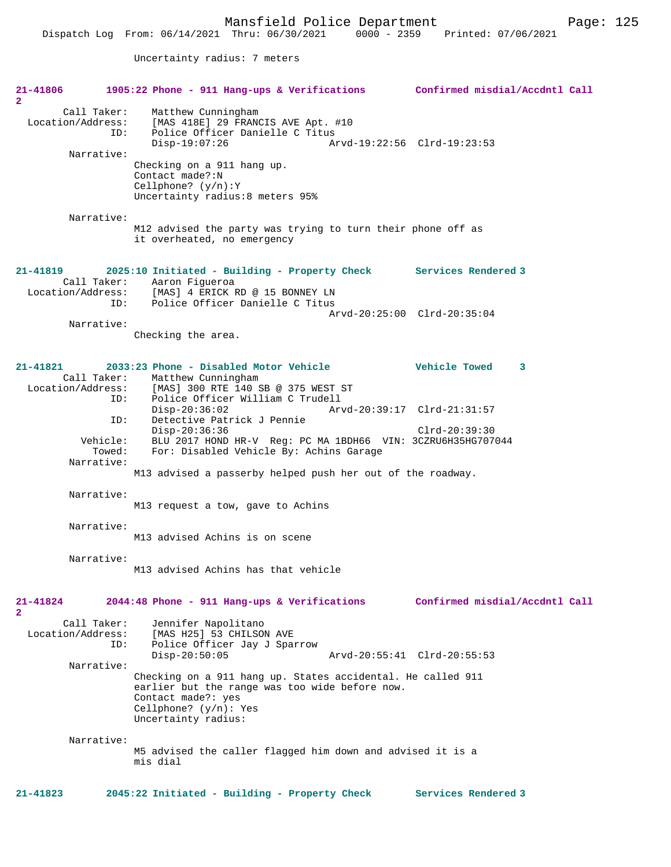Uncertainty radius: 7 meters

| 21-41806                      |                                  | 1905:22 Phone - 911 Hang-ups & Verifications                                                                            | Confirmed misdial/Accdntl Call      |
|-------------------------------|----------------------------------|-------------------------------------------------------------------------------------------------------------------------|-------------------------------------|
| $\overline{2}$                |                                  |                                                                                                                         |                                     |
| Location/Address:             | Call Taker:<br>ID:               | Matthew Cunningham<br>[MAS 418E] 29 FRANCIS AVE Apt. #10<br>Police Officer Danielle C Titus<br>$Disp-19:07:26$          | Arvd-19:22:56 Clrd-19:23:53         |
|                               | Narrative:                       |                                                                                                                         |                                     |
|                               |                                  | Checking on a 911 hang up.<br>Contact made?:N<br>Cellphone? $(y/n):Y$<br>Uncertainty radius:8 meters 95%                |                                     |
|                               | Narrative:                       |                                                                                                                         |                                     |
|                               |                                  | M12 advised the party was trying to turn their phone off as<br>it overheated, no emergency                              |                                     |
| 21-41819                      |                                  | 2025:10 Initiated - Building - Property Check Services Rendered 3                                                       |                                     |
|                               | ID:                              | Call Taker: Aaron Figueroa<br>Location/Address: [MAS] 4 ERICK RD @ 15 BONNEY LN<br>Police Officer Danielle C Titus      |                                     |
|                               |                                  |                                                                                                                         | $Arvd - 20:25:00$ $Clrd - 20:35:04$ |
|                               | Narrative:                       |                                                                                                                         |                                     |
|                               |                                  | Checking the area.                                                                                                      |                                     |
| 21-41821<br>Location/Address: | Call Taker:                      | 2033:23 Phone - Disabled Motor Vehicle<br>Matthew Cunningham<br>[MAS] 300 RTE 140 SB @ 375 WEST ST                      | <b>Vehicle Towed</b><br>3           |
|                               | ID:                              | Police Officer William C Trudell                                                                                        |                                     |
|                               | ID:                              | $Disp-20:36:02$<br>Detective Patrick J Pennie                                                                           | Arvd-20:39:17 Clrd-21:31:57         |
|                               |                                  | $Disp-20:36:36$                                                                                                         | $Clrd-20:39:30$                     |
|                               | Vehicle:<br>Towed:<br>Narrative: | BLU 2017 HOND HR-V Reg: PC MA 1BDH66 VIN: 3CZRU6H35HG707044<br>For: Disabled Vehicle By: Achins Garage                  |                                     |
|                               |                                  | M13 advised a passerby helped push her out of the roadway.                                                              |                                     |
|                               | Narrative:                       | M13 request a tow, gave to Achins                                                                                       |                                     |
|                               | Narrative:                       | M13 advised Achins is on scene                                                                                          |                                     |
|                               | Narrative:                       |                                                                                                                         |                                     |
|                               |                                  | M13 advised Achins has that vehicle                                                                                     |                                     |
| 21-41824<br>$\overline{2}$    |                                  | 2044:48 Phone - 911 Hang-ups & Verifications                                                                            | Confirmed misdial/Accdntl Call      |
| Location/Address:             | Call Taker:<br>ID:               | Jennifer Napolitano<br>[MAS H25] 53 CHILSON AVE<br>Police Officer Jay J Sparrow                                         |                                     |
|                               |                                  | $Disp-20:50:05$                                                                                                         | Arvd-20:55:41 Clrd-20:55:53         |
|                               | Narrative:                       | Checking on a 911 hang up. States accidental. He called 911                                                             |                                     |
|                               |                                  | earlier but the range was too wide before now.<br>Contact made?: yes<br>Cellphone? $(y/n)$ : Yes<br>Uncertainty radius: |                                     |
|                               | Narrative:                       | M5 advised the caller flagged him down and advised it is a<br>mis dial                                                  |                                     |
| 21-41823                      |                                  | 2045:22 Initiated - Building - Property Check                                                                           | Services Rendered 3                 |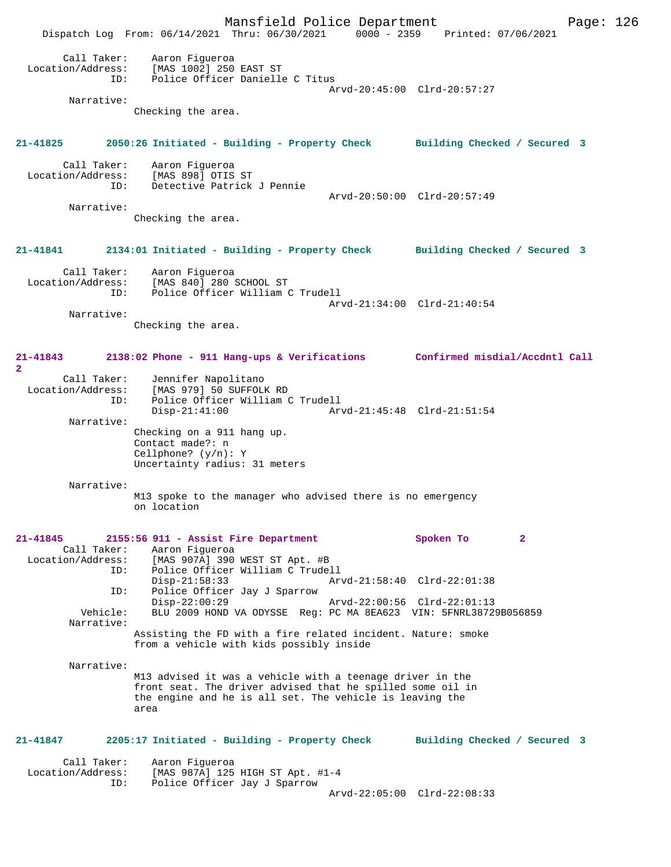Mansfield Police Department Form Page: 126 Dispatch Log From: 06/14/2021 Thru: 06/30/2021 0000 - 2359 Printed: 07/06/2021 Call Taker: Aaron Figueroa Location/Address: [MAS 1002] 250 EAST ST ID: Police Officer Danielle C Titus Arvd-20:45:00 Clrd-20:57:27 Narrative: Checking the area. **21-41825 2050:26 Initiated - Building - Property Check Building Checked / Secured 3** Call Taker: Aaron Figueroa<br>ion/Address: [MAS 898] OTIS ST Location/Address:<br>ID: Detective Patrick J Pennie Arvd-20:50:00 Clrd-20:57:49 Narrative: Checking the area. **21-41841 2134:01 Initiated - Building - Property Check Building Checked / Secured 3** Call Taker: Aaron Figueroa Location/Address: [MAS 840] 280 SCHOOL ST ID: Police Officer William C Trudell Arvd-21:34:00 Clrd-21:40:54 Narrative: Checking the area. **21-41843 2138:02 Phone - 911 Hang-ups & Verifications Confirmed misdial/Accdntl Call 2**  Call Taker: Jennifer Napolitano Location/Address: [MAS 979] 50 SUFFOLK RD ID: Police Officer William C Trudell Disp-21:41:00 Arvd-21:45:48 Clrd-21:51:54 Narrative: Checking on a 911 hang up. Contact made?: n Cellphone? (y/n): Y Uncertainty radius: 31 meters Narrative: M13 spoke to the manager who advised there is no emergency on location **21-41845 2155:56 911 - Assist Fire Department Spoken To 2**  Call Taker: Aaron Figueroa Location/Address: [MAS 907A] 390 WEST ST Apt. #B ID: Police Officer William C Trudell Disp-21:58:33 Arvd-21:58:40 Clrd-22:01:38 ID: Police Officer Jay J Sparrow Disp-22:00:29 Arvd-22:00:56 Clrd-22:01:13<br>Vehicle: BLU 2009 HOND VA ODYSSE Reg: PC MA 8EA623 VIN: 5ENRL38729 BLU 2009 HOND VA ODYSSE Reg: PC MA 8EA623 VIN: 5FNRL38729B056859 Narrative: Assisting the FD with a fire related incident. Nature: smoke from a vehicle with kids possibly inside Narrative: M13 advised it was a vehicle with a teenage driver in the front seat. The driver advised that he spilled some oil in the engine and he is all set. The vehicle is leaving the area **21-41847 2205:17 Initiated - Building - Property Check Building Checked / Secured 3** Call Taker: Aaron Figueroa Location/Address: [MAS 987A] 125 HIGH ST Apt. #1-4 ID: Police Officer Jay J Sparrow Arvd-22:05:00 Clrd-22:08:33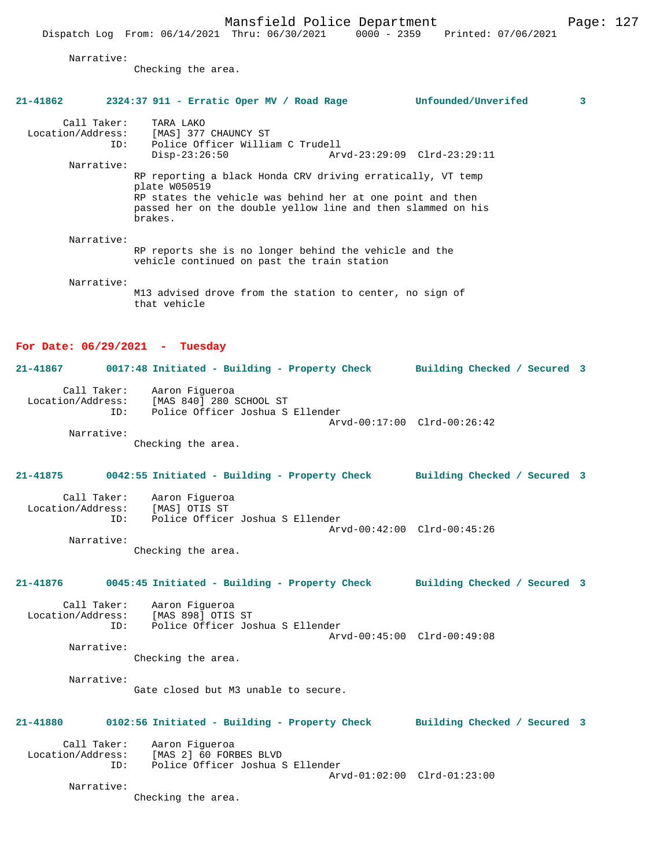Mansfield Police Department Fage: 127

Narrative:

Checking the area.

## **21-41862 2324:37 911 - Erratic Oper MV / Road Rage Unfounded/Unverifed 3**

Call Taker: TARA LAKO<br>Location/Address: [MAS] 377 [MAS] 377 CHAUNCY ST ID: Police Officer William C Trudell Disp-23:26:50 Arvd-23:29:09 Clrd-23:29:11 Narrative: RP reporting a black Honda CRV driving erratically, VT temp plate W050519 RP states the vehicle was behind her at one point and then passed her on the double yellow line and then slammed on his brakes. Narrative:

RP reports she is no longer behind the vehicle and the vehicle continued on past the train station

Narrative:

M13 advised drove from the station to center, no sign of that vehicle

#### **For Date: 06/29/2021 - Tuesday**

## **21-41867 0017:48 Initiated - Building - Property Check Building Checked / Secured 3** Call Taker: Aaron Figueroa Location/Address: [MAS 840] 280 SCHOOL ST ID: Police Officer Joshua S Ellender Arvd-00:17:00 Clrd-00:26:42 Narrative:

Checking the area.

# **21-41875 0042:55 Initiated - Building - Property Check Building Checked / Secured 3** Call Taker: Aaron Figueroa<br>ion/Address: [MAS] OTIS ST

Location/Address: ID: Police Officer Joshua S Ellender Arvd-00:42:00 Clrd-00:45:26 Narrative:

Checking the area.

## **21-41876 0045:45 Initiated - Building - Property Check Building Checked / Secured 3**

Call Taker: Aaron Figueroa<br>.on/Address: [MAS 898] OTIS ST Location/Address: ID: Police Officer Joshua S Ellender Arvd-00:45:00 Clrd-00:49:08 Narrative:

Checking the area.

 Narrative: Gate closed but M3 unable to secure.

## **21-41880 0102:56 Initiated - Building - Property Check Building Checked / Secured 3**

 Call Taker: Aaron Figueroa Location/Address: [MAS 2] 60 FORBES BLVD ID: Police Officer Joshua S Ellender Arvd-01:02:00 Clrd-01:23:00 Narrative:

Checking the area.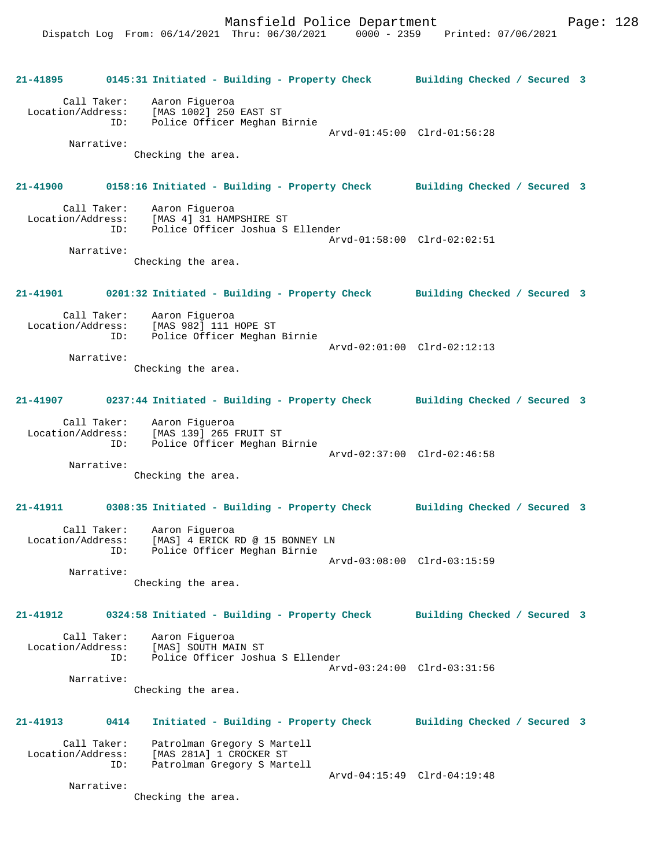Mansfield Police Department Form Page: 128

**21-41895 0145:31 Initiated - Building - Property Check Building Checked / Secured 3** Call Taker: Aaron Figueroa Location/Address: [MAS 1002] 250 EAST ST ID: Police Officer Meghan Birnie Arvd-01:45:00 Clrd-01:56:28 Narrative: Checking the area. **21-41900 0158:16 Initiated - Building - Property Check Building Checked / Secured 3** Call Taker: Aaron Figueroa<br>Location/Address: [MAS 4] 31 HAM ess: [MAS 4] 31 HAMPSHIRE ST<br>ID: Police Officer المعاملة Police Officer Joshua S Ellender Arvd-01:58:00 Clrd-02:02:51 Narrative: Checking the area. **21-41901 0201:32 Initiated - Building - Property Check Building Checked / Secured 3** Call Taker: Aaron Figueroa Location/Address: [MAS 982] 111 HOPE ST ID: Police Officer Meghan Birnie Arvd-02:01:00 Clrd-02:12:13 Narrative: Checking the area. **21-41907 0237:44 Initiated - Building - Property Check Building Checked / Secured 3** Call Taker: Aaron Figueroa Location/Address: [MAS 139] 265 FRUIT ST ID: Police Officer Meghan Birnie Arvd-02:37:00 Clrd-02:46:58 Narrative: Checking the area. **21-41911 0308:35 Initiated - Building - Property Check Building Checked / Secured 3** Call Taker: Aaron Figueroa Location/Address: [MAS] 4 ERICK RD @ 15 BONNEY LN ID: Police Officer Meghan Birnie Arvd-03:08:00 Clrd-03:15:59 Narrative: Checking the area. **21-41912 0324:58 Initiated - Building - Property Check Building Checked / Secured 3** Call Taker: Aaron Figueroa<br>Location/Address: [MAS] SOUTH MA ess: [MAS] SOUTH MAIN ST<br>ID: Police Officer Joshu Police Officer Joshua S Ellender Arvd-03:24:00 Clrd-03:31:56 Narrative: Checking the area. **21-41913 0414 Initiated - Building - Property Check Building Checked / Secured 3** Call Taker: Patrolman Gregory S Martell Location/Address: [MAS 281A] 1 CROCKER ST ID: Patrolman Gregory S Martell Arvd-04:15:49 Clrd-04:19:48 Narrative: Checking the area.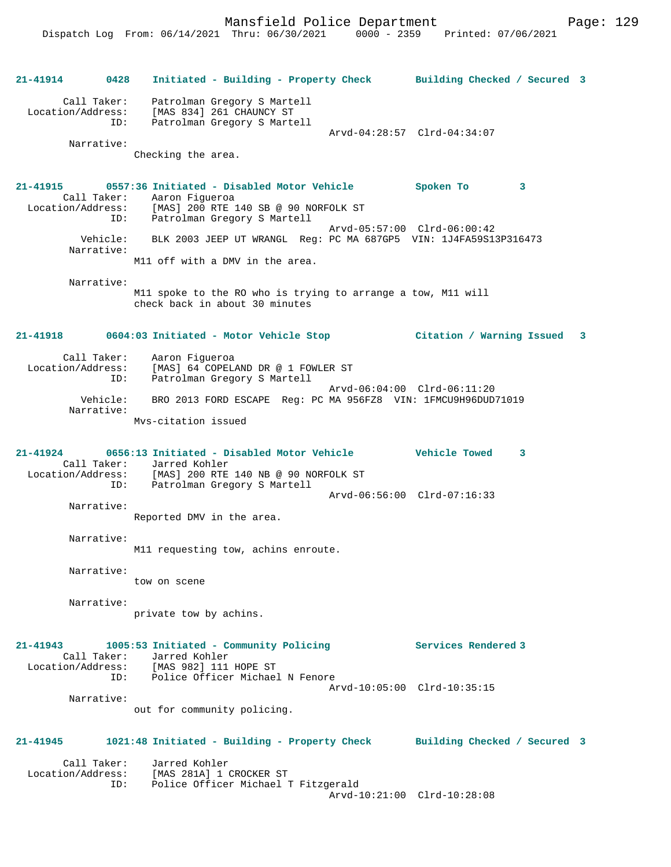Mansfield Police Department Page: 129

**21-41914 0428 Initiated - Building - Property Check Building Checked / Secured 3** Call Taker: Patrolman Gregory S Martell Location/Address: [MAS 834] 261 CHAUNCY ST ID: Patrolman Gregory S Martell Arvd-04:28:57 Clrd-04:34:07 Narrative: Checking the area. **21-41915 0557:36 Initiated - Disabled Motor Vehicle Spoken To 3**  Call Taker: Aaron Figueroa<br>Location/Address: [MAS] 200 RTE 1 [MAS] 200 RTE 140 SB @ 90 NORFOLK ST ID: Patrolman Gregory S Martell Arvd-05:57:00 Clrd-06:00:42 Vehicle: BLK 2003 JEEP UT WRANGL Reg: PC MA 687GP5 VIN: 1J4FA59S13P316473 Narrative: M11 off with a DMV in the area. Narrative: M11 spoke to the RO who is trying to arrange a tow, M11 will check back in about 30 minutes **21-41918 0604:03 Initiated - Motor Vehicle Stop Citation / Warning Issued 3** Call Taker: Aaron Figueroa Location/Address: [MAS] 64 COPELAND DR @ 1 FOWLER ST ID: Patrolman Gregory S Martell Arvd-06:04:00 Clrd-06:11:20 Vehicle: BRO 2013 FORD ESCAPE Reg: PC MA 956FZ8 VIN: 1FMCU9H96DUD71019 Narrative: Mvs-citation issued **21-41924 0656:13 Initiated - Disabled Motor Vehicle Vehicle Towed 3**  Call Taker: Jarred Kohler Location/Address: [MAS] 200 RTE 140 NB @ 90 NORFOLK ST ID: Patrolman Gregory S Martell Arvd-06:56:00 Clrd-07:16:33 Narrative: Reported DMV in the area. Narrative: M11 requesting tow, achins enroute. Narrative: tow on scene Narrative: private tow by achins. **21-41943 1005:53 Initiated - Community Policing Services Rendered 3**  Call Taker: Jarred Kohler Location/Address: [MAS 982] 111 HOPE ST ID: Police Officer Michael N Fenore Arvd-10:05:00 Clrd-10:35:15 Narrative: out for community policing. **21-41945 1021:48 Initiated - Building - Property Check Building Checked / Secured 3** Call Taker: Jarred Kohler<br>Location/Address: [MAS 281A] 1 ( [MAS 281A] 1 CROCKER ST ID: Police Officer Michael T Fitzgerald Arvd-10:21:00 Clrd-10:28:08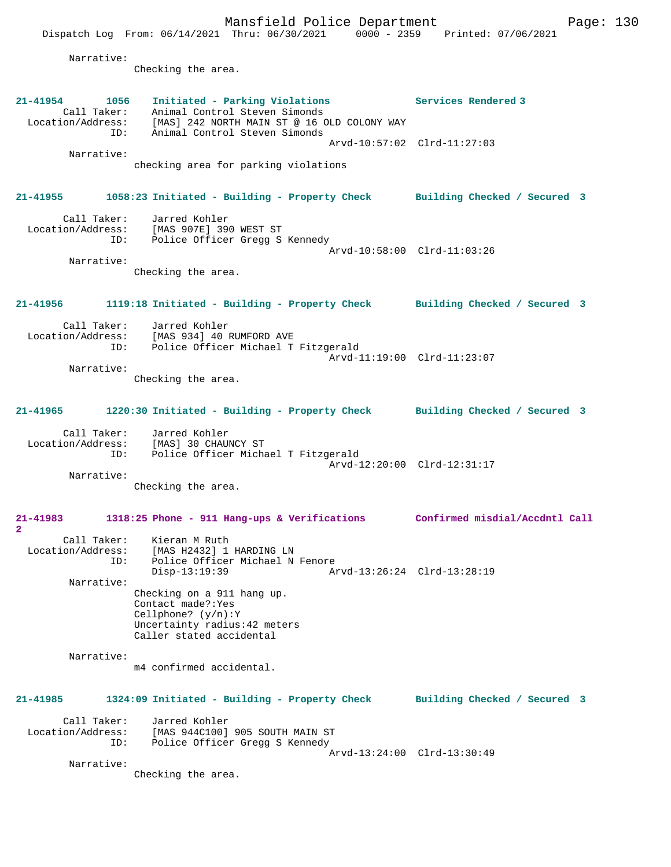Mansfield Police Department Fage: 130 Dispatch Log From: 06/14/2021 Thru: 06/30/2021 0000 - 2359 Printed: 07/06/2021 Narrative: Checking the area. **21-41954 1056 Initiated - Parking Violations Services Rendered 3**  Call Taker: Animal Control Steven Simonds Location/Address: [MAS] 242 NORTH MAIN ST @ 16 OLD COLONY WAY ID: Animal Control Steven Simonds Arvd-10:57:02 Clrd-11:27:03 Narrative: checking area for parking violations **21-41955 1058:23 Initiated - Building - Property Check Building Checked / Secured 3** Call Taker: Jarred Kohler Location/Address: [MAS 907E] 390 WEST ST ID: Police Officer Gregg S Kennedy Arvd-10:58:00 Clrd-11:03:26 Narrative: Checking the area. **21-41956 1119:18 Initiated - Building - Property Check Building Checked / Secured 3** Call Taker: Jarred Kohler Location/Address: [MAS 934] 40 RUMFORD AVE<br>TD: Police Officer Michael T Police Officer Michael T Fitzgerald Arvd-11:19:00 Clrd-11:23:07 Narrative: Checking the area. **21-41965 1220:30 Initiated - Building - Property Check Building Checked / Secured 3** Call Taker: Jarred Kohler Location/Address: [MAS] 30 CHAUNCY ST ID: Police Officer Michael T Fitzgerald Arvd-12:20:00 Clrd-12:31:17 Narrative: Checking the area. **21-41983 1318:25 Phone - 911 Hang-ups & Verifications Confirmed misdial/Accdntl Call 2**  Call Taker: Kieran M Ruth Location/Address: [MAS H2432] 1 HARDING LN ID: Police Officer Michael N Fenore Disp-13:19:39 Arvd-13:26:24 Clrd-13:28:19 Narrative: Checking on a 911 hang up. Contact made?:Yes Cellphone? (y/n):Y Uncertainty radius:42 meters Caller stated accidental Narrative: m4 confirmed accidental. **21-41985 1324:09 Initiated - Building - Property Check Building Checked / Secured 3** Call Taker: Jarred Kohler Location/Address: [MAS 944C100] 905 SOUTH MAIN ST ID: Police Officer Gregg S Kennedy Arvd-13:24:00 Clrd-13:30:49 Narrative: Checking the area.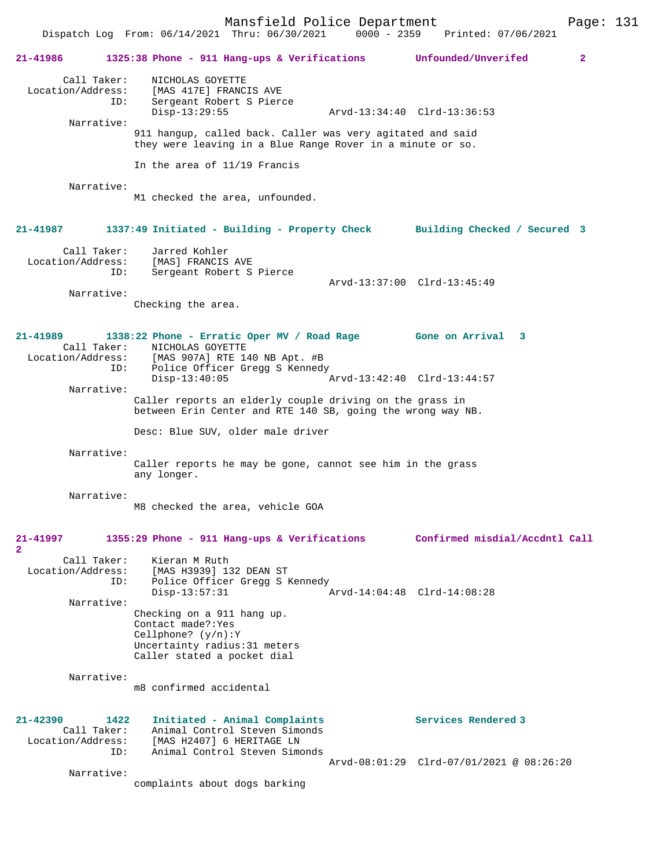Mansfield Police Department Fage: 131 Dispatch Log From: 06/14/2021 Thru: 06/30/2021 0000 - 2359 Printed: 07/06/2021 **21-41986 1325:38 Phone - 911 Hang-ups & Verifications Unfounded/Unverifed 2**

 Call Taker: NICHOLAS GOYETTE Location/Address: [MAS 417E] FRANCIS AVE ID: Sergeant Robert S Pierce Disp-13:29:55 Arvd-13:34:40 Clrd-13:36:53 Narrative: 911 hangup, called back. Caller was very agitated and said they were leaving in a Blue Range Rover in a minute or so. In the area of 11/19 Francis Narrative: M1 checked the area, unfounded. **21-41987 1337:49 Initiated - Building - Property Check Building Checked / Secured 3** Call Taker: Jarred Kohler Location/Address: [MAS] FRANCIS AVE ID: Sergeant Robert S Pierce Arvd-13:37:00 Clrd-13:45:49 Narrative: Checking the area. **21-41989 1338:22 Phone - Erratic Oper MV / Road Rage Gone on Arrival 3**  Call Taker: NICHOLAS GOYETTE Location/Address: [MAS 907A] RTE 140 NB Apt. #B<br>ID: Police Officer Greaa S Kenned Police Officer Gregg S Kennedy<br>Disp-13:40:05 7  $\bar{P}$ Arvd-13:42:40 Clrd-13:44:57 Narrative: Caller reports an elderly couple driving on the grass in between Erin Center and RTE 140 SB, going the wrong way NB. Desc: Blue SUV, older male driver Narrative: Caller reports he may be gone, cannot see him in the grass any longer. Narrative: M8 checked the area, vehicle GOA **21-41997 1355:29 Phone - 911 Hang-ups & Verifications Confirmed misdial/Accdntl Call 2**  Call Taker: Kieran M Ruth Location/Address: [MAS H3939] 132 DEAN ST<br>ID: Police Officer Grega S F Police Officer Gregg S Kennedy<br>Disp-13:57:31 Disp-13:57:31 Arvd-14:04:48 Clrd-14:08:28 Narrative: Checking on a 911 hang up. Contact made?:Yes Cellphone? (y/n):Y Uncertainty radius:31 meters Caller stated a pocket dial Narrative: m8 confirmed accidental **21-42390 1422 Initiated - Animal Complaints Services Rendered 3**  Call Taker: Animal Control Steven Simonds Location/Address: [MAS H2407] 6 HERITAGE LN ID: Animal Control Steven Simonds Arvd-08:01:29 Clrd-07/01/2021 @ 08:26:20 Narrative: complaints about dogs barking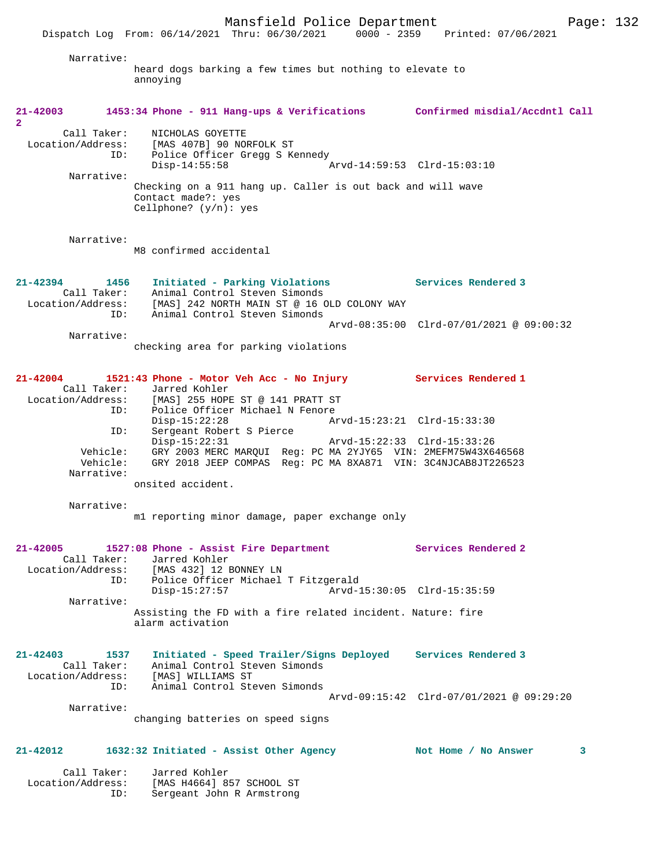Dispatch Log From: 06/14/2021 Thru: 06/30/2021 0000 - 2359 Printed: 07/06/2021 Narrative: heard dogs barking a few times but nothing to elevate to annoying **21-42003 1453:34 Phone - 911 Hang-ups & Verifications Confirmed misdial/Accdntl Call 2**  Call Taker: NICHOLAS GOYETTE Location/Address: [MAS 407B] 90 NORFOLK ST ID: Police Officer Gregg S Kennedy Disp-14:55:58 Arvd-14:59:53 Clrd-15:03:10 Narrative: Checking on a 911 hang up. Caller is out back and will wave Contact made?: yes Cellphone? (y/n): yes Narrative: M8 confirmed accidental **21-42394 1456 Initiated - Parking Violations Services Rendered 3**  Call Taker: Animal Control Steven Simonds Location/Address: [MAS] 242 NORTH MAIN ST @ 16 OLD COLONY WAY ID: Animal Control Steven Simonds Arvd-08:35:00 Clrd-07/01/2021 @ 09:00:32 Narrative: checking area for parking violations **21-42004 1521:43 Phone - Motor Veh Acc - No Injury Services Rendered 1**  Call Taker: Jarred Kohler<br>Location/Address: [MAS] 255 HOPE ess: [MAS] 255 HOPE ST @ 141 PRATT ST<br>ID: Police Officer Michael N Fenore ID: Police Officer Michael N Fenore Disp-15:22:28 Arvd-15:23:21 Clrd-15:33:30 ID: Sergeant Robert S Pierce Disp-15:22:31 Arvd-15:22:33 Clrd-15:33:26 Vehicle: GRY 2003 MERC MARQUI Reg: PC MA 2YJY65 VIN: 2MEFM75W43X646568 Vehicle: GRY 2018 JEEP COMPAS Reg: PC MA 8XA871 VIN: 3C4NJCAB8JT226523 Narrative: onsited accident. Narrative: m1 reporting minor damage, paper exchange only **21-42005 1527:08 Phone - Assist Fire Department Services Rendered 2**  Call Taker: Jarred Kohler<br>Location/Address: [MAS 432] 12 B [MAS 432] 12 BONNEY LN ID: Police Officer Michael T Fitzgerald Disp-15:27:57 Arvd-15:30:05 Clrd-15:35:59 Narrative: Assisting the FD with a fire related incident. Nature: fire alarm activation **21-42403 1537 Initiated - Speed Trailer/Signs Deployed Services Rendered 3**  Call Taker: Animal Control Steven Simonds Location/Address: [MAS] WILLIAMS ST ID: Animal Control Steven Simonds Arvd-09:15:42 Clrd-07/01/2021 @ 09:29:20 Narrative: changing batteries on speed signs **21-42012 1632:32 Initiated - Assist Other Agency Not Home / No Answer 3** Call Taker: Jarred Kohler Location/Address: [MAS H4664] 857 SCHOOL ST

ID: Sergeant John R Armstrong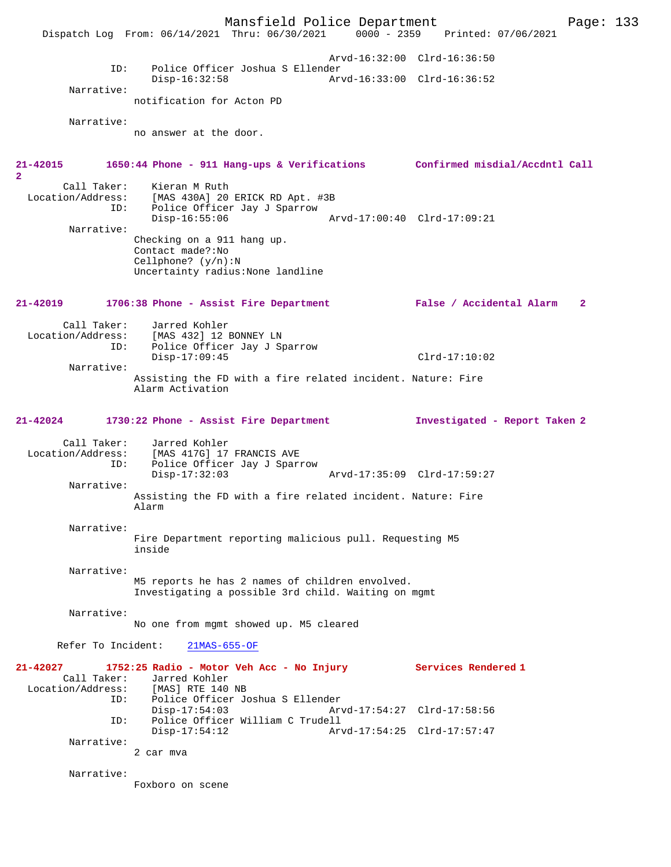Mansfield Police Department Page: 133 Dispatch Log From: 06/14/2021 Thru: 06/30/2021 Arvd-16:32:00 Clrd-16:36:50 ID: Police Officer Joshua S Ellender Disp-16:32:58 Arvd-16:33:00 Clrd-16:36:52 Narrative: notification for Acton PD Narrative: no answer at the door. **21-42015 1650:44 Phone - 911 Hang-ups & Verifications Confirmed misdial/Accdntl Call 2**  Call Taker: Kieran M Ruth<br>Location/Address: [MAS 430A] 20 ess: [MAS 430A] 20 ERICK RD Apt. #3B<br>ID: Police Officer Jay J Sparrow Police Officer Jay J Sparrow<br>Disp-16:55:06 Disp-16:55:06 Arvd-17:00:40 Clrd-17:09:21 Narrative: Checking on a 911 hang up. Contact made?:No Cellphone? (y/n):N Uncertainty radius:None landline **21-42019 1706:38 Phone - Assist Fire Department False / Accidental Alarm 2** Call Taker: Jarred Kohler<br>Location/Address: [MAS 432] 12] ess: [MAS 432] 12 BONNEY LN<br>ID: Police Officer Jav J Sr Police Officer Jay J Sparrow Disp-17:09:45 Clrd-17:10:02 Narrative: Assisting the FD with a fire related incident. Nature: Fire Alarm Activation **21-42024 1730:22 Phone - Assist Fire Department Investigated - Report Taken 2** Call Taker: Jarred Kohler<br>Location/Address: [MAS 417G] 17 [MAS 417G] 17 FRANCIS AVE ID: Police Officer Jay J Sparrow Disp-17:32:03 Arvd-17:35:09 Clrd-17:59:27 Narrative: Assisting the FD with a fire related incident. Nature: Fire Alarm Narrative: Fire Department reporting malicious pull. Requesting M5 inside Narrative: M5 reports he has 2 names of children envolved. Investigating a possible 3rd child. Waiting on mgmt Narrative: No one from mgmt showed up. M5 cleared Refer To Incident: 21MAS-655-OF **21-42027 1752:25 Radio - Motor Veh Acc - No Injury Services Rendered 1**  Call Taker: Jarred Kohler<br>Location/Address: [MAS] RTE 140 ess: [MAS] RTE 140 NB<br>ID: Police Officer Jo Police Officer Joshua S Ellender<br>Disp-17:54:03 Arv Disp-17:54:03 Arvd-17:54:27 Clrd-17:58:56 ID: Police Officer William C Trudell Disp-17:54:12 Arvd-17:54:25 Clrd-17:57:47 Narrative: 2 car mva Narrative: Foxboro on scene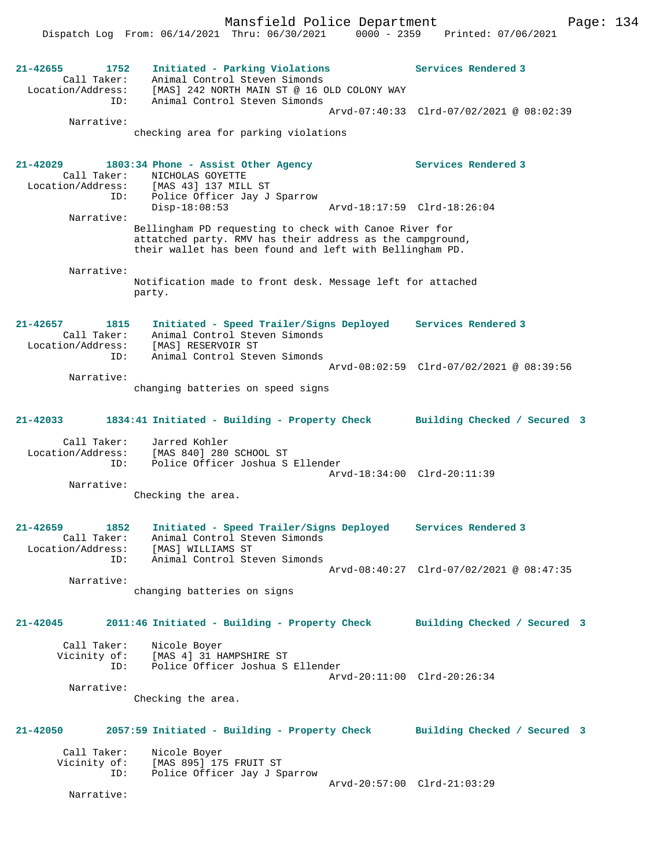Mansfield Police Department Page: 134 Dispatch Log From: 06/14/2021 Thru: 06/30/2021 0000 - 2359 Printed: 07/06/2021 **21-42655 1752 Initiated - Parking Violations Services Rendered 3**  Call Taker: Animal Control Steven Simonds Location/Address: [MAS] 242 NORTH MAIN ST @ 16 OLD COLONY WAY ID: Animal Control Steven Simonds Arvd-07:40:33 Clrd-07/02/2021 @ 08:02:39 Narrative: checking area for parking violations **21-42029 1803:34 Phone - Assist Other Agency Services Rendered 3**  Call Taker: NICHOLAS GOYETTE Location/Address: [MAS 43] 137 MILL ST ID: Police Officer Jay J Sparrow Disp-18:08:53 Arvd-18:17:59 Clrd-18:26:04 Narrative: Bellingham PD requesting to check with Canoe River for attatched party. RMV has their address as the campground, their wallet has been found and left with Bellingham PD. Narrative: Notification made to front desk. Message left for attached party. **21-42657 1815 Initiated - Speed Trailer/Signs Deployed Services Rendered 3**  Call Taker: Animal Control Steven Simonds Location/Address: [MAS] RESERVOIR ST ID: Animal Control Steven Simonds Arvd-08:02:59 Clrd-07/02/2021 @ 08:39:56 Narrative: changing batteries on speed signs **21-42033 1834:41 Initiated - Building - Property Check Building Checked / Secured 3** Call Taker: Jarred Kohler Location/Address: [MAS 840] 280 SCHOOL ST<br>ID: Police Officer Joshua S Police Officer Joshua S Ellender Arvd-18:34:00 Clrd-20:11:39 Narrative: Checking the area. **21-42659 1852 Initiated - Speed Trailer/Signs Deployed Services Rendered 3**  Call Taker: Animal Control Steven Simonds Location/Address: [MAS] WILLIAMS ST ID: Animal Control Steven Simonds Arvd-08:40:27 Clrd-07/02/2021 @ 08:47:35 Narrative: changing batteries on signs **21-42045 2011:46 Initiated - Building - Property Check Building Checked / Secured 3** Call Taker: Nicole Boyer Vicinity of: [MAS 4] 31 HAMPSHIRE ST ID: Police Officer Joshua S Ellender Arvd-20:11:00 Clrd-20:26:34 Narrative: Checking the area. **21-42050 2057:59 Initiated - Building - Property Check Building Checked / Secured 3** Call Taker: Nicole Boyer<br>Vicinity of: [MAS 895] 17! Of: [MAS 895] 175 FRUIT ST<br>ID: Police Officer Jav J St Police Officer Jay J Sparrow Arvd-20:57:00 Clrd-21:03:29 Narrative: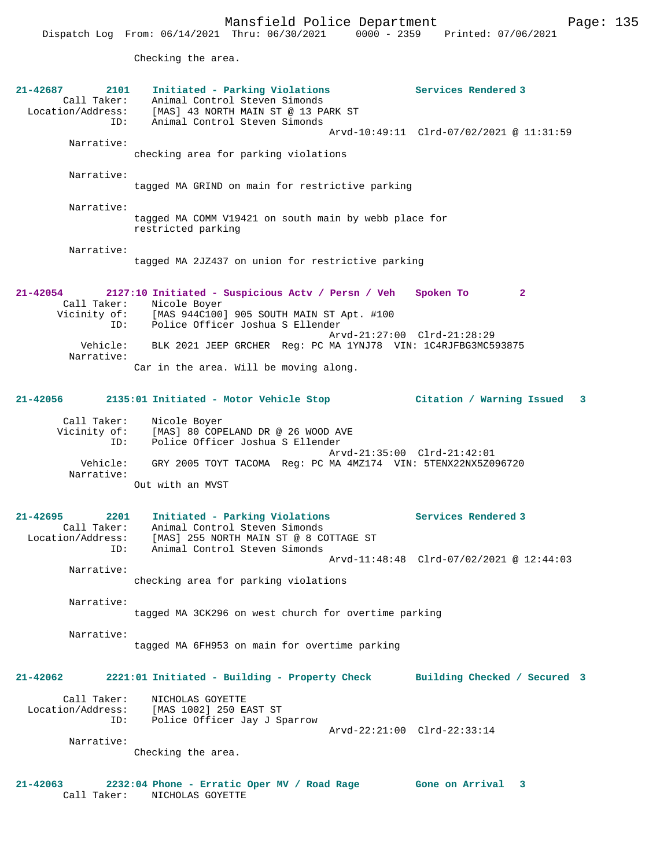Checking the area.

| 21-42687<br>2101     | Initiated - Parking Violations                                | Services Rendered 3                      |
|----------------------|---------------------------------------------------------------|------------------------------------------|
| Call Taker:          | Animal Control Steven Simonds                                 |                                          |
| Location/Address:    | [MAS] 43 NORTH MAIN ST @ 13 PARK ST                           |                                          |
| ID:                  | Animal Control Steven Simonds                                 |                                          |
| Narrative:           |                                                               | Arvd-10:49:11 Clrd-07/02/2021 @ 11:31:59 |
|                      | checking area for parking violations                          |                                          |
|                      |                                                               |                                          |
| Narrative:           |                                                               |                                          |
|                      | tagged MA GRIND on main for restrictive parking               |                                          |
|                      |                                                               |                                          |
| Narrative:           |                                                               |                                          |
|                      | tagged MA COMM V19421 on south main by webb place for         |                                          |
|                      | restricted parking                                            |                                          |
| Narrative:           |                                                               |                                          |
|                      | tagged MA 2JZ437 on union for restrictive parking             |                                          |
|                      |                                                               |                                          |
|                      |                                                               |                                          |
| 21-42054             | 2127:10 Initiated - Suspicious Actv / Persn / Veh             | Spoken To<br>$\mathbf{2}$                |
| Call Taker:          | Nicole Boyer                                                  |                                          |
| Vicinity of:         | [MAS 944C100] 905 SOUTH MAIN ST Apt. #100                     |                                          |
| ID:                  | Police Officer Joshua S Ellender                              |                                          |
|                      |                                                               | Arvd-21:27:00 Clrd-21:28:29              |
| Vehicle:             | BLK 2021 JEEP GRCHER Reg: PC MA 1YNJ78 VIN: 1C4RJFBG3MC593875 |                                          |
| Narrative:           |                                                               |                                          |
|                      | Car in the area. Will be moving along.                        |                                          |
|                      |                                                               |                                          |
| 21-42056             | 2135:01 Initiated - Motor Vehicle Stop                        | Citation / Warning Issued<br>- 3         |
|                      |                                                               |                                          |
| Call Taker:          | Nicole Boyer                                                  |                                          |
| Vicinity of:         | [MAS] 80 COPELAND DR @ 26 WOOD AVE                            |                                          |
| ID:                  | Police Officer Joshua S Ellender                              |                                          |
|                      |                                                               | Arvd-21:35:00 Clrd-21:42:01              |
| Vehicle:             | GRY 2005 TOYT TACOMA Reg: PC MA 4MZ174 VIN: 5TENX22NX5Z096720 |                                          |
| Narrative:           |                                                               |                                          |
|                      | Out with an MVST                                              |                                          |
|                      |                                                               |                                          |
| $21 - 42695$<br>2201 | Initiated - Parking Violations                                | Services Rendered 3                      |
| Call Taker:          | Animal Control Steven Simonds                                 |                                          |
| Location/Address:    | [MAS] 255 NORTH MAIN ST @ 8 COTTAGE ST                        |                                          |
| ID:                  | Animal Control Steven Simonds                                 |                                          |
|                      |                                                               | Arvd-11:48:48 Clrd-07/02/2021 @ 12:44:03 |
| Narrative:           |                                                               |                                          |
|                      | checking area for parking violations                          |                                          |
|                      |                                                               |                                          |
| Narrative:           | tagged MA 3CK296 on west church for overtime parking          |                                          |
|                      |                                                               |                                          |
| Narrative:           |                                                               |                                          |
|                      | tagged MA 6FH953 on main for overtime parking                 |                                          |
|                      |                                                               |                                          |
|                      |                                                               |                                          |
| 21-42062             | 2221:01 Initiated - Building - Property Check                 | Building Checked / Secured 3             |
|                      |                                                               |                                          |
| Call Taker:          | NICHOLAS GOYETTE                                              |                                          |
|                      | Location/Address: [MAS 1002] 250 EAST ST                      |                                          |
| ID:                  | Police Officer Jay J Sparrow                                  | Arvd-22:21:00 Clrd-22:33:14              |
| Narrative:           |                                                               |                                          |
|                      | Checking the area.                                            |                                          |
|                      |                                                               |                                          |
|                      |                                                               |                                          |
| 21-42063             | 2232:04 Phone - Erratic Oper MV / Road Rage Gone on Arrival   | 3                                        |
| Call Taker:          | NICHOLAS GOYETTE                                              |                                          |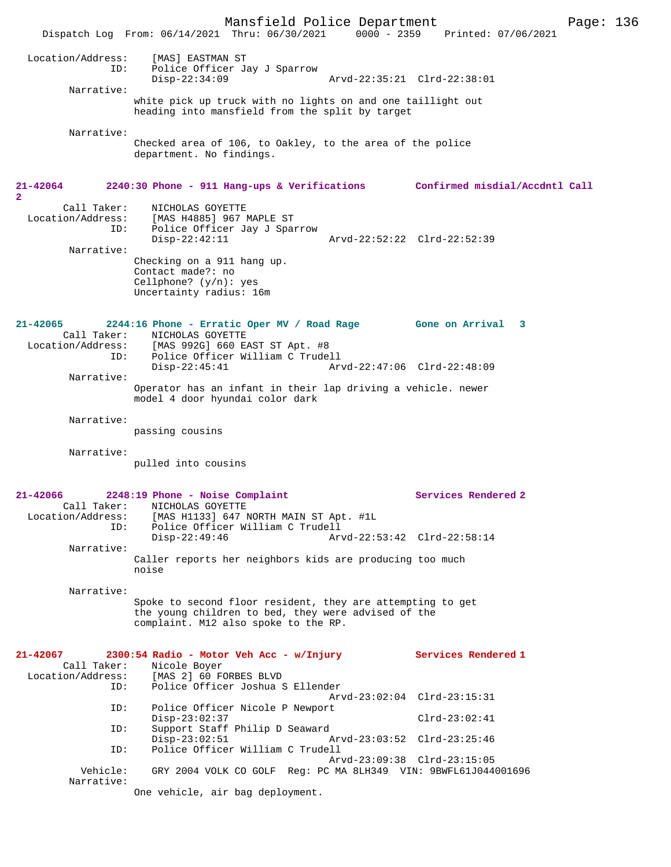Mansfield Police Department Page: 136 Dispatch Log From: 06/14/2021 Thru: 06/30/2021 0000 - 2359 Printed: 07/06/2021 Location/Address: [MAS] EASTMAN ST ID: Police Officer Jay J Sparrow Disp-22:34:09 Arvd-22:35:21 Clrd-22:38:01 Narrative: white pick up truck with no lights on and one taillight out heading into mansfield from the split by target Narrative: Checked area of 106, to Oakley, to the area of the police department. No findings. **21-42064 2240:30 Phone - 911 Hang-ups & Verifications Confirmed misdial/Accdntl Call 2**  Call Taker: NICHOLAS GOYETTE<br>Location/Address: [MAS H4885] 967 I [MAS H4885] 967 MAPLE ST ID: Police Officer Jay J Sparrow Disp-22:42:11 Arvd-22:52:22 Clrd-22:52:39 Narrative: Checking on a 911 hang up. Contact made?: no Cellphone? (y/n): yes Uncertainty radius: 16m **21-42065 2244:16 Phone - Erratic Oper MV / Road Rage Gone on Arrival 3**  Call Taker: NICHOLAS GOYETTE Location/Address: [MAS 992G] 660 EAST ST Apt. #8 ID: Police Officer William C Trudell<br>Disp-22:45:41 Arv Disp-22:45:41 Arvd-22:47:06 Clrd-22:48:09 Narrative: Operator has an infant in their lap driving a vehicle. newer model 4 door hyundai color dark Narrative: passing cousins Narrative: pulled into cousins **21-42066 2248:19 Phone - Noise Complaint Services Rendered 2**  Call Taker: NICHOLAS GOYETTE<br>Location/Address: [MAS H1133] 647 1 [MAS H1133] 647 NORTH MAIN ST Apt. #1L ID: Police Officer William C Trudell Arvd-22:53:42 Clrd-22:58:14 Narrative: Caller reports her neighbors kids are producing too much noise Narrative: Spoke to second floor resident, they are attempting to get the young children to bed, they were advised of the complaint. M12 also spoke to the RP. **21-42067 2300:54 Radio - Motor Veh Acc - w/Injury Services Rendered 1**  Call Taker: Nicole Boyer Location/Address: [MAS 2] 60 FORBES BLVD ID: Police Officer Joshua S Ellender Arvd-23:02:04 Clrd-23:15:31<br>ID: Police Officer Nicole P Newport Police Officer Nicole P Newport Disp-23:02:37 Clrd-23:02:41 ID: Support Staff Philip D Seaward Disp-23:02:51 Arvd-23:03:52 Clrd-23:25:46<br>ID: Police Officer William C Trudell Police Officer William C Trudell Arvd-23:09:38 Clrd-23:15:05<br>Vehicle: GRY 2004 VOLK CO GOLF Reg: PC MA 8LH349 VIN: 9BWFL61J044 GRY 2004 VOLK CO GOLF Reg: PC MA 8LH349 VIN: 9BWFL61J044001696 Narrative: One vehicle, air bag deployment.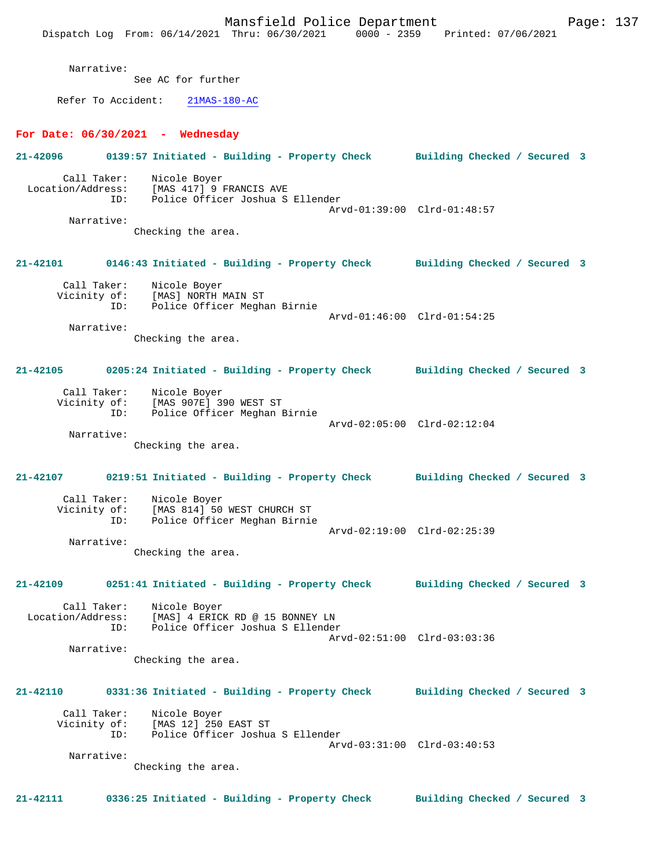Mansfield Police Department Fage: 137 Dispatch Log From: 06/14/2021 Thru: 06/30/2021 0000 - 2359 Printed: 07/06/2021 Narrative: See AC for further Refer To Accident: 21MAS-180-AC **For Date: 06/30/2021 - Wednesday 21-42096 0139:57 Initiated - Building - Property Check Building Checked / Secured 3** Call Taker: Nicole Boyer Location/Address: [MAS 417] 9 FRANCIS AVE ID: Police Officer Joshua S Ellender Arvd-01:39:00 Clrd-01:48:57 Narrative: Checking the area. **21-42101 0146:43 Initiated - Building - Property Check Building Checked / Secured 3** Call Taker: Nicole Boyer<br>Vicinity of: [MAS] NORTH I Vicinity of: [MAS] NORTH MAIN ST ID: Police Officer Meghan Birnie Arvd-01:46:00 Clrd-01:54:25 Narrative: Checking the area. **21-42105 0205:24 Initiated - Building - Property Check Building Checked / Secured 3** Call Taker: Nicole Boyer Vicinity of: [MAS 907E] 390 WEST ST ID: Police Officer Meghan Birnie Arvd-02:05:00 Clrd-02:12:04 Narrative: Checking the area. **21-42107 0219:51 Initiated - Building - Property Check Building Checked / Secured 3** Call Taker: Nicole Boyer Vicinity of: [MAS 814] 50 WEST CHURCH ST<br>TD: Police Officer Meghan Birnie Police Officer Meghan Birnie Arvd-02:19:00 Clrd-02:25:39 Narrative: Checking the area. **21-42109 0251:41 Initiated - Building - Property Check Building Checked / Secured 3** Call Taker: Nicole Boyer Location/Address: [MAS] 4 ERICK RD @ 15 BONNEY LN ID: Police Officer Joshua S Ellender Arvd-02:51:00 Clrd-03:03:36 Narrative: Checking the area. **21-42110 0331:36 Initiated - Building - Property Check Building Checked / Secured 3** Call Taker: Nicole Boyer Vicinity of: [MAS 12] 250 EAST ST<br>ID: Police Officer Joshua Police Officer Joshua S Ellender Arvd-03:31:00 Clrd-03:40:53 Narrative: Checking the area. **21-42111 0336:25 Initiated - Building - Property Check Building Checked / Secured 3**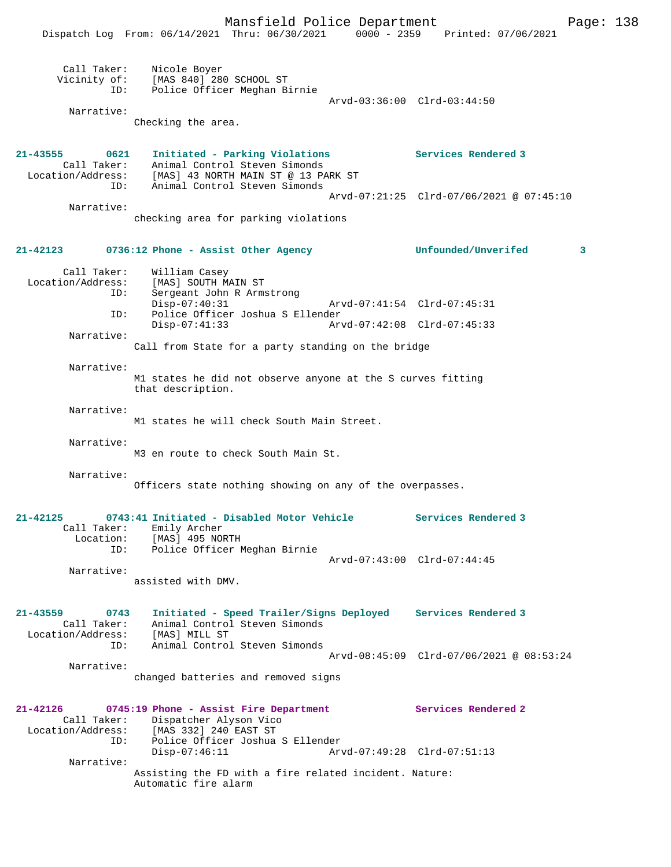|                                                                    | Dispatch Log From: 06/14/2021 Thru: 06/30/2021                                                                           |                             | 0000 - 2359 Printed: 07/06/2021          |   |
|--------------------------------------------------------------------|--------------------------------------------------------------------------------------------------------------------------|-----------------------------|------------------------------------------|---|
| Call Taker:<br>ID:                                                 | Nicole Boyer<br>Vicinity of: [MAS 840] 280 SCHOOL ST<br>Police Officer Meghan Birnie                                     |                             |                                          |   |
|                                                                    |                                                                                                                          | Arvd-03:36:00 Clrd-03:44:50 |                                          |   |
| Narrative:                                                         | Checking the area.                                                                                                       |                             |                                          |   |
| 21-43555<br>0621<br>Call Taker:                                    | Initiated - Parking Violations<br>Animal Control Steven Simonds<br>Location/Address: [MAS] 43 NORTH MAIN ST @ 13 PARK ST |                             | Services Rendered 3                      |   |
| ID:                                                                | Animal Control Steven Simonds                                                                                            |                             |                                          |   |
|                                                                    |                                                                                                                          |                             | Arvd-07:21:25 Clrd-07/06/2021 @ 07:45:10 |   |
| Narrative:                                                         | checking area for parking violations                                                                                     |                             |                                          |   |
|                                                                    | $21-42123$ 0736:12 Phone - Assist Other Agency                                                                           |                             | Unfounded/Unverifed                      | 3 |
| Call Taker:<br>Location/Address:<br>ID:                            | William Casey<br>[MAS] SOUTH MAIN ST<br>Sergeant John R Armstrong                                                        |                             |                                          |   |
|                                                                    | $Disp-07:40:31$                                                                                                          | Arvd-07:41:54 Clrd-07:45:31 |                                          |   |
| ID:                                                                | Police Officer Joshua S Ellender<br>$Disp-07:41:33$                                                                      | Arvd-07:42:08 Clrd-07:45:33 |                                          |   |
| Narrative:                                                         |                                                                                                                          |                             |                                          |   |
|                                                                    | Call from State for a party standing on the bridge                                                                       |                             |                                          |   |
| Narrative:                                                         | M1 states he did not observe anyone at the S curves fitting<br>that description.                                         |                             |                                          |   |
| Narrative:                                                         | M1 states he will check South Main Street.                                                                               |                             |                                          |   |
| Narrative:                                                         |                                                                                                                          |                             |                                          |   |
|                                                                    | M3 en route to check South Main St.                                                                                      |                             |                                          |   |
| Narrative:                                                         | Officers state nothing showing on any of the overpasses.                                                                 |                             |                                          |   |
|                                                                    |                                                                                                                          |                             |                                          |   |
| 21-42125<br>Location:                                              | 0743:41 Initiated - Disabled Motor Vehicle<br>Call Taker: Emily Archer<br>[MAS] 495 NORTH                                |                             | Services Rendered 3                      |   |
|                                                                    | ID: Police Officer Meghan Birnie                                                                                         |                             |                                          |   |
| Narrative:                                                         |                                                                                                                          |                             | Arvd-07:43:00 Clrd-07:44:45              |   |
|                                                                    | assisted with DMV.                                                                                                       |                             |                                          |   |
| 21-43559<br>0743<br>Call Taker:<br>Location/Address: [MAS] MILL ST | Initiated - Speed Trailer/Signs Deployed Services Rendered 3<br>Animal Control Steven Simonds                            |                             |                                          |   |
| ID:                                                                | Animal Control Steven Simonds                                                                                            |                             | Arvd-08:45:09 Clrd-07/06/2021 @ 08:53:24 |   |
| Narrative:                                                         | changed batteries and removed signs                                                                                      |                             |                                          |   |
|                                                                    | 21-42126 0745:19 Phone - Assist Fire Department                                                                          |                             | Services Rendered 2                      |   |
| ID:                                                                | Call Taker: Dispatcher Alyson Vico<br>Location/Address: [MAS 332] 240 EAST ST<br>Police Officer Joshua S Ellender        |                             |                                          |   |
| Narrative:                                                         | $Disp-07:46:11$                                                                                                          | Arvd-07:49:28 Clrd-07:51:13 |                                          |   |
|                                                                    | Assisting the FD with a fire related incident. Nature:<br>Automatic fire alarm                                           |                             |                                          |   |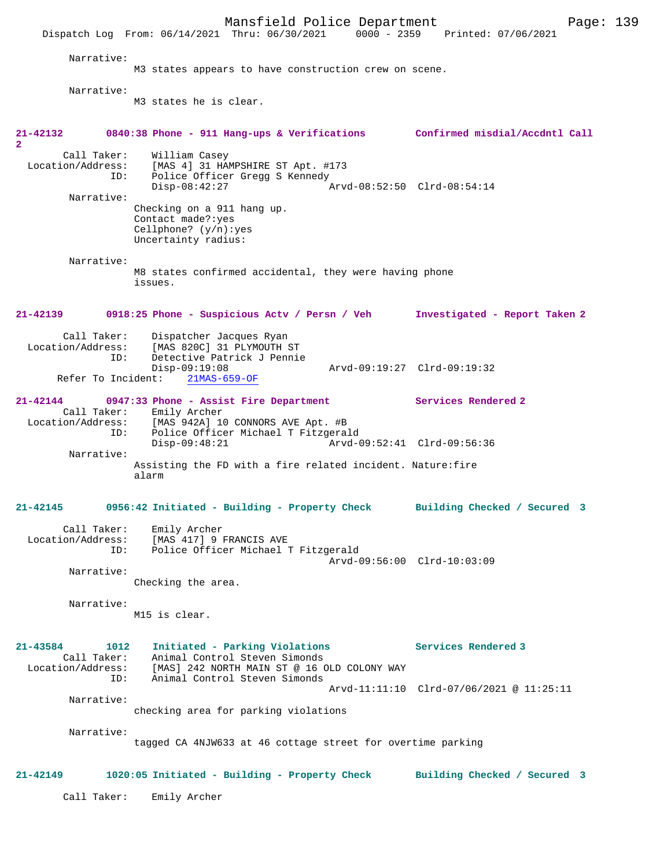Mansfield Police Department Page: 139 Dispatch Log From: 06/14/2021 Thru: 06/30/2021 Narrative: M3 states appears to have construction crew on scene. Narrative: M3 states he is clear. **21-42132 0840:38 Phone - 911 Hang-ups & Verifications Confirmed misdial/Accdntl Call 2**  Call Taker: William Casey Location/Address: [MAS 4] 31 HAMPSHIRE ST Apt. #173 Police Officer Gregg S Kennedy Disp-08:42:27 Arvd-08:52:50 Clrd-08:54:14 Narrative: Checking on a 911 hang up. Contact made?:yes Cellphone? (y/n):yes Uncertainty radius: Narrative: M8 states confirmed accidental, they were having phone issues. **21-42139 0918:25 Phone - Suspicious Actv / Persn / Veh Investigated - Report Taken 2** Call Taker: Dispatcher Jacques Ryan<br>Location/Address: [MAS 820C] 31 PLYMOUTH S [MAS 820C] 31 PLYMOUTH ST ID: Detective Patrick J Pennie 09:19:08 Arvd-09:19:27 Clrd-09:19:32<br>21MAS-659-OF Arvd-09:19:27 Clrd-09:19:32 Refer To Incident: **21-42144 0947:33 Phone - Assist Fire Department Services Rendered 2**  Call Taker: Emily Archer<br>Location/Address: [MAS 942A] 10 ess: [MAS 942A] 10 CONNORS AVE Apt. #B<br>ID: Police Officer Michael T Fitzgera Police Officer Michael T Fitzgerald<br>Disp-09:48:21 Arvd-0 Disp-09:48:21 Arvd-09:52:41 Clrd-09:56:36 Narrative: Assisting the FD with a fire related incident. Nature:fire alarm **21-42145 0956:42 Initiated - Building - Property Check Building Checked / Secured 3** Call Taker: Emily Archer Location/Address: [MAS 417] 9 FRANCIS AVE Police Officer Michael T Fitzgerald Arvd-09:56:00 Clrd-10:03:09 Narrative: Checking the area. Narrative: M15 is clear. **21-43584 1012 Initiated - Parking Violations Services Rendered 3**  Call Taker: Animal Control Steven Simonds<br>Location/Address: [MAS] 242 NORTH MAIN ST @ 16 O ess: [MAS] 242 NORTH MAIN ST @ 16 OLD COLONY WAY<br>TD: Animal Control Steven Simonds Animal Control Steven Simonds Arvd-11:11:10 Clrd-07/06/2021 @ 11:25:11 Narrative: checking area for parking violations Narrative: tagged CA 4NJW633 at 46 cottage street for overtime parking **21-42149 1020:05 Initiated - Building - Property Check Building Checked / Secured 3** Call Taker: Emily Archer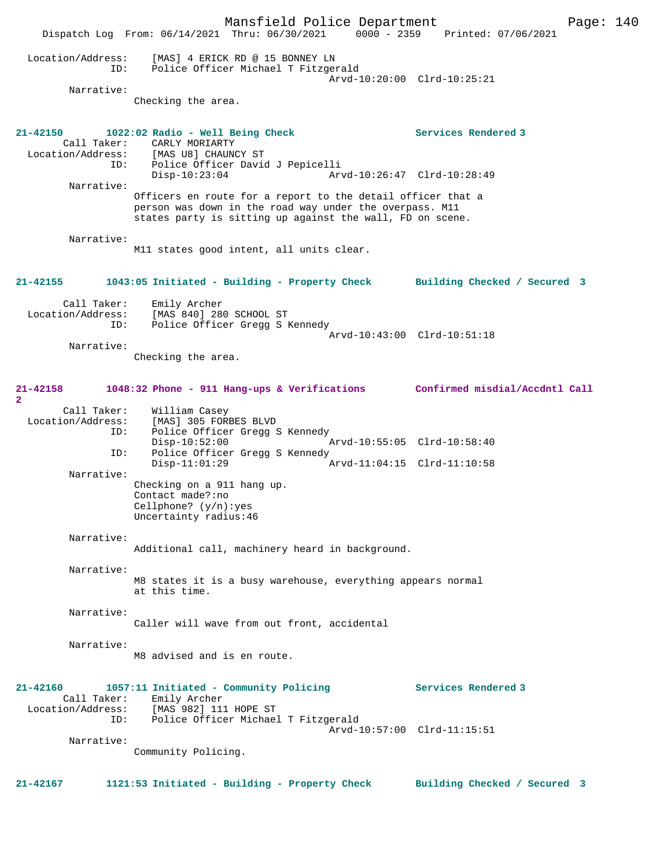Mansfield Police Department Fage: 140 Dispatch Log From: 06/14/2021 Thru: 06/30/2021 0000 - 2359 Printed: 07/06/2021 Location/Address: [MAS] 4 ERICK RD @ 15 BONNEY LN ID: Police Officer Michael T Fitzgerald Arvd-10:20:00 Clrd-10:25:21 Narrative: Checking the area. **21-42150 1022:02 Radio - Well Being Check Services Rendered 3**  Call Taker: CARLY MORIARTY Location/Address: [MAS U8] CHAUNCY ST ID: Police Officer David J Pepicelli Disp-10:23:04 Arvd-10:26:47 Clrd-10:28:49 Narrative: Officers en route for a report to the detail officer that a person was down in the road way under the overpass. M11 states party is sitting up against the wall, FD on scene. Narrative: M11 states good intent, all units clear. **21-42155 1043:05 Initiated - Building - Property Check Building Checked / Secured 3** Call Taker: Emily Archer Location/Address: [MAS 840] 280 SCHOOL ST ID: Police Officer Gregg S Kennedy Arvd-10:43:00 Clrd-10:51:18 Narrative: Checking the area. **21-42158 1048:32 Phone - 911 Hang-ups & Verifications Confirmed misdial/Accdntl Call 2**  Call Taker: William Casey<br>ion/Address: [MAS] 305 FORBES BLVD Location/Address: ID: Police Officer Gregg S Kennedy Disp-10:52:00 Arvd-10:55:05 Clrd-10:58:40 ID: Police Officer Gregg S Kennedy<br>Disp-11:01:29  $Arvd-11:04:15$   $Clrd-11:10:58$  Narrative: Checking on a 911 hang up. Contact made?:no Cellphone? (y/n):yes Uncertainty radius:46 Narrative: Additional call, machinery heard in background. Narrative: M8 states it is a busy warehouse, everything appears normal at this time. Narrative: Caller will wave from out front, accidental Narrative: M8 advised and is en route. **21-42160 1057:11 Initiated - Community Policing Services Rendered 3**  Call Taker: Emily Archer Location/Address: [MAS 982] 111 HOPE ST ID: Police Officer Michael T Fitzgerald Arvd-10:57:00 Clrd-11:15:51 Narrative: Community Policing. **21-42167 1121:53 Initiated - Building - Property Check Building Checked / Secured 3**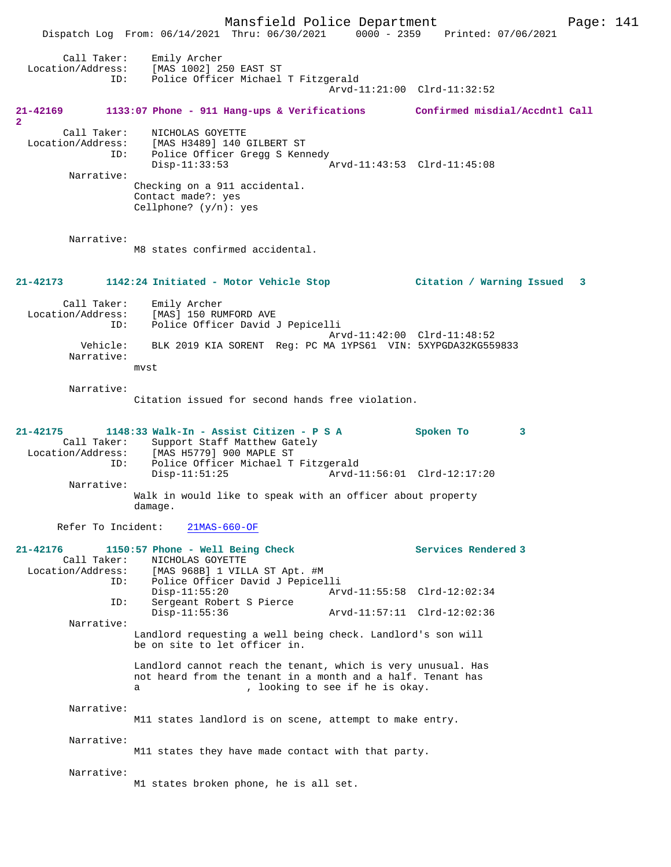Mansfield Police Department Page: 141 Dispatch Log From: 06/14/2021 Thru: 06/30/2021 0000 - 2359 Printed: 07/06/2021 Call Taker: Emily Archer Location/Address: [MAS 1002] 250 EAST ST ID: Police Officer Michael T Fitzgerald Arvd-11:21:00 Clrd-11:32:52 **21-42169 1133:07 Phone - 911 Hang-ups & Verifications Confirmed misdial/Accdntl Call 2**  Call Taker: NICHOLAS GOYETTE Location/Address: [MAS H3489] 140 GILBERT ST ID: Police Officer Gregg S Kennedy Disp-11:33:53 Arvd-11:43:53 Clrd-11:45:08 Narrative: Checking on a 911 accidental. Contact made?: yes Cellphone? (y/n): yes Narrative: M8 states confirmed accidental. **21-42173 1142:24 Initiated - Motor Vehicle Stop Citation / Warning Issued 3** Call Taker: Emily Archer Location/Address: [MAS] 150 RUMFORD AVE ID: Police Officer David J Pepicelli Arvd-11:42:00 Clrd-11:48:52 Vehicle: BLK 2019 KIA SORENT Reg: PC MA 1YPS61 VIN: 5XYPGDA32KG559833 Narrative: mvst Narrative: Citation issued for second hands free violation. **21-42175 1148:33 Walk-In - Assist Citizen - P S A Spoken To 3**  Call Taker: Support Staff Matthew Gately Location/Address: [MAS H5779] 900 MAPLE ST Police Officer Michael T Fitzgerald<br>Disp-11:51:25 Arvd-1 Arvd-11:56:01 Clrd-12:17:20 Narrative: Walk in would like to speak with an officer about property damage. Refer To Incident: 21MAS-660-OF **21-42176 1150:57 Phone - Well Being Check Services Rendered 3**  Call Taker: NICHOLAS GOYETTE Location/Address: [MAS 968B] 1 VILLA ST Apt. #M ID: Police Officer David J Pepicelli Disp-11:55:20 Arvd-11:55:58 Clrd-12:02:34 ID: Sergeant Robert S Pierce Disp-11:55:36 Arvd-11:57:11 Clrd-12:02:36 Narrative: Landlord requesting a well being check. Landlord's son will be on site to let officer in. Landlord cannot reach the tenant, which is very unusual. Has not heard from the tenant in a month and a half. Tenant has a , looking to see if he is okay. Narrative: M11 states landlord is on scene, attempt to make entry. Narrative: M11 states they have made contact with that party. Narrative: M1 states broken phone, he is all set.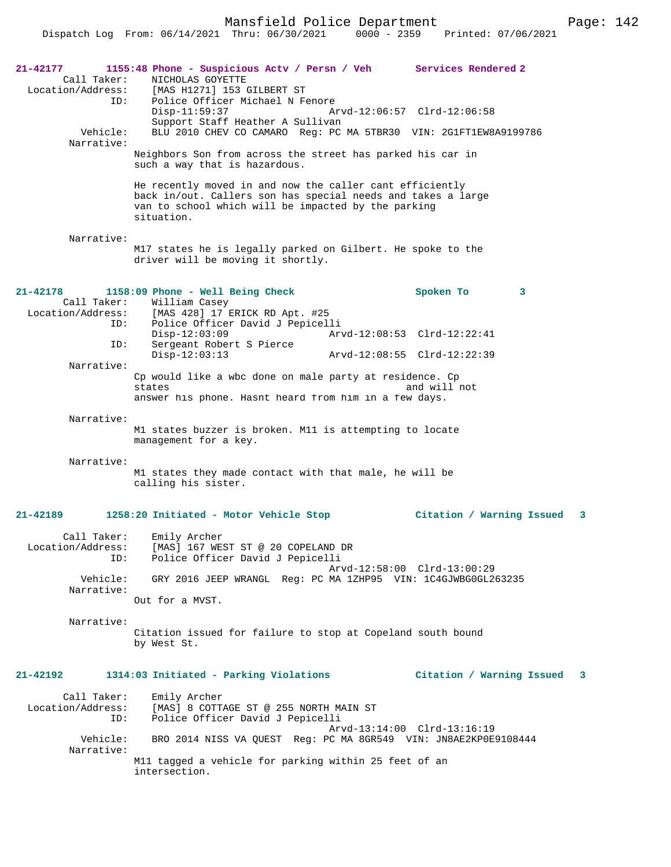Mansfield Police Department Page: 142

| 21-42177<br>Call Taker:<br>Location/Address:<br>ID:<br>Vehicle:<br>Narrative: | 1155:48 Phone - Suspicious Actv / Persn / Veh Services Rendered 2<br>NICHOLAS GOYETTE<br>[MAS H1271] 153 GILBERT ST<br>Police Officer Michael N Fenore<br>$Disp-11:59:37$<br>Support Staff Heather A Sullivan<br>BLU 2010 CHEV CO CAMARO Reg: PC MA 5TBR30 VIN: 2G1FT1EW8A9199786<br>Neighbors Son from across the street has parked his car in<br>such a way that is hazardous.<br>He recently moved in and now the caller cant efficiently<br>back in/out. Callers son has special needs and takes a large<br>van to school which will be impacted by the parking<br>situation. |                                                                                              | Arvd-12:06:57 Clrd-12:06:58 |    |
|-------------------------------------------------------------------------------|-----------------------------------------------------------------------------------------------------------------------------------------------------------------------------------------------------------------------------------------------------------------------------------------------------------------------------------------------------------------------------------------------------------------------------------------------------------------------------------------------------------------------------------------------------------------------------------|----------------------------------------------------------------------------------------------|-----------------------------|----|
| Narrative:                                                                    |                                                                                                                                                                                                                                                                                                                                                                                                                                                                                                                                                                                   |                                                                                              |                             |    |
|                                                                               | M17 states he is legally parked on Gilbert. He spoke to the<br>driver will be moving it shortly.                                                                                                                                                                                                                                                                                                                                                                                                                                                                                  |                                                                                              |                             |    |
| $21 - 42178$                                                                  | 1158:09 Phone - Well Being Check                                                                                                                                                                                                                                                                                                                                                                                                                                                                                                                                                  |                                                                                              | Spoken To                   | 3  |
|                                                                               | Call Taker: William Casey<br>Location/Address: [MAS 428] 17 ERICK RD Apt. #25                                                                                                                                                                                                                                                                                                                                                                                                                                                                                                     |                                                                                              |                             |    |
|                                                                               | Police Officer David J Pepicelli<br>ID:<br>$Disp-12:03:09$                                                                                                                                                                                                                                                                                                                                                                                                                                                                                                                        |                                                                                              | Arvd-12:08:53 Clrd-12:22:41 |    |
| ID:                                                                           | Sergeant Robert S Pierce<br>$Disp-12:03:13$                                                                                                                                                                                                                                                                                                                                                                                                                                                                                                                                       |                                                                                              | Arvd-12:08:55 Clrd-12:22:39 |    |
| Narrative:                                                                    |                                                                                                                                                                                                                                                                                                                                                                                                                                                                                                                                                                                   |                                                                                              |                             |    |
|                                                                               | Cp would like a wbc done on male party at residence. Cp<br>and will not<br>states                                                                                                                                                                                                                                                                                                                                                                                                                                                                                                 |                                                                                              |                             |    |
|                                                                               | answer his phone. Hasnt heard from him in a few days.                                                                                                                                                                                                                                                                                                                                                                                                                                                                                                                             |                                                                                              |                             |    |
| Narrative:                                                                    | M1 states buzzer is broken. M11 is attempting to locate<br>management for a key.                                                                                                                                                                                                                                                                                                                                                                                                                                                                                                  |                                                                                              |                             |    |
| Narrative:                                                                    | M1 states they made contact with that male, he will be<br>calling his sister.                                                                                                                                                                                                                                                                                                                                                                                                                                                                                                     |                                                                                              |                             |    |
| 21-42189                                                                      | 1258:20 Initiated - Motor Vehicle Stop                                                                                                                                                                                                                                                                                                                                                                                                                                                                                                                                            |                                                                                              | Citation / Warning Issued   | 3  |
| Call Taker:<br>Location/Address:<br>ID:                                       | Emily Archer<br>[MAS] 167 WEST ST @ 20 COPELAND DR<br>Police Officer David J Pepicelli                                                                                                                                                                                                                                                                                                                                                                                                                                                                                            |                                                                                              |                             |    |
| Vehicle:<br>Narrative:                                                        |                                                                                                                                                                                                                                                                                                                                                                                                                                                                                                                                                                                   | Arvd-12:58:00 Clrd-13:00:29<br>GRY 2016 JEEP WRANGL Req: PC MA 1ZHP95 VIN: 1C4GJWBG0GL263235 |                             |    |
|                                                                               | Out for a MVST.                                                                                                                                                                                                                                                                                                                                                                                                                                                                                                                                                                   |                                                                                              |                             |    |
| Narrative:                                                                    | Citation issued for failure to stop at Copeland south bound<br>by West St.                                                                                                                                                                                                                                                                                                                                                                                                                                                                                                        |                                                                                              |                             |    |
| 21-42192                                                                      | 1314:03 Initiated - Parking Violations                                                                                                                                                                                                                                                                                                                                                                                                                                                                                                                                            |                                                                                              | Citation / Warning Issued   | -3 |
| Call Taker:<br>Location/Address:<br>ID:                                       | Emily Archer<br>[MAS] 8 COTTAGE ST @ 255 NORTH MAIN ST<br>Police Officer David J Pepicelli                                                                                                                                                                                                                                                                                                                                                                                                                                                                                        |                                                                                              |                             |    |
| Vehicle:<br>Narrative:                                                        | Arvd-13:14:00 Clrd-13:16:19<br>BRO 2014 NISS VA QUEST Req: PC MA 8GR549 VIN: JN8AE2KP0E9108444                                                                                                                                                                                                                                                                                                                                                                                                                                                                                    |                                                                                              |                             |    |
|                                                                               | M11 tagged a vehicle for parking within 25 feet of an<br>intersection.                                                                                                                                                                                                                                                                                                                                                                                                                                                                                                            |                                                                                              |                             |    |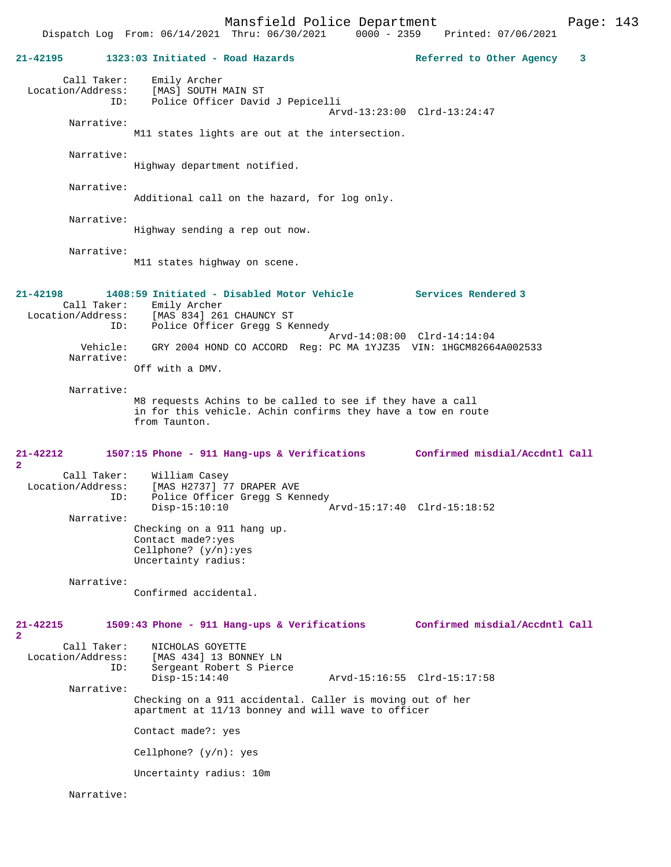Mansfield Police Department Page: 143 Dispatch Log From: 06/14/2021 Thru: 06/30/2021 **21-42195 1323:03 Initiated - Road Hazards Referred to Other Agency 3** Call Taker: Emily Archer Location/Address: [MAS] SOUTH MAIN ST ID: Police Officer David J Pepicelli Arvd-13:23:00 Clrd-13:24:47 Narrative: M11 states lights are out at the intersection. Narrative: Highway department notified. Narrative: Additional call on the hazard, for log only. Narrative: Highway sending a rep out now. Narrative: M11 states highway on scene. **21-42198 1408:59 Initiated - Disabled Motor Vehicle Services Rendered 3**  Call Taker: Emily Archer Location/Address: [MAS 834] 261 CHAUNCY ST ID: Police Officer Gregg S Kennedy Arvd-14:08:00 Clrd-14:14:04<br>Vehicle: GRY 2004 HOND CO ACCORD Req: PC MA 1YJZ35 VIN: 1HGCM8266 GRY 2004 HOND CO ACCORD Reg: PC MA 1YJZ35 VIN: 1HGCM82664A002533 Narrative: Off with a DMV. Narrative: M8 requests Achins to be called to see if they have a call in for this vehicle. Achin confirms they have a tow en route from Taunton. **21-42212 1507:15 Phone - 911 Hang-ups & Verifications Confirmed misdial/Accdntl Call 2**  Call Taker: William Casey<br>Tocation/Address: [MAS H2737] 7 ess: [MAS H2737] 77 DRAPER AVE<br>ID: Police Officer Gregg S Ker Police Officer Gregg S Kennedy<br>Disp-15:10:10 2 Disp-15:10:10 Arvd-15:17:40 Clrd-15:18:52 Narrative: Checking on a 911 hang up. Contact made?:yes Cellphone? (y/n):yes Uncertainty radius: Narrative: Confirmed accidental. **21-42215 1509:43 Phone - 911 Hang-ups & Verifications Confirmed misdial/Accdntl Call 2**  Call Taker: NICHOLAS GOYETTE<br>Location/Address: [MAS 434] 13 BON ess: [MAS 434] 13 BONNEY LN<br>ID: Sergeant Robert S Piero Sergeant Robert S Pierce<br>Disp-15:14:40 Arvd-15:16:55 Clrd-15:17:58 Narrative: Checking on a 911 accidental. Caller is moving out of her apartment at 11/13 bonney and will wave to officer Contact made?: yes Cellphone? (y/n): yes Uncertainty radius: 10m

Narrative: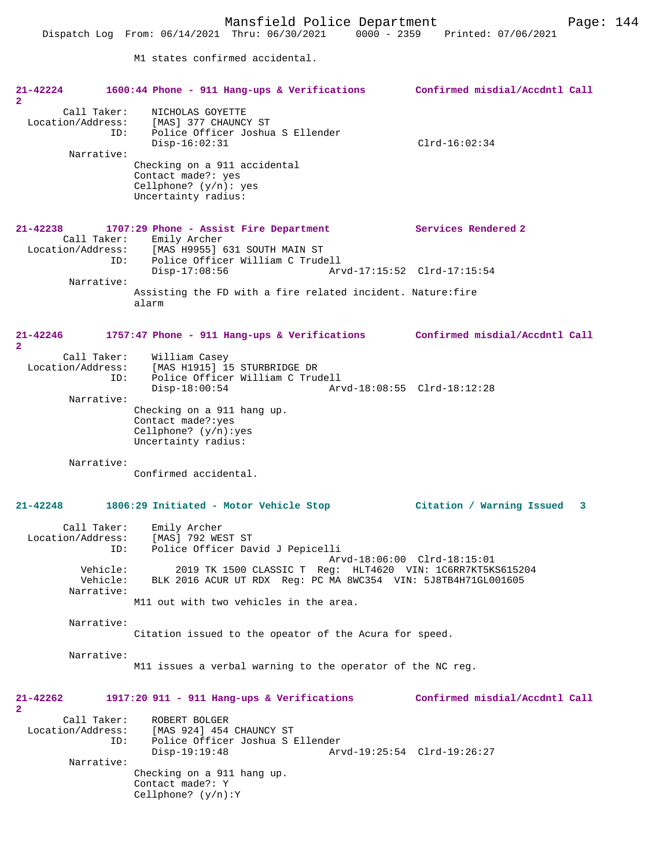Dispatch Log From: 06/14/2021 Thru: 06/30/2021 0000 - 2359 Printed: 07/06/2021

M1 states confirmed accidental.

| $21 - 42224$                                              | 1600:44 Phone - 911 Hang-ups & Verifications                                                          | Confirmed misdial/Accdntl Call |
|-----------------------------------------------------------|-------------------------------------------------------------------------------------------------------|--------------------------------|
| $\mathbf{2}^-$<br>Call Taker:<br>Location/Address:<br>ID: | NICHOLAS GOYETTE<br>[MAS] 377 CHAUNCY ST<br>Police Officer Joshua S Ellender                          |                                |
| Narrative:                                                | $Disp-16:02:31$                                                                                       | $Clrd-16:02:34$                |
|                                                           | Checking on a 911 accidental<br>Contact made?: yes<br>Cellphone? $(y/n)$ : yes<br>Uncertainty radius: |                                |
| 21-42238                                                  | 1707:29 Phone - Assist Fire Department<br>Call Taker: Emily Archer                                    | Services Rendered 2            |
| ID:                                                       | Location/Address: [MAS H9955] 631 SOUTH MAIN ST<br>Police Officer William C Trudell                   |                                |
|                                                           | $Disp-17:08:56$                                                                                       | Arvd-17:15:52 Clrd-17:15:54    |
| Narrative:                                                | Assisting the FD with a fire related incident. Nature: fire<br>alarm                                  |                                |
| $21 - 42246$<br>$\mathbf{2}$                              | 1757:47 Phone - 911 Hang-ups & Verifications Confirmed misdial/Accdntl Call                           |                                |
| Call Taker:<br>Location/Address:<br>ID:                   | William Casey<br>[MAS H1915] 15 STURBRIDGE DR<br>Police Officer William C Trudell                     |                                |
| Narrative:                                                | $Disp-18:00:54$                                                                                       | Arvd-18:08:55 Clrd-18:12:28    |
|                                                           | Checking on a 911 hang up.<br>Contact made?: yes<br>Cellphone? $(y/n):yes$<br>Uncertainty radius:     |                                |
| Narrative:                                                | Confirmed accidental.                                                                                 |                                |
| $21 - 42248$                                              | 1806:29 Initiated - Motor Vehicle Stop                                                                | Citation / Warning Issued<br>3 |
| Call Taker:<br>Location/Address:<br>ID:                   | Emily Archer<br>[MAS] 792 WEST ST<br>Police Officer David J Pepicelli                                 | Arvd-18:06:00 Clrd-18:15:01    |
| Vehicle:<br>Vehicle:<br>Narrative:                        | 2019 TK 1500 CLASSIC T Reg:<br>BLK 2016 ACUR UT RDX Req: PC MA 8WC354 VIN: 5J8TB4H71GL001605          | HLT4620 VIN: 1C6RR7KT5KS615204 |
|                                                           | M11 out with two vehicles in the area.                                                                |                                |
| Narrative:                                                | Citation issued to the opeator of the Acura for speed.                                                |                                |
| Narrative:                                                | M11 issues a verbal warning to the operator of the NC reg.                                            |                                |
| 21-42262<br>$\mathbf{2}$                                  | $1917:20$ 911 - 911 Hang-ups & Verifications                                                          | Confirmed misdial/Accdntl Call |
| Call Taker:<br>Location/Address:<br>ID:                   | ROBERT BOLGER<br>[MAS 924] 454 CHAUNCY ST<br>Police Officer Joshua S Ellender<br>$Disp-19:19:48$      | Arvd-19:25:54 Clrd-19:26:27    |
| Narrative:                                                | Checking on a 911 hang up.                                                                            |                                |
|                                                           | Contact made?: Y<br>Cellphone? $(y/n):Y$                                                              |                                |